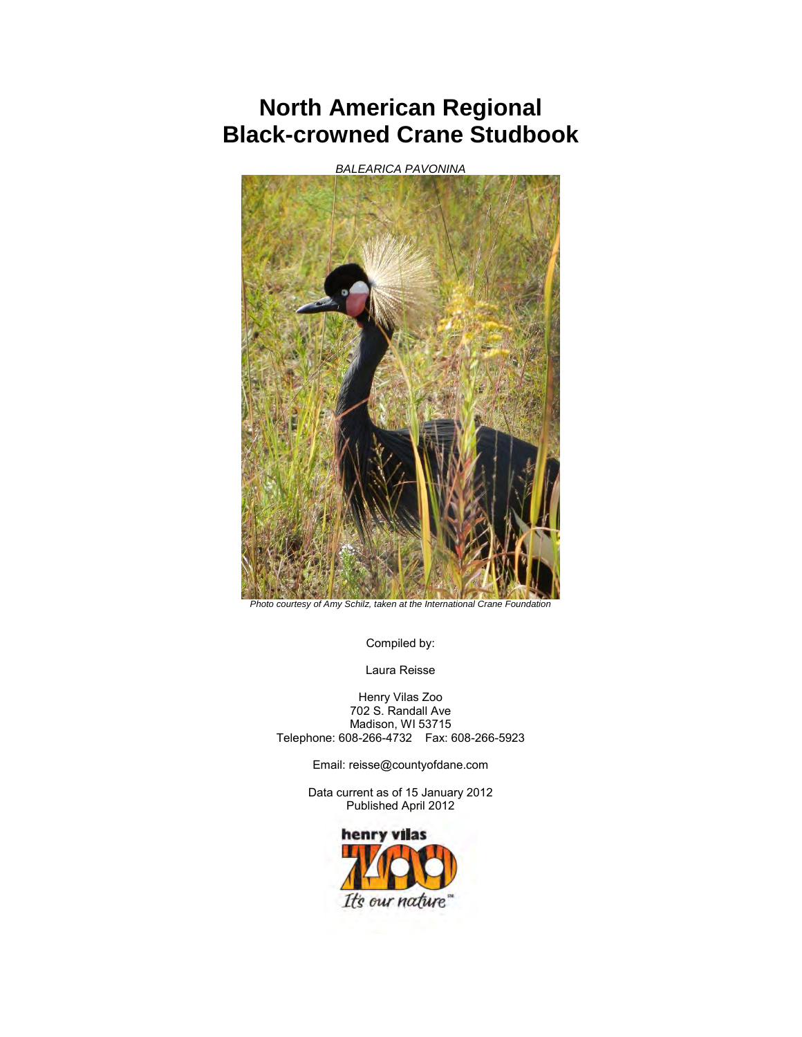## **North American Regional Black-crowned Crane Studbook**

*BALEARICA PAVONINA* 



*Photo courtesy of Amy Schilz, taken at the International Crane Foundation* 

Compiled by:

Laura Reisse

Henry Vilas Zoo 702 S. Randall Ave Madison, WI 53715 Telephone: 608-266-4732 Fax: 608-266-5923

Email: reisse@countyofdane.com

Data current as of 15 January 2012 Published April 2012

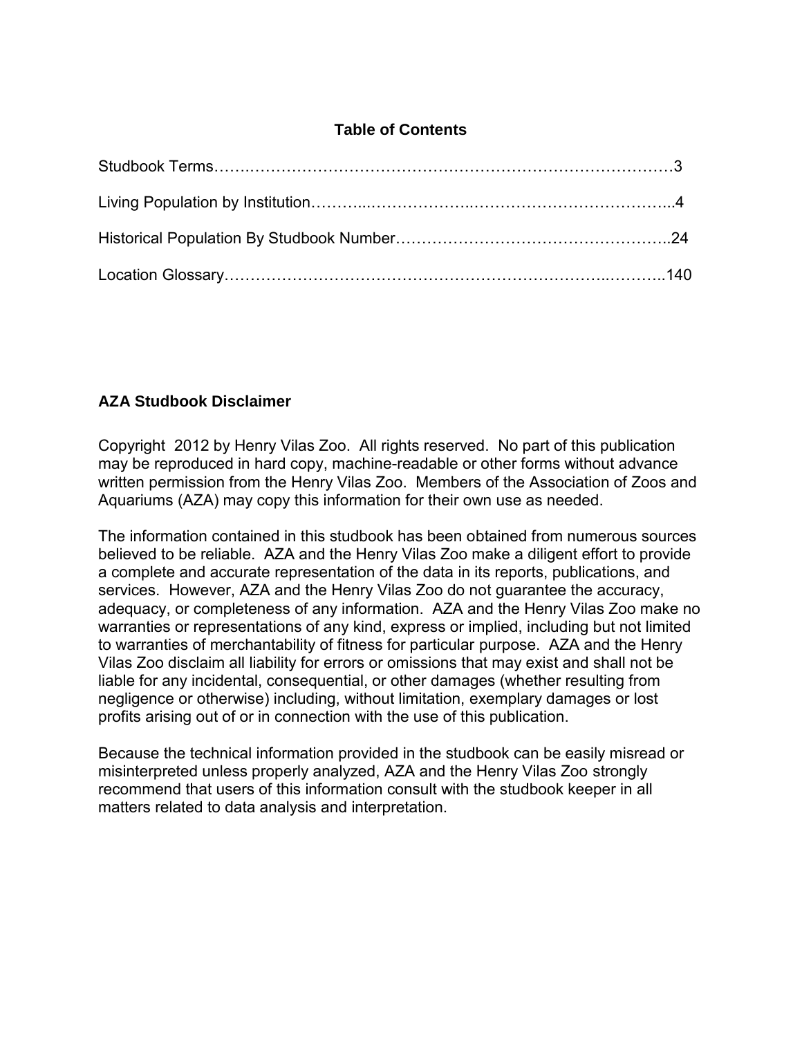## **Table of Contents**

## **AZA Studbook Disclaimer**

Copyright 2012 by Henry Vilas Zoo. All rights reserved. No part of this publication may be reproduced in hard copy, machine-readable or other forms without advance written permission from the Henry Vilas Zoo. Members of the Association of Zoos and Aquariums (AZA) may copy this information for their own use as needed.

The information contained in this studbook has been obtained from numerous sources believed to be reliable. AZA and the Henry Vilas Zoo make a diligent effort to provide a complete and accurate representation of the data in its reports, publications, and services. However, AZA and the Henry Vilas Zoo do not guarantee the accuracy, adequacy, or completeness of any information. AZA and the Henry Vilas Zoo make no warranties or representations of any kind, express or implied, including but not limited to warranties of merchantability of fitness for particular purpose. AZA and the Henry Vilas Zoo disclaim all liability for errors or omissions that may exist and shall not be liable for any incidental, consequential, or other damages (whether resulting from negligence or otherwise) including, without limitation, exemplary damages or lost profits arising out of or in connection with the use of this publication.

Because the technical information provided in the studbook can be easily misread or misinterpreted unless properly analyzed, AZA and the Henry Vilas Zoo strongly recommend that users of this information consult with the studbook keeper in all matters related to data analysis and interpretation.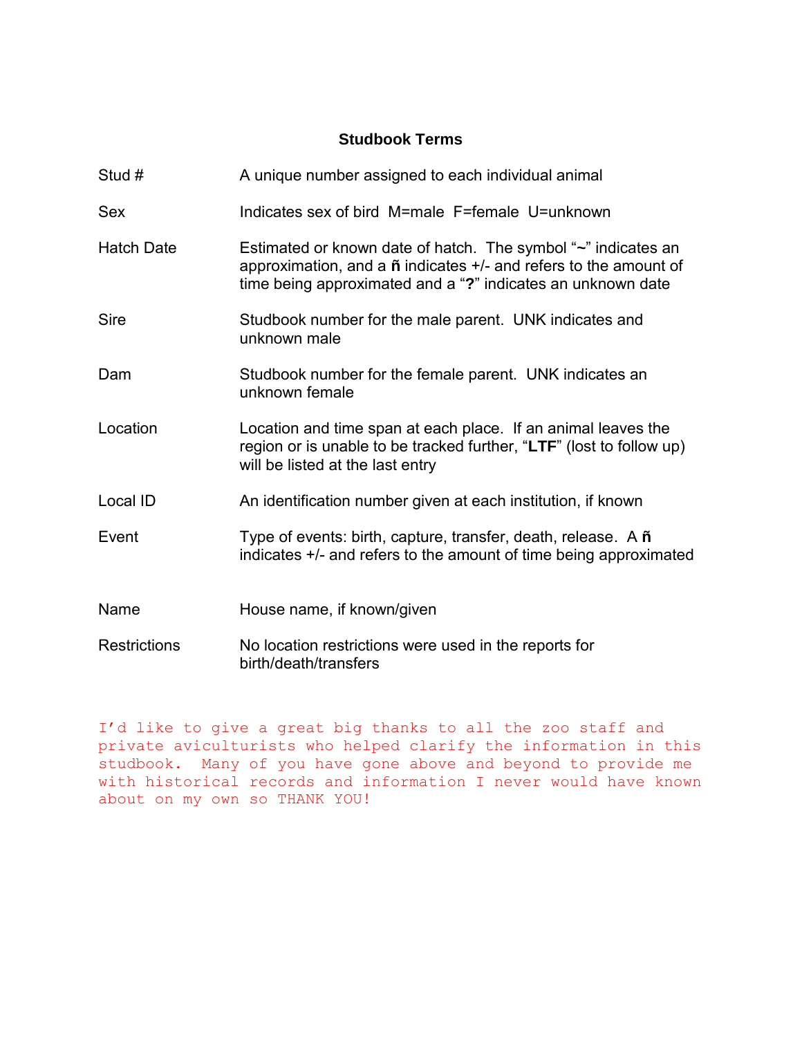## **Studbook Terms**

| Stud #              | A unique number assigned to each individual animal                                                                                                                                                         |
|---------------------|------------------------------------------------------------------------------------------------------------------------------------------------------------------------------------------------------------|
| <b>Sex</b>          | Indicates sex of bird M=male F=female U=unknown                                                                                                                                                            |
| <b>Hatch Date</b>   | Estimated or known date of hatch. The symbol "~" indicates an<br>approximation, and a $\tilde{n}$ indicates +/- and refers to the amount of<br>time being approximated and a "?" indicates an unknown date |
| <b>Sire</b>         | Studbook number for the male parent. UNK indicates and<br>unknown male                                                                                                                                     |
| Dam                 | Studbook number for the female parent. UNK indicates an<br>unknown female                                                                                                                                  |
| Location            | Location and time span at each place. If an animal leaves the<br>region or is unable to be tracked further, "LTF" (lost to follow up)<br>will be listed at the last entry                                  |
| Local ID            | An identification number given at each institution, if known                                                                                                                                               |
| Event               | Type of events: birth, capture, transfer, death, release. A $\tilde{n}$<br>indicates +/- and refers to the amount of time being approximated                                                               |
| Name                | House name, if known/given                                                                                                                                                                                 |
| <b>Restrictions</b> | No location restrictions were used in the reports for<br>birth/death/transfers                                                                                                                             |

I'd like to give a great big thanks to all the zoo staff and private aviculturists who helped clarify the information in this studbook. Many of you have gone above and beyond to provide me with historical records and information I never would have known about on my own so THANK YOU!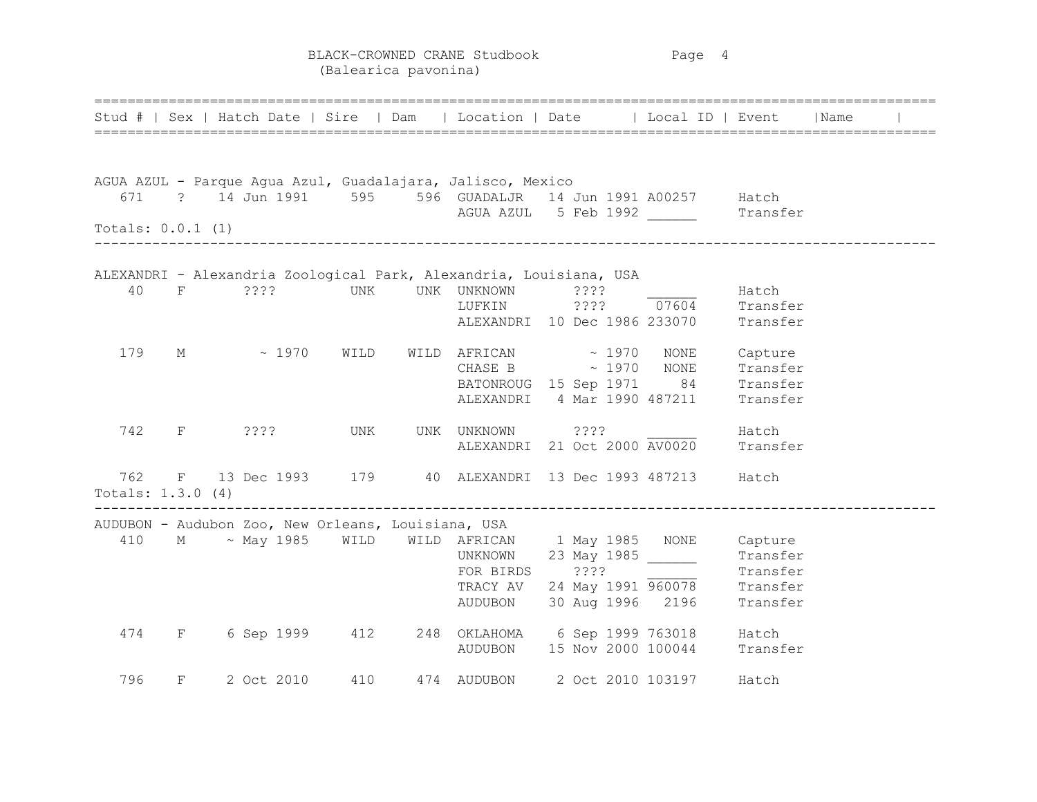BLACK-CROWNED CRANE Studbook Page 4 (Balearica pavonina)

|                          |              |  |             |                                                    | Stud #   Sex   Hatch Date   Sire   Dam   Location   Date   Local ID   Event   Name |                   | ==================================                                                                                                                                                                                             |          |  |
|--------------------------|--------------|--|-------------|----------------------------------------------------|------------------------------------------------------------------------------------|-------------------|--------------------------------------------------------------------------------------------------------------------------------------------------------------------------------------------------------------------------------|----------|--|
|                          |              |  |             |                                                    | AGUA AZUL - Parque Agua Azul, Guadalajara, Jalisco, Mexico                         |                   |                                                                                                                                                                                                                                |          |  |
| 671                      |              |  |             |                                                    | ? 14 Jun 1991 595 596 GUADALJR 14 Jun 1991 A00257 Hatch                            |                   |                                                                                                                                                                                                                                |          |  |
| Totals: $0.0.1$ (1)      |              |  |             |                                                    | AGUA AZUL 5 Feb 1992                                                               |                   |                                                                                                                                                                                                                                | Transfer |  |
|                          |              |  |             |                                                    | ALEXANDRI - Alexandria Zoological Park, Alexandria, Louisiana, USA                 |                   |                                                                                                                                                                                                                                |          |  |
| 40                       | F            |  |             | $? ? ? ?$ UNK                                      | UNK UNKNOWN ????                                                                   |                   |                                                                                                                                                                                                                                | Hatch    |  |
|                          |              |  |             |                                                    |                                                                                    |                   | LUFKIN $?$ ??? $\overline{07604}$ Transfer                                                                                                                                                                                     |          |  |
|                          |              |  |             |                                                    |                                                                                    |                   | ALEXANDRI 10 Dec 1986 233070 Transfer                                                                                                                                                                                          |          |  |
| 179                      | М            |  | $\sim 1970$ | WILD                                               | WILD AFRICAN $\sim$ 1970 NONE                                                      |                   |                                                                                                                                                                                                                                | Capture  |  |
|                          |              |  |             |                                                    |                                                                                    |                   | CHASE B $\sim$ 1970 NONE Transfer                                                                                                                                                                                              |          |  |
|                          |              |  |             |                                                    |                                                                                    |                   | BATONROUG 15 Sep 1971 84 Transfer                                                                                                                                                                                              |          |  |
|                          |              |  |             |                                                    |                                                                                    |                   | ALEXANDRI 4 Mar 1990 487211                                                                                                                                                                                                    | Transfer |  |
| 742                      | $F^-$        |  | ? ? ? ?     | UNK                                                | UNK UNKNOWN ???? 2000 Hatch                                                        |                   |                                                                                                                                                                                                                                |          |  |
|                          |              |  |             |                                                    |                                                                                    |                   | ALEXANDRI 21 Oct 2000 AV0020 Transfer                                                                                                                                                                                          |          |  |
| 762<br>Totals: 1.3.0 (4) |              |  |             |                                                    | F 13 Dec 1993 179 40 ALEXANDRI 13 Dec 1993 487213 Hatch                            |                   |                                                                                                                                                                                                                                |          |  |
|                          |              |  |             | AUDUBON - Audubon Zoo, New Orleans, Louisiana, USA |                                                                                    |                   |                                                                                                                                                                                                                                |          |  |
|                          |              |  |             |                                                    | 410 M ~ May 1985 WILD WILD AFRICAN 1 May 1985 NONE Capture                         |                   |                                                                                                                                                                                                                                |          |  |
|                          |              |  |             |                                                    | UNKNOWN                                                                            |                   |                                                                                                                                                                                                                                |          |  |
|                          |              |  |             |                                                    | FOR BIRDS ????                                                                     |                   |                                                                                                                                                                                                                                |          |  |
|                          |              |  |             |                                                    | TRACY AV                                                                           |                   |                                                                                                                                                                                                                                |          |  |
|                          |              |  |             |                                                    | AUDUBON                                                                            |                   | Exercise of Service of Service of Service of Service of Service of Service of Service of Service of Service of Service of Service of Service of Service of Service of Service of Service of Service of Service of Service of S |          |  |
| 474                      | $F$ and $F$  |  |             | 6 Sep 1999 412                                     | 248 OKLAHOMA 6 Sep 1999 763018                                                     |                   |                                                                                                                                                                                                                                | Hatch    |  |
|                          |              |  |             |                                                    |                                                                                    |                   | AUDUBON 15 Nov 2000 100044 Transfer                                                                                                                                                                                            |          |  |
| 796                      | $\mathbf{F}$ |  | 2 Oct 2010  | 410                                                | 474 AUDUBON                                                                        | 2 Oct 2010 103197 |                                                                                                                                                                                                                                | Hatch    |  |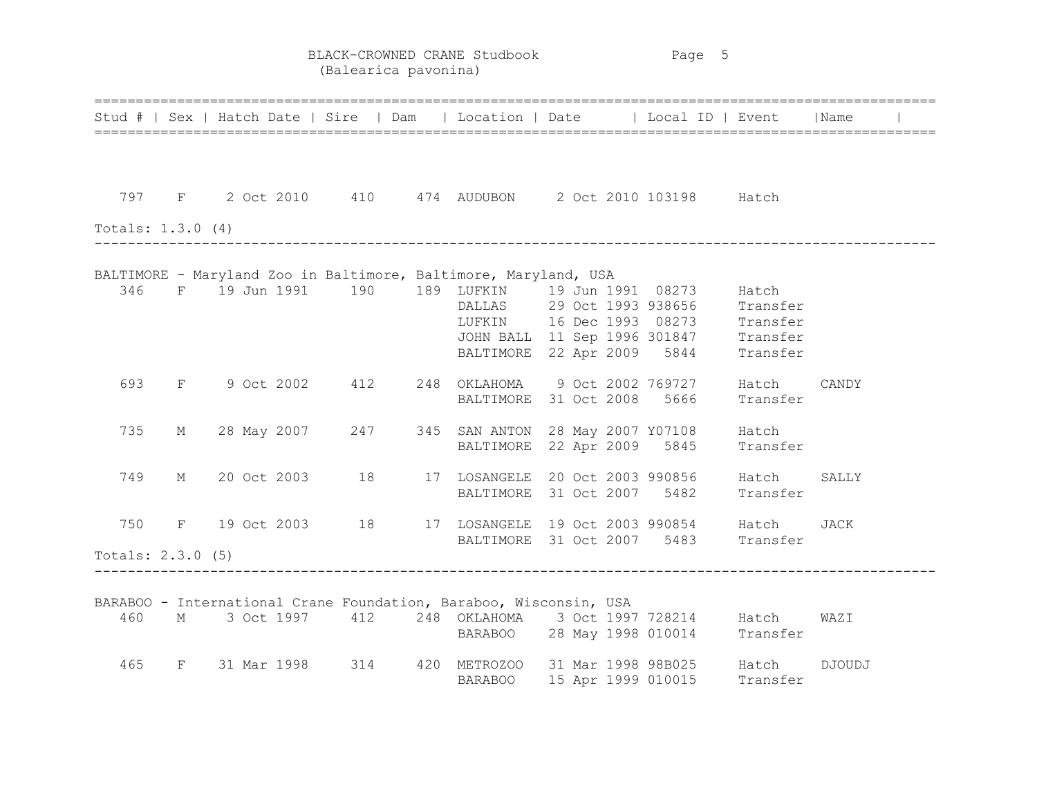BLACK-CROWNED CRANE Studbook Page 5 (Balearica pavonina)

|                     |              |  |             |                  | Stud #   Sex   Hatch Date   Sire   Dam   Location   Date   Local ID   Event   Name |  |                                       |          |        |  |
|---------------------|--------------|--|-------------|------------------|------------------------------------------------------------------------------------|--|---------------------------------------|----------|--------|--|
|                     |              |  |             |                  |                                                                                    |  |                                       |          |        |  |
| 797                 |              |  |             |                  | F 2 Oct 2010 410 474 AUDUBON 2 Oct 2010 103198 Hatch                               |  |                                       |          |        |  |
| Totals: $1.3.0$ (4) |              |  |             |                  |                                                                                    |  |                                       |          |        |  |
|                     |              |  |             |                  | BALTIMORE - Maryland Zoo in Baltimore, Baltimore, Maryland, USA                    |  |                                       |          |        |  |
| 346                 |              |  |             |                  | F 19 Jun 1991 190 189 LUFKIN 19 Jun 1991 08273 Hatch                               |  |                                       |          |        |  |
|                     |              |  |             |                  |                                                                                    |  | DALLAS 29 Oct 1993 938656 Transfer    |          |        |  |
|                     |              |  |             |                  |                                                                                    |  | LUFKIN 16 Dec 1993 08273 Transfer     |          |        |  |
|                     |              |  |             |                  |                                                                                    |  | JOHN BALL 11 Sep 1996 301847 Transfer |          |        |  |
|                     |              |  |             |                  |                                                                                    |  | BALTIMORE 22 Apr 2009 5844            | Transfer |        |  |
| 693                 | $F = 1$      |  |             | 9 Oct 2002 412   | 248 OKLAHOMA 9 Oct 2002 769727                                                     |  |                                       | Hatch    | CANDY  |  |
|                     |              |  |             |                  | BALTIMORE 31 Oct 2008 5666                                                         |  |                                       | Transfer |        |  |
| 735                 | М            |  |             | 28 May 2007 247  | 345 SAN ANTON 28 May 2007 Y07108 Hatch                                             |  |                                       |          |        |  |
|                     |              |  |             |                  |                                                                                    |  | BALTIMORE 22 Apr 2009 5845            | Transfer |        |  |
| 749                 | M            |  |             |                  | 20 Oct 2003 18 17 LOSANGELE 20 Oct 2003 990856 Hatch                               |  |                                       |          | SALLY  |  |
|                     |              |  |             |                  |                                                                                    |  | BALTIMORE 31 Oct 2007 5482            | Transfer |        |  |
| 750                 |              |  |             | F 19 Oct 2003 18 | 17 LOSANGELE 19 Oct 2003 990854 Hatch                                              |  |                                       |          | JACK   |  |
|                     |              |  |             |                  |                                                                                    |  | BALTIMORE 31 Oct 2007 5483 Transfer   |          |        |  |
| Totals: $2.3.0$ (5) |              |  |             |                  |                                                                                    |  |                                       |          |        |  |
|                     |              |  |             |                  |                                                                                    |  |                                       |          |        |  |
|                     |              |  |             |                  | BARABOO - International Crane Foundation, Baraboo, Wisconsin, USA                  |  |                                       |          |        |  |
| 460                 | M            |  | 3 Oct 1997  | 412              | 248 OKLAHOMA 3 Oct 1997 728214 Hatch                                               |  | BARABOO 28 May 1998 010014 Transfer   |          | WAZI   |  |
|                     |              |  |             |                  |                                                                                    |  |                                       |          |        |  |
| 465                 | $\mathbf{F}$ |  | 31 Mar 1998 | 314              | 420 METROZOO                                                                       |  | 31 Mar 1998 98B025 Hatch              |          | DJOUDJ |  |
|                     |              |  |             |                  | <b>BARABOO</b>                                                                     |  | 15 Apr 1999 010015                    | Transfer |        |  |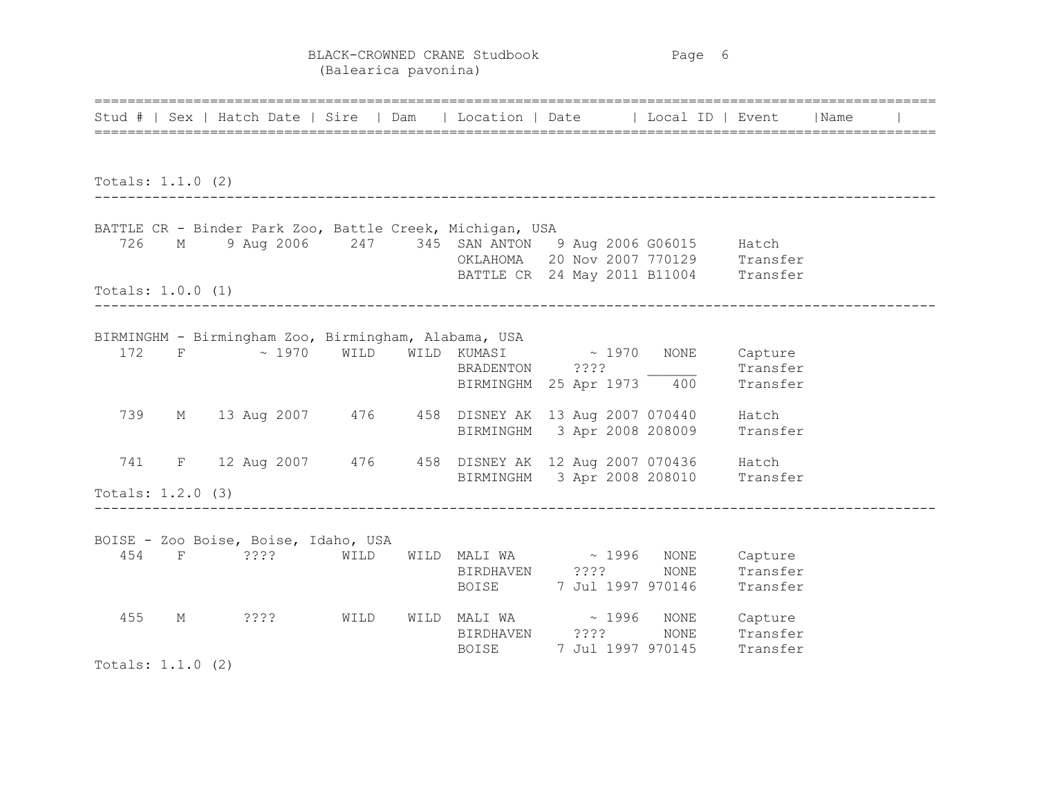BLACK-CROWNED CRANE Studbook Page 6 (Balearica pavonina)

|     |                     | Stud #   Sex   Hatch Date   Sire   Dam   Location   Date   Local ID   Event   Name                                   |  |                                                                            |  |  |
|-----|---------------------|----------------------------------------------------------------------------------------------------------------------|--|----------------------------------------------------------------------------|--|--|
|     |                     |                                                                                                                      |  |                                                                            |  |  |
|     | Totals: $1.1.0$ (2) |                                                                                                                      |  |                                                                            |  |  |
|     |                     | BATTLE CR - Binder Park Zoo, Battle Creek, Michigan, USA                                                             |  |                                                                            |  |  |
|     |                     | 726 M 9 Aug 2006 247 345 SAN ANTON 9 Aug 2006 G06015 Hatch                                                           |  |                                                                            |  |  |
|     |                     |                                                                                                                      |  | OKLAHOMA 20 Nov 2007 770129 Transfer                                       |  |  |
|     | Totals: $1.0.0$ (1) |                                                                                                                      |  | BATTLE CR 24 May 2011 B11004 Transfer                                      |  |  |
|     |                     |                                                                                                                      |  |                                                                            |  |  |
|     |                     | BIRMINGHM - Birmingham Zoo, Birmingham, Alabama, USA                                                                 |  |                                                                            |  |  |
| 172 |                     | F ~ 1970 WILD WILD KUMASI ~ 1970 NONE Capture                                                                        |  |                                                                            |  |  |
|     |                     |                                                                                                                      |  |                                                                            |  |  |
|     |                     |                                                                                                                      |  | BRADENTON ???? Transfer<br>BIRMINGHM 25 Apr 1973 400 Transfer              |  |  |
| 739 |                     | M 13 Aug 2007 476 458 DISNEY AK 13 Aug 2007 070440 Hatch                                                             |  |                                                                            |  |  |
|     |                     |                                                                                                                      |  | BIRMINGHM 3 Apr 2008 208009 Transfer                                       |  |  |
|     |                     | 741 F 12 Aug 2007 476 458 DISNEY AK 12 Aug 2007 070436 Hatch                                                         |  |                                                                            |  |  |
|     |                     |                                                                                                                      |  | BIRMINGHM 3 Apr 2008 208010 Transfer                                       |  |  |
|     | Totals: $1.2.0$ (3) |                                                                                                                      |  |                                                                            |  |  |
|     |                     |                                                                                                                      |  |                                                                            |  |  |
|     |                     | BOISE - Zoo Boise, Boise, Idaho, USA                                                                                 |  |                                                                            |  |  |
|     |                     | 454 F 2??? WILD WILD MALI WA ~ 1996 NONE Capture<br>BIRDHAVEN 2??? NONE Transfer<br>BOISE 7 Jul 1997 970146 Transfer |  |                                                                            |  |  |
|     |                     |                                                                                                                      |  |                                                                            |  |  |
|     |                     |                                                                                                                      |  |                                                                            |  |  |
| 455 | $M_{\odot}$         | 2222                                                                                                                 |  |                                                                            |  |  |
|     |                     |                                                                                                                      |  | WILD WILD MALI WA $\sim$ 1996 NONE Capture<br>BIRDHAVEN ???? NONE Transfer |  |  |
|     |                     |                                                                                                                      |  | BOISE 7 Jul 1997 970145 Transfer                                           |  |  |
|     | Totals: $1.1.0$ (2) |                                                                                                                      |  |                                                                            |  |  |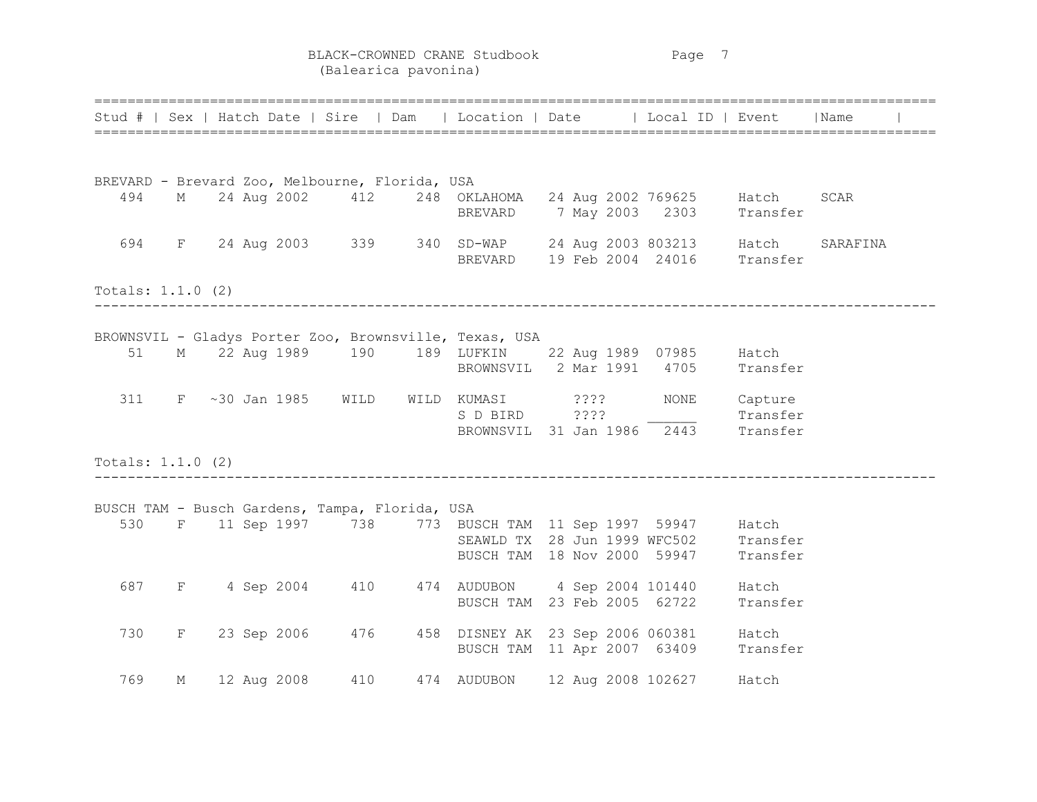BLACK-CROWNED CRANE Studbook Page 7 (Balearica pavonina)

|                     |   |  |                |                                                | Stud #   Sex   Hatch Date   Sire   Dam   Location   Date   Local ID   Event   Name          |  |                                                              |                     |          |  |
|---------------------|---|--|----------------|------------------------------------------------|---------------------------------------------------------------------------------------------|--|--------------------------------------------------------------|---------------------|----------|--|
|                     |   |  |                |                                                |                                                                                             |  |                                                              |                     |          |  |
|                     |   |  |                | BREVARD - Brevard Zoo, Melbourne, Florida, USA |                                                                                             |  |                                                              |                     |          |  |
| 494                 |   |  |                |                                                | M 24 Aug 2002 412 248 OKLAHOMA 24 Aug 2002 769625 Hatch<br>BREVARD 7 May 2003 2303 Transfer |  |                                                              |                     | SCAR     |  |
| 694                 |   |  |                |                                                | F 24 Aug 2003 339 340 SD-WAP 24 Aug 2003 803213 Hatch<br>BREVARD 19 Feb 2004 24016 Transfer |  |                                                              |                     | SARAFINA |  |
| Totals: $1.1.0$ (2) |   |  |                |                                                |                                                                                             |  |                                                              |                     |          |  |
|                     |   |  |                |                                                | BROWNSVIL - Gladys Porter Zoo, Brownsville, Texas, USA                                      |  |                                                              |                     |          |  |
| 51                  |   |  |                |                                                | M 22 Aug 1989 190 189 LUFKIN 22 Aug 1989 07985 Hatch                                        |  | BROWNSVIL 2 Mar 1991 4705 Transfer                           |                     |          |  |
| 311                 |   |  | F ~30 Jan 1985 | WILD                                           | WILD KUMASI ????                                                                            |  | NONE<br>S D BIRD ???? Transfer<br>BROWNSVIL 31 Jan 1986 2443 | Capture<br>Transfer |          |  |
| Totals: $1.1.0$ (2) |   |  |                |                                                |                                                                                             |  |                                                              |                     |          |  |
|                     |   |  |                | BUSCH TAM - Busch Gardens, Tampa, Florida, USA |                                                                                             |  |                                                              |                     |          |  |
| 530                 |   |  |                |                                                | F 11 Sep 1997 738 773 BUSCH TAM 11 Sep 1997 59947 Hatch<br>BUSCH TAM 18 Nov 2000 59947      |  | SEAWLD TX 28 Jun 1999 WFC502 Transfer                        | Transfer            |          |  |
| 687                 |   |  |                |                                                | F 4 Sep 2004 410 474 AUDUBON 4 Sep 2004 101440 Hatch<br>BUSCH TAM 23 Feb 2005 62722         |  |                                                              | Transfer            |          |  |
| 730                 |   |  |                | F 23 Sep 2006 476                              | 458 DISNEY AK 23 Sep 2006 060381 Hatch<br>BUSCH TAM 11 Apr 2007 63409                       |  |                                                              | Transfer            |          |  |
| 769                 | М |  | 12 Aug 2008    | 410                                            | 474 AUDUBON 12 Aug 2008 102627                                                              |  |                                                              | Hatch               |          |  |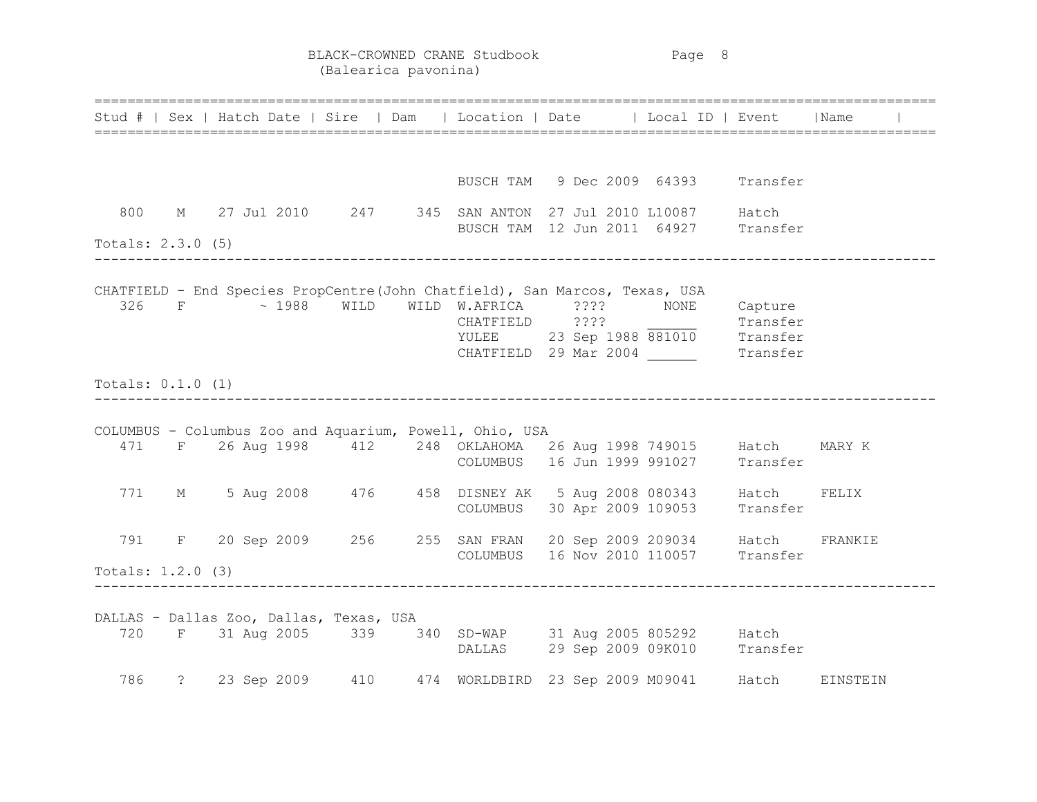BLACK-CROWNED CRANE Studbook Page 8 (Balearica pavonina)

|                     |  |                                         |  |                                                         | Stud #   Sex   Hatch Date   Sire   Dam   Location   Date   Local ID   Event   Name                                                                                                                                       |  |       |
|---------------------|--|-----------------------------------------|--|---------------------------------------------------------|--------------------------------------------------------------------------------------------------------------------------------------------------------------------------------------------------------------------------|--|-------|
|                     |  |                                         |  |                                                         | BUSCH TAM 9 Dec 2009 64393 Transfer                                                                                                                                                                                      |  |       |
| 800                 |  |                                         |  |                                                         | M 27 Jul 2010 247 345 SAN ANTON 27 Jul 2010 L10087 Hatch<br>BUSCH TAM 12 Jun 2011 64927 Transfer                                                                                                                         |  |       |
| Totals: $2.3.0$ (5) |  |                                         |  |                                                         |                                                                                                                                                                                                                          |  |       |
|                     |  |                                         |  |                                                         | CHATFIELD - End Species PropCentre(John Chatfield), San Marcos, Texas, USA<br>326 F ~ 1988 WILD WILD W.AFRICA ???? NONE Capture<br>CHATFIELD ????<br>YULEE 23 Sep 1988 881010 Transfer<br>CHATFIELD 29 Mar 2004 Transfer |  |       |
| Totals: $0.1.0$ (1) |  |                                         |  |                                                         |                                                                                                                                                                                                                          |  |       |
|                     |  |                                         |  | COLUMBUS - Columbus Zoo and Aquarium, Powell, Ohio, USA | 471 F 26 Aug 1998 412 248 OKLAHOMA 26 Aug 1998 749015 Hatch MARY K<br>COLUMBUS 16 Jun 1999 991027 Transfer                                                                                                               |  |       |
|                     |  |                                         |  |                                                         | 771 M 5 Aug 2008 476 458 DISNEY AK 5 Aug 2008 080343 Hatch<br>COLUMBUS 30 Apr 2009 109053 Transfer                                                                                                                       |  | FELIX |
|                     |  |                                         |  |                                                         | 791 F 20 Sep 2009 256 255 SAN FRAN 20 Sep 2009 209034 Hatch FRANKIE                                                                                                                                                      |  |       |
| Totals: $1.2.0$ (3) |  |                                         |  |                                                         | COLUMBUS 16 Nov 2010 110057 Transfer                                                                                                                                                                                     |  |       |
|                     |  | DALLAS - Dallas Zoo, Dallas, Texas, USA |  |                                                         | 720 F 31 Aug 2005 339 340 SD-WAP 31 Aug 2005 805292 Hatch<br>DALLAS 29 Sep 2009 09K010 Transfer                                                                                                                          |  |       |
|                     |  |                                         |  |                                                         | 786 ? 23 Sep 2009 410 474 WORLDBIRD 23 Sep 2009 M09041 Hatch EINSTEIN                                                                                                                                                    |  |       |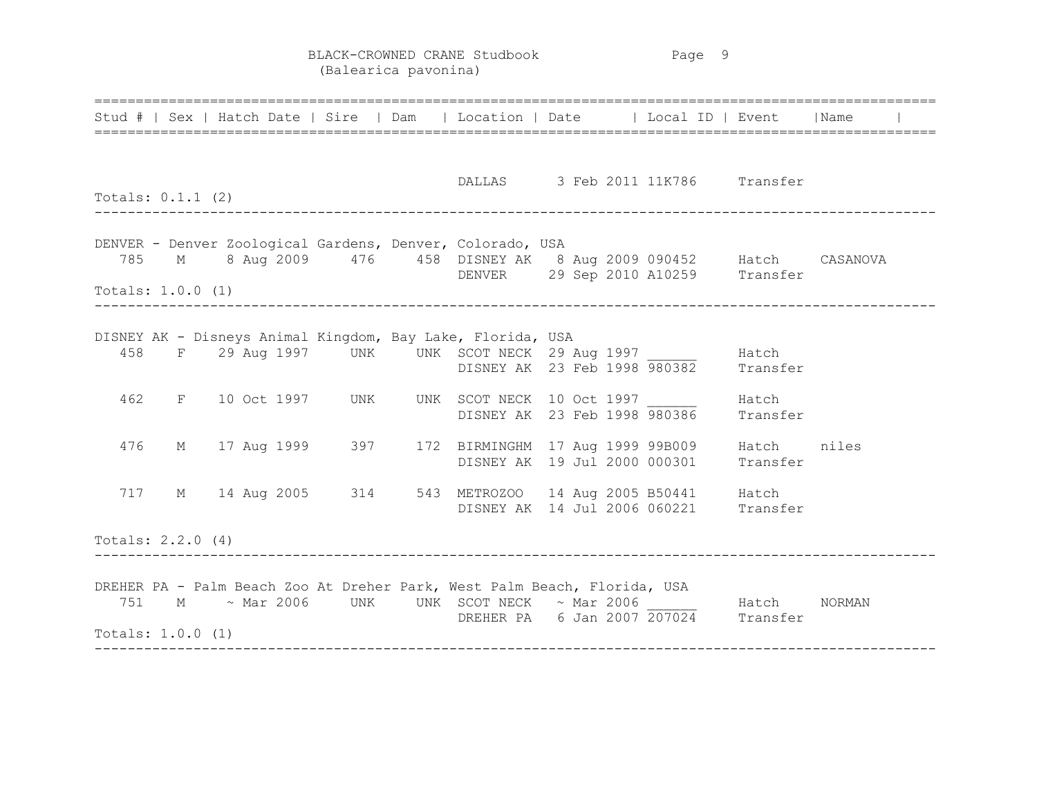BLACK-CROWNED CRANE Studbook Page 9 (Balearica pavonina)

|                     |  |  |  |                                                                          |  | Stud #   Sex   Hatch Date   Sire   Dam   Location   Date   Local ID   Event   Name                        |  |  |
|---------------------|--|--|--|--------------------------------------------------------------------------|--|-----------------------------------------------------------------------------------------------------------|--|--|
| Totals: $0.1.1$ (2) |  |  |  |                                                                          |  | DALLAS 3 Feb 2011 11K786 Transfer                                                                         |  |  |
| Totals: $1.0.0$ (1) |  |  |  | DENVER - Denver Zoological Gardens, Denver, Colorado, USA                |  | 785 M 8 Aug 2009 476 458 DISNEY AK 8 Aug 2009 090452 Hatch CASANOVA<br>DENVER 29 Sep 2010 A10259 Transfer |  |  |
|                     |  |  |  | DISNEY AK - Disneys Animal Kingdom, Bay Lake, Florida, USA               |  | 458 F 29 Aug 1997 UNK UNK SCOT NECK 29 Aug 1997 Hatch<br>DISNEY AK 23 Feb 1998 980382 Transfer            |  |  |
| 462                 |  |  |  |                                                                          |  | F 10 Oct 1997 UNK UNK SCOT NECK 10 Oct 1997 680386 Hatch<br>DISNEY AK 23 Feb 1998 980386 Transfer         |  |  |
| 476                 |  |  |  |                                                                          |  | M 17 Aug 1999 397 172 BIRMINGHM 17 Aug 1999 99B009 Hatch niles<br>DISNEY AK 19 Jul 2000 000301 Transfer   |  |  |
|                     |  |  |  |                                                                          |  | 717 M 14 Aug 2005 314 543 METROZOO 14 Aug 2005 B50441 Hatch<br>DISNEY AK 14 Jul 2006 060221 Transfer      |  |  |
| Totals: $2.2.0$ (4) |  |  |  |                                                                          |  |                                                                                                           |  |  |
| Totals: $1.0.0$ (1) |  |  |  | DREHER PA - Palm Beach Zoo At Dreher Park, West Palm Beach, Florida, USA |  | 751 M $\sim$ Mar 2006 UNK UNK SCOT NECK $\sim$ Mar 2006 Hatch NORMAN DREHER PA 6 Jan 2007 207024 Transfer |  |  |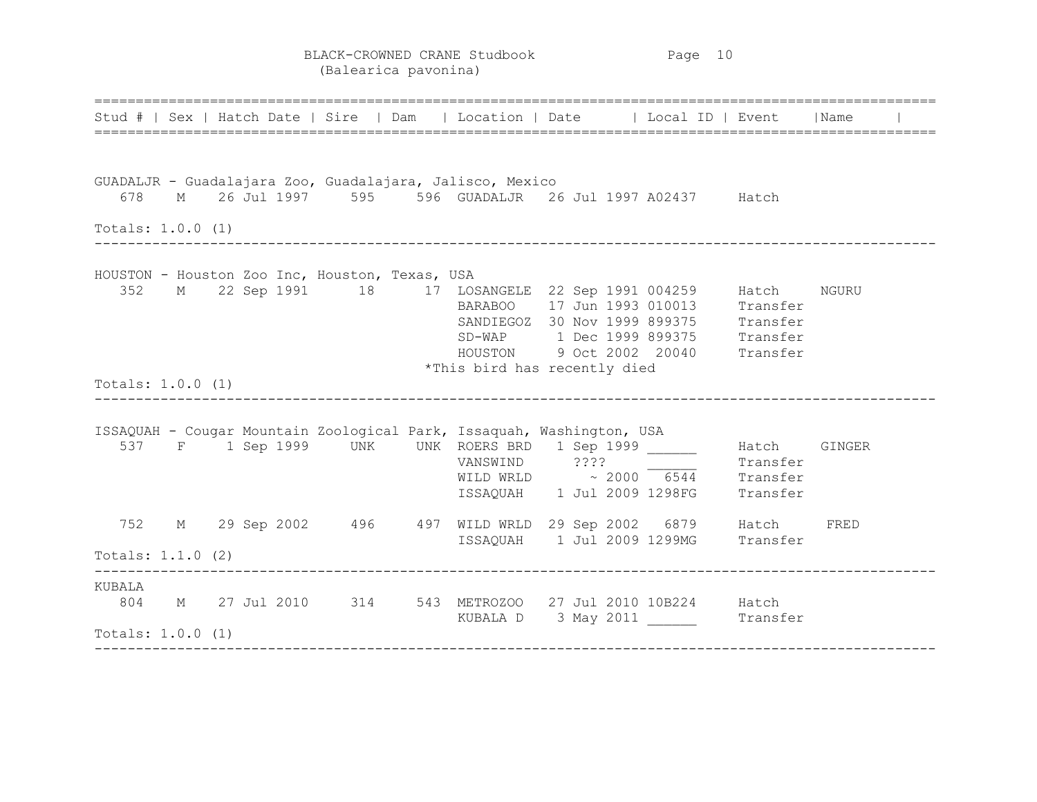BLACK-CROWNED CRANE Studbook Page 10 (Balearica pavonina)

====================================================================================================== Stud # | Sex | Hatch Date | Sire | Dam | Location | Date | | Local ID | Event | Name ====================================================================================================== GUADALJR - Guadalajara Zoo, Guadalajara, Jalisco, Mexico 678 M 26 Jul 1997 595 596 GUADALJR 26 Jul 1997 A02437 Hatch Totals: 1.0.0 (1) ------------------------------------------------------------------------------------------------------ HOUSTON - Houston Zoo Inc, Houston, Texas, USA 352 M 22 Sep 1991 18 17 LOSANGELE 22 Sep 1991 004259 Hatch NGURU BARABOO 17 Jun 1993 010013 Transfer SANDIEGOZ 30 Nov 1999 899375 Transfer SD-WAP 1 Dec 1999 899375 Transfer HOUSTON 9 Oct 2002 20040 Transfer \*This bird has recently died Totals: 1.0.0 (1) ------------------------------------------------------------------------------------------------------ ISSAQUAH - Cougar Mountain Zoological Park, Issaquah, Washington, USA 537 F 1 Sep 1999 UNK UNK ROERS BRD 1 Sep 1999 \_\_\_\_\_\_ Hatch GINGER VANSWIND 2??? Transfer WILD WRLD  $\sim$  2000 6544 Transfer ISSAQUAH 1 Jul 2009 1298FG Transfer 752 M 29 Sep 2002 496 497 WILD WRLD 29 Sep 2002 6879 Hatch FRED ISSAQUAH 1 Jul 2009 1299MG Transfer Totals: 1.1.0 (2) ------------------------------------------------------------------------------------------------------ KUBALA 804 M 27 Jul 2010 314 543 METROZOO 27 Jul 2010 10B224 Hatch KUBALA D 3 May 2011 \_\_\_\_\_\_\_\_\_\_ Transfer Totals: 1.0.0 (1) ------------------------------------------------------------------------------------------------------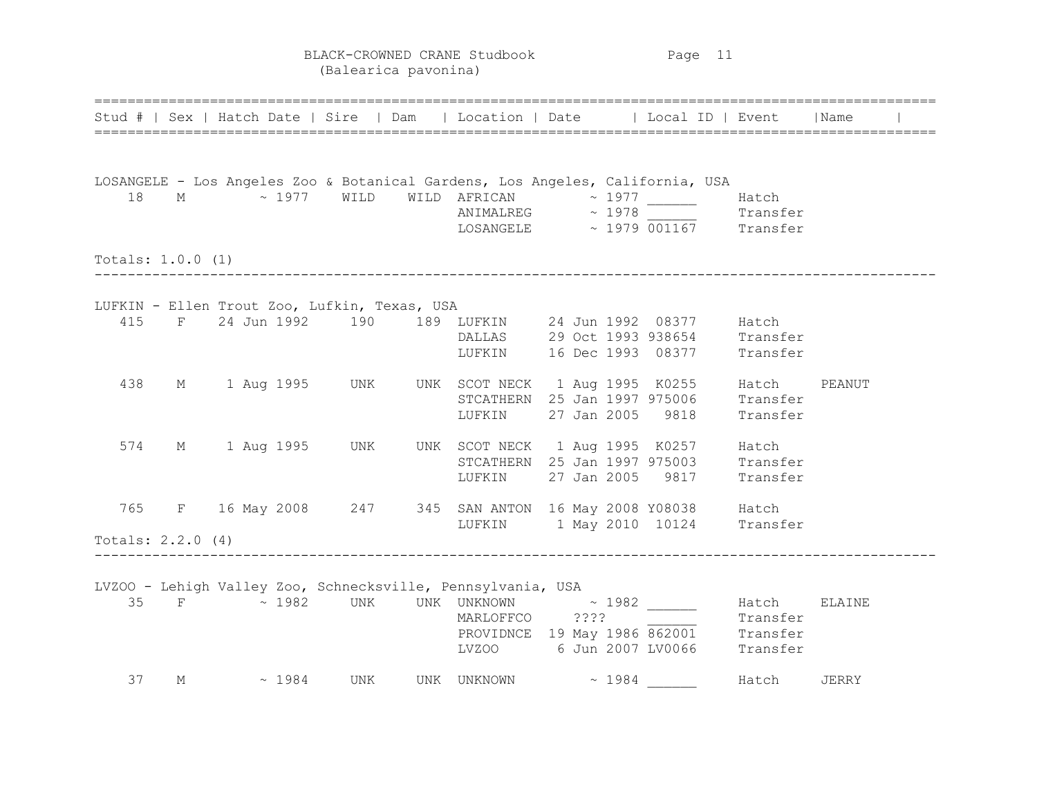BLACK-CROWNED CRANE Studbook Page 11 (Balearica pavonina)

|                          |   | =============================                | Stud #   Sex   Hatch Date   Sire   Dam   Location   Date   Local ID   Event                                                         |                  |                                                                                                                  |          | lName  |
|--------------------------|---|----------------------------------------------|-------------------------------------------------------------------------------------------------------------------------------------|------------------|------------------------------------------------------------------------------------------------------------------|----------|--------|
| 18                       |   |                                              | LOSANGELE - Los Angeles Zoo & Botanical Gardens, Los Angeles, California, USA<br>M $\sim$ 1977 WILD WILD AFRICAN $\sim$ 1977 ______ |                  | $NIMALREG$ $\sim$ 1978<br>LOSANGELE $\sim$ 1979 001167 Transfer                                                  | Hatch    |        |
| Totals: $1.0.0$ (1)      |   |                                              |                                                                                                                                     |                  |                                                                                                                  |          |        |
| 415<br>438               |   | LUFKIN - Ellen Trout Zoo, Lufkin, Texas, USA | F 24 Jun 1992 190 189 LUFKIN 24 Jun 1992 08377 Hatch<br>M 1 Aug 1995 UNK UNK SCOT NECK 1 Aug 1995 K0255 Hatch<br>LUFKIN             | 27 Jan 2005 9818 | DALLAS 29 Oct 1993 938654 Transfer<br>LUFKIN 16 Dec 1993 08377 Transfer<br>STCATHERN 25 Jan 1997 975006 Transfer | Transfer | PEANUT |
| 574                      |   |                                              | M 1 Aug 1995 UNK UNK SCOT NECK 1 Aug 1995 K0257 Hatch                                                                               |                  | STCATHERN 25 Jan 1997 975003 Transfer<br>LUFKIN 27 Jan 2005 9817                                                 | Transfer |        |
| 765<br>Totals: 2.2.0 (4) |   |                                              | F 16 May 2008 247 345 SAN ANTON 16 May 2008 Y08038 Hatch<br>LUFKIN 1 May 2010 10124 Transfer                                        |                  |                                                                                                                  |          |        |
| 35                       |   |                                              | LVZOO - Lehigh Valley Zoo, Schnecksville, Pennsylvania, USA<br>F ~ 1982 UNK UNK UNKNOWN ~ 1982 ______<br>MARLOFFCO ????             |                  | MARLOFFCO ???? Transfer<br>PROVIDNCE 19 May 1986 862001 Transfer<br>LVZOO 6 Jun 2007 LV0066 Transfer             | Hatch    | ELAINE |
| 37                       | М | $\sim 1984$ UNK                              | UNK UNKNOWN ~ 1984 _______                                                                                                          |                  |                                                                                                                  | Hatch    | JERRY  |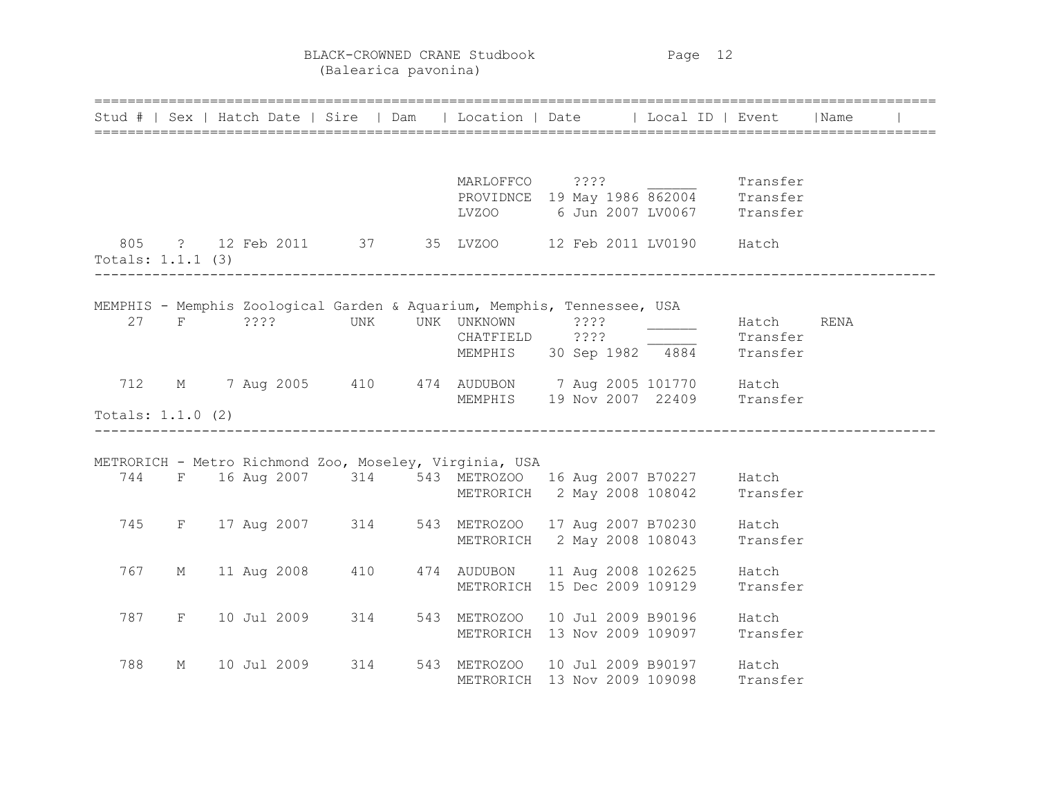BLACK-CROWNED CRANE Studbook Page 12 (Balearica pavonina)

|                     |       |             |                 | Stud #   Sex   Hatch Date   Sire   Dam   Location   Date   Local ID   Event   Name |                    |                                                                                             |          |      |  |
|---------------------|-------|-------------|-----------------|------------------------------------------------------------------------------------|--------------------|---------------------------------------------------------------------------------------------|----------|------|--|
|                     |       |             |                 |                                                                                    |                    |                                                                                             |          |      |  |
|                     |       |             |                 | MARLOFFCO ????                                                                     |                    |                                                                                             | Transfer |      |  |
|                     |       |             |                 |                                                                                    |                    | MARLOFFCO ????<br>PROVIDNCE 19 May 1986 862004 Transfer<br>LVZOO 6 Jun 2007 LV0067 Transfer |          |      |  |
|                     |       |             |                 |                                                                                    |                    |                                                                                             |          |      |  |
|                     |       |             |                 | 805 ? 12 Feb 2011 37 35 LVZOO 12 Feb 2011 LV0190 Hatch                             |                    |                                                                                             |          |      |  |
| Totals: 1.1.1 (3)   |       |             |                 |                                                                                    |                    |                                                                                             |          |      |  |
|                     |       |             |                 |                                                                                    |                    |                                                                                             |          |      |  |
|                     |       |             |                 | MEMPHIS - Memphis Zoological Garden & Aquarium, Memphis, Tennessee, USA            |                    |                                                                                             |          |      |  |
| 27                  |       |             | F ???? UNK      | UNK UNKNOWN ????<br>CHATFIELD ????                                                 |                    |                                                                                             | Hatch    | RENA |  |
|                     |       |             |                 |                                                                                    |                    | MEMPHIS 30 Sep 1982 4884 Transfer                                                           | Transfer |      |  |
|                     |       |             |                 |                                                                                    |                    |                                                                                             |          |      |  |
| 712                 |       |             |                 | M 7 Aug 2005 410 474 AUDUBON 7 Aug 2005 101770 Hatch                               |                    |                                                                                             |          |      |  |
|                     |       |             |                 |                                                                                    |                    | MEMPHIS 19 Nov 2007 22409 Transfer                                                          |          |      |  |
| Totals: $1.1.0$ (2) |       |             |                 |                                                                                    |                    |                                                                                             |          |      |  |
|                     |       |             |                 | METRORICH - Metro Richmond Zoo, Moseley, Virginia, USA                             |                    |                                                                                             |          |      |  |
| 744                 |       |             |                 | F 16 Aug 2007 314 543 METROZOO 16 Aug 2007 B70227 Hatch                            |                    |                                                                                             |          |      |  |
|                     |       |             |                 |                                                                                    |                    | METRORICH 2 May 2008 108042 Transfer                                                        |          |      |  |
|                     |       |             |                 |                                                                                    |                    |                                                                                             |          |      |  |
| 745                 |       |             |                 | F 17 Aug 2007 314 543 METROZOO 17 Aug 2007 B70230 Hatch                            |                    |                                                                                             |          |      |  |
|                     |       |             |                 |                                                                                    |                    | METRORICH 2 May 2008 108043                                                                 | Transfer |      |  |
|                     |       |             |                 |                                                                                    |                    |                                                                                             |          |      |  |
| 767                 | M     |             |                 | 11 Aug 2008 410 474 AUDUBON 11 Aug 2008 102625 Hatch                               |                    |                                                                                             |          |      |  |
|                     |       |             |                 | METRORICH                                                                          | 15 Dec 2009 109129 |                                                                                             | Transfer |      |  |
| 787                 | $F =$ |             | 10 Jul 2009 314 | 543 METROZOO 10 Jul 2009 B90196 Hatch                                              |                    |                                                                                             |          |      |  |
|                     |       |             |                 |                                                                                    |                    | METRORICH 13 Nov 2009 109097 Transfer                                                       |          |      |  |
| 788                 | М     | 10 Jul 2009 | 314             | 543 METROZOO 10 Jul 2009 B90197 Hatch                                              |                    |                                                                                             |          |      |  |
|                     |       |             |                 | METRORICH 13 Nov 2009 109098                                                       |                    |                                                                                             | Transfer |      |  |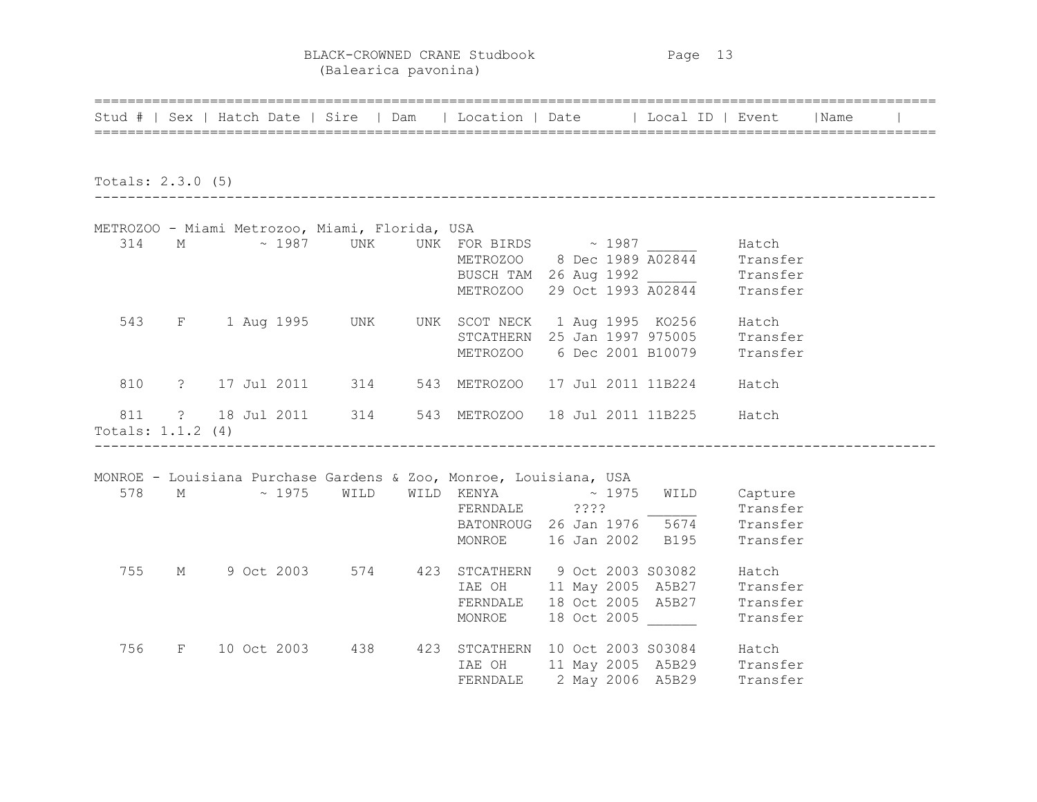BLACK-CROWNED CRANE Studbook Page 13 (Balearica pavonina)

|                            |          | Stud #   Sex   Hatch Date   Sire   Dam   Location   Date   Local ID   Event   Name |                                                |                                        |                                                                                          |                                           |  |
|----------------------------|----------|------------------------------------------------------------------------------------|------------------------------------------------|----------------------------------------|------------------------------------------------------------------------------------------|-------------------------------------------|--|
| Totals: $2.3.0$ (5)        |          |                                                                                    |                                                |                                        |                                                                                          |                                           |  |
|                            |          | METROZOO - Miami Metrozoo, Miami, Florida, USA                                     |                                                |                                        |                                                                                          |                                           |  |
| 314                        |          | M $\sim$ 1987 UNK UNK FOR BIRDS $\sim$ 1987 Hatch                                  |                                                |                                        |                                                                                          |                                           |  |
| 543                        |          | F 1 Aug 1995 UNK UNK SCOT NECK 1 Aug 1995 KO256 Hatch                              |                                                |                                        | STCATHERN 25 Jan 1997 975005 Transfer<br>METROZOO 6 Dec 2001 B10079 Transfer             |                                           |  |
| 810                        |          | ? 17 Jul 2011 314 543 METROZOO 17 Jul 2011 11B224 Hatch                            |                                                |                                        |                                                                                          |                                           |  |
| 811<br>Totals: $1.1.2$ (4) |          | ? 18 Jul 2011 314 543 METROZOO 18 Jul 2011 11B225 Hatch                            |                                                |                                        |                                                                                          |                                           |  |
|                            |          | MONROE - Louisiana Purchase Gardens & Zoo, Monroe, Louisiana, USA                  |                                                |                                        |                                                                                          |                                           |  |
| 578                        |          | $M \sim 1975$                                                                      | WILD                                           | WILD KENYA $\sim 1975$                 | FERNDALE ???? Transfer<br>BATONROUG 26 Jan 1976 5674 Transfer<br>MONROE 16 Jan 2002 B195 | WILD Capture<br>Transfer                  |  |
| 755                        | $M \sim$ |                                                                                    | 9 Oct 2003 574 423 STCATHERN 9 Oct 2003 S03082 | MONROE                                 | IAE OH 11 May 2005 A5B27<br>FERNDALE 18 Oct 2005 A5B27<br>18 Oct 2005                    | Hatch<br>Transfer<br>Transfer<br>Transfer |  |
| 756                        |          | F 10 Oct 2003 438                                                                  |                                                | 423 STCATHERN 10 Oct 2003 S03084 Hatch | THE OH 11 May 2005 A5B29 Transfer<br>FERNDALE 2 May 2006 A5B29 Transfer                  |                                           |  |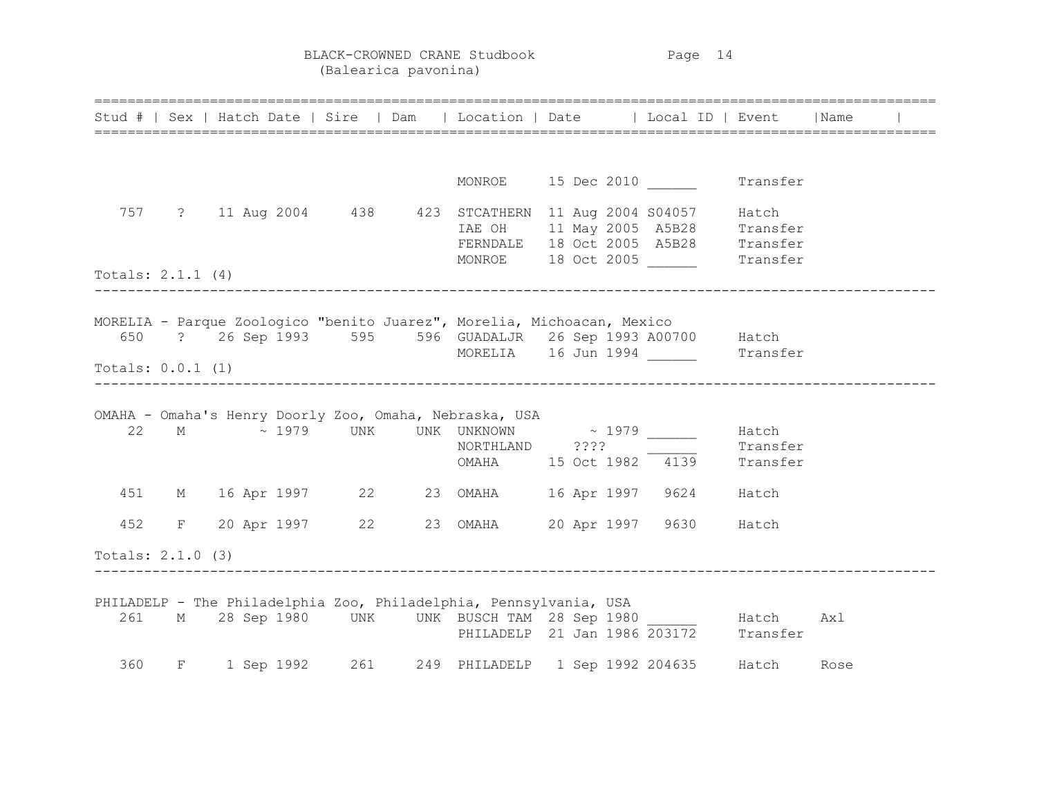BLACK-CROWNED CRANE Studbook Page 14 (Balearica pavonina)

|                     |  | =============================== |                                                        | Stud #   Sex   Hatch Date   Sire   Dam   Location   Date   Local ID   Event   Name                                                                                            |  |      |  |
|---------------------|--|---------------------------------|--------------------------------------------------------|-------------------------------------------------------------------------------------------------------------------------------------------------------------------------------|--|------|--|
|                     |  |                                 |                                                        | MONROE 15 Dec 2010 Transfer                                                                                                                                                   |  |      |  |
|                     |  |                                 |                                                        | 757 ? 11 Aug 2004 438 423 STCATHERN 11 Aug 2004 S04057 Hatch<br>IAE OH 11 May 2005 A5B28 Transfer<br>FERNDALE 18 Oct 2005 A5B28 Transfer<br>MONROE 18 Oct 2005 Transfer       |  |      |  |
| Totals: $2.1.1(4)$  |  |                                 |                                                        |                                                                                                                                                                               |  |      |  |
| Totals: $0.0.1$ (1) |  |                                 |                                                        | MORELIA - Parque Zoologico "benito Juarez", Morelia, Michoacan, Mexico<br>650 ? 26 Sep 1993 595 596 GUADALJR 26 Sep 1993 A00700 Hatch<br>MORELIA 16 Jun 1994 _______ Transfer |  |      |  |
|                     |  |                                 | OMAHA - Omaha's Henry Doorly Zoo, Omaha, Nebraska, USA | 22 M $\sim 1979$ UNK UNK UNKNOWN $\sim 1979$ Hatch<br>NORTHLAND ????<br>NORTHLAND ????<br>OMAHA 15 Oct 1982 4139 Transfer                                                     |  |      |  |
|                     |  |                                 |                                                        | 451 M 16 Apr 1997 22 23 OMAHA 16 Apr 1997 9624 Hatch                                                                                                                          |  |      |  |
| 452                 |  |                                 |                                                        | F 20 Apr 1997 22 23 OMAHA 20 Apr 1997 9630 Hatch                                                                                                                              |  |      |  |
| Totals: $2.1.0$ (3) |  |                                 |                                                        |                                                                                                                                                                               |  |      |  |
|                     |  |                                 |                                                        | PHILADELP - The Philadelphia Zoo, Philadelphia, Pennsylvania, USA<br>261 M 28 Sep 1980 UNK UNK BUSCH TAM 28 Sep 1980 Hatch<br>PHILADELP 21 Jan 1986 203172 Transfer           |  | Axl  |  |
|                     |  |                                 |                                                        | 360 F 1 Sep 1992 261 249 PHILADELP 1 Sep 1992 204635 Hatch                                                                                                                    |  | Rose |  |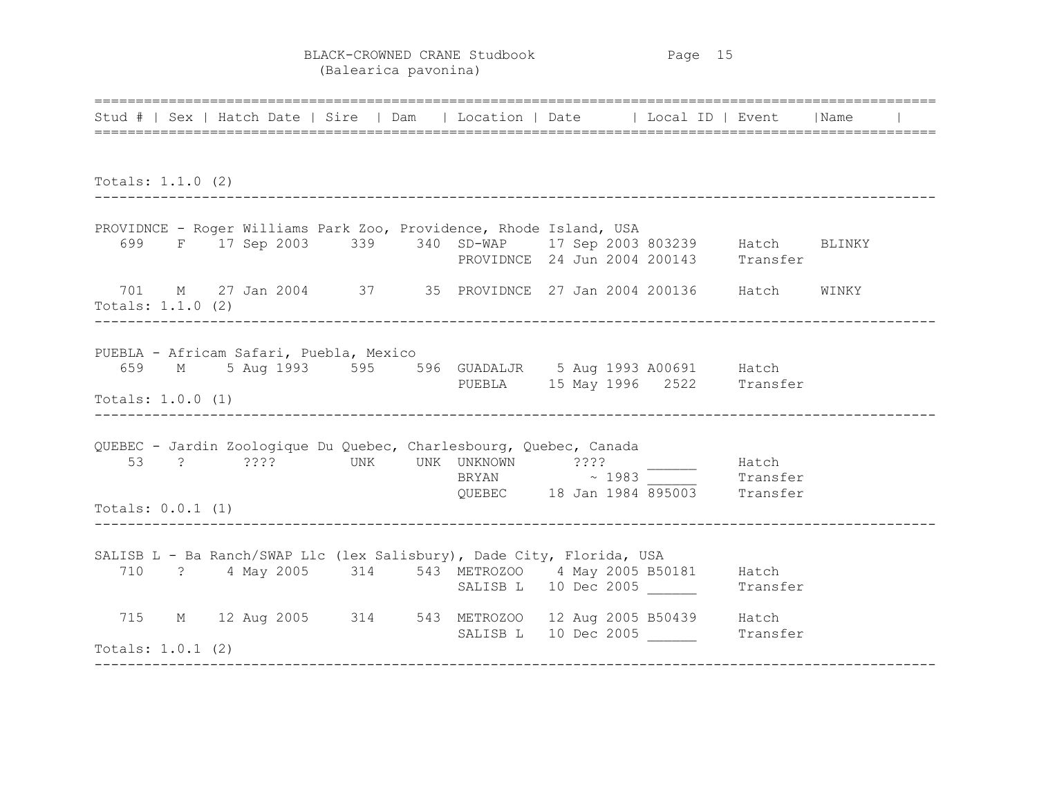BLACK-CROWNED CRANE Studbook Page 15 (Balearica pavonina)

====================================================================================================== Stud # | Sex | Hatch Date | Sire | Dam | Location | Date | | Local ID | Event | Name ====================================================================================================== Totals: 1.1.0 (2) ------------------------------------------------------------------------------------------------------ PROVIDNCE - Roger Williams Park Zoo, Providence, Rhode Island, USA 699 F 17 Sep 2003 339 340 SD-WAP 17 Sep 2003 803239 Hatch BLINKY PROVIDNCE 24 Jun 2004 200143 Transfer 701 M 27 Jan 2004 37 35 PROVIDNCE 27 Jan 2004 200136 Hatch WINKY Totals: 1.1.0 (2) ------------------------------------------------------------------------------------------------------ PUEBLA - Africam Safari, Puebla, Mexico 659 M 5 Aug 1993 595 596 GUADALJR 5 Aug 1993 A00691 Hatch PUEBLA 15 May 1996 2522 Transfer Totals: 1.0.0 (1) ------------------------------------------------------------------------------------------------------ QUEBEC - Jardin Zoologique Du Quebec, Charlesbourg, Quebec, Canada 53 ? ???? UNK UNK UNKNOWN ???? \_\_\_\_\_\_ Hatch BRYAN  $\sim$  1983 Transfer  $B$ RYAN  $\sim$  1983 Transfer<br>
OUEBEC 18 Jan 1984 895003 Transfer Totals: 0.0.1 (1) ------------------------------------------------------------------------------------------------------ SALISB L - Ba Ranch/SWAP Llc (lex Salisbury), Dade City, Florida, USA 710 ? 4 May 2005 314 543 METROZOO 4 May 2005 B50181 Hatch SALISB L 10 Dec 2005 Transfer 715 M 12 Aug 2005 314 543 METROZOO 12 Aug 2005 B50439 Hatch SALISB L 10 Dec 2005 \_\_\_\_\_\_ Transfer Totals: 1.0.1 (2) ------------------------------------------------------------------------------------------------------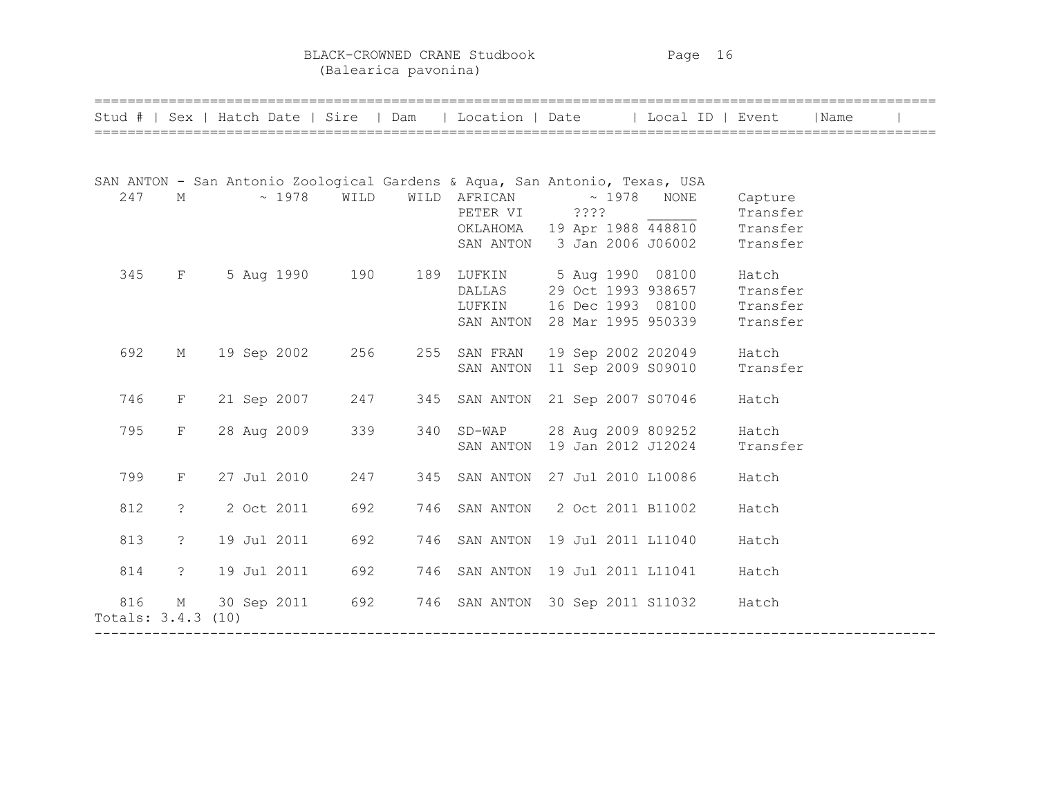BLACK-CROWNED CRANE Studbook Page 16 (Balearica pavonina)

| Stud #   Sex   Hatch Date   Sire   Dam |                |  |             |      |     | Location   Date                                                                                                    |                                                               | Local ID   Event                                                   |                                             | Name |  |
|----------------------------------------|----------------|--|-------------|------|-----|--------------------------------------------------------------------------------------------------------------------|---------------------------------------------------------------|--------------------------------------------------------------------|---------------------------------------------|------|--|
|                                        |                |  |             |      |     |                                                                                                                    |                                                               |                                                                    |                                             |      |  |
| 247                                    | $M_{\odot}$    |  | $\sim 1978$ | WILD |     | SAN ANTON - San Antonio Zoological Gardens & Aqua, San Antonio, Texas, USA<br>WILD AFRICAN $\sim$ 1978<br>PETER VI | ????                                                          | NONE<br>OKLAHOMA 19 Apr 1988 448810<br>SAN ANTON 3 Jan 2006 J06002 | Capture<br>Transfer<br>Transfer<br>Transfer |      |  |
| 345                                    | F              |  | 5 Aug 1990  | 190  |     | 189 LUFKIN 5 Aug 1990 08100<br>DALLAS<br>LUFKIN<br>SAN ANTON                                                       | 29 Oct 1993 938657<br>16 Dec 1993 08100<br>28 Mar 1995 950339 |                                                                    | Hatch<br>Transfer<br>Transfer<br>Transfer   |      |  |
| 692                                    | $M_{\odot}$    |  | 19 Sep 2002 | 256  |     | 255 SAN FRAN<br>SAN ANTON                                                                                          |                                                               | 19 Sep 2002 202049<br>11 Sep 2009 S09010                           | Hatch<br>Transfer                           |      |  |
| 746                                    | $F^-$          |  | 21 Sep 2007 | 247  |     | 345 SAN ANTON 21 Sep 2007 S07046                                                                                   |                                                               |                                                                    | Hatch                                       |      |  |
| 795                                    | $\mathbf{F}$   |  | 28 Aug 2009 | 339  |     | 340 SD-WAP<br>SAN ANTON                                                                                            | 19 Jan 2012 J12024                                            | 28 Aug 2009 809252                                                 | Hatch<br>Transfer                           |      |  |
| 799                                    | $\mathbf{F}^-$ |  | 27 Jul 2010 | 247  |     | 345 SAN ANTON                                                                                                      | 27 Jul 2010 L10086                                            |                                                                    | Hatch                                       |      |  |
| 812                                    | $\ddot{\cdot}$ |  | 2 Oct 2011  | 692  | 746 | SAN ANTON 2 Oct 2011 B11002                                                                                        |                                                               |                                                                    | Hatch                                       |      |  |
| 813                                    | $\tilde{S}$    |  | 19 Jul 2011 | 692  | 746 | SAN ANTON 19 Jul 2011 L11040                                                                                       |                                                               |                                                                    | Hatch                                       |      |  |
| 814                                    | $\tilde{S}$    |  | 19 Jul 2011 | 692  | 746 | SAN ANTON 19 Jul 2011 L11041                                                                                       |                                                               |                                                                    | Hatch                                       |      |  |
| 816<br>Totals: 3.4.3 (10)              | $M_{\odot}$    |  | 30 Sep 2011 | 692  |     | 746 SAN ANTON 30 Sep 2011 S11032                                                                                   |                                                               |                                                                    | Hatch                                       |      |  |

======================================================================================================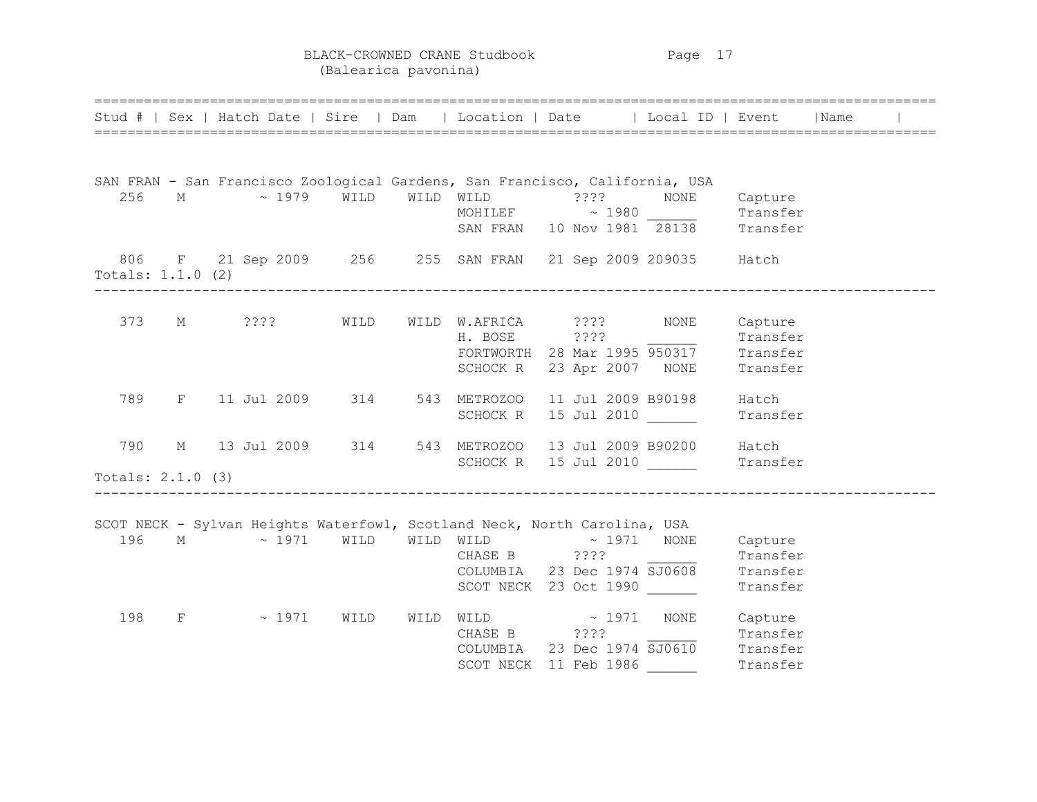BLACK-CROWNED CRANE Studbook Page 17 (Balearica pavonina)

|                            | =============================<br>Stud #   Sex   Hatch Date   Sire   Dam   Location   Date   Local ID   Event   Name       |      |  |                                                                                                                                                    |                                                                                               |  |
|----------------------------|---------------------------------------------------------------------------------------------------------------------------|------|--|----------------------------------------------------------------------------------------------------------------------------------------------------|-----------------------------------------------------------------------------------------------|--|
| 256                        | SAN FRAN - San Francisco Zoological Gardens, San Francisco, California, USA<br>M ~ 1979 WILD WILD WILD :??? NONE          |      |  | MOHILEF $\sim$ 1980 Transfer<br>SAN FRAN 10 Nov 1981 28138 Transfer                                                                                | Capture                                                                                       |  |
| Totals: $1.1.0$ (2)        | 806 F 21 Sep 2009 256 255 SAN FRAN 21 Sep 2009 209035 Hatch                                                               |      |  |                                                                                                                                                    |                                                                                               |  |
|                            | 373 M ????                                                                                                                | WILD |  | WILD W.AFRICA ???? NONE Capture<br>H. BOSE ????<br>H. BOSE 2???<br>FORTWORTH 28 Mar 1995 950317 Transfer<br>SCHOCK R 23 Apr 2007 NONE Transfer     |                                                                                               |  |
| 789                        | F 11 Jul 2009 314 543 METROZOO                                                                                            |      |  | 11 Jul 2009 B90198<br>SCHOCK R 15 Jul 2010                                                                                                         | Hatch<br>Transfer                                                                             |  |
| 790<br>Totals: $2.1.0$ (3) | M 13 Jul 2009 314 543 METROZOO 13 Jul 2009 B90200 Hatch                                                                   |      |  | SCHOCK R 15 Jul 2010                                                                                                                               | Transfer                                                                                      |  |
| 196                        | SCOT NECK - Sylvan Heights Waterfowl, Scotland Neck, North Carolina, USA<br>M $\sim$ 1971 WILD WILD WILD $\sim$ 1971 NONE |      |  | COLUMBIA 23 Dec 1974 5J0608 Transfer<br>SCOT NECK 23 Dec 1974 5J0608 Transfer<br>SCOT NECK 23 Oct 1990                                             | Capture                                                                                       |  |
| 198                        | $F \sim 1971$                                                                                                             | WILD |  | $\verb WILD  WILD  \sim 1971 \quad \verb NONE  Capture $<br>CHASE B ????<br>COLUMBIA 23 Dec 1974 SJ0610 Transfer<br>SCOT NECK 11 Feb 1986 Transfer | $\frac{1}{\sqrt{1-\frac{1}{2}}\sqrt{1-\frac{1}{2}}\sqrt{1-\frac{1}{2}}\sqrt{1-\frac{1}{2}}}}$ |  |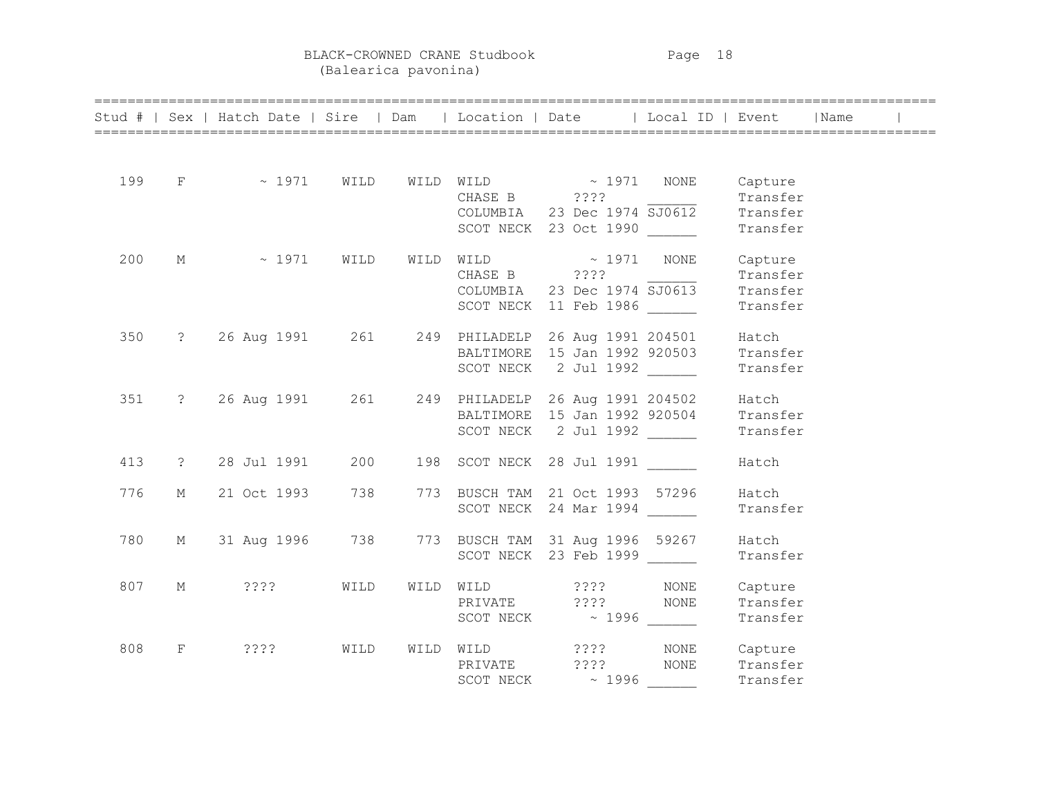BLACK-CROWNED CRANE Studbook Page 18

(Balearica pavonina)

|     |              |                 |      |  |                                                                                                                              | Stud #   Sex   Hatch Date   Sire   Dam   Location   Date   Local ID   Event   Name |  |
|-----|--------------|-----------------|------|--|------------------------------------------------------------------------------------------------------------------------------|------------------------------------------------------------------------------------|--|
| 199 |              | $F \sim 1971$   |      |  | WILD WILD WILD $\sim$ 1971 NONE Capture<br>CHASE B ????<br>COLUMBIA 23 Dec 1974 $\overline{SJO612}$<br>SCOT NECK 23 Oct 1990 | Transfer<br>Transfer<br>Transfer                                                   |  |
| 200 | M            | $\sim 1971$     | WILD |  | WILD WILD $\sim 1971$ NONE<br>CHASE B ????<br>COLUMBIA 23 Dec 1974 $\overline{SJO613}$<br>SCOT NECK 11 Feb 1986              | Capture<br>Transfer<br>Transfer<br>Transfer                                        |  |
| 350 |              |                 |      |  | ? 26 Aug 1991 261 249 PHILADELP 26 Aug 1991 204501<br>BALTIMORE 15 Jan 1992 920503<br>SCOT NECK 2 Jul 1992                   | Hatch<br>Transfer<br>Transfer                                                      |  |
| 351 |              |                 |      |  | ? 26 Aug 1991 261 249 PHILADELP 26 Aug 1991 204502<br>BALTIMORE 15 Jan 1992 920504<br>SCOT NECK 2 Jul 1992                   | Hatch<br>Transfer<br>Transfer                                                      |  |
| 413 | $\ddot{?}$   | 28 Jul 1991     | 200  |  | 198 SCOT NECK 28 Jul 1991                                                                                                    | Hatch                                                                              |  |
| 776 | М            | 21 Oct 1993     | 738  |  | 773 BUSCH TAM 21 Oct 1993 57296<br>SCOT NECK 24 Mar 1994                                                                     | Hatch<br>Transfer                                                                  |  |
| 780 | M            | 31 Aug 1996 738 |      |  | 773 BUSCH TAM 31 Aug 1996 59267<br>SCOT NECK 23 Feb 1999                                                                     | Hatch<br>Transfer                                                                  |  |
| 807 | М            | $??\$           | WILD |  | WILD WILD ???? NONE<br>PRIVATE ???? NONE                                                                                     | Capture<br>Transfer<br>Transfer                                                    |  |
| 808 | $\mathbf{F}$ | ? ? ? ?         | WILD |  | WILD WILD ????<br>PRIVATE ????<br>SCOT NECK $\sim$ 1996 $\_\_$                                                               | NONE Capture<br>NONE Transfer<br>Transfer                                          |  |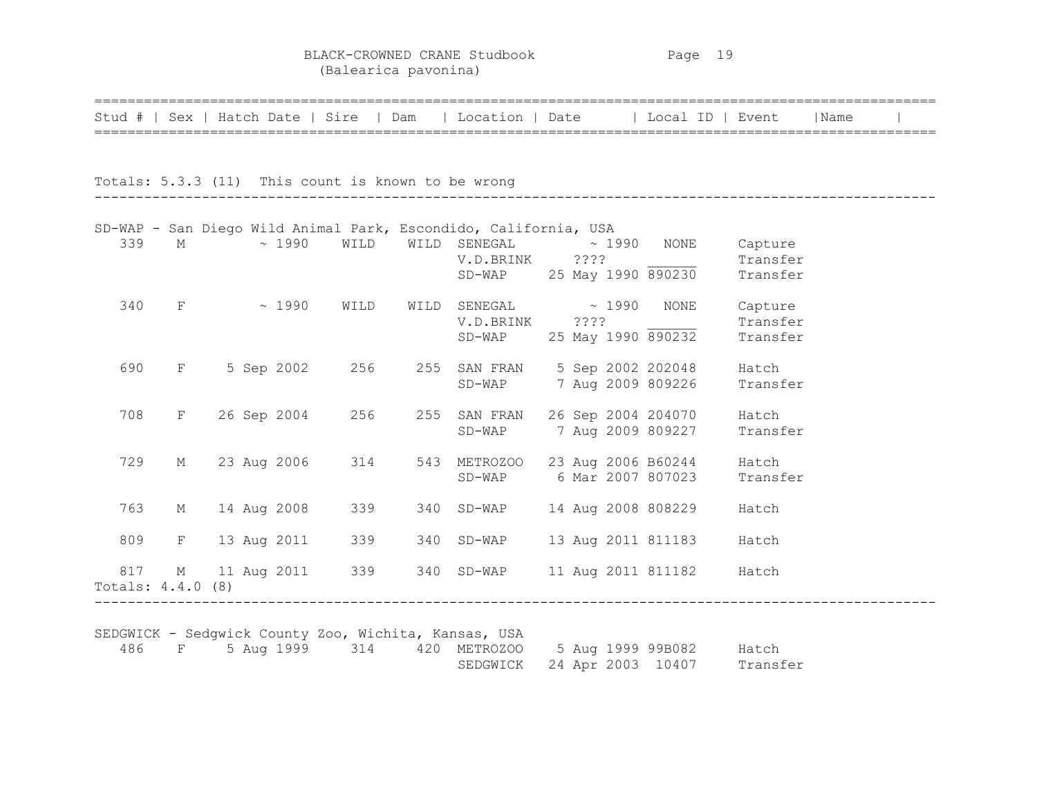BLACK-CROWNED CRANE Studbook Page 19 (Balearica pavonina)

|                   |             |  |               |                                                    | Stud #   Sex   Hatch Date   Sire   Dam   Location   Date   Local ID   Event   Name |  |                            |          |  |
|-------------------|-------------|--|---------------|----------------------------------------------------|------------------------------------------------------------------------------------|--|----------------------------|----------|--|
|                   |             |  |               |                                                    |                                                                                    |  |                            |          |  |
|                   |             |  |               | Totals: 5.3.3 (11) This count is known to be wrong |                                                                                    |  |                            |          |  |
|                   |             |  |               |                                                    | SD-WAP - San Diego Wild Animal Park, Escondido, California, USA                    |  |                            |          |  |
| 339               | M           |  |               |                                                    | $\sim$ 1990 WILD WILD SENEGAL $\sim$ 1990 NONE Capture                             |  |                            |          |  |
|                   |             |  |               |                                                    | V.D.BRINK ????                                                                     |  |                            | Transfer |  |
|                   |             |  |               |                                                    |                                                                                    |  | SD-WAP 25 May 1990 890230  | Transfer |  |
| 340               |             |  | $F \sim 1990$ | WILD                                               | $\verb WILD{}  \verb SENEGAL{}  \sim 1990 \verb NONE $                             |  |                            | Capture  |  |
|                   |             |  |               |                                                    | V.D.BRINK ????                                                                     |  |                            | Transfer |  |
|                   |             |  |               |                                                    |                                                                                    |  | SD-WAP 25 May 1990 890232  | Transfer |  |
| 690               |             |  |               |                                                    | F 5 Sep 2002 256 255 SAN FRAN 5 Sep 2002 202048                                    |  |                            | Hatch    |  |
|                   |             |  |               |                                                    |                                                                                    |  | SD-WAP 7 Aug 2009 809226   | Transfer |  |
| 708               | $F -$       |  |               |                                                    | 26 Sep 2004 256 255 SAN FRAN                                                       |  | 26 Sep 2004 204070         | Hatch    |  |
|                   |             |  |               |                                                    |                                                                                    |  | SD-WAP 7 Aug 2009 809227   | Transfer |  |
| 729               | М           |  |               | 23 Aug 2006 314                                    | 543 METROZOO 23 Aug 2006 B60244                                                    |  |                            | Hatch    |  |
|                   |             |  |               |                                                    |                                                                                    |  | SD-WAP 6 Mar 2007 807023   | Transfer |  |
| 763               | М           |  |               |                                                    | 14 Aug 2008 339 340 SD-WAP                                                         |  | 14 Aug 2008 808229         | Hatch    |  |
|                   |             |  |               |                                                    |                                                                                    |  |                            |          |  |
| 809               | F           |  |               |                                                    | 13 Aug 2011 339 340 SD-WAP                                                         |  | 13 Aug 2011 811183         | Hatch    |  |
| 817               | $\mathbb M$ |  |               |                                                    | 11 Aug 2011 339 340 SD-WAP                                                         |  | 11 Aug 2011 811182         | Hatch    |  |
| Totals: 4.4.0 (8) |             |  |               |                                                    |                                                                                    |  |                            |          |  |
|                   |             |  |               |                                                    |                                                                                    |  |                            |          |  |
|                   |             |  |               |                                                    | SEDGWICK - Sedgwick County Zoo, Wichita, Kansas, USA                               |  |                            |          |  |
| 486               | $F = 1$     |  |               |                                                    | 5 Aug 1999 314 420 METROZOO 5 Aug 1999 99B082 Hatch                                |  |                            |          |  |
|                   |             |  |               |                                                    | SEDGWICK                                                                           |  | 24 Apr 2003 10407 Transfer |          |  |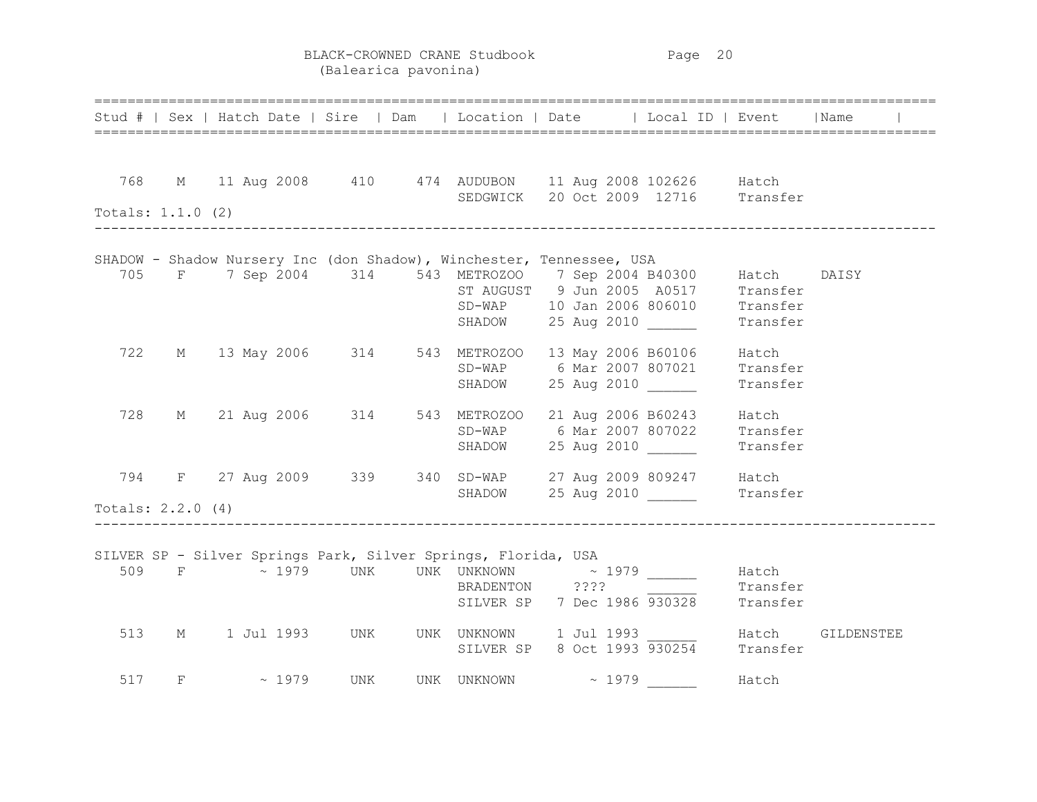BLACK-CROWNED CRANE Studbook Page 20 (Balearica pavonina)

|     |                     | Stud #   Sex   Hatch Date   Sire   Dam   Location   Date   Local ID   Event   Name                |  |                                                                 |          |            |
|-----|---------------------|---------------------------------------------------------------------------------------------------|--|-----------------------------------------------------------------|----------|------------|
|     |                     |                                                                                                   |  |                                                                 |          |            |
|     |                     | 768 M 11 Aug 2008 410 474 AUDUBON 11 Aug 2008 102626 Hatch<br>SEDGWICK 20 Oct 2009 12716 Transfer |  |                                                                 |          |            |
|     | Totals: 1.1.0 (2)   |                                                                                                   |  |                                                                 |          |            |
|     |                     | SHADOW - Shadow Nursery Inc (don Shadow), Winchester, Tennessee, USA                              |  |                                                                 |          |            |
|     |                     | 705 F 7 Sep 2004 314 543 METROZOO 7 Sep 2004 B40300 Hatch                                         |  |                                                                 |          | DAISY      |
|     |                     |                                                                                                   |  | ST AUGUST 9 Jun 2005 A0517 Transfer                             |          |            |
|     |                     |                                                                                                   |  | SD-WAP 10 Jan 2006 806010 Transfer                              |          |            |
|     |                     |                                                                                                   |  | SHADOW 25 Aug 2010 Transfer                                     |          |            |
|     |                     | 722 M 13 May 2006 314 543 METROZOO 13 May 2006 B60106 Hatch                                       |  |                                                                 |          |            |
|     |                     |                                                                                                   |  | SD-WAP 6 Mar 2007 807021 Transfer                               |          |            |
|     |                     |                                                                                                   |  | SHADOW 25 Aug 2010                                              | Transfer |            |
| 728 |                     | M 21 Aug 2006 314 543 METROZOO 21 Aug 2006 B60243 Hatch                                           |  |                                                                 |          |            |
|     |                     |                                                                                                   |  | SD-WAP 6 Mar 2007 807022 Transfer                               |          |            |
|     |                     |                                                                                                   |  | SHADOW 25 Aug 2010                                              | Transfer |            |
|     |                     | 794 F 27 Aug 2009 339 340 SD-WAP 27 Aug 2009 809247 Hatch                                         |  |                                                                 |          |            |
|     |                     |                                                                                                   |  | SHADOW 25 Aug 2010 ______                                       | Transfer |            |
|     | Totals: $2.2.0$ (4) |                                                                                                   |  |                                                                 |          |            |
|     |                     |                                                                                                   |  |                                                                 |          |            |
|     |                     | SILVER SP - Silver Springs Park, Silver Springs, Florida, USA                                     |  |                                                                 |          |            |
|     |                     |                                                                                                   |  |                                                                 | Hatch    |            |
|     |                     |                                                                                                   |  | BRADENTON ???? Transfer<br>SILVER SP 7 Dec 1986 930328 Transfer |          |            |
|     |                     |                                                                                                   |  |                                                                 |          |            |
|     |                     |                                                                                                   |  |                                                                 |          | GILDENSTEE |
|     |                     | 513 M 1 Jul 1993 UNK UNK UNKNOWN 1 Jul 1993<br>SILVER SP 8 Oct 1993 930254 Transfer               |  |                                                                 |          |            |
|     |                     | 517 F ~ 1979 UNK UNK UNKNOWN ~ 1979 Hatch                                                         |  |                                                                 |          |            |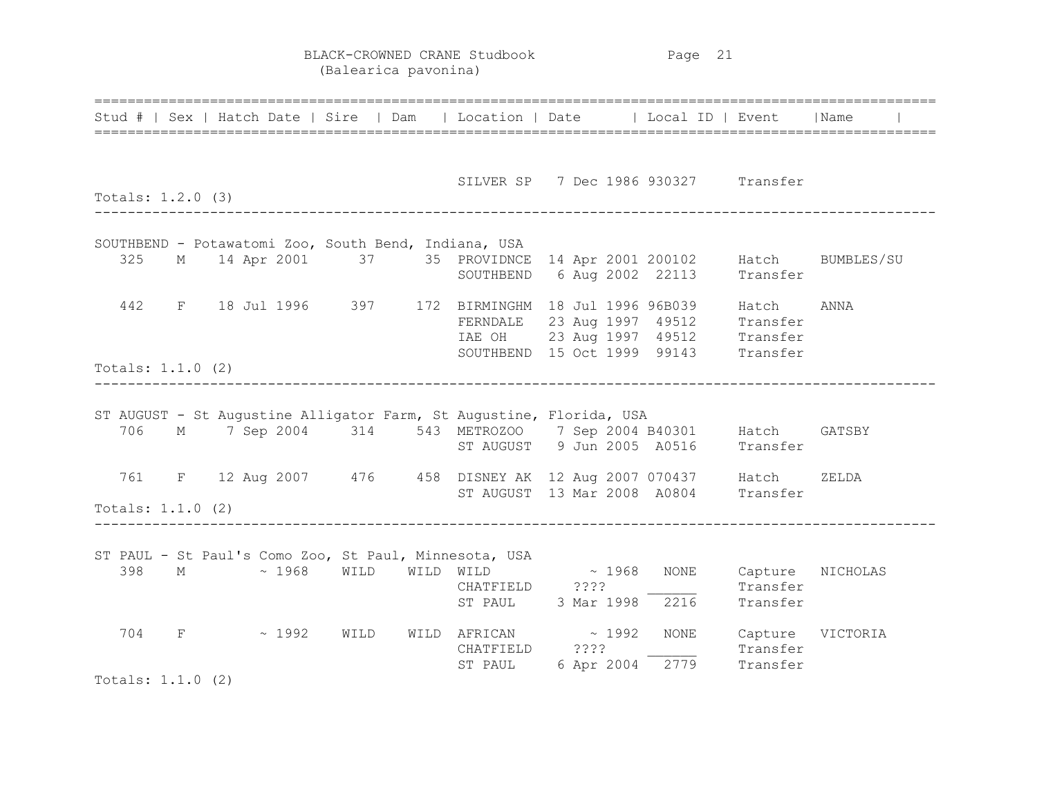BLACK-CROWNED CRANE Studbook Page 21 (Balearica pavonina)

|                     |  |  |                     |                               |  | Stud #   Sex   Hatch Date   Sire   Dam   Location   Date   Local ID   Event   Name                                           |  |                                                                                                                  |                                               |                                                                                                          |
|---------------------|--|--|---------------------|-------------------------------|--|------------------------------------------------------------------------------------------------------------------------------|--|------------------------------------------------------------------------------------------------------------------|-----------------------------------------------|----------------------------------------------------------------------------------------------------------|
| Totals: 1.2.0 (3)   |  |  |                     | _____________________________ |  |                                                                                                                              |  | SILVER SP 7 Dec 1986 930327 Transfer                                                                             |                                               |                                                                                                          |
|                     |  |  |                     |                               |  | SOUTHBEND - Potawatomi Zoo, South Bend, Indiana, USA                                                                         |  |                                                                                                                  |                                               |                                                                                                          |
| 325                 |  |  |                     |                               |  |                                                                                                                              |  |                                                                                                                  |                                               | M 14 Apr 2001 37 35 PROVIDNCE 14 Apr 2001 200102 Hatch BUMBLES/SU<br>SOUTHBEND 6 Aug 2002 22113 Transfer |
|                     |  |  |                     |                               |  | 442 F 18 Jul 1996 397 172 BIRMINGHM 18 Jul 1996 96B039 Hatch                                                                 |  | FERNDALE 23 Aug 1997 49512 Transfer<br>TAR OH 23 Aug 1997 49512 Transfer<br>SOUTHBEND 15 Oct 1999 99143 Transfer |                                               | ANNA                                                                                                     |
| Totals: $1.1.0$ (2) |  |  |                     |                               |  |                                                                                                                              |  |                                                                                                                  |                                               |                                                                                                          |
| 706                 |  |  |                     |                               |  | ST AUGUST - St Augustine Alligator Farm, St Augustine, Florida, USA<br>M 7 Sep 2004 314 543 METROZOO 7 Sep 2004 B40301 Hatch |  | ST AUGUST 9 Jun 2005 A0516 Transfer                                                                              |                                               | GATSBY                                                                                                   |
| Totals: $1.1.0$ (2) |  |  |                     |                               |  | 761 F 12 Aug 2007 476 458 DISNEY AK 12 Aug 2007 070437 Hatch                                                                 |  | ST AUGUST 13 Mar 2008 A0804 Transfer                                                                             |                                               | ZELDA                                                                                                    |
|                     |  |  | $398$ M $\sim 1968$ |                               |  | ST PAUL - St Paul's Como Zoo, St Paul, Minnesota, USA<br>WILD WILD WILD $\sim 1968$<br>CHATFIELD ???? 2000                   |  | ST PAUL 3 Mar 1998 2216                                                                                          | NONE Capture NICHOLAS<br>Transfer<br>Transfer |                                                                                                          |
| 704                 |  |  |                     | $F \sim 1992$ WILD            |  | $\texttt{WILD} \quad \texttt{AFRICAN} \quad \sim \quad \texttt{1992}$<br>CHATFIELD ????                                      |  | ST PAUL 6 Apr 2004 $\frac{1}{2779}$                                                                              | NONE Capture VICTORIA<br>Transfer<br>Transfer |                                                                                                          |
| Totals: $1.1.0$ (2) |  |  |                     |                               |  |                                                                                                                              |  |                                                                                                                  |                                               |                                                                                                          |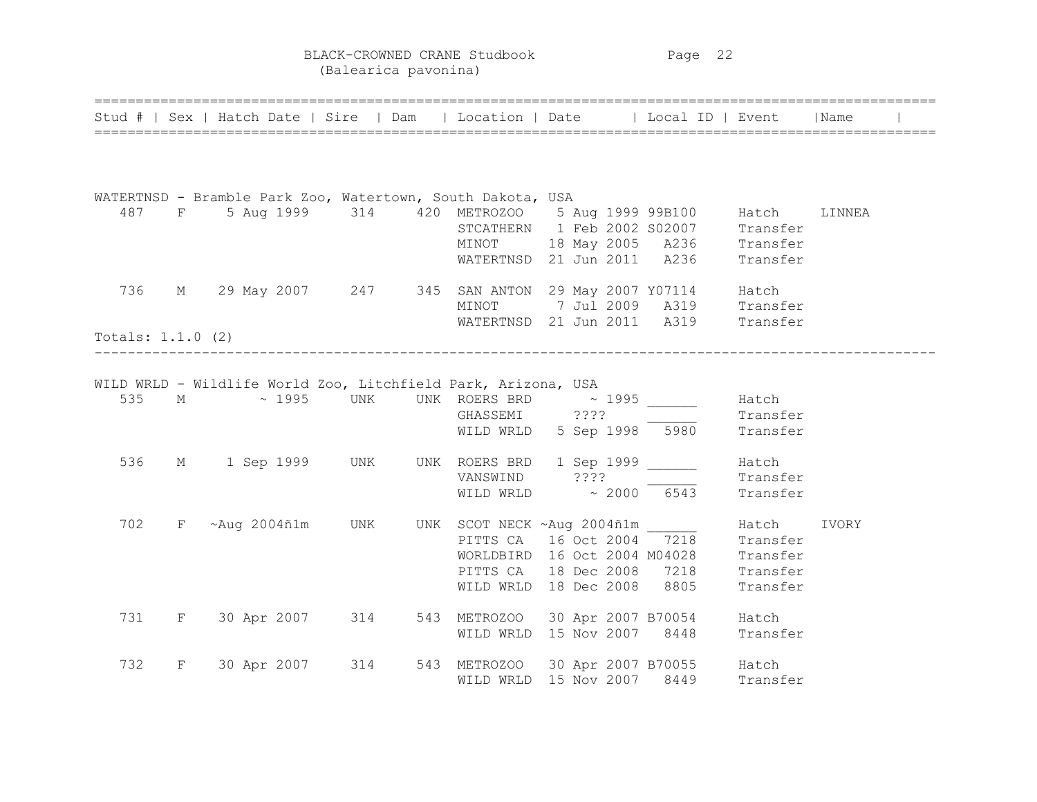BLACK-CROWNED CRANE Studbook Page 22 (Balearica pavonina)

|                     |   | Stud #   Sex   Hatch Date   Sire   Dam   Location   Date   Local ID   Event   Name                                                                                          |  |                                                                       |          |        |  |
|---------------------|---|-----------------------------------------------------------------------------------------------------------------------------------------------------------------------------|--|-----------------------------------------------------------------------|----------|--------|--|
|                     |   |                                                                                                                                                                             |  |                                                                       |          |        |  |
|                     |   | WATERTNSD - Bramble Park Zoo, Watertown, South Dakota, USA                                                                                                                  |  |                                                                       |          |        |  |
|                     |   |                                                                                                                                                                             |  |                                                                       |          | LINNEA |  |
|                     |   |                                                                                                                                                                             |  |                                                                       |          |        |  |
|                     |   |                                                                                                                                                                             |  |                                                                       |          |        |  |
|                     |   | 487 F 5 Aug 1999 314 420 METROZOO 5 Aug 1999 99B100 Hatch<br>STCATHERN 1 Feb 2002 S02007 Transfer<br>MINOT 18 May 2005 A236 Transfer<br>WATERTNSD 21 Jun 2011 A236 Transfer |  |                                                                       |          |        |  |
|                     |   | 736 M 29 May 2007 247 345 SAN ANTON 29 May 2007 Y07114 Hatch                                                                                                                |  |                                                                       |          |        |  |
|                     |   |                                                                                                                                                                             |  |                                                                       |          |        |  |
|                     |   |                                                                                                                                                                             |  | MINOT 7 Jul 2009 A319 Transfer<br>WATERTNSD 21 Jun 2011 A319 Transfer |          |        |  |
| Totals: $1.1.0$ (2) |   |                                                                                                                                                                             |  |                                                                       |          |        |  |
|                     |   | _________________________                                                                                                                                                   |  |                                                                       |          |        |  |
|                     |   | WILD WRLD - Wildlife World Zoo, Litchfield Park, Arizona, USA                                                                                                               |  |                                                                       |          |        |  |
| 535                 |   | M ~ 1995 UNK UNK ROERS BRD ~ 1995 _______                                                                                                                                   |  |                                                                       | Hatch    |        |  |
|                     |   |                                                                                                                                                                             |  | GHASSEMI ????                                                         | Transfer |        |  |
|                     |   |                                                                                                                                                                             |  | WILD WRLD 5 Sep 1998 5980 Transfer                                    |          |        |  |
| 536                 |   | M 1 Sep 1999 UNK UNK ROERS BRD 1 Sep 1999                                                                                                                                   |  |                                                                       | Hatch    |        |  |
|                     |   |                                                                                                                                                                             |  | VANSWIND ????                                                         | Transfer |        |  |
|                     |   |                                                                                                                                                                             |  | WILD WRLD $\sim 2000$ 6543                                            | Transfer |        |  |
| 702                 |   | F ~Aug 2004ñ1m UNK UNK SCOT NECK ~Aug 2004ñ1m _______ Hatch                                                                                                                 |  |                                                                       |          | IVORY  |  |
|                     |   |                                                                                                                                                                             |  | PITTS CA 16 Oct 2004 7218 Transfer                                    |          |        |  |
|                     |   |                                                                                                                                                                             |  | WORLDBIRD 16 Oct 2004 M04028 Transfer                                 |          |        |  |
|                     |   |                                                                                                                                                                             |  | PITTS CA 18 Dec 2008 7218 Transfer                                    |          |        |  |
|                     |   |                                                                                                                                                                             |  | WILD WRLD 18 Dec 2008 8805                                            | Transfer |        |  |
|                     |   | 731 F 30 Apr 2007 314 543 METROZOO 30 Apr 2007 B70054 Hatch                                                                                                                 |  |                                                                       |          |        |  |
|                     |   |                                                                                                                                                                             |  | WILD WRLD 15 Nov 2007 8448 Transfer                                   |          |        |  |
| 732                 | F |                                                                                                                                                                             |  |                                                                       |          |        |  |
|                     |   | 30 Apr 2007 314 543 METROZOO 30 Apr 2007 B70055 Hatch<br>WILD WRLD 15 Nov 2007 8449 Transfer                                                                                |  |                                                                       |          |        |  |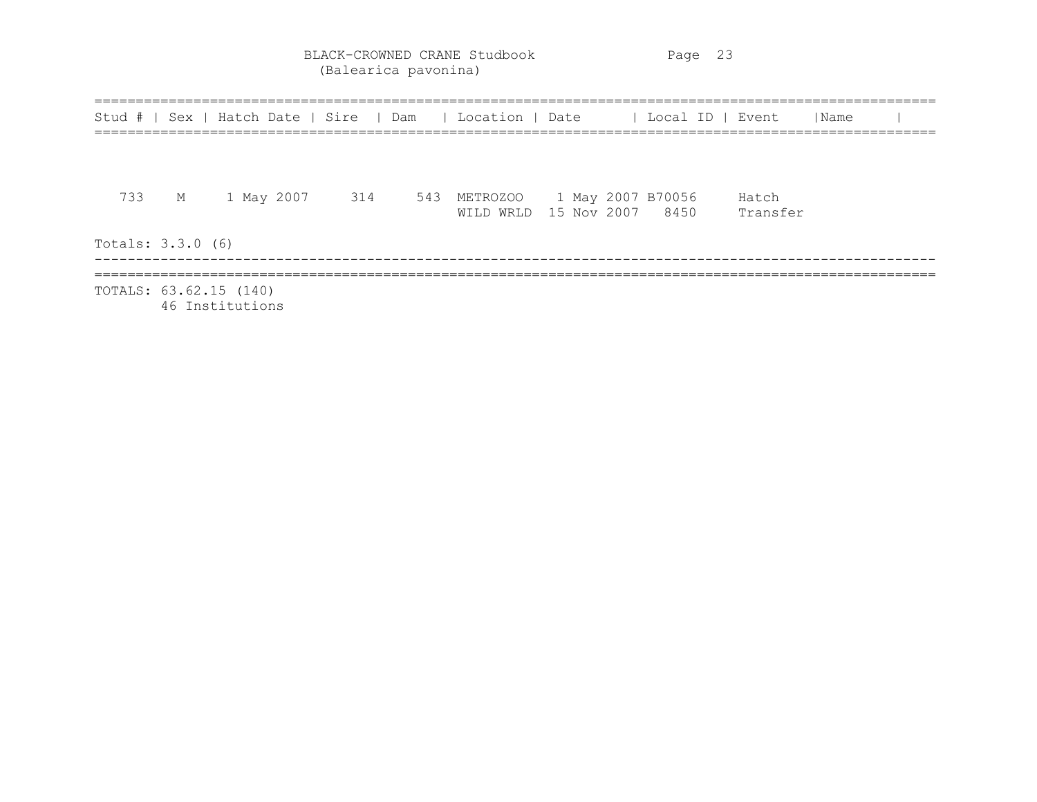BLACK-CROWNED CRANE Studbook Page 23 (Balearica pavonina)

|                        | Stud #   Sex   Hatch Date   Sire   Dam   Location   Date   Local ID   Event |     |  |  |                                                                         | <i>I</i> Name |  |
|------------------------|-----------------------------------------------------------------------------|-----|--|--|-------------------------------------------------------------------------|---------------|--|
|                        |                                                                             |     |  |  |                                                                         |               |  |
| 733                    | M 1 May 2007 314                                                            | 543 |  |  | METROZOO 1 May 2007 B70056 Hatch<br>WILD WRLD 15 Nov 2007 8450 Transfer |               |  |
| Totals: 3.3.0 (6)      |                                                                             |     |  |  |                                                                         |               |  |
| TOTALS: 63.62.15 (140) | 46 Institutions                                                             |     |  |  |                                                                         |               |  |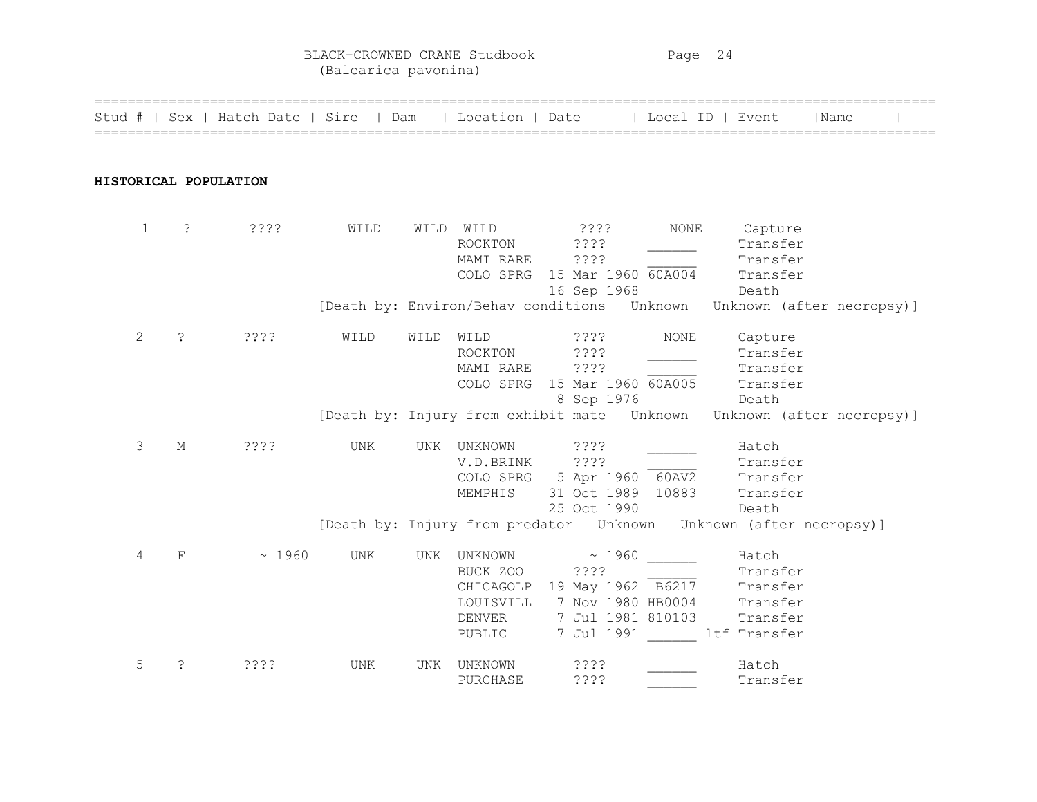BLACK-CROWNED CRANE Studbook Page 24 (Balearica pavonina)

| Stud # |             |             | Sex   Hatch Date   Sire   Dam |            |      | Location   Date                                                   |                                                                                            | Local ID   Event |                                                                       | Name                      |
|--------|-------------|-------------|-------------------------------|------------|------|-------------------------------------------------------------------|--------------------------------------------------------------------------------------------|------------------|-----------------------------------------------------------------------|---------------------------|
|        |             |             | HISTORICAL POPULATION         |            |      |                                                                   |                                                                                            |                  |                                                                       |                           |
|        | $\mathbf 1$ | $\tilde{S}$ | ????                          | WILD       |      | WILD WILD<br>ROCKTON<br>MAMI RARE<br>COLO SPRG                    | $??\$<br>????<br>? ? ? ?<br>15 Mar 1960 60A004<br>16 Sep 1968                              | NONE             | Capture<br>Transfer<br>Transfer<br>Transfer<br>Death                  |                           |
|        |             |             |                               |            |      |                                                                   | [Death by: Environ/Behav conditions Unknown                                                |                  |                                                                       | Unknown (after necropsy)] |
|        | 2           | $\tilde{ }$ | ????                          | WILD       | WILD | WILD<br><b>ROCKTON</b><br>MAMI RARE<br>COLO SPRG                  | ????<br>? ? ? ?<br>????<br>15 Mar 1960 60A005<br>8 Sep 1976                                | <b>NONE</b>      | Capture<br>Transfer<br>Transfer<br>Transfer<br>Death                  |                           |
|        |             |             |                               |            |      |                                                                   | [Death by: Injury from exhibit mate Unknown                                                |                  |                                                                       | Unknown (after necropsy)] |
|        | 3           | М           | ????                          | <b>UNK</b> | UNK  | UNKNOWN<br>V.D.BRINK<br>MEMPHIS                                   | ????<br>????<br>COLO SPRG 5 Apr 1960 60AV2<br>31 Oct 1989 10883<br>25 Oct 1990             |                  | Hatch<br>Transfer<br>Transfer<br>Transfer<br>Death                    |                           |
|        |             |             |                               |            |      |                                                                   | [Death by: Injury from predator Unknown Unknown (after necropsy)]                          |                  |                                                                       |                           |
|        | 4           | F           | ~1960                         | UNK        | UNK  | UNKNOWN<br>BUCK ZOO<br>CHICAGOLP<br>LOUISVILL<br>DENVER<br>PUBLIC | ~1960<br>????<br>19 May 1962 B6217<br>7 Nov 1980 HB0004<br>7 Jul 1981 810103<br>7 Jul 1991 |                  | Hatch<br>Transfer<br>Transfer<br>Transfer<br>Transfer<br>ltf Transfer |                           |
|        | 5           | S.          | ????                          | <b>UNK</b> | UNK  | UNKNOWN<br>PURCHASE                                               | 3333<br>????                                                                               |                  | Hatch<br>Transfer                                                     |                           |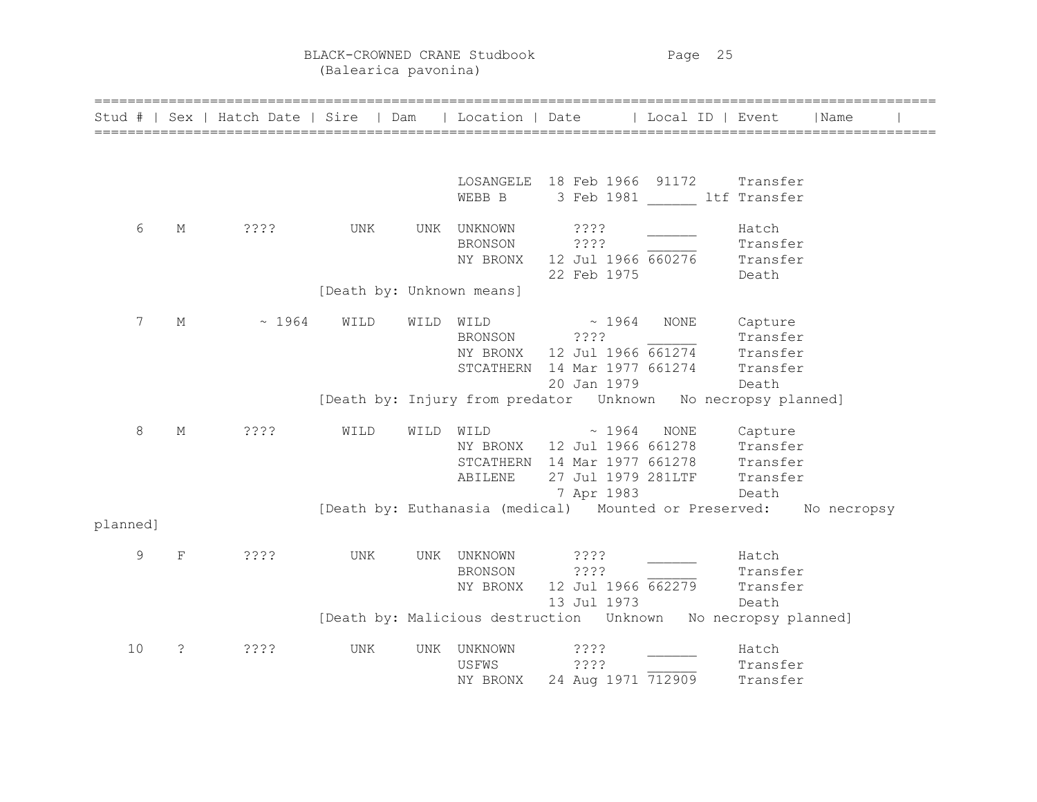BLACK-CROWNED CRANE Studbook Page 25 (Balearica pavonina)

|          |             | Stud #   Sex   Hatch Date   Sire   Dam   Location   Date   Local ID   Event |                           |      |                |                                                                |                         |          | Name        |  |
|----------|-------------|-----------------------------------------------------------------------------|---------------------------|------|----------------|----------------------------------------------------------------|-------------------------|----------|-------------|--|
|          |             |                                                                             |                           |      |                |                                                                |                         |          |             |  |
|          |             |                                                                             |                           |      |                | LOSANGELE 18 Feb 1966 91172 Transfer                           |                         |          |             |  |
|          |             |                                                                             |                           |      | WEBB B         |                                                                | 3 Feb 1981 ltf Transfer |          |             |  |
| 6        | М           | ????                                                                        | UNK                       |      | UNK UNKNOWN    | 3333                                                           |                         | Hatch    |             |  |
|          |             |                                                                             |                           |      | BRONSON        | ????                                                           |                         | Transfer |             |  |
|          |             |                                                                             |                           |      | NY BRONX       | $12$ Jul $1966$ $660276$ Transfer                              |                         |          |             |  |
|          |             |                                                                             |                           |      |                | 22 Feb 1975                                                    |                         | Death    |             |  |
|          |             |                                                                             | [Death by: Unknown means] |      |                |                                                                |                         |          |             |  |
| 7        | $M_{\odot}$ | ~1964                                                                       | WILD                      | WILD | WILD           | $\sim 1964$                                                    | NONE                    | Capture  |             |  |
|          |             |                                                                             |                           |      | BRONSON        | ????                                                           |                         | Transfer |             |  |
|          |             |                                                                             |                           |      |                | NY BRONX $12$ Jul 1966 $\overline{661274}$ Transfer            |                         |          |             |  |
|          |             |                                                                             |                           |      |                | STCATHERN 14 Mar 1977 661274 Transfer                          |                         |          |             |  |
|          |             |                                                                             |                           |      |                | 20 Jan 1979                                                    |                         | Death    |             |  |
|          |             |                                                                             |                           |      |                | [Death by: Injury from predator  Unknown  No necropsy planned] |                         |          |             |  |
| 8        | $M_{\odot}$ | ????                                                                        | WILD                      | WILD | WILD           | $\sim 1964$                                                    | NONE                    | Capture  |             |  |
|          |             |                                                                             |                           |      |                | NY BRONX 12 Jul 1966 661278 Transfer                           |                         |          |             |  |
|          |             |                                                                             |                           |      |                | STCATHERN 14 Mar 1977 661278 Transfer                          |                         |          |             |  |
|          |             |                                                                             |                           |      | ABILENE        | 27 Jul 1979 281LTF                                             |                         | Transfer |             |  |
|          |             |                                                                             |                           |      |                | 7 Apr 1983                                                     |                         | Death    |             |  |
| planned] |             |                                                                             |                           |      |                | [Death by: Euthanasia (medical) Mounted or Preserved:          |                         |          | No necropsy |  |
|          |             |                                                                             |                           |      |                |                                                                |                         |          |             |  |
| 9        | $\mathbf F$ | ????                                                                        | UNK                       |      | UNK UNKNOWN    | ? ? ? ?                                                        |                         | Hatch    |             |  |
|          |             |                                                                             |                           |      | <b>BRONSON</b> | 2222                                                           |                         | Transfer |             |  |
|          |             |                                                                             |                           |      | NY BRONX       | 12 Jul 1966 662279                                             |                         | Transfer |             |  |
|          |             |                                                                             |                           |      |                | 13 Jul 1973                                                    |                         | Death    |             |  |
|          |             |                                                                             |                           |      |                |                                                                |                         |          |             |  |
| 10       | S.          | 3333                                                                        | UNK                       | UNK  | UNKNOWN        | ? ? ? ?                                                        |                         | Hatch    |             |  |
|          |             |                                                                             |                           |      | USFWS          | ????                                                           |                         | Transfer |             |  |
|          |             |                                                                             |                           |      | NY BRONX       | 24 Aug 1971 712909                                             |                         | Transfer |             |  |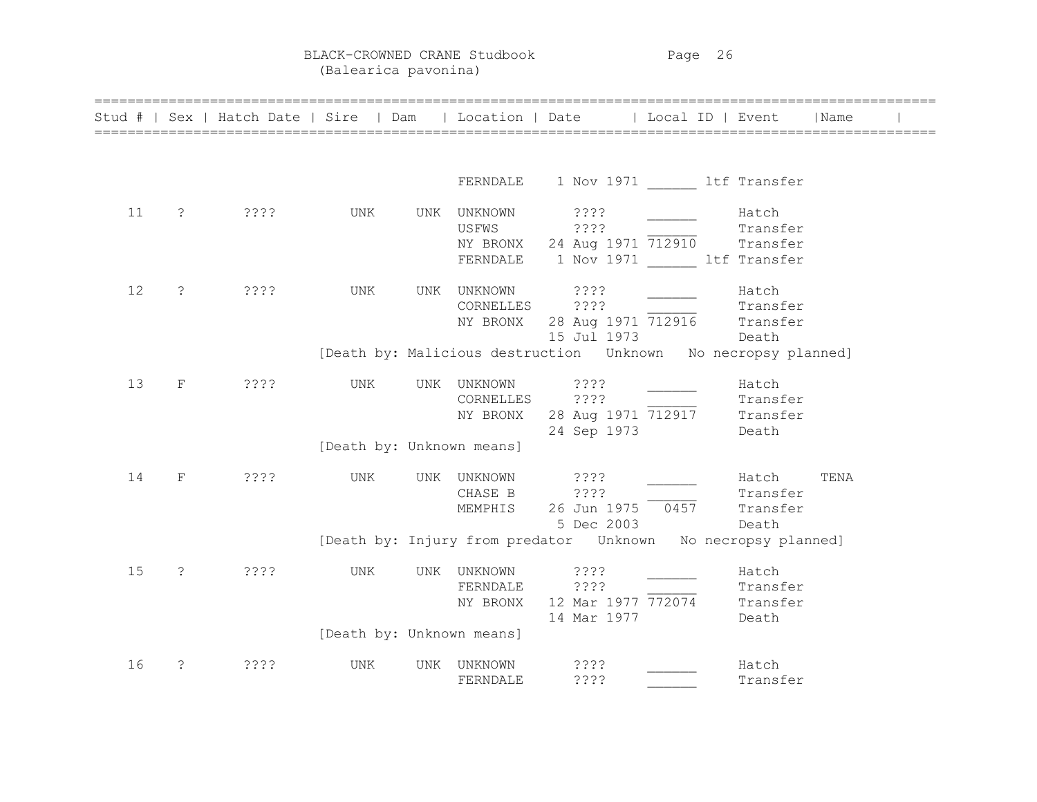BLACK-CROWNED CRANE Studbook Page 26 (Balearica pavonina)

|    |                       | Stud #   Sex   Hatch Date   Sire   Dam   Location   Date   Local ID   Event   Name |     |                                               |                                                                                                                                                                |                            |      |  |
|----|-----------------------|------------------------------------------------------------------------------------|-----|-----------------------------------------------|----------------------------------------------------------------------------------------------------------------------------------------------------------------|----------------------------|------|--|
|    |                       |                                                                                    |     |                                               | FERNDALE 1 Nov 1971 ltf Transfer                                                                                                                               |                            |      |  |
| 11 | $\ddot{\text{?}}$     | ? ? ? ?                                                                            | UNK | UNK UNKNOWN                                   | ????<br>USFWS ????<br>NY BRONX 24 Aug 1971 712910 Transfer<br>FERNDALE 1 Nov 1971 ltf Transfer                                                                 | Hatch<br>Transfer          |      |  |
| 12 | $\tilde{S}$           | 3333                                                                               | UNK | UNK UNKNOWN                                   | VNKNOWN ????<br>CORNELLES ????<br>NY BRONX 28 Aug 1971 712916 Transfer<br>15 Jul 1973 Death<br>[Death by: Malicious destruction  Unknown  No necropsy planned] |                            |      |  |
| 13 | $\rm F$               | ? ? ? ?                                                                            | UNK | UNK UNKNOWN ????<br>[Death by: Unknown means] | CORNELLES ???? Transfer<br>NY BRONX 28 Aug 1971 712917 Transfer<br>24 Sep 1973 Death                                                                           | Hatch                      |      |  |
| 14 | $\mathbf F$           | ????                                                                               | UNK | UNK UNKNOWN ????<br>CHASE B<br>MEMPHIS        | ????<br>26 Jun 1975 0457 Transfer<br>5 Dec 2003                                                                                                                | Hatch<br>Transfer<br>Death | TENA |  |
| 15 | $\tilde{S}$           | ? ? ? ?                                                                            | UNK | UNK UNKNOWN<br>[Death by: Unknown means]      | [Death by: Injury from predator  Unknown  No necropsy planned]<br>? ? ? ?<br>FERNDALE ????<br>NY BRONX 12 Mar 1977 772074 Transfer<br>14 Mar 1977              | Hatch<br>Transfer<br>Death |      |  |
| 16 | $\tilde{\mathcal{E}}$ | ????                                                                               | UNK | UNK UNKNOWN<br>FERNDALE                       | ????<br>????                                                                                                                                                   | Hatch<br>Transfer          |      |  |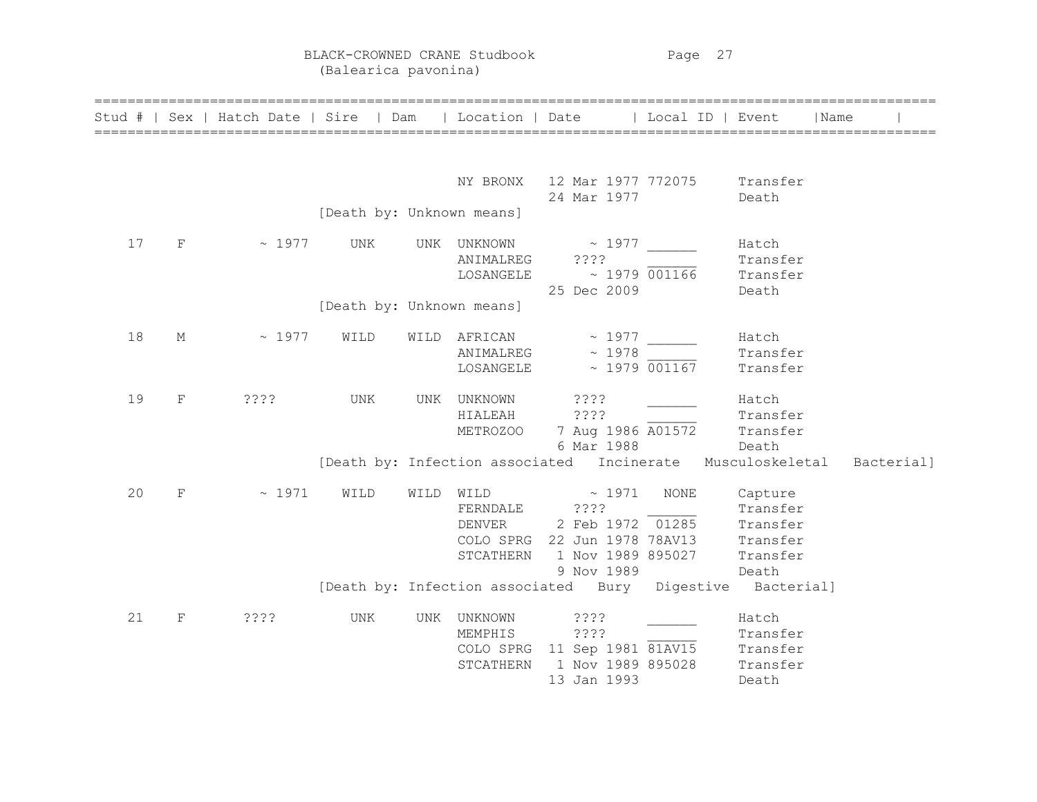BLACK-CROWNED CRANE Studbook Page 27 (Balearica pavonina)

|    |             | Stud #   Sex   Hatch Date   Sire   Dam   Location   Date   Local ID   Event |                           |           |                                       |                                                                                                                                         |                    |                                          | <i>I</i> Name |  |
|----|-------------|-----------------------------------------------------------------------------|---------------------------|-----------|---------------------------------------|-----------------------------------------------------------------------------------------------------------------------------------------|--------------------|------------------------------------------|---------------|--|
|    |             |                                                                             |                           |           |                                       | NY BRONX 12 Mar 1977 772075 Transfer<br>24 Mar 1977                                                                                     |                    | Death                                    |               |  |
|    |             |                                                                             | [Death by: Unknown means] |           |                                       |                                                                                                                                         |                    |                                          |               |  |
| 17 | $F \sim$    | $\sim 1977$                                                                 | UNK                       |           | UNK UNKNOWN<br>ANIMALREG<br>LOSANGELE | $\sim 1977$<br>????<br>$\sim 1979$ 001166<br>25 Dec 2009                                                                                |                    | Hatch<br>Transfer<br>Transfer<br>Death   |               |  |
|    |             |                                                                             | [Death by: Unknown means] |           |                                       |                                                                                                                                         |                    |                                          |               |  |
| 18 | М           | $\sim 1977$                                                                 | WILD                      |           | LOSANGELE                             | WILD AFRICAN $\sim$ 1977<br>$ANIMALREG \sim 1978$                                                                                       | $\sim$ 1979 001167 | Hatch<br>Transfer<br>Transfer            |               |  |
| 19 | F           | ? ? ? ?                                                                     | UNK                       |           | UNK UNKNOWN ????<br>HIALEAH           | ????<br>METROZOO 7 Aug 1986 A01572 Transfer<br>6 Mar 1988                                                                               | Death              | Hatch<br>Transfer                        |               |  |
|    |             |                                                                             |                           |           |                                       | [Death by: Infection associated Incinerate Musculoskeletal Bacterial]                                                                   |                    |                                          |               |  |
| 20 | F           | ~1971                                                                       | WILD                      | WILD WILD | FERNDALE ????<br>DENVER<br>STCATHERN  | $\sim 1971$<br>E $\frac{2777}{2}$ $\frac{1285}{2}$ Transfer<br>COLO SPRG 22 Jun 1978 78AV13 Transfer<br>1 Nov 1989 895027<br>9 Nov 1989 | <b>NONE</b>        | Capture<br>Transfer<br>Transfer<br>Death |               |  |
|    |             |                                                                             |                           |           |                                       | [Death by: Infection associated Bury Digestive Bacterial]                                                                               |                    |                                          |               |  |
| 21 | $\mathbf F$ | ????                                                                        | UNK                       |           | UNK UNKNOWN                           | ? ? ? ?<br>MEMPHIS ????<br>COLO SPRG 11 Sep 1981 81AV15 Transfer<br>Transfer 1 Nov 1989 895028 Transfer<br>13 Jan 1993                  |                    | Hatch<br>Death                           |               |  |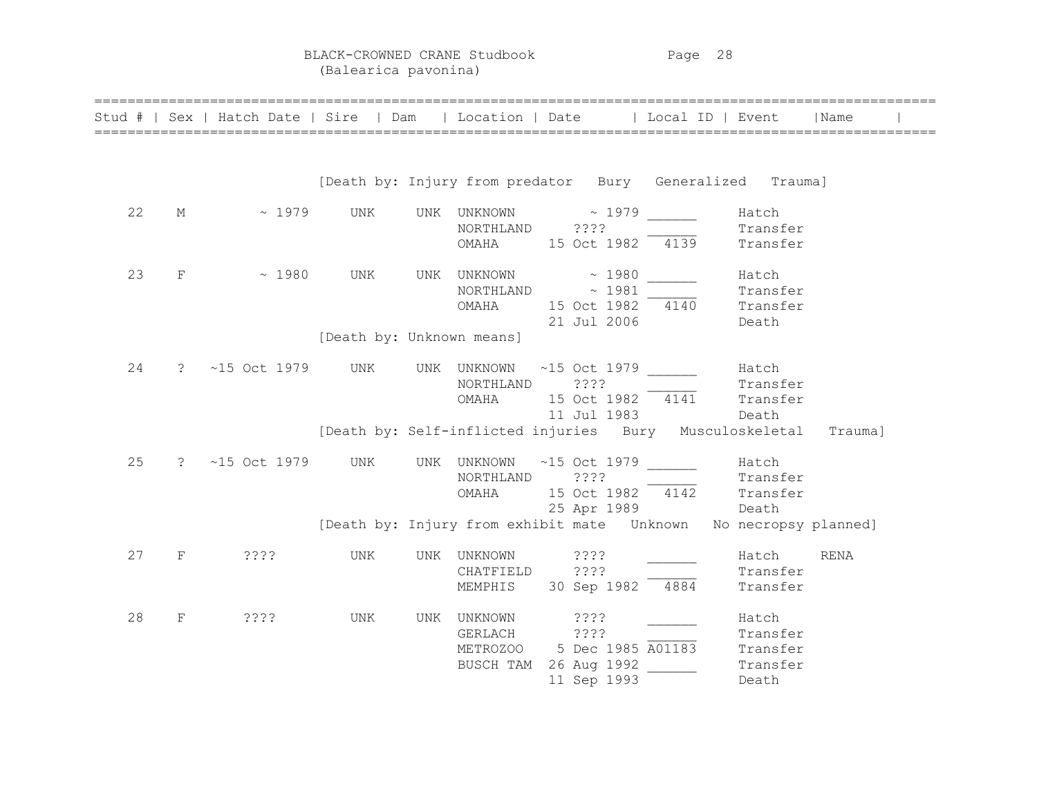BLACK-CROWNED CRANE Studbook Page 28 (Balearica pavonina)

|    |             | Stud #   Sex   Hatch Date   Sire   Dam   Location   Date   Local ID   Event |                           |     |                                                                    |                                           |      |                                                                      | l Name      |
|----|-------------|-----------------------------------------------------------------------------|---------------------------|-----|--------------------------------------------------------------------|-------------------------------------------|------|----------------------------------------------------------------------|-------------|
|    |             |                                                                             |                           |     |                                                                    |                                           |      | [Death by: Injury from predator Bury Generalized Trauma]             |             |
| 22 | M           | $\sim 1979$                                                                 | UNK                       |     | UNK UNKNOWN<br>NORTHLAND ????<br>OMAHA                             | $\sim 1979$<br>15 Oct 1982                | 4139 | Hatch<br>Transfer<br>Transfer                                        |             |
| 23 | $_{\rm F}$  | ~1980                                                                       | UNK                       |     | UNK UNKNOWN<br>NORTHLAND $\sim 1981$<br>OMAHA                      | $\sim 1980$<br>15 Oct 1982<br>21 Jul 2006 |      | Hatch<br>Transfer<br>$\frac{1}{4140}$ Transfer<br>Death              |             |
|    |             |                                                                             | [Death by: Unknown means] |     |                                                                    |                                           |      |                                                                      |             |
| 24 | ?           | $~15$ Oct 1979                                                              | UNK                       |     | UNK UNKNOWN ~15 Oct 1979<br>NORTHLAND<br>OMAHA                     | ????<br>11 Jul 1983                       |      | Hatch<br>Transfer<br>$15$ Oct $1982$ $4141$ Transfer<br><b>Death</b> |             |
|    |             |                                                                             |                           |     |                                                                    |                                           |      | [Death by: Self-inflicted injuries Bury Musculoskeletal              | Trauma]     |
| 25 | ?           | $~15$ Oct 1979                                                              | UNK                       |     | UNK UNKNOWN ~15 Oct 1979<br>NORTHLAND ????<br>OMAHA                | 25 Apr 1989                               |      | Hatch<br>Transfer<br>15 Oct 1982 4142 Transfer<br>Death              |             |
|    |             |                                                                             |                           |     |                                                                    |                                           |      |                                                                      |             |
| 27 | $\mathbf F$ | ????                                                                        | UNK                       | UNK | UNKNOWN<br>CHATFIELD ????<br>MEMPHIS                               | ? ? ? ?<br>30 Sep 1982 4884               |      | Hatch<br>Transfer<br>Transfer                                        | <b>RENA</b> |
| 28 | $\mathbf F$ | ????                                                                        | UNK                       | UNK | UNKNOWN<br>GERLACH ????<br>METROZOO 5 Dec 1985 A01183<br>BUSCH TAM | ? ? ? ?<br>26 Aug 1992<br>11 Sep 1993     |      | Hatch<br>Transfer<br>Transfer<br>Transfer<br>Death                   |             |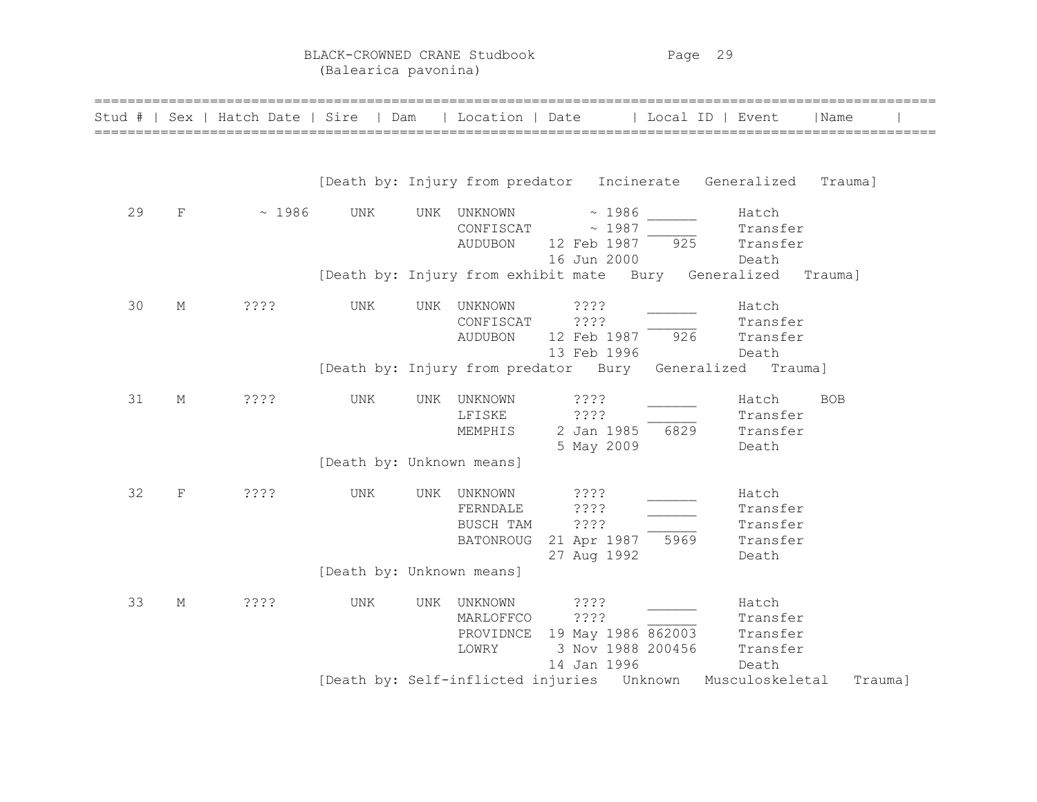BLACK-CROWNED CRANE Studbook Page 29 (Balearica pavonina)

|    |             | Stud #   Sex   Hatch Date   Sire   Dam |                           |     | Location   Date                                      |                                            |                                         | Local ID   Event                                         | l Name     |
|----|-------------|----------------------------------------|---------------------------|-----|------------------------------------------------------|--------------------------------------------|-----------------------------------------|----------------------------------------------------------|------------|
|    |             |                                        |                           |     |                                                      |                                            |                                         | [Death by: Injury from predator Incinerate Generalized   | Trauma]    |
| 29 | $\rm F$     | ~1986                                  | UNK                       | UNK | UNKNOWN<br>CONFISCAT<br><b>AUDUBON</b>               | 12 Feb 1987<br>16 Jun 2000                 | ~1986<br>~1987<br>925                   | Hatch<br>Transfer<br>Transfer<br>Death                   |            |
|    |             |                                        |                           |     | [Death by: Injury from exhibit mate Bury Generalized |                                            |                                         |                                                          | Trauma]    |
| 30 | М           | ????                                   | UNK                       | UNK | UNKNOWN<br>CONFISCAT<br><b>AUDUBON</b>               | ????<br>????<br>12 Feb 1987<br>13 Feb 1996 | 926                                     | Hatch<br>Transfer<br>Transfer<br>Death                   |            |
|    |             |                                        |                           |     |                                                      |                                            |                                         | [Death by: Injury from predator Bury Generalized Trauma] |            |
| 31 | М           | ????                                   | UNK                       | UNK | UNKNOWN<br>LFISKE<br>MEMPHIS                         | 3333<br>????<br>2 Jan 1985<br>5 May 2009   | 6829                                    | Hatch<br>Transfer<br>Transfer<br>Death                   | <b>BOB</b> |
|    |             |                                        | [Death by: Unknown means] |     |                                                      |                                            |                                         |                                                          |            |
| 32 | $\mathbf F$ | ????                                   | UNK                       | UNK | UNKNOWN<br>FERNDALE<br>BUSCH TAM<br><b>BATONROUG</b> | ????<br>? ? ? ?<br>????<br>27 Aug 1992     | 21 Apr 1987 5969                        | Hatch<br>Transfer<br>Transfer<br>Transfer<br>Death       |            |
|    |             |                                        | [Death by: Unknown means] |     |                                                      |                                            |                                         |                                                          |            |
| 33 | М           | ????                                   | UNK                       | UNK | UNKNOWN<br>MARLOFFCO<br>PROVIDNCE<br>LOWRY           | ? ? ? ?<br>????<br>14 Jan 1996             | 19 May 1986 862003<br>3 Nov 1988 200456 | Hatch<br>Transfer<br>Transfer<br>Transfer<br>Death       |            |
|    |             |                                        |                           |     | [Death by: Self-inflicted injuries Unknown           |                                            |                                         | Musculoskeletal                                          | Trauma]    |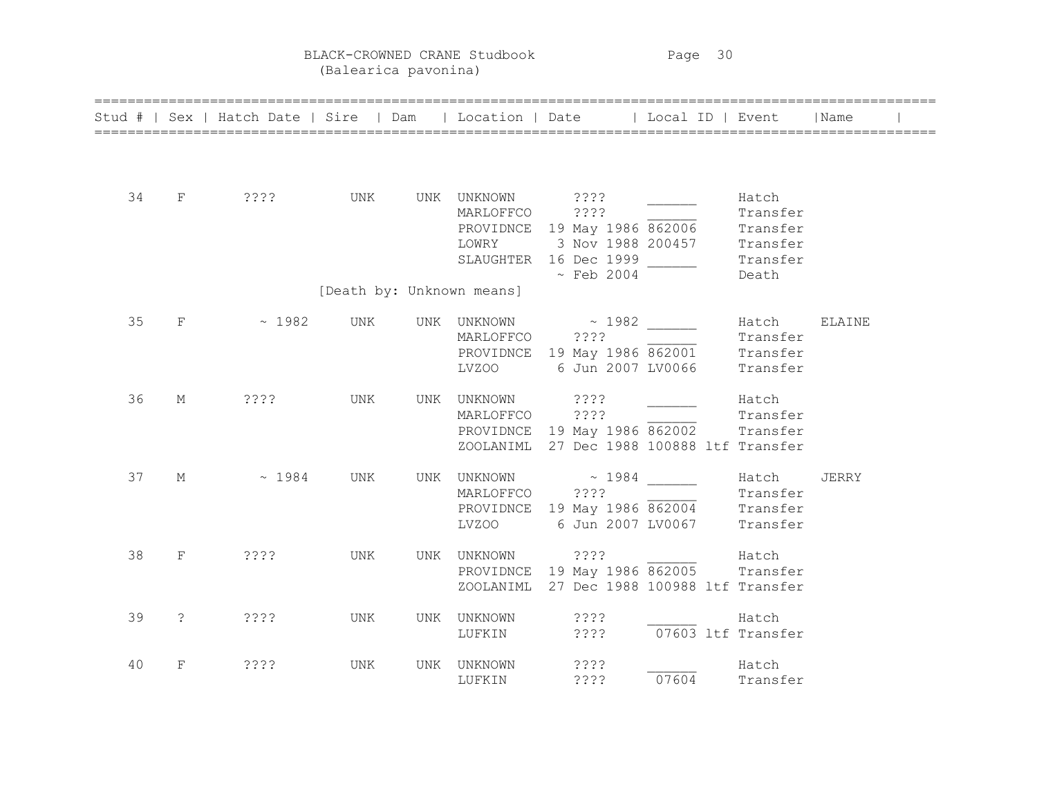BLACK-CROWNED CRANE Studbook Page 30 (Balearica pavonina)

|    |                       | =======================<br>Stud #   Sex   Hatch Date   Sire   Dam   Location   Date   Local ID   Event |     |                                        |                                                                                                                              |                             |                                                                | Name   |
|----|-----------------------|--------------------------------------------------------------------------------------------------------|-----|----------------------------------------|------------------------------------------------------------------------------------------------------------------------------|-----------------------------|----------------------------------------------------------------|--------|
| 34 | F                     | ? ? ? ?                                                                                                |     | UNK UNK UNKNOWN ????<br>MARLOFFCO ???? | PROVIDNCE 19 May 1986 862006<br>LOWRY 3 Nov 1988 200457<br>SLAUGHTER 16 Dec 1999<br>$\sim$ Feb 2004                          |                             | Hatch<br>Transfer<br>Transfer<br>Transfer<br>Transfer<br>Death |        |
|    |                       |                                                                                                        |     | [Death by: Unknown means]              |                                                                                                                              |                             |                                                                |        |
| 35 | F                     | $\sim 1982$                                                                                            | UNK | MARLOFFCO ????                         | UNK UNKNOWN ~ 1982<br>PROVIDNCE 19 May 1986 862001 Transfer<br>LVZ00 6 Jun 2007 LV0066                                       |                             | Hatch<br>Transfer<br>Transfer                                  | ELAINE |
| 36 | М                     | ????                                                                                                   | UNK | UNK UNKNOWN ????                       | MARLOFFCO ????<br>PROVIDNCE 19 May 1986 862002 Transfer<br>ZOOLANIML 27 Dec 1988 100888 ltf Transfer                         |                             | Hatch<br>Transfer                                              |        |
| 37 | М                     | ~1984                                                                                                  | UNK |                                        | UNK UNKNOWN ~ 1984 _______<br>MARLOFFCO ????<br>PROVIDNCE 19 May 1986 862004 Transfer<br>Transfer<br>LVZ00 6 Jun 2007 LV0067 |                             | Hatch<br>Transfer                                              | JERRY  |
| 38 | F                     | ? ? ? ?                                                                                                | UNK |                                        | UNK UNKNOWN ????<br>UNKNOWN 2???<br>PROVIDNCE 19 May 1986 862005 Transfer<br>ZOOLANIML 27 Dec 1988 100988 ltf Transfer       |                             |                                                                |        |
| 39 | $\tilde{\mathcal{E}}$ | ? ? ? ?                                                                                                | UNK | UNK UNKNOWN<br>LUFKIN                  | ? ? ? ?                                                                                                                      | $????$ $07603$ ltf Transfer | Hatch                                                          |        |
| 40 | F                     | ? ? ? ?                                                                                                | UNK | UNK UNKNOWN<br>LUFKIN                  | ????<br>????                                                                                                                 | 07604                       | Hatch<br>Transfer                                              |        |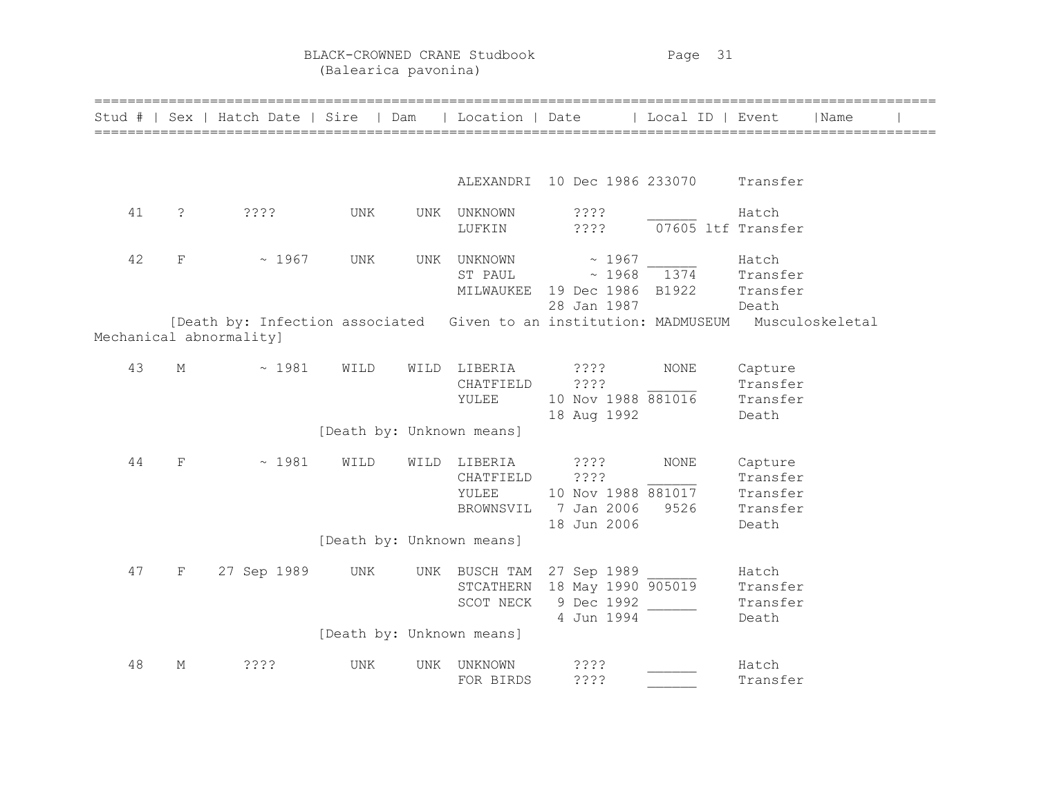BLACK-CROWNED CRANE Studbook Page 31 (Balearica pavonina)

|        |                       |                               | =====================     |      |                                            | =============                                                         |                     |                                                                                             |  |
|--------|-----------------------|-------------------------------|---------------------------|------|--------------------------------------------|-----------------------------------------------------------------------|---------------------|---------------------------------------------------------------------------------------------|--|
| Stud # |                       | Sex   Hatch Date   Sire   Dam |                           |      | Location   Date                            |                                                                       | Local ID   Event    | Name                                                                                        |  |
|        |                       |                               |                           |      |                                            |                                                                       |                     |                                                                                             |  |
|        |                       |                               |                           |      |                                            | ALEXANDRI 10 Dec 1986 233070                                          |                     | Transfer                                                                                    |  |
| 41     | $\tilde{\mathcal{E}}$ | 3333                          | UNK                       | UNK  | UNKNOWN<br>LUFKIN                          | ? ? ? ?<br>????                                                       | 07605 ltf Transfer  | Hatch                                                                                       |  |
| 42     | F                     | ~1967                         | UNK                       | UNK  | UNKNOWN<br>ST PAUL                         | ~1967<br>$\sim 1968$<br>MILWAUKEE 19 Dec 1986 B1922                   | 1374                | Hatch<br>Transfer<br>Transfer                                                               |  |
|        |                       | Mechanical abnormality]       |                           |      |                                            | 28 Jan 1987                                                           |                     | Death<br>[Death by: Infection associated Given to an institution: MADMUSEUM Musculoskeletal |  |
| 43     | М                     | ~1981                         | WILD                      |      | WILD LIBERIA<br>CHATFIELD<br>YULEE         | ? ? ? ?<br>????<br>10 Nov 1988 881016<br>18 Aug 1992                  | NONE                | Capture<br>Transfer<br>Transfer<br>Death                                                    |  |
|        |                       |                               | [Death by: Unknown means] |      |                                            |                                                                       |                     |                                                                                             |  |
| 44     | $\mathbf F$           | ~1981                         | WILD                      | WILD | LIBERIA<br>CHATFIELD<br>YULEE<br>BROWNSVIL | ? ? ? ?<br>? ? ? ?<br>10 Nov 1988 881017<br>7 Jan 2006<br>18 Jun 2006 | <b>NONE</b><br>9526 | Capture<br>Transfer<br>Transfer<br>Transfer<br>Death                                        |  |
|        |                       |                               | [Death by: Unknown means] |      |                                            |                                                                       |                     |                                                                                             |  |
| 47     | $\mathbf F$           | 27 Sep 1989                   | UNK                       |      | UNK BUSCH TAM<br>STCATHERN<br>SCOT NECK    | 27 Sep 1989<br>18 May 1990 905019<br>9 Dec 1992<br>4 Jun 1994         |                     | Hatch<br>Transfer<br>Transfer<br>Death                                                      |  |
|        |                       |                               | [Death by: Unknown means] |      |                                            |                                                                       |                     |                                                                                             |  |
| 48     | М                     | 3333                          | UNK                       | UNK  | UNKNOWN<br>FOR BIRDS                       | ????<br>????                                                          |                     | Hatch<br>Transfer                                                                           |  |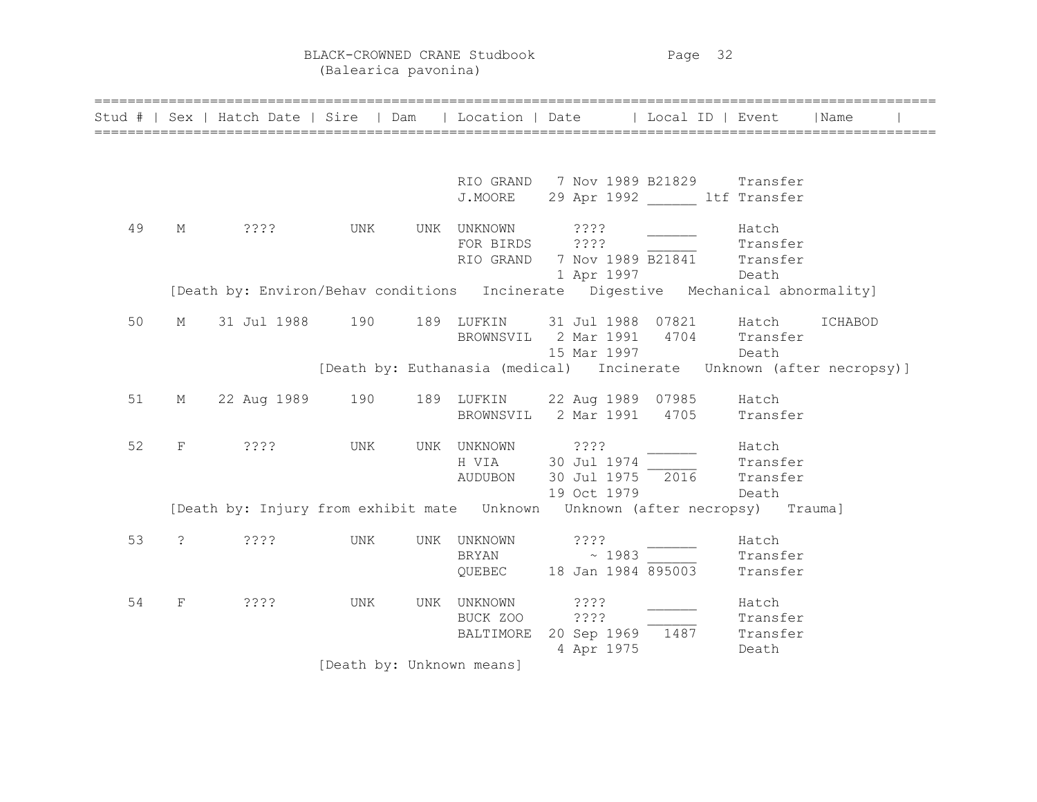BLACK-CROWNED CRANE Studbook Page 32 (Balearica pavonina)

|    |              | Stud #   Sex   Hatch Date   Sire   Dam   Location   Date   Local ID   Event      |                           |                  |                                                                                                                                                       |                            | l Name  |  |
|----|--------------|----------------------------------------------------------------------------------|---------------------------|------------------|-------------------------------------------------------------------------------------------------------------------------------------------------------|----------------------------|---------|--|
|    |              |                                                                                  |                           |                  |                                                                                                                                                       |                            |         |  |
|    |              |                                                                                  |                           |                  | RIO GRAND 7 Nov 1989 B21829 Transfer<br>J.MOORE 29 Apr 1992 ltf Transfer                                                                              |                            |         |  |
| 49 |              | M ???? UNK                                                                       |                           | UNK UNKNOWN ???? | FOR BIRDS ????<br>RIO GRAND 7 Nov 1989 B21841 Transfer<br>1 Apr 1997 Death                                                                            | Hatch<br>Transfer          |         |  |
|    |              | [Death by: Environ/Behav conditions Incinerate Digestive Mechanical abnormality] |                           |                  |                                                                                                                                                       |                            |         |  |
| 50 |              | M 31 Jul 1988 190 189 LUFKIN 31 Jul 1988 07821 Hatch                             |                           |                  | BROWNSVIL 2 Mar 1991 4704 Transfer<br>15 Mar 1997 Death                                                                                               |                            | ICHABOD |  |
|    |              |                                                                                  |                           |                  | [Death by: Euthanasia (medical) Incinerate Unknown (after necropsy)]                                                                                  |                            |         |  |
| 51 |              | M 22 Aug 1989 190 189 LUFKIN 22 Aug 1989 07985 Hatch                             |                           |                  | BROWNSVIL 2 Mar 1991 4705 Transfer                                                                                                                    |                            |         |  |
| 52 |              | F ????                                                                           | UNK                       |                  | UNK UNKNOWN ????<br>H VIA 30 Jul 1974 _________ Hatch<br>Transfer<br>AUDUBON 30 Jul 1975 2016 Transfer<br>19 Oct 1979                                 | Death                      |         |  |
|    |              |                                                                                  |                           |                  |                                                                                                                                                       |                            |         |  |
| 53 | $\mathbb{R}$ | ? ? ? ?                                                                          | UNK                       | UNK UNKNOWN ???? | $\begin{array}{ccc}\n\text{BRYAN} & \text{RYAN} & \text{RYAN} \\ \text{QUEBEC} & 18 \text{ Jan } 1984 \text{ } 895003 & \text{Transfer}\n\end{array}$ | Hatch                      |         |  |
| 54 | F            | ????                                                                             | UNK                       | UNK UNKNOWN ???? | BUCK ZOO ????<br>BALTIMORE 20 Sep 1969 1487 Transfer<br>4 Apr 1975                                                                                    | Hatch<br>Transfer<br>Death |         |  |
|    |              |                                                                                  | [Death by: Unknown means] |                  |                                                                                                                                                       |                            |         |  |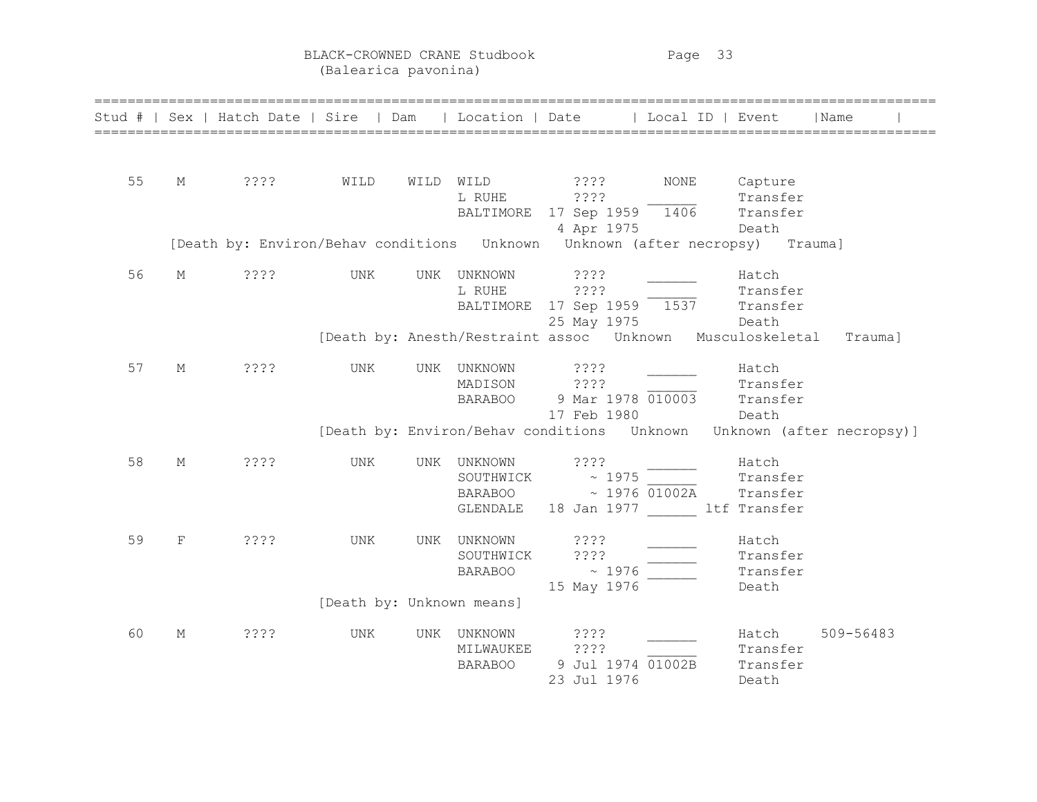BLACK-CROWNED CRANE Studbook Page 33

(Balearica pavonina)

| Stud # |   | Sex   Hatch Date   Sire   Dam                                          |                           |     | Location   Date                        | ======================                                                                                            | Local ID   Event |                                               | Name                      |
|--------|---|------------------------------------------------------------------------|---------------------------|-----|----------------------------------------|-------------------------------------------------------------------------------------------------------------------|------------------|-----------------------------------------------|---------------------------|
| 55     | М | ????                                                                   | WILD                      |     | WILD WILD<br>L RUHE<br>BALTIMORE       | $??\; ?$<br>????<br>17 Sep 1959<br>4 Apr 1975                                                                     | NONE<br>1406     | Capture<br>Transfer<br>Transfer<br>Death      |                           |
|        |   | [Death by: Environ/Behav conditions  Unknown  Unknown (after necropsy) |                           |     |                                        |                                                                                                                   |                  |                                               | Trauma]                   |
| 56     | М | ????                                                                   | <b>UNK</b>                | UNK | UNKNOWN<br>L RUHE<br>BALTIMORE         | ? ? ? ?<br>????<br>17 Sep 1959 1537<br>25 May 1975<br>[Death by: Anesth/Restraint assoc  Unknown  Musculoskeletal |                  | Hatch<br>Transfer<br>Transfer<br>Death        | Trauma]                   |
| 57     | М | ????                                                                   | <b>UNK</b>                | UNK | UNKNOWN<br>MADISON<br><b>BARABOO</b>   | ????<br>????<br>9 Mar 1978 010003<br>17 Feb 1980                                                                  |                  | Hatch<br>Transfer<br>Transfer<br>Death        |                           |
|        |   |                                                                        |                           |     |                                        | [Death by: Environ/Behav conditions Unknown                                                                       |                  |                                               | Unknown (after necropsy)] |
| 58     | М | ????                                                                   | <b>UNK</b>                | UNK | UNKNOWN<br>SOUTHWICK<br>GLENDALE       | ????<br>~1975<br>BARABOO ~ 1976 01002A<br>18 Jan 1977                                                             |                  | Hatch<br>Transfer<br>Transfer<br>ltf Transfer |                           |
| 59     | F | ????                                                                   | UNK                       | UNK | UNKNOWN<br>SOUTHWICK<br><b>BARABOO</b> | 3333<br>????<br>$\sim 1976$<br>15 May 1976                                                                        |                  | Hatch<br>Transfer<br>Transfer<br>Death        |                           |
|        |   |                                                                        | [Death by: Unknown means] |     |                                        |                                                                                                                   |                  |                                               |                           |
| 60     | М | ????                                                                   | <b>UNK</b>                | UNK | UNKNOWN<br>MILWAUKEE<br><b>BARABOO</b> | ????<br>????<br>9 Jul 1974 01002B<br>23 Jul 1976                                                                  |                  | Hatch<br>Transfer<br>Transfer<br>Death        | 509-56483                 |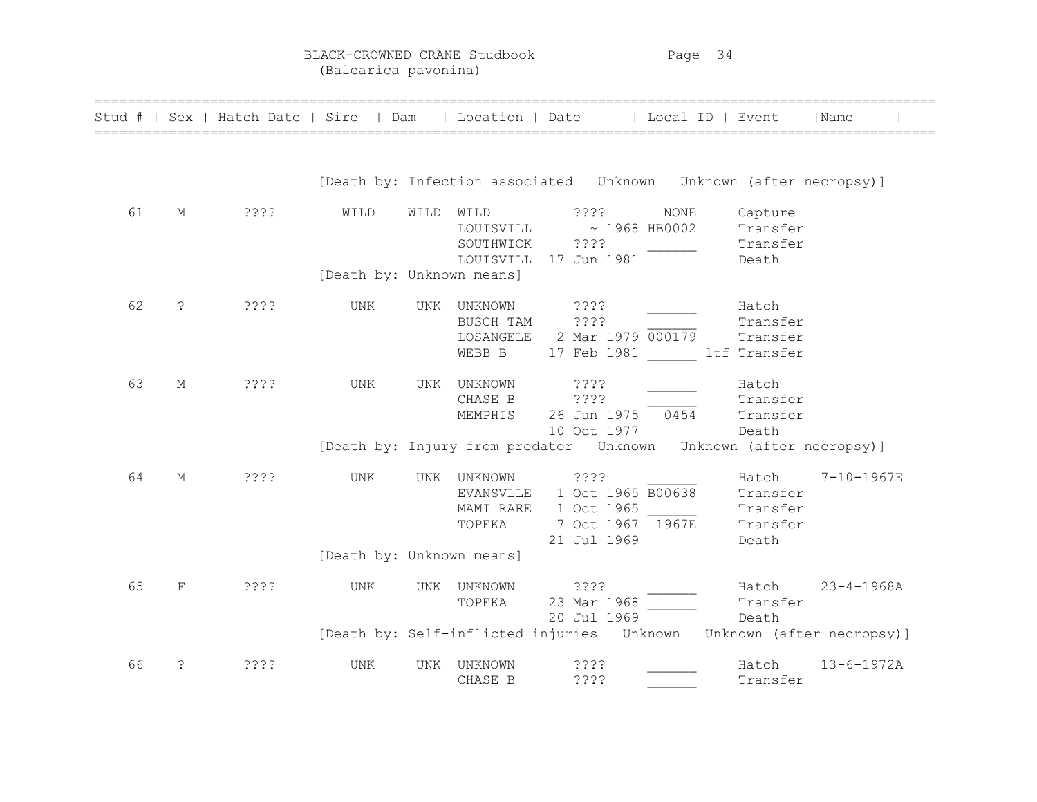BLACK-CROWNED CRANE Studbook Page 34 (Balearica pavonina)

|    |                      | Stud #   Sex   Hatch Date   Sire   Dam |                           |            | Location   Date   Local ID   Event                                                        |                                                                            |      |                                                    | Name             |  |
|----|----------------------|----------------------------------------|---------------------------|------------|-------------------------------------------------------------------------------------------|----------------------------------------------------------------------------|------|----------------------------------------------------|------------------|--|
|    |                      |                                        |                           |            | [Death by: Infection associated    Unknown    Unknown    (after necropsy)]                |                                                                            |      |                                                    |                  |  |
| 61 | М                    | ????                                   | WILD                      | WILD       | WILD<br>LOUISVILL<br>SOUTHWICK<br>LOUISVILL                                               | ????<br>$\sim 1968$ HB0002<br>? ? ? ?<br>17 Jun 1981                       | NONE | Capture<br>Transfer<br>Transfer<br>Death           |                  |  |
|    |                      |                                        | [Death by: Unknown means] |            |                                                                                           |                                                                            |      |                                                    |                  |  |
| 62 | $\ddot{\phantom{0}}$ | 3333                                   | <b>UNK</b>                | <b>UNK</b> | UNKNOWN<br>BUSCH TAM<br>LOSANGELE<br>WEBB B                                               | ? ? ? ?<br>????<br>2 Mar 1979 000179<br>17 Feb 1981                        |      | Hatch<br>Transfer<br>Transfer<br>ltf Transfer      |                  |  |
| 63 | М                    | ????                                   | <b>UNK</b>                | UNK        | UNKNOWN<br>CHASE B<br>MEMPHIS                                                             | ????<br>????<br>26 Jun 1975<br>10 Oct 1977                                 | 0454 | Hatch<br>Transfer<br>Transfer<br>Death             |                  |  |
|    |                      |                                        |                           |            | [Death by: Injury from predator Unknown Unknown (after necropsy)]                         |                                                                            |      |                                                    |                  |  |
| 64 | М                    | 3333                                   | <b>UNK</b>                | UNK        | UNKNOWN<br>EVANSVLLE<br>MAMI RARE<br>TOPEKA                                               | ????<br>1 Oct 1965 B00638<br>1 Oct 1965<br>7 Oct 1967 1967E<br>21 Jul 1969 |      | Hatch<br>Transfer<br>Transfer<br>Transfer<br>Death | 7-10-1967E       |  |
|    |                      |                                        | [Death by: Unknown means] |            |                                                                                           |                                                                            |      |                                                    |                  |  |
| 65 | F                    | 3333                                   | UNK                       | UNK        | UNKNOWN<br>TOPEKA<br>[Death by: Self-inflicted injuries Unknown Unknown (after necropsy)] | $??\$<br>23 Mar 1968<br>20 Jul 1969                                        |      | Hatch<br>Transfer<br>Death                         | $23 - 4 - 1968A$ |  |
| 66 | ?                    | ????                                   | <b>UNK</b>                | UNK        | UNKNOWN<br>CHASE B                                                                        | ????<br>????                                                               |      | Hatch<br>Transfer                                  | $13 - 6 - 1972A$ |  |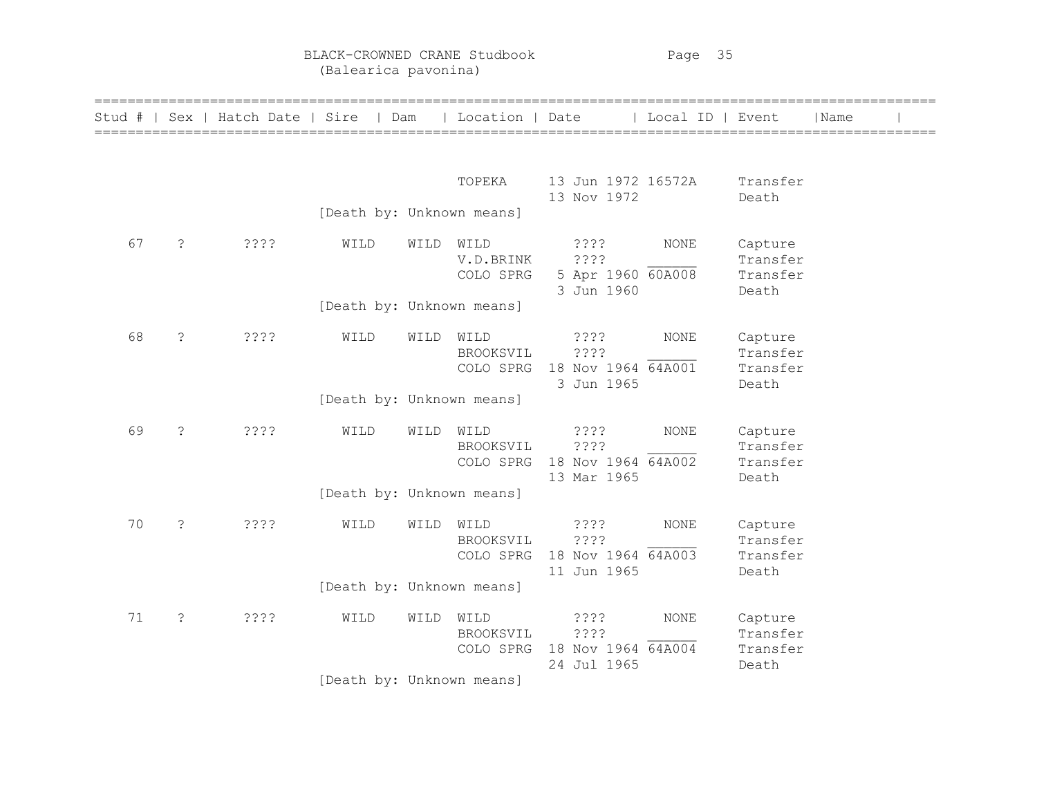BLACK-CROWNED CRANE Studbook Page 35 (Balearica pavonina)

| Stud # |    |               | Sex   Hatch Date   Sire   Dam |                           |      | Location   Date                |                                                        | Local ID   Event |                                          | Name |  |
|--------|----|---------------|-------------------------------|---------------------------|------|--------------------------------|--------------------------------------------------------|------------------|------------------------------------------|------|--|
|        |    |               |                               |                           |      | TOPEKA                         | 13 Jun 1972 16572A                                     |                  | Transfer                                 |      |  |
|        |    |               |                               | [Death by: Unknown means] |      |                                | 13 Nov 1972                                            |                  | Death                                    |      |  |
|        | 67 | ?             | ????                          | WILD                      | WILD | WILD<br>V.D.BRINK<br>COLO SPRG | ????<br>? ? ? ?<br>5 Apr 1960 60A008<br>3 Jun 1960     | <b>NONE</b>      | Capture<br>Transfer<br>Transfer<br>Death |      |  |
|        |    |               |                               | [Death by: Unknown means] |      |                                |                                                        |                  |                                          |      |  |
|        | 68 | $\dot{\cdot}$ | 3333                          | WILD                      | WILD | WILD<br>BROOKSVIL<br>COLO SPRG | $??\,?\,?$<br>????<br>18 Nov 1964 64A001<br>3 Jun 1965 | <b>NONE</b>      | Capture<br>Transfer<br>Transfer<br>Death |      |  |
|        |    |               |                               | [Death by: Unknown means] |      |                                |                                                        |                  |                                          |      |  |
|        | 69 | $\dot{\cdot}$ | ????                          | WILD                      | WILD | WILD<br>BROOKSVIL<br>COLO SPRG | 3333<br>????<br>18 Nov 1964 64A002<br>13 Mar 1965      | <b>NONE</b>      | Capture<br>Transfer<br>Transfer<br>Death |      |  |
|        |    |               |                               | [Death by: Unknown means] |      |                                |                                                        |                  |                                          |      |  |
|        | 70 | $\dot{\cdot}$ | ????                          | WILD                      | WILD | WILD<br>BROOKSVIL<br>COLO SPRG | ????<br>????<br>18 Nov 1964 64A003<br>11 Jun 1965      | <b>NONE</b>      | Capture<br>Transfer<br>Transfer<br>Death |      |  |
|        |    |               |                               | [Death by: Unknown means] |      |                                |                                                        |                  |                                          |      |  |
|        | 71 | $\dot{\cdot}$ | ????                          | WILD                      | WILD | WILD<br>BROOKSVIL<br>COLO SPRG | ????<br>????<br>18 Nov 1964 64A004<br>24 Jul 1965      | <b>NONE</b>      | Capture<br>Transfer<br>Transfer<br>Death |      |  |
|        |    |               |                               | [Death by: Unknown means] |      |                                |                                                        |                  |                                          |      |  |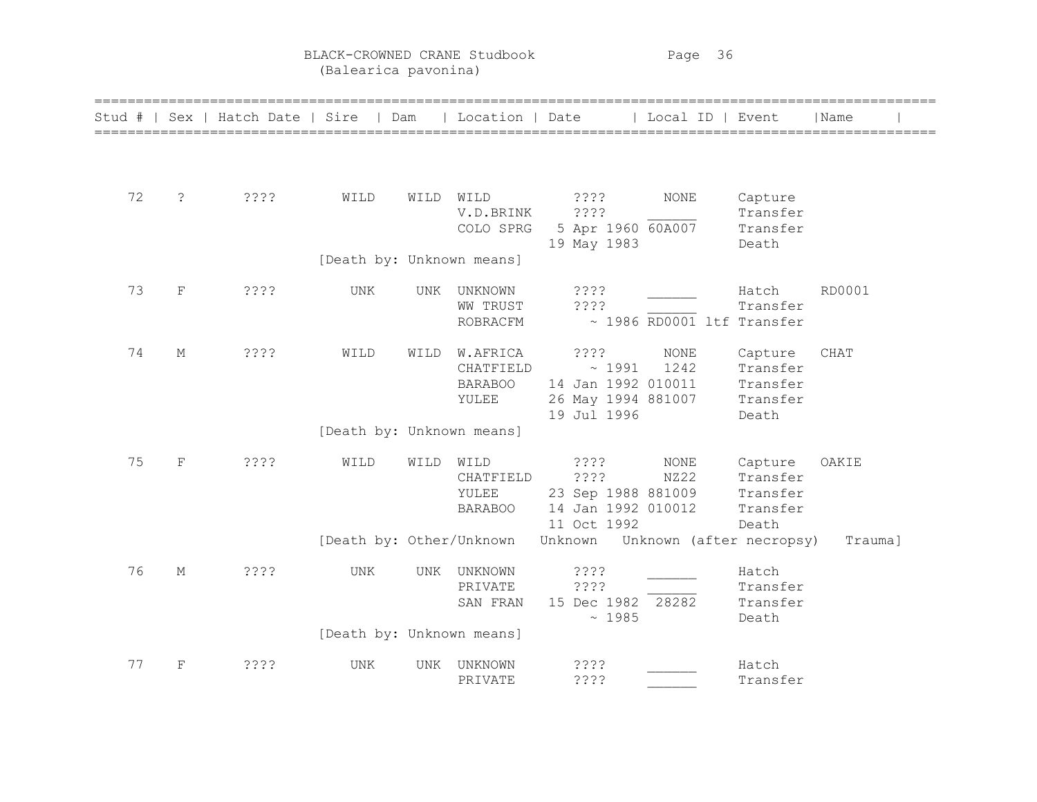BLACK-CROWNED CRANE Studbook Page 36 (Balearica pavonina)

|    |             | Stud #   Sex   Hatch Date   Sire   Dam |                           |           | Location   Date             |                                          | Local ID   Event           |                      | Name    |
|----|-------------|----------------------------------------|---------------------------|-----------|-----------------------------|------------------------------------------|----------------------------|----------------------|---------|
|    |             |                                        |                           |           |                             |                                          |                            |                      |         |
| 72 | $\tilde{S}$ | ????                                   | WILD                      | WILD WILD |                             | ? ? ? ?                                  | NONE                       | Capture              |         |
|    |             |                                        |                           |           | V.D.BRINK<br>COLO SPRG      | ????<br>5 Apr 1960 60A007                |                            | Transfer<br>Transfer |         |
|    |             |                                        | [Death by: Unknown means] |           |                             | 19 May 1983                              |                            | Death                |         |
| 73 | $\mathbf F$ | ????                                   | UNK                       | UNK       | UNKNOWN                     | ????                                     |                            | Hatch                | RD0001  |
|    |             |                                        |                           |           | <b>WW TRUST</b><br>ROBRACFM | ? ? ? ?                                  | ~ 1986 RD0001 ltf Transfer | Transfer             |         |
| 74 | М           | ????                                   | WILD                      | WILD      | W.AFRICA                    | ? ? ? ?                                  | $\rm{NONE}$                | Capture              | CHAT    |
|    |             |                                        |                           |           | CHATFIELD<br><b>BARABOO</b> | ~1991<br>14 Jan 1992 010011              | 1242                       | Transfer<br>Transfer |         |
|    |             |                                        |                           |           | YULEE                       | 26 May 1994 881007                       |                            | Transfer             |         |
|    |             |                                        |                           |           |                             | 19 Jul 1996                              |                            | Death                |         |
|    |             |                                        | [Death by: Unknown means] |           |                             |                                          |                            |                      |         |
| 75 | $\mathbf F$ | ????                                   | WILD                      | WILD      | WILD                        | $??\; ?$                                 | $\rm{NONE}$                | Capture              | OAKIE   |
|    |             |                                        |                           |           | CHATFIELD                   | ????                                     | NZ22                       | Transfer             |         |
|    |             |                                        |                           |           | YULEE<br><b>BARABOO</b>     | 23 Sep 1988 881009<br>14 Jan 1992 010012 |                            | Transfer<br>Transfer |         |
|    |             |                                        |                           |           |                             | 11 Oct 1992                              |                            | Death                |         |
|    |             |                                        | [Death by: Other/Unknown  |           |                             | Unknown Unknown (after necropsy)         |                            |                      | Trauma] |
| 76 | $\mathbf M$ | ????                                   | UNK                       | UNK       | UNKNOWN                     | 3333                                     |                            | Hatch                |         |
|    |             |                                        |                           |           | PRIVATE                     | 3333                                     |                            | Transfer             |         |
|    |             |                                        |                           |           | SAN FRAN                    | 15 Dec 1982 28282                        |                            | Transfer             |         |
|    |             |                                        | [Death by: Unknown means] |           |                             | ~1985                                    |                            | Death                |         |
|    |             |                                        |                           |           |                             |                                          |                            |                      |         |
| 77 | $\mathbf F$ | 3333                                   | UNK                       | UNK       | UNKNOWN                     | 3333                                     |                            | Hatch                |         |
|    |             |                                        |                           |           | PRIVATE                     | ????                                     |                            | Transfer             |         |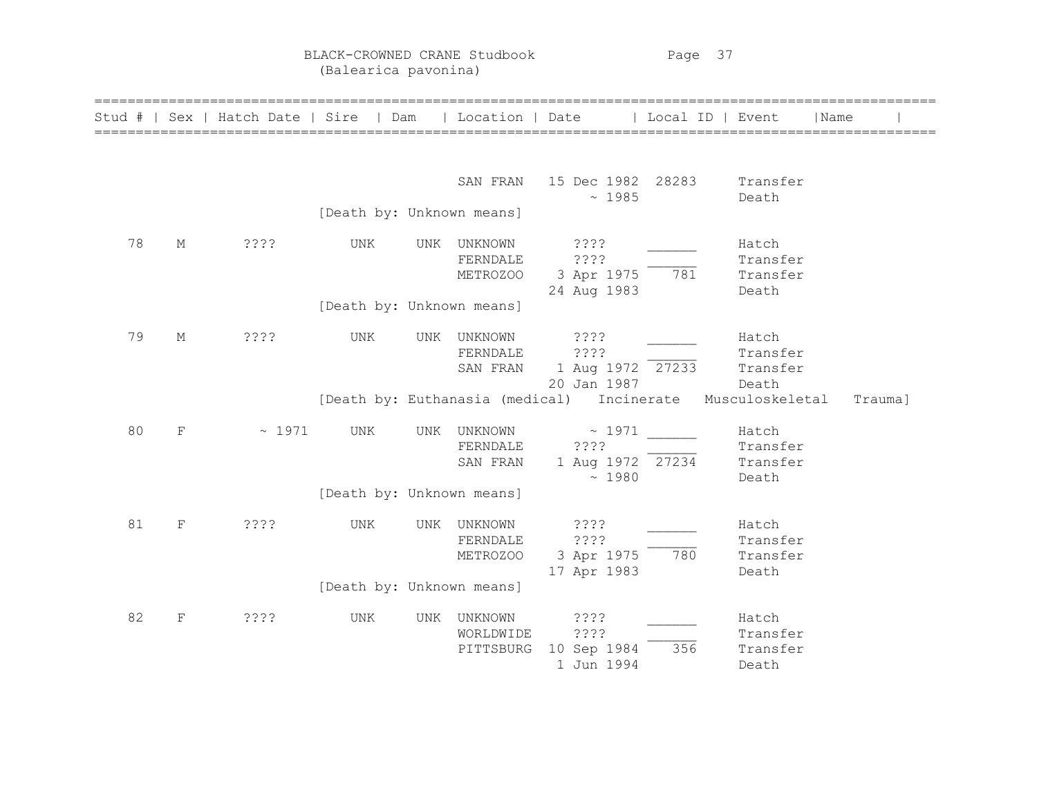BLACK-CROWNED CRANE Studbook Page 37 (Balearica pavonina)

| Stud # | Sex         | Hatch Date   Sire |                                                               | Dam | Location   Date                     |                                                                                                  | Local ID   Event |                                                           | Name |         |
|--------|-------------|-------------------|---------------------------------------------------------------|-----|-------------------------------------|--------------------------------------------------------------------------------------------------|------------------|-----------------------------------------------------------|------|---------|
|        |             |                   | [Death by: Unknown means]                                     |     | SAN FRAN                            | 15 Dec 1982 28283<br>~1985                                                                       |                  | Transfer<br>Death                                         |      |         |
| 78     | М           | ????              | UNK<br>[Death by: Unknown means]                              | UNK | UNKNOWN<br>FERNDALE<br>METROZOO     | ? ? ? ?<br>????<br>3 Apr 1975<br>24 Aug 1983                                                     | 781              | Hatch<br>Transfer<br>Transfer<br>Death                    |      |         |
| 79     | М           | ????              | UNK                                                           | UNK | UNKNOWN<br>FERNDALE<br>SAN FRAN     | ? ? ? ?<br>????<br>1 Aug 1972 27233<br>20 Jan 1987<br>[Death by: Euthanasia (medical) Incinerate |                  | Hatch<br>Transfer<br>Transfer<br>Death<br>Musculoskeletal |      | Trauma] |
| 80     | F           | ~1971             | UNK                                                           |     | UNK UNKNOWN<br>FERNDALE<br>SAN FRAN | ~1971<br>????<br>1 Aug 1972 27234<br>~1980                                                       |                  | Hatch<br>Transfer<br>Transfer<br>Death                    |      |         |
| 81     | $\mathbf F$ | ????              | [Death by: Unknown means]<br>UNK<br>[Death by: Unknown means] | UNK | UNKNOWN<br>FERNDALE<br>METROZOO     | ? ? ? ?<br>????<br>3 Apr 1975<br>17 Apr 1983                                                     | 780              | Hatch<br>Transfer<br>Transfer<br>Death                    |      |         |
| 82     | F           | ????              | UNK                                                           | UNK | UNKNOWN<br>WORLDWIDE<br>PITTSBURG   | ? ? ? ?<br>????<br>10 Sep 1984<br>1 Jun 1994                                                     | 356              | Hatch<br>Transfer<br>Transfer<br>Death                    |      |         |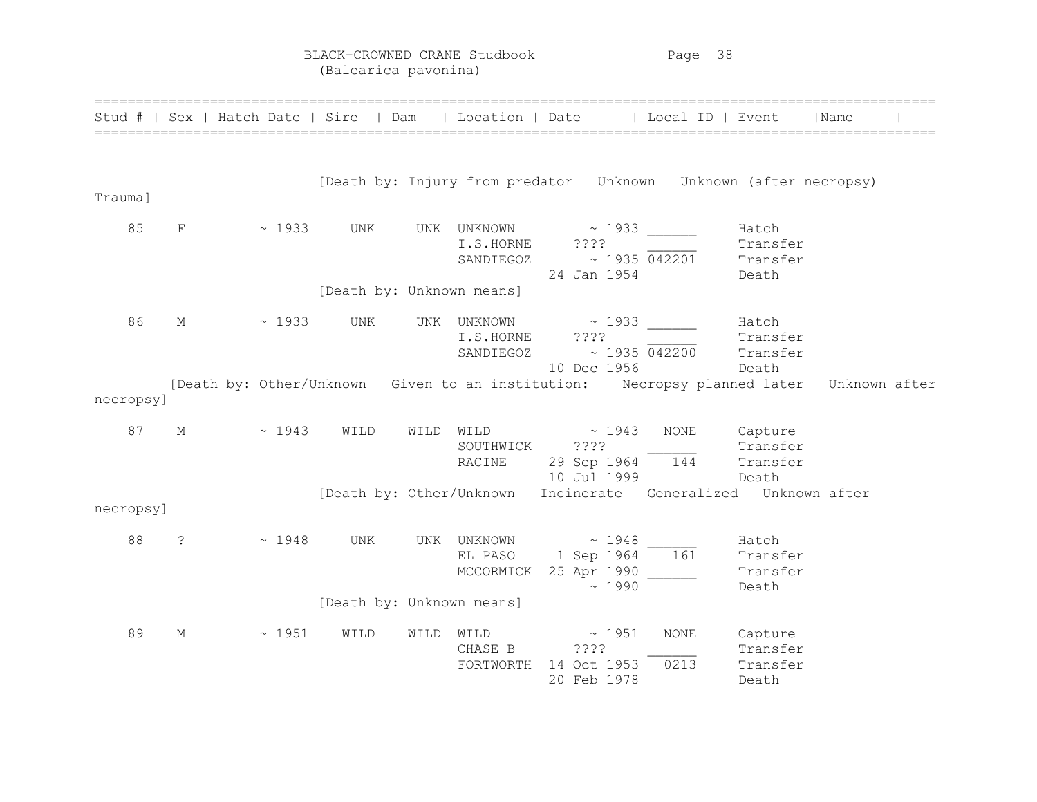BLACK-CROWNED CRANE Studbook Page 38 (Balearica pavonina)

|                 |                |                 |                                  |      |                                       | Stud #   Sex   Hatch Date   Sire   Dam   Location   Date   Local ID   Event |                                      |                                          | Name          |  |
|-----------------|----------------|-----------------|----------------------------------|------|---------------------------------------|-----------------------------------------------------------------------------|--------------------------------------|------------------------------------------|---------------|--|
| Trauma]         |                |                 |                                  |      |                                       | [Death by: Injury from predator Unknown Unknown (after necropsy)            |                                      |                                          |               |  |
| 85              | F              | $\sim 1933$ UNK |                                  |      | UNK UNKNOWN<br>I.S.HORNE<br>SANDIEGOZ | $\sim$ 1933<br>7.7.7.7<br>24 Jan 1954                                       | $\sim 1935$ 042201                   | Hatch<br>Transfer<br>Transfer<br>Death   |               |  |
|                 |                |                 | [Death by: Unknown means]        |      |                                       |                                                                             |                                      |                                          |               |  |
| 86              | М              | $\sim 1933$     | UNK                              |      | I.S.HORNE<br>SANDIEGOZ                | UNK UNKNOWN ~ 1933<br>????<br>10 Dec 1956                                   | $\sim$ 1935 042200 Transfer<br>Death | Hatch<br>Transfer                        |               |  |
| necropsy]       |                |                 |                                  |      |                                       | [Death by: Other/Unknown Given to an institution: Necropsy planned later    |                                      |                                          | Unknown after |  |
| 87              | М              | $\sim 1943$     | WILD                             |      | SOUTHWICK ????<br>RACINE              | WILD WILD $\sim$ 1943<br>29 Sep 1964 144<br>10 Jul 1999                     | NONE                                 | Capture<br>Transfer<br>Transfer<br>Death |               |  |
|                 |                |                 |                                  |      |                                       | [Death by: Other/Unknown Incinerate Generalized Unknown after               |                                      |                                          |               |  |
| necropsy]<br>88 | $\ddot{\cdot}$ | ~1948           | UNK<br>[Death by: Unknown means] |      | UNK UNKNOWN<br>EL PASO                | $\sim 1948$<br>$1$ Sep 1964 $161$<br>MCCORMICK 25 Apr 1990<br>~1990         |                                      | Hatch<br>Transfer<br>Transfer<br>Death   |               |  |
| 89              | М              | ~1951           | WILD                             | WILD | WILD<br>CHASE B<br>FORTWORTH          | $\sim 1951$<br>? ? ? ?<br>14 Oct 1953<br>20 Feb 1978                        | <b>NONE</b><br>0213                  | Capture<br>Transfer<br>Transfer<br>Death |               |  |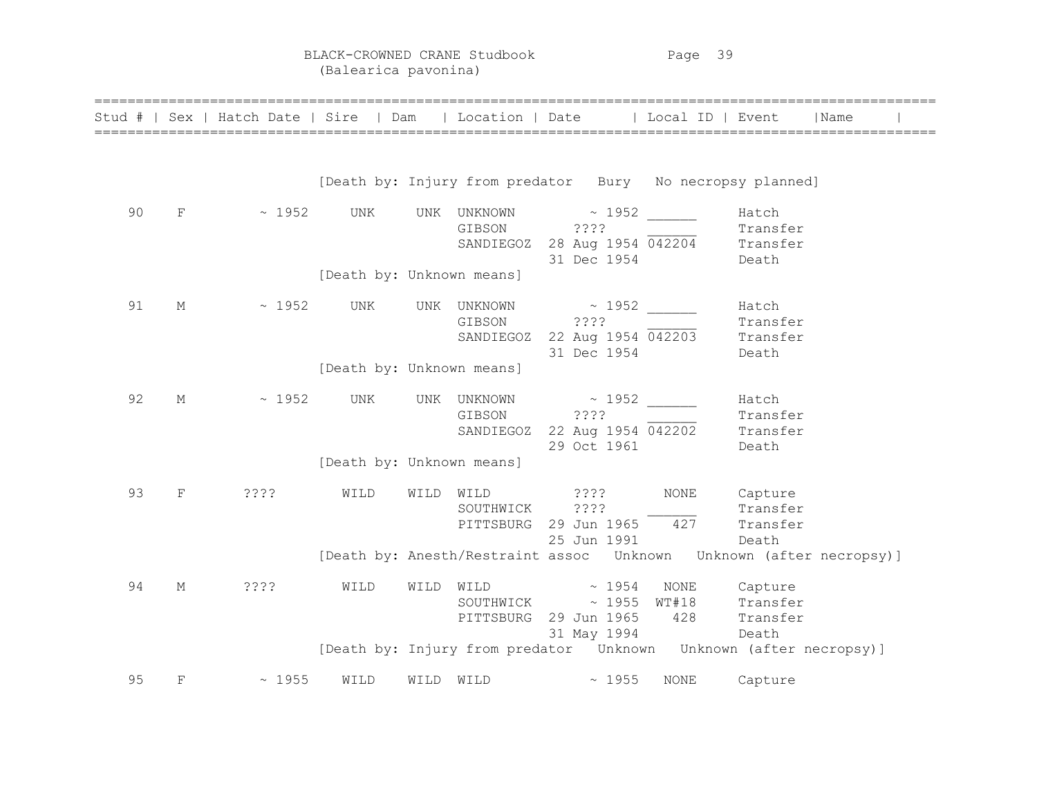BLACK-CROWNED CRANE Studbook Page 39 (Balearica pavonina)

| Stud # |             | Sex   Hatch Date   Sire   Dam   Location   Date |                           |           |                            |                                                                                   |      | l Local ID   Event                                                                                               | Name |
|--------|-------------|-------------------------------------------------|---------------------------|-----------|----------------------------|-----------------------------------------------------------------------------------|------|------------------------------------------------------------------------------------------------------------------|------|
|        |             |                                                 |                           |           |                            |                                                                                   |      | [Death by: Injury from predator Bury No necropsy planned]                                                        |      |
| 90     | F           | $\sim 1952$                                     | UNK                       |           | UNK UNKNOWN<br>GIBSON      | $\sim 1952$<br>????                                                               |      | Hatch<br>Transfer<br>SANDIEGOZ 28 Aug 1954 042204 Transfer<br>31 Dec 1954 Death                                  |      |
|        |             |                                                 | [Death by: Unknown means] |           |                            |                                                                                   |      |                                                                                                                  |      |
| 91     | $\mathbf M$ | $\sim 1952$                                     | UNK                       |           | UNK UNKNOWN<br>GIBSON ???? | $\sim 1952$<br>31 Dec 1954 Death                                                  |      | Hatch<br>Transfer<br>SANDIEGOZ 22 Aug 1954 042203 Transfer                                                       |      |
|        |             |                                                 | [Death by: Unknown means] |           |                            |                                                                                   |      |                                                                                                                  |      |
| 92     | $M_{\odot}$ | $\sim 1952$                                     | UNK                       |           | UNK UNKNOWN<br>GIBSON ???? | 29 Oct 1961                                                                       |      | Hatch<br>Transfer<br>SANDIEGOZ 22 Aug 1954 042202 Transfer<br>Death                                              |      |
|        |             |                                                 | [Death by: Unknown means] |           |                            |                                                                                   |      |                                                                                                                  |      |
| 93     | $\mathbf F$ | ????                                            | WILD                      | WILD      | WILD<br>SOUTHWICK ????     | 2222<br>PITTSBURG 29 Jun 1965 427<br>25 Jun 1991                                  | NONE | Capture<br>Transfer<br>Transfer<br>Death                                                                         |      |
|        |             |                                                 |                           |           |                            |                                                                                   |      |                                                                                                                  |      |
| 94     | М           | ????                                            | WILD                      | WILD WILD |                            | $\sim 1954$<br>SOUTHWICK ~ 1955 WT#18<br>PITTSBURG 29 Jun 1965 428<br>31 May 1994 | NONE | Capture<br>Transfer<br>Transfer<br>Death<br>[Death by: Injury from predator  Unknown  Unknown  (after necropsy)] |      |
| 95     | F           | $\sim 1955$                                     | WILD                      | WILD WILD |                            | $\sim 1955$                                                                       | NONE | Capture                                                                                                          |      |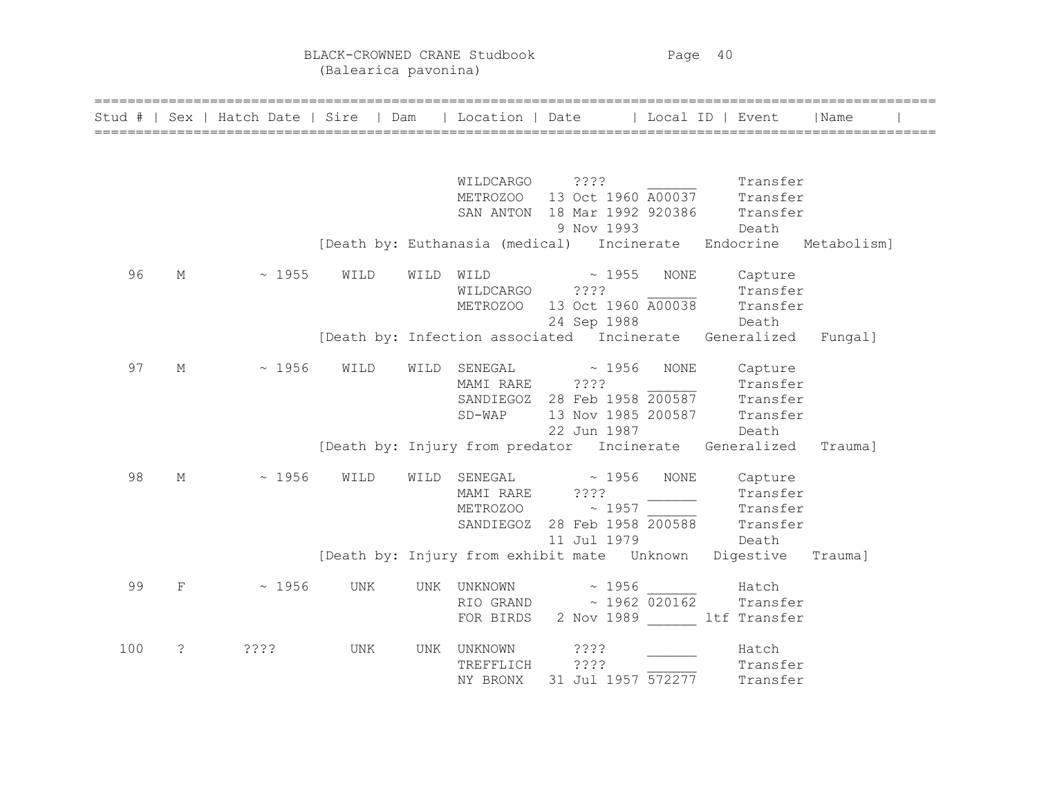BLACK-CROWNED CRANE Studbook Page 40 (Balearica pavonina)

|     |                       | Stud #   Sex   Hatch Date   Sire   Dam   Location   Date   Local ID   Event |      |      |                |                                                        |      |                                                                                                               | Name |
|-----|-----------------------|-----------------------------------------------------------------------------|------|------|----------------|--------------------------------------------------------|------|---------------------------------------------------------------------------------------------------------------|------|
|     |                       |                                                                             |      |      |                |                                                        |      |                                                                                                               |      |
|     |                       |                                                                             |      |      |                |                                                        |      | Transfer<br>METROZOO 13 Oct 1960 A00037 Transfer<br>SAN ANTON 18 Mar 1992 920386 Transfer<br>9 Nov 1993 Death |      |
|     |                       |                                                                             |      |      |                |                                                        |      |                                                                                                               |      |
|     |                       |                                                                             |      |      |                |                                                        |      |                                                                                                               |      |
|     |                       |                                                                             |      |      |                |                                                        |      | [Death by: Euthanasia (medical) Incinerate Endocrine Metabolism]                                              |      |
| 96  | $M_{\odot}$           | $\sim 1955$                                                                 | WILD | WILD |                | $\texttt{WILD} \qquad \qquad \texttt{\sim} \quad 1955$ | NONE | Capture                                                                                                       |      |
|     |                       |                                                                             |      |      | WILDCARGO ???? |                                                        |      | Transfer                                                                                                      |      |
|     |                       |                                                                             |      |      |                |                                                        |      | METROZOO 13 Oct 1960 A00038 Transfer                                                                          |      |
|     |                       |                                                                             |      |      |                | 24 Sep 1988 Death                                      |      |                                                                                                               |      |
|     |                       |                                                                             |      |      |                |                                                        |      | [Death by: Infection associated Incinerate Generalized Fungal]                                                |      |
| 97  | М                     | $\sim 1956$                                                                 | WILD |      |                | $\verb WILDq>SENEGAL  \sim 1956$                       | NONE | Capture                                                                                                       |      |
|     |                       |                                                                             |      |      |                |                                                        |      | MAMI RARE 2???<br>SANDIEGOZ 28 Feb 1958 200587 Transfer                                                       |      |
|     |                       |                                                                             |      |      |                |                                                        |      |                                                                                                               |      |
|     |                       |                                                                             |      |      |                |                                                        |      | SD-WAP 13 Nov 1985 200587 Transfer                                                                            |      |
|     |                       |                                                                             |      |      |                | 22 Jun 1987                                            |      | Death                                                                                                         |      |
|     |                       |                                                                             |      |      |                |                                                        |      | [Death by: Injury from predator Incinerate Generalized Trauma]                                                |      |
| 98  | М                     | ~1956                                                                       | WILD |      |                | $\verb WILDq>SENEGAL  \sim 1956$                       |      | NONE Capture                                                                                                  |      |
|     |                       |                                                                             |      |      |                |                                                        |      | Transfer<br>METROZOO ~ 1957<br>SANDIEGOZ 28 Feb 1958 200588 Transfer<br>11 Jul 1979                           |      |
|     |                       |                                                                             |      |      |                |                                                        |      |                                                                                                               |      |
|     |                       |                                                                             |      |      |                |                                                        |      |                                                                                                               |      |
|     |                       |                                                                             |      |      |                |                                                        |      | Death by: Injury from exhibit mate Unknown Digestive Traumal                                                  |      |
|     |                       |                                                                             |      |      |                |                                                        |      |                                                                                                               |      |
| 99  | F                     | $~\sim~1956$                                                                | UNK  |      |                | UNK UNKNOWN ~ 1956 ______                              |      | Hatch                                                                                                         |      |
|     |                       |                                                                             |      |      |                | RIO GRAND ~ 1962 020162                                |      | Transfer                                                                                                      |      |
|     |                       |                                                                             |      |      |                |                                                        |      | FOR BIRDS 2 Nov 1989 ltf Transfer                                                                             |      |
| 100 | $\tilde{\mathcal{E}}$ | 3333.                                                                       | UNK  |      | UNK UNKNOWN    | ? ? ? ?                                                |      | Hatch                                                                                                         |      |
|     |                       |                                                                             |      |      | TREFFLICH      | ????                                                   |      | Transfer                                                                                                      |      |
|     |                       |                                                                             |      |      | NY BRONX       | 31 Jul 1957 572277                                     |      | Transfer                                                                                                      |      |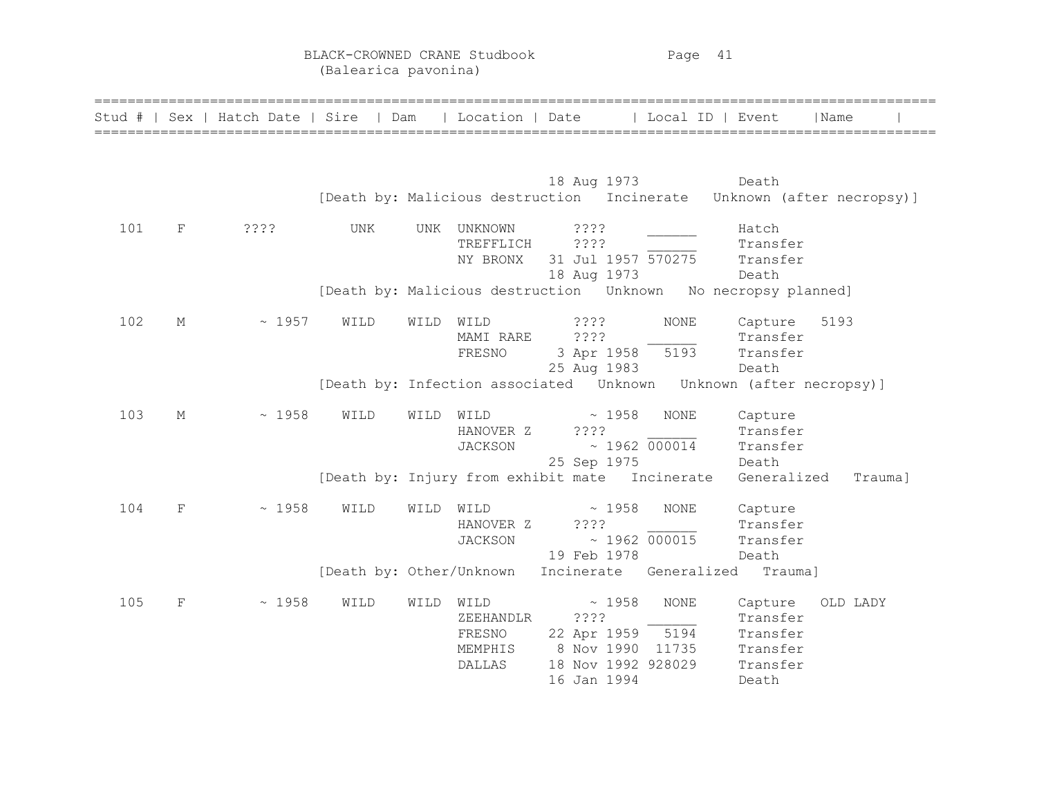BLACK-CROWNED CRANE Studbook Page 41 (Balearica pavonina)

|     |            | Stud #   Sex   Hatch Date   Sire   Dam   Location   Date   Local ID   Event |      |      |                                                  | ========================                                                                   |             | ======================================                           | Name     |  |
|-----|------------|-----------------------------------------------------------------------------|------|------|--------------------------------------------------|--------------------------------------------------------------------------------------------|-------------|------------------------------------------------------------------|----------|--|
|     |            |                                                                             |      |      |                                                  | 18 Aug 1973<br>[Death by: Malicious destruction Incinerate Unknown (after necropsy)]       |             | Death                                                            |          |  |
| 101 | F          | $??\$                                                                       | UNK  | UNK  | UNKNOWN<br>TREFFLICH<br>NY BRONX                 | ????<br>????<br>31 Jul 1957 570275<br>18 Aug 1973                                          |             | Hatch<br>Transfer<br>Transfer<br>Death                           |          |  |
|     |            |                                                                             |      |      |                                                  | [Death by: Malicious destruction Unknown No necropsy planned]                              |             |                                                                  |          |  |
| 102 | М          | ~1957                                                                       | WILD | WILD | WILD<br>MAMI RARE<br>FRESNO                      | ????<br>$??\$ ?<br>3 Apr 1958 5193<br>25 Aug 1983                                          | $\rm{NONE}$ | Capture<br>Transfer<br>Transfer<br>Death                         | 5193     |  |
|     |            |                                                                             |      |      |                                                  | [Death by: Infection associated  Unknown  Unknown (after necropsy)]                        |             |                                                                  |          |  |
| 103 | М          | ~1958                                                                       | WILD | WILD | WILD<br>HANOVER Z<br><b>JACKSON</b>              | $\sim 1958$<br>7777<br>$\sim 1962 000014$<br>25 Sep 1975                                   | <b>NONE</b> | Capture<br>Transfer<br>Transfer<br>Death                         |          |  |
|     |            |                                                                             |      |      |                                                  | [Death by: Injury from exhibit mate Incinerate                                             |             | Generalized                                                      | Trauma]  |  |
| 104 | $_{\rm F}$ | ~1958                                                                       | WILD | WILD | WILD<br>HANOVER Z<br><b>JACKSON</b>              | $\sim 1958$<br>????<br>$\sim 1962 000015$<br>19 Feb 1978                                   | <b>NONE</b> | Capture<br>Transfer<br>Transfer<br>Death                         |          |  |
|     |            |                                                                             |      |      |                                                  | [Death by: Other/Unknown Incinerate Generalized Trauma]                                    |             |                                                                  |          |  |
| 105 | $_{\rm F}$ | ~1958                                                                       | WILD | WILD | WILD<br>ZEEHANDLR<br>FRESNO<br>MEMPHIS<br>DALLAS | ~1958<br>????<br>22 Apr 1959 5194<br>8 Nov 1990 11735<br>18 Nov 1992 928029<br>16 Jan 1994 | <b>NONE</b> | Capture<br>Transfer<br>Transfer<br>Transfer<br>Transfer<br>Death | OLD LADY |  |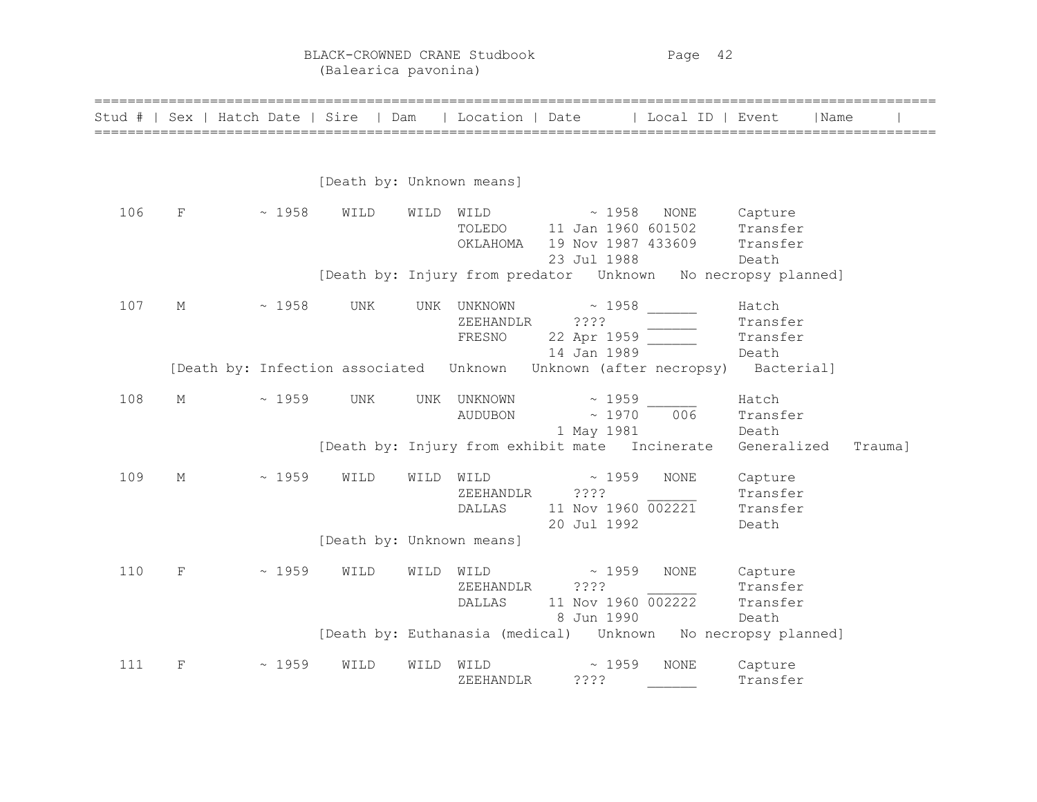BLACK-CROWNED CRANE Studbook Page 42 (Balearica pavonina)

| Stud # | Sex         | Hatch Date   Sire |                                         | Dam  | Location   Date |                                                                    | Local ID   Event |                      | l Name  |
|--------|-------------|-------------------|-----------------------------------------|------|-----------------|--------------------------------------------------------------------|------------------|----------------------|---------|
|        |             |                   |                                         |      |                 |                                                                    |                  |                      |         |
|        |             |                   | [Death by: Unknown means]               |      |                 |                                                                    |                  |                      |         |
| 106    | F           | ~1958             | WILD                                    | WILD | WILD            | ~1958                                                              | NONE             | Capture              |         |
|        |             |                   |                                         |      | TOLEDO          | 11 Jan 1960 601502                                                 |                  | Transfer             |         |
|        |             |                   |                                         |      | OKLAHOMA        | 19 Nov 1987 433609                                                 |                  | Transfer             |         |
|        |             |                   |                                         |      |                 | 23 Jul 1988                                                        |                  | Death                |         |
|        |             |                   |                                         |      |                 | [Death by: Injury from predator Unknown                            |                  | No necropsy planned] |         |
| 107    | М           | ~1958             | UNK                                     | UNK  | UNKNOWN         | ~1958                                                              |                  | Hatch                |         |
|        |             |                   |                                         |      | ZEEHANDLR       | ????                                                               |                  | Transfer             |         |
|        |             |                   |                                         |      | FRESNO          | 22 Apr 1959                                                        |                  | Transfer             |         |
|        |             |                   |                                         |      |                 | 14 Jan 1989                                                        |                  | Death                |         |
|        |             |                   | [Death by: Infection associated Unknown |      |                 | Unknown (after necropsy)                                           |                  | Bacterial]           |         |
| 108    | М           | $~\sim~1959$      | UNK                                     | UNK  | UNKNOWN         | $\sim 1959$                                                        |                  | Hatch                |         |
|        |             |                   |                                         |      | <b>AUDUBON</b>  | $\sim 1970$                                                        | 006              | Transfer             |         |
|        |             |                   |                                         |      |                 | 1 May 1981                                                         |                  | Death                |         |
|        |             |                   |                                         |      |                 | [Death by: Injury from exhibit mate Incinerate                     |                  | Generalized          | Trauma] |
| 109    | $M_{\odot}$ | $~\sim~1959$      | WILD                                    | WILD | WILD            | $\sim 1959$                                                        | <b>NONE</b>      | Capture              |         |
|        |             |                   |                                         |      | ZEEHANDLR       | ????                                                               |                  | Transfer             |         |
|        |             |                   |                                         |      | DALLAS          | 11 Nov 1960 002221                                                 |                  | Transfer             |         |
|        |             |                   |                                         |      |                 | 20 Jul 1992                                                        |                  | Death                |         |
|        |             |                   | [Death by: Unknown means]               |      |                 |                                                                    |                  |                      |         |
| 110    | $\mathbf F$ | ~1959             | WILD                                    | WILD | WILD            | $\sim 1959$                                                        | <b>NONE</b>      | Capture              |         |
|        |             |                   |                                         |      | ZEEHANDLR       | ????                                                               |                  | Transfer             |         |
|        |             |                   |                                         |      | DALLAS          | 11 Nov 1960 002222                                                 |                  | Transfer             |         |
|        |             |                   |                                         |      |                 | 8 Jun 1990                                                         |                  | Death                |         |
|        |             |                   |                                         |      |                 | [Death by: Euthanasia (medical)    Unknown    No necropsy planned] |                  |                      |         |
| 111    | F           | $~\sim~1959$      | WILD                                    | WILD | WILD            | ~1959                                                              | NONE             | Capture              |         |
|        |             |                   |                                         |      | ZEEHANDLR       | ????                                                               |                  | Transfer             |         |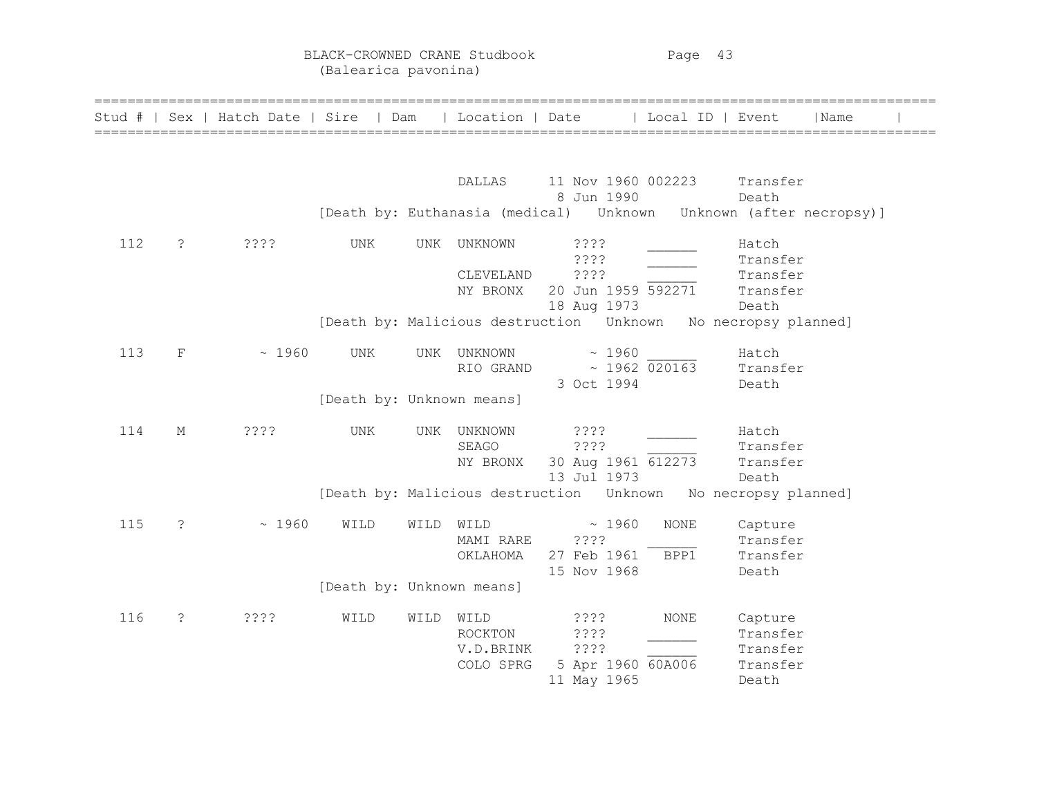BLACK-CROWNED CRANE Studbook Page 43 (Balearica pavonina)

|     |                       |       |                           |      |                                           | Stud #   Sex   Hatch Date   Sire   Dam   Location   Date   Local ID   Event |                                                      | l Name |  |
|-----|-----------------------|-------|---------------------------|------|-------------------------------------------|-----------------------------------------------------------------------------|------------------------------------------------------|--------|--|
|     |                       |       |                           |      | DALLAS                                    | 11 Nov 1960 002223 Transfer<br>8 Jun 1990                                   | Death                                                |        |  |
|     |                       |       |                           |      |                                           | [Death by: Euthanasia (medical)    Unknown   Unknown   (after necropsy)]    |                                                      |        |  |
| 112 | $\tilde{\mathcal{E}}$ | ????  | UNK                       | UNK  | UNKNOWN<br>CLEVELAND<br>NY BRONX          | 3333<br>????<br>????<br>20 Jun 1959 592271<br>18 Aug 1973                   | Hatch<br>Transfer<br>Transfer<br>Transfer<br>Death   |        |  |
|     |                       |       |                           |      |                                           |                                                                             |                                                      |        |  |
| 113 | $\mathbf F$           | ~1960 | UNK                       |      | RIO GRAND                                 | UNK UNKNOWN ~ 1960<br>$\sim$ 1962 020163 Transfer<br>3 Oct 1994             | Hatch<br>Death                                       |        |  |
|     |                       |       | [Death by: Unknown means] |      |                                           |                                                                             |                                                      |        |  |
| 114 | М                     | ????  | UNK                       | UNK  | UNKNOWN<br>SEAGO<br>NY BRONX              | ????<br>????<br>30 Aug 1961 612273<br>13 Jul 1973                           | Hatch<br>Transfer<br>Transfer<br>Death               |        |  |
|     |                       |       |                           |      |                                           |                                                                             |                                                      |        |  |
| 115 | $\tilde{\mathcal{E}}$ | ~1960 | WILD                      | WILD | WILD<br>MAMI RARE<br>OKLAHOMA             | NONE<br>~1960<br>????<br>27 Feb 1961<br>BPP1<br>15 Nov 1968                 | Capture<br>Transfer<br>Transfer<br>Death             |        |  |
|     |                       |       | [Death by: Unknown means] |      |                                           |                                                                             |                                                      |        |  |
| 116 | $\tilde{\mathcal{E}}$ | ????  | WILD                      | WILD | WILD<br>ROCKTON<br>V.D.BRINK<br>COLO SPRG | $??\ ?$<br><b>NONE</b><br>????<br>????<br>5 Apr 1960 60A006<br>11 May 1965  | Capture<br>Transfer<br>Transfer<br>Transfer<br>Death |        |  |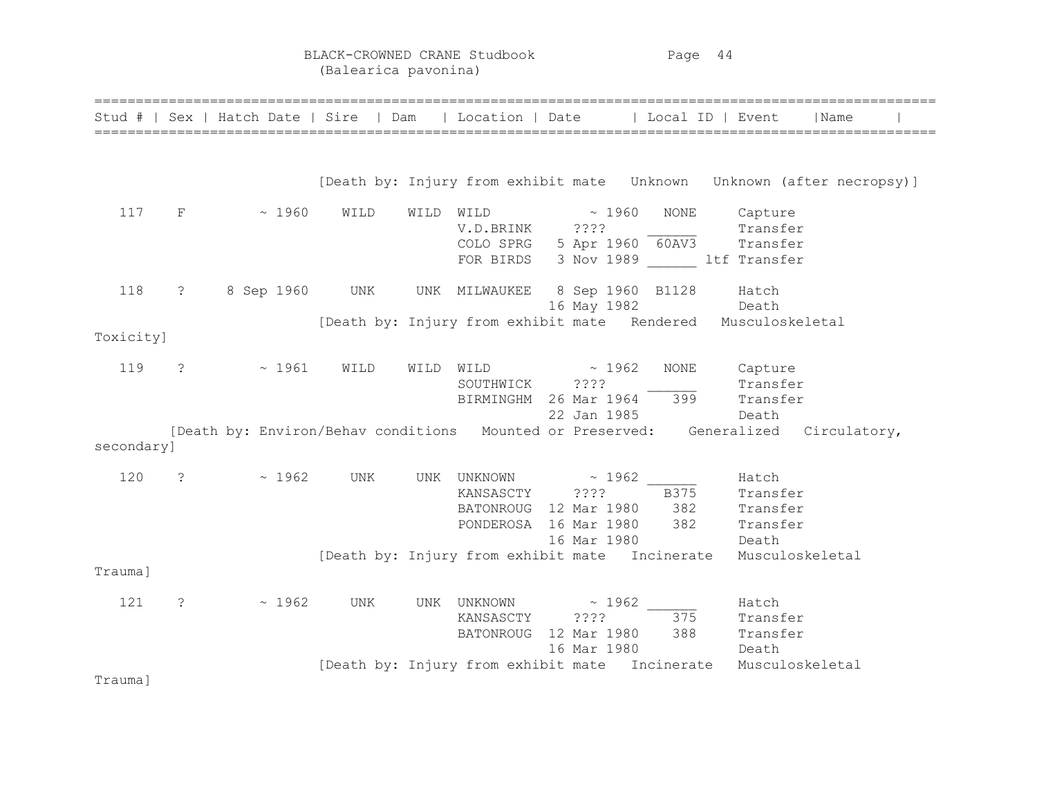BLACK-CROWNED CRANE Studbook Page 44 (Balearica pavonina)

|            |                         | Stud #   Sex   Hatch Date   Sire   Dam   Location   Date   Local ID   Event        |      |           |                                                                                        |                                          |                           |                                                                                                                | Name |  |
|------------|-------------------------|------------------------------------------------------------------------------------|------|-----------|----------------------------------------------------------------------------------------|------------------------------------------|---------------------------|----------------------------------------------------------------------------------------------------------------|------|--|
|            |                         |                                                                                    |      |           |                                                                                        |                                          |                           |                                                                                                                |      |  |
|            |                         |                                                                                    |      |           |                                                                                        |                                          |                           |                                                                                                                |      |  |
| 117        | $F \sim$                | $\sim 1960$                                                                        | WILD | WILD WILD | V.D.BRINK ????                                                                         | $\sim 1960$                              | NONE                      | Capture<br>Transfer<br>COLO SPRG $5$ Apr 1960 $\overline{60AV3}$ Transfer<br>FOR BIRDS 3 Nov 1989 ltf Transfer |      |  |
| 118        | $\ddot{\text{?}}$       | 8 Sep 1960 UNK                                                                     |      |           | UNK MILWAUKEE 8 Sep 1960 B1128                                                         |                                          |                           | Hatch<br>16 May 1982 Death                                                                                     |      |  |
| Toxicity]  |                         |                                                                                    |      |           |                                                                                        |                                          |                           | [Death by: Injury from exhibit mate Rendered Musculoskeletal                                                   |      |  |
| 119        | $\cdot$                 | $\sim 1961$                                                                        | WILD |           | WILD WILD $\sim$ 1962<br>SOUTHWICK ????                                                |                                          | NONE                      | Capture<br>Transfer<br>BIRMINGHM 26 Mar 1964 399 Transfer<br>22 Jan 1985 Death                                 |      |  |
| secondary] |                         | [Death by: Environ/Behav conditions Mounted or Preserved: Generalized Circulatory, |      |           |                                                                                        |                                          |                           |                                                                                                                |      |  |
| 120        | $\overline{\mathbf{?}}$ | $\sim 1962$                                                                        | UNK  |           | UNK UNKNOWN ~ 1962<br>KANSASCTY ????<br>BATONROUG 12 Mar 1980<br>PONDEROSA 16 Mar 1980 | 16 Mar 1980                              | <b>B375</b><br>382<br>382 | Hatch<br>Transfer<br>Transfer<br>Transfer<br>Death                                                             |      |  |
| Trauma]    |                         |                                                                                    |      |           |                                                                                        |                                          |                           | [Death by: Injury from exhibit mate Incinerate Musculoskeletal                                                 |      |  |
| 121        | $\mathcal{S}$           | $\sim 1962$                                                                        | UNK  |           | UNK UNKNOWN<br>KANSASCTY<br><b>BATONROUG</b>                                           | $\sim 1962$<br>$??\,?\,?$<br>16 Mar 1980 | 375                       | Hatch<br>Transfer<br>12 Mar 1980 388 Transfer<br>Death                                                         |      |  |
| Trauma]    |                         |                                                                                    |      |           |                                                                                        |                                          |                           | [Death by: Injury from exhibit mate Incinerate Musculoskeletal                                                 |      |  |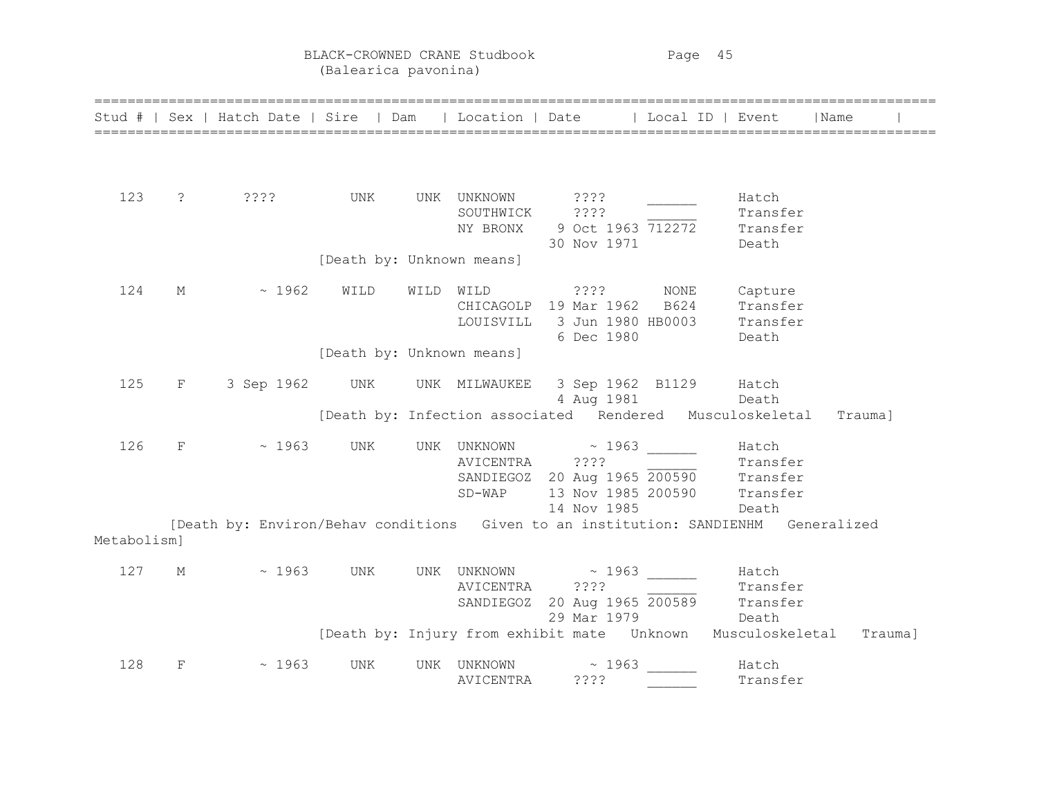BLACK-CROWNED CRANE Studbook Page 45 (Balearica pavonina)

| Stud #      |             | Sex   Hatch Date   Sire   Dam                                                      |                           | Location   Date |                                                                 | Local ID   Event |                   | Name    |  |
|-------------|-------------|------------------------------------------------------------------------------------|---------------------------|-----------------|-----------------------------------------------------------------|------------------|-------------------|---------|--|
|             |             |                                                                                    |                           |                 |                                                                 |                  |                   |         |  |
|             |             |                                                                                    |                           |                 |                                                                 |                  |                   |         |  |
|             |             |                                                                                    |                           |                 |                                                                 |                  |                   |         |  |
| 123         | $\ddot{ }$  | ????                                                                               | UNK                       | UNK UNKNOWN     | ? ? ? ?                                                         |                  | Hatch             |         |  |
|             |             |                                                                                    |                           | SOUTHWICK       | ????                                                            |                  | Transfer          |         |  |
|             |             |                                                                                    |                           |                 | NY BRONX 9 Oct 1963 712272<br>30 Nov 1971                       |                  | Transfer<br>Death |         |  |
|             |             |                                                                                    | [Death by: Unknown means] |                 |                                                                 |                  |                   |         |  |
|             |             |                                                                                    |                           |                 |                                                                 |                  |                   |         |  |
| 124         | $M_{\odot}$ | $\sim 1962$                                                                        | WILD                      |                 | WILD WILD ????                                                  | NONE             | Capture           |         |  |
|             |             |                                                                                    |                           |                 | CHICAGOLP 19 Mar 1962                                           | B624             | Transfer          |         |  |
|             |             |                                                                                    |                           | LOUISVILL       | 3 Jun 1980 HB0003                                               |                  | Transfer          |         |  |
|             |             |                                                                                    |                           |                 | 6 Dec 1980                                                      |                  | Death             |         |  |
|             |             |                                                                                    | [Death by: Unknown means] |                 |                                                                 |                  |                   |         |  |
| 125         | F           | 3 Sep 1962 UNK                                                                     |                           |                 | UNK MILWAUKEE 3 Sep 1962 B1129 Hatch                            |                  |                   |         |  |
|             |             |                                                                                    |                           |                 |                                                                 | 4 Aug 1981 Death |                   |         |  |
|             |             |                                                                                    |                           |                 | [Death by: Infection associated Rendered Musculoskeletal        |                  |                   | Trauma] |  |
| 126         | $_{\rm F}$  | $\sim 1963$                                                                        | UNK                       |                 |                                                                 |                  |                   |         |  |
|             |             |                                                                                    |                           | AVICENTRA ????  | UNK UNKNOWN ~ 1963 Hatch                                        |                  |                   |         |  |
|             |             |                                                                                    |                           |                 | AVICENTRA ????<br>SANDIEGOZ 20 Aug 1965 200590 Transfer         |                  |                   |         |  |
|             |             |                                                                                    |                           | $SD-WAP$        | 13 Nov 1985 200590                                              |                  | Transfer          |         |  |
|             |             |                                                                                    |                           |                 | 14 Nov 1985                                                     |                  | Death             |         |  |
|             |             | [Death by: Environ/Behav conditions Given to an institution: SANDIENHM Generalized |                           |                 |                                                                 |                  |                   |         |  |
| Metabolism] |             |                                                                                    |                           |                 |                                                                 |                  |                   |         |  |
| 127         | $M_{\odot}$ | $\sim 1963$                                                                        | UNK                       | UNK UNKNOWN     | $\sim 1963$                                                     |                  | Hatch             |         |  |
|             |             |                                                                                    |                           | AVICENTRA ????  |                                                                 |                  | Transfer          |         |  |
|             |             |                                                                                    |                           |                 | SANDIEGOZ 20 Aug 1965 200589 Transfer<br>20 Mar 1979 Pasth Dath |                  |                   |         |  |
|             |             |                                                                                    |                           |                 | 29 Mar 1979                                                     | Death            |                   |         |  |
|             |             |                                                                                    |                           |                 | [Death by: Injury from exhibit mate  Unknown  Musculoskeletal   |                  |                   | Trauma] |  |
| 128         | F           | ~1963                                                                              | UNK                       | UNK UNKNOWN     | ~1963                                                           |                  | Hatch             |         |  |
|             |             |                                                                                    |                           | AVICENTRA       | ????                                                            |                  | Transfer          |         |  |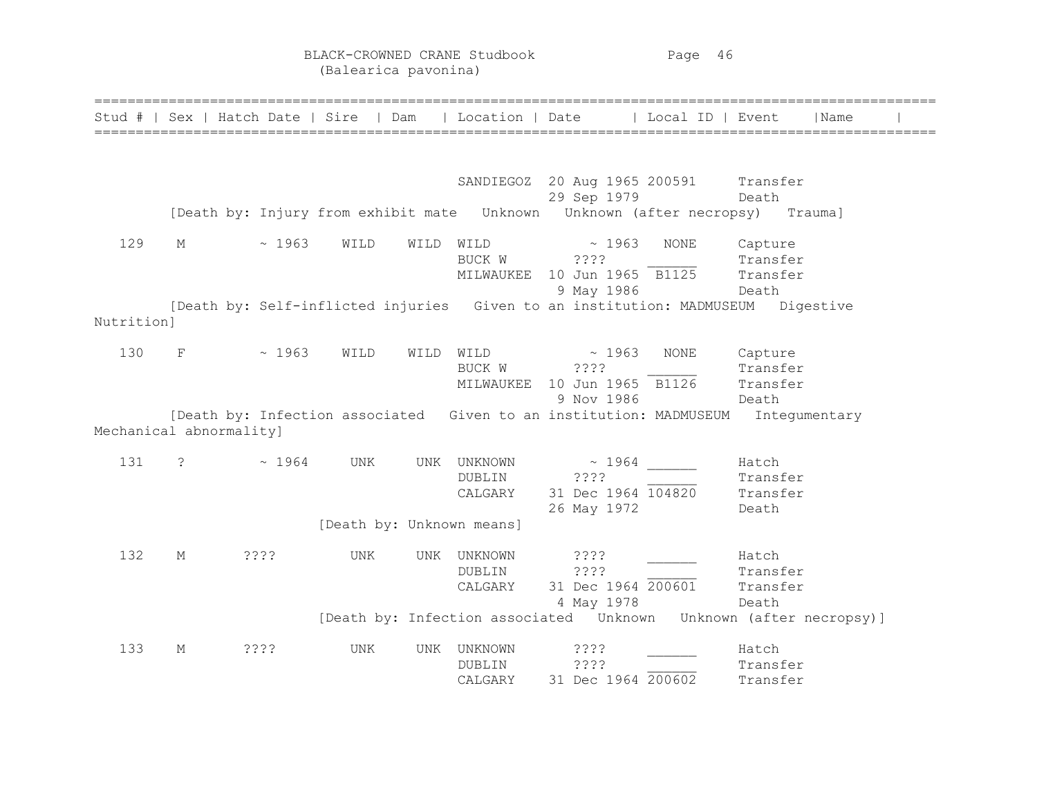BLACK-CROWNED CRANE Studbook Page 46 (Balearica pavonina)

|            | Stud #   Sex   Hatch Date   Sire   Dam |       |      |      | Location   Date              |                                                                       | Local ID   Event |                                          | Name      |  |
|------------|----------------------------------------|-------|------|------|------------------------------|-----------------------------------------------------------------------|------------------|------------------------------------------|-----------|--|
|            |                                        |       |      |      |                              |                                                                       |                  |                                          |           |  |
|            |                                        |       |      |      |                              | SANDIEGOZ 20 Aug 1965 200591 Transfer<br>29 Sep 1979                  |                  | Death                                    |           |  |
|            |                                        |       |      |      |                              |                                                                       |                  |                                          | Trauma]   |  |
| 129        | М                                      | ~1963 | WILD | WILD | WILD<br>BUCK W<br>MILWAUKEE  | $\sim 1963$<br>????<br>10 Jun 1965 B1125<br>9 May 1986                | <b>NONE</b>      | Capture<br>Transfer<br>Transfer<br>Death |           |  |
| Nutrition] |                                        |       |      |      |                              | [Death by: Self-inflicted injuries Given to an institution: MADMUSEUM |                  |                                          | Digestive |  |
| 130        | F                                      | ~1963 | WILD | WILD | WILD<br>BUCK W<br>MILWAUKEE  | ~1963<br>????<br>10 Jun 1965 B1126<br>9 Nov 1986                      | <b>NONE</b>      | Capture<br>Transfer<br>Transfer<br>Death |           |  |
|            | Mechanical abnormality]                |       |      |      |                              | [Death by: Infection associated Given to an institution: MADMUSEUM    |                  | Integumentary                            |           |  |
| 131        | $\ddot{\text{?}}$                      | ~1964 | UNK  | UNK  | UNKNOWN<br>DUBLIN<br>CALGARY | $~\sim~1964$<br>????<br>31 Dec 1964 104820<br>26 May 1972             |                  | Hatch<br>Transfer<br>Transfer<br>Death   |           |  |
|            |                                        |       |      |      | [Death by: Unknown means]    |                                                                       |                  |                                          |           |  |
| 132        | М                                      | 3333  | UNK  | UNK  | UNKNOWN<br>DUBLIN<br>CALGARY | ????<br>????<br>31 Dec 1964 200601<br>4 May 1978                      |                  | Hatch<br>Transfer<br>Transfer<br>Death   |           |  |
|            |                                        |       |      |      |                              | [Death by: Infection associated  Unknown  Unknown (after necropsy)]   |                  |                                          |           |  |
| 133        | М                                      | ????  | UNK  | UNK  | UNKNOWN<br>DUBLIN<br>CALGARY | ????<br>????<br>31 Dec 1964 200602                                    |                  | Hatch<br>Transfer<br>Transfer            |           |  |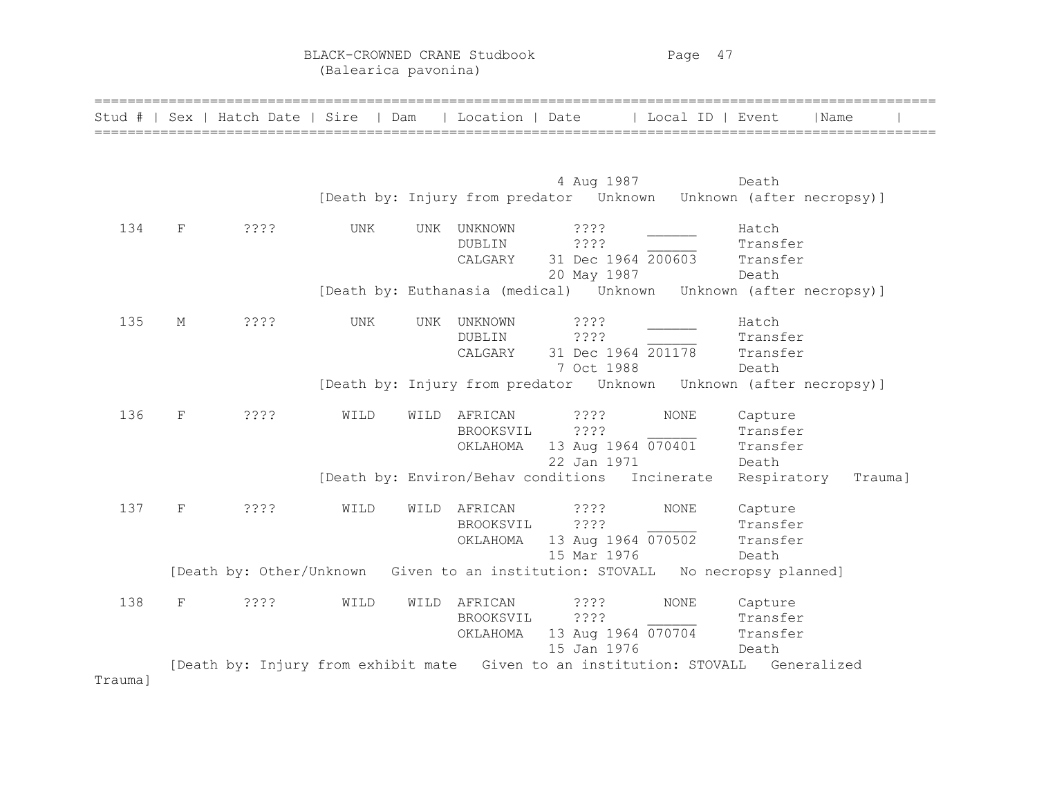BLACK-CROWNED CRANE Studbook Page 47 (Balearica pavonina)

| Stud #  |   | Sex   Hatch Date   Sire | l Dam      |            | Location   Date                     |                    | Local ID   Event | Name                                                                             |         |
|---------|---|-------------------------|------------|------------|-------------------------------------|--------------------|------------------|----------------------------------------------------------------------------------|---------|
|         |   |                         |            |            |                                     | 4 Aug 1987         |                  | Death<br>[Death by: Injury from predator Unknown Unknown (after necropsy)]       |         |
|         |   |                         |            |            |                                     |                    |                  |                                                                                  |         |
| 134     | F | ????                    | <b>UNK</b> | <b>UNK</b> | UNKNOWN                             | 3333               |                  | Hatch                                                                            |         |
|         |   |                         |            |            | DUBLIN                              | ????               |                  | Transfer                                                                         |         |
|         |   |                         |            |            | CALGARY                             | 31 Dec 1964 200603 |                  | Transfer                                                                         |         |
|         |   |                         |            |            |                                     | 20 May 1987        |                  | Death                                                                            |         |
|         |   |                         |            |            |                                     |                    |                  | [Death by: Euthanasia (medical)    Unknown   Unknown   (after necropsy)]         |         |
| 135     | М | ????                    | UNK        | UNK        | UNKNOWN                             | ? ? ? ?            |                  | Hatch                                                                            |         |
|         |   |                         |            |            | <b>DUBLIN</b>                       | ????               |                  | Transfer                                                                         |         |
|         |   |                         |            |            | CALGARY                             | 31 Dec 1964 201178 |                  | Transfer                                                                         |         |
|         |   |                         |            |            |                                     | 7 Oct 1988         |                  | Death                                                                            |         |
|         |   |                         |            |            |                                     |                    |                  | [Death by: Injury from predator Unknown Unknown (after necropsy)]                |         |
| 136     | F | ????                    | WILD       | WILD       | AFRICAN                             | ????               | <b>NONE</b>      | Capture                                                                          |         |
|         |   |                         |            |            | BROOKSVIL                           | ????               |                  | Transfer                                                                         |         |
|         |   |                         |            |            | OKLAHOMA                            | 13 Aug 1964 070401 |                  | Transfer                                                                         |         |
|         |   |                         |            |            |                                     | 22 Jan 1971        |                  | Death                                                                            |         |
|         |   |                         |            |            | [Death by: Environ/Behav conditions |                    | Incinerate       | Respiratory                                                                      | Trauma] |
| 137     | F | ????                    | WILD       | WILD       | AFRICAN                             | 3333               | NONE             | Capture                                                                          |         |
|         |   |                         |            |            | BROOKSVIL                           | ????               |                  | Transfer                                                                         |         |
|         |   |                         |            |            | OKLAHOMA                            | 13 Aug 1964 070502 |                  | Transfer                                                                         |         |
|         |   |                         |            |            |                                     | 15 Mar 1976        |                  | Death                                                                            |         |
|         |   |                         |            |            |                                     |                    |                  | [Death by: Other/Unknown Given to an institution: STOVALL No necropsy planned]   |         |
| 138     | F | ????                    | WILD       | WILD       | AFRICAN                             | ????               | <b>NONE</b>      | Capture                                                                          |         |
|         |   |                         |            |            | BROOKSVIL                           | ????               |                  | Transfer                                                                         |         |
|         |   |                         |            |            | OKLAHOMA                            | 13 Aug 1964 070704 |                  | Transfer                                                                         |         |
|         |   |                         |            |            |                                     | 15 Jan 1976        |                  | Death                                                                            |         |
|         |   |                         |            |            |                                     |                    |                  | [Death by: Injury from exhibit mate Given to an institution: STOVALL Generalized |         |
| Trauma] |   |                         |            |            |                                     |                    |                  |                                                                                  |         |
|         |   |                         |            |            |                                     |                    |                  |                                                                                  |         |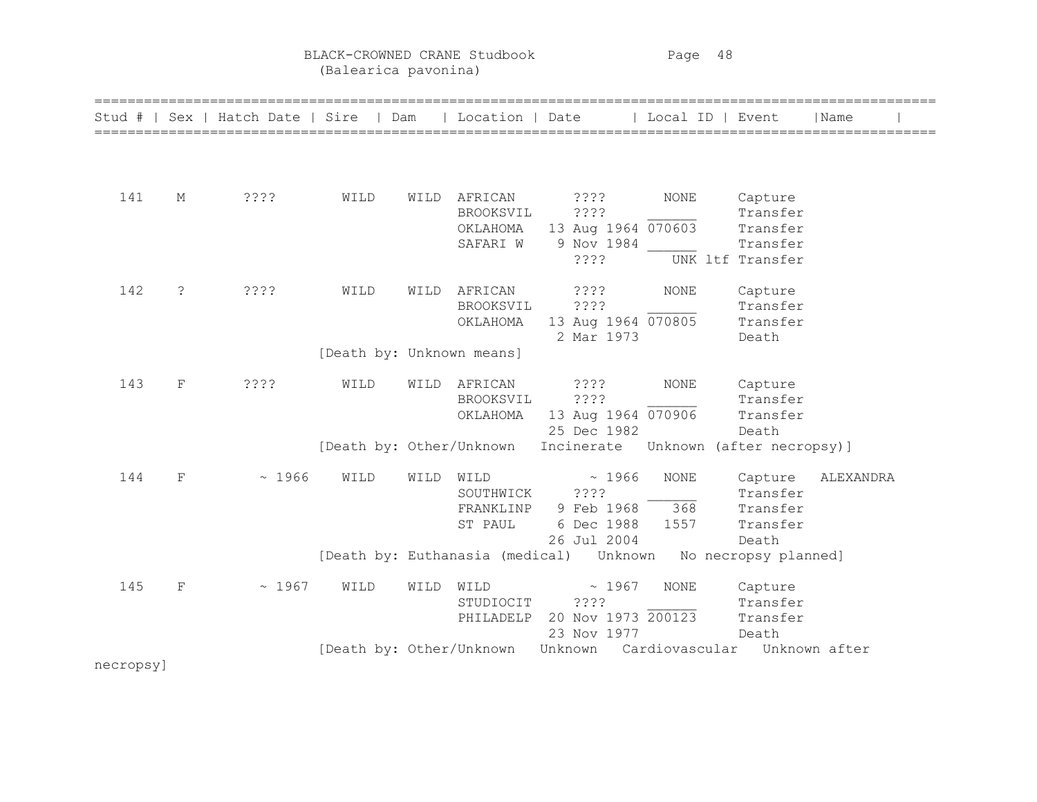BLACK-CROWNED CRANE Studbook Page 48 (Balearica pavonina)

| Stud #    |             | Sex   Hatch Date   Sire   Dam   Location   Date |                           |      |                                                |                                                                    | Local ID   Event   |                                                                 | Name      |
|-----------|-------------|-------------------------------------------------|---------------------------|------|------------------------------------------------|--------------------------------------------------------------------|--------------------|-----------------------------------------------------------------|-----------|
| 141       | М           | ????                                            | WILD                      | WILD | AFRICAN<br>BROOKSVIL<br>ОКLАНОМА<br>SAFARI W   | ? ? ? ?<br>????<br>13 Aug 1964 070603<br>9 Nov 1984<br>7222        | NONE               | Capture<br>Transfer<br>Transfer<br>Transfer<br>UNK ltf Transfer |           |
| 142       | $\tilde{S}$ | ????                                            | WILD                      | WILD | AFRICAN<br>BROOKSVIL<br>OKLAHOMA               | $??\,?\,?$<br>? ? ? ?<br>13 Aug 1964 070805<br>2 Mar 1973          | NONE               | Capture<br>Transfer<br>Transfer<br>Death                        |           |
|           |             |                                                 | [Death by: Unknown means] |      |                                                |                                                                    |                    |                                                                 |           |
| 143       | F           | ????                                            | WILD                      | WILD | AFRICAN<br>BROOKSVIL<br>OKLAHOMA               | 2222<br>????<br>13 Aug 1964 070906<br>25 Dec 1982                  | <b>NONE</b>        | Capture<br>Transfer<br>Transfer<br>Death                        |           |
|           |             |                                                 |                           |      | [Death by: Other/Unknown                       | Incinerate Unknown (after necropsy)]                               |                    |                                                                 |           |
| 144       | F           | ~1966                                           | WILD                      | WILD | WILD<br>SOUTHWICK ????<br>FRANKLINP<br>ST PAUL | ~1966<br>9 Feb 1968<br>6 Dec 1988 1557<br>26 Jul 2004              | <b>NONE</b><br>368 | Capture<br>Transfer<br>Transfer<br>Transfer<br>Death            | ALEXANDRA |
|           |             |                                                 |                           |      |                                                | [Death by: Euthanasia (medical)    Unknown    No necropsy planned] |                    |                                                                 |           |
| 145       | $\mathbf F$ | ~1967                                           | WILD                      | WILD | WILD<br>STUDIOCIT ????                         | ~1967<br>PHILADELP 20 Nov 1973 200123<br>23 Nov 1977               | <b>NONE</b>        | Capture<br>Transfer<br>Transfer<br>Death                        |           |
| necropsy] |             |                                                 |                           |      |                                                | [Death by: Other/Unknown Unknown Cardiovascular Unknown after      |                    |                                                                 |           |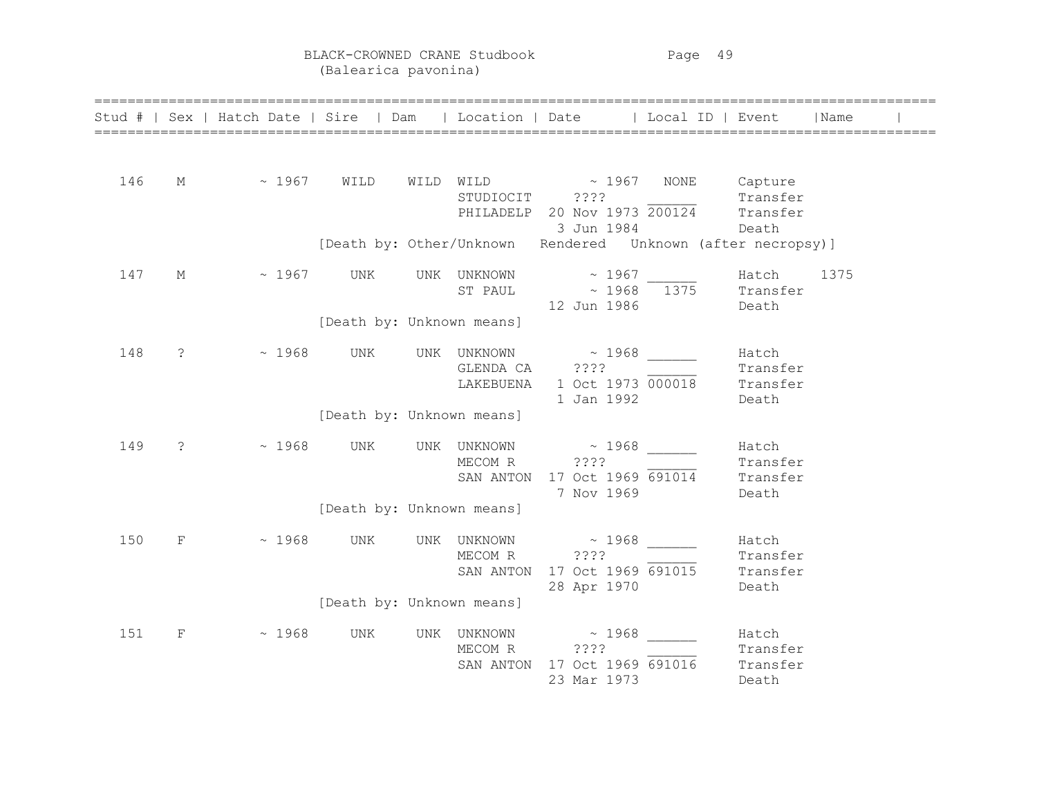BLACK-CROWNED CRANE Studbook Page 49 (Balearica pavonina)

|     |                       |                 |                           |                        | Stud #   Sex   Hatch Date   Sire   Dam   Location   Date   Local ID   Event                            |                                        | Name |  |
|-----|-----------------------|-----------------|---------------------------|------------------------|--------------------------------------------------------------------------------------------------------|----------------------------------------|------|--|
| 146 | $M$ and $M$           | $\sim 1967$     | WILD                      |                        | WILD WILD ~ 1967 NONE Capture<br>STUDIOCIT ????<br>PHILADELP 20 Nov 1973 200124 Transfer<br>3 Jun 1984 | Death                                  |      |  |
|     |                       |                 |                           |                        | [Death by: Other/Unknown Rendered Unknown (after necropsy)]                                            |                                        |      |  |
| 147 | М                     | $\sim$ 1967 UNK | [Death by: Unknown means] |                        | UNK UNKNOWN $\sim$ 1967 Hatch<br>ST PAUL $\sim 1968$ $\overline{1375}$ Transfer<br>12 Jun 1986 Death   |                                        | 1375 |  |
| 148 | $\tilde{\mathcal{E}}$ | ~1968           | UNK                       | GLENDA CA ????         | UNK UNKNOWN ~ 1968<br>LAKEBUENA 1 Oct 1973 000018 Transfer<br>1 Jan 1992                               | Hatch<br>Transfer<br>Death             |      |  |
|     |                       |                 | [Death by: Unknown means] |                        |                                                                                                        |                                        |      |  |
| 149 | $\tilde{S}$           | ~1968           | UNK                       | UNK UNKNOWN<br>MECOM R | $\sim 1968$<br>2222<br>SAN ANTON 17 Oct 1969 691014<br>7 Nov 1969                                      | Hatch<br>Transfer<br>Transfer<br>Death |      |  |
|     |                       |                 | [Death by: Unknown means] |                        |                                                                                                        |                                        |      |  |
| 150 | F                     | $\sim 1968$     | UNK                       | UNK UNKNOWN<br>MECOM R | $\sim 1968$<br>????<br>SAN ANTON 17 Oct 1969 691015<br>28 Apr 1970                                     | Hatch<br>Transfer<br>Transfer<br>Death |      |  |
|     |                       |                 | [Death by: Unknown means] |                        |                                                                                                        |                                        |      |  |
| 151 | F                     | $\sim 1968$     | UNK                       | UNK UNKNOWN<br>MECOM R | $\sim 1968$<br>2222<br>SAN ANTON 17 Oct 1969 691016<br>23 Mar 1973                                     | Hatch<br>Transfer<br>Transfer<br>Death |      |  |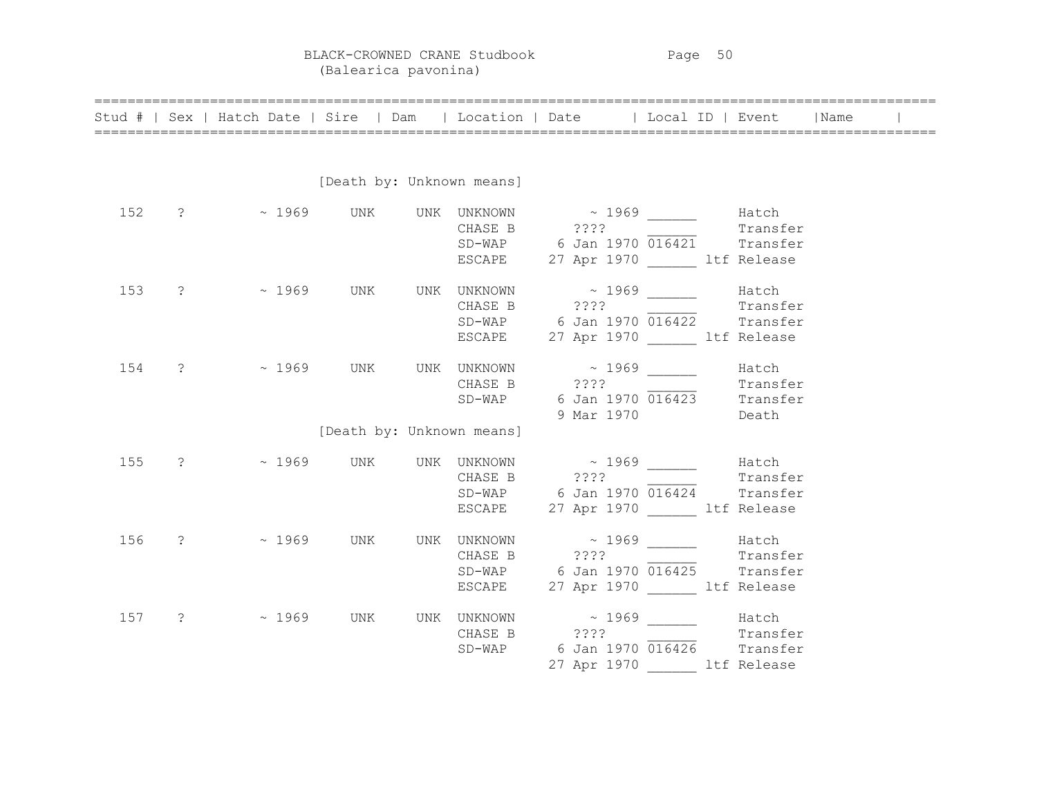BLACK-CROWNED CRANE Studbook Page 50 (Balearica pavonina)

|     | Stud #   Sex   Hatch Date   Sire   Dam                                                                                              |                           |  | Location   Date   Local ID   Event                                                                                              |          | Name |  |
|-----|-------------------------------------------------------------------------------------------------------------------------------------|---------------------------|--|---------------------------------------------------------------------------------------------------------------------------------|----------|------|--|
|     |                                                                                                                                     |                           |  |                                                                                                                                 |          |      |  |
|     |                                                                                                                                     | [Death by: Unknown means] |  |                                                                                                                                 |          |      |  |
|     | 152 ? $\sim$ 1969 UNK UNK UNKNOWN $\sim$ 1969 $\sim$ Hatch<br>CHASE B ????                                                          |                           |  | SD-WAP 6 Jan 1970 016421 Transfer<br>ESCAPE 27 Apr 1970 ______ ltf Release                                                      | Transfer |      |  |
| 153 | ? - 2969 UNK UNK UNKNOWN - 2969 Atch                                                                                                |                           |  | CHASE B ???? Transfer<br>$SD-WAP$ 6 Jan 1970 $\overline{016422}$ Transfer<br>ESCAPE 27 Apr 1970 Ltf Release                     |          |      |  |
| 154 | $? \sim 1969$ UNK                                                                                                                   |                           |  | UNK UNKNOWN $\sim$ 1969 $\sim$ Hatch<br>CHASE B ???<br>SD-WAP 6 Jan 1970 $\overline{016423}$ Transfer<br>Transfer<br>9 Mar 1970 | Death    |      |  |
|     |                                                                                                                                     | [Death by: Unknown means] |  |                                                                                                                                 |          |      |  |
| 155 | $\sim$ 1969 UNK UNK UNKNOWN $\sim$ 1969 Hatch<br>CHASE B $\sim$ 2???                                                                |                           |  | CHASE B ???? $Transfer$<br>SD-WAP 6 Jan 1970 016424 Transfer<br>ESCAPE 27 Apr 1970 Ltf Release                                  |          |      |  |
|     | 156 ? ~ 1969 UNK UNK UNKNOWN ~ 1969 ______ Hatch                                                                                    |                           |  | CHASE B ???? Transfer<br>$SD-WAP$ 6 Jan 1970 $\overline{016425}$ Transfer<br>ESCAPE 27 Apr 1970 1tf Release                     |          |      |  |
| 157 | $\sim 1969$ UNK UNKNOWN $\sim 1969$ Hatch<br>CHASE B $\sim 1969$ (CHASE B $\sim 1969$ Transfer<br>SD-WAP 6 Jan 1970 016426 Transfer |                           |  | 27 Apr 1970 ltf Release                                                                                                         |          |      |  |

======================================================================================================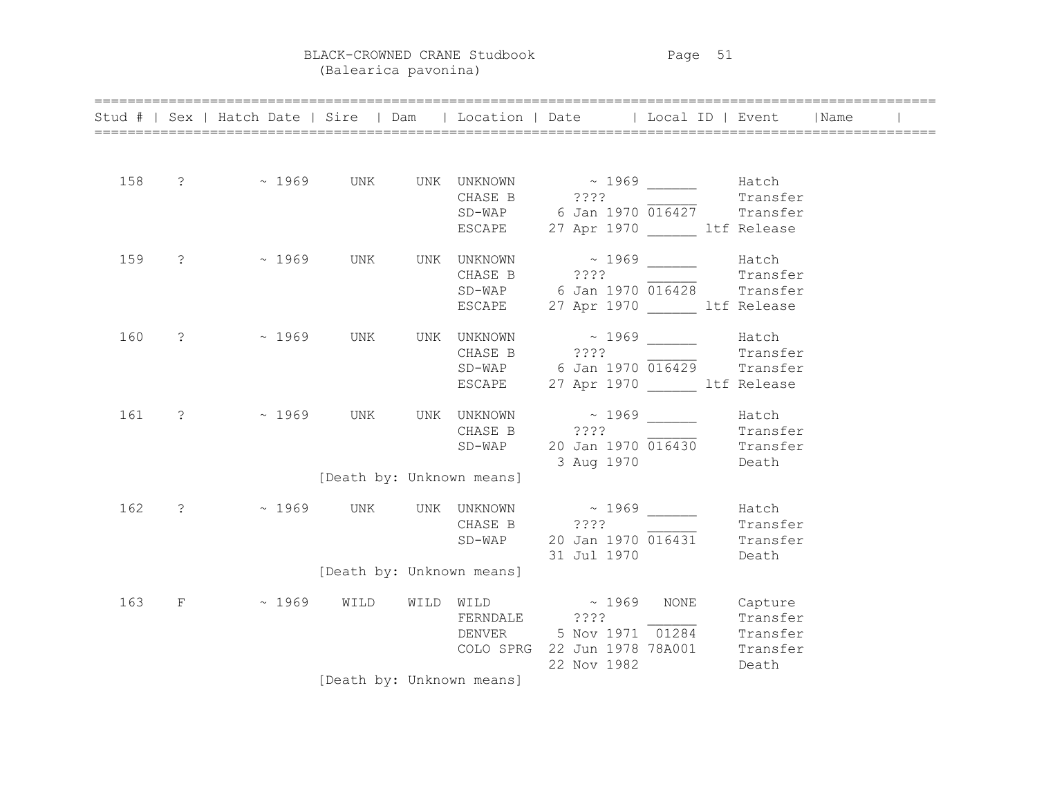BLACK-CROWNED CRANE Studbook Page 51

(Balearica pavonina)

|     | Stud #   Sex   Hatch Date   Sire   Dam   Location   Date   Local ID   Event   Name                                                               |                           |                                                                                                                                                     |             |                   |                   |  |
|-----|--------------------------------------------------------------------------------------------------------------------------------------------------|---------------------------|-----------------------------------------------------------------------------------------------------------------------------------------------------|-------------|-------------------|-------------------|--|
| 158 | $\sim 1969$ UNK UNKNOWN $\sim 1969$ Hatch<br>CHASE B $\sim 1969$ Transfer<br>SD-WAP 6 Jan 1970 016427 Transfer<br>ESCAPE 27 Apr 1970 11f Release |                           |                                                                                                                                                     |             |                   |                   |  |
| 159 | $? \sim 1969$ UNK                                                                                                                                |                           | UNK UNKNOWN $\sim$ 1969 ______ Hatch<br>CHASE B ???? Transfer<br>$SD-WAP$ 6 Jan 1970 $\overline{016428}$ Transfer<br>ESCAPE 27 Apr 1970 Ltf Release |             |                   |                   |  |
| 160 | $\frac{1}{2}$ ~ 1969                                                                                                                             | UNK                       | UNK UNKNOWN $\sim$ 1969 Hatch<br>CHASE B ????<br>$SD-WAP$ 6 Jan 1970 $\overline{016429}$ Transfer<br>ESCAPE 27 Apr 1970 1tf Release                 |             |                   | —————<br>Transfer |  |
| 161 | $? \sim 1969$ UNK                                                                                                                                |                           | UNK UNKNOWN $\sim$ 1969 $\frac{1}{\sqrt{1-\frac{1}{2}}}\$ Hatch<br>CHASE B ???? Transfer<br>$SD-WAP$ 20 Jan 1970 $\overline{016430}$ Transfer       |             | 3 Aug 1970 Death  |                   |  |
|     |                                                                                                                                                  | [Death by: Unknown means] |                                                                                                                                                     |             |                   |                   |  |
| 162 | ? - 2969 UNK UNK UNKNOWN - 2969 Hatch                                                                                                            |                           | CHASE B ???? 2001 - Transfer<br>$SD-WAP$ 20 Jan 1970 $\overline{016431}$ Transfer                                                                   |             | 31 Jul 1970 Death |                   |  |
|     |                                                                                                                                                  | [Death by: Unknown means] |                                                                                                                                                     |             |                   |                   |  |
| 163 | F ~ 1969 WILD                                                                                                                                    |                           | WILD WILD $\sim 1969$ NONE<br>FERNDALE $??"$ Transfer<br>DENVER 5 Nov 1971 01284 Transfer<br>COLO SPRG 22 Jun 1978 78A001 Transfer                  | 22 Nov 1982 |                   | Capture<br>Death  |  |
|     |                                                                                                                                                  | [Death by: Unknown means] |                                                                                                                                                     |             |                   |                   |  |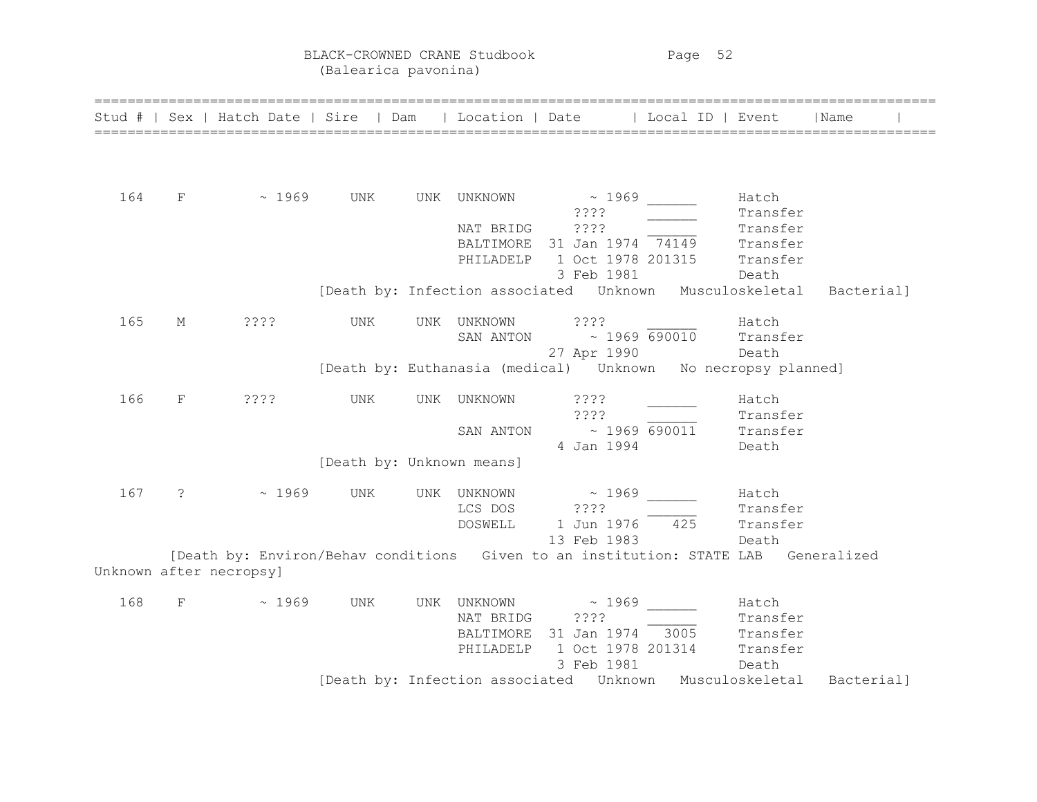BLACK-CROWNED CRANE Studbook Page 52 (Balearica pavonina)

|     |                       | Stud #   Sex   Hatch Date   Sire   Dam   Location   Date   Local ID   Event |                           |     |             |                                                                    |     |          | Name        |
|-----|-----------------------|-----------------------------------------------------------------------------|---------------------------|-----|-------------|--------------------------------------------------------------------|-----|----------|-------------|
|     |                       |                                                                             |                           |     |             |                                                                    |     |          |             |
| 164 | F                     | $\sim 1969$                                                                 | UNK                       |     | UNK UNKNOWN | $\sim 1969$                                                        |     | Hatch    |             |
|     |                       |                                                                             |                           |     |             | ????                                                               |     | Transfer |             |
|     |                       |                                                                             |                           |     | NAT BRIDG   | ????                                                               |     | Transfer |             |
|     |                       |                                                                             |                           |     |             | BALTIMORE 31 Jan 1974 74149                                        |     | Transfer |             |
|     |                       |                                                                             |                           |     | PHILADELP   | 1 Oct 1978 201315                                                  |     | Transfer |             |
|     |                       |                                                                             |                           |     |             | 3 Feb 1981                                                         |     | Death    |             |
|     |                       |                                                                             |                           |     |             | [Death by: Infection associated  Unknown  Musculoskeletal          |     |          | Bacterial]  |
| 165 | М                     | ????                                                                        | UNK                       | UNK | UNKNOWN     | ????                                                               |     | Hatch    |             |
|     |                       |                                                                             |                           |     | SAN ANTON   | $\sim 1969 690010$                                                 |     | Transfer |             |
|     |                       |                                                                             |                           |     |             | 27 Apr 1990                                                        |     | Death    |             |
|     |                       |                                                                             |                           |     |             | [Death by: Euthanasia (medical)    Unknown    No necropsy planned] |     |          |             |
| 166 | F                     | 3333                                                                        | UNK                       | UNK | UNKNOWN     | $??\,?\$                                                           |     | Hatch    |             |
|     |                       |                                                                             |                           |     |             | ????                                                               |     | Transfer |             |
|     |                       |                                                                             |                           |     | SAN ANTON   | $\sim$ 1969 690011                                                 |     | Transfer |             |
|     |                       |                                                                             |                           |     |             | 4 Jan 1994                                                         |     | Death    |             |
|     |                       |                                                                             | [Death by: Unknown means] |     |             |                                                                    |     |          |             |
| 167 | $\tilde{\mathcal{L}}$ | ~1969                                                                       | <b>UNK</b>                | UNK | UNKNOWN     | $\sim 1969$                                                        |     | Hatch    |             |
|     |                       |                                                                             |                           |     | LCS DOS     | 7777                                                               |     | Transfer |             |
|     |                       |                                                                             |                           |     | DOSWELL     | 1 Jun 1976                                                         | 425 | Transfer |             |
|     |                       |                                                                             |                           |     |             | 13 Feb 1983                                                        |     | Death    |             |
|     |                       | [Death by: Environ/Behav conditions Given to an institution: STATE LAB      |                           |     |             |                                                                    |     |          | Generalized |
|     |                       | Unknown after necropsy]                                                     |                           |     |             |                                                                    |     |          |             |
| 168 | F                     | ~1969                                                                       | UNK                       |     | UNK UNKNOWN | $\sim 1969$                                                        |     | Hatch    |             |
|     |                       |                                                                             |                           |     | NAT BRIDG   | 7777                                                               |     | Transfer |             |
|     |                       |                                                                             |                           |     | BALTIMORE   | 31 Jan 1974 3005                                                   |     | Transfer |             |
|     |                       |                                                                             |                           |     | PHILADELP   | 1 Oct 1978 201314                                                  |     | Transfer |             |
|     |                       |                                                                             |                           |     |             | 3 Feb 1981                                                         |     | Death    |             |
|     |                       |                                                                             |                           |     |             | [Death by: Infection associated  Unknown  Musculoskeletal          |     |          | Bacterial]  |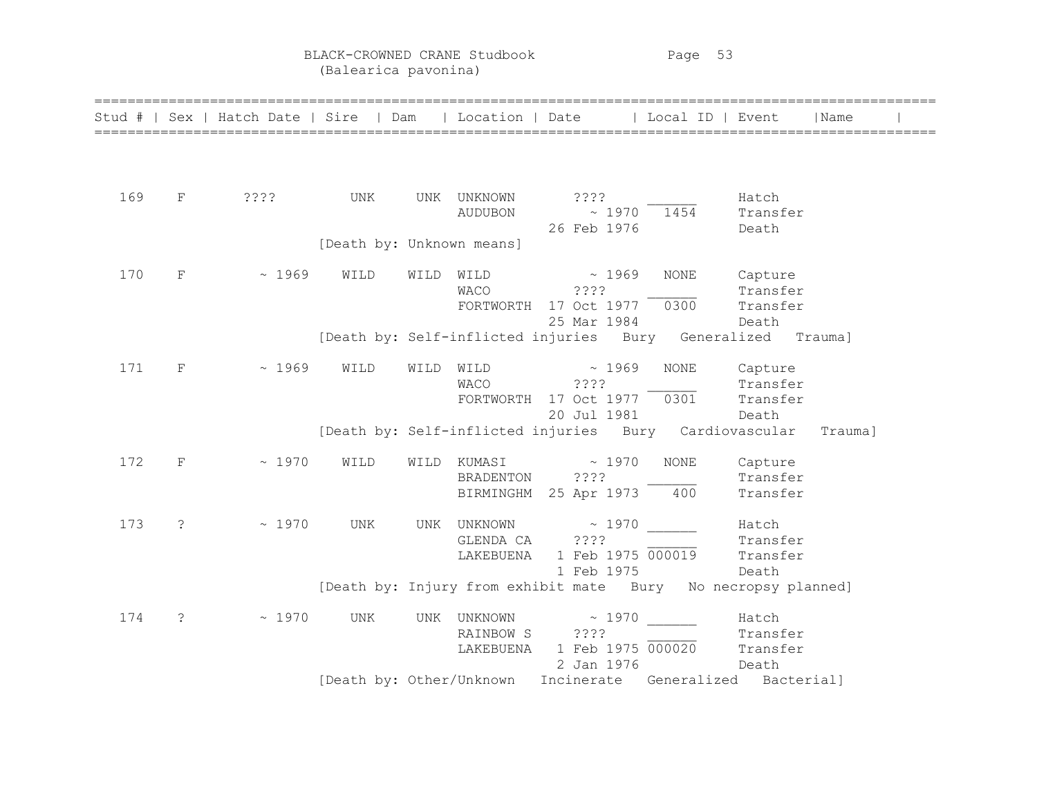BLACK-CROWNED CRANE Studbook Page 53 (Balearica pavonina)

|     |                       | Stud #   Sex   Hatch Date   Sire   Dam   Location   Date   Local ID   Event |                           |      |                        |                                                                                      |             |                                          | Name |  |
|-----|-----------------------|-----------------------------------------------------------------------------|---------------------------|------|------------------------|--------------------------------------------------------------------------------------|-------------|------------------------------------------|------|--|
|     |                       |                                                                             |                           |      |                        |                                                                                      |             |                                          |      |  |
| 169 | F                     | ? ? ? ?                                                                     | UNK                       |      | UNK UNKNOWN<br>AUDUBON | ? ? ? ?<br>$\sim 1970$<br>26 Feb 1976                                                | 1454        | Hatch<br>Transfer<br>Death               |      |  |
|     |                       |                                                                             | [Death by: Unknown means] |      |                        |                                                                                      |             |                                          |      |  |
| 170 | $\mathbf F$           | ~1969                                                                       | WILD                      | WILD | WACO ????              | $\text{WILD} \qquad \sim 1969$<br>FORTWORTH 17 Oct 1977 0300 Transfer<br>25 Mar 1984 | NONE        | Capture<br>Transfer<br>Death             |      |  |
|     |                       |                                                                             |                           |      |                        | [Death by: Self-inflicted injuries Bury Generalized Trauma]                          |             |                                          |      |  |
| 171 | $_{\rm F}$            | ~1969                                                                       | WILD                      | WILD | <b>WACO</b>            | $WILD \sim 1969$<br>2222<br>FORTWORTH 17 Oct 1977 0301<br>20 Jul 1981                | <b>NONE</b> | Capture<br>Transfer<br>Transfer<br>Death |      |  |
|     |                       |                                                                             |                           |      |                        | [Death by: Self-inflicted injuries Bury Cardiovascular Trauma]                       |             |                                          |      |  |
| 172 | F                     | ~1970                                                                       | WILD                      |      | BRADENTON ????         | WILD KUMASI $\sim$ 1970<br>BIRMINGHM 25 Apr 1973                                     | NONE<br>400 | Capture<br>Transfer<br>Transfer          |      |  |
| 173 | $\ddot{\mathcal{S}}$  | ~1970                                                                       | UNK                       |      | GLENDA CA ????         | UNK UNKNOWN ~ 1970<br>LAKEBUENA 1 Feb 1975 000019<br>1 Feb 1975                      |             | Hatch<br>Transfer<br>Transfer<br>Death   |      |  |
|     |                       |                                                                             |                           |      |                        | [Death by: Injury from exhibit mate Bury No necropsy planned]                        |             |                                          |      |  |
| 174 | $\tilde{\mathcal{E}}$ | ~1970                                                                       | UNK                       |      | RAINBOW S ????         | UNK UNKNOWN ~ 1970<br>LAKEBUENA 1 Feb 1975 000020<br>2 Jan 1976                      |             | Hatch<br>Transfer<br>Transfer<br>Death   |      |  |
|     |                       |                                                                             |                           |      |                        | [Death by: Other/Unknown Incinerate Generalized Bacterial]                           |             |                                          |      |  |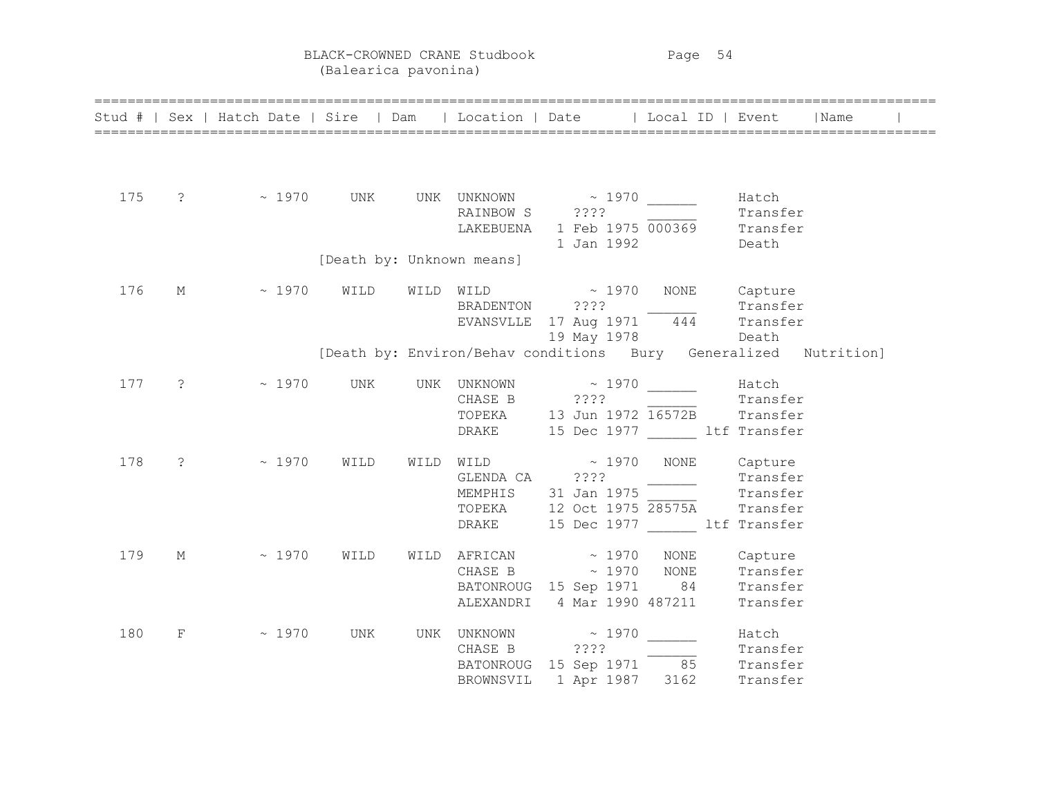BLACK-CROWNED CRANE Studbook Page 54 (Balearica pavonina)

|     |   | Stud #   Sex   Hatch Date   Sire   Dam   Location   Date   Local ID   Event   Name            |      |                           |                                                                                                                                                                                                                                |                   |                   |  |
|-----|---|-----------------------------------------------------------------------------------------------|------|---------------------------|--------------------------------------------------------------------------------------------------------------------------------------------------------------------------------------------------------------------------------|-------------------|-------------------|--|
| 175 |   | $\frac{1970}{\text{N}}$ vives the UNK UNKNOWN $\frac{1970}{\text{N}}$ $\frac{1970}{\text{N}}$ |      |                           | Exains of the contract of the state of the state of the state of the state of the state of the state of the state of the state of the state of the state of the state of the state of the state of the state of the state of t |                   | Hatch<br>Transfer |  |
|     |   |                                                                                               |      | [Death by: Unknown means] |                                                                                                                                                                                                                                |                   |                   |  |
| 176 | М | $\sim 1970$ WILD                                                                              |      |                           | WILD WILD ~ 1970 NONE Capture<br>BRADENTON ???? Transfer<br>EVANSVLLE 17 Aug 1971 444 Transfer                                                                                                                                 | 19 May 1978 Death |                   |  |
|     |   |                                                                                               |      |                           | [Death by: Environ/Behav conditions Bury Generalized Nutrition]                                                                                                                                                                |                   |                   |  |
| 177 |   | $\frac{1}{2}$ ~ 1970 UNK                                                                      |      |                           | UNK UNKNOWN ~ 1970 Hatch<br>CHASE B ???? 77.2. Transfer<br>TOPEKA 13 Jun 1972 16572B Transfer<br>DRAKE 15 Dec 1977 1tf Transfer                                                                                                |                   |                   |  |
| 178 |   | $? \t\t\t\t~ 1970$                                                                            | WILD |                           | WILD WILD $\sim$ 1970 NONE Capture<br>GLENDA CA (2222)<br>MEMPHIS (31 Jan 1975 - Transfer<br>TOPEKA (12 Oct 1975 28575A (Transfer<br>DRAKE 15 Dec 1977 ltf Transfer                                                            |                   |                   |  |
| 179 |   | $M \sim 1970$                                                                                 | WILD |                           | $\verb WILD AFRICAN + \sim 1970 \quad \text{NONE} \quad \text{Capture}$<br>CHASE B $\sim$ 1970 NONE Transfer<br>BATONROUG 15 Sep 1971 84 Transfer<br>ALEXANDRI 4 Mar 1990 487211                                               |                   | Transfer          |  |
| 180 |   | $F \sim 1970$ UNK                                                                             |      |                           | UNKNOWN ~ 1970 Match<br>CHASE B ???? Transfer<br>BATONROUG 15 Sep 1971 85 Transfer<br>BROWNSVIL 1 Apr 1987 3162 Transfer                                                                                                       |                   |                   |  |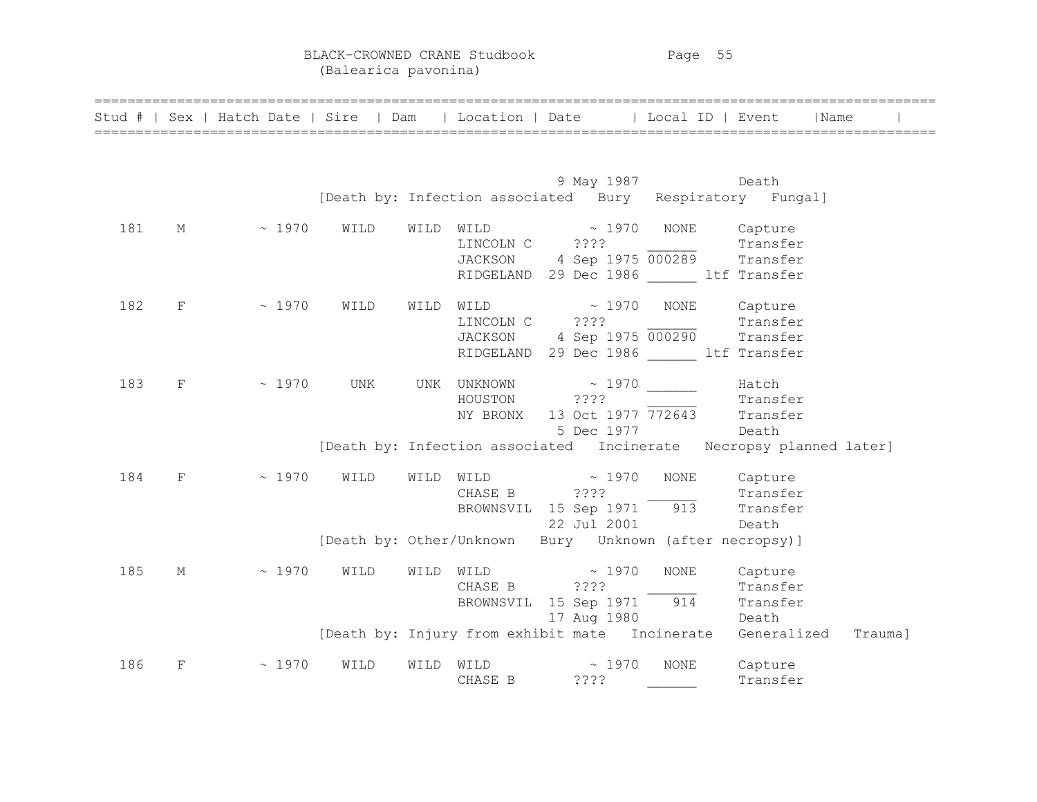BLACK-CROWNED CRANE Studbook Page 55 (Balearica pavonina)

|     |            | Stud #   Sex   Hatch Date   Sire   Dam   Location   Date   Local ID   Event   Name |      |                |                                                                                                                                                          |                  |          |  |
|-----|------------|------------------------------------------------------------------------------------|------|----------------|----------------------------------------------------------------------------------------------------------------------------------------------------------|------------------|----------|--|
|     |            |                                                                                    |      |                |                                                                                                                                                          |                  |          |  |
|     |            |                                                                                    |      |                |                                                                                                                                                          | 9 May 1987 Death |          |  |
|     |            |                                                                                    |      |                | [Death by: Infection associated Bury Respiratory Fungal]                                                                                                 |                  |          |  |
| 181 |            | M ~ 1970 WILD                                                                      |      |                | $\begin{minipage}{.4\linewidth} \texttt{WILD} & \hspace{1.5cm} \texttt{\texttt{a}1970} & \texttt{NONE} & \hspace{1.5cm} \texttt{Capture} \end{minipage}$ |                  |          |  |
|     |            |                                                                                    |      |                | LINCOLN C ???? 2000 Transfer                                                                                                                             |                  |          |  |
|     |            |                                                                                    |      |                | JACKSON 4 Sep 1975 000289 Transfer                                                                                                                       |                  |          |  |
|     |            |                                                                                    |      |                | RIDGELAND 29 Dec 1986 ltf Transfer                                                                                                                       |                  |          |  |
| 182 |            | $F \sim 1970$                                                                      | WILD |                | WILD WILD ~ 1970 NONE Capture                                                                                                                            |                  |          |  |
|     |            |                                                                                    |      | LINCOLN C ???? | LINCOLN C ???? Transfer<br>JACKSON 4 Sep 1975 000290 Transfer                                                                                            |                  |          |  |
|     |            |                                                                                    |      |                |                                                                                                                                                          |                  |          |  |
|     |            |                                                                                    |      |                | RIDGELAND 29 Dec 1986 ltf Transfer                                                                                                                       |                  |          |  |
| 183 | $_{\rm F}$ | $\sim 1970$                                                                        | UNK  |                |                                                                                                                                                          |                  |          |  |
|     |            |                                                                                    |      |                |                                                                                                                                                          |                  |          |  |
|     |            |                                                                                    |      |                |                                                                                                                                                          |                  |          |  |
|     |            |                                                                                    |      |                |                                                                                                                                                          |                  |          |  |
|     |            |                                                                                    |      |                | [Death by: Infection associated Incinerate Necropsy planned later]                                                                                       |                  |          |  |
| 184 | F          | $\sim 1970$                                                                        | WILD |                | $\begin{minipage}{.4\linewidth} \textbf{WILD} & \hspace{1.5cm} \sim \hspace{1.5cm} 1970 \end{minipage}$                                                  | NONE Capture     |          |  |
|     |            |                                                                                    |      |                | CHASE B ???? Transfer<br>BROWNSVIL 15 Sep 1971 913 Transfer                                                                                              |                  |          |  |
|     |            |                                                                                    |      |                |                                                                                                                                                          |                  |          |  |
|     |            |                                                                                    |      |                | 22 Jul 2001 Death                                                                                                                                        |                  |          |  |
|     |            |                                                                                    |      |                | [Death by: Other/Unknown Bury Unknown (after necropsy)]                                                                                                  |                  |          |  |
| 185 | М          | $\sim 1970$                                                                        | WILD |                | WILD WILD $\sim$ 1970                                                                                                                                    | <b>NONE</b>      | Capture  |  |
|     |            |                                                                                    |      |                | CHASE B ???? Transfer<br>BROWNSVIL 15 Sep 1971 914 Transfer                                                                                              |                  |          |  |
|     |            |                                                                                    |      |                |                                                                                                                                                          |                  |          |  |
|     |            |                                                                                    |      |                | 17 Aug 1980                                                                                                                                              | Death            |          |  |
|     |            |                                                                                    |      |                | [Death by: Injury from exhibit mate Incinerate Generalized Trauma]                                                                                       |                  |          |  |
| 186 | F          | ~1970                                                                              | WILD |                | WILD WILD $\sim$ 1970                                                                                                                                    | NONE             | Capture  |  |
|     |            |                                                                                    |      | CHASE B        | ????                                                                                                                                                     |                  | Transfer |  |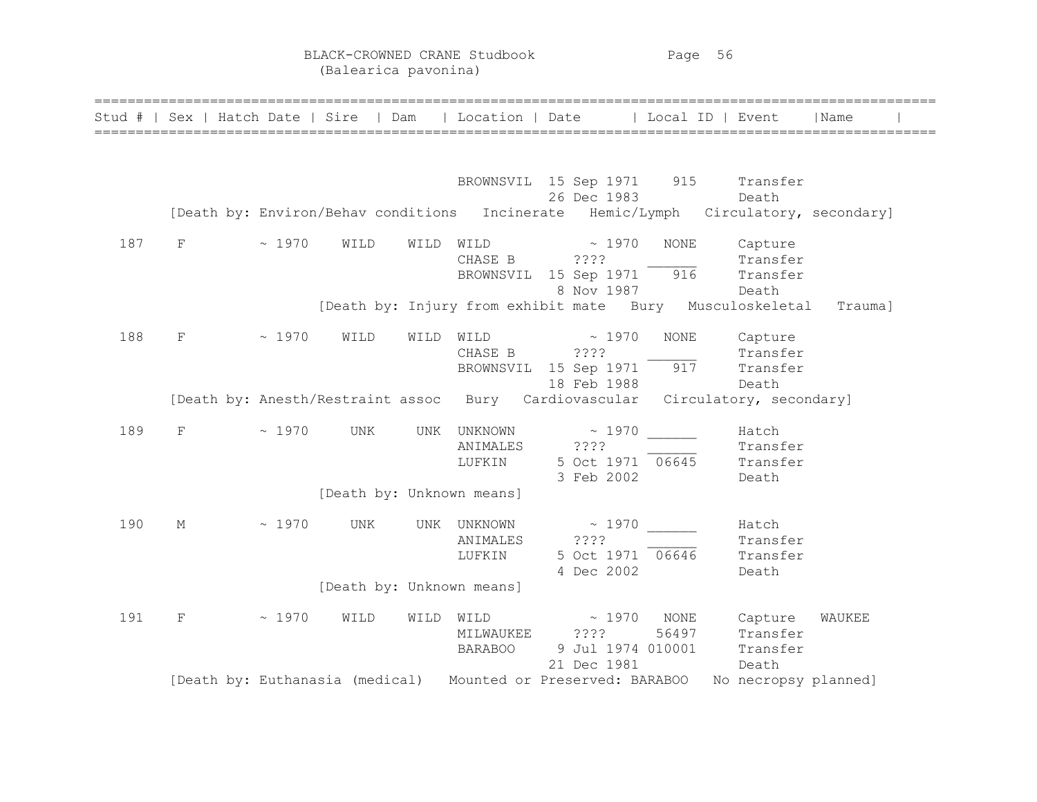| Stud # |   |       | Sex   Hatch Date   Sire | Dam                                 | Location   Date                                               |                                    | Local ID                           | Event                                                               | Name    |  |
|--------|---|-------|-------------------------|-------------------------------------|---------------------------------------------------------------|------------------------------------|------------------------------------|---------------------------------------------------------------------|---------|--|
|        |   |       |                         |                                     |                                                               |                                    |                                    |                                                                     |         |  |
|        |   |       |                         | [Death by: Environ/Behav conditions | BROWNSVIL 15 Sep 1971 915                                     | 26 Dec 1983                        |                                    | Transfer<br>Death<br>Incinerate Hemic/Lymph Circulatory, secondary] |         |  |
| 187    | F | ~1970 | WILD                    | WILD                                | WILD<br>CHASE B<br>BROWNSVIL 15 Sep 1971                      | $\sim 1970$<br>????<br>8 Nov 1987  | NONE<br>916                        | Capture<br>Transfer<br>Transfer<br>Death                            |         |  |
|        |   |       |                         |                                     |                                                               |                                    |                                    | [Death by: Injury from exhibit mate Bury Musculoskeletal            | Trauma] |  |
| 188    | F | ~1970 | WILD                    | WILD                                | WILD<br>CHASE B<br>BROWNSVIL 15 Sep 1971                      | $\sim 1970$<br>????<br>18 Feb 1988 | <b>NONE</b><br>917                 | Capture<br>Transfer<br>Transfer<br>Death                            |         |  |
|        |   |       |                         | [Death by: Anesth/Restraint assoc   | Bury Cardiovascular                                           |                                    |                                    | Circulatory, secondary]                                             |         |  |
| 189    | F | ~1970 | UNK                     | UNK                                 | UNKNOWN<br>ANIMALES<br>LUFKIN                                 | ~1970<br>? ? ? ?<br>3 Feb 2002     | 5 Oct 1971 06645                   | Hatch<br>Transfer<br>Transfer<br>Death                              |         |  |
|        |   |       |                         |                                     | [Death by: Unknown means]                                     |                                    |                                    |                                                                     |         |  |
| 190    | М | ~1970 | UNK                     |                                     | UNK UNKNOWN<br>ANIMALES<br>LUFKIN                             | ????<br>4 Dec 2002                 | $\sim 1970$<br>5 Oct 1971 06646    | Hatch<br>Transfer<br>Transfer<br>Death                              |         |  |
|        |   |       |                         |                                     | [Death by: Unknown means]                                     |                                    |                                    |                                                                     |         |  |
| 191    | F | ~1970 | WILD                    | WILD                                | WILD<br>MILWAUKEE<br><b>BARABOO</b>                           | $\sim 1970$<br>2222<br>21 Dec 1981 | NONE<br>56497<br>9 Jul 1974 010001 | Capture<br>Transfer<br>Transfer<br>Death                            | WAUKEE  |  |
|        |   |       |                         |                                     | [Death by: Euthanasia (medical) Mounted or Preserved: BARABOO |                                    |                                    | No necropsy planned]                                                |         |  |

======================================================================================================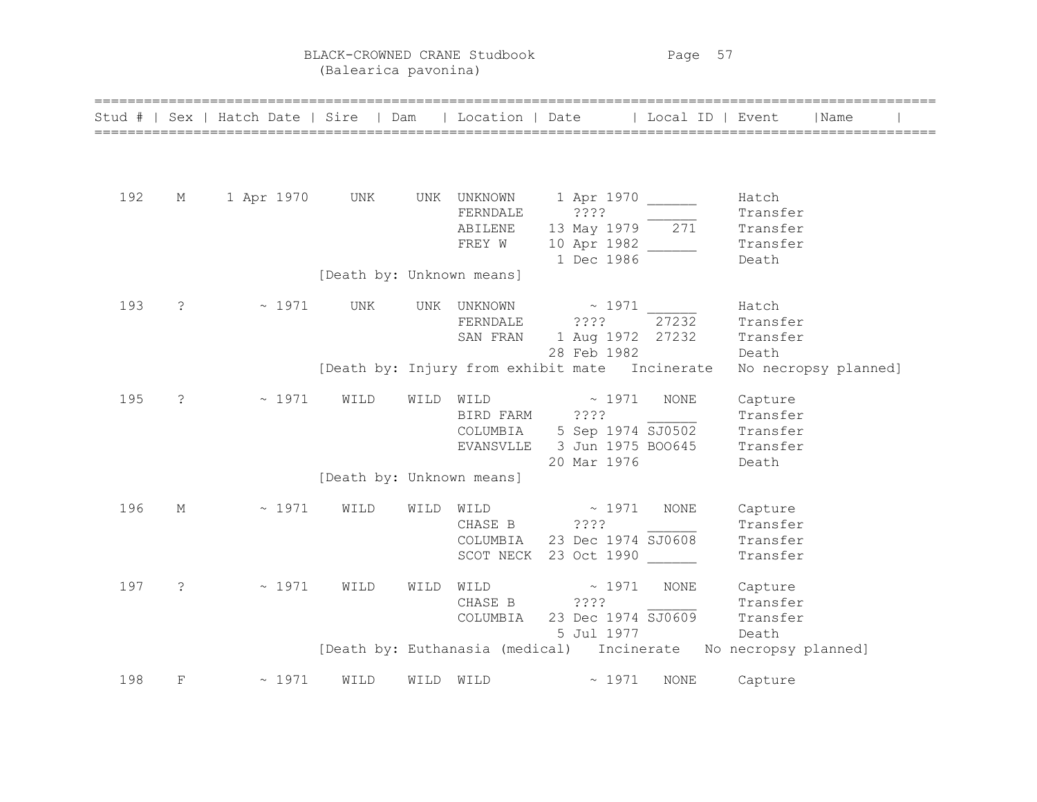BLACK-CROWNED CRANE Studbook Page 57 (Balearica pavonina)

|     |                      | Stud #   Sex   Hatch Date   Sire   Dam   Location   Date   Local ID   Event |                           |           |                               |                                                                                                  |             |                                                    | Name                 |
|-----|----------------------|-----------------------------------------------------------------------------|---------------------------|-----------|-------------------------------|--------------------------------------------------------------------------------------------------|-------------|----------------------------------------------------|----------------------|
| 192 | М                    | 1 Apr 1970 UNK UNK UNKNOWN 1 Apr 1970                                       |                           |           | FERNDALE<br>ABILENE<br>FREY W | ? ? ? ?<br>13 May 1979 271<br>10 Apr 1982<br>1 Dec 1986                                          |             | Hatch<br>Transfer<br>Transfer<br>Transfer<br>Death |                      |
|     |                      |                                                                             | [Death by: Unknown means] |           |                               |                                                                                                  |             |                                                    |                      |
| 193 | $\ddot{\phantom{0}}$ | $\sim 1971$ UNK                                                             |                           |           | FERNDALE ????                 | UNK UNKNOWN $\sim$ 1971<br>SAN FRAN 1 Aug 1972 27232<br>28 Feb 1982                              | 27232       | Hatch<br>Transfer<br>Transfer<br>Death             |                      |
|     |                      |                                                                             |                           |           |                               | [Death by: Injury from exhibit mate Incinerate                                                   |             |                                                    | No necropsy planned] |
| 195 | $\ddot{c}$           | $\sim 1971$                                                                 | WILD                      | WILD WILD | BIRD FARM ????                | $\sim 1971$<br>COLUMBIA 5 Sep 1974 SJ0502<br>EVANSVLLE 3 Jun 1975 BOO645 Transfer<br>20 Mar 1976 | NONE        | Capture<br>Transfer<br>Transfer<br>Death           |                      |
|     |                      |                                                                             | [Death by: Unknown means] |           |                               |                                                                                                  |             |                                                    |                      |
| 196 | М                    | $\sim 1971$                                                                 | WILD                      |           | WILD WILD                     | $\sim 1971$<br>CHASE B ????<br>COLUMBIA 23 Dec 1974 SJ0608<br>SCOT NECK 23 Oct 1990              | NONE        | Capture<br>Transfer<br>Transfer<br>Transfer        |                      |
| 197 | $\ddot{ }$           | $\sim 1971$                                                                 | WILD                      |           | CHASE B ????<br>COLUMBIA      | WILD WILD $\sim$ 1971<br>$23 \text{ Dec } 1974 \overline{5J0609}$<br>5 Jul 1977                  | NONE        | Capture<br>Transfer<br>Transfer<br>Death           |                      |
|     |                      |                                                                             |                           |           |                               | [Death by: Euthanasia (medical) Incinerate No necropsy planned]                                  |             |                                                    |                      |
| 198 | $_{\rm F}$           | $\sim 1971$                                                                 | WILD                      | WILD WILD |                               | $\sim 1971$                                                                                      | <b>NONE</b> | Capture                                            |                      |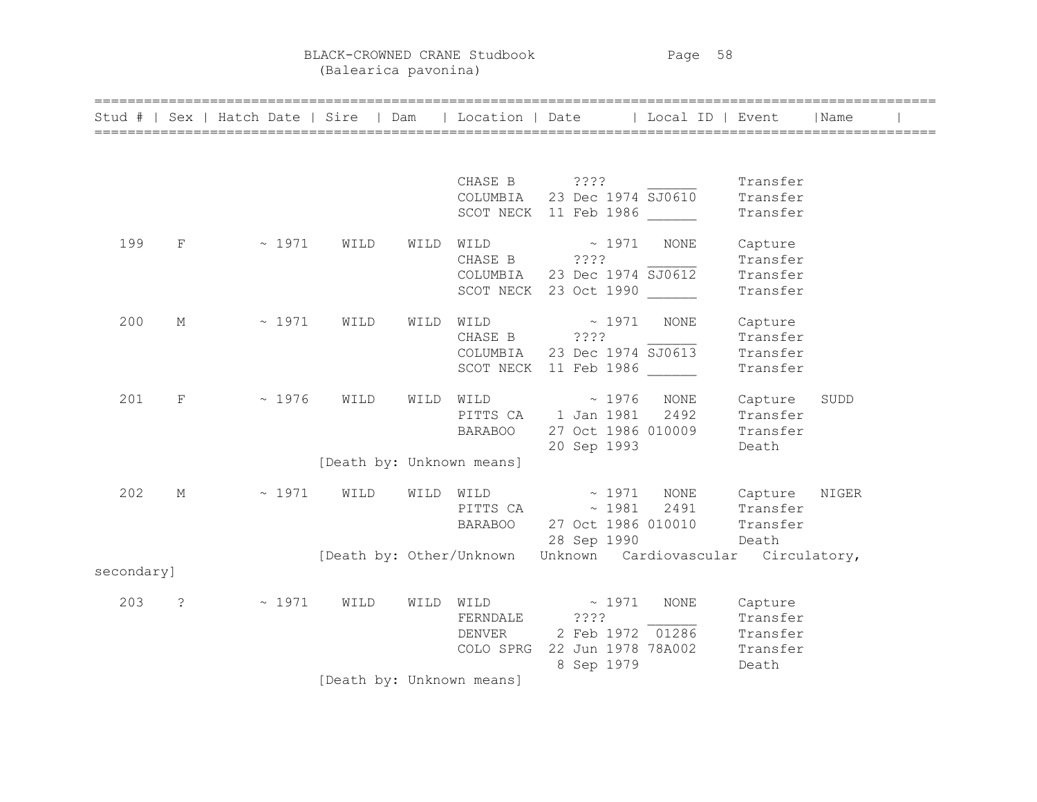BLACK-CROWNED CRANE Studbook Page 58 (Balearica pavonina)

|            |                | =============================<br>Stud #   Sex   Hatch Date   Sire   Dam   Location   Date   Local ID   Event |                           |      |                                                                      |                            |             |                                                              |                                                      | Name  |  |
|------------|----------------|--------------------------------------------------------------------------------------------------------------|---------------------------|------|----------------------------------------------------------------------|----------------------------|-------------|--------------------------------------------------------------|------------------------------------------------------|-------|--|
|            |                |                                                                                                              |                           |      |                                                                      |                            |             |                                                              |                                                      |       |  |
|            |                |                                                                                                              |                           |      | CHASE B ????<br>COLUMBIA 23 Dec 1974 SJ0610<br>SCOT NECK 11 Feb 1986 |                            |             |                                                              | Transfer<br>Transfer<br>Transfer                     |       |  |
| 199        | $F^-$          | $\sim 1971$                                                                                                  | WILD                      | WILD | WILD<br>CHASE B<br>COLUMBIA<br>SCOT NECK 23 Oct 1990                 | 7.777                      | $\sim$ 1971 | NONE<br>23 Dec 1974 SJ0612                                   | Capture<br>Transfer<br>Transfer<br>Transfer          |       |  |
| 200        | М              | $\sim 1971$                                                                                                  | WILD                      | WILD | WILD<br>CHASE B ????<br>COLUMBIA<br>SCOT NECK 11 Feb 1986            |                            | $\sim 1971$ | <b>NONE</b><br>23 Dec 1974 SJ0613                            | Capture<br>Transfer<br>Transfer<br>Transfer          |       |  |
| 201        | $_{\rm F}$     | ~1976                                                                                                        | WILD                      | WILD | WILD<br>PITTS CA 1 Jan 1981<br><b>BARABOO</b>                        | $\sim 1976$<br>20 Sep 1993 |             | NONE<br>2492<br>27 Oct 1986 010009                           | Capture<br>Transfer<br>Transfer<br>Death             | SUDD  |  |
|            |                |                                                                                                              | [Death by: Unknown means] |      |                                                                      |                            |             |                                                              |                                                      |       |  |
| 202        | М              | $\sim 1971$                                                                                                  | WILD                      |      | WILD WILD<br>PITTS CA $\sim$ 1981<br>BARABOO 27 Oct 1986 010010      | $\sim 1971$<br>28 Sep 1990 |             | NONE<br>2491                                                 | Capture<br>Transfer<br>Transfer<br>Death             | NIGER |  |
|            |                |                                                                                                              |                           |      |                                                                      |                            |             | [Death by: Other/Unknown Unknown Cardiovascular Circulatory, |                                                      |       |  |
| secondary] |                |                                                                                                              |                           |      |                                                                      |                            |             |                                                              |                                                      |       |  |
| 203        | $\ddot{\cdot}$ | $\sim 1971$                                                                                                  | WILD                      |      | WILD WILD<br>FERNDALE<br>DENVER<br>COLO SPRG 22 Jun 1978 78A002      | $\sim 1971$<br>????        | 8 Sep 1979  | <b>NONE</b><br>2 Feb 1972 01286                              | Capture<br>Transfer<br>Transfer<br>Transfer<br>Death |       |  |
|            |                |                                                                                                              | [Death by: Unknown means] |      |                                                                      |                            |             |                                                              |                                                      |       |  |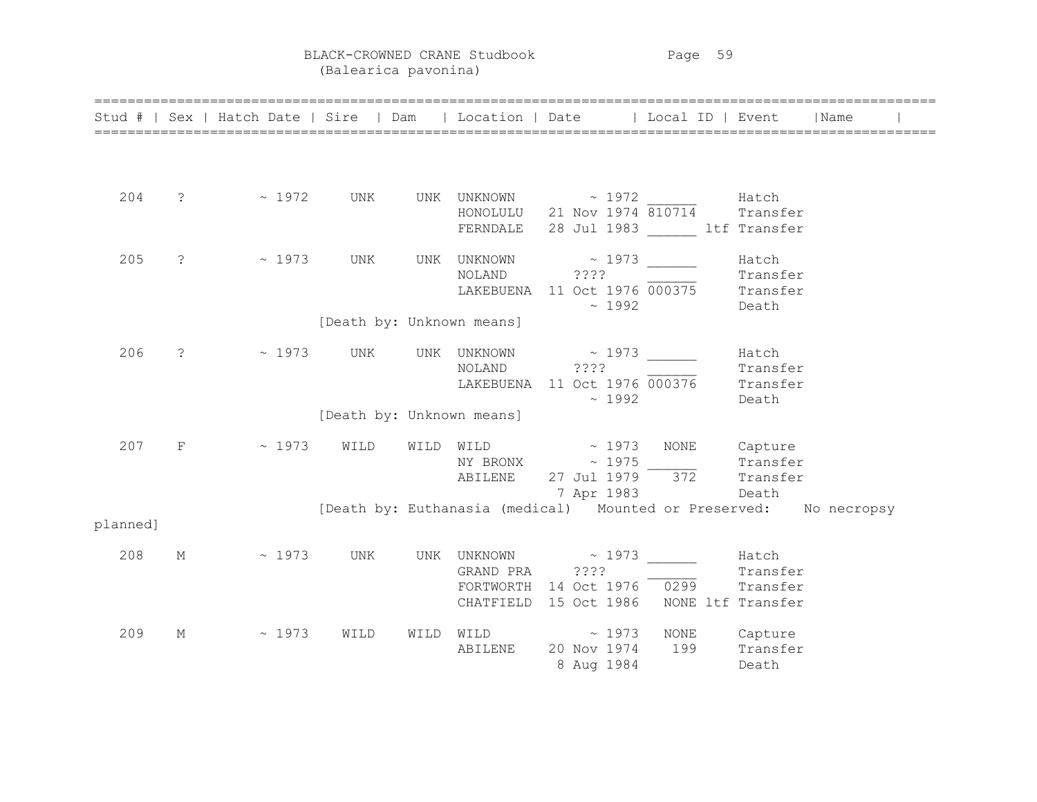BLACK-CROWNED CRANE Studbook Page 59 (Balearica pavonina)

|          |   | Stud #   Sex   Hatch Date   Sire   Dam   Location   Date   Local ID   Event   Name |                           |  | ======================================                                                           |              |                            |  |
|----------|---|------------------------------------------------------------------------------------|---------------------------|--|--------------------------------------------------------------------------------------------------|--------------|----------------------------|--|
|          |   |                                                                                    |                           |  |                                                                                                  |              |                            |  |
| 204      |   |                                                                                    |                           |  | HONOLULU 21 Nov 1974 810714 Transfer<br>FERNDALE 28 Jul 1983 Litf Transfer                       |              |                            |  |
| 205      |   | ? - 2 2973 UNK UNK UNKNOWN - 2973                                                  |                           |  | NOLAND ???? Transfer<br>LAKEBUENA 11 Oct 1976 000375 Transfer<br>$\sim 1992$                     |              | Hatch<br>Death             |  |
|          |   |                                                                                    | [Death by: Unknown means] |  |                                                                                                  |              |                            |  |
| 206      |   | ? - 2 2973 UNK UNK UNKNOWN 2 2973                                                  |                           |  | NOLAND 7??? Transfer<br>LAKEBUENA 11 Oct 1976 000376 Transfer<br>$\sim 1992$                     |              | Hatch<br>Transfer<br>Death |  |
|          |   |                                                                                    | [Death by: Unknown means] |  |                                                                                                  |              |                            |  |
| 207      |   | $F$ ~ 1973 WILD WILD WILD $\sim$ 1973 NONE Capture                                 |                           |  | NY BRONX $\sim 1975$<br>ABILENE 27 Jul 1979 372<br>7 Apr 1983 Death                              |              | Transfer<br>Transfer       |  |
| planned] |   |                                                                                    |                           |  | [Death by: Euthanasia (medical) Mounted or Preserved: No necropsy                                |              |                            |  |
| 208      | М | $\sim$ 1973 UNK UNK UNKNOWN $\sim$ 1973 $\frac{1}{\sim}$ Hatch GRAND PRA ????      |                           |  | GRAND PRA 2???<br>FORTWORTH 14 Oct 1976 0299 Transfer<br>CHATFIELD 15 Oct 1986 NONE ltf Transfer |              |                            |  |
| 209      | М | $\sim 1973$                                                                        | WILD                      |  | WILD WILD ~ 1973 NONE Capture<br>ABILENE 20 Nov 1974<br>8 Aug 1984                               | 199 Transfer | Death                      |  |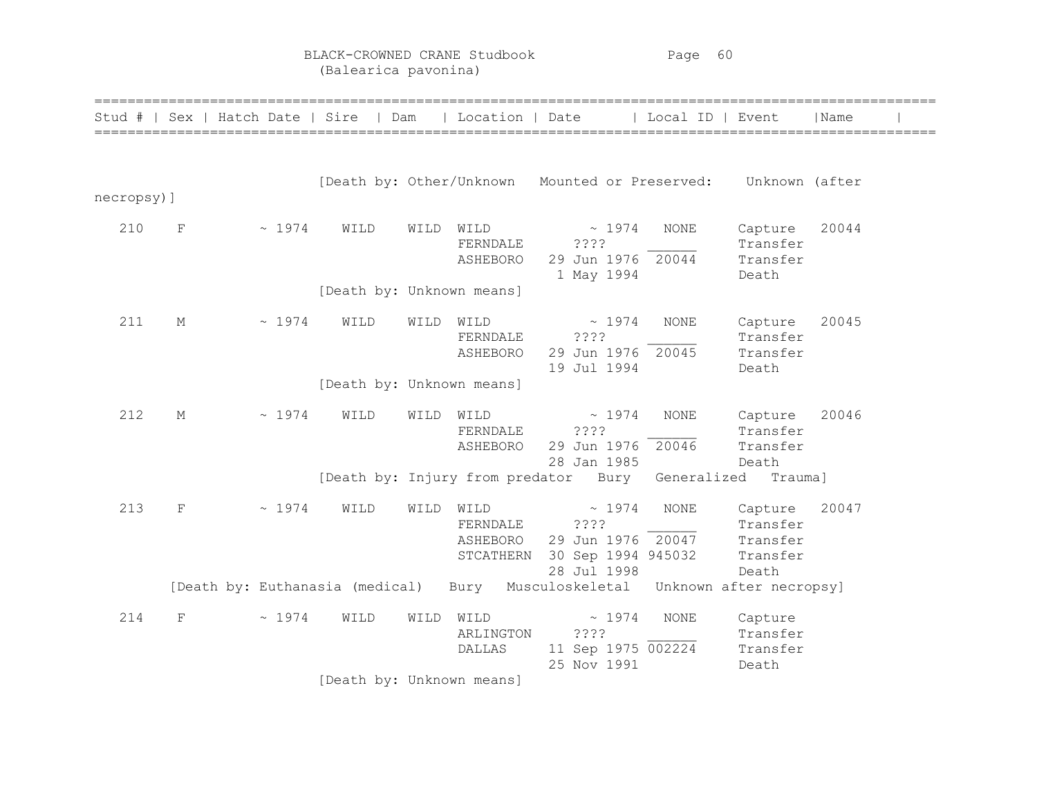BLACK-CROWNED CRANE Studbook Page 60 (Balearica pavonina)

|            |             | Stud #   Sex   Hatch Date   Sire   Dam |      |      |                                           | Location   Date   Local ID   Event                                           |             |                                                      | Name  |  |
|------------|-------------|----------------------------------------|------|------|-------------------------------------------|------------------------------------------------------------------------------|-------------|------------------------------------------------------|-------|--|
| necropsy)] |             |                                        |      |      |                                           | [Death by: Other/Unknown Mounted or Preserved:                               |             | Unknown (after                                       |       |  |
| 210        | $_{\rm F}$  | ~1974                                  | WILD | WILD | WILD<br>FERNDALE<br>ASHEBORO              | $\sim 1974$<br>????<br>29 Jun 1976 20044<br>1 May 1994                       | <b>NONE</b> | Capture<br>Transfer<br>Transfer<br>Death             | 20044 |  |
|            |             |                                        |      |      | [Death by: Unknown means]                 |                                                                              |             |                                                      |       |  |
| 211        | М           | ~1974                                  | WILD | WILD | WILD<br>FERNDALE<br>ASHEBORO              | $\sim 1974$<br>????<br>29 Jun 1976 20045<br>19 Jul 1994                      | <b>NONE</b> | Capture<br>Transfer<br>Transfer<br>Death             | 20045 |  |
|            |             |                                        |      |      | [Death by: Unknown means]                 |                                                                              |             |                                                      |       |  |
| 212        | М           | $~\sim~1974$                           | WILD | WILD | WILD<br>FERNDALE<br>ASHEBORO              | $\sim 1974$<br>????<br>29 Jun 1976 20046<br>28 Jan 1985                      | <b>NONE</b> | Capture<br>Transfer<br>Transfer                      | 20046 |  |
|            |             |                                        |      |      |                                           | [Death by: Injury from predator Bury Generalized                             |             | Death<br>Trauma]                                     |       |  |
| 213        | $\mathbf F$ | ~1974                                  | WILD | WILD | WILD<br>FERNDALE<br>ASHEBORO<br>STCATHERN | ~1974<br>????<br>29 Jun 1976 20047<br>30 Sep 1994 945032<br>28 Jul 1998      | <b>NONE</b> | Capture<br>Transfer<br>Transfer<br>Transfer<br>Death | 20047 |  |
|            |             |                                        |      |      |                                           | [Death by: Euthanasia (medical) Bury Musculoskeletal Unknown after necropsy] |             |                                                      |       |  |
| 214        | F           | ~1974                                  | WILD | WILD | WILD<br>ARLINGTON<br>DALLAS               | ~1974<br>????<br>11 Sep 1975 002224<br>25 Nov 1991                           | NONE        | Capture<br>Transfer<br>Transfer<br>Death             |       |  |
|            |             |                                        |      |      | [Death by: Unknown means]                 |                                                                              |             |                                                      |       |  |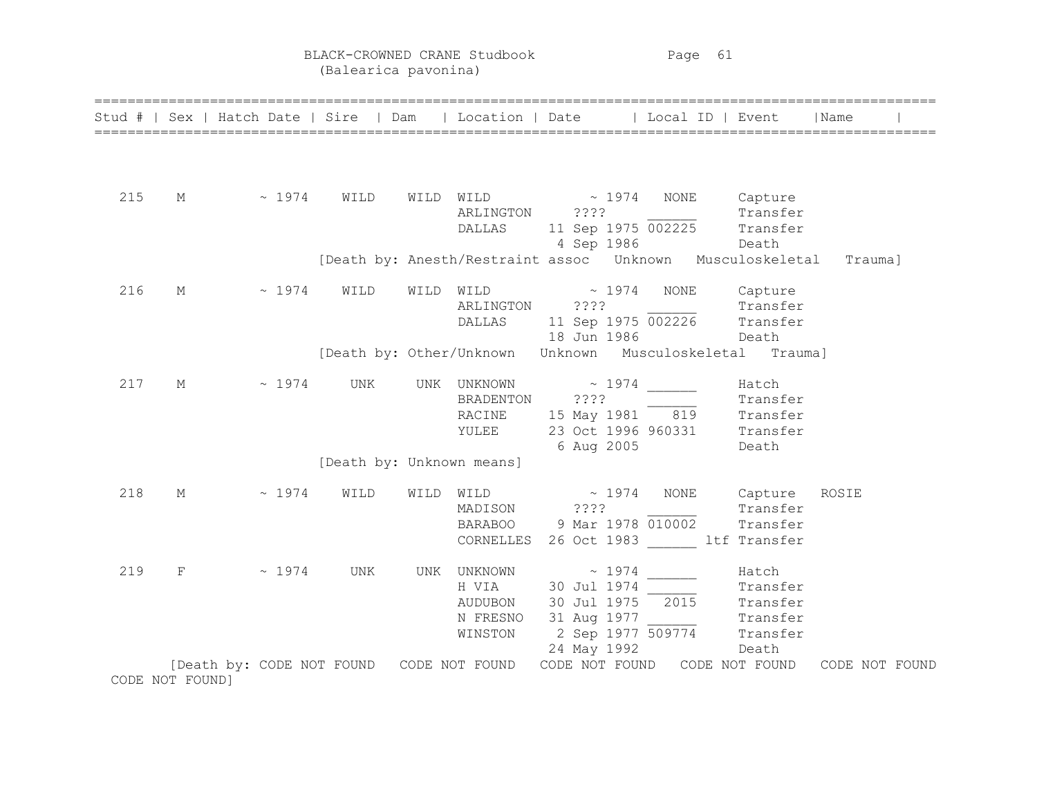BLACK-CROWNED CRANE Studbook Page 61 (Balearica pavonina)

|     |                 |                                          |                           |      |                                                    | Stud #   Sex   Hatch Date   Sire   Dam   Location   Date   Local ID   Event                                                                                                                                                                                                                                                                                                                                                                                                                                                                                                                                                                                                |             |                                        | Name           |
|-----|-----------------|------------------------------------------|---------------------------|------|----------------------------------------------------|----------------------------------------------------------------------------------------------------------------------------------------------------------------------------------------------------------------------------------------------------------------------------------------------------------------------------------------------------------------------------------------------------------------------------------------------------------------------------------------------------------------------------------------------------------------------------------------------------------------------------------------------------------------------------|-------------|----------------------------------------|----------------|
|     |                 |                                          |                           |      |                                                    |                                                                                                                                                                                                                                                                                                                                                                                                                                                                                                                                                                                                                                                                            |             |                                        |                |
| 215 | М               | $\sim 1974$                              | WILD                      |      | ARLINGTON<br>DALLAS                                | $\begin{minipage}{.4\linewidth} WILD \end{minipage} \begin{minipage}{.4\linewidth} \begin{minipage}{.4\linewidth} \begin{minipage}{.4\linewidth} \begin{minipage}{.4\linewidth} \begin{minipage}{.4\linewidth} \begin{minipage}{.4\linewidth} \end{minipage} \end{minipage} \begin{minipage}{.4\linewidth} \begin{minipage}{.4\linewidth} \begin{minipage}{.4\linewidth} \begin{minipage}{.4\linewidth} \begin{minipage}{.4\linewidth} \end{minipage} \end{minipage} \end{minipage} \begin{minipage}{.4\linewidth} \begin{minipage}{.4\linewidth} \begin{minipage}{.$<br>7.7.7.7<br>$??"$<br>11 Sep 1975 $\overline{002225}$ Transfer<br>$\overline{002225}$<br>4 Sep 1986 | NONE        | Capture<br>Transfer<br>Death           |                |
|     |                 |                                          |                           |      |                                                    | [Death by: Anesth/Restraint assoc  Unknown  Musculoskeletal                                                                                                                                                                                                                                                                                                                                                                                                                                                                                                                                                                                                                |             |                                        | Trauma]        |
| 216 | $M_{\odot}$     | $\sim 1974$                              | WILD                      | WILD | WILD<br>ARLINGTON<br><b>DALLAS</b>                 | $\sim 1974$<br>????<br>11 Sep 1975 $\overline{002226}$ Transfer<br>18 Jun 1986                                                                                                                                                                                                                                                                                                                                                                                                                                                                                                                                                                                             | <b>NONE</b> | Capture<br>Transfer<br>Death           |                |
|     |                 |                                          |                           |      |                                                    | [Death by: Other/Unknown Unknown Musculoskeletal Trauma]                                                                                                                                                                                                                                                                                                                                                                                                                                                                                                                                                                                                                   |             |                                        |                |
| 217 | М               | $\sim 1974$                              | UNK                       |      | BRADENTON<br>RACINE<br>YULEE                       | UNK UNKNOWN $\sim$ 1974<br>????<br>15 May 1981 819<br>23 Oct 1996 960331 Transfer<br>6 Aug 2005                                                                                                                                                                                                                                                                                                                                                                                                                                                                                                                                                                            |             | Hatch<br>Transfer<br>Transfer<br>Death |                |
|     |                 |                                          | [Death by: Unknown means] |      |                                                    |                                                                                                                                                                                                                                                                                                                                                                                                                                                                                                                                                                                                                                                                            |             |                                        |                |
| 218 | М               | ~1974                                    | WILD                      | WILD | WILD<br>MADISON                                    | $\sim 1974$<br>? ? ? ?<br>BARABOO 9 Mar 1978 010002<br>CORNELLES 26 Oct 1983 ltf Transfer                                                                                                                                                                                                                                                                                                                                                                                                                                                                                                                                                                                  | NONE        | Capture<br>Transfer<br>Transfer        | ROSIE          |
| 219 | $\mathbf F$     | ~1974                                    | UNK                       | UNK  | UNKNOWN<br>H VIA<br>AUDUBON<br>N FRESNO<br>WINSTON | ~1974<br>30 Jul 1974<br>30 Jul 1975 2015 Transfer<br>31 Aug 1977<br>2 Sep 1977 509774 Transfer<br>24 May 1992                                                                                                                                                                                                                                                                                                                                                                                                                                                                                                                                                              |             | Hatch<br>Transfer<br>Transfer<br>Death |                |
|     | CODE NOT FOUND] | [Death by: CODE NOT FOUND CODE NOT FOUND |                           |      |                                                    | CODE NOT FOUND                                                                                                                                                                                                                                                                                                                                                                                                                                                                                                                                                                                                                                                             |             | CODE NOT FOUND                         | CODE NOT FOUND |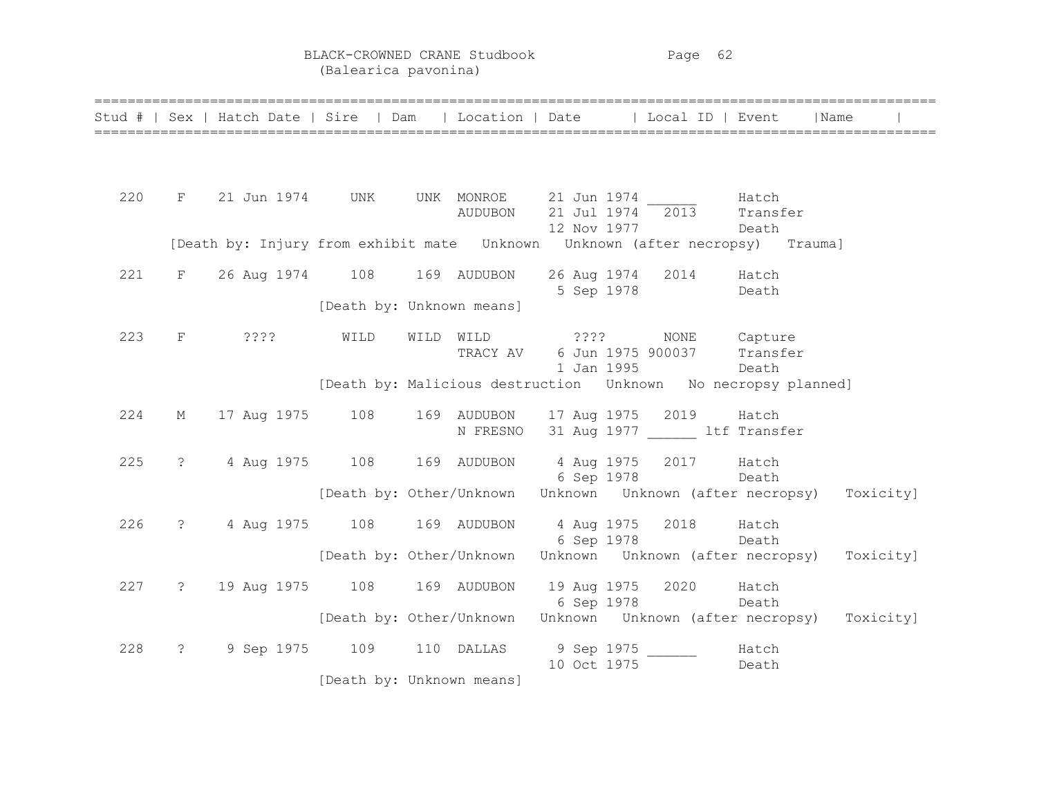BLACK-CROWNED CRANE Studbook Page 62 (Balearica pavonina)

|     |                      | Stud #   Sex   Hatch Date   Sire   Dam   Location   Date   Local ID   Event                            |                                                                     |                                                |             |                                                              |                | Name                                                                |
|-----|----------------------|--------------------------------------------------------------------------------------------------------|---------------------------------------------------------------------|------------------------------------------------|-------------|--------------------------------------------------------------|----------------|---------------------------------------------------------------------|
|     |                      |                                                                                                        |                                                                     |                                                |             |                                                              |                |                                                                     |
| 220 |                      | $F$ 21 Jun 1974 UNK UNK MONROE 21 Jun 1974 $\frac{1}{2013}$ Hatch<br>AUDUBON 21 Jul 1974 2013 Transfer |                                                                     |                                                | 12 Nov 1977 |                                                              | Death          |                                                                     |
|     |                      |                                                                                                        |                                                                     |                                                |             |                                                              |                |                                                                     |
| 221 | $F$ and $F$          | 26 Aug 1974 108 169 AUDUBON 26 Aug 1974 2014 Hatch                                                     |                                                                     |                                                | 5 Sep 1978  |                                                              | Death          |                                                                     |
|     |                      |                                                                                                        | [Death by: Unknown means]                                           |                                                |             |                                                              |                |                                                                     |
| 223 |                      | F ????                                                                                                 | WILD                                                                | WILD WILD ????                                 | 1 Jan 1995  | NONE Capture<br>TRACY AV 6 Jun 1975 900037 Transfer<br>Death |                |                                                                     |
|     |                      |                                                                                                        | [Death by: Malicious destruction    Unknown    No necropsy planned] |                                                |             |                                                              |                |                                                                     |
| 224 | $M_{\odot}$          | 17 Aug 1975 108                                                                                        |                                                                     | 169 AUDUBON 17 Aug 1975 2019 Hatch<br>N FRESNO |             | 31 Aug 1977 ltf Transfer                                     |                |                                                                     |
| 225 | $\ddot{\text{?}}$    | 4 Aug 1975 108 169 AUDUBON 4 Aug 1975 2017 Hatch                                                       |                                                                     |                                                |             | 6 Sep 1978 Death                                             |                |                                                                     |
|     |                      |                                                                                                        | [Death by: Other/Unknown Unknown Unknown (after necropsy)           |                                                |             |                                                              |                | Toxicity]                                                           |
| 226 | $\ddot{\text{?}}$    | 4 Aug 1975 108 169 AUDUBON 4 Aug 1975 2018 Hatch                                                       |                                                                     |                                                |             | 6 Sep 1978 Death                                             |                |                                                                     |
|     |                      |                                                                                                        |                                                                     |                                                |             |                                                              |                | [Death by: Other/Unknown Unknown Unknown (after necropsy) Toxicity] |
| 227 | $\ddot{\text{?}}$    | 19 Aug 1975   108   169   AUDUBON   19 Aug 1975   2020   Hatch                                         |                                                                     |                                                | 6 Sep 1978  | Death                                                        |                |                                                                     |
|     |                      |                                                                                                        |                                                                     |                                                |             |                                                              |                | [Death by: Other/Unknown Unknown Unknown (after necropsy) Toxicity] |
| 228 | $\ddot{\mathcal{E}}$ | 9 Sep 1975 109 110 DALLAS 9 Sep 1975                                                                   |                                                                     |                                                | 10 Oct 1975 |                                                              | Hatch<br>Death |                                                                     |
|     |                      |                                                                                                        | [Death by: Unknown means]                                           |                                                |             |                                                              |                |                                                                     |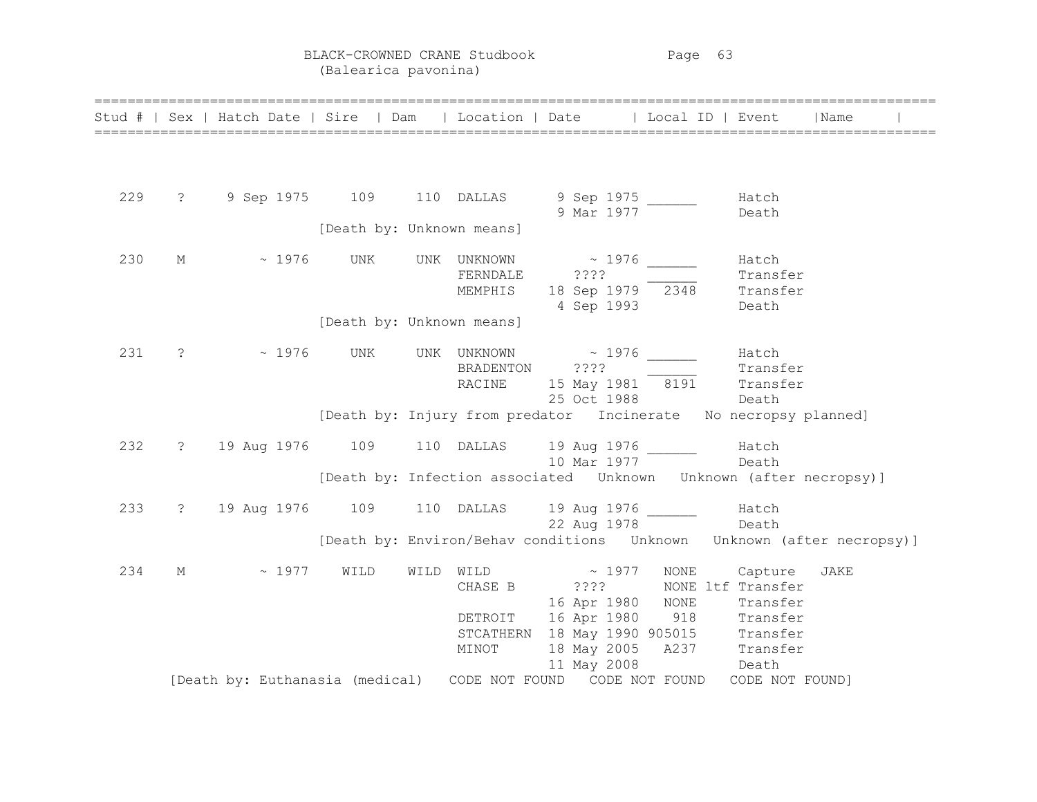BLACK-CROWNED CRANE Studbook Page 63 (Balearica pavonina)

|     |                   | Stud #   Sex   Hatch Date   Sire   Dam   Location   Date   Local ID   Event   Name |                           |                                    |                                                                                                |              |                                          |                                                                               |
|-----|-------------------|------------------------------------------------------------------------------------|---------------------------|------------------------------------|------------------------------------------------------------------------------------------------|--------------|------------------------------------------|-------------------------------------------------------------------------------|
|     |                   |                                                                                    |                           |                                    |                                                                                                |              |                                          |                                                                               |
| 229 | $\overline{?}$    |                                                                                    |                           |                                    | 9 Sep 1975 109 110 DALLAS 9 Sep 1975 _____<br>9 Mar 1977                                       |              | Hatch<br>Death                           |                                                                               |
|     |                   |                                                                                    | [Death by: Unknown means] |                                    |                                                                                                |              |                                          |                                                                               |
| 230 | M                 | $\sim 1976$ UNK                                                                    |                           | UNK UNKNOWN<br>FERNDALE<br>MEMPHIS | $\sim$ 1976<br>????<br>$23??$<br>18 Sep 1979 $\overline{2348}$ Transfer<br>Death<br>4 Sep 1993 |              | Hatch<br>Death                           |                                                                               |
|     |                   |                                                                                    | [Death by: Unknown means] |                                    |                                                                                                |              |                                          |                                                                               |
| 231 | $\ddot{\text{?}}$ | $\sim 1976$                                                                        | UNK                       | BRADENTON ????<br>RACINE           | UNK UNKNOWN ~ 1976<br>15 May 1981 8191 Transfer<br>25 Oct 1988 Death                           |              | Hatch<br>Transfer                        |                                                                               |
|     |                   |                                                                                    |                           |                                    | [Death by: Injury from predator Incinerate No necropsy planned]                                |              |                                          |                                                                               |
| 232 |                   | ? 19 Aug 1976 109 110 DALLAS 19 Aug 1976 _______ Hatch                             |                           |                                    | 10 Mar 1977 Death                                                                              |              |                                          |                                                                               |
|     |                   |                                                                                    |                           |                                    | [Death by: Infection associated  Unknown  Unknown (after necropsy)]                            |              |                                          |                                                                               |
| 233 | $\overline{?}$    |                                                                                    |                           |                                    | 19 Aug 1976 109 110 DALLAS 19 Aug 1976 100 Hatch<br>22 Aug 1978 Death                          |              |                                          |                                                                               |
|     |                   |                                                                                    |                           |                                    |                                                                                                |              |                                          | [Death by: Environ/Behav conditions    Unknown   Unknown    (after necropsy)] |
| 234 | М                 | $\sim 1977$                                                                        | WILD                      | WILD WILD<br>CHASE B               | $\sim 1977$<br>2222<br>16 Apr 1980 NONE                                                        | NONE         | Capture<br>NONE ltf Transfer<br>Transfer | JAKE                                                                          |
|     |                   |                                                                                    |                           | MINOT                              | DETROIT 16 Apr 1980<br>STCATHERN 18 May 1990 905015 Transfer<br>18 May 2005 A237 Transfer      | 918 Transfer |                                          |                                                                               |
|     |                   | [Death by: Euthanasia (medical) CODE NOT FOUND CODE NOT FOUND                      |                           |                                    | 11 May 2008                                                                                    |              | Death<br>CODE NOT FOUND]                 |                                                                               |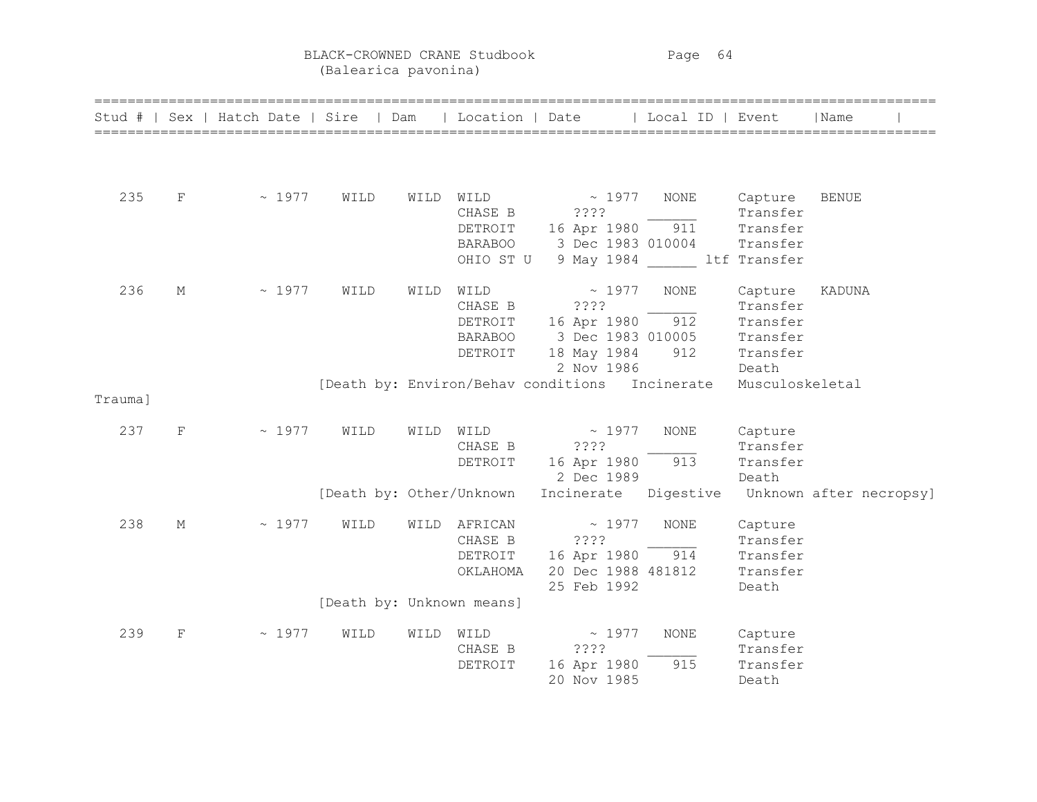BLACK-CROWNED CRANE Studbook Page 64 (Balearica pavonina)

|         |   | Stud #   Sex   Hatch Date   Sire   Dam |                           |      | Location   Date |                                                | Local ID   Event |                     | ======================================<br>  Name |
|---------|---|----------------------------------------|---------------------------|------|-----------------|------------------------------------------------|------------------|---------------------|--------------------------------------------------|
|         |   |                                        |                           |      |                 |                                                |                  |                     |                                                  |
| 235     | F | $\sim 1977$                            | WILD                      | WILD | WILD<br>CHASE B | $\sim 1977$<br>? ? ? ?                         | NONE             | Capture<br>Transfer | <b>BENUE</b>                                     |
|         |   |                                        |                           |      | DETROIT         | 16 Apr 1980                                    | 911              | Transfer            |                                                  |
|         |   |                                        |                           |      | <b>BARABOO</b>  | 3 Dec 1983 010004                              |                  | Transfer            |                                                  |
|         |   |                                        |                           |      | OHIO ST U       | 9 May 1984 ltf Transfer                        |                  |                     |                                                  |
| 236     | М | ~1977                                  | WILD                      | WILD | WILD            | $\sim 1977$                                    | NONE             | Capture             | KADUNA                                           |
|         |   |                                        |                           |      | CHASE B         | ? ? ? ?                                        |                  | Transfer            |                                                  |
|         |   |                                        |                           |      | DETROIT         | 16 Apr 1980                                    | 912              | Transfer            |                                                  |
|         |   |                                        |                           |      | <b>BARABOO</b>  | 3 Dec 1983 010005                              |                  | Transfer            |                                                  |
|         |   |                                        |                           |      | DETROIT         | 18 May 1984                                    | 912              | Transfer            |                                                  |
|         |   |                                        |                           |      |                 | 2 Nov 1986                                     |                  | Death               |                                                  |
| Trauma] |   |                                        |                           |      |                 | [Death by: Environ/Behav conditions Incinerate |                  | Musculoskeletal     |                                                  |
| 237     | F | ~1977                                  | WILD                      | WILD | WILD            | $\sim 1977$                                    | <b>NONE</b>      | Capture             |                                                  |
|         |   |                                        |                           |      | CHASE B         | ????                                           |                  | Transfer            |                                                  |
|         |   |                                        |                           |      | DETROIT         | 16 Apr 1980                                    | 913              | Transfer            |                                                  |
|         |   |                                        |                           |      |                 | 2 Dec 1989                                     |                  | Death               |                                                  |
|         |   |                                        | [Death by: Other/Unknown  |      |                 | Incinerate                                     | Digestive        |                     | Unknown after necropsy]                          |
| 238     | М | ~1977                                  | WILD                      | WILD | AFRICAN         | $\sim 1977$                                    | <b>NONE</b>      | Capture             |                                                  |
|         |   |                                        |                           |      | CHASE B         | ????                                           |                  | Transfer            |                                                  |
|         |   |                                        |                           |      | DETROIT         | 16 Apr 1980                                    | 914              | Transfer            |                                                  |
|         |   |                                        |                           |      | OKLAHOMA        | 20 Dec 1988 481812                             |                  | Transfer            |                                                  |
|         |   |                                        |                           |      |                 | 25 Feb 1992                                    |                  | Death               |                                                  |
|         |   |                                        | [Death by: Unknown means] |      |                 |                                                |                  |                     |                                                  |
| 239     | F | ~1977                                  | WILD                      | WILD | WILD            | $\sim 1977$                                    | NONE             | Capture             |                                                  |
|         |   |                                        |                           |      | CHASE B         | ????                                           |                  | Transfer            |                                                  |
|         |   |                                        |                           |      | DETROIT         | 16 Apr 1980                                    | 915              | Transfer            |                                                  |
|         |   |                                        |                           |      |                 | 20 Nov 1985                                    |                  | Death               |                                                  |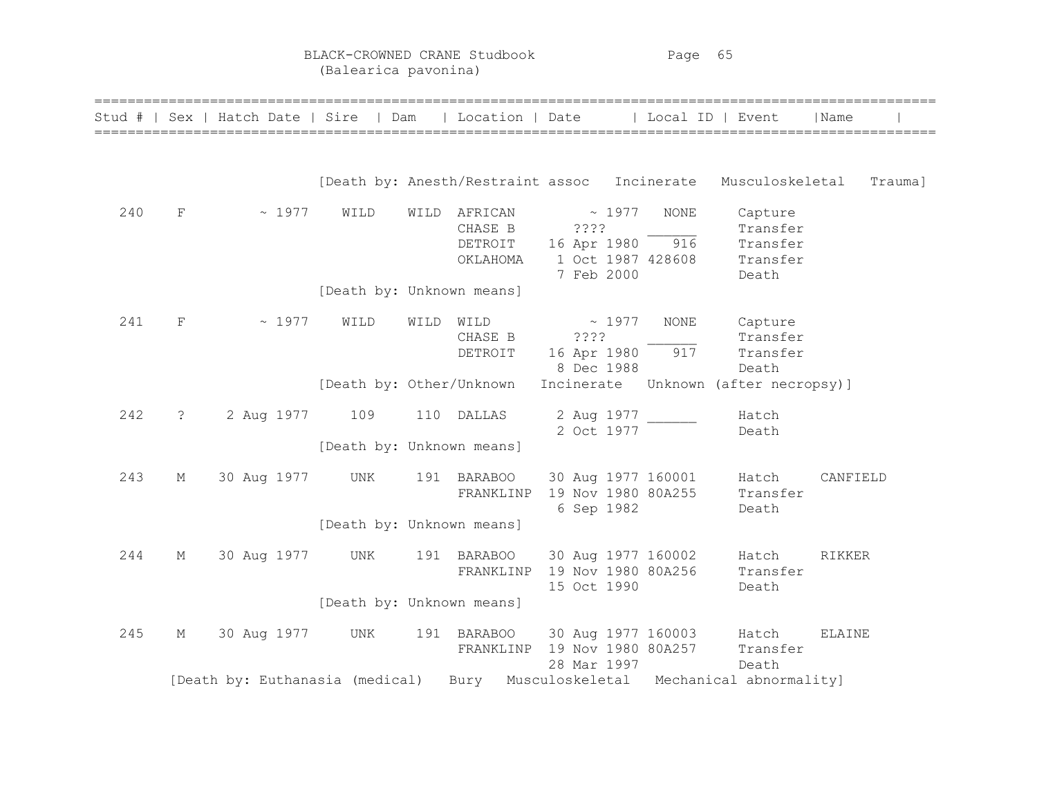BLACK-CROWNED CRANE Studbook Page 65 (Balearica pavonina)

| Stud # |                | Sex   Hatch Date   Sire   Dam   |                           |      | Location   Date                           |                                   |              | Local ID   Event<br>============================== |                                                              | Name     |
|--------|----------------|---------------------------------|---------------------------|------|-------------------------------------------|-----------------------------------|--------------|----------------------------------------------------|--------------------------------------------------------------|----------|
|        |                |                                 |                           |      |                                           |                                   |              |                                                    | [Death by: Anesth/Restraint assoc Incinerate Musculoskeletal | Trauma]  |
| 240    | F              | $\sim 1977$                     | WILD                      | WILD | AFRICAN<br>CHASE B<br>DETROIT<br>OKLAHOMA | ????<br>16 Apr 1980<br>7 Feb 2000 | $~\sim~1977$ | NONE<br>916<br>1 Oct 1987 428608                   | Capture<br>Transfer<br>Transfer<br>Transfer<br>Death         |          |
|        |                |                                 | [Death by: Unknown means] |      |                                           |                                   |              |                                                    |                                                              |          |
| 241    | $\mathbf{F}$   | ~1977                           | WILD                      | WILD | WILD<br>CHASE B<br>DETROIT                | ????<br>16 Apr 1980<br>8 Dec 1988 | ~1977        | <b>NONE</b><br>917                                 | Capture<br>Transfer<br>Transfer<br>Death                     |          |
|        |                |                                 | [Death by: Other/Unknown  |      |                                           | Incinerate                        |              |                                                    | Unknown (after necropsy)]                                    |          |
| 242    | $\ddot{\cdot}$ | 2 Aug 1977                      | 109                       |      | 110 DALLAS                                | 2 Aug 1977<br>2 Oct 1977          |              |                                                    | Hatch<br>Death                                               |          |
|        |                |                                 | [Death by: Unknown means] |      |                                           |                                   |              |                                                    |                                                              |          |
| 243    | М              | 30 Aug 1977                     | UNK                       |      | 191 BARABOO<br>FRANKLINP                  | 6 Sep 1982                        |              | 30 Aug 1977 160001<br>19 Nov 1980 80A255           | Hatch<br>Transfer<br>Death                                   | CANFIELD |
|        |                |                                 | [Death by: Unknown means] |      |                                           |                                   |              |                                                    |                                                              |          |
| 244    | М              | 30 Aug 1977                     | UNK                       |      | 191 BARABOO<br>FRANKLINP                  | 19 Nov 1980 80A256<br>15 Oct 1990 |              | 30 Aug 1977 160002                                 | Hatch<br>Transfer<br>Death                                   | RIKKER   |
|        |                |                                 | [Death by: Unknown means] |      |                                           |                                   |              |                                                    |                                                              |          |
| 245    | М              | 30 Aug 1977                     | UNK                       |      | 191 BARABOO<br>FRANKLINP                  | 19 Nov 1980 80A257<br>28 Mar 1997 |              | 30 Aug 1977 160003                                 | Hatch<br>Transfer<br>Death                                   | ELAINE   |
|        |                | [Death by: Euthanasia (medical) |                           |      | Bury                                      |                                   |              |                                                    | Musculoskeletal Mechanical abnormality]                      |          |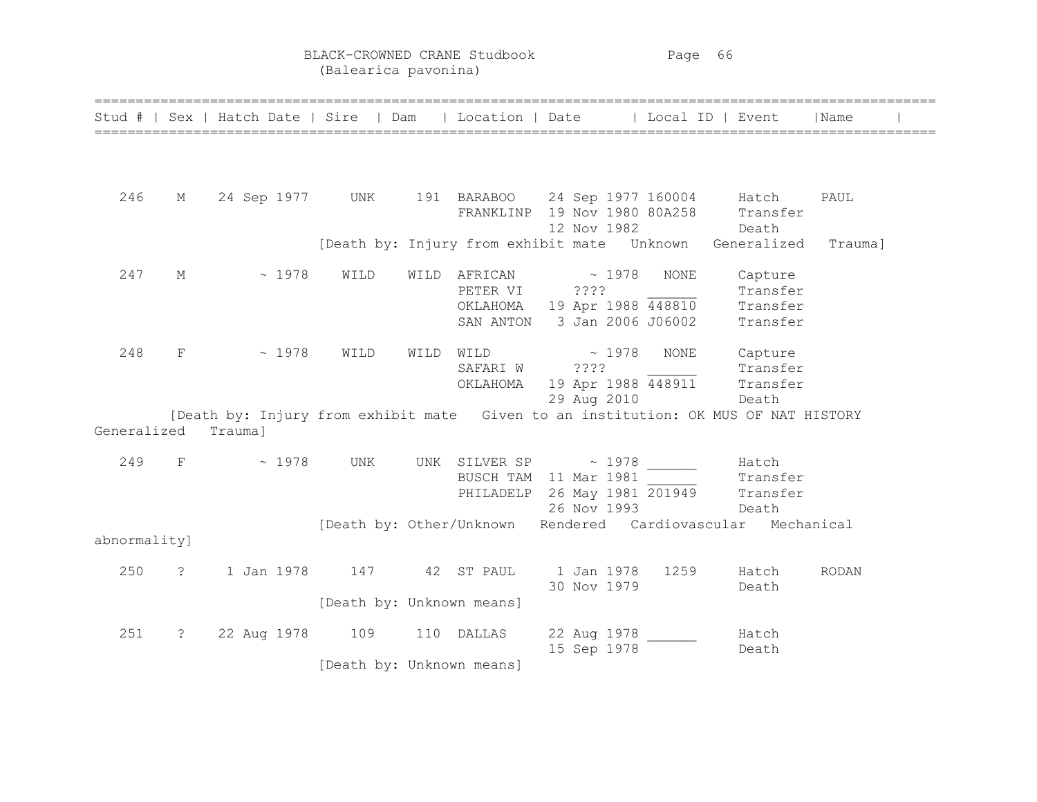BLACK-CROWNED CRANE Studbook Page 66 (Balearica pavonina)

|                     |                | Stud #   Sex   Hatch Date   Sire   Dam                                             |                                  |      | Location   Date       |                                                                                                               | Local ID   Event |                                             | Name         |
|---------------------|----------------|------------------------------------------------------------------------------------|----------------------------------|------|-----------------------|---------------------------------------------------------------------------------------------------------------|------------------|---------------------------------------------|--------------|
|                     |                |                                                                                    |                                  |      |                       |                                                                                                               |                  |                                             |              |
| 246                 | М              | 24 Sep 1977 UNK                                                                    |                                  |      |                       | 191 BARABOO 24 Sep 1977 160004 Hatch<br>FRANKLINP 19 Nov 1980 80A258<br>12 Nov 1982                           |                  | Transfer<br>Death                           | PAUL         |
|                     |                |                                                                                    |                                  |      |                       | [Death by: Injury from exhibit mate  Unknown  Generalized                                                     |                  |                                             | Trauma]      |
| 247                 | М              | ~1978                                                                              | WILD                             | WILD | PETER VI<br>SAN ANTON | $AFRICAN \sim 1978$<br>????<br>OKLAHOMA 19 Apr 1988 448810<br>3 Jan 2006 J06002                               | <b>NONE</b>      | Capture<br>Transfer<br>Transfer<br>Transfer |              |
| 248                 | $\mathbf{F}$   | $\sim 1978$                                                                        | WILD                             | WILD | SAFARI W ????         | $\texttt{WILD} \qquad \qquad \texttt{\sim} \quad 1978$<br>OKLAHOMA 19 Apr 1988 448911 Transfer<br>29 Aug 2010 | NONE             | Capture<br>Transfer<br>Death                |              |
| Generalized Trauma] |                | [Death by: Injury from exhibit mate Given to an institution: OK MUS OF NAT HISTORY |                                  |      |                       |                                                                                                               |                  |                                             |              |
| 249                 | F              | $\sim 1978$                                                                        | UNK                              |      |                       | UNK SILVER SP $\sim$ 1978<br>BUSCH TAM 11 Mar 1981<br>PHILADELP 26 May 1981 201949<br>26 Nov 1993             |                  | Hatch<br>Transfer<br>Transfer<br>Death      |              |
| abnormality]        |                |                                                                                    |                                  |      |                       | [Death by: Other/Unknown Rendered Cardiovascular Mechanical                                                   |                  |                                             |              |
| 250                 | $\ddot{\cdot}$ | 1 Jan 1978                                                                         | 147 42 ST PAUL                   |      |                       | 1 Jan 1978<br>30 Nov 1979                                                                                     | 1259             | Hatch<br>Death                              | <b>RODAN</b> |
|                     |                |                                                                                    | [Death by: Unknown means]        |      |                       |                                                                                                               |                  |                                             |              |
| 251                 | $\ddot{\cdot}$ | 22 Aug 1978                                                                        | 109<br>[Death by: Unknown means] |      | 110 DALLAS            | 22 Aug 1978<br>15 Sep 1978                                                                                    |                  | Hatch<br>Death                              |              |

======================================================================================================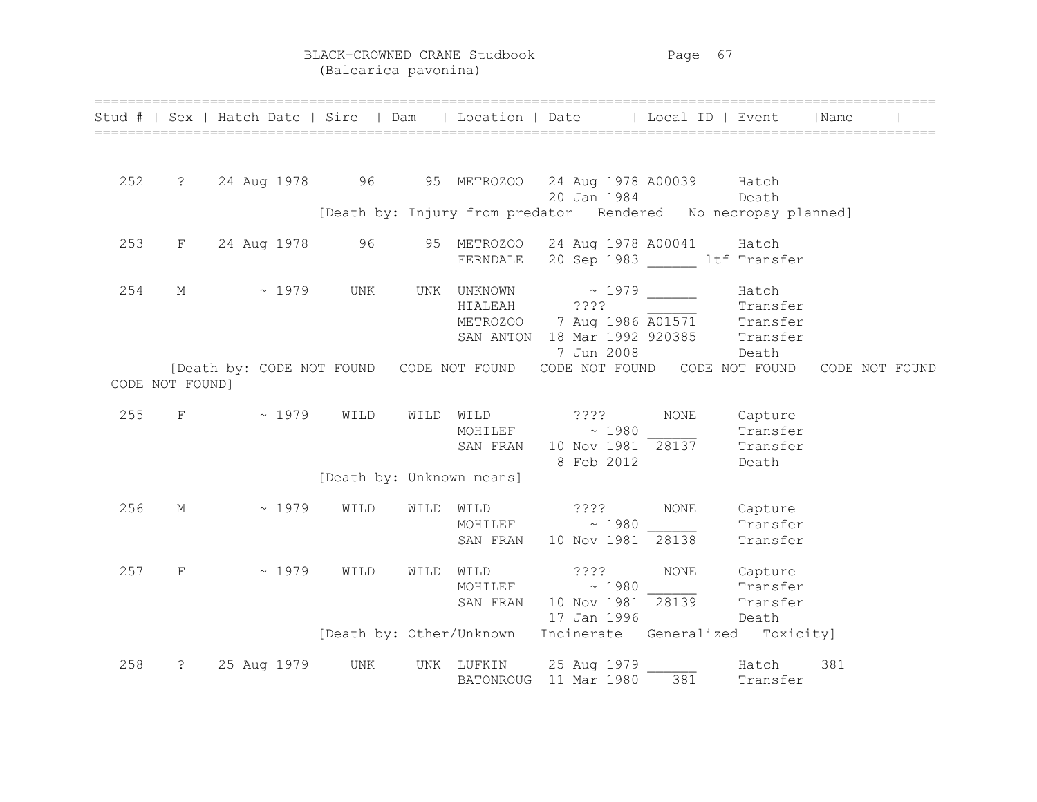BLACK-CROWNED CRANE Studbook Page 67 (Balearica pavonina)

|     |                 | Stud #   Sex   Hatch Date   Sire   Dam   Location   Date   Local ID   Event   Name |      |      |                           |                                                                                                                                               |              |                     |                |  |
|-----|-----------------|------------------------------------------------------------------------------------|------|------|---------------------------|-----------------------------------------------------------------------------------------------------------------------------------------------|--------------|---------------------|----------------|--|
| 252 |                 | ? 24 Aug 1978 96 95 METROZOO 24 Aug 1978 A00039 Hatch                              |      |      |                           | 20 Jan 1984<br>[Death by: Injury from predator Rendered No necropsy planned]                                                                  |              | Death               |                |  |
|     |                 |                                                                                    |      |      |                           |                                                                                                                                               |              |                     |                |  |
| 253 |                 | F 24 Aug 1978 96 95 METROZOO 24 Aug 1978 A00041 Hatch                              |      |      |                           | FERNDALE 20 Sep 1983 ltf Transfer                                                                                                             |              |                     |                |  |
| 254 |                 | M ~ 1979 UNK                                                                       |      |      | HIALEAH ????              | UNK UNKNOWN ~ 1979 ______<br>HIALEAH 2222<br>METROZOO 7 Aug 1986 A01571 Transfer<br>SAN ANTON 18 Mar 1992 920385 Transfer<br>7 Jun 2008 Death |              | Hatch               |                |  |
|     | CODE NOT FOUND] | [Death by: CODE NOT FOUND CODE NOT FOUND CODE NOT FOUND CODE NOT FOUND             |      |      |                           |                                                                                                                                               |              |                     | CODE NOT FOUND |  |
| 255 |                 | $F \sim 1979$                                                                      | WILD |      |                           | WILD WILD ????<br>MOHILEF $\sim$ 1980 Transfer<br>SAN FRAN 10 Nov 1981 28137 Transfer<br>8 Feb 2012                                           | NONE Capture | Death               |                |  |
|     |                 |                                                                                    |      |      | [Death by: Unknown means] |                                                                                                                                               |              |                     |                |  |
| 256 | M               | $\sim 1979$                                                                        | WILD |      |                           | WILD WILD ????<br>MOHILEF $\sim$ 1980 Transfer<br>SAN FRAN 10 Nov 1981 28138                                                                  | <b>NONE</b>  | Capture<br>Transfer |                |  |
| 257 | $_{\rm F}$      | $\sim 1979$                                                                        | WILD | WILD |                           | WILD ????<br>MOHILEF $\sim 1980$<br>SAN FRAN 10 Nov 1981 28139 Transfer<br>17 Jan 1996 Death                                                  | NONE         | Capture<br>Transfer |                |  |
|     |                 |                                                                                    |      |      |                           | [Death by: Other/Unknown Incinerate Generalized Toxicity]                                                                                     |              |                     |                |  |
| 258 |                 | ? 25 Aug 1979                                                                      | UNK  |      |                           | UNK LUFKIN 25 Aug 1979<br>BATONROUG 11 Mar 1980                                                                                               | 381          | Hatch<br>Transfer   | 381            |  |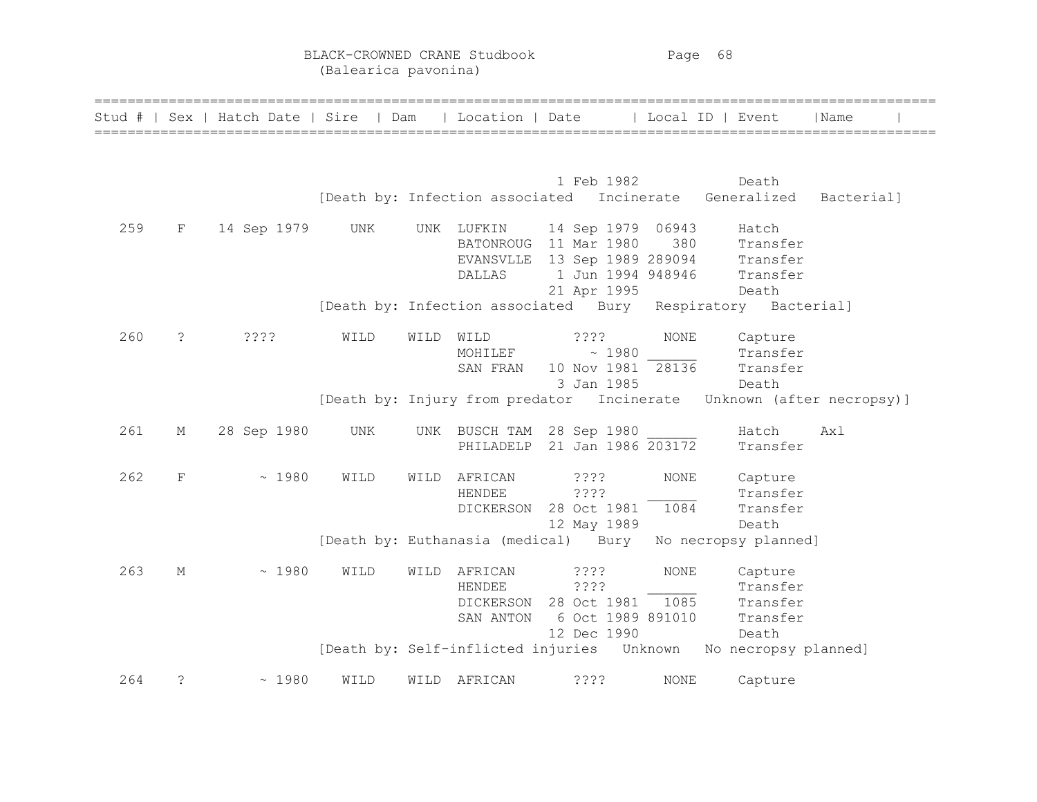BLACK-CROWNED CRANE Studbook Page 68 (Balearica pavonina)

|     |             | Stud #   Sex   Hatch Date   Sire   Dam   Location   Date   Local ID   Event |      |      |              |                                                                                                                  |             |          | Name       |
|-----|-------------|-----------------------------------------------------------------------------|------|------|--------------|------------------------------------------------------------------------------------------------------------------|-------------|----------|------------|
|     |             |                                                                             |      |      |              |                                                                                                                  |             |          |            |
|     |             |                                                                             |      |      |              | 1 Feb 1982                                                                                                       |             | Death    |            |
|     |             |                                                                             |      |      |              | [Death by: Infection associated Incinerate Generalized                                                           |             |          | Bacterial] |
| 259 | F           | 14 Sep 1979                                                                 | UNK  |      | UNK LUFKIN   | 14 Sep 1979 06943                                                                                                |             | Hatch    |            |
|     |             |                                                                             |      |      |              | BATONROUG 11 Mar 1980 380 Transfer<br>EVANSVLLE 13 Sep 1989 289094 Transfer<br>DALLAS 1 Jun 1994 948946 Transfer |             |          |            |
|     |             |                                                                             |      |      |              |                                                                                                                  |             |          |            |
|     |             |                                                                             |      |      |              |                                                                                                                  |             |          |            |
|     |             |                                                                             |      |      |              | 21 Apr 1995                                                                                                      |             | Death    |            |
|     |             |                                                                             |      |      |              | [Death by: Infection associated Bury Respiratory Bacterial]                                                      |             |          |            |
| 260 | $\tilde{S}$ | 3333                                                                        | WILD | WILD | WILD         | ????                                                                                                             | <b>NONE</b> | Capture  |            |
|     |             |                                                                             |      |      |              | $MOHILEF$ ~ 1980                                                                                                 |             | Transfer |            |
|     |             |                                                                             |      |      | SAN FRAN     | 10 Nov 1981 28136 Transfer                                                                                       |             |          |            |
|     |             |                                                                             |      |      |              | 3 Jan 1985                                                                                                       |             | Death    |            |
|     |             |                                                                             |      |      |              | [Death by: Injury from predator Incinerate Unknown (after necropsy)]                                             |             |          |            |
| 261 | М           | 28 Sep 1980                                                                 | UNK  |      |              | UNK BUSCH TAM 28 Sep 1980                                                                                        |             | Hatch    | Ax1        |
|     |             |                                                                             |      |      |              | PHILADELP 21 Jan 1986 203172                                                                                     |             | Transfer |            |
| 262 | F           | ~1980                                                                       | WILD | WILD | AFRICAN      | ? ? ? ?                                                                                                          | <b>NONE</b> | Capture  |            |
|     |             |                                                                             |      |      | HENDEE       | ? ? ? ?                                                                                                          |             | Transfer |            |
|     |             |                                                                             |      |      | DICKERSON    | 28 Oct 1981 1084                                                                                                 |             | Transfer |            |
|     |             |                                                                             |      |      |              | 12 May 1989                                                                                                      |             | Death    |            |
|     |             |                                                                             |      |      |              | [Death by: Euthanasia (medical) Bury No necropsy planned]                                                        |             |          |            |
| 263 | М           | ~1980                                                                       | WILD | WILD | AFRICAN      | $??\$                                                                                                            | <b>NONE</b> | Capture  |            |
|     |             |                                                                             |      |      | HENDEE       | ????                                                                                                             |             | Transfer |            |
|     |             |                                                                             |      |      |              | DICKERSON 28 Oct 1981 1085 Transfer                                                                              |             |          |            |
|     |             |                                                                             |      |      | SAN ANTON    | 6 Oct 1989 891010                                                                                                |             | Transfer |            |
|     |             |                                                                             |      |      |              | 12 Dec 1990                                                                                                      |             | Death    |            |
|     |             |                                                                             |      |      |              | [Death by: Self-inflicted injuries    Unknown    No necropsy planned]                                            |             |          |            |
| 264 | $\tilde{S}$ | ~1980                                                                       | WILD |      | WILD AFRICAN | ????                                                                                                             | <b>NONE</b> | Capture  |            |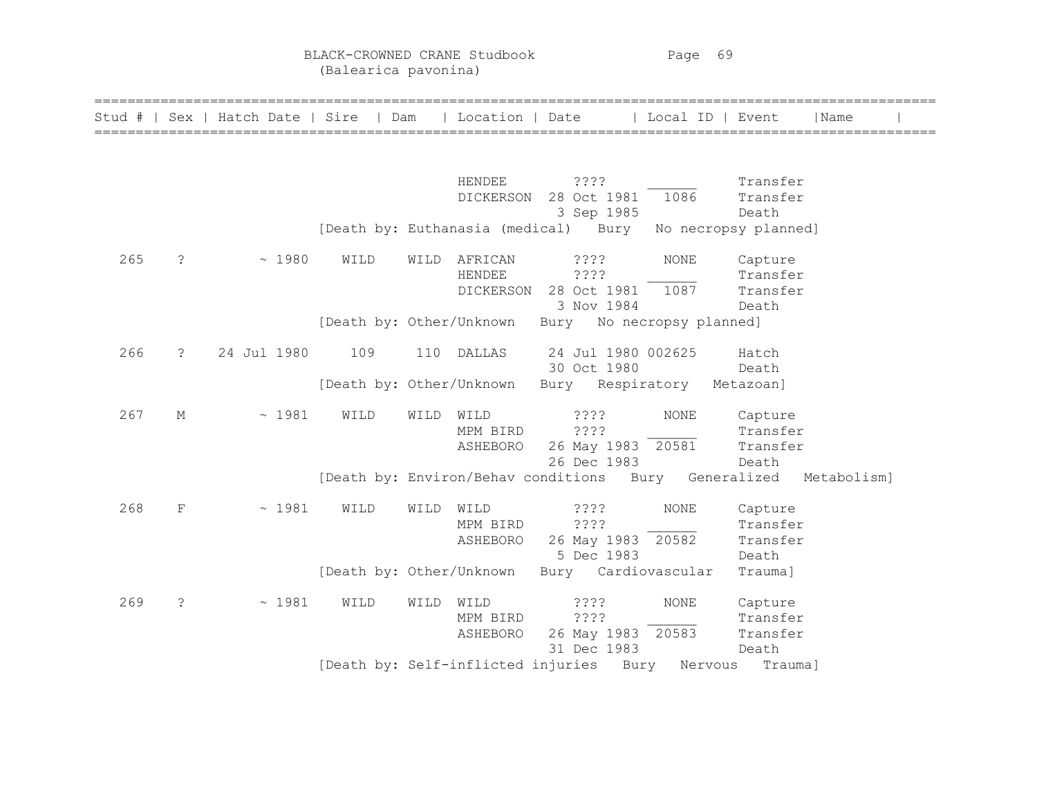BLACK-CROWNED CRANE Studbook Page 69 (Balearica pavonina)

| Stud # |                      | Sex   Hatch Date   Sire   Dam |                          |      | Location   Date |                                                      | Local ID   Event     |          | Name        |  |
|--------|----------------------|-------------------------------|--------------------------|------|-----------------|------------------------------------------------------|----------------------|----------|-------------|--|
|        |                      |                               |                          |      |                 |                                                      |                      |          |             |  |
|        |                      |                               |                          |      | HENDEE          | 3333                                                 |                      | Transfer |             |  |
|        |                      |                               |                          |      | DICKERSON       | 28 Oct 1981                                          | 1086                 | Transfer |             |  |
|        |                      |                               |                          |      |                 | 3 Sep 1985                                           |                      | Death    |             |  |
|        |                      |                               |                          |      |                 | [Death by: Euthanasia (medical) Bury                 | No necropsy planned] |          |             |  |
| 265    | $\cdot$              | ~1980                         | WILD                     | WILD | AFRICAN         | ? ? ? ?                                              | <b>NONE</b>          | Capture  |             |  |
|        |                      |                               |                          |      | HENDEE          | ????                                                 |                      | Transfer |             |  |
|        |                      |                               |                          |      |                 | DICKERSON 28 Oct 1981                                | 1087                 | Transfer |             |  |
|        |                      |                               |                          |      |                 | 3 Nov 1984                                           |                      | Death    |             |  |
|        |                      |                               | [Death by: Other/Unknown |      |                 | Bury No necropsy planned]                            |                      |          |             |  |
| 266    | $\ddot{\cdot}$       | 24 Jul 1980                   | 109                      | 110  | DALLAS          | 24 Jul 1980 002625                                   |                      | Hatch    |             |  |
|        |                      |                               |                          |      |                 | 30 Oct 1980                                          |                      | Death    |             |  |
|        |                      |                               | [Death by: Other/Unknown |      |                 | Bury Respiratory Metazoan]                           |                      |          |             |  |
| 267    | М                    | ~1981                         | WILD                     | WILD | WILD            | ????                                                 | <b>NONE</b>          | Capture  |             |  |
|        |                      |                               |                          |      | MPM BIRD        | ????                                                 |                      | Transfer |             |  |
|        |                      |                               |                          |      | ASHEBORO        | 26 May 1983 20581                                    |                      | Transfer |             |  |
|        |                      |                               |                          |      |                 | 26 Dec 1983                                          |                      | Death    |             |  |
|        |                      |                               |                          |      |                 | [Death by: Environ/Behav conditions Bury Generalized |                      |          | Metabolism] |  |
| 268    | F                    | ~1981                         | WILD                     | WILD | WILD            | ????                                                 | <b>NONE</b>          | Capture  |             |  |
|        |                      |                               |                          |      | MPM BIRD        | ????                                                 |                      | Transfer |             |  |
|        |                      |                               |                          |      | ASHEBORO        | 26 May 1983 20582                                    |                      | Transfer |             |  |
|        |                      |                               |                          |      |                 | 5 Dec 1983                                           |                      | Death    |             |  |
|        |                      |                               | [Death by: Other/Unknown |      |                 | Bury Cardiovascular                                  |                      | Trauma]  |             |  |
| 269    | $\ddot{\phantom{0}}$ | ~1981                         | WILD                     | WILD | WILD            | ????                                                 | <b>NONE</b>          | Capture  |             |  |
|        |                      |                               |                          |      | MPM BIRD        | ????                                                 |                      | Transfer |             |  |
|        |                      |                               |                          |      | ASHEBORO        | 26 May 1983 20583                                    |                      | Transfer |             |  |
|        |                      |                               |                          |      |                 | 31 Dec 1983                                          |                      | Death    |             |  |
|        |                      |                               |                          |      |                 | [Death by: Self-inflicted injuries Bury              | Nervous              | Trauma]  |             |  |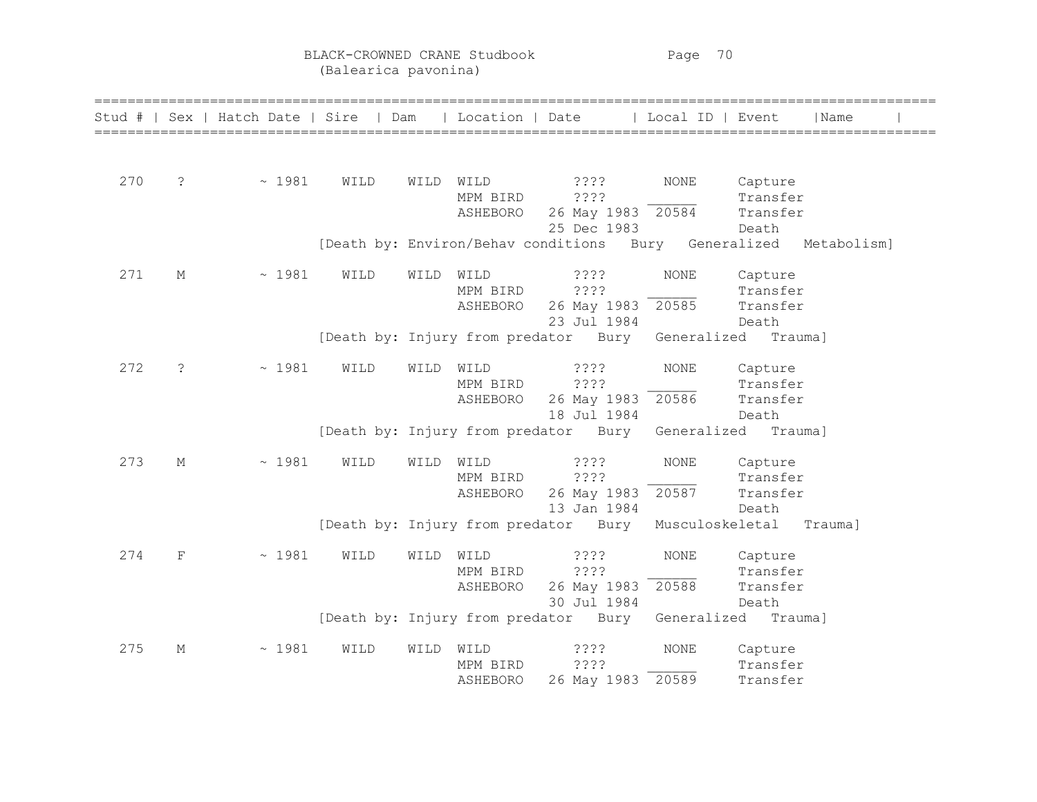BLACK-CROWNED CRANE Studbook Page 70 (Balearica pavonina)

|     |             | Stud #   Sex   Hatch Date   Sire   Dam   Location   Date   Local ID   Event |      |           |          |                                                                  |             |          | Name |  |
|-----|-------------|-----------------------------------------------------------------------------|------|-----------|----------|------------------------------------------------------------------|-------------|----------|------|--|
|     |             |                                                                             |      |           |          |                                                                  |             |          |      |  |
|     |             |                                                                             |      |           |          |                                                                  |             |          |      |  |
| 270 | $\tilde{S}$ | ~1981                                                                       | WILD | WILD WILD |          | ? ? ? ?                                                          | NONE        | Capture  |      |  |
|     |             |                                                                             |      |           | MPM BIRD | ????                                                             |             | Transfer |      |  |
|     |             |                                                                             |      |           | ASHEBORO | 26 May 1983 20584                                                |             | Transfer |      |  |
|     |             |                                                                             |      |           |          | 25 Dec 1983                                                      |             | Death    |      |  |
|     |             |                                                                             |      |           |          | [Death by: Environ/Behav conditions Bury Generalized Metabolism] |             |          |      |  |
| 271 | М           | ~1981                                                                       | WILD | WILD      | WILD     | ? ? ? ?                                                          | <b>NONE</b> | Capture  |      |  |
|     |             |                                                                             |      |           | MPM BIRD | ????                                                             |             | Transfer |      |  |
|     |             |                                                                             |      |           | ASHEBORO | 26 May 1983 20585                                                |             | Transfer |      |  |
|     |             |                                                                             |      |           |          | 23 Jul 1984                                                      |             | Death    |      |  |
|     |             |                                                                             |      |           |          | [Death by: Injury from predator Bury Generalized                 |             | Trauma]  |      |  |
| 272 | $\cdot$     | ~1981                                                                       | WILD | WILD      | WILD     | $??\,?\,?$                                                       | NONE        | Capture  |      |  |
|     |             |                                                                             |      |           | MPM BIRD | ????                                                             |             | Transfer |      |  |
|     |             |                                                                             |      |           | ASHEBORO | 26 May 1983 20586                                                |             | Transfer |      |  |
|     |             |                                                                             |      |           |          | 18 Jul 1984                                                      |             | Death    |      |  |
|     |             |                                                                             |      |           |          | [Death by: Injury from predator Bury Generalized Trauma]         |             |          |      |  |
| 273 | М           | ~1981                                                                       | WILD | WILD      | WILD     | ? ? ? ?                                                          | <b>NONE</b> | Capture  |      |  |
|     |             |                                                                             |      |           | MPM BIRD | ????                                                             |             | Transfer |      |  |
|     |             |                                                                             |      |           | ASHEBORO | 26 May 1983                                                      | 20587       | Transfer |      |  |
|     |             |                                                                             |      |           |          | 13 Jan 1984                                                      |             | Death    |      |  |
|     |             |                                                                             |      |           |          | [Death by: Injury from predator Bury Musculoskeletal Trauma]     |             |          |      |  |
| 274 | F           | ~1981                                                                       | WILD | WILD      | WILD     | $??\,?\,?$                                                       | <b>NONE</b> | Capture  |      |  |
|     |             |                                                                             |      |           | MPM BIRD | ????                                                             |             | Transfer |      |  |
|     |             |                                                                             |      |           | ASHEBORO | 26 May 1983 20588                                                |             | Transfer |      |  |
|     |             |                                                                             |      |           |          | 30 Jul 1984                                                      |             | Death    |      |  |
|     |             |                                                                             |      |           |          | [Death by: Injury from predator Bury Generalized Trauma]         |             |          |      |  |
| 275 | М           | ~1981                                                                       | WILD | WILD      | WILD     | ? ? ? ?                                                          | NONE        | Capture  |      |  |
|     |             |                                                                             |      |           | MPM BIRD | ????                                                             |             | Transfer |      |  |
|     |             |                                                                             |      |           | ASHEBORO | 26 May 1983 20589                                                |             | Transfer |      |  |
|     |             |                                                                             |      |           |          |                                                                  |             |          |      |  |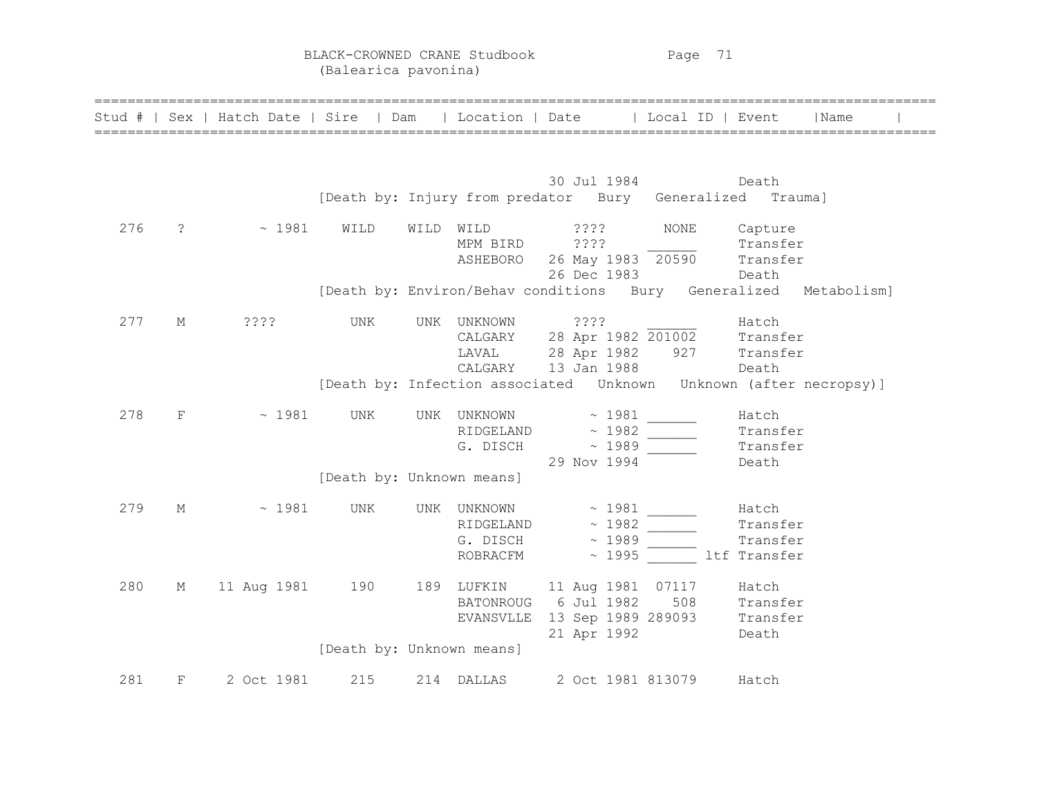BLACK-CROWNED CRANE Studbook Page 71 (Balearica pavonina)

| Stud # |            | Sex   Hatch Date   Sire   Dam |                           |      |                                      | Location   Date   Local ID   Event                                                                      |                      | Name                                                                |
|--------|------------|-------------------------------|---------------------------|------|--------------------------------------|---------------------------------------------------------------------------------------------------------|----------------------|---------------------------------------------------------------------|
|        |            |                               |                           |      |                                      | 30 Jul 1984<br>[Death by: Injury from predator Bury Generalized Trauma]                                 |                      | Death                                                               |
| 276    | $\ddot{?}$ | $\sim 1981$                   | WILD                      | WILD | WILD<br>MPM BIRD                     | ? ? ? ?<br>????<br>ASHEBORO 26 May 1983 20590 Transfer<br>26 Dec 1983                                   | <b>NONE</b><br>Death | Capture<br>Transfer                                                 |
|        |            |                               |                           |      |                                      |                                                                                                         |                      | [Death by: Environ/Behav conditions Bury Generalized Metabolism]    |
| 277    | М          | ? ? ? ?                       | UNK                       |      | UNK UNKNOWN                          | 7.3.3.5<br>CALGARY 28 Apr 1982 201002 Transfer<br>LAVAL 28 Apr 1982 927 Transfer<br>CALGARY 13 Jan 1988 |                      | Hatch<br>Death                                                      |
|        |            |                               |                           |      |                                      |                                                                                                         |                      | [Death by: Infection associated  Unknown  Unknown (after necropsy)] |
| 278    | F          | $\sim 1981$                   | UNK                       |      | UNK UNKNOWN<br>RIDGELAND<br>G. DISCH | $\sim 1981$<br>$\sim 1982$<br>$\sim 1989$<br>29 Nov 1994                                                |                      | Hatch<br>Transfer<br>Transfer<br>Death                              |
|        |            |                               | [Death by: Unknown means] |      |                                      |                                                                                                         |                      |                                                                     |
| 279    | М          | ~1981                         | UNK                       |      | UNK UNKNOWN<br>ROBRACFM              | $\sim 1981$<br>RIDGELAND $\sim 1982$<br>$G.$ DISCH $\sim$ 1989                                          | ~ 1995 ltf Transfer  | Hatch<br>Transfer<br>Transfer                                       |
| 280    | М          | 11 Aug 1981 190               |                           |      | BATONROUG<br>EVANSVLLE               | 189 LUFKIN 11 Aug 1981 07117<br>6 Jul 1982<br>13 Sep 1989 289093 Transfer<br>21 Apr 1992                | Death                | Hatch<br>508 Transfer                                               |
|        |            |                               | [Death by: Unknown means] |      |                                      |                                                                                                         |                      |                                                                     |
| 281    | F          | 2 Oct 1981                    | 215                       |      | 214 DALLAS                           | 2 Oct 1981 813079                                                                                       |                      | Hatch                                                               |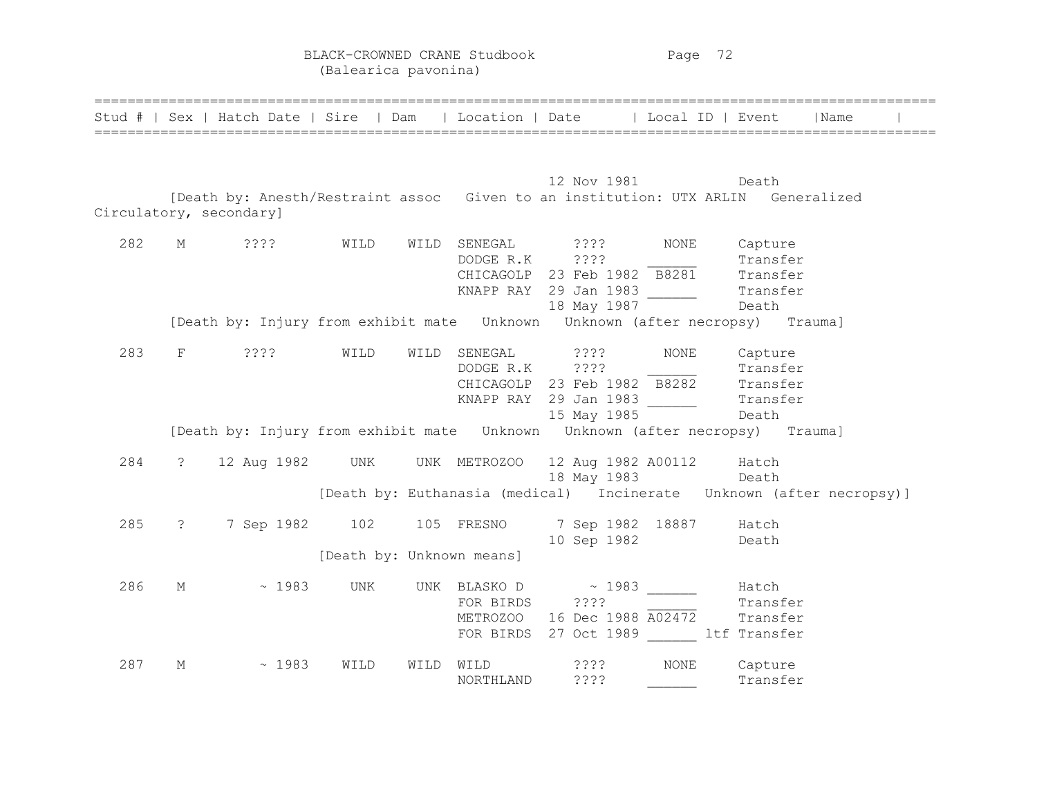BLACK-CROWNED CRANE Studbook Page 72 (Balearica pavonina)

|     |                   |                           |                           |      |                                | Stud #   Sex   Hatch Date   Sire   Dam   Location   Date   Local ID   Event                                                        |              |                              | Name |
|-----|-------------------|---------------------------|---------------------------|------|--------------------------------|------------------------------------------------------------------------------------------------------------------------------------|--------------|------------------------------|------|
|     |                   | Circulatory, secondary]   |                           |      |                                | 12 Nov 1981 Death<br>[Death by: Anesth/Restraint assoc Given to an institution: UTX ARLIN Generalized                              |              |                              |      |
| 282 |                   | M ????                    | WILD                      |      | WILD SENEGAL<br>DODGE R.K ???? | ? ? ? ?<br>CHICAGOLP 23 Feb 1982 B8281 Transfer<br>KNAPP RAY 29 Jan 1983 Transfer<br>18 May 1987 Death                             | NONE Capture | Transfer                     |      |
| 283 | F                 | ????                      | WILD                      |      |                                | WILD SENEGAL ????<br>DODGE R.K ????<br>CHICAGOLP 23 Feb $1982 \overline{B8282}$ Transfer<br>15 May 1985                            | NONE         | Capture<br>Transfer<br>Death |      |
| 284 | $\ddot{?}$        | 12 Aug 1982 UNK           |                           |      |                                | UNK METROZOO 12 Aug 1982 A00112 Hatch<br>18 May 1983 Death<br>[Death by: Euthanasia (medical) Incinerate Unknown (after necropsy)] |              |                              |      |
| 285 | $\ddot{\text{?}}$ | 7 Sep 1982 102 105 FRESNO | [Death by: Unknown means] |      |                                | 7 Sep 1982 18887 Hatch<br>10 Sep 1982 Death                                                                                        |              |                              |      |
| 286 | М                 | ~1983                     | UNK                       |      | FOR BIRDS ????                 | UNK BLASKO D $\sim$ 1983<br>METROZOO 16 Dec 1988 A02472 Transfer<br>FOR BIRDS 27 Oct 1989 ltf Transfer                             |              | Hatch<br>Transfer            |      |
| 287 | М                 | ~1983                     | WILD                      | WILD | WILD<br>NORTHLAND              | 3333<br>????                                                                                                                       | <b>NONE</b>  | Capture<br>Transfer          |      |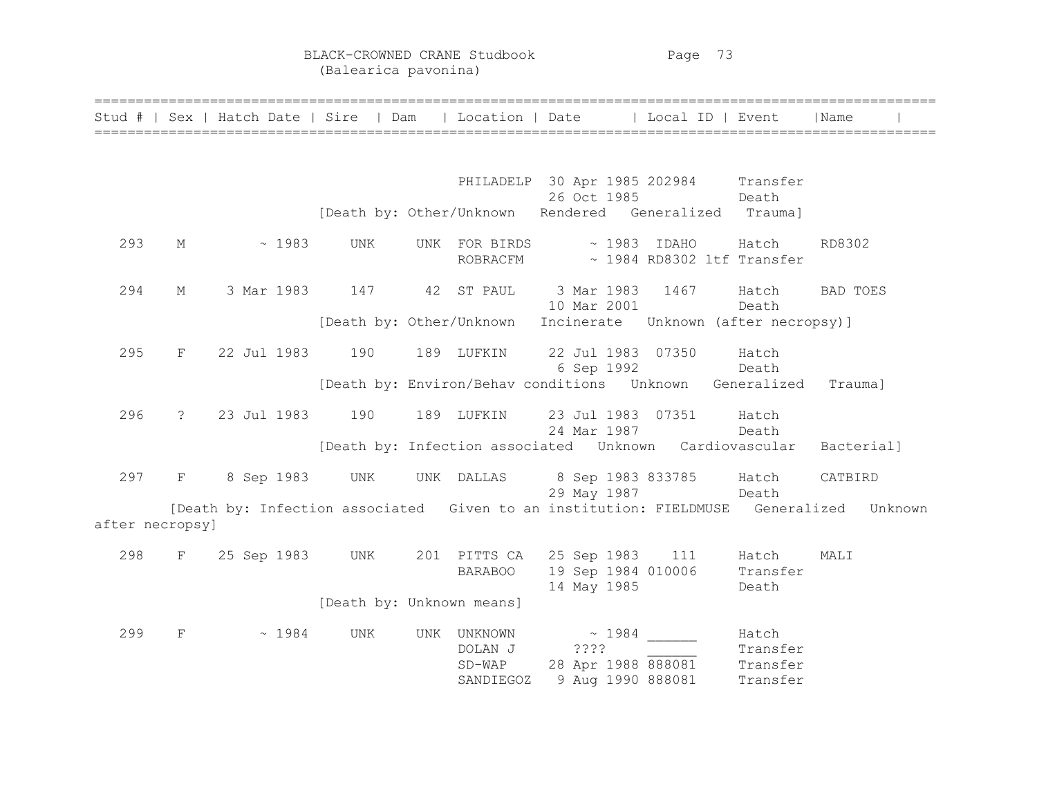BLACK-CROWNED CRANE Studbook Page 73 (Balearica pavonina)

|                 |                               |                 | Stud #   Sex   Hatch Date   Sire   Dam   Location   Date   Local ID   Event |                                                      |                                                                         |       |                               | l Name                                                                                 |
|-----------------|-------------------------------|-----------------|-----------------------------------------------------------------------------|------------------------------------------------------|-------------------------------------------------------------------------|-------|-------------------------------|----------------------------------------------------------------------------------------|
|                 |                               |                 |                                                                             |                                                      | PHILADELP 30 Apr 1985 202984 Transfer                                   |       |                               |                                                                                        |
|                 |                               |                 | [Death by: Other/Unknown Rendered Generalized Trauma]                       |                                                      | 26 Oct 1985                                                             | Death |                               |                                                                                        |
| 293             | М                             | ~1983           | <b>UNK</b>                                                                  | UNK FOR BIRDS ~ 1983 IDAHO Hatch                     | ROBRACFM ~ 1984 RD8302 ltf Transfer                                     |       |                               | RD8302                                                                                 |
| 294             | М                             | 3 Mar 1983      | 147                                                                         | 42 ST PAUL                                           | 3 Mar 1983 1467 Hatch<br>10 Mar 2001                                    |       | Death                         | BAD TOES                                                                               |
|                 |                               |                 | [Death by: Other/Unknown Incinerate Unknown (after necropsy)]               |                                                      |                                                                         |       |                               |                                                                                        |
| 295             | $\mathbf{F}$                  | 22 Jul 1983     | 190                                                                         | 189 LUFKIN                                           | 22 Jul 1983 07350<br>6 Sep 1992                                         |       | Hatch<br>Death                |                                                                                        |
|                 |                               |                 | [Death by: Environ/Behav conditions  Unknown  Generalized  Trauma]          |                                                      |                                                                         |       |                               |                                                                                        |
| 296             |                               | ? 23 Jul 1983   | 190                                                                         | 189 LUFKIN                                           | 23 Jul 1983 07351 Hatch<br>24 Mar 1987                                  | Death |                               |                                                                                        |
|                 |                               |                 | [Death by: Infection associated Unknown Cardiovascular Bacterial]           |                                                      |                                                                         |       |                               |                                                                                        |
| 297             | $\mathbf{F}$ and $\mathbf{F}$ | 8 Sep 1983 UNK  |                                                                             | UNK DALLAS                                           | 8 Sep 1983 833785 Hatch<br>29 May 1987                                  | Death |                               | CATBIRD                                                                                |
| after necropsy] |                               |                 |                                                                             |                                                      |                                                                         |       |                               | [Death by: Infection associated Given to an institution: FIELDMUSE Generalized Unknown |
| 298             | $F^-$                         | 25 Sep 1983 UNK |                                                                             | 201 PITTS CA 25 Sep 1983 111 Hatch<br><b>BARABOO</b> | 19 Sep 1984 010006<br>14 May 1985                                       |       | Transfer<br>Death             | MALI                                                                                   |
|                 |                               |                 | [Death by: Unknown means]                                                   |                                                      |                                                                         |       |                               |                                                                                        |
| 299             | $_{\rm F}$                    | $\sim 1984$     | UNK                                                                         | UNK UNKNOWN<br>DOLAN J<br>$SD-WAP$<br>SANDIEGOZ      | $\sim 1984$<br>????<br>28 Apr 1988 888081 Transfer<br>9 Aug 1990 888081 |       | Hatch<br>Transfer<br>Transfer |                                                                                        |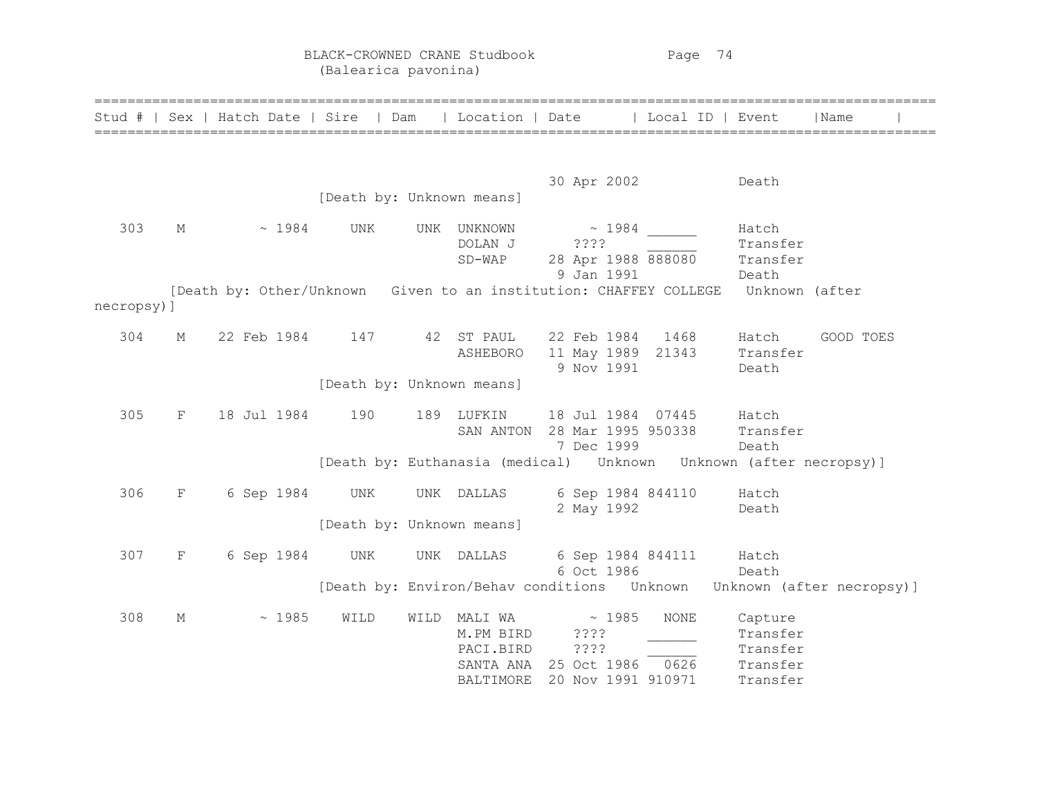BLACK-CROWNED CRANE Studbook Page 74 (Balearica pavonina)

|            |              | Stud #   Sex   Hatch Date   Sire   Dam   Location   Date   Local ID   Event      |                           |      |             |                                                                          |      |          | Name                                                                          |
|------------|--------------|----------------------------------------------------------------------------------|---------------------------|------|-------------|--------------------------------------------------------------------------|------|----------|-------------------------------------------------------------------------------|
|            |              |                                                                                  |                           |      |             | 30 Apr 2002                                                              |      | Death    |                                                                               |
|            |              |                                                                                  | [Death by: Unknown means] |      |             |                                                                          |      |          |                                                                               |
| 303        | М            | $\sim 1984$                                                                      | UNK                       |      | UNK UNKNOWN | $\sim 1984$                                                              |      | Hatch    |                                                                               |
|            |              |                                                                                  |                           |      | DOLAN J     | ? ? ? ?                                                                  |      | Transfer |                                                                               |
|            |              |                                                                                  |                           |      | $SD-WAP$    | 28 Apr 1988 888080                                                       |      | Transfer |                                                                               |
|            |              | [Death by: Other/Unknown Given to an institution: CHAFFEY COLLEGE Unknown (after |                           |      |             | 9 Jan 1991                                                               |      | Death    |                                                                               |
| necropsy)] |              |                                                                                  |                           |      |             |                                                                          |      |          |                                                                               |
|            |              |                                                                                  |                           |      |             |                                                                          |      |          |                                                                               |
| 304        | М            | 22 Feb 1984 147                                                                  |                           |      | 42 ST PAUL  | 22 Feb 1984 1468                                                         |      | Hatch    | GOOD TOES                                                                     |
|            |              |                                                                                  |                           |      | ASHEBORO    | 11 May 1989 21343 Transfer                                               |      |          |                                                                               |
|            |              |                                                                                  |                           |      |             | 9 Nov 1991                                                               |      | Death    |                                                                               |
|            |              |                                                                                  | [Death by: Unknown means] |      |             |                                                                          |      |          |                                                                               |
| 305        | F            | 18 Jul 1984                                                                      | 190                       |      | 189 LUFKIN  | 18 Jul 1984 07445 Hatch                                                  |      |          |                                                                               |
|            |              |                                                                                  |                           |      | SAN ANTON   | 28 Mar 1995 950338 Transfer                                              |      |          |                                                                               |
|            |              |                                                                                  |                           |      |             | 7 Dec 1999                                                               |      | Death    |                                                                               |
|            |              |                                                                                  |                           |      |             | [Death by: Euthanasia (medical)    Unknown   Unknown   (after necropsy)] |      |          |                                                                               |
| 306        | $\mathbf{F}$ | 6 Sep 1984                                                                       | UNK                       |      | UNK DALLAS  | 6 Sep 1984 844110 Hatch                                                  |      |          |                                                                               |
|            |              |                                                                                  |                           |      |             | 2 May 1992                                                               |      | Death    |                                                                               |
|            |              |                                                                                  | [Death by: Unknown means] |      |             |                                                                          |      |          |                                                                               |
|            |              |                                                                                  |                           |      |             |                                                                          |      |          |                                                                               |
| 307        | F            | 6 Sep 1984                                                                       | UNK                       |      |             | UNK DALLAS 6 Sep 1984 844111 Hatch                                       |      |          |                                                                               |
|            |              |                                                                                  |                           |      |             | 6 Oct 1986                                                               |      | Death    |                                                                               |
|            |              |                                                                                  |                           |      |             |                                                                          |      |          | [Death by: Environ/Behav conditions    Unknown   Unknown    (after necropsy)] |
| 308        | М            | ~1985                                                                            | WILD                      | WILD | MALI WA     | $\sim 1985$                                                              | NONE | Capture  |                                                                               |
|            |              |                                                                                  |                           |      | M.PM BIRD   | 3333                                                                     |      | Transfer |                                                                               |
|            |              |                                                                                  |                           |      | PACI.BIRD   | ????                                                                     |      | Transfer |                                                                               |
|            |              |                                                                                  |                           |      | SANTA ANA   | 25 Oct 1986 0626                                                         |      | Transfer |                                                                               |
|            |              |                                                                                  |                           |      | BALTIMORE   | 20 Nov 1991 910971                                                       |      | Transfer |                                                                               |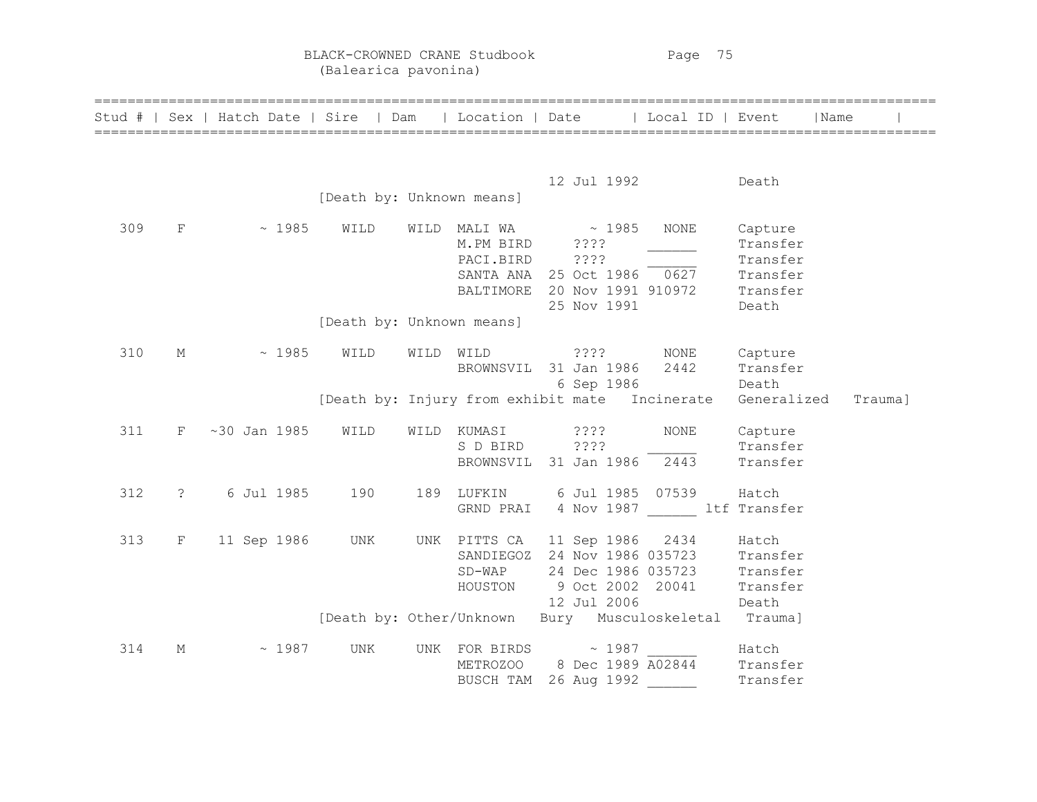BLACK-CROWNED CRANE Studbook Page 75 (Balearica pavonina)

|     |                   | Stud #   Sex   Hatch Date   Sire   Dam   Location   Date   Local ID   Event   Name |                           |  |                                                                                                                                                                              |                  |                                 |         |
|-----|-------------------|------------------------------------------------------------------------------------|---------------------------|--|------------------------------------------------------------------------------------------------------------------------------------------------------------------------------|------------------|---------------------------------|---------|
|     |                   |                                                                                    | [Death by: Unknown means] |  | 12 Jul 1992 Death                                                                                                                                                            |                  |                                 |         |
| 309 |                   | $F \sim 1985$                                                                      | WILD                      |  | WILD MALI WA $\sim 1985$ NONE<br>M.PM BIRD ????<br>PACI.BIRD ????<br>25 Nov 1991                                                                                             |                  | Capture<br>Transfer<br>Death    |         |
|     |                   |                                                                                    | [Death by: Unknown means] |  |                                                                                                                                                                              |                  |                                 |         |
| 310 | $\mathbb M$       | $\sim 1985$                                                                        | WILD                      |  | WILD WILD ???? NONE Capture<br>BROWNSVIL 31 Jan 1986 2442                                                                                                                    | 6 Sep 1986 Death | Transfer                        |         |
|     |                   |                                                                                    |                           |  | [Death by: Injury from exhibit mate Incinerate Generalized                                                                                                                   |                  |                                 | Trauma] |
| 311 | $F -$             | ~30 Jan 1985                                                                       | WILD                      |  | WILD KUMASI ????<br>BROWNSVIL 31 Jan 1986 2443                                                                                                                               | NONE             | Capture<br>Transfer<br>Transfer |         |
| 312 | $\ddot{\text{?}}$ | 6 Jul 1985 190                                                                     |                           |  | 189 LUFKIN 6 Jul 1985 07539 Hatch<br>GRND PRAI 4 Nov 1987 ltf Transfer                                                                                                       |                  |                                 |         |
| 313 | $F^-$             | 11 Sep 1986 UNK                                                                    |                           |  | UNK PITTS CA 11 Sep 1986 2434 Hatch<br>SANDIEGOZ 24 Nov 1986 035723 Transfer<br>SD-WAP 24 Dec 1986 035723 Transfer<br>HOUSTON 9 Oct 2002 20041 Transfer<br>12 Jul 2006 Death |                  |                                 |         |
|     |                   |                                                                                    |                           |  | [Death by: Other/Unknown Bury Musculoskeletal Trauma]                                                                                                                        |                  |                                 |         |
| 314 | М                 | $\sim 1987$                                                                        | UNK                       |  | UNK FOR BIRDS $\sim$ 1987 Hatch<br>METROZOO 8 Dec 1989 A02844 Transfer<br>BUSCH TAM 26 Aug 1992                                                                              |                  | Transfer                        |         |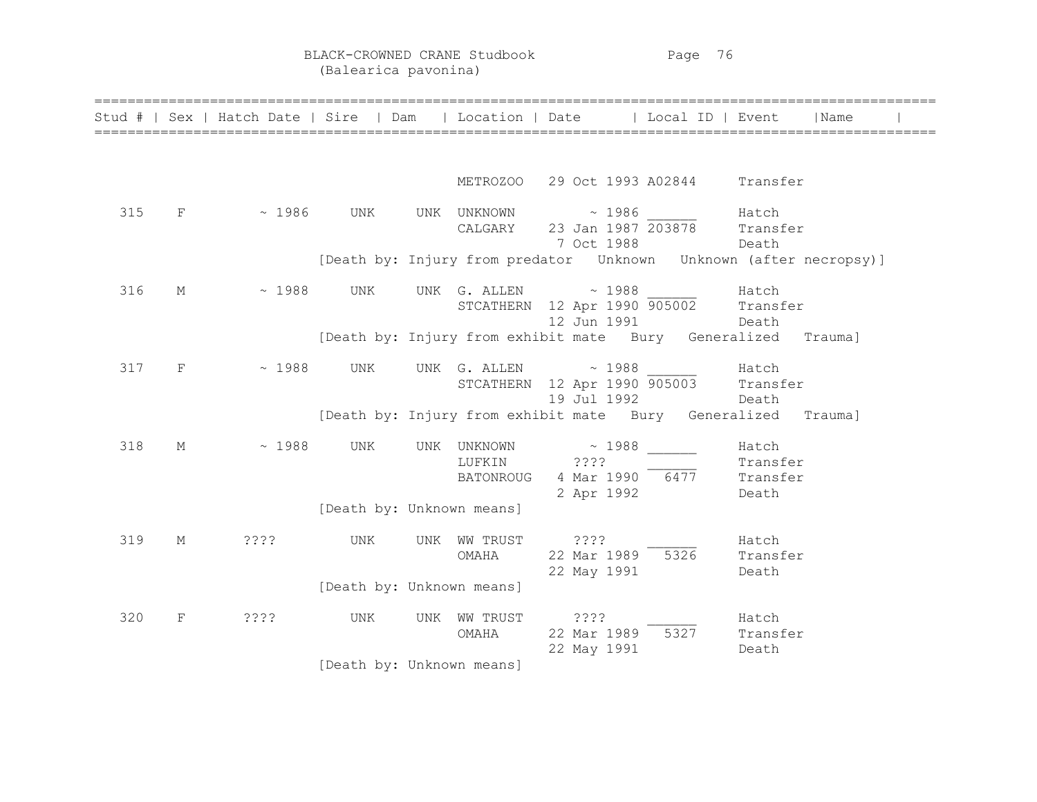|     |              | Stud #   Sex   Hatch Date   Sire   Dam   Location   Date   Local ID   Event |                           |                            |                                                                                        |                            | l Name |  |
|-----|--------------|-----------------------------------------------------------------------------|---------------------------|----------------------------|----------------------------------------------------------------------------------------|----------------------------|--------|--|
|     |              |                                                                             |                           |                            | METROZOO 29 Oct 1993 A02844 Transfer                                                   |                            |        |  |
| 315 | F            | $\sim 1986$ UNK                                                             |                           |                            | UNK UNKNOWN ~ 1986 Hatch<br>CALGARY 23 Jan 1987 203878 Transfer<br>7 Oct 1988          | Death                      |        |  |
|     |              |                                                                             |                           |                            | [Death by: Injury from predator Unknown Unknown (after necropsy)]                      |                            |        |  |
| 316 | М            | $\sim 1988$                                                                 | UNK                       |                            | UNK G. ALLEN $\sim$ 1988 Hatch<br>STCATHERN 12 Apr 1990 905002 Transfer<br>12 Jun 1991 | Death                      |        |  |
|     |              |                                                                             |                           |                            | [Death by: Injury from exhibit mate Bury Generalized Trauma]                           |                            |        |  |
| 317 | $\mathbf{F}$ | ~1988                                                                       | UNK                       |                            | UNK $G.$ ALLEN $\sim$ 1988<br>STCATHERN 12 Apr 1990 905003 Transfer<br>19 Jul 1992     | Hatch<br>Death             |        |  |
|     |              |                                                                             |                           |                            | [Death by: Injury from exhibit mate Bury Generalized Trauma]                           |                            |        |  |
| 318 | М            | $\sim 1988$                                                                 | UNK                       | UNK UNKNOWN<br>LUFKIN ???? | $\sim 1988$<br>BATONROUG 4 Mar 1990 6477 Transfer<br>2 Apr 1992                        | Hatch<br>Transfer<br>Death |        |  |
|     |              |                                                                             | [Death by: Unknown means] |                            |                                                                                        |                            |        |  |
| 319 | $\mathbb M$  | ????                                                                        | UNK                       | UNK WW TRUST<br>OMAHA      | ? ? ? ?<br>22 Mar 1989 5326 Transfer<br>22 May 1991                                    | Hatch<br>Death             |        |  |
|     |              |                                                                             | [Death by: Unknown means] |                            |                                                                                        |                            |        |  |
| 320 | $_{\rm F}$   | ? ? ? ?                                                                     | UNK                       | UNK WW TRUST<br>OMAHA      | 2222<br>22 Mar 1989 5327 Transfer<br>22 May 1991                                       | Hatch<br>Death             |        |  |
|     |              |                                                                             | [Death by: Unknown means] |                            |                                                                                        |                            |        |  |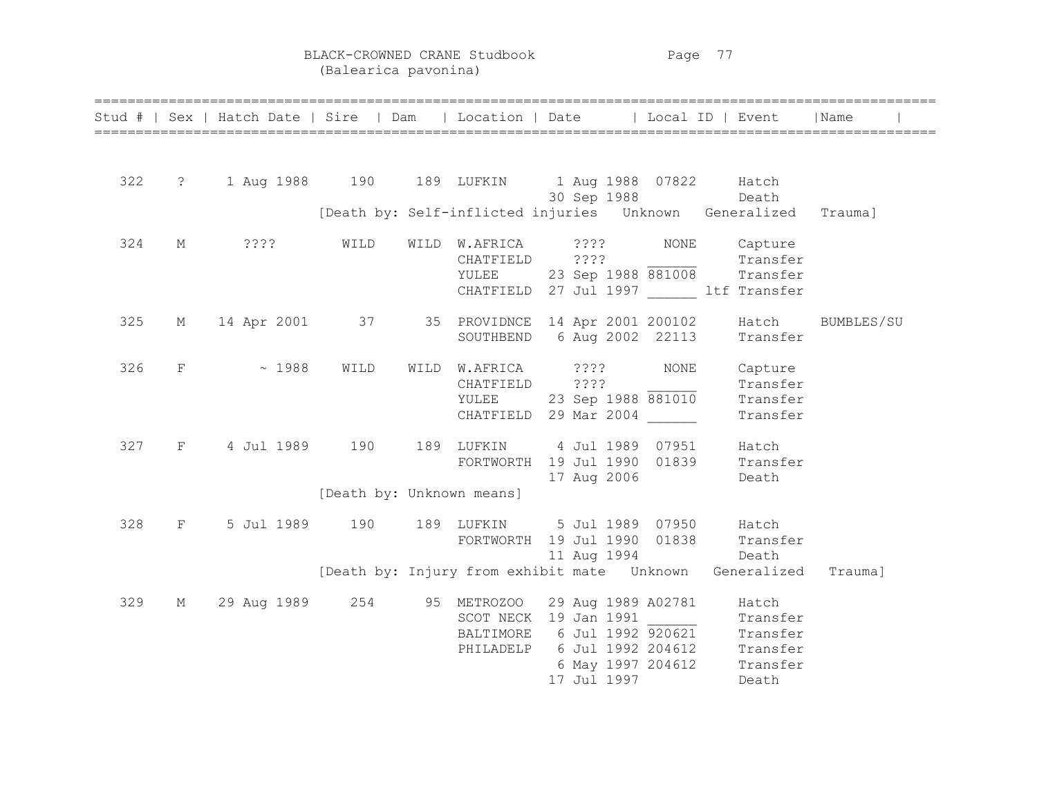BLACK-CROWNED CRANE Studbook Page 77 (Balearica pavonina)

|     |                   | Stud #   Sex   Hatch Date   Sire   Dam   Location   Date   Local ID   Event |                           |                                                                                                       |                                   |             |                                                                     | l Name     |
|-----|-------------------|-----------------------------------------------------------------------------|---------------------------|-------------------------------------------------------------------------------------------------------|-----------------------------------|-------------|---------------------------------------------------------------------|------------|
|     |                   |                                                                             |                           |                                                                                                       |                                   |             |                                                                     |            |
| 322 | $\ddot{\text{?}}$ | 1 Aug 1988  190  189  LUFKIN  1 Aug 1988  07822  Hatch                      |                           |                                                                                                       | 30 Sep 1988                       |             | Death                                                               |            |
|     |                   |                                                                             |                           | [Death by: Self-inflicted injuries  Unknown  Generalized                                              |                                   |             |                                                                     | Trauma]    |
| 324 | М                 | 2222                                                                        | WILD                      | WILD W.AFRICA ????<br>CHATFIELD ????                                                                  |                                   | NONE        | Capture<br>Transfer<br>7777 Transfer<br>23 Sep 1988 881008 Transfer |            |
|     |                   |                                                                             |                           | YULEE<br>CHATFIELD 27 Jul 1997 ltf Transfer                                                           |                                   |             |                                                                     |            |
| 325 | М                 | 14 Apr 2001 37 35 PROVIDNCE 14 Apr 2001 200102 Hatch                        |                           | SOUTHBEND                                                                                             | 6 Aug 2002 22113                  |             | Transfer                                                            | BUMBLES/SU |
| 326 | F                 | $\sim 1988$                                                                 | WILD                      | WILD W.AFRICA ????<br>CHATFIELD ????<br>YULEE<br>CHATFIELD 29 Mar 2004                                | 23 Sep 1988 881010                | <b>NONE</b> | Capture<br>Transfer<br>Transfer<br>Transfer                         |            |
| 327 | $F$ and $F$       | 4 Jul 1989 190                                                              |                           | 189 LUFKIN 4 Jul 1989 07951<br>FORTWORTH 19 Jul 1990 01839 Transfer                                   | 17 Aug 2006                       |             | Hatch<br>Death                                                      |            |
|     |                   |                                                                             | [Death by: Unknown means] |                                                                                                       |                                   |             |                                                                     |            |
| 328 | F                 | 5 Jul 1989 190                                                              |                           | 189 LUFKIN 5 Jul 1989 07950 Hatch<br>FORTWORTH 19 Jul 1990 01838                                      | 11 Aug 1994                       | Death       | Transfer                                                            |            |
|     |                   |                                                                             |                           | [Death by: Injury from exhibit mate  Unknown  Generalized                                             |                                   |             |                                                                     | Trauma]    |
| 329 | М                 | 29 Aug 1989   254   95 METROZOO                                             |                           | SCOT NECK 19 Jan 1991<br>BALTIMORE 6 Jul 1992 920621 Transfer<br>PHILADELP 6 Jul 1992 204612 Transfer | 29 Aug 1989 A02781<br>17 Jul 1997 |             | Hatch<br>6 May 1997 204612 Transfer<br>Death                        |            |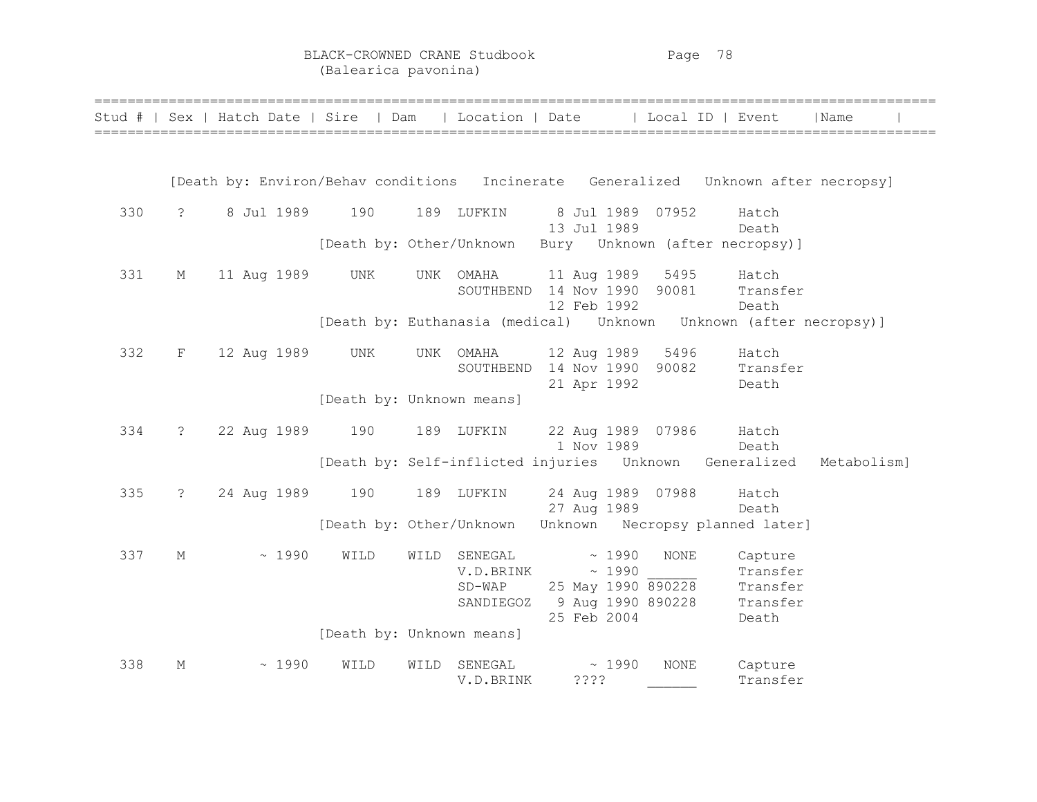BLACK-CROWNED CRANE Studbook Page 78 (Balearica pavonina)

|     |               |  |             | Stud #   Sex   Hatch Date   Sire   Dam   Location   Date |      | ================                              |                                  |                |                            | Local ID   Event                                                                   | Name        |  |
|-----|---------------|--|-------------|----------------------------------------------------------|------|-----------------------------------------------|----------------------------------|----------------|----------------------------|------------------------------------------------------------------------------------|-------------|--|
|     |               |  |             |                                                          |      |                                               |                                  |                |                            |                                                                                    |             |  |
|     |               |  |             |                                                          |      |                                               |                                  |                |                            | [Death by: Environ/Behav conditions Incinerate Generalized Unknown after necropsy] |             |  |
| 330 | $\ddot{?}$    |  |             | 8 Jul 1989 190                                           |      | 189 LUFKIN                                    | 8 Jul 1989 07952<br>13 Jul 1989  |                |                            | Hatch<br>Death                                                                     |             |  |
|     |               |  |             |                                                          |      |                                               |                                  |                |                            | [Death by: Other/Unknown Bury Unknown (after necropsy)]                            |             |  |
| 331 | М             |  | 11 Aug 1989 | UNK                                                      |      | UNK OMAHA                                     | 11 Aug 1989                      |                | 5495                       | Hatch<br>SOUTHBEND 14 Nov 1990 90081 Transfer                                      |             |  |
|     |               |  |             |                                                          |      |                                               | 12 Feb 1992                      |                |                            | Death                                                                              |             |  |
| 332 | F             |  | 12 Aug 1989 | UNK                                                      |      | UNK OMAHA                                     | 21 Apr 1992                      |                | 12 Aug 1989 5496           | Hatch<br>SOUTHBEND 14 Nov 1990 90082 Transfer<br>Death                             |             |  |
|     |               |  |             | [Death by: Unknown means]                                |      |                                               |                                  |                |                            |                                                                                    |             |  |
| 334 | $\cdot$       |  | 22 Aug 1989 | 190                                                      |      | 189 LUFKIN                                    | 1 Nov 1989                       |                | 22 Aug 1989 07986          | Hatch<br>Death                                                                     |             |  |
|     |               |  |             |                                                          |      |                                               |                                  |                |                            | [Death by: Self-inflicted injuries  Unknown  Generalized                           | Metabolism] |  |
| 335 | $\mathcal{E}$ |  | 24 Aug 1989 | 190                                                      |      | 189 LUFKIN                                    | 27 Aug 1989                      |                | 24 Aug 1989 07988          | Hatch<br>Death                                                                     |             |  |
|     |               |  |             |                                                          |      |                                               |                                  |                |                            | [Death by: Other/Unknown Unknown Necropsy planned later]                           |             |  |
| 337 | М             |  | ~1990       | WILD                                                     | WILD | SENEGAL<br>V.D.BRINK<br>$SD-WAP$<br>SANDIEGOZ | 9 Aug 1990 890228<br>25 Feb 2004 | ~1990<br>~1990 | NONE<br>25 May 1990 890228 | Capture<br>Transfer<br>Transfer<br>Transfer<br>Death                               |             |  |
|     |               |  |             | [Death by: Unknown means]                                |      |                                               |                                  |                |                            |                                                                                    |             |  |
| 338 | М             |  | ~1990       | WILD                                                     | WILD | SENEGAL<br>V.D.BRINK                          | ????                             | ~1990          | <b>NONE</b>                | Capture<br>Transfer                                                                |             |  |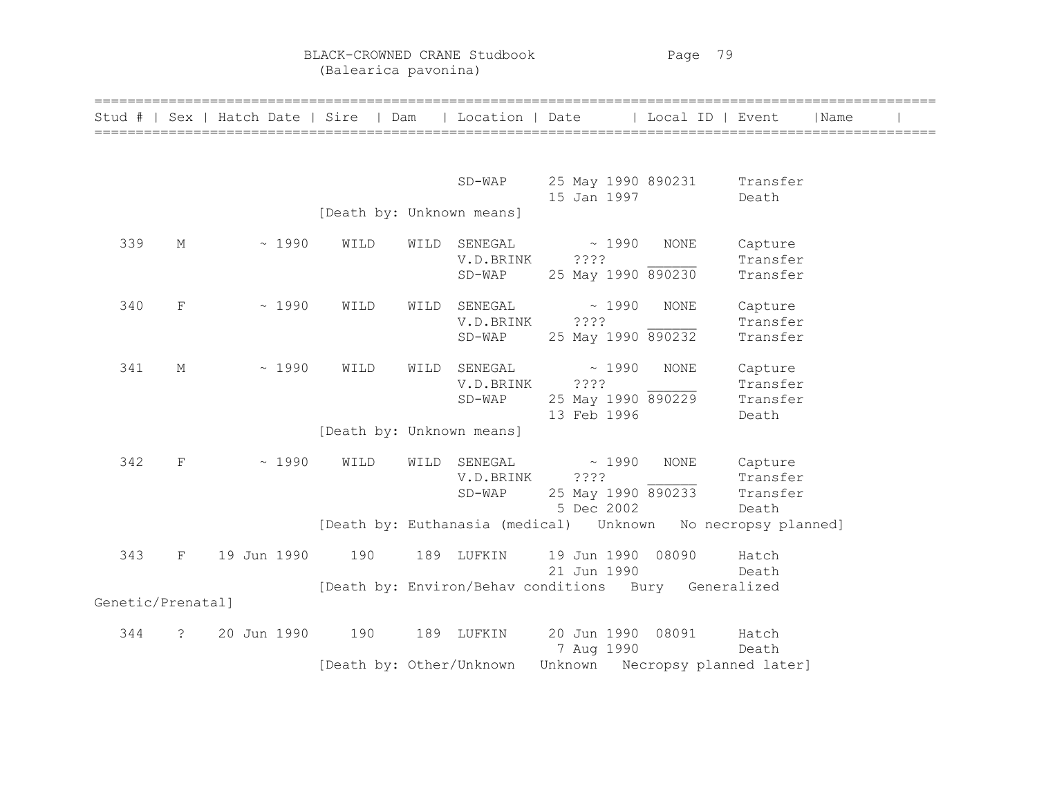BLACK-CROWNED CRANE Studbook Page 79 (Balearica pavonina)

| Stud #            |                       |             |       | Sex   Hatch Date   Sire   Dam |      | Location   Date                  |                                                       | Local ID   Event |                                          | Name |  |
|-------------------|-----------------------|-------------|-------|-------------------------------|------|----------------------------------|-------------------------------------------------------|------------------|------------------------------------------|------|--|
|                   |                       |             |       |                               |      |                                  |                                                       |                  |                                          |      |  |
|                   |                       |             |       |                               |      | $SD-WAP$                         | 25 May 1990 890231<br>15 Jan 1997                     |                  | Transfer<br>Death                        |      |  |
|                   |                       |             |       | [Death by: Unknown means]     |      |                                  |                                                       |                  |                                          |      |  |
| 339               | М                     |             | ~1990 | WILD                          | WILD | SENEGAL<br>V.D.BRINK<br>$SD-WAP$ | ~1990<br>? ? ? ?<br>25 May 1990 890230                | NONE             | Capture<br>Transfer<br>Transfer          |      |  |
| 340               | $\mathbf F$           |             | ~1990 | WILD                          | WILD | SENEGAL<br>V.D.BRINK<br>$SD-WAP$ | ~1990<br>????<br>25 May 1990 890232                   | <b>NONE</b>      | Capture<br>Transfer<br>Transfer          |      |  |
| 341               | М                     |             | ~1990 | WILD                          | WILD | SENEGAL<br>V.D.BRINK<br>$SD-WAP$ | ~1990<br>? ? ? ?<br>25 May 1990 890229<br>13 Feb 1996 | <b>NONE</b>      | Capture<br>Transfer<br>Transfer<br>Death |      |  |
|                   |                       |             |       | [Death by: Unknown means]     |      |                                  |                                                       |                  |                                          |      |  |
| 342               | $_{\rm F}$            |             | ~1990 | WILD                          | WILD | SENEGAL<br>V.D.BRINK<br>$SD-WAP$ | ~1990<br>????<br>25 May 1990 890233<br>5 Dec 2002     | <b>NONE</b>      | Capture<br>Transfer<br>Transfer<br>Death |      |  |
|                   |                       |             |       |                               |      |                                  | [Death by: Euthanasia (medical) Unknown               |                  | No necropsy planned]                     |      |  |
| 343               | $_{\rm F}$            | 19 Jun 1990 |       | 190                           | 189  | LUFKIN                           | 19 Jun 1990 08090<br>21 Jun 1990                      |                  | Hatch<br>Death                           |      |  |
| Genetic/Prenatall |                       |             |       |                               |      |                                  | [Death by: Environ/Behav conditions Bury Generalized  |                  |                                          |      |  |
|                   |                       |             |       |                               |      |                                  |                                                       |                  |                                          |      |  |
| 344               | $\tilde{\mathcal{E}}$ | 20 Jun 1990 |       | 190                           | 189  | LUFKIN                           | 20 Jun 1990 08091<br>7 Aug 1990                       |                  | Hatch<br>Death                           |      |  |
|                   |                       |             |       | [Death by: Other/Unknown      |      |                                  | Unknown Necropsy planned later]                       |                  |                                          |      |  |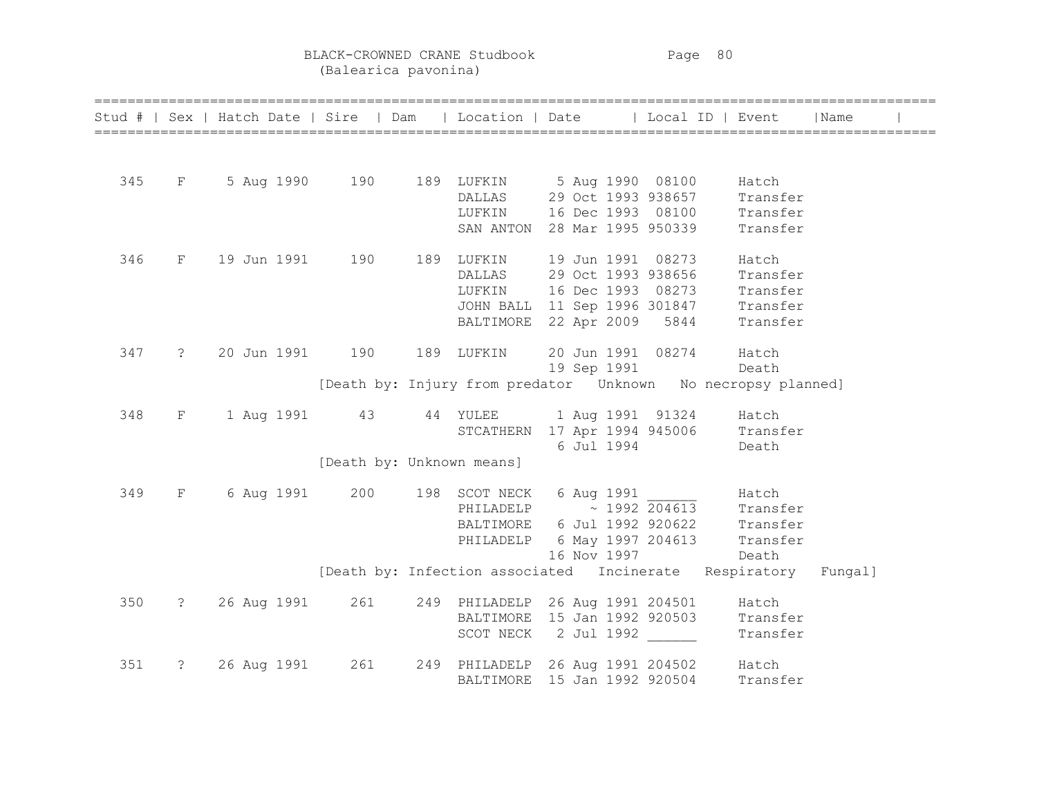BLACK-CROWNED CRANE Studbook Page 80 (Balearica pavonina)

|     |                               |             |                           |            | Stud #   Sex   Hatch Date   Sire   Dam   Location   Date   Local ID   Event                                                                                                |          | Name |  |
|-----|-------------------------------|-------------|---------------------------|------------|----------------------------------------------------------------------------------------------------------------------------------------------------------------------------|----------|------|--|
|     |                               |             |                           |            |                                                                                                                                                                            |          |      |  |
|     |                               |             |                           |            |                                                                                                                                                                            |          |      |  |
|     |                               |             |                           |            |                                                                                                                                                                            |          |      |  |
|     |                               |             |                           |            |                                                                                                                                                                            |          |      |  |
|     |                               |             |                           |            | 345 F 5 Aug 1990 190 189 LUFKIN 5 Aug 1990 08100 Hatch<br>DALLAS 29 Oct 1993 938657 Transfer<br>LUFKIN 16 Dec 1993 08100 Transfer<br>SAN ANTON 28 Mar 1995 950339 Transfer |          |      |  |
| 346 |                               |             |                           |            | F 19 Jun 1991 190 189 LUFKIN 19 Jun 1991 08273                                                                                                                             | Hatch    |      |  |
|     |                               |             |                           |            | DALLAS 29 Oct 1993 938656 Transfer                                                                                                                                         |          |      |  |
|     |                               |             |                           |            |                                                                                                                                                                            |          |      |  |
|     |                               |             |                           |            |                                                                                                                                                                            |          |      |  |
|     |                               |             |                           |            | LUFKIN 16 Dec 1993 08273 Transfer<br>JOHN BALL 11 Sep 1996 301847 Transfer<br>BALTIMORE 22 Apr 2009 5844 Transfer                                                          |          |      |  |
| 347 |                               |             | ? 20 Jun 1991 190         | 189 LUFKIN | 20 Jun 1991 08274 Hatch                                                                                                                                                    |          |      |  |
|     |                               |             |                           |            | 19 Sep 1991 Death                                                                                                                                                          |          |      |  |
|     |                               |             |                           |            | [Death by: Injury from predator  Unknown  No necropsy planned]                                                                                                             |          |      |  |
| 348 |                               |             |                           |            | F 1 Aug 1991 43 44 YULEE 1 Aug 1991 91324 Hatch                                                                                                                            |          |      |  |
|     |                               |             |                           |            | STCATHERN 17 Apr 1994 945006 Transfer                                                                                                                                      |          |      |  |
|     |                               |             |                           |            | 6 Jul 1994                                                                                                                                                                 | Death    |      |  |
|     |                               |             | [Death by: Unknown means] |            |                                                                                                                                                                            |          |      |  |
| 349 | $\mathbf{F}$ and $\mathbf{F}$ |             |                           |            | 6 Aug 1991 200 198 SCOT NECK 6 Aug 1991 _______ Hatch                                                                                                                      |          |      |  |
|     |                               |             |                           |            | PHILADELP $\sim$ 1992 $\overline{204613}$ Transfer                                                                                                                         |          |      |  |
|     |                               |             |                           |            | BALTIMORE 6 Jul 1992 920622 Transfer                                                                                                                                       |          |      |  |
|     |                               |             |                           |            | PHILADELP 6 May 1997 204613 Transfer                                                                                                                                       |          |      |  |
|     |                               |             |                           |            | 16 Nov 1997 Death                                                                                                                                                          |          |      |  |
|     |                               |             |                           |            | [Death by: Infection associated Incinerate Respiratory Fungal]                                                                                                             |          |      |  |
| 350 |                               |             | ? 26 Aug 1991 261         |            | 249 PHILADELP 26 Aug 1991 204501 Hatch                                                                                                                                     |          |      |  |
|     |                               |             |                           |            | BALTIMORE 15 Jan 1992 920503 Transfer                                                                                                                                      |          |      |  |
|     |                               |             |                           |            | SCOT NECK 2 Jul 1992                                                                                                                                                       | Transfer |      |  |
| 351 | $\ddot{?}$                    | 26 Aug 1991 | 261                       |            | 249 PHILADELP 26 Aug 1991 204502 Hatch                                                                                                                                     |          |      |  |
|     |                               |             |                           |            | BALTIMORE 15 Jan 1992 920504                                                                                                                                               | Transfer |      |  |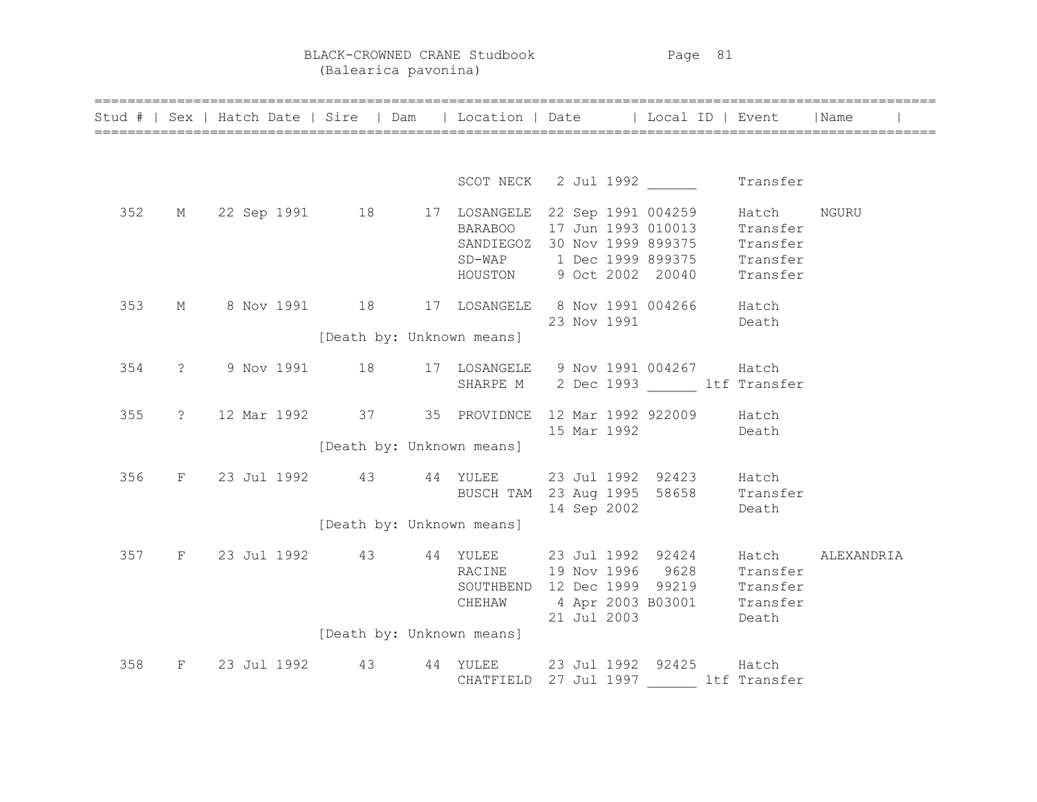BLACK-CROWNED CRANE Studbook Page 81 (Balearica pavonina)

|     |  |                               | Stud #   Sex   Hatch Date   Sire   Dam   Location   Date   Local ID   Event   Name                                                                     |  |                         |             |            |  |
|-----|--|-------------------------------|--------------------------------------------------------------------------------------------------------------------------------------------------------|--|-------------------------|-------------|------------|--|
|     |  |                               |                                                                                                                                                        |  |                         |             |            |  |
|     |  |                               | SCOT NECK 2 Jul 1992 Transfer                                                                                                                          |  |                         |             |            |  |
|     |  |                               | 352 M 22 Sep 1991 18 17 LOSANGELE 22 Sep 1991 004259                                                                                                   |  |                         | Hatch NGURU |            |  |
|     |  |                               | BARABOO 17 Jun 1993 010013 Transfer<br>SANDIEGOZ 30 Nov 1999 899375 Transfer<br>SD-WAP 1 Dec 1999 899375 Transfer<br>HOUSTON 9 Oct 2002 20040 Transfer |  |                         |             |            |  |
|     |  |                               |                                                                                                                                                        |  |                         |             |            |  |
|     |  |                               |                                                                                                                                                        |  |                         |             |            |  |
|     |  |                               |                                                                                                                                                        |  |                         |             |            |  |
| 353 |  |                               | M 8 Nov 1991 18 17 LOSANGELE 8 Nov 1991 004266 Hatch                                                                                                   |  |                         |             |            |  |
|     |  |                               |                                                                                                                                                        |  | 23 Nov 1991             | Death       |            |  |
|     |  | [Death by: Unknown means]     |                                                                                                                                                        |  |                         |             |            |  |
|     |  |                               |                                                                                                                                                        |  |                         |             |            |  |
| 354 |  |                               | ? 9 Nov 1991 18 17 LOSANGELE 9 Nov 1991 004267 Hatch                                                                                                   |  |                         |             |            |  |
|     |  |                               | SHARPE M 2 Dec 1993 ltf Transfer                                                                                                                       |  |                         |             |            |  |
|     |  |                               | 355 ? 12 Mar 1992 37 35 PROVIDNCE 12 Mar 1992 922009 Hatch                                                                                             |  |                         |             |            |  |
|     |  |                               |                                                                                                                                                        |  | 15 Mar 1992 Death       |             |            |  |
|     |  | [Death by: Unknown means]     |                                                                                                                                                        |  |                         |             |            |  |
|     |  |                               |                                                                                                                                                        |  |                         |             |            |  |
|     |  |                               | 356 F 23 Jul 1992 43 44 YULEE 23 Jul 1992 92423 Hatch                                                                                                  |  |                         |             |            |  |
|     |  |                               | BUSCH TAM 23 Aug 1995 58658 Transfer                                                                                                                   |  |                         |             |            |  |
|     |  |                               |                                                                                                                                                        |  | 14 Sep 2002             | Death       |            |  |
|     |  | [Death by: Unknown means]     |                                                                                                                                                        |  |                         |             |            |  |
|     |  |                               |                                                                                                                                                        |  |                         |             | ALEXANDRIA |  |
|     |  |                               | 357 F 23 Jul 1992 43 44 YULEE 23 Jul 1992 92424 Hatch<br>RACINE 19 Nov 1996 9628 Transfer<br>SOUTHBEND 12 Dec 1999 99219 Transfer                      |  |                         |             |            |  |
|     |  |                               |                                                                                                                                                        |  |                         |             |            |  |
|     |  |                               | CHEHAW 4 Apr 2003 B03001 Transfer                                                                                                                      |  |                         |             |            |  |
|     |  |                               |                                                                                                                                                        |  | 21 Jul 2003 Death       |             |            |  |
|     |  | [Death by: Unknown means]     |                                                                                                                                                        |  |                         |             |            |  |
|     |  | 358 F 23 Jul 1992 43 44 YULEE |                                                                                                                                                        |  | 23 Jul 1992 92425 Hatch |             |            |  |
|     |  |                               | CHATFIELD 27 Jul 1997 ltf Transfer                                                                                                                     |  |                         |             |            |  |
|     |  |                               |                                                                                                                                                        |  |                         |             |            |  |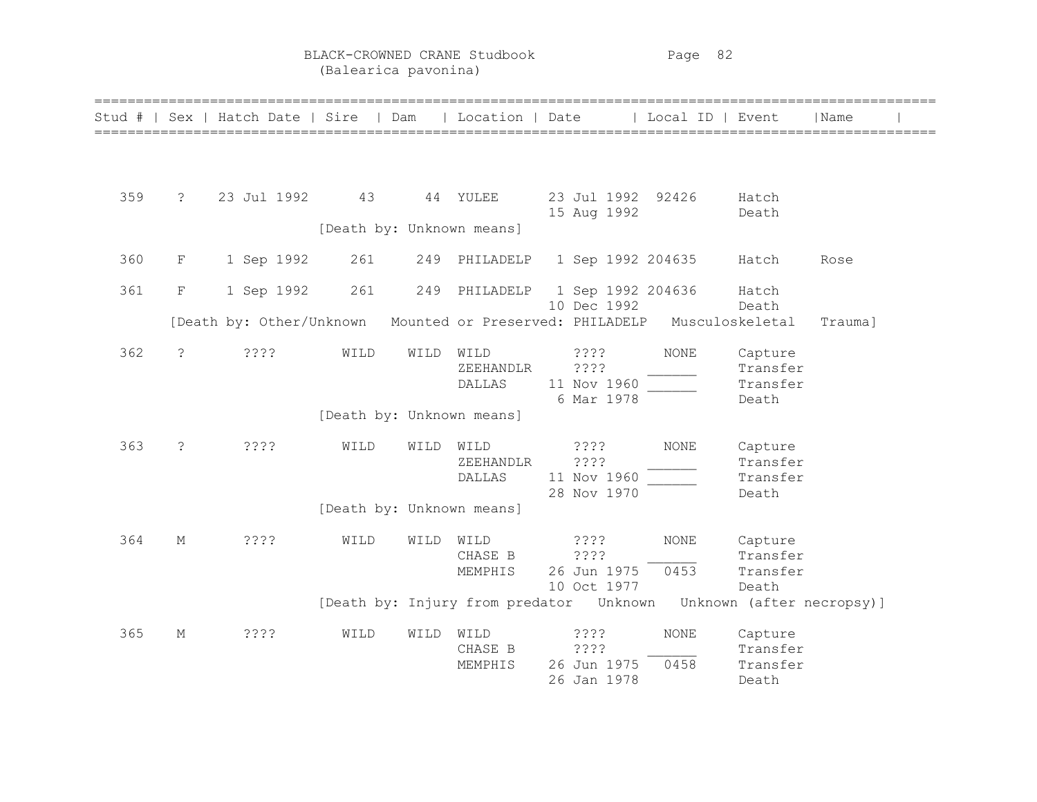BLACK-CROWNED CRANE Studbook Page 82 (Balearica pavonina)

| Stud # |                      | Sex   Hatch Date   Sire   Dam |                           |      |                             | Location   Date                                                                     | Local ID   Event    |                                          | ======================================<br> Name |
|--------|----------------------|-------------------------------|---------------------------|------|-----------------------------|-------------------------------------------------------------------------------------|---------------------|------------------------------------------|-------------------------------------------------|
|        |                      |                               |                           |      |                             |                                                                                     |                     |                                          |                                                 |
| 359    | $\ddot{\mathcal{S}}$ | 23 Jul 1992                   | 43                        |      | 44 YULEE                    | 23 Jul 1992 92426<br>15 Aug 1992                                                    |                     | Hatch<br>Death                           |                                                 |
|        |                      |                               | [Death by: Unknown means] |      |                             |                                                                                     |                     |                                          |                                                 |
| 360    | $\mathbf F$          | 1 Sep 1992                    | 261                       | 249  | PHILADELP                   | 1 Sep 1992 204635                                                                   |                     | Hatch                                    | Rose                                            |
| 361    | $\mathbf F$          | 1 Sep 1992                    | 261                       | 249  | PHILADELP                   | 1 Sep 1992 204636                                                                   |                     | Hatch                                    |                                                 |
|        |                      | [Death by: Other/Unknown      |                           |      |                             | 10 Dec 1992<br>Mounted or Preserved: PHILADELP Musculoskeletal                      |                     | Death                                    | Trauma]                                         |
| 362    | $\tilde{S}$          | ????                          | WILD                      | WILD | WILD<br>ZEEHANDLR<br>DALLAS | ????<br>????<br>11 Nov 1960<br>6 Mar 1978                                           | <b>NONE</b>         | Capture<br>Transfer<br>Transfer<br>Death |                                                 |
|        |                      |                               |                           |      | [Death by: Unknown means]   |                                                                                     |                     |                                          |                                                 |
| 363    | $\tilde{S}$          | ????                          | WILD                      | WILD | WILD<br>ZEEHANDLR<br>DALLAS | ????<br>????<br>11 Nov 1960<br>28 Nov 1970                                          | <b>NONE</b>         | Capture<br>Transfer<br>Transfer<br>Death |                                                 |
|        |                      |                               |                           |      | [Death by: Unknown means]   |                                                                                     |                     |                                          |                                                 |
| 364    | М                    | 3333                          | WILD                      | WILD | WILD<br>CHASE B<br>MEMPHIS  | ????<br>????<br>26 Jun 1975                                                         | <b>NONE</b><br>0453 | Capture<br>Transfer<br>Transfer          |                                                 |
|        |                      |                               |                           |      |                             | 10 Oct 1977<br>[Death by: Injury from predator  Unknown  Unknown  (after necropsy)] |                     | Death                                    |                                                 |
| 365    | М                    | 3333                          | WILD                      | WILD | WILD<br>CHASE B             | ????<br>????                                                                        | <b>NONE</b>         | Capture<br>Transfer                      |                                                 |
|        |                      |                               |                           |      | MEMPHIS                     | 26 Jun 1975<br>26 Jan 1978                                                          | 0458                | Transfer<br>Death                        |                                                 |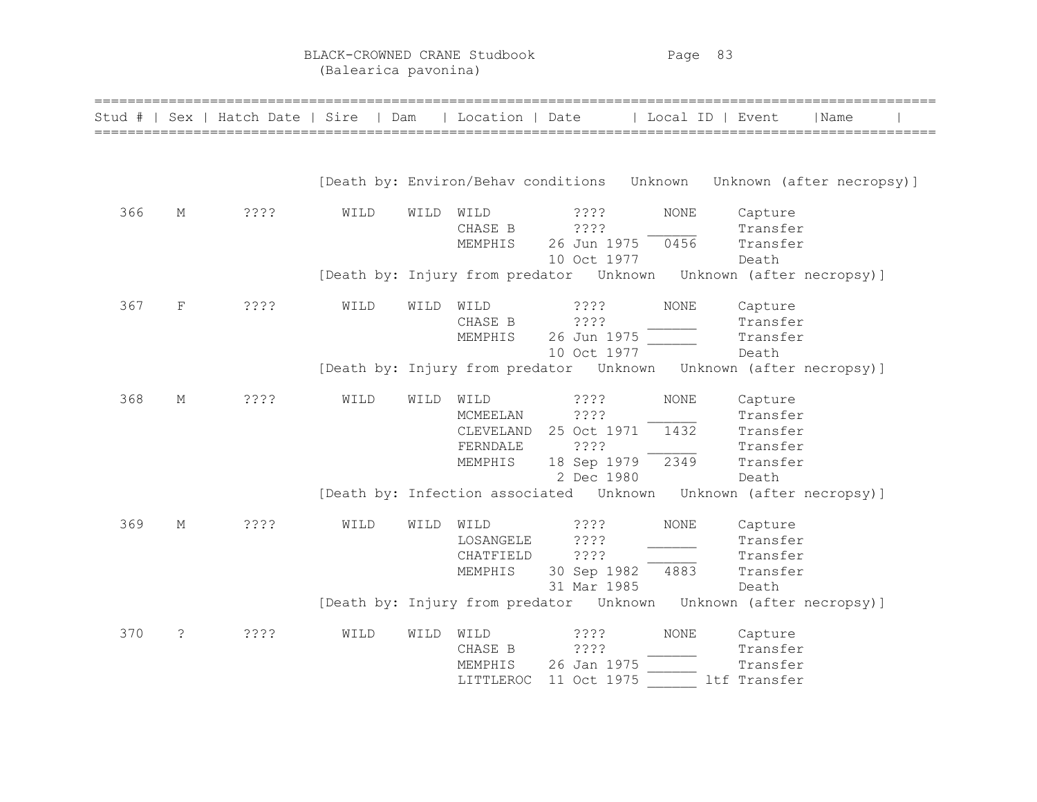BLACK-CROWNED CRANE Studbook Page 83 (Balearica pavonina)

| Stud # |    | Sex   Hatch Date   Sire   Dam | ============================ |      | Location   Date                           | ======================                        | Local ID   Event    | ======================================                                     | Name |  |
|--------|----|-------------------------------|------------------------------|------|-------------------------------------------|-----------------------------------------------|---------------------|----------------------------------------------------------------------------|------|--|
|        |    |                               |                              |      |                                           | [Death by: Environ/Behav conditions Unknown   |                     | Unknown (after necropsy)]                                                  |      |  |
| 366    | М  | ????                          | WILD                         | WILD | WILD<br>CHASE B<br>MEMPHIS                | 2222<br>3333<br>26 Jun 1975<br>10 Oct 1977    | <b>NONE</b><br>0456 | Capture<br>Transfer<br>Transfer<br>Death                                   |      |  |
|        |    |                               |                              |      |                                           |                                               |                     | [Death by: Injury from predator Unknown Unknown (after necropsy)]          |      |  |
| 367    | F  | 3333                          | WILD                         | WILD | WILD<br>CHASE B<br>MEMPHIS                | ? ? ? ?<br>????<br>26 Jun 1975<br>10 Oct 1977 | <b>NONE</b>         | Capture<br>Transfer<br>Transfer<br>Death                                   |      |  |
|        |    |                               |                              |      |                                           | [Death by: Injury from predator Unknown       |                     | Unknown (after necropsy)]                                                  |      |  |
| 368    | М  | ????                          | WILD                         | WILD | WILD<br>MCMEELAN<br>CLEVELAND             | ????<br>????<br>25 Oct 1971                   | <b>NONE</b><br>1432 | Capture<br>Transfer<br>Transfer                                            |      |  |
|        |    |                               |                              |      | FERNDALE<br>MEMPHIS                       | ????<br>18 Sep 1979<br>2 Dec 1980             | 2349                | Transfer<br>Transfer<br>Death                                              |      |  |
|        |    |                               |                              |      |                                           | [Death by: Infection associated  Unknown      |                     | Unknown (after necropsy)]                                                  |      |  |
| 369    | М  | ????                          | WILD                         | WILD | WILD<br>LOSANGELE<br>CHATFIELD<br>MEMPHIS | 3333<br>????<br>????<br>30 Sep 1982           | NONE<br>4883        | Capture<br>Transfer<br>Transfer<br>Transfer                                |      |  |
|        |    |                               |                              |      |                                           | 31 Mar 1985                                   |                     | Death<br>[Death by: Injury from predator Unknown Unknown (after necropsy)] |      |  |
| 370    | S. | 3333                          | WILD                         | WILD | WILD<br>CHASE B<br>MEMPHIS<br>LITTLEROC   | 3333<br>????<br>26 Jan 1975<br>11 Oct 1975    | NONE                | Capture<br>Transfer<br>Transfer<br>ltf Transfer                            |      |  |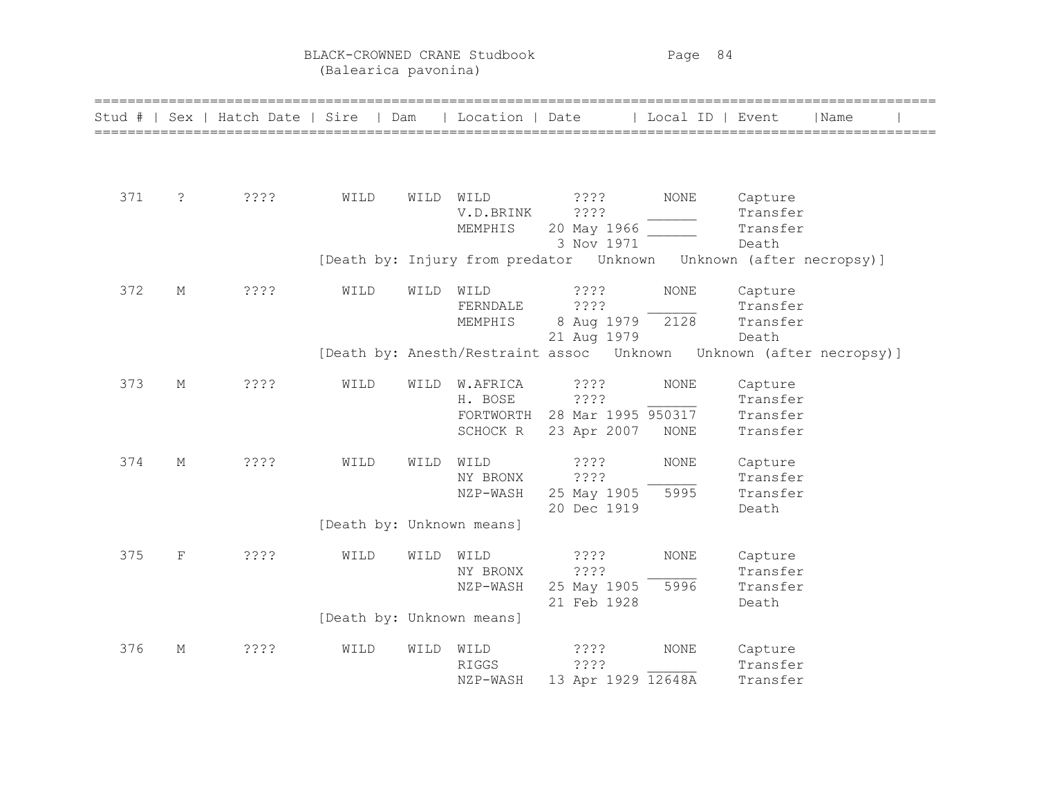BLACK-CROWNED CRANE Studbook Page 84 (Balearica pavonina)

| Stud # |             | Sex   Hatch Date   Sire   Dam | ============================ |      | Location   Date                 | ======================       | =====================================<br>Local ID   Event |          | Name                      |  |
|--------|-------------|-------------------------------|------------------------------|------|---------------------------------|------------------------------|-----------------------------------------------------------|----------|---------------------------|--|
|        |             |                               |                              |      |                                 |                              |                                                           |          |                           |  |
| 371    | ?           | ????                          | WILD                         | WILD | WILD                            | 3333                         | NONE                                                      | Capture  |                           |  |
|        |             |                               |                              |      | V.D.BRINK                       | ????                         |                                                           | Transfer |                           |  |
|        |             |                               |                              |      | MEMPHIS                         | 20 May 1966                  |                                                           | Transfer |                           |  |
|        |             |                               |                              |      |                                 | 3 Nov 1971                   |                                                           | Death    |                           |  |
|        |             |                               |                              |      | [Death by: Injury from predator | Unknown                      |                                                           |          | Unknown (after necropsy)] |  |
| 372    | М           | 3333                          | WILD                         | WILD | WILD                            | 3333                         | <b>NONE</b>                                               | Capture  |                           |  |
|        |             |                               |                              |      | FERNDALE                        | ????                         |                                                           | Transfer |                           |  |
|        |             |                               |                              |      | MEMPHIS                         | 8 Aug 1979                   | 2128                                                      | Transfer |                           |  |
|        |             |                               |                              |      |                                 | 21 Aug 1979                  |                                                           | Death    |                           |  |
|        |             |                               |                              |      |                                 |                              |                                                           |          |                           |  |
| 373    | $\mathbf M$ | ????                          | WILD                         | WILD | W.AFRICA                        | 3333                         | <b>NONE</b>                                               | Capture  |                           |  |
|        |             |                               |                              |      | H. BOSE                         | ????                         |                                                           | Transfer |                           |  |
|        |             |                               |                              |      |                                 | FORTWORTH 28 Mar 1995 950317 |                                                           | Transfer |                           |  |
|        |             |                               |                              |      | SCHOCK R                        | 23 Apr 2007                  | $\rm{NONE}$                                               | Transfer |                           |  |
| 374    | $\mathbf M$ | ????                          | WILD                         | WILD | WILD                            | ????                         | <b>NONE</b>                                               | Capture  |                           |  |
|        |             |                               |                              |      | NY BRONX                        | ????                         |                                                           | Transfer |                           |  |
|        |             |                               |                              |      | NZP-WASH                        | 25 May 1905                  | 5995                                                      | Transfer |                           |  |
|        |             |                               |                              |      |                                 | 20 Dec 1919                  |                                                           | Death    |                           |  |
|        |             |                               | [Death by: Unknown means]    |      |                                 |                              |                                                           |          |                           |  |
| 375    | $\mathbf F$ | ????                          | WILD                         | WILD | WILD                            | 3333                         | <b>NONE</b>                                               | Capture  |                           |  |
|        |             |                               |                              |      | NY BRONX                        | ????                         |                                                           | Transfer |                           |  |
|        |             |                               |                              |      | NZP-WASH                        | 25 May 1905                  | 5996                                                      | Transfer |                           |  |
|        |             |                               |                              |      |                                 | 21 Feb 1928                  |                                                           | Death    |                           |  |
|        |             |                               |                              |      | [Death by: Unknown means]       |                              |                                                           |          |                           |  |
| 376    | М           | 3333                          | WILD                         | WILD | WILD                            | 3333                         | <b>NONE</b>                                               | Capture  |                           |  |
|        |             |                               |                              |      | <b>RIGGS</b>                    | ????                         |                                                           | Transfer |                           |  |
|        |             |                               |                              |      | NZP-WASH                        | 13 Apr 1929 12648A           |                                                           | Transfer |                           |  |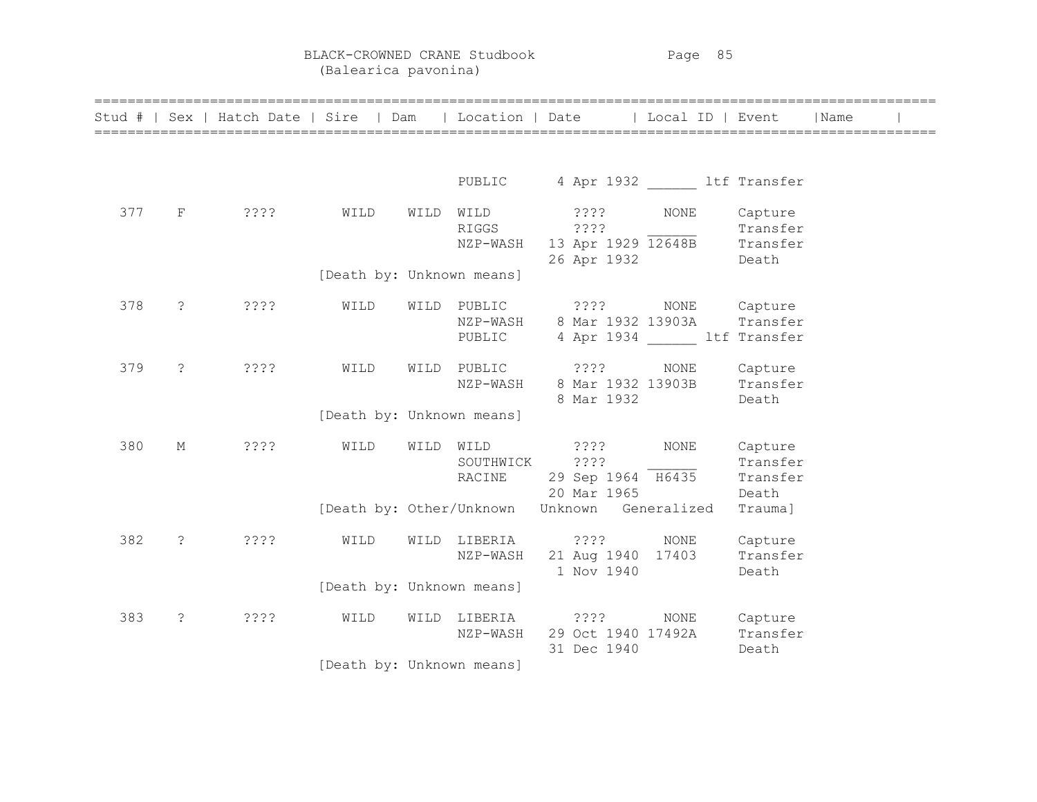BLACK-CROWNED CRANE Studbook Page 85 (Balearica pavonina)

|     |            | Stud #   Sex   Hatch Date   Sire   Dam   Location   Date   Local ID   Event   Name |                           |           |                               |                                   |                                                                                                 |                              |  |
|-----|------------|------------------------------------------------------------------------------------|---------------------------|-----------|-------------------------------|-----------------------------------|-------------------------------------------------------------------------------------------------|------------------------------|--|
|     |            |                                                                                    |                           |           |                               |                                   | PUBLIC 4 Apr 1932 ltf Transfer                                                                  |                              |  |
| 377 |            | F ????                                                                             | WILD                      |           | WILD WILD<br>RIGGS ????       | ???? NONE<br>26 Apr 1932          | Transfer<br>NZP-WASH 13 Apr 1929 12648B Transfer<br><b>Death</b>                                | Capture                      |  |
|     |            |                                                                                    | [Death by: Unknown means] |           |                               |                                   |                                                                                                 |                              |  |
| 378 |            | $? \t222$                                                                          | WILD                      |           | PUBLIC                        |                                   | WILD PUBLIC ???? NONE Capture<br>NZP-WASH 8 Mar 1932 13903A Transfer<br>4 Apr 1934 ltf Transfer |                              |  |
| 379 | $\ddot{?}$ | ? ? ? ?                                                                            | WILD                      |           |                               | 8 Mar 1932                        | WILD PUBLIC ???? NONE Capture<br>NZP-WASH 8 Mar 1932 13903B Transfer                            | Death                        |  |
|     |            |                                                                                    | [Death by: Unknown means] |           |                               |                                   |                                                                                                 |                              |  |
| 380 | М          | ????                                                                               | WILD                      | WILD WILD | SOUTHWICK ????                | $? ? ? ?$ NONE<br>20 Mar 1965     | SOUTHWICK ???? Transfer<br>RACINE 29 Sep 1964 H6435 Transfer                                    | Capture<br>Death             |  |
|     |            |                                                                                    |                           |           |                               |                                   | [Death by: Other/Unknown Unknown Generalized                                                    | Trauma]                      |  |
| 382 |            | $? \t222$                                                                          | WILD                      |           | WILD LIBERIA ????<br>NZP-WASH | 1 Nov 1940                        | NONE<br>21 Aug 1940 17403 Transfer                                                              | Capture<br>Death             |  |
|     |            |                                                                                    | [Death by: Unknown means] |           |                               |                                   |                                                                                                 |                              |  |
| 383 |            | $? \t2??$                                                                          | WILD                      |           | WILD LIBERIA ????<br>NZP-WASH | 29 Oct 1940 17492A<br>31 Dec 1940 | NONE                                                                                            | Capture<br>Transfer<br>Death |  |
|     |            |                                                                                    | [Death by: Unknown means] |           |                               |                                   |                                                                                                 |                              |  |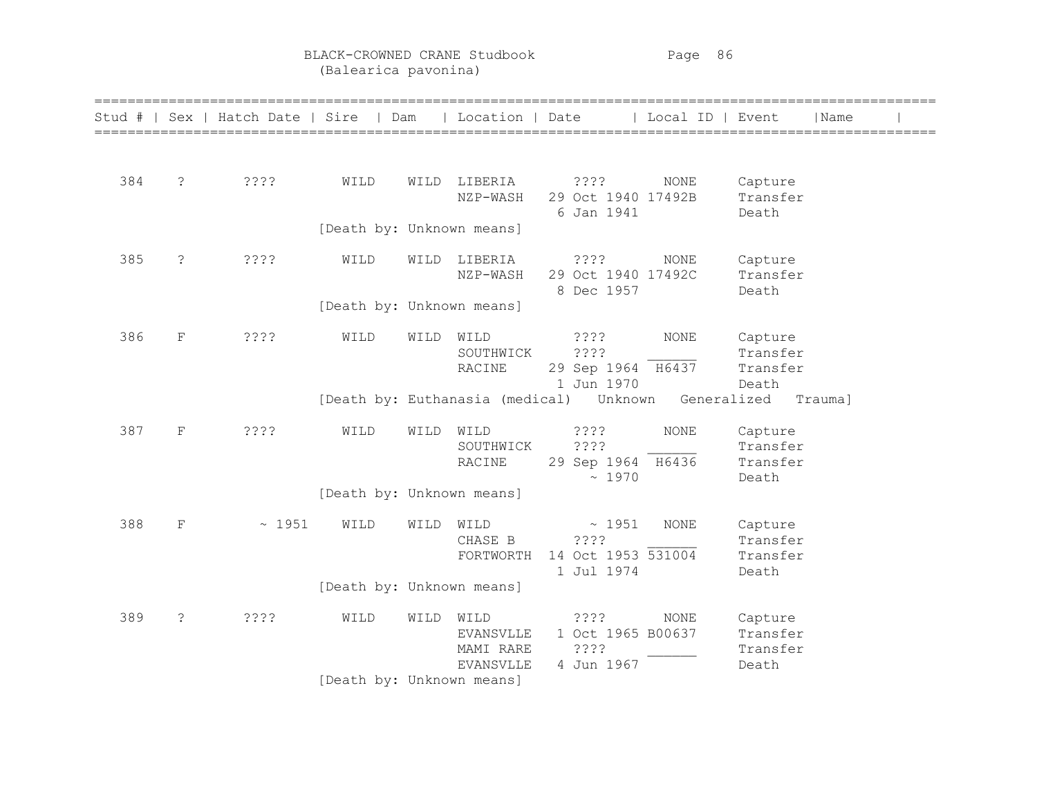BLACK-CROWNED CRANE Studbook Page 86 (Balearica pavonina)

|     |                | Stud #   Sex   Hatch Date   Sire   Dam |                           |      | Location   Date                                    |                                                       | Local ID   Event |                                          | Name    |  |
|-----|----------------|----------------------------------------|---------------------------|------|----------------------------------------------------|-------------------------------------------------------|------------------|------------------------------------------|---------|--|
| 384 | $\ddot{\cdot}$ | ????                                   | WILD                      |      | WILD LIBERIA<br>NZP-WASH                           | ????<br>29 Oct 1940 17492B<br>6 Jan 1941              | NONE             | Capture<br>Transfer<br>Death             |         |  |
|     |                |                                        | [Death by: Unknown means] |      |                                                    |                                                       |                  |                                          |         |  |
| 385 | $\tilde{S}$    | ????                                   | WILD                      | WILD | LIBERIA<br>NZP-WASH                                | ????<br>29 Oct 1940 17492C<br>8 Dec 1957              | NONE             | Capture<br>Transfer<br>Death             |         |  |
|     |                |                                        | [Death by: Unknown means] |      |                                                    |                                                       |                  |                                          |         |  |
| 386 | $\mathbf F$    | ????                                   | WILD                      | WILD | WILD<br>SOUTHWICK<br>RACINE                        | ????<br>????<br>29 Sep 1964 H6437<br>1 Jun 1970       | NONE             | Capture<br>Transfer<br>Transfer<br>Death |         |  |
|     |                |                                        |                           |      |                                                    | [Death by: Euthanasia (medical)  Unknown  Generalized |                  |                                          | Trauma] |  |
| 387 | $\mathbf F$    | ????                                   | WILD                      | WILD | WILD<br>SOUTHWICK<br>RACINE                        | ????<br>????<br>29 Sep 1964 H6436<br>~1970            | <b>NONE</b>      | Capture<br>Transfer<br>Transfer<br>Death |         |  |
|     |                |                                        | [Death by: Unknown means] |      |                                                    |                                                       |                  |                                          |         |  |
| 388 | $\mathbf F$    | ~1951                                  | WILD                      | WILD | WILD<br>CHASE B<br>FORTWORTH                       | ~1951<br>????<br>14 Oct 1953 531004<br>1 Jul 1974     | <b>NONE</b>      | Capture<br>Transfer<br>Transfer<br>Death |         |  |
|     |                |                                        | [Death by: Unknown means] |      |                                                    |                                                       |                  |                                          |         |  |
| 389 | ?              | ????                                   | WILD                      | WILD | WILD<br><b>EVANSVLLE</b><br>MAMI RARE<br>EVANSVLLE | ? ? ? ?<br>1 Oct 1965 B00637<br>????<br>4 Jun 1967    | NONE             | Capture<br>Transfer<br>Transfer<br>Death |         |  |
|     |                |                                        | [Death by: Unknown means] |      |                                                    |                                                       |                  |                                          |         |  |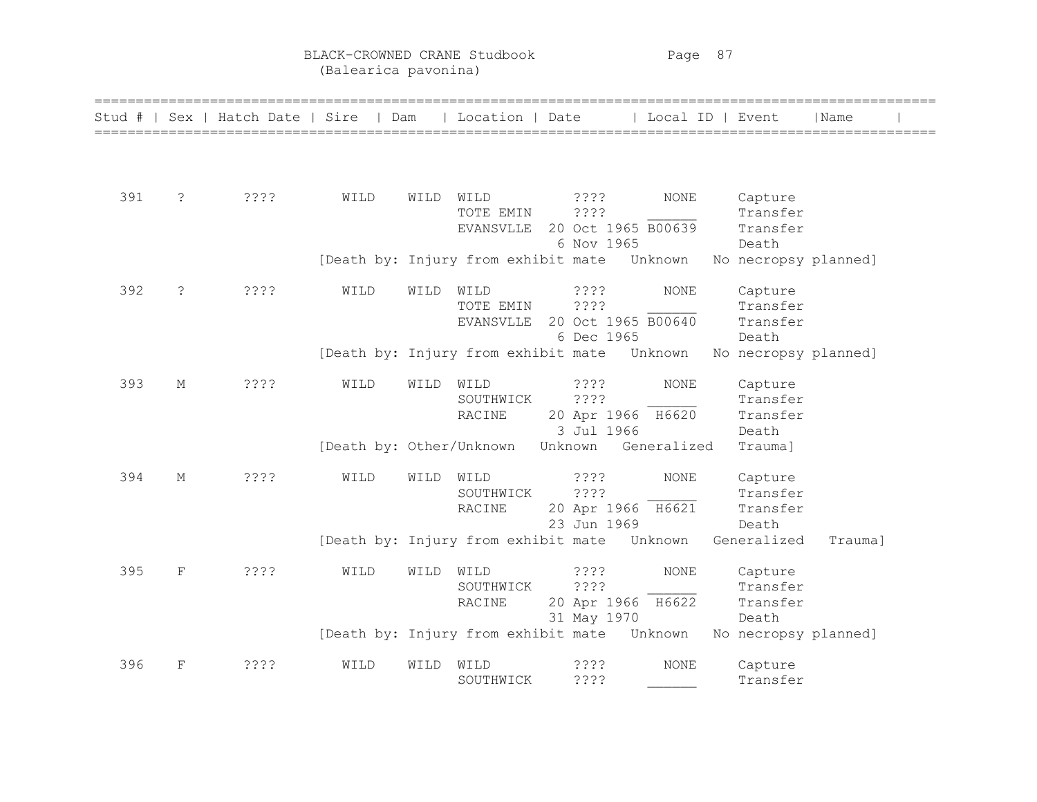BLACK-CROWNED CRANE Studbook Page 87 (Balearica pavonina)

| Stud # |             | Sex   Hatch Date   Sire | Dam                                          |      | Location   Date               |                                  | Local ID   Event |                               | Name    |  |
|--------|-------------|-------------------------|----------------------------------------------|------|-------------------------------|----------------------------------|------------------|-------------------------------|---------|--|
|        |             |                         |                                              |      |                               |                                  |                  |                               |         |  |
| 391    | $\tilde{ }$ | ????                    | WILD                                         | WILD | WILD<br>TOTE EMIN             | 3333<br>????                     | <b>NONE</b>      | Capture<br>Transfer           |         |  |
|        |             |                         |                                              |      | EVANSVLLE                     | 20 Oct 1965 B00639               |                  | Transfer                      |         |  |
|        |             |                         | [Death by: Injury from exhibit mate          |      |                               | 6 Nov 1965                       | Unknown          | Death<br>No necropsy planned] |         |  |
| 392    | $\tilde{S}$ | 3333                    | WILD                                         | WILD | WILD                          | ????                             | NONE             | Capture                       |         |  |
|        |             |                         |                                              |      | TOTE EMIN<br><b>EVANSVLLE</b> | ????<br>20 Oct 1965 B00640       |                  | Transfer<br>Transfer          |         |  |
|        |             |                         | [Death by: Injury from exhibit mate          |      |                               | 6 Dec 1965                       | Unknown          | Death<br>No necropsy planned] |         |  |
| 393    | М           | ????                    | WILD                                         | WILD | WILD                          | ? ? ? ?                          | <b>NONE</b>      | Capture                       |         |  |
|        |             |                         |                                              |      | SOUTHWICK<br>RACINE           | ????<br>20 Apr 1966 H6620        |                  | Transfer<br>Transfer          |         |  |
|        |             |                         | [Death by: Other/Unknown                     |      |                               | 3 Jul 1966<br>Unknown            | Generalized      | Death<br>Trauma]              |         |  |
|        |             |                         |                                              |      |                               |                                  |                  |                               |         |  |
| 394    | М           | 3333                    | WILD                                         | WILD | WILD<br>SOUTHWICK             | ????<br>????                     | <b>NONE</b>      | Capture<br>Transfer           |         |  |
|        |             |                         |                                              |      | RACINE                        | 20 Apr 1966 H6621<br>23 Jun 1969 |                  | Transfer                      |         |  |
|        |             |                         | [Death by: Injury from exhibit mate Unknown  |      |                               |                                  |                  | Death<br>Generalized          | Trauma] |  |
| 395    | F           | ????                    | WILD                                         | WILD | WILD                          | ? ? ? ?                          | $\rm{NONE}$      | Capture                       |         |  |
|        |             |                         |                                              |      | SOUTHWICK<br>RACINE           | ????<br>20 Apr 1966 H6622        |                  | Transfer<br>Transfer          |         |  |
|        |             |                         | [Death by: Injury from exhibit mate  Unknown |      |                               | 31 May 1970                      |                  | Death<br>No necropsy planned] |         |  |
|        |             |                         |                                              |      |                               |                                  |                  |                               |         |  |
| 396    | $_{\rm F}$  | ????                    | WILD                                         | WILD | WILD<br>SOUTHWICK             | ????<br>????                     | <b>NONE</b>      | Capture<br>Transfer           |         |  |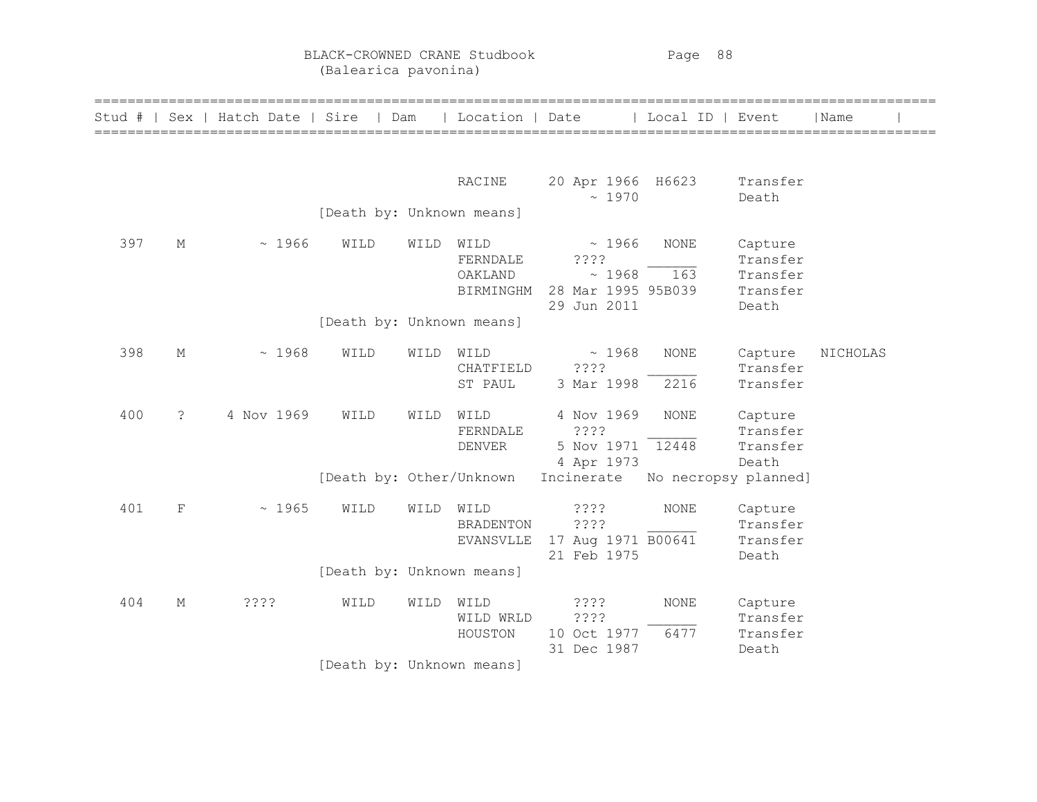| Stud # | Sex         | Hatch Date   Sire |                           | Dam  | Location   Date                          |                                                             | Local ID   Event     |                                                      | Name     |  |
|--------|-------------|-------------------|---------------------------|------|------------------------------------------|-------------------------------------------------------------|----------------------|------------------------------------------------------|----------|--|
|        |             |                   |                           |      | RACINE                                   | 20 Apr 1966 H6623<br>~1970                                  |                      | Transfer<br>Death                                    |          |  |
|        |             |                   | [Death by: Unknown means] |      |                                          |                                                             |                      |                                                      |          |  |
| 397    | М           | ~1966             | WILD                      | WILD | WILD<br>FERNDALE<br>OAKLAND<br>BIRMINGHM | ~1966<br>????<br>~1968<br>28 Mar 1995 95B039<br>29 Jun 2011 | <b>NONE</b><br>163   | Capture<br>Transfer<br>Transfer<br>Transfer<br>Death |          |  |
|        |             |                   | [Death by: Unknown means] |      |                                          |                                                             |                      |                                                      |          |  |
| 398    | М           | ~1968             | WILD                      | WILD | WILD<br>CHATFIELD<br>ST PAUL             | ~1968<br>????<br>3 Mar 1998                                 | <b>NONE</b><br>2216  | Capture<br>Transfer<br>Transfer                      | NICHOLAS |  |
| 400    | $\tilde{S}$ | 4 Nov 1969        | WILD                      | WILD | WILD<br>FERNDALE<br><b>DENVER</b>        | 4 Nov 1969<br>????<br>5 Nov 1971 12448<br>4 Apr 1973        | <b>NONE</b>          | Capture<br>Transfer<br>Transfer<br>Death             |          |  |
|        |             |                   | [Death by: Other/Unknown  |      |                                          | Incinerate                                                  | No necropsy planned] |                                                      |          |  |
| 401    | $\mathbf F$ | ~1965             | WILD                      | WILD | WILD<br><b>BRADENTON</b><br>EVANSVLLE    | 3333<br>????<br>17 Aug 1971 B00641<br>21 Feb 1975           | <b>NONE</b>          | Capture<br>Transfer<br>Transfer<br>Death             |          |  |
|        |             |                   | [Death by: Unknown means] |      |                                          |                                                             |                      |                                                      |          |  |
| 404    | М           | 3333              | WILD                      | WILD | WILD<br>WILD WRLD<br>HOUSTON             | 3333<br>????<br>10 Oct 1977<br>31 Dec 1987                  | <b>NONE</b><br>6477  | Capture<br>Transfer<br>Transfer<br>Death             |          |  |
|        |             |                   | [Death by: Unknown means] |      |                                          |                                                             |                      |                                                      |          |  |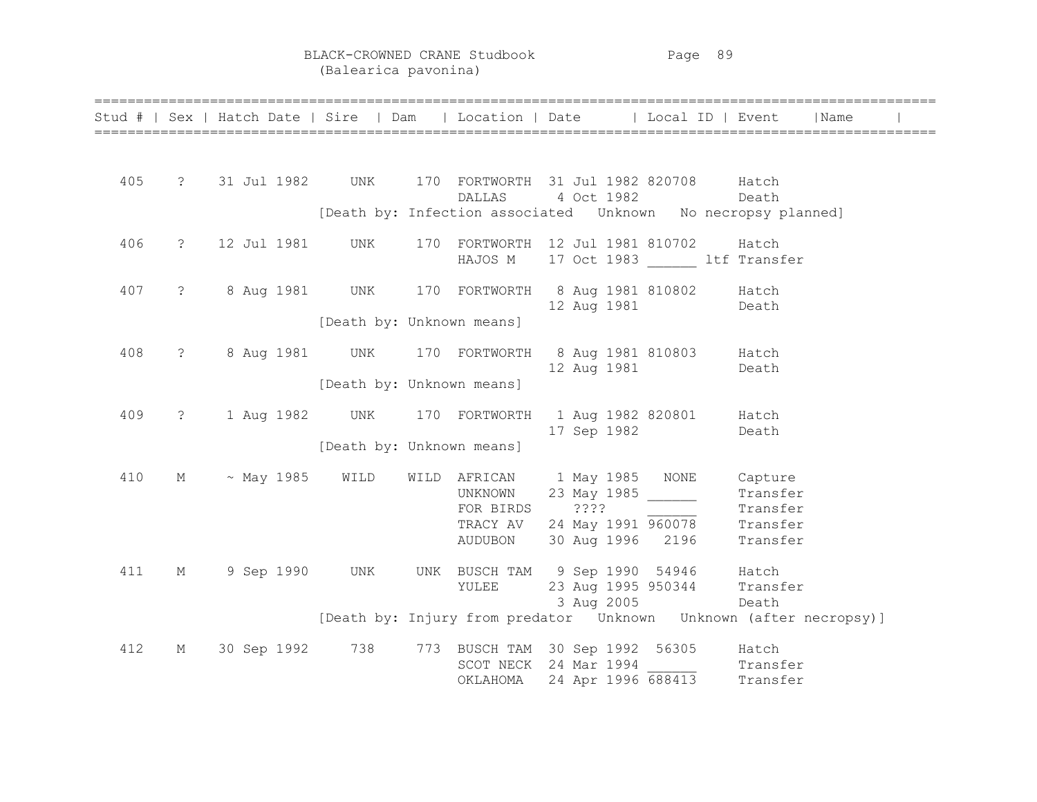|     |                   |                                                          |                           |         |                                                                       |       | Stud #   Sex   Hatch Date   Sire   Dam   Location   Date   Local ID   Event   Name |  |
|-----|-------------------|----------------------------------------------------------|---------------------------|---------|-----------------------------------------------------------------------|-------|------------------------------------------------------------------------------------|--|
|     |                   |                                                          |                           |         |                                                                       |       |                                                                                    |  |
| 405 |                   | ? 31 Jul 1982 UNK 170 FORTWORTH 31 Jul 1982 820708 Hatch |                           |         |                                                                       |       |                                                                                    |  |
|     |                   |                                                          |                           | DALLAS  | 4 Oct 1982                                                            |       | Death                                                                              |  |
|     |                   |                                                          |                           |         |                                                                       |       | [Death by: Infection associated  Unknown  No necropsy planned]                     |  |
| 406 |                   | ? 12 Jul 1981 UNK                                        |                           |         | 170 FORTWORTH 12 Jul 1981 810702 Hatch                                |       |                                                                                    |  |
|     |                   |                                                          |                           |         | HAJOS M 17 Oct 1983 ltf Transfer                                      |       |                                                                                    |  |
| 407 |                   |                                                          |                           |         |                                                                       |       |                                                                                    |  |
|     |                   |                                                          |                           |         | 12 Aug 1981 Death                                                     |       |                                                                                    |  |
|     |                   |                                                          | [Death by: Unknown means] |         |                                                                       |       |                                                                                    |  |
| 408 | $\ddot{\text{?}}$ |                                                          |                           |         | 8 Aug 1981 UNK 170 FORTWORTH 8 Aug 1981 810803 Hatch                  |       |                                                                                    |  |
|     |                   |                                                          |                           |         | 12 Aug 1981 Death                                                     |       |                                                                                    |  |
|     |                   |                                                          | [Death by: Unknown means] |         |                                                                       |       |                                                                                    |  |
| 409 | $\ddot{\text{?}}$ |                                                          |                           |         | 1 Aug 1982 UNK 170 FORTWORTH 1 Aug 1982 820801 Hatch                  |       |                                                                                    |  |
|     |                   |                                                          |                           |         | 17 Sep 1982 Death                                                     |       |                                                                                    |  |
|     |                   |                                                          | [Death by: Unknown means] |         |                                                                       |       |                                                                                    |  |
| 410 |                   | $M \sim$ May 1985 WILD                                   |                           |         | WILD AFRICAN 1 May 1985 NONE Capture                                  |       |                                                                                    |  |
|     |                   |                                                          |                           | UNKNOWN | 23 May 1985 ______                                                    |       | Transfer                                                                           |  |
|     |                   |                                                          |                           |         |                                                                       |       |                                                                                    |  |
|     |                   |                                                          |                           |         | FOR BIRDS $??\ ?$<br>TRACY AV 24 May 1991 $\frac{1}{960078}$ Transfer |       |                                                                                    |  |
|     |                   |                                                          |                           | AUDUBON | 30 Aug 1996 2196 Transfer                                             |       |                                                                                    |  |
| 411 | М                 | 9 Sep 1990 UNK                                           |                           |         | UNK BUSCH TAM 9 Sep 1990 54946 Hatch                                  |       |                                                                                    |  |
|     |                   |                                                          |                           | YULEE   | 23 Aug 1995 950344 Transfer                                           |       |                                                                                    |  |
|     |                   |                                                          |                           |         | 3 Aug 2005                                                            | Death |                                                                                    |  |
|     |                   |                                                          |                           |         |                                                                       |       | [Death by: Injury from predator Unknown Unknown (after necropsy)]                  |  |
| 412 | М                 | 30 Sep 1992 738                                          |                           |         | 773 BUSCH TAM 30 Sep 1992 56305 Hatch                                 |       |                                                                                    |  |
|     |                   |                                                          |                           |         | SCOT NECK 24 Mar 1994                                                 |       |                                                                                    |  |
|     |                   |                                                          |                           |         | OKLAHOMA 24 Apr 1996 688413                                           |       | Transfer<br>Transfer                                                               |  |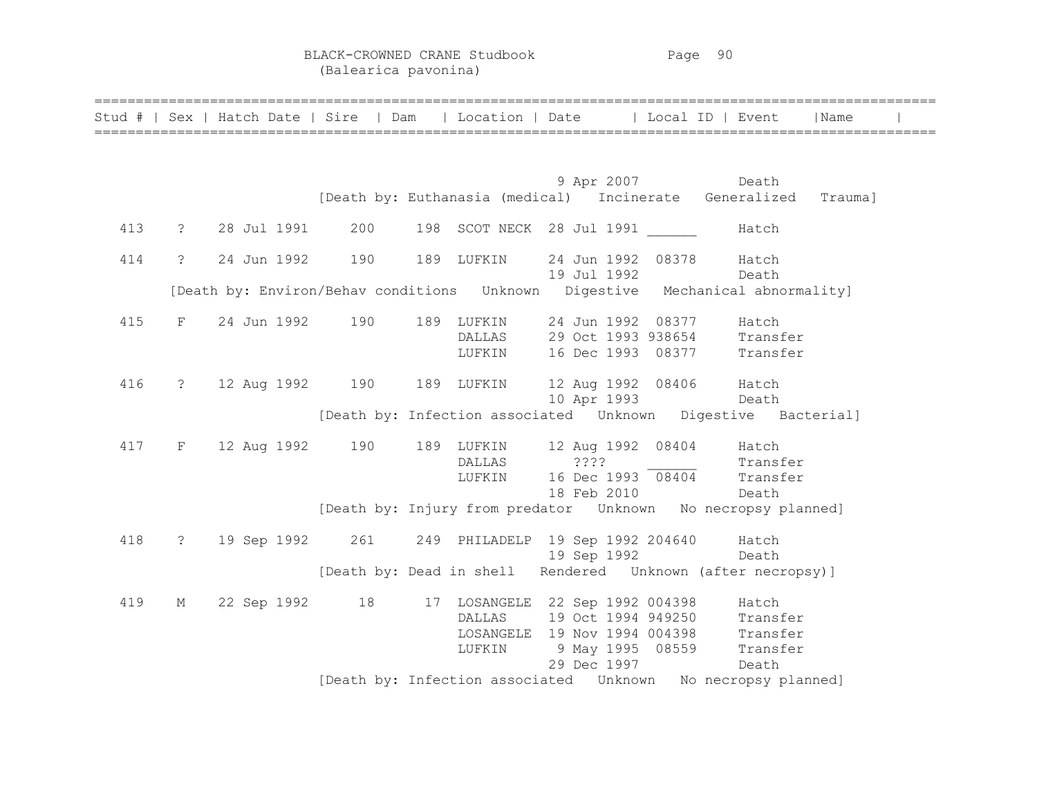BLACK-CROWNED CRANE Studbook Page 90 (Balearica pavonina)

|     |                      |                                                        |                  |                                                   |                   | Stud #   Sex   Hatch Date   Sire   Dam   Location   Date   Local ID   Event   Name                                                                                                      |  |
|-----|----------------------|--------------------------------------------------------|------------------|---------------------------------------------------|-------------------|-----------------------------------------------------------------------------------------------------------------------------------------------------------------------------------------|--|
|     |                      |                                                        |                  |                                                   | 9 Apr 2007 Death  | [Death by: Euthanasia (medical) Incinerate Generalized Trauma]                                                                                                                          |  |
| 413 |                      | ? 28 Jul 1991 200                                      |                  | 198 SCOT NECK 28 Jul 1991 Hatch                   |                   |                                                                                                                                                                                         |  |
| 414 | $\ddot{\mathcal{E}}$ | 24 Jun 1992 190                                        |                  | 189 LUFKIN 24 Jun 1992 08378 Hatch                | 19 Jul 1992 Death |                                                                                                                                                                                         |  |
|     |                      |                                                        |                  |                                                   |                   | [Death by: Environ/Behav conditions Unknown Digestive Mechanical abnormality]                                                                                                           |  |
| 415 |                      | F 24 Jun 1992 190                                      |                  | 189 LUFKIN 24 Jun 1992 08377 Hatch                |                   | DALLAS 29 Oct 1993 938654 Transfer<br>LUFKIN 16 Dec 1993 08377 Transfer                                                                                                                 |  |
| 416 |                      | ? 12 Aug 1992 190 189 LUFKIN 12 Aug 1992 08406 Hatch   |                  |                                                   | 10 Apr 1993 Death | [Death by: Infection associated Unknown Digestive Bacterial]                                                                                                                            |  |
| 417 |                      | F 12 Aug 1992 190                                      | DALLAS<br>LUFKIN | 189 LUFKIN 12 Aug 1992 08404 Hatch<br>18 Feb 2010 |                   | $16 \text{ Dec } 1993$ $\overline{08404}$ Transfer<br>18 Feb 2010                                                                                                                       |  |
|     |                      |                                                        |                  |                                                   |                   | [Death by: Injury from predator  Unknown  No necropsy planned]                                                                                                                          |  |
| 418 | $\ddot{?}$           | 19 Sep 1992 261 249 PHILADELP 19 Sep 1992 204640 Hatch |                  | 19 Sep 1992                                       |                   | Death                                                                                                                                                                                   |  |
| 419 | M                    | 22 Sep 1992 18 17 LOSANGELE 22 Sep 1992 004398 Hatch   | LUFKIN           | 29 Dec 1997                                       |                   | [Death by: Dead in shell Rendered Unknown (after necropsy)]<br>DALLAS 19 Oct 1994 949250 Transfer<br>LOSANGELE 19 Nov 1994 004398 Transfer<br>9 May 1995 08559 Transfer<br><b>Death</b> |  |
|     |                      |                                                        |                  |                                                   |                   | [Death by: Infection associated  Unknown  No necropsy planned]                                                                                                                          |  |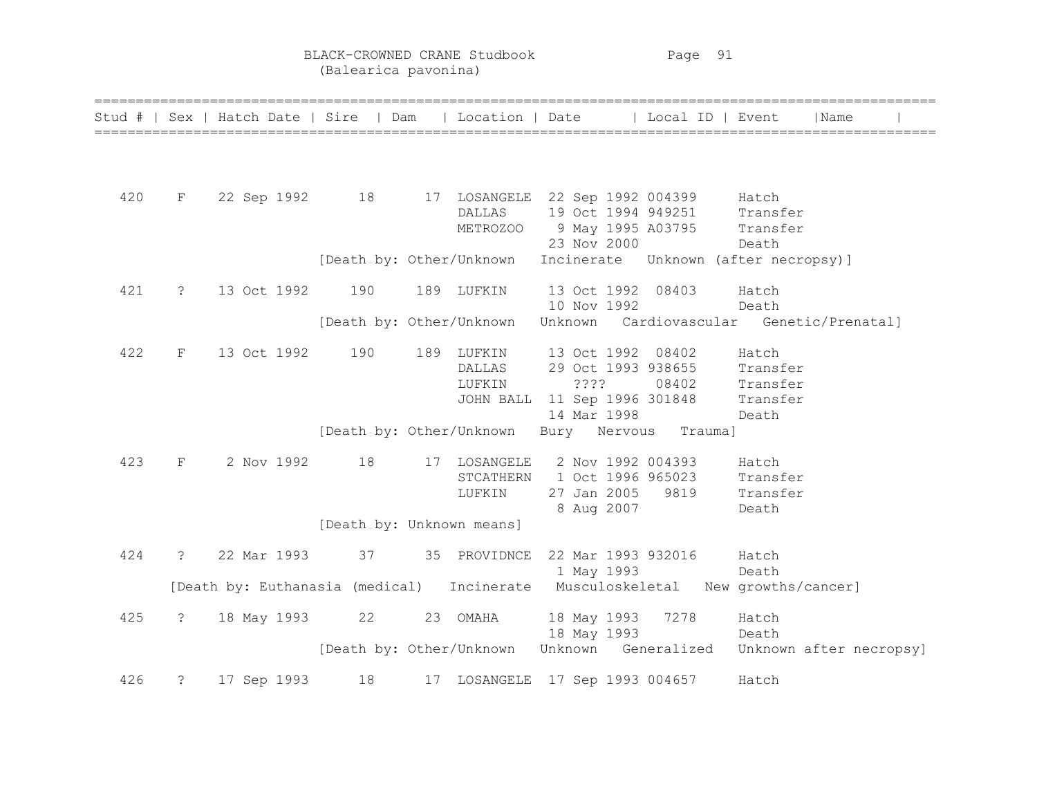BLACK-CROWNED CRANE Studbook Page 91 (Balearica pavonina)

|     |                | Stud #   Sex   Hatch Date   Sire   Dam     |                           | Location   Date |                                       | Local ID   Event | Name                                     |
|-----|----------------|--------------------------------------------|---------------------------|-----------------|---------------------------------------|------------------|------------------------------------------|
|     |                |                                            |                           |                 |                                       |                  |                                          |
|     |                |                                            |                           |                 |                                       |                  |                                          |
| 420 | F              | 22 Sep 1992 18                             |                           |                 | 17 LOSANGELE 22 Sep 1992 004399 Hatch |                  |                                          |
|     |                |                                            |                           | DALLAS          | 19 Oct 1994 949251 Transfer           |                  |                                          |
|     |                |                                            |                           | METROZOO        | 9 May 1995 A03795 Transfer            |                  |                                          |
|     |                |                                            |                           |                 | 23 Nov 2000                           |                  | Death                                    |
|     |                |                                            | [Death by: Other/Unknown  |                 |                                       |                  | Incinerate Unknown (after necropsy)]     |
| 421 | $\ddot{c}$     | 13 Oct 1992                                | 190                       | 189 LUFKIN      | 13 Oct 1992 08403                     |                  | Hatch                                    |
|     |                |                                            |                           |                 | 10 Nov 1992                           |                  | Death                                    |
|     |                |                                            | [Death by: Other/Unknown  |                 |                                       |                  | Unknown Cardiovascular Genetic/Prenatal] |
| 422 | F              | 13 Oct 1992                                | 190                       | 189 LUFKIN      | 13 Oct 1992 08402                     |                  | Hatch                                    |
|     |                |                                            |                           | DALLAS          | 29 Oct 1993 938655                    |                  | Transfer                                 |
|     |                |                                            |                           | LUFKIN          | ????                                  | 08402            | Transfer                                 |
|     |                |                                            |                           | JOHN BALL       | 11 Sep 1996 301848                    |                  | Transfer                                 |
|     |                |                                            |                           |                 | 14 Mar 1998                           |                  | Death                                    |
|     |                |                                            | [Death by: Other/Unknown  |                 | Bury Nervous Trauma]                  |                  |                                          |
| 423 | F              | 2 Nov 1992                                 | 18                        | 17 LOSANGELE    | 2 Nov 1992 004393                     |                  | Hatch                                    |
|     |                |                                            |                           | STCATHERN       | 1 Oct 1996 965023                     |                  | Transfer                                 |
|     |                |                                            |                           | LUFKIN          | 27 Jan 2005 9819                      |                  | Transfer                                 |
|     |                |                                            |                           |                 | 8 Aug 2007                            |                  | Death                                    |
|     |                |                                            | [Death by: Unknown means] |                 |                                       |                  |                                          |
| 424 | $\overline{?}$ | 22 Mar 1993                                | 37                        | 35 PROVIDNCE    | 22 Mar 1993 932016                    |                  | Hatch                                    |
|     |                |                                            |                           |                 | 1 May 1993                            |                  | Death                                    |
|     |                | [Death by: Euthanasia (medical) Incinerate |                           |                 |                                       |                  | Musculoskeletal New growths/cancer]      |
| 425 | $\ddot{\cdot}$ | 18 May 1993                                | 22                        | 23 OMAHA        | 18 May 1993 7278                      |                  | Hatch                                    |
|     |                |                                            |                           |                 | 18 May 1993                           |                  | Death                                    |
|     |                |                                            | [Death by: Other/Unknown  |                 | Unknown Generalized                   |                  | Unknown after necropsy]                  |
|     |                |                                            |                           |                 |                                       |                  |                                          |
| 426 | $\ddot{c}$     | 17 Sep 1993                                | 18                        |                 | 17 LOSANGELE 17 Sep 1993 004657       |                  | Hatch                                    |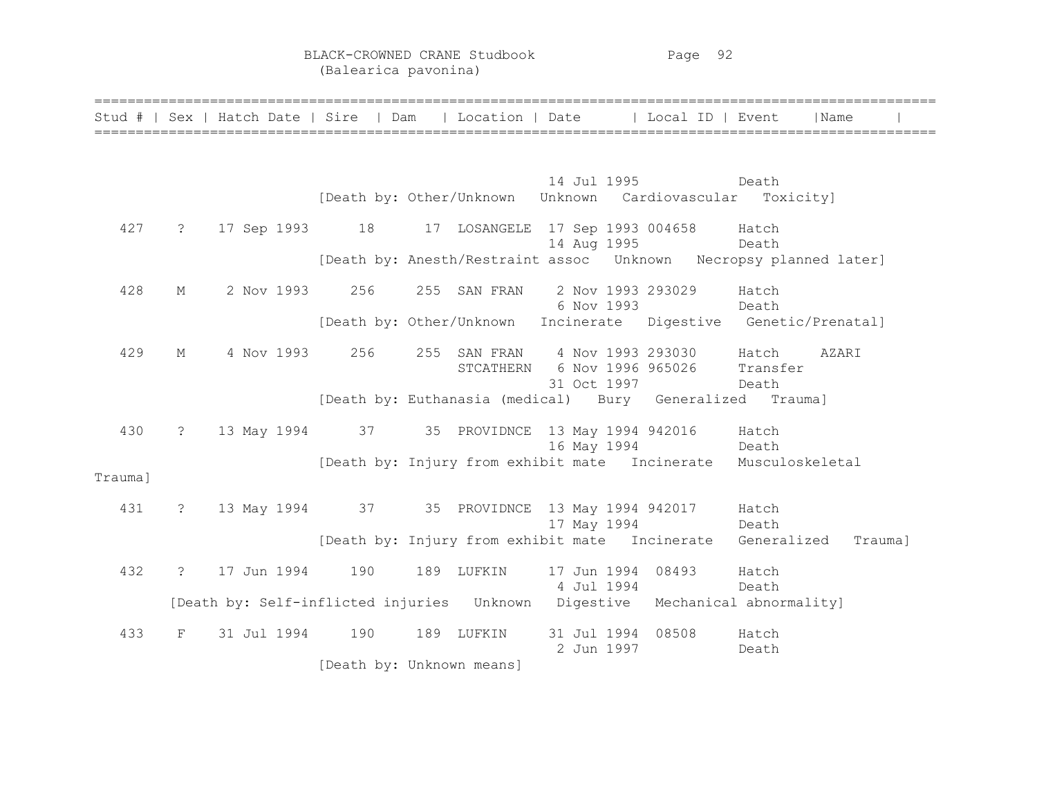BLACK-CROWNED CRANE Studbook Page 92 (Balearica pavonina)

|         |                |                   |                           |                                                |                                 | Stud #   Sex   Hatch Date   Sire   Dam   Location   Date   Local ID   Event  |                | Name                                                               |
|---------|----------------|-------------------|---------------------------|------------------------------------------------|---------------------------------|------------------------------------------------------------------------------|----------------|--------------------------------------------------------------------|
|         |                |                   |                           |                                                |                                 |                                                                              |                |                                                                    |
|         |                |                   |                           |                                                |                                 | 14 Jul 1995                                                                  | Death          |                                                                    |
|         |                |                   |                           |                                                |                                 | [Death by: Other/Unknown Unknown Cardiovascular Toxicity]                    |                |                                                                    |
| 427     | $\ddot{ }$     |                   |                           | 17 Sep 1993 18 17 LOSANGELE 17 Sep 1993 004658 | 14 Aug 1995                     |                                                                              | Hatch<br>Death |                                                                    |
|         |                |                   |                           |                                                |                                 |                                                                              |                |                                                                    |
| 428     | М              |                   | 2 Nov 1993 256            | 255 SAN FRAN                                   | 2 Nov 1993 293029<br>6 Nov 1993 |                                                                              | Hatch<br>Death |                                                                    |
|         |                |                   |                           |                                                |                                 | [Death by: Other/Unknown Incinerate Digestive Genetic/Prenatal]              |                |                                                                    |
| 429     | $M_{\odot}$    | 4 Nov 1993        | 256                       | STCATHERN 6 Nov 1996 965026                    |                                 | 255 SAN FRAN 4 Nov 1993 293030 Hatch                                         | Transfer       | AZARI                                                              |
|         |                |                   |                           |                                                | 31 Oct 1997                     | [Death by: Euthanasia (medical) Bury Generalized Trauma]                     | Death          |                                                                    |
| 430     | $\ddot{\cdot}$ |                   |                           | 13 May 1994 37 35 PROVIDNCE 13 May 1994 942016 | 16 May 1994                     |                                                                              | Hatch<br>Death |                                                                    |
| Trauma] |                |                   |                           |                                                |                                 | [Death by: Injury from exhibit mate Incinerate Musculoskeletal               |                |                                                                    |
| 431     | $\tilde{z}$    |                   |                           |                                                |                                 | 13 May 1994 37 35 PROVIDNCE 13 May 1994 942017 Hatch                         |                |                                                                    |
|         |                |                   |                           |                                                | 17 May 1994                     |                                                                              | Death          |                                                                    |
|         |                |                   |                           |                                                |                                 |                                                                              |                | [Death by: Injury from exhibit mate Incinerate Generalized Trauma] |
| 432     |                | ? 17 Jun 1994 190 |                           | 189 LUFKIN                                     | 17 Jun 1994<br>4 Jul 1994       | 08493                                                                        | Hatch<br>Death |                                                                    |
|         |                |                   |                           |                                                |                                 | [Death by: Self-inflicted injuries Unknown Digestive Mechanical abnormality] |                |                                                                    |
| 433     | F              | 31 Jul 1994 190   |                           | 189 LUFKIN                                     | 31 Jul 1994 08508<br>2 Jun 1997 |                                                                              | Hatch<br>Death |                                                                    |
|         |                |                   | [Death by: Unknown means] |                                                |                                 |                                                                              |                |                                                                    |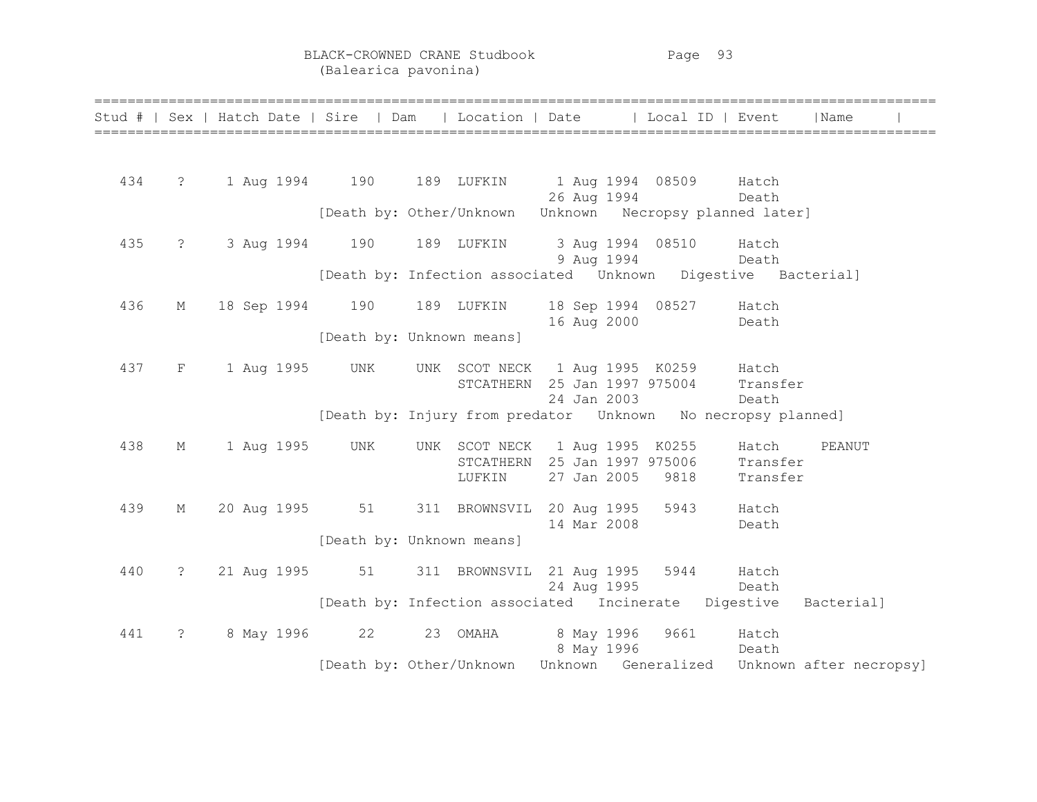BLACK-CROWNED CRANE Studbook Page 93 (Balearica pavonina)

|     |                   |  |             | Stud #   Sex   Hatch Date   Sire   Dam   Location   Date   Local ID   Event |                                                                          |                                   |                                                                 |                               | Name                                                                 |
|-----|-------------------|--|-------------|-----------------------------------------------------------------------------|--------------------------------------------------------------------------|-----------------------------------|-----------------------------------------------------------------|-------------------------------|----------------------------------------------------------------------|
| 434 | $\overline{?}$    |  |             | 1 Aug 1994 190 189 LUFKIN                                                   |                                                                          |                                   | 1 Aug 1994 08509                                                | Hatch                         |                                                                      |
|     |                   |  |             | [Death by: Other/Unknown Unknown Necropsy planned later]                    |                                                                          | 26 Aug 1994                       |                                                                 | Death                         |                                                                      |
| 435 | $\ddot{\text{?}}$ |  |             | 3 Aug 1994 190                                                              | 189 LUFKIN                                                               | 3 Aug 1994 08510<br>9 Aug 1994    |                                                                 | Hatch<br>Death                |                                                                      |
|     |                   |  |             |                                                                             |                                                                          |                                   | [Death by: Infection associated  Unknown  Digestive  Bacterial] |                               |                                                                      |
| 436 | $M_{\odot}$       |  |             | 18 Sep 1994 190                                                             | 189 LUFKIN                                                               | 16 Aug 2000                       | 18 Sep 1994 08527                                               | Hatch<br>Death                |                                                                      |
|     |                   |  |             | [Death by: Unknown means]                                                   |                                                                          |                                   |                                                                 |                               |                                                                      |
| 437 | F                 |  | 1 Aug 1995  | UNK                                                                         | STCATHERN                                                                | 25 Jan 1997 975004<br>24 Jan 2003 | UNK SCOT NECK 1 Aug 1995 K0259 Hatch                            | Transfer<br>Death             |                                                                      |
|     |                   |  |             | [Death by: Injury from predator  Unknown  No necropsy planned]              |                                                                          |                                   |                                                                 |                               |                                                                      |
| 438 | М                 |  | 1 Aug 1995  | UNK                                                                         | UNK SCOT NECK 1 Aug 1995 K0255<br>STCATHERN 25 Jan 1997 975006<br>LUFKIN | 27 Jan 2005                       | 9818                                                            | Hatch<br>Transfer<br>Transfer | PEANUT                                                               |
| 439 | $M_{\odot}$       |  |             | 20 Aug 1995 51 311 BROWNSVIL 20 Aug 1995 5943                               |                                                                          | 14 Mar 2008                       |                                                                 | Hatch<br>Death                |                                                                      |
|     |                   |  |             | [Death by: Unknown means]                                                   |                                                                          |                                   |                                                                 |                               |                                                                      |
| 440 | $\ddot{\cdot}$    |  | 21 Aug 1995 | 51                                                                          | 311 BROWNSVIL 21 Aug 1995 5944                                           | 24 Aug 1995                       |                                                                 | Hatch<br>Death                |                                                                      |
|     |                   |  |             |                                                                             | [Death by: Infection associated Incinerate                               |                                   |                                                                 | Digestive                     | Bacterial]                                                           |
| 441 | $\ddot{\cdot}$    |  |             | 8 May 1996 22                                                               | 23 OMAHA                                                                 | 8 May 1996<br>8 May 1996          | 9661                                                            | Hatch<br>Death                |                                                                      |
|     |                   |  |             |                                                                             |                                                                          |                                   |                                                                 |                               | [Death by: Other/Unknown Unknown Generalized Unknown after necropsy] |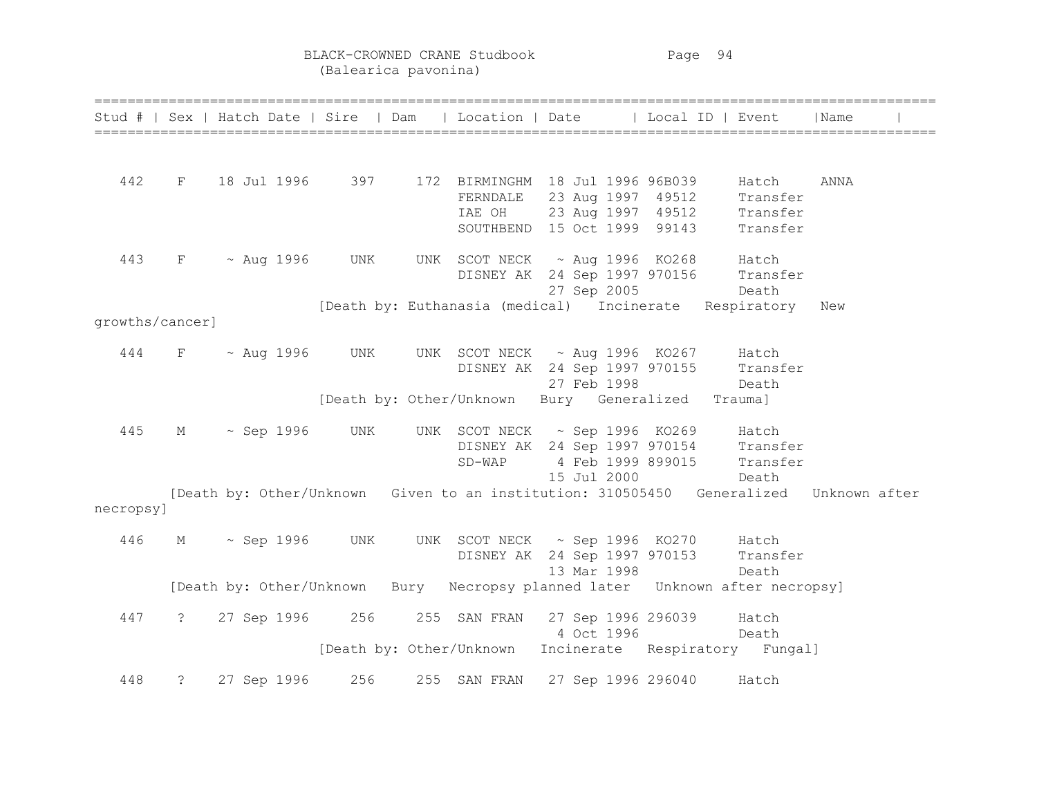BLACK-CROWNED CRANE Studbook Page 94 (Balearica pavonina)

|                 |   | Stud #   Sex   Hatch Date   Sire   Dam   Location   Date   Local ID   Event           |  |                          |                                                                                                                  |       |       | Name |
|-----------------|---|---------------------------------------------------------------------------------------|--|--------------------------|------------------------------------------------------------------------------------------------------------------|-------|-------|------|
|                 |   |                                                                                       |  |                          |                                                                                                                  |       |       |      |
| 442             |   | F 18 Jul 1996 397 172 BIRMINGHM 18 Jul 1996 96B039                                    |  |                          |                                                                                                                  |       | Hatch | ANNA |
|                 |   |                                                                                       |  |                          | FERNDALE 23 Aug 1997 49512 Transfer<br>TAE OH 23 Aug 1997 49512 Transfer<br>SOUTHBEND 15 Oct 1999 99143 Transfer |       |       |      |
|                 |   |                                                                                       |  |                          |                                                                                                                  |       |       |      |
|                 |   |                                                                                       |  |                          |                                                                                                                  |       |       |      |
| 443             |   | $F \sim \text{Aug } 1996$ UNK                                                         |  |                          | UNK SCOT NECK ~ Aug 1996 KO268 Hatch                                                                             |       |       |      |
|                 |   |                                                                                       |  |                          | DISNEY AK 24 Sep 1997 970156 Transfer                                                                            |       |       |      |
|                 |   |                                                                                       |  |                          | 27 Sep 2005                                                                                                      | Death |       |      |
|                 |   |                                                                                       |  |                          | [Death by: Euthanasia (medical) Incinerate Respiratory                                                           |       |       | New  |
| growths/cancer] |   |                                                                                       |  |                          |                                                                                                                  |       |       |      |
| 444             |   | $F \sim$ Aug 1996 UNK UNK SCOT NECK $\sim$ Aug 1996 KO267 Hatch                       |  |                          |                                                                                                                  |       |       |      |
|                 |   |                                                                                       |  |                          | DISNEY AK 24 Sep 1997 970155 Transfer                                                                            |       |       |      |
|                 |   |                                                                                       |  |                          | 27 Feb 1998                                                                                                      | Death |       |      |
|                 |   |                                                                                       |  |                          | [Death by: Other/Unknown Bury Generalized Trauma]                                                                |       |       |      |
|                 |   |                                                                                       |  |                          |                                                                                                                  |       |       |      |
| 445             | M | $\sim$ Sep 1996 UNK                                                                   |  |                          | UNK SCOT NECK ~ Sep 1996 KO269 Hatch                                                                             |       |       |      |
|                 |   |                                                                                       |  |                          | DISNEY AK 24 Sep 1997 970154 Transfer<br>SD-WAP 4 Feb 1999 899015 Transfer                                       |       |       |      |
|                 |   |                                                                                       |  |                          |                                                                                                                  |       |       |      |
|                 |   |                                                                                       |  |                          | 15 Jul 2000 Death                                                                                                |       |       |      |
| necropsy]       |   | [Death by: Other/Unknown Given to an institution: 310505450 Generalized Unknown after |  |                          |                                                                                                                  |       |       |      |
|                 |   |                                                                                       |  |                          |                                                                                                                  |       |       |      |
| 446             | M | $\sim$ Sep 1996 UNK                                                                   |  |                          | UNK SCOT NECK ~ Sep 1996 KO270 Hatch                                                                             |       |       |      |
|                 |   |                                                                                       |  |                          | DISNEY AK 24 Sep 1997 970153 Transfer                                                                            |       |       |      |
|                 |   |                                                                                       |  |                          | 13 Mar 1998                                                                                                      |       | Death |      |
|                 |   | [Death by: Other/Unknown Bury Necropsy planned later Unknown after necropsy]          |  |                          |                                                                                                                  |       |       |      |
|                 |   |                                                                                       |  |                          |                                                                                                                  |       |       |      |
| 447             |   | ? 27 Sep 1996 256 255 SAN FRAN 27 Sep 1996 296039 Hatch                               |  |                          | 4 Oct 1996                                                                                                       |       |       |      |
|                 |   |                                                                                       |  |                          |                                                                                                                  |       | Death |      |
|                 |   |                                                                                       |  | [Death by: Other/Unknown | Incinerate Respiratory Fungal]                                                                                   |       |       |      |
| 448             |   | ? 27 Sep 1996 256                                                                     |  |                          | 255 SAN FRAN 27 Sep 1996 296040 Hatch                                                                            |       |       |      |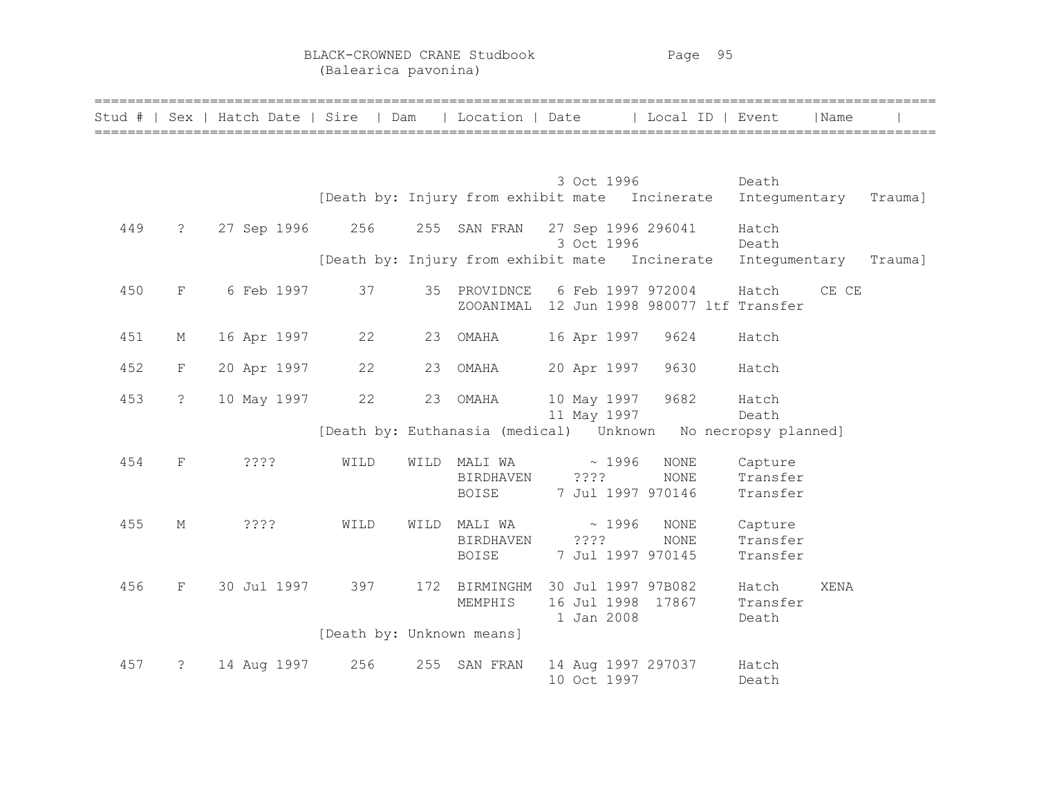BLACK-CROWNED CRANE Studbook Page 95 (Balearica pavonina)

|     |                      | Stud #   Sex   Hatch Date   Sire   Dam |                           |      | Location   Date                                |       |                            | Local ID   Event                                             |                        | Name        |         |
|-----|----------------------|----------------------------------------|---------------------------|------|------------------------------------------------|-------|----------------------------|--------------------------------------------------------------|------------------------|-------------|---------|
|     |                      |                                        |                           |      |                                                |       |                            |                                                              |                        |             |         |
|     |                      |                                        |                           |      |                                                |       | 3 Oct 1996                 |                                                              | Death                  |             |         |
|     |                      |                                        |                           |      |                                                |       |                            | [Death by: Injury from exhibit mate Incinerate Integumentary |                        |             | Trauma] |
| 449 | $\ddot{\cdot}$       | 27 Sep 1996                            | 256                       |      | 255 SAN FRAN                                   |       | 27 Sep 1996 296041         |                                                              | Hatch                  |             |         |
|     |                      |                                        |                           |      | [Death by: Injury from exhibit mate Incinerate |       | 3 Oct 1996                 |                                                              | Death<br>Integumentary |             | Trauma] |
|     |                      |                                        |                           |      |                                                |       |                            |                                                              |                        |             |         |
| 450 | F                    | 6 Feb 1997                             | 37                        |      | 35 PROVIDNCE                                   |       | 6 Feb 1997 972004          |                                                              | Hatch                  | CE CE       |         |
|     |                      |                                        |                           |      | ZOOANIMAL                                      |       |                            | 12 Jun 1998 980077 ltf Transfer                              |                        |             |         |
| 451 | $M_{\odot}$          | 16 Apr 1997                            | 22                        | 23   | OMAHA                                          |       | 16 Apr 1997                | 9624                                                         | Hatch                  |             |         |
| 452 | $\mathbf F$          | 20 Apr 1997                            | 22                        | 23   | OMAHA                                          |       | 20 Apr 1997                | 9630                                                         | Hatch                  |             |         |
|     |                      |                                        |                           |      |                                                |       |                            |                                                              |                        |             |         |
| 453 | $\ddot{\phantom{0}}$ | 10 May 1997                            | 22                        | 23   | OMAHA                                          |       | 10 May 1997<br>11 May 1997 | 9682                                                         | Hatch<br>Death         |             |         |
|     |                      |                                        |                           |      | [Death by: Euthanasia (medical) Unknown        |       |                            |                                                              | No necropsy planned]   |             |         |
| 454 | $_{\rm F}$           | ????                                   | WILD                      | WILD | MALI WA                                        |       | $\sim 1996$                | <b>NONE</b>                                                  | Capture                |             |         |
|     |                      |                                        |                           |      | BIRDHAVEN                                      | $??\$ |                            | <b>NONE</b>                                                  | Transfer               |             |         |
|     |                      |                                        |                           |      | BOISE                                          |       | 7 Jul 1997 970146          |                                                              | Transfer               |             |         |
| 455 | М                    | ????                                   | WILD                      | WILD | MALI WA                                        |       | ~1996                      | <b>NONE</b>                                                  | Capture                |             |         |
|     |                      |                                        |                           |      | <b>BIRDHAVEN</b>                               |       | ????                       | <b>NONE</b>                                                  | Transfer               |             |         |
|     |                      |                                        |                           |      | BOISE                                          |       | 7 Jul 1997 970145          |                                                              | Transfer               |             |         |
| 456 | F                    | 30 Jul 1997                            | 397                       | 172  | BIRMINGHM                                      |       | 30 Jul 1997 97B082         |                                                              | Hatch                  | <b>XENA</b> |         |
|     |                      |                                        |                           |      | MEMPHIS                                        |       | 16 Jul 1998 17867          |                                                              | Transfer               |             |         |
|     |                      |                                        |                           |      |                                                |       | 1 Jan 2008                 |                                                              | Death                  |             |         |
|     |                      |                                        | [Death by: Unknown means] |      |                                                |       |                            |                                                              |                        |             |         |
| 457 | ?                    | 14 Aug 1997                            | 256                       | 255  | SAN FRAN                                       |       | 14 Aug 1997 297037         |                                                              | Hatch                  |             |         |
|     |                      |                                        |                           |      |                                                |       | 10 Oct 1997                |                                                              | Death                  |             |         |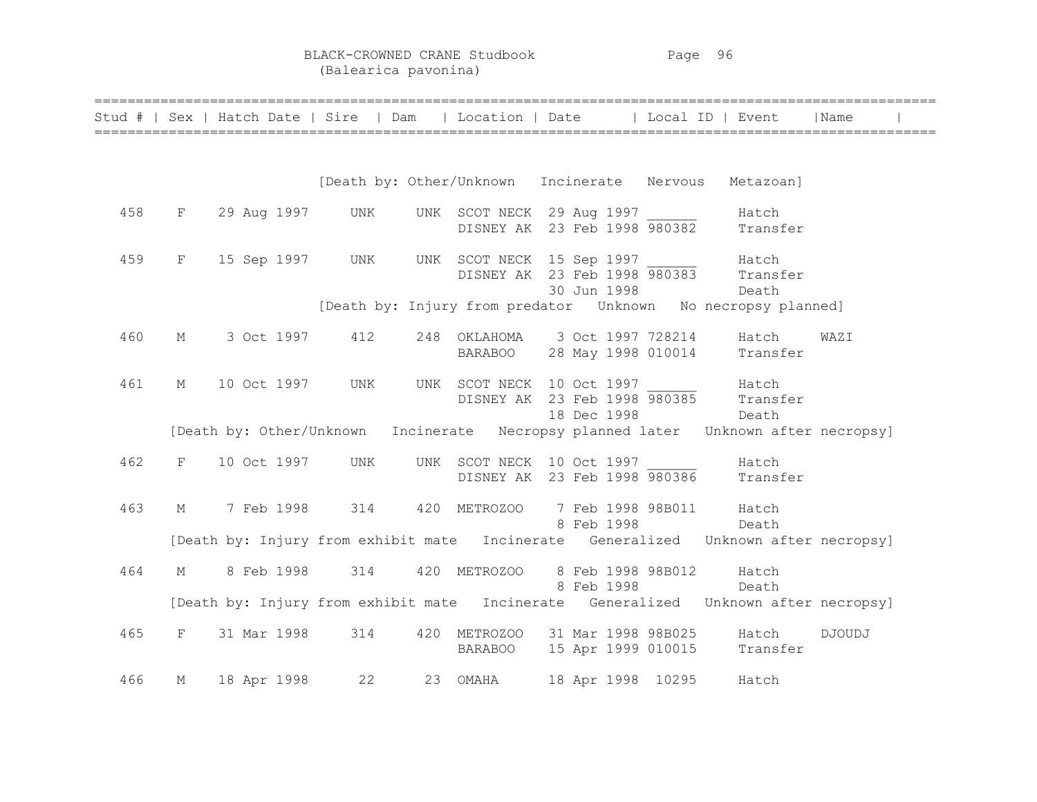BLACK-CROWNED CRANE Studbook Page 96 (Balearica pavonina)

|     |   | Stud #   Sex   Hatch Date   Sire   Dam |     | Location   Date                                           |                    | Local ID   Event                                                                   | Name   |  |
|-----|---|----------------------------------------|-----|-----------------------------------------------------------|--------------------|------------------------------------------------------------------------------------|--------|--|
|     |   |                                        |     |                                                           |                    |                                                                                    |        |  |
|     |   |                                        |     |                                                           |                    | [Death by: Other/Unknown Incinerate Nervous Metazoan]                              |        |  |
| 458 | F | 29 Aug 1997                            | UNK | UNK SCOT NECK 29 Aug 1997<br>DISNEY AK 23 Feb 1998 980382 |                    | Hatch<br>Transfer                                                                  |        |  |
| 459 | F | 15 Sep 1997                            | UNK | UNK SCOT NECK 15 Sep 1997                                 | 30 Jun 1998        | Hatch<br>DISNEY AK 23 Feb 1998 980383 Transfer<br>Death                            |        |  |
|     |   |                                        |     |                                                           |                    | [Death by: Injury from predator  Unknown  No necropsy planned]                     |        |  |
| 460 | М | 3 Oct 1997                             | 412 | 248 OKLAHOMA 3 Oct 1997 728214 Hatch<br><b>BARABOO</b>    |                    | 28 May 1998 010014 Transfer                                                        | WAZI   |  |
| 461 | М | 10 Oct 1997                            | UNK | UNK SCOT NECK 10 Oct 1997                                 | 18 Dec 1998        | Hatch<br>DISNEY AK 23 Feb 1998 980385 Transfer<br>Death                            |        |  |
|     |   |                                        |     |                                                           |                    | [Death by: Other/Unknown Incinerate Necropsy planned later Unknown after necropsy] |        |  |
| 462 | F | 10 Oct 1997                            | UNK | UNK SCOT NECK 10 Oct 1997                                 |                    | Hatch<br>DISNEY AK 23 Feb 1998 980386 Transfer                                     |        |  |
| 463 | М | 7 Feb 1998                             | 314 | 420 METROZOO                                              | 8 Feb 1998         | 7 Feb 1998 98B011 Hatch<br>Death                                                   |        |  |
|     |   |                                        |     |                                                           |                    | [Death by: Injury from exhibit mate Incinerate Generalized Unknown after necropsy] |        |  |
| 464 | М | 8 Feb 1998                             | 314 | 420 METROZOO 8 Feb 1998 98B012                            | 8 Feb 1998         | Hatch<br>Death                                                                     |        |  |
|     |   |                                        |     |                                                           |                    | [Death by: Injury from exhibit mate Incinerate Generalized Unknown after necropsy] |        |  |
| 465 | F | 31 Mar 1998                            | 314 | 420 METROZOO<br><b>BARABOO</b>                            | 31 Mar 1998 98B025 | Hatch<br>15 Apr 1999 010015 Transfer                                               | DJOUDJ |  |
| 466 | М | 18 Apr 1998                            | 22  | 23 OMAHA                                                  | 18 Apr 1998 10295  | Hatch                                                                              |        |  |

======================================================================================================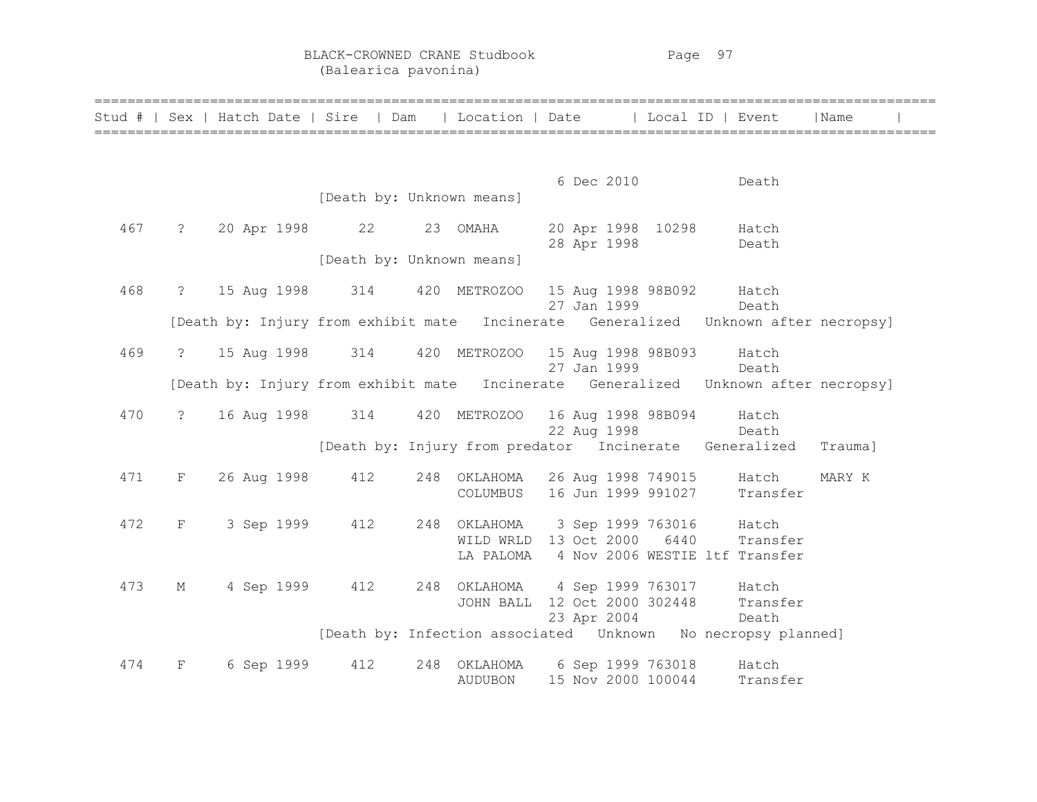BLACK-CROWNED CRANE Studbook Page 97 (Balearica pavonina)

|     |                | Stud #   Sex   Hatch Date   Sire   Dam   Location   Date   Local ID   Event        |                           |                                                                                          |  |             |                             |                                | Name    |  |
|-----|----------------|------------------------------------------------------------------------------------|---------------------------|------------------------------------------------------------------------------------------|--|-------------|-----------------------------|--------------------------------|---------|--|
|     |                |                                                                                    |                           |                                                                                          |  |             |                             |                                |         |  |
|     |                |                                                                                    | [Death by: Unknown means] |                                                                                          |  | 6 Dec 2010  |                             | Death                          |         |  |
| 467 | $\ddot{?}$     | 20 Apr 1998 22                                                                     |                           | 23 OMAHA                                                                                 |  |             | 20 Apr 1998 10298 Hatch     |                                |         |  |
|     |                |                                                                                    | [Death by: Unknown means] |                                                                                          |  | 28 Apr 1998 |                             | Death                          |         |  |
| 468 |                | ? 15 Aug 1998 314                                                                  |                           | 420 METROZOO 15 Aug 1998 98B092 Hatch                                                    |  | 27 Jan 1999 |                             | Death                          |         |  |
|     |                | [Death by: Injury from exhibit mate Incinerate Generalized Unknown after necropsy] |                           |                                                                                          |  |             |                             |                                |         |  |
| 469 | $\ddot{?}$     | 15 Aug 1998                                                                        | 314                       | 420 METROZOO 15 Aug 1998 98B093 Hatch                                                    |  | 27 Jan 1999 | Death                       |                                |         |  |
|     |                | [Death by: Injury from exhibit mate Incinerate Generalized Unknown after necropsy] |                           |                                                                                          |  |             |                             |                                |         |  |
| 470 | $\overline{?}$ | 16 Aug 1998 314                                                                    |                           | 420 METROZOO 16 Aug 1998 98B094 Hatch                                                    |  |             | 22 Aug 1998 Death           |                                |         |  |
|     |                |                                                                                    |                           | [Death by: Injury from predator Incinerate Generalized                                   |  |             |                             |                                | Trauma] |  |
| 471 | F              | 26 Aug 1998                                                                        | 412                       | 248 OKLAHOMA 26 Aug 1998 749015 Hatch<br>COLUMBUS                                        |  |             |                             | 16 Jun 1999 991027 Transfer    | MARY K  |  |
| 472 | F              | 3 Sep 1999                                                                         | 412                       | 248 OKLAHOMA 3 Sep 1999 763016 Hatch<br>WILD WRLD 13 Oct 2000 6440 Transfer<br>LA PALOMA |  |             |                             | 4 Nov 2006 WESTIE ltf Transfer |         |  |
| 473 | $M_{\odot}$    | 4 Sep 1999 412                                                                     |                           | 248 OKLAHOMA 4 Sep 1999 763017 Hatch<br>JOHN BALL                                        |  | 23 Apr 2004 | 12 Oct 2000 302448<br>Death | Transfer                       |         |  |
|     |                |                                                                                    |                           | [Death by: Infection associated  Unknown  No necropsy planned]                           |  |             |                             |                                |         |  |
| 474 | F              | 6 Sep 1999                                                                         | 412                       | 248 OKLAHOMA 6 Sep 1999 763018<br><b>AUDUBON</b>                                         |  |             | 15 Nov 2000 100044          | Hatch<br>Transfer              |         |  |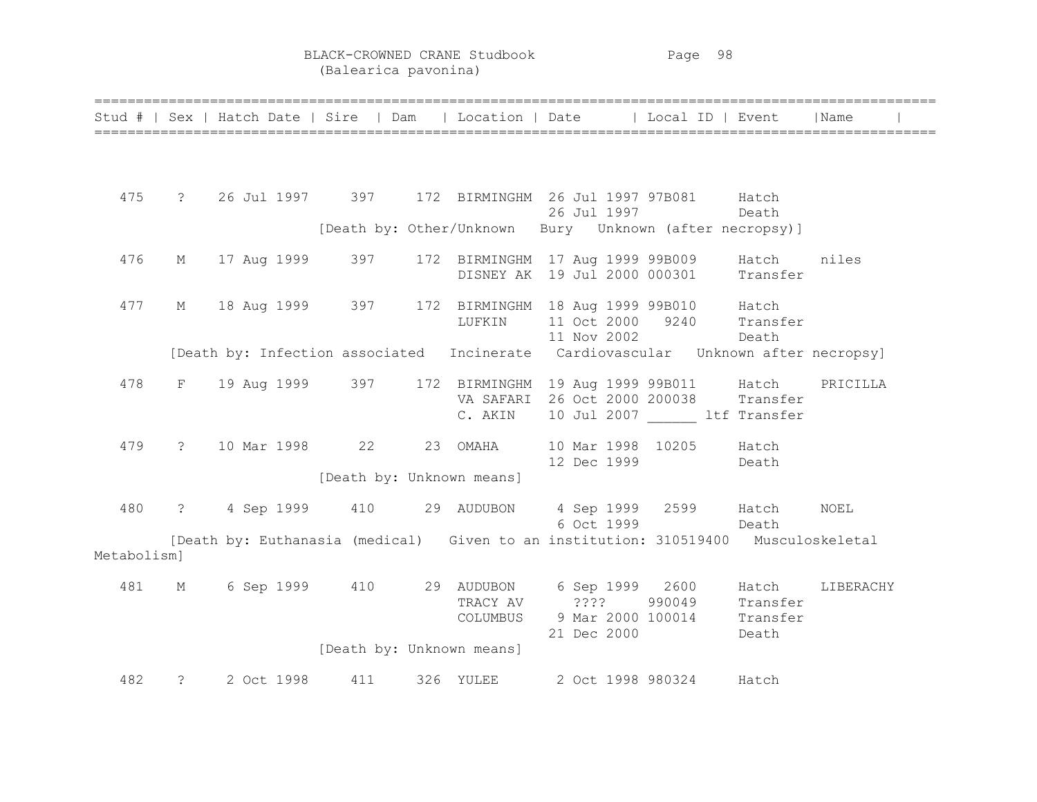BLACK-CROWNED CRANE Studbook Page 98 (Balearica pavonina)

|             |                |            |               |                           | Stud #   Sex   Hatch Date   Sire   Dam   Location   Date   Local ID   Event                           |                  |       | Name      |
|-------------|----------------|------------|---------------|---------------------------|-------------------------------------------------------------------------------------------------------|------------------|-------|-----------|
|             |                |            |               |                           |                                                                                                       |                  |       |           |
| 475         |                |            |               |                           | ? 26 Jul 1997 397 172 BIRMINGHM 26 Jul 1997 97B081 Hatch                                              |                  |       |           |
|             |                |            |               |                           | 26 Jul 1997                                                                                           |                  | Death |           |
|             |                |            |               |                           | [Death by: Other/Unknown Bury Unknown (after necropsy)]                                               |                  |       |           |
| 476         | $M_{\odot}$    |            |               |                           | 17 Aug 1999 - 397 - 172 BIRMINGHM 17 Aug 1999 99B009 - Hatch<br>DISNEY AK 19 Jul 2000 000301 Transfer |                  |       | niles     |
|             |                |            |               |                           |                                                                                                       |                  |       |           |
| 477         | M              |            |               |                           | 18 Aug 1999 397 172 BIRMINGHM 18 Aug 1999 99B010 Hatch                                                |                  |       |           |
|             |                |            |               | LUFKIN                    | 11 Oct 2000 9240 Transfer<br>11 Nov 2002 Death                                                        |                  |       |           |
|             |                |            |               |                           | [Death by: Infection associated Incinerate Cardiovascular Unknown after necropsy]                     |                  |       |           |
| 478         | F              |            |               |                           | 19 Aug 1999 397 172 BIRMINGHM 19 Aug 1999 99B011 Hatch                                                |                  |       | PRICILLA  |
|             |                |            |               | C. AKIN                   | VA SAFARI 26 Oct 2000 200038 Transfer<br>10 Jul 2007 ltf Transfer                                     |                  |       |           |
|             |                |            |               |                           |                                                                                                       |                  |       |           |
| 479         |                |            |               | ? 10 Mar 1998 22 23 OMAHA | 10 Mar 1998 10205 Hatch<br>12 Dec 1999                                                                |                  | Death |           |
|             |                |            |               | [Death by: Unknown means] |                                                                                                       |                  |       |           |
| 480         | $\overline{?}$ |            |               |                           | 4 Sep 1999 410 29 AUDUBON 4 Sep 1999 2599 Hatch                                                       |                  |       | NOEL      |
|             |                |            |               |                           |                                                                                                       | 6 Oct 1999 Death |       |           |
|             |                |            |               |                           | [Death by: Euthanasia (medical) Given to an institution: 310519400 Musculoskeletal                    |                  |       |           |
| Metabolism] |                |            |               |                           |                                                                                                       |                  |       |           |
| 481         | $M_{\odot}$    |            |               |                           | 6 Sep 1999 410 29 AUDUBON 6 Sep 1999 2600 Hatch                                                       |                  |       | LIBERACHY |
|             |                |            |               |                           | TRACY AV ???? 990049 Transfer<br>COLUMBUS 9 Mar 2000 100014 Transfer                                  |                  |       |           |
|             |                |            |               |                           | 21 Dec 2000                                                                                           | <b>Death</b>     |       |           |
|             |                |            |               | [Death by: Unknown means] |                                                                                                       |                  |       |           |
| 482         | $\overline{?}$ | 2 Oct 1998 | 411 326 YULEE |                           | 2 Oct 1998 980324 Hatch                                                                               |                  |       |           |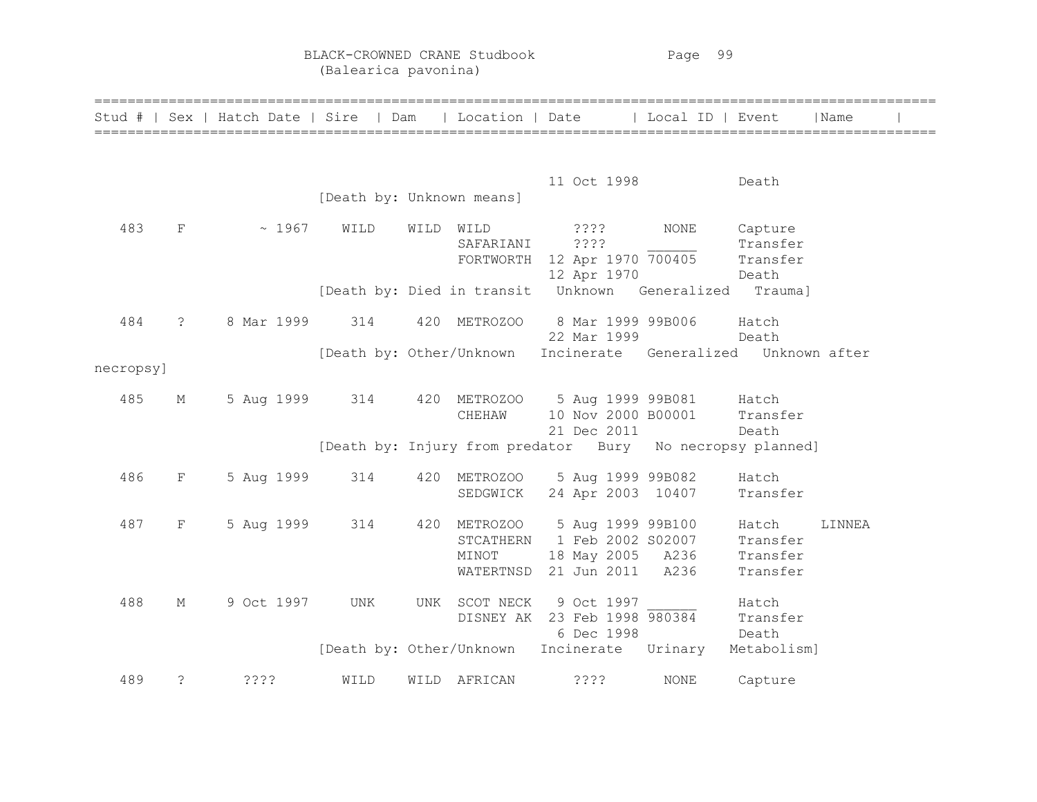BLACK-CROWNED CRANE Studbook Page 99 (Balearica pavonina)

|           |             | Stud #   Sex   Hatch Date   Sire   Dam |                           |      | Location   Date                                    |                                                                           | Local ID   Event |                                           | Name   |  |
|-----------|-------------|----------------------------------------|---------------------------|------|----------------------------------------------------|---------------------------------------------------------------------------|------------------|-------------------------------------------|--------|--|
|           |             |                                        | [Death by: Unknown means] |      |                                                    | 11 Oct 1998                                                               |                  | Death                                     |        |  |
| 483       | F           | ~1967                                  | WILD                      | WILD | WILD<br>SAFARIANI                                  | ? ? ? ?<br>????<br>FORTWORTH 12 Apr 1970 700405<br>12 Apr 1970            | NONE             | Capture<br>Transfer<br>Transfer<br>Death  |        |  |
|           |             |                                        |                           |      | [Death by: Died in transit                         | Unknown                                                                   | Generalized      | Trauma]                                   |        |  |
| 484       | $\tilde{S}$ | 8 Mar 1999                             | 314                       | 420  | METROZOO                                           | 8 Mar 1999 99B006<br>22 Mar 1999                                          |                  | Hatch<br>Death                            |        |  |
| necropsy] |             |                                        |                           |      | [Death by: Other/Unknown                           | Incinerate Generalized Unknown after                                      |                  |                                           |        |  |
| 485       | М           | 5 Aug 1999 314                         |                           |      | CHEHAW                                             | 420 METROZOO 5 Aug 1999 99B081 Hatch<br>10 Nov 2000 B00001<br>21 Dec 2011 |                  | Transfer<br>Death                         |        |  |
|           |             |                                        |                           |      |                                                    | [Death by: Injury from predator Bury No necropsy planned]                 |                  |                                           |        |  |
| 486       | $\mathbf F$ | 5 Aug 1999                             | 314                       |      | 420 METROZOO<br>SEDGWICK                           | 5 Aug 1999 99B082<br>24 Apr 2003 10407                                    |                  | Hatch<br>Transfer                         |        |  |
| 487       | F           | 5 Aug 1999                             | 314                       | 420  | <b>METROZOO</b><br>STCATHERN<br>MINOT<br>WATERTNSD | 5 Aug 1999 99B100<br>1 Feb 2002 S02007<br>18 May 2005 A236<br>21 Jun 2011 | A236             | Hatch<br>Transfer<br>Transfer<br>Transfer | LINNEA |  |
| 488       | М           | 9 Oct 1997                             | UNK                       | UNK  | SCOT NECK                                          | 9 Oct 1997<br>DISNEY AK 23 Feb 1998 980384<br>6 Dec 1998                  |                  | Hatch<br>Transfer<br>Death                |        |  |
|           |             |                                        |                           |      | [Death by: Other/Unknown                           | Incinerate Urinary                                                        |                  | Metabolism]                               |        |  |
| 489       | $\tilde{ }$ | ????                                   | WILD                      |      | WILD AFRICAN                                       | ????                                                                      | <b>NONE</b>      | Capture                                   |        |  |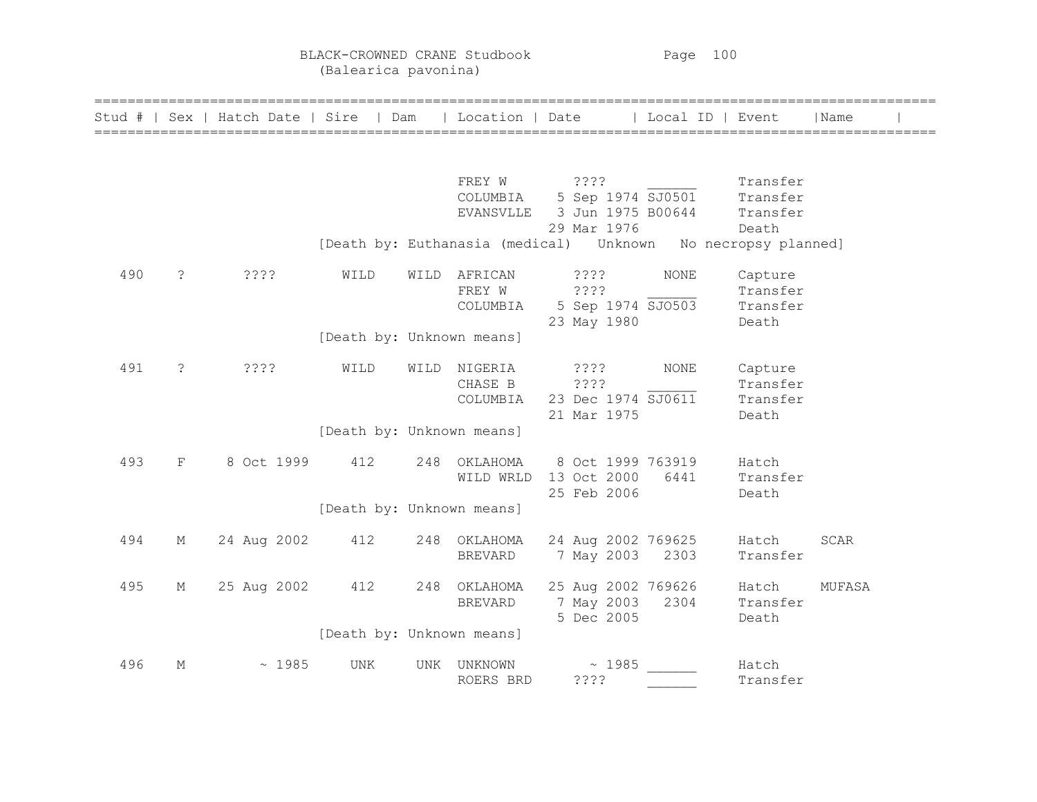BLACK-CROWNED CRANE Studbook Page 100 (Balearica pavonina)

|     |                | Stud #   Sex   Hatch Date   Sire   Dam |                           |      | Location   Date |                                                                    | Local ID   Event |          | Name        |
|-----|----------------|----------------------------------------|---------------------------|------|-----------------|--------------------------------------------------------------------|------------------|----------|-------------|
|     |                |                                        |                           |      |                 |                                                                    |                  |          |             |
|     |                |                                        |                           |      | FREY W          | ????                                                               |                  | Transfer |             |
|     |                |                                        |                           |      |                 | COLUMBIA 5 Sep 1974 $\overline{SJO501}$                            |                  | Transfer |             |
|     |                |                                        |                           |      |                 | EVANSVLLE 3 Jun 1975 B00644 Transfer                               |                  |          |             |
|     |                |                                        |                           |      |                 | 29 Mar 1976                                                        |                  | Death    |             |
|     |                |                                        |                           |      |                 | [Death by: Euthanasia (medical)    Unknown    No necropsy planned] |                  |          |             |
| 490 | $\ddot{\cdot}$ | ????                                   | WILD                      |      | WILD AFRICAN    | $??\ ?$                                                            | <b>NONE</b>      | Capture  |             |
|     |                |                                        |                           |      | FREY W          | ????                                                               |                  | Transfer |             |
|     |                |                                        |                           |      | COLUMBIA        | 5 Sep 1974 SJO503                                                  |                  | Transfer |             |
|     |                |                                        |                           |      |                 | 23 May 1980                                                        |                  | Death    |             |
|     |                |                                        | [Death by: Unknown means] |      |                 |                                                                    |                  |          |             |
| 491 | $\ddot{\cdot}$ | ????                                   | WILD                      | WILD | NIGERIA         | ? ? ? ?                                                            | <b>NONE</b>      | Capture  |             |
|     |                |                                        |                           |      | CHASE B         | ????                                                               |                  | Transfer |             |
|     |                |                                        |                           |      | COLUMBIA        | 23 Dec 1974 SJ0611                                                 |                  | Transfer |             |
|     |                |                                        |                           |      |                 | 21 Mar 1975                                                        |                  | Death    |             |
|     |                |                                        | [Death by: Unknown means] |      |                 |                                                                    |                  |          |             |
| 493 | $\mathbf{F}$   | 8 Oct 1999                             | 412                       |      | 248 OKLAHOMA    | 8 Oct 1999 763919                                                  |                  | Hatch    |             |
|     |                |                                        |                           |      | WILD WRLD       | 13 Oct 2000                                                        | 6441             | Transfer |             |
|     |                |                                        |                           |      |                 | 25 Feb 2006                                                        |                  | Death    |             |
|     |                |                                        | [Death by: Unknown means] |      |                 |                                                                    |                  |          |             |
| 494 | М              | 24 Aug 2002                            | 412                       |      | 248 OKLAHOMA    | 24 Aug 2002 769625                                                 |                  | Hatch    | <b>SCAR</b> |
|     |                |                                        |                           |      | <b>BREVARD</b>  | 7 May 2003 2303                                                    |                  | Transfer |             |
| 495 | М              | 25 Aug 2002                            | 412                       |      | 248 OKLAHOMA    | 25 Aug 2002 769626                                                 |                  | Hatch    | MUFASA      |
|     |                |                                        |                           |      | BREVARD         | 7 May 2003                                                         | 2304             | Transfer |             |
|     |                |                                        |                           |      |                 | 5 Dec 2005                                                         |                  | Death    |             |
|     |                |                                        | [Death by: Unknown means] |      |                 |                                                                    |                  |          |             |
| 496 | М              | ~1985                                  | UNK                       |      | UNK UNKNOWN     | ~1985                                                              |                  | Hatch    |             |
|     |                |                                        |                           |      | ROERS BRD       | 7772                                                               |                  | Transfer |             |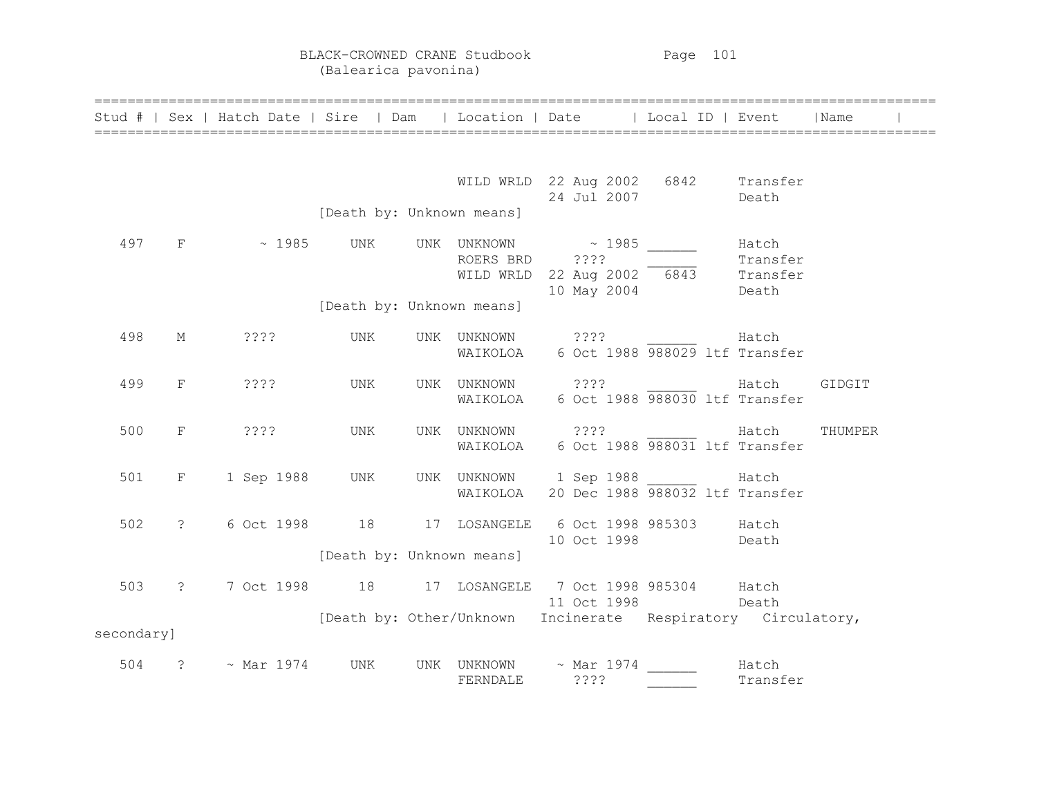BLACK-CROWNED CRANE Studbook Page 101 (Balearica pavonina)

|            |              | Stud #   Sex   Hatch Date   Sire   Dam             |                           |                                         |      | Location   Date   Local ID   Event                                |                                        | Name    |  |
|------------|--------------|----------------------------------------------------|---------------------------|-----------------------------------------|------|-------------------------------------------------------------------|----------------------------------------|---------|--|
|            |              |                                                    |                           |                                         |      |                                                                   |                                        |         |  |
|            |              |                                                    |                           |                                         |      | WILD WRLD 22 Aug 2002 6842 Transfer<br>24 Jul 2007                | Death                                  |         |  |
|            |              |                                                    | [Death by: Unknown means] |                                         |      |                                                                   |                                        |         |  |
|            | 497 F        | $\sim 1985$ UNK                                    |                           | UNK UNKNOWN ~ 1985<br>ROERS BRD ????    |      | WILD WRLD 22 Aug 2002 6843<br>10 May 2004                         | Hatch<br>Transfer<br>Transfer<br>Death |         |  |
|            |              |                                                    | [Death by: Unknown means] |                                         |      |                                                                   |                                        |         |  |
| 498        | М            | ????                                               | UNK                       | UNK UNKNOWN ????                        |      | WAIKOLOA 6 Oct 1988 988029 ltf Transfer                           | Hatch                                  |         |  |
| 499        | F            | ????                                               | UNK                       | UNK UNKNOWN                             |      | ???? Hatch<br>WAIKOLOA 6 Oct 1988 988030 ltf Transfer             |                                        | GIDGIT  |  |
| 500        | F            | ????                                               | UNK                       |                                         |      | UNK UNKNOWN ???? Hatch<br>WAIKOLOA 6 Oct 1988 988031 ltf Transfer |                                        | THUMPER |  |
| 501        | F            | 1 Sep 1988                                         | UNK                       | WAIKOLOA                                |      | UNK UNKNOWN 1 Sep 1988 Hatch<br>20 Dec 1988 988032 ltf Transfer   |                                        |         |  |
| 502        |              | ? 6 Oct 1998 18 17 LOSANGELE                       |                           |                                         |      | 6 Oct 1998 985303 Hatch<br>10 Oct 1998                            | Death                                  |         |  |
|            |              |                                                    | [Death by: Unknown means] |                                         |      |                                                                   |                                        |         |  |
|            | 503 ?        | 7 Oct 1998 18 17 LOSANGELE 7 Oct 1998 985304 Hatch |                           |                                         |      | 11 Oct 1998 Death                                                 |                                        |         |  |
| secondary] |              |                                                    |                           |                                         |      | [Death by: Other/Unknown Incinerate Respiratory Circulatory,      |                                        |         |  |
| 504        | $\mathbb{R}$ | $\sim$ Mar 1974                                    | UNK                       | UNK UNKNOWN $\sim$ Mar 1974<br>FERNDALE | ???? |                                                                   | Hatch<br>Transfer                      |         |  |

======================================================================================================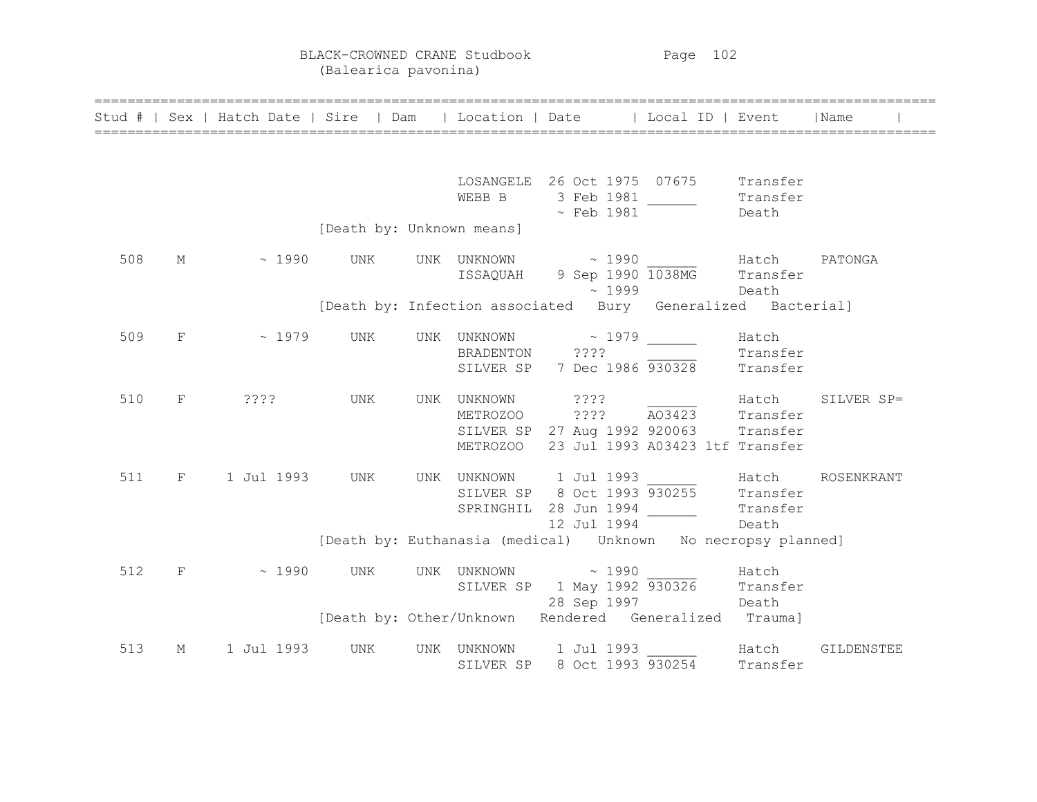BLACK-CROWNED CRANE Studbook Page 102 (Balearica pavonina)

|     |                               | Stud #   Sex   Hatch Date   Sire   Dam   Location   Date   Local ID   Event                                 |                           |  |                                                                                                                                                                  |       |                   | Name       |
|-----|-------------------------------|-------------------------------------------------------------------------------------------------------------|---------------------------|--|------------------------------------------------------------------------------------------------------------------------------------------------------------------|-------|-------------------|------------|
|     |                               |                                                                                                             |                           |  | LOSANGELE 26 Oct 1975 07675 Transfer<br>EXEMPLE 26 UCL 1973 VALUE Transfer<br>WEBB B 3 Feb 1981 Transfer<br>The Peath Death                                      |       |                   |            |
|     |                               |                                                                                                             | [Death by: Unknown means] |  |                                                                                                                                                                  |       |                   |            |
| 508 | M                             |                                                                                                             |                           |  | $\sim$ 1990 UNK UNK UNKNOWN $\sim$ 1990 Hatch PATONGA<br>ISSAQUAH 9 Sep 1990 1038MG Transfer<br>~1999                                                            | Death |                   |            |
|     |                               |                                                                                                             |                           |  | [Death by: Infection associated Bury Generalized Bacterial]                                                                                                      |       |                   |            |
| 509 | $\mathbf{F}$ and $\mathbf{F}$ | $\sim 1979$ UNK                                                                                             |                           |  | UNK UNKNOWN $\sim$ 1979 ______ Hatch<br>BRADENTON ???? ______ Transi<br>BRADENTON ???? Transfer<br>SILVER SP 7 Dec 1986 930328 Transfer                          |       |                   |            |
| 510 |                               | F ????                                                                                                      |                           |  | UNKNOWN 2??? Hatch<br>METROZOO 2??? A03423 Transfer<br>UNK UNK UNKNOWN ????<br>SILVER SP 27 Aug 1992 920063 Transfer<br>METROZOO 23 Jul 1993 A03423 ltf Transfer |       |                   | SILVER SP= |
| 511 |                               | F 1 Jul 1993 UNK UNK UNKNOWN 1 Jul 1993<br>SILVER SP 8 Oct 1993 930255 Transfer                             |                           |  | SPRINGHIL 28 Jun 1994<br>12 Jul 1994                                                                                                                             |       | Transfer<br>Death | ROSENKRANT |
|     |                               |                                                                                                             |                           |  | [Death by: Euthanasia (medical)    Unknown    No necropsy planned]                                                                                               |       |                   |            |
| 512 |                               | $\text{F}$ ~ 1990 UNK UNK UNKNOWN ~ 1990 Hatch<br>SILVER SP 1 May 1992 930326 Transfer<br>28 Sep 1997 Death |                           |  |                                                                                                                                                                  |       |                   |            |
|     |                               |                                                                                                             |                           |  | [Death by: Other/Unknown Rendered Generalized Trauma]                                                                                                            |       |                   |            |
| 513 | $M_{\odot}$                   | 1 Jul 1993                                                                                                  | UNK                       |  | UNK UNKNOWN 1 Jul 1993<br>SILVER SP 8 Oct 1993 930254 Transfer                                                                                                   |       |                   | GILDENSTEE |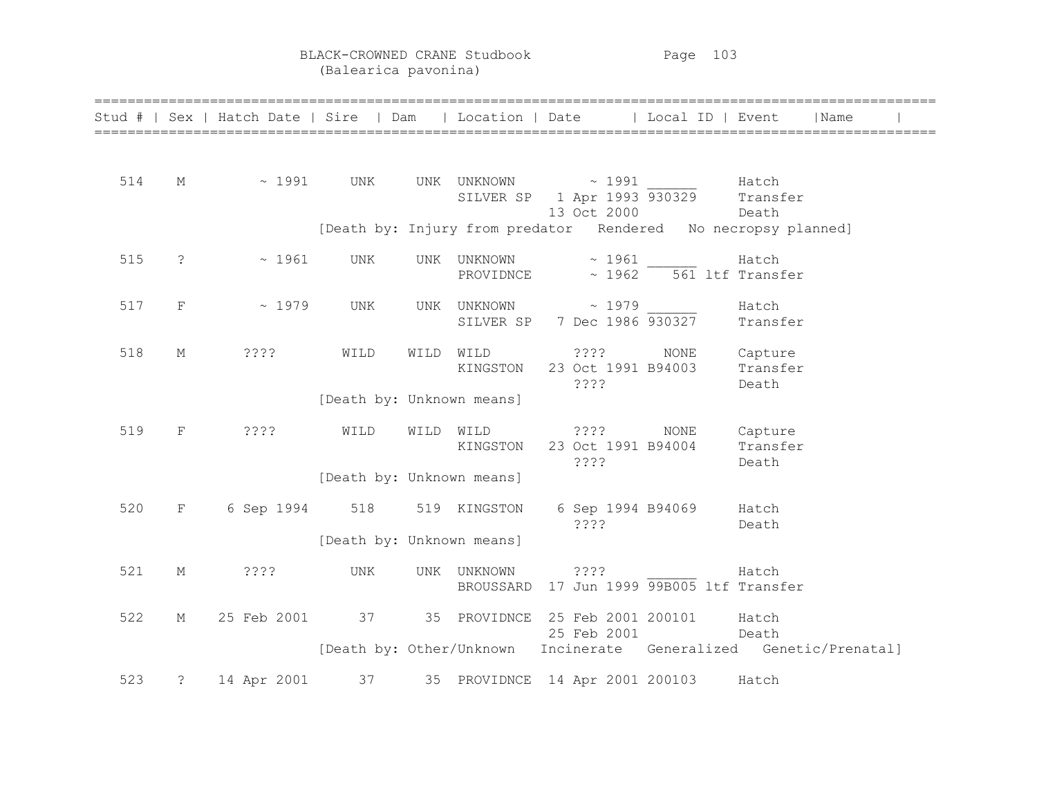BLACK-CROWNED CRANE Studbook Page 103 (Balearica pavonina)

|     |                | Stud #   Sex   Hatch Date   Sire   Dam   Location   Date   Local ID   Event |                           |           |                                                   |                                    |                                                                   |                              | l Name |  |
|-----|----------------|-----------------------------------------------------------------------------|---------------------------|-----------|---------------------------------------------------|------------------------------------|-------------------------------------------------------------------|------------------------------|--------|--|
| 514 | М              | $\sim 1991$                                                                 | UNK                       |           | UNK UNKNOWN ~ 1991<br>SILVER SP 1 Apr 1993 930329 | 13 Oct 2000                        |                                                                   | Hatch<br>Transfer<br>Death   |        |  |
|     |                |                                                                             |                           |           |                                                   |                                    | [Death by: Injury from predator Rendered No necropsy planned]     |                              |        |  |
| 515 | $\ddot{\cdot}$ | ~1961                                                                       | UNK                       |           | UNK UNKNOWN<br>PROVIDNCE                          | ~1961                              | $\sim$ 1962 $\overline{561}$ ltf Transfer                         | Hatch                        |        |  |
| 517 | F              | $\sim 1979$                                                                 | UNK                       |           | UNK UNKNOWN ~ 1979                                |                                    | SILVER SP 7 Dec 1986 930327 Transfer                              | Hatch                        |        |  |
| 518 | М              | ????                                                                        | WILD                      | WILD WILD |                                                   | 2222                               | NONE<br>KINGSTON 23 Oct 1991 B94003 Transfer                      | Capture                      |        |  |
|     |                |                                                                             | [Death by: Unknown means] |           |                                                   | ????                               |                                                                   | Death                        |        |  |
| 519 | $\mathbf F$    | 3333                                                                        | WILD                      | WILD WILD | KINGSTON                                          | 2222<br>23 Oct 1991 B94004<br>???? | NONE                                                              | Capture<br>Transfer<br>Death |        |  |
|     |                |                                                                             | [Death by: Unknown means] |           |                                                   |                                    |                                                                   |                              |        |  |
| 520 | $\mathbf{F}$   | 6 Sep 1994                                                                  | 518                       |           | 519 KINGSTON                                      | 6 Sep 1994 B94069<br>????          |                                                                   | Hatch<br>Death               |        |  |
|     |                |                                                                             | [Death by: Unknown means] |           |                                                   |                                    |                                                                   |                              |        |  |
| 521 | М              | ????                                                                        | UNK                       |           | UNK UNKNOWN<br>BROUSSARD                          | ????                               | 17 Jun 1999 99B005 ltf Transfer                                   | Hatch                        |        |  |
| 522 | $M_{\odot}$    | 25 Feb 2001                                                                 |                           |           | 37 35 PROVIDNCE 25 Feb 2001 200101                | 25 Feb 2001                        |                                                                   | Hatch<br>Death               |        |  |
|     |                |                                                                             |                           |           |                                                   |                                    | [Death by: Other/Unknown Incinerate Generalized Genetic/Prenatal] |                              |        |  |
| 523 | $\ddot{\cdot}$ | 14 Apr 2001                                                                 |                           |           | 37 35 PROVIDNCE 14 Apr 2001 200103                |                                    |                                                                   | Hatch                        |        |  |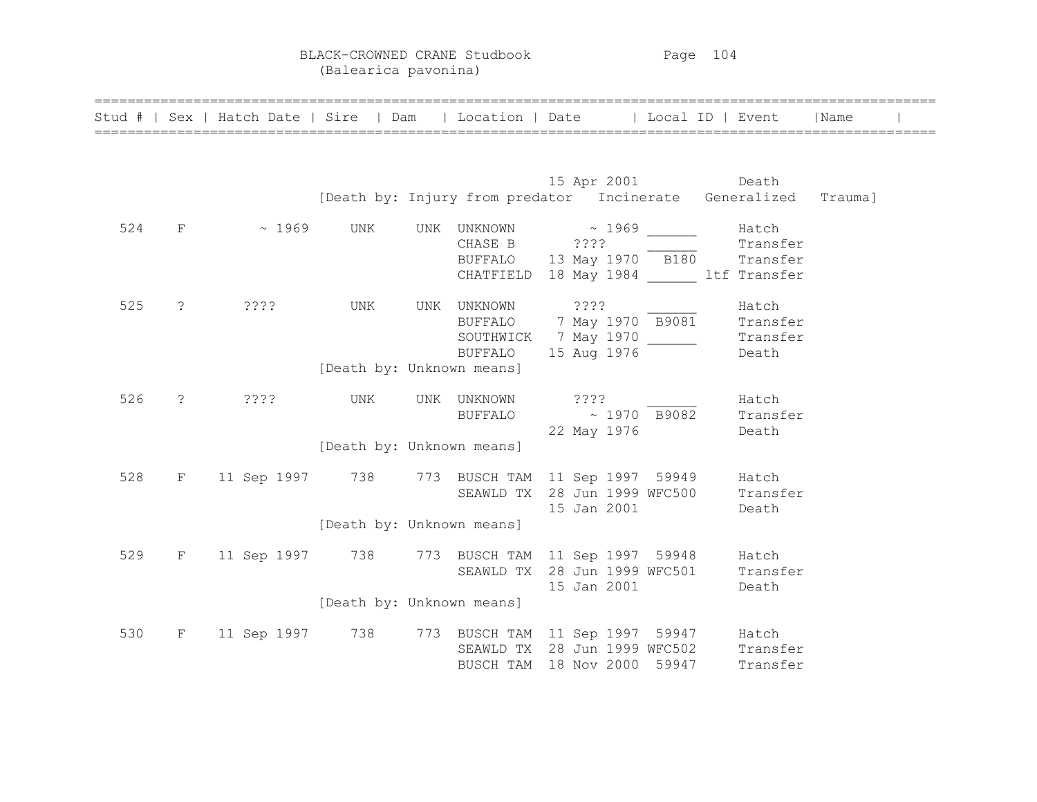BLACK-CROWNED CRANE Studbook Page 104 (Balearica pavonina)

|     |            | Stud #   Sex   Hatch Date   Sire   Dam                                                           |                           | Location   Date   Local ID   Event |             |                        |                                                                                                                                 | Name |  |
|-----|------------|--------------------------------------------------------------------------------------------------|---------------------------|------------------------------------|-------------|------------------------|---------------------------------------------------------------------------------------------------------------------------------|------|--|
|     |            |                                                                                                  |                           |                                    |             |                        | Death by: Injury from predator 15 Apr 2001 Death by: Injury from predator Incinerate Generalized Trauma]                        |      |  |
| 524 | $F =$      | $\sim 1969$                                                                                      | UNK                       |                                    |             |                        | UNK UNKNOWN $\sim$ 1969 1969<br>CHASE B 2???<br>BUFFALO 13 May 1970 B180 Transfer<br>CHATFIELD 18 May 1984 11 ltf Transfer      |      |  |
| 525 | $\ddot{?}$ | ????                                                                                             | UNK                       | UNK UNKNOWN ????                   |             |                        | UNKNOWN ????<br>BUFFALO 7 May 1970 B9081 Transfer<br>SOUTHWICK 7 May 1970 ________ Transfer<br>BUFFALO 15 Aug 1976 ______ Death |      |  |
|     |            |                                                                                                  | [Death by: Unknown means] |                                    |             |                        |                                                                                                                                 |      |  |
| 526 |            | $? \t2? \t3?$                                                                                    | UNK                       | UNK UNKNOWN                        |             | 2.3.3.5<br>22 May 1976 | Hatch<br>BUFFALO $\sim 1970$ B9082 Transfer<br>Death                                                                            |      |  |
|     |            |                                                                                                  | [Death by: Unknown means] |                                    |             |                        |                                                                                                                                 |      |  |
| 528 |            | F 11 Sep 1997 738 773 BUSCH TAM 11 Sep 1997 59949 Hatch<br>SEAWLD TX 28 Jun 1999 WFC500 Transfer |                           |                                    | 15 Jan 2001 |                        | Death                                                                                                                           |      |  |
|     |            |                                                                                                  | [Death by: Unknown means] |                                    |             |                        |                                                                                                                                 |      |  |
| 529 |            | F 11 Sep 1997 738 773 BUSCH TAM 11 Sep 1997 59948 Hatch                                          |                           |                                    | 15 Jan 2001 |                        | SEAWLD TX 28 Jun 1999 WFC501 Transfer<br>Death                                                                                  |      |  |
|     |            |                                                                                                  | [Death by: Unknown means] |                                    |             |                        |                                                                                                                                 |      |  |
| 530 |            | F 11 Sep 1997 738 773 BUSCH TAM 11 Sep 1997 59947 Hatch                                          |                           | BUSCH TAM 18 Nov 2000 59947        |             |                        | SEAWLD TX 28 Jun 1999 WFC502 Transfer<br>Transfer                                                                               |      |  |

======================================================================================================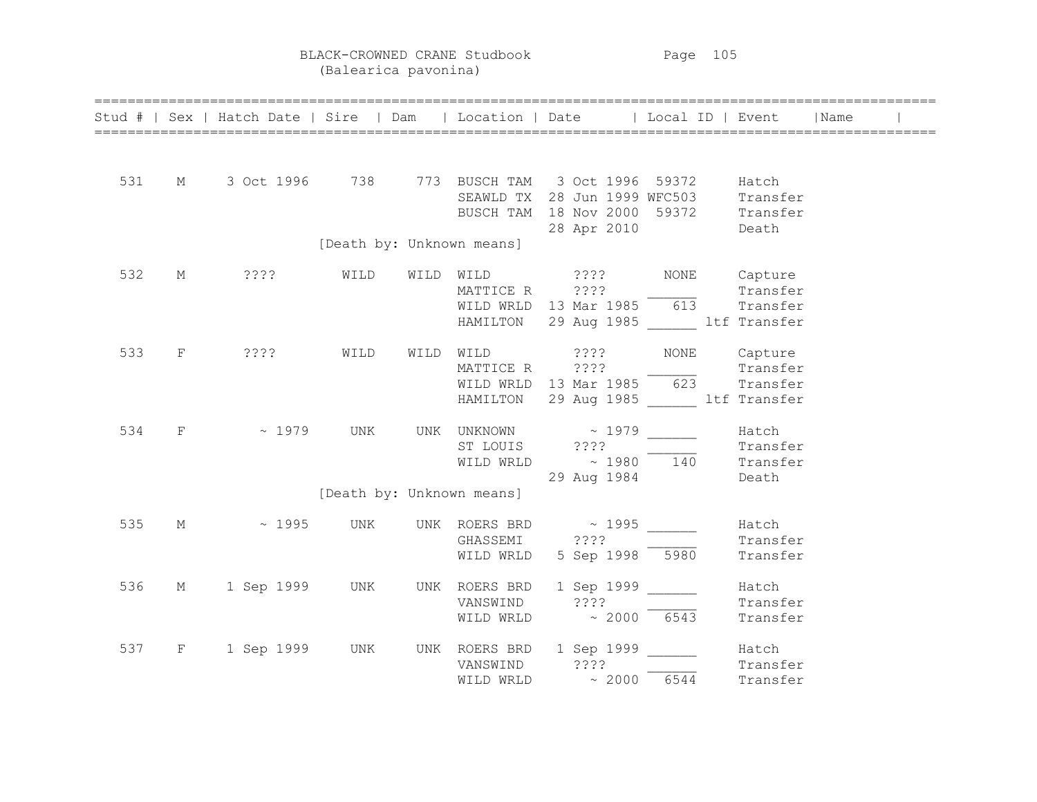BLACK-CROWNED CRANE Studbook Page 105 (Balearica pavonina)

|     |   | Stud #   Sex   Hatch Date   Sire   Dam   Location   Date   Local ID   Event   Name                                                                          |      |                           |                                                                                                                                                                                                                                                                                                                 |              |                               |  |
|-----|---|-------------------------------------------------------------------------------------------------------------------------------------------------------------|------|---------------------------|-----------------------------------------------------------------------------------------------------------------------------------------------------------------------------------------------------------------------------------------------------------------------------------------------------------------|--------------|-------------------------------|--|
| 531 |   | M 3 Oct 1996 738 773 BUSCH TAM 3 Oct 1996 59372 Hatch<br>SEAWLD TX 28 Jun 1999 WFC503 Transfer<br>BUSCH TAM 18 Nov 2000 59372 Transfer<br>28 Apr 2010 Death |      |                           |                                                                                                                                                                                                                                                                                                                 |              |                               |  |
|     |   |                                                                                                                                                             |      | [Death by: Unknown means] |                                                                                                                                                                                                                                                                                                                 |              |                               |  |
| 532 | М |                                                                                                                                                             |      |                           | WILD WILD ???? NONE Capture<br>MATTICE R 2???<br>WILD WRLD 13 Mar 1985 613 Transfer<br>HAMILTON 29 Aug 1985 ltf Transfer                                                                                                                                                                                        |              |                               |  |
| 533 |   | F ????                                                                                                                                                      | WILD |                           | WILD WILD ????<br>MATTICE R ???? Transfer<br>WILD WRLD 13 Mar 1985 623 Transfer<br>HAMILTON 29 Aug 1985 ltf Transfer                                                                                                                                                                                            | NONE Capture |                               |  |
| 534 |   | F ~ 1979 UNK                                                                                                                                                |      |                           | UNK UNKNOWN ~ 1979 ________ Hatch<br>ST LOUIS<br>$\begin{array}{ccc}\n\text{ST LOUIS} & \text{????} \\ \hline\n\text{WILD WRLD} & \sim 1980 \\ \end{array}$<br>$\begin{array}{ccc}\n\text{Transfer} \\ \hline\n140 \\ \end{array}$<br>$\begin{array}{ccc}\n\text{Transfer} \\ \end{array}$<br>29 Aug 1984 Death |              |                               |  |
|     |   |                                                                                                                                                             |      | [Death by: Unknown means] |                                                                                                                                                                                                                                                                                                                 |              |                               |  |
| 535 | M |                                                                                                                                                             |      |                           | $\sim$ 1995 UNK UNK ROERS BRD $\sim$ 1995 $\_\_\_\_\_\_\_\$ Hatch<br>WILD WRLD 5 Sep 1998 5980                                                                                                                                                                                                                  |              | Transfer                      |  |
| 536 |   | M 1 Sep 1999 UNK                                                                                                                                            |      |                           | UNK ROERS BRD 1 Sep 1999 ______<br>VANSWIND $???$<br>WILD WRLD $\sim 2000$ 6543                                                                                                                                                                                                                                 |              | Hatch<br>Transfer<br>Transfer |  |
| 537 |   | F 1 Sep 1999 UNK                                                                                                                                            |      |                           | UNK ROERS BRD 1 Sep 1999 $\frac{1}{2}$ Hatch<br>VANSWIND 3???<br>WILD WRLD $\approx 2000$ 6544 Transfer                                                                                                                                                                                                         |              | Transfer                      |  |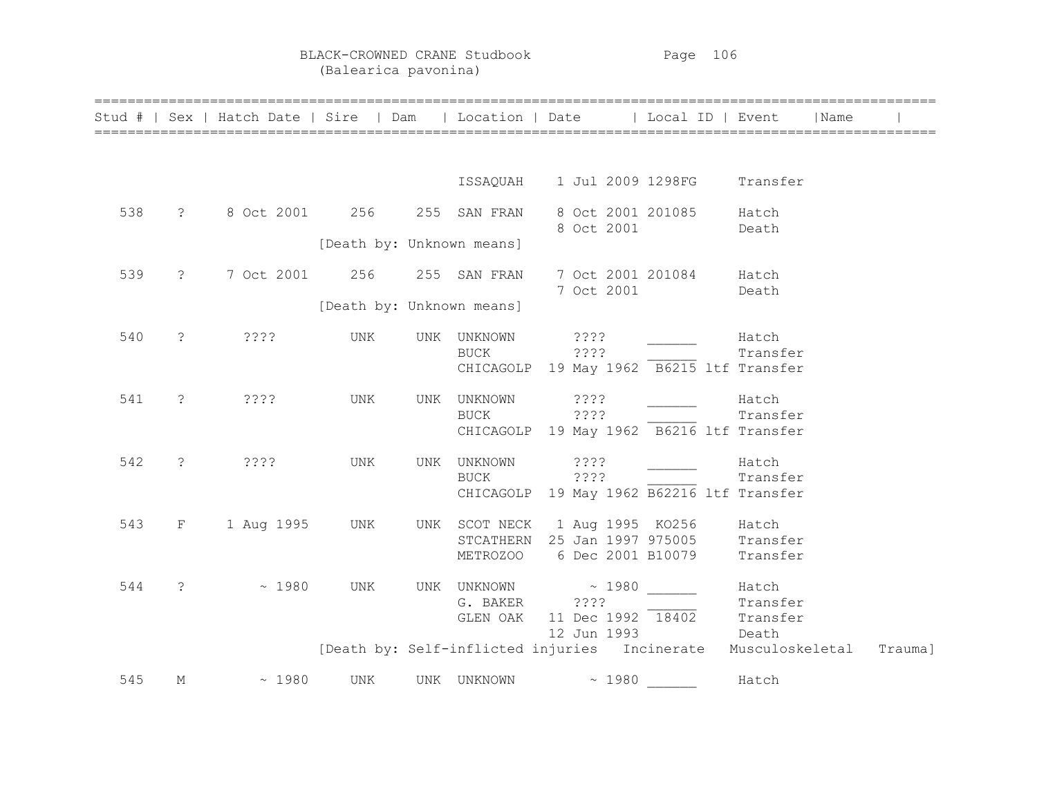|     |                       | Stud #   Sex   Hatch Date   Sire   Dam   Location   Date   Local ID   Event |                           |     |                           |                                                                                                             |       | Name              |         |
|-----|-----------------------|-----------------------------------------------------------------------------|---------------------------|-----|---------------------------|-------------------------------------------------------------------------------------------------------------|-------|-------------------|---------|
|     |                       |                                                                             |                           |     |                           |                                                                                                             |       |                   |         |
|     |                       |                                                                             |                           |     |                           | ISSAQUAH 1 Jul 2009 1298FG Transfer                                                                         |       |                   |         |
| 538 | $\ddot{?}$            | 8 Oct 2001 256                                                              |                           |     | 255 SAN FRAN              | 8 Oct 2001 201085<br>8 Oct 2001                                                                             |       | Hatch<br>Death    |         |
|     |                       |                                                                             | [Death by: Unknown means] |     |                           |                                                                                                             |       |                   |         |
| 539 | $\ddot{?}$            | 7 Oct 2001                                                                  | 256                       |     | 255 SAN FRAN              | 7 Oct 2001 201084 Hatch                                                                                     |       |                   |         |
|     |                       |                                                                             | [Death by: Unknown means] |     |                           | 7 Oct 2001                                                                                                  |       | Death             |         |
| 540 | $\tilde{S}$           | ????                                                                        | UNK                       | UNK | UNKNOWN<br><b>BUCK</b>    | ????<br>????<br>CHICAGOLP 19 May 1962 B6215 ltf Transfer                                                    |       | Hatch<br>Transfer |         |
| 541 | $\ddot{\mathcal{S}}$  | $??\mathbf{??}$                                                             | UNK                       | UNK | UNKNOWN<br><b>BUCK</b>    | $??\$ $?$<br>????<br>CHICAGOLP 19 May 1962 B6216 ltf Transfer                                               |       | Hatch<br>Transfer |         |
| 542 | $\tilde{\mathcal{E}}$ | $??\mathbf{??}$                                                             | UNK                       | UNK | UNKNOWN<br>BUCK           | ????<br>? ? ? ?<br>CHICAGOLP 19 May 1962 B62216 ltf Transfer                                                |       | Hatch<br>Transfer |         |
| 543 | F                     | 1 Aug 1995                                                                  | UNK                       |     |                           | UNK SCOT NECK 1 Aug 1995 KO256 Hatch<br>STCATHERN 25 Jan 1997 975005 Transfer<br>METROZOO 6 Dec 2001 B10079 |       | Transfer          |         |
| 544 | $\tilde{ }$           | ~1980                                                                       | UNK                       |     | G. BAKER ????<br>GLEN OAK | UNK UNKNOWN ~ 1980<br>11 Dec 1992 18402 Transfer<br>12 Jun 1993                                             | Death | Hatch<br>Transfer |         |
|     |                       |                                                                             |                           |     |                           | [Death by: Self-inflicted injuries Incinerate                                                               |       | Musculoskeletal   | Trauma] |
| 545 | М                     | ~1980                                                                       | UNK                       |     | UNK UNKNOWN               | $\sim 1980$                                                                                                 |       | Hatch             |         |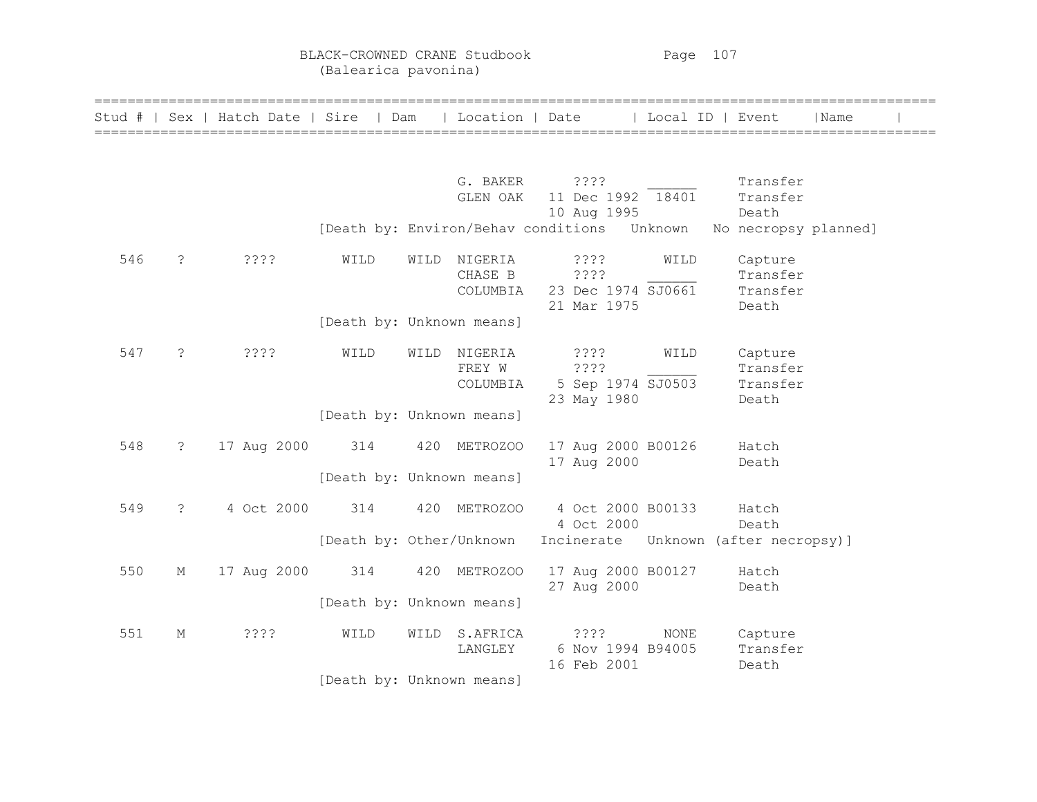BLACK-CROWNED CRANE Studbook Page 107 (Balearica pavonina)

| Stud # |               | Sex   Hatch Date   Sire   Dam |                           |      | Location   Date |                                             | Local ID | Event                | Name |  |
|--------|---------------|-------------------------------|---------------------------|------|-----------------|---------------------------------------------|----------|----------------------|------|--|
|        |               |                               |                           |      |                 |                                             |          |                      |      |  |
|        |               |                               |                           |      | G. BAKER        | ????                                        |          | Transfer             |      |  |
|        |               |                               |                           |      | GLEN OAK        | 11 Dec 1992 18401                           |          | Transfer             |      |  |
|        |               |                               |                           |      |                 | 10 Aug 1995                                 |          | Death                |      |  |
|        |               |                               |                           |      |                 | [Death by: Environ/Behav conditions Unknown |          | No necropsy planned] |      |  |
| 546    | $\cdot$       | ????                          | WILD                      | WILD | NIGERIA         | ????                                        | WILD     | Capture              |      |  |
|        |               |                               |                           |      | CHASE B         | ? ? ? ?                                     |          | Transfer             |      |  |
|        |               |                               |                           |      | COLUMBIA        | 23 Dec 1974 SJ0661                          |          | Transfer             |      |  |
|        |               |                               | [Death by: Unknown means] |      |                 | 21 Mar 1975                                 |          | Death                |      |  |
|        |               |                               |                           |      |                 |                                             |          |                      |      |  |
| 547    | $\ddot{ }$    | ????                          | WILD                      | WILD | NIGERIA         | ????                                        | WILD     | Capture              |      |  |
|        |               |                               |                           |      | FREY W          | ????                                        |          | Transfer             |      |  |
|        |               |                               |                           |      | COLUMBIA        | 5 Sep 1974 SJ0503                           |          | Transfer             |      |  |
|        |               |                               |                           |      |                 | 23 May 1980                                 |          | Death                |      |  |
|        |               |                               | [Death by: Unknown means] |      |                 |                                             |          |                      |      |  |
| 548    | $\mathcal{E}$ | 17 Aug 2000                   | 314                       |      | 420 METROZOO    | 17 Aug 2000 B00126                          |          | Hatch                |      |  |
|        |               |                               |                           |      |                 | 17 Aug 2000                                 |          | Death                |      |  |
|        |               |                               | [Death by: Unknown means] |      |                 |                                             |          |                      |      |  |
|        |               |                               |                           |      |                 |                                             |          |                      |      |  |
| 549    | $\tilde{S}$   | 4 Oct 2000                    | 314                       |      | 420 METROZOO    | 4 Oct 2000 B00133<br>4 Oct 2000             |          | Hatch<br>Death       |      |  |
|        |               |                               | [Death by: Other/Unknown  |      |                 | Incinerate Unknown (after necropsy)]        |          |                      |      |  |
|        |               |                               |                           |      |                 |                                             |          |                      |      |  |
| 550    | М             | 17 Aug 2000                   | 314                       |      | 420 METROZOO    | 17 Aug 2000 B00127                          |          | Hatch                |      |  |
|        |               |                               |                           |      |                 | 27 Aug 2000                                 |          | Death                |      |  |
|        |               |                               | [Death by: Unknown means] |      |                 |                                             |          |                      |      |  |
| 551    | М             | ????                          | WILD                      | WILD | S.AFRICA        | ????                                        | NONE     | Capture              |      |  |
|        |               |                               |                           |      | LANGLEY         | 6 Nov 1994 B94005                           |          | Transfer             |      |  |
|        |               |                               |                           |      |                 | 16 Feb 2001                                 |          | Death                |      |  |
|        |               |                               | [Death by: Unknown means] |      |                 |                                             |          |                      |      |  |

======================================================================================================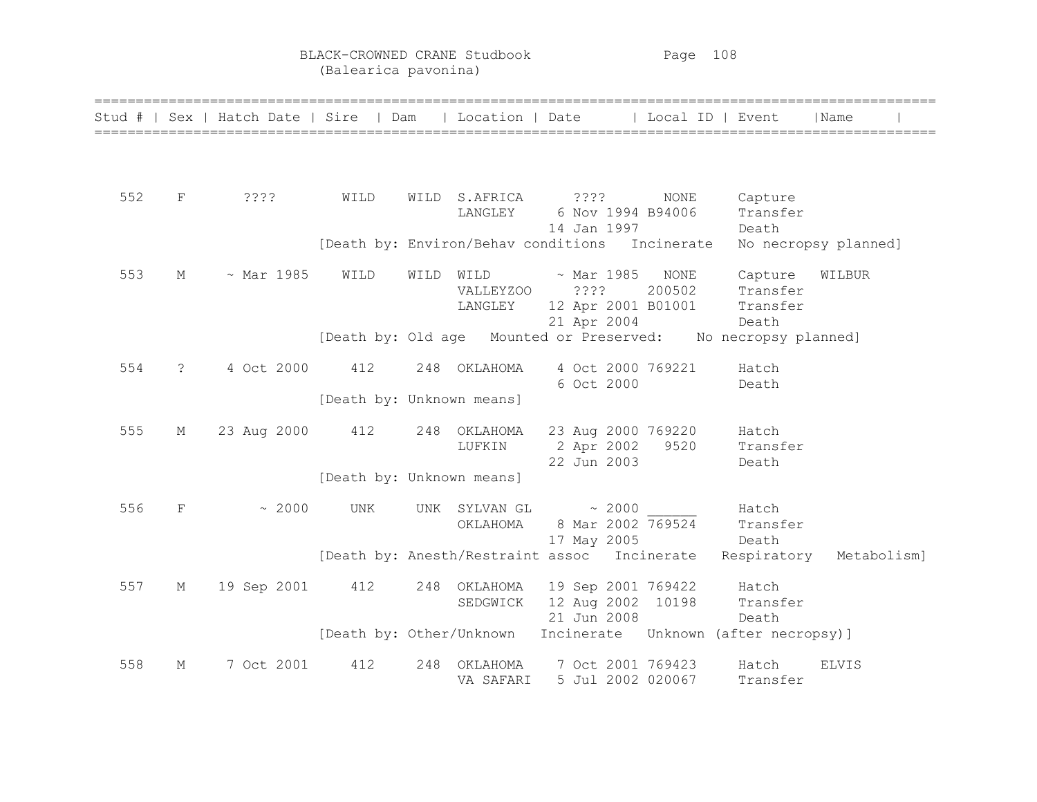BLACK-CROWNED CRANE Studbook Page 108 (Balearica pavonina)

| Stud # |                | Sex   Hatch Date   Sire   Dam |                           |      | Location   Date                                |                                                              |       | ∣ Local ID ∣ Event         |                                                               | l Name               |
|--------|----------------|-------------------------------|---------------------------|------|------------------------------------------------|--------------------------------------------------------------|-------|----------------------------|---------------------------------------------------------------|----------------------|
|        |                |                               |                           |      |                                                |                                                              |       |                            |                                                               |                      |
| 552    | F              | 3333                          | WILD                      |      | WILD S.AFRICA<br>LANGLEY                       | ? ? ? ?<br>6 Nov 1994 B94006<br>14 Jan 1997                  |       | NONE                       | Capture<br>Transfer<br>Death                                  |                      |
|        |                |                               |                           |      | [Death by: Environ/Behav conditions Incinerate |                                                              |       |                            |                                                               | No necropsy planned] |
| 553    | М              | $~\sim$ Mar 1985              | WILD                      | WILD | WILD<br><b>VALLEYZOO</b><br>LANGLEY            | $\sim$ Mar 1985<br>????<br>12 Apr 2001 B01001<br>21 Apr 2004 |       | NONE<br>200502             | Capture<br>Transfer<br>Transfer<br>Death                      | WILBUR               |
|        |                |                               |                           |      |                                                |                                                              |       |                            | [Death by: Old age Mounted or Preserved: No necropsy planned] |                      |
| 554    | $\ddot{\cdot}$ | 4 Oct 2000                    | 412                       | 248  | OKLAHOMA                                       | 4 Oct 2000 769221<br>6 Oct 2000                              |       |                            | Hatch<br>Death                                                |                      |
|        |                |                               | [Death by: Unknown means] |      |                                                |                                                              |       |                            |                                                               |                      |
| 555    | М              | 23 Aug 2000                   | 412                       |      | 248 OKLAHOMA<br>LUFKIN                         | 2 Apr 2002<br>22 Jun 2003                                    |       | 23 Aug 2000 769220<br>9520 | Hatch<br>Transfer<br>Death                                    |                      |
|        |                |                               | [Death by: Unknown means] |      |                                                |                                                              |       |                            |                                                               |                      |
| 556    | $\rm F$        | ~2000                         | <b>UNK</b>                | UNK  | SYLVAN GL<br>OKLAHOMA                          | 8 Mar 2002 769524<br>17 May 2005                             | ~2000 |                            | Hatch<br>Transfer<br>Death                                    |                      |
|        |                |                               |                           |      | [Death by: Anesth/Restraint assoc Incinerate   |                                                              |       |                            | Respiratory                                                   | Metabolism]          |
| 557    | М              | 19 Sep 2001                   | 412                       |      | 248 OKLAHOMA<br>SEDGWICK                       | 19 Sep 2001 769422<br>12 Aug 2002 10198<br>21 Jun 2008       |       |                            | Hatch<br>Transfer<br>Death                                    |                      |
|        |                |                               |                           |      | [Death by: Other/Unknown                       |                                                              |       |                            | Incinerate Unknown (after necropsy)]                          |                      |
| 558    | М              | 7 Oct 2001                    | 412                       | 248  | ОКLАНОМА<br>VA SAFARI                          | 7 Oct 2001 769423                                            |       | 5 Jul 2002 020067          | Hatch<br>Transfer                                             | <b>ELVIS</b>         |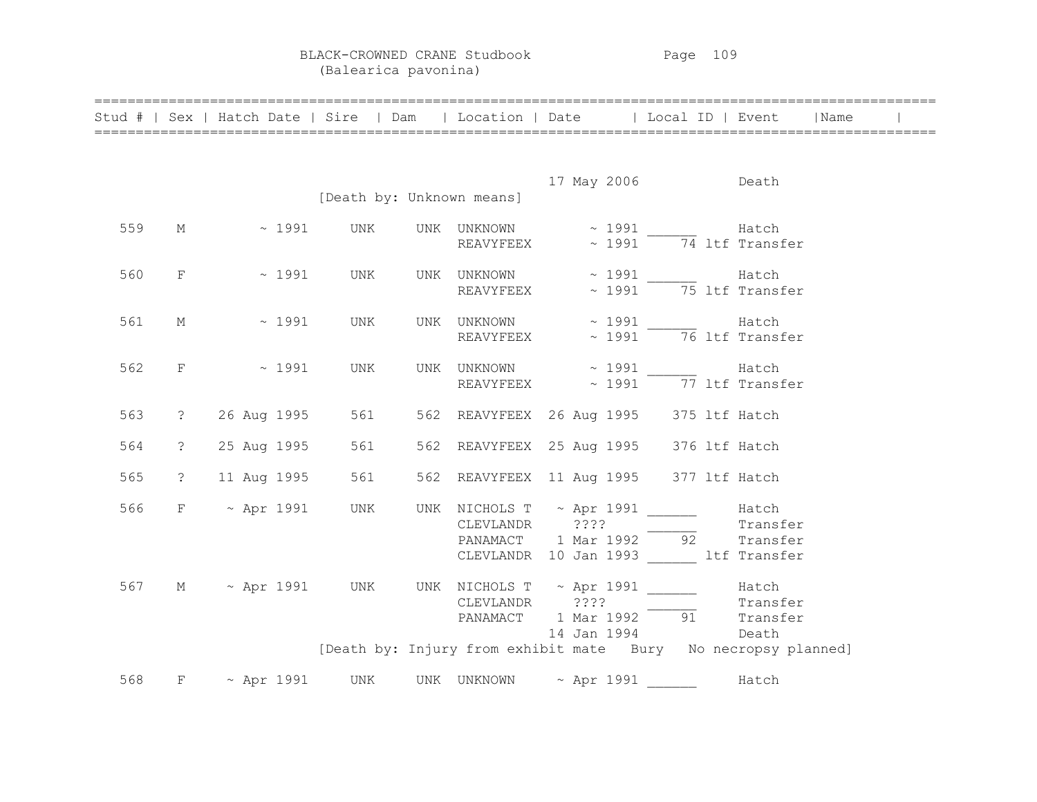BLACK-CROWNED CRANE Studbook Page 109 (Balearica pavonina)

|     |                | Stud #   Sex   Hatch Date   Sire   Dam   Location   Date   Local ID   Event   Name |                           |                          |                                                                                                               |                                                               |                   |  |
|-----|----------------|------------------------------------------------------------------------------------|---------------------------|--------------------------|---------------------------------------------------------------------------------------------------------------|---------------------------------------------------------------|-------------------|--|
|     |                |                                                                                    |                           |                          |                                                                                                               |                                                               |                   |  |
|     |                |                                                                                    | [Death by: Unknown means] |                          | 17 May 2006 Death                                                                                             |                                                               |                   |  |
|     |                |                                                                                    |                           |                          |                                                                                                               |                                                               |                   |  |
| 559 |                | $M \sim 1991$                                                                      | UNK                       | UNK UNKNOWN<br>REAVYFEEX |                                                                                                               | $\sim$ 1991 Hatch<br>$\sim$ 1991 $\overline{74}$ ltf Transfer |                   |  |
| 560 | $F \sim$       | $\sim 1991$                                                                        | UNK                       |                          | UNK UNKNOWN ~ 1991 Hatch<br>REAVYFEEX $\sim$ 1991 $\frac{1}{75}$ ltf Transfer                                 |                                                               |                   |  |
| 561 | М              | $\sim 1991$                                                                        | UNK                       |                          | UNK UNKNOWN $\sim$ 1991 $\sim$ 14tch Hatch REAVYFEEX $\sim$ 1991 $\sim$ 76 ltf Transfer                       |                                                               |                   |  |
| 562 | $F^-$          | $\sim 1991$                                                                        | UNK                       |                          | UNK UNKNOWN $\sim$ 1991 Hatch<br>REAVYFEEX $\sim$ 1991 $\overline{77}$ ltf Transfer                           |                                                               |                   |  |
| 563 | $\ddot{c}$     | 26 Aug 1995                                                                        | 561                       |                          | 562 REAVYFEEX 26 Aug 1995 375 ltf Hatch                                                                       |                                                               |                   |  |
| 564 | $\ddot{c}$     | 25 Aug 1995                                                                        | 561                       |                          | 562 REAVYFEEX 25 Aug 1995 376 ltf Hatch                                                                       |                                                               |                   |  |
| 565 | $\ddot{\cdot}$ | 11 Aug 1995                                                                        | 561                       |                          | 562 REAVYFEEX 11 Aug 1995 377 ltf Hatch                                                                       |                                                               |                   |  |
| 566 |                | $F \sim$ Apr 1991                                                                  | UNK                       |                          | UNK NICHOLS T $\sim$ Apr 1991 ______<br>PANAMACT 1 Mar 1992 92 Transfer<br>CLEVLANDR 10 Jan 1993 ltf Transfer |                                                               | Hatch<br>Transfer |  |
|     |                | 567 M ~ Apr 1991 UNK UNK NICHOLS T ~ Apr 1991 Hatch                                |                           |                          | CLEVLANDR ????<br>PANAMACT 1 Mar 1992 91 Transfer<br>14 Jan 1994 Death                                        |                                                               |                   |  |
|     |                |                                                                                    |                           |                          | [Death by: Injury from exhibit mate Bury No necropsy planned]                                                 |                                                               |                   |  |
| 568 |                | $F \sim$ Apr 1991 UNK UNK UNKNOWN $\sim$ Apr 1991 _______ Hatch                    |                           |                          |                                                                                                               |                                                               |                   |  |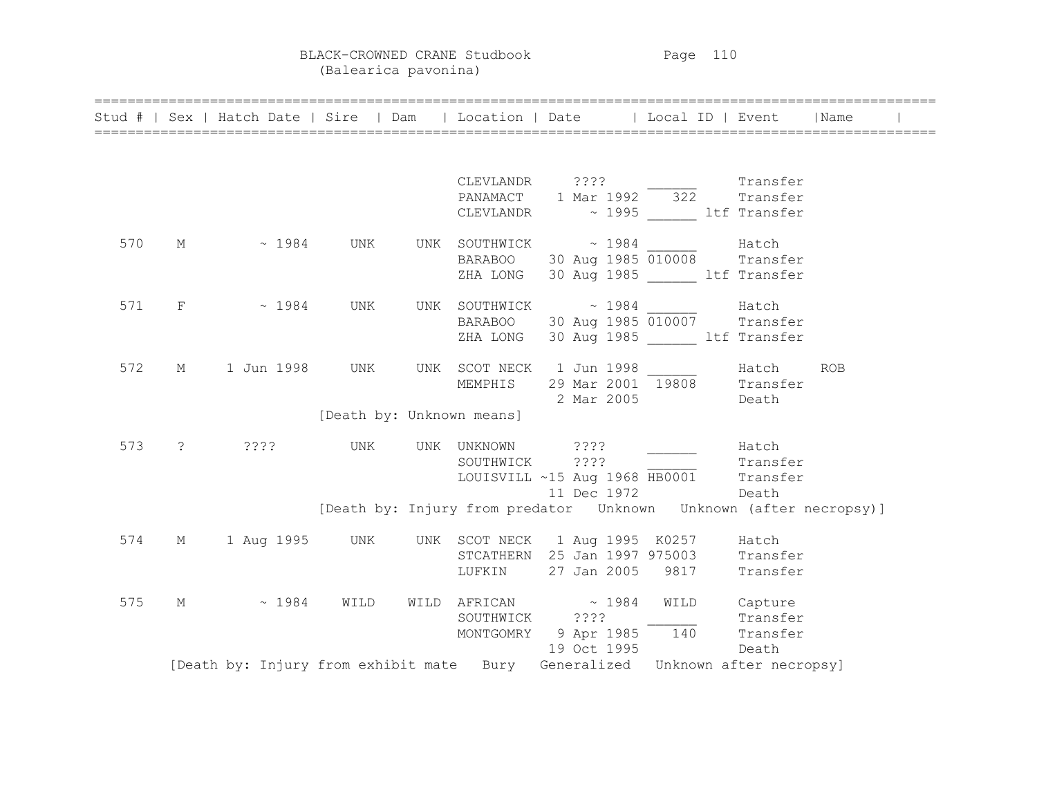BLACK-CROWNED CRANE Studbook Page 110 (Balearica pavonina)

|  | Stud #   Sex   Hatch Date   Sire   Dam   Location   Date   Local ID   Event   Name |                           |                |  |                                                                     |          |  |
|--|------------------------------------------------------------------------------------|---------------------------|----------------|--|---------------------------------------------------------------------|----------|--|
|  |                                                                                    |                           |                |  |                                                                     |          |  |
|  |                                                                                    |                           |                |  | CLEVLANDR ???? _________ Transfer                                   |          |  |
|  |                                                                                    |                           |                |  | PANAMACT 1 Mar 1992 322 Transfer                                    |          |  |
|  |                                                                                    |                           |                |  | CLEVLANDR ~ 1995 1tf Transfer                                       |          |  |
|  | 570 M $\sim$ 1984 UNK UNK SOUTHWICK $\sim$ 1984 Hatch                              |                           |                |  |                                                                     |          |  |
|  |                                                                                    |                           |                |  | BARABOO 30 Aug 1985 010008 Transfer                                 |          |  |
|  |                                                                                    |                           |                |  | ZHA LONG 30 Aug 1985 ltf Transfer                                   |          |  |
|  | 571 F ~ 1984 UNK UNK SOUTHWICK ~ 1984 ______ Hatch                                 |                           |                |  |                                                                     |          |  |
|  |                                                                                    |                           |                |  | BARABOO 30 Aug 1985 010007 Transfer                                 |          |  |
|  |                                                                                    |                           |                |  | ZHA LONG 30 Aug 1985 Litf Transfer                                  |          |  |
|  | 572 M 1 Jun 1998 UNK UNK SCOT NECK 1 Jun 1998 1888 Match ROB                       |                           |                |  |                                                                     |          |  |
|  |                                                                                    |                           |                |  | MEMPHIS 29 Mar 2001 19808 Transfer                                  |          |  |
|  |                                                                                    |                           |                |  | 2 Mar 2005 Death                                                    |          |  |
|  |                                                                                    | [Death by: Unknown means] |                |  |                                                                     |          |  |
|  | 573 ? ???? UNK UNK UNKNOWN ???? ______ Hatch                                       |                           |                |  |                                                                     |          |  |
|  |                                                                                    |                           | SOUTHWICK ???? |  |                                                                     | Transfer |  |
|  |                                                                                    |                           |                |  | LOUISVILL ~15 Aug 1968 HB0001 Transfer                              |          |  |
|  |                                                                                    |                           |                |  | 11 Dec 1972 Death                                                   |          |  |
|  |                                                                                    |                           |                |  | [Death by: Injury from predator  Unknown  Unknown (after necropsy)] |          |  |
|  | 574 M 1 Aug 1995 UNK UNK SCOT NECK 1 Aug 1995 K0257 Hatch                          |                           |                |  |                                                                     |          |  |
|  |                                                                                    |                           |                |  | STCATHERN 25 Jan 1997 975003 Transfer                               |          |  |
|  |                                                                                    |                           |                |  | LUFKIN 27 Jan 2005 9817 Transfer                                    |          |  |
|  | 575 M ~ 1984 WILD WILD AFRICAN ~ 1984 WILD Capture                                 |                           |                |  |                                                                     |          |  |
|  |                                                                                    |                           |                |  | SOUTHWICK ????<br>MONTGOMRY 9 Apr 1985 140 Transfer                 |          |  |
|  |                                                                                    |                           |                |  |                                                                     |          |  |
|  |                                                                                    |                           |                |  | 19 Oct 1995                                                         | Death    |  |
|  | [Death by: Injury from exhibit mate Bury Generalized Unknown after necropsy]       |                           |                |  |                                                                     |          |  |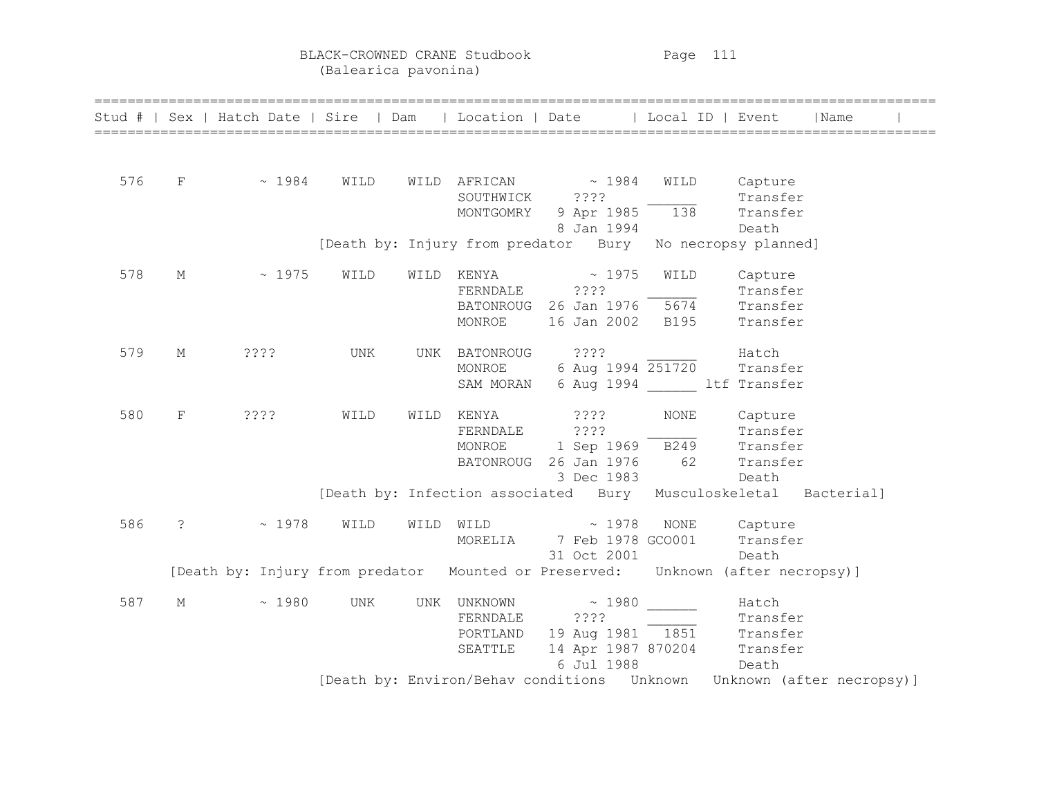BLACK-CROWNED CRANE Studbook Page 111 (Balearica pavonina)

|     |                      | Stud #   Sex   Hatch Date   Sire   Dam   Location   Date   Local ID   Event     |      |      |                |                                                                 |             |          | Name                                                                          |
|-----|----------------------|---------------------------------------------------------------------------------|------|------|----------------|-----------------------------------------------------------------|-------------|----------|-------------------------------------------------------------------------------|
|     |                      |                                                                                 |      |      |                |                                                                 |             |          |                                                                               |
| 576 | $F$ and $F$          | ~1984                                                                           | WILD |      |                | WILD AFRICAN $\sim 1984$                                        | WILD        | Capture  |                                                                               |
|     |                      |                                                                                 |      |      | SOUTHWICK ???? |                                                                 |             | Transfer |                                                                               |
|     |                      |                                                                                 |      |      | MONTGOMRY      | 9 Apr 1985 $\frac{1}{138}$                                      |             | Transfer |                                                                               |
|     |                      |                                                                                 |      |      |                | 8 Jan 1994                                                      |             | Death    |                                                                               |
|     |                      |                                                                                 |      |      |                | [Death by: Injury from predator Bury No necropsy planned]       |             |          |                                                                               |
| 578 | М                    | $\sim 1975$                                                                     | WILD | WILD | KENYA          | $\sim 1975$                                                     | WILD        | Capture  |                                                                               |
|     |                      |                                                                                 |      |      | FERNDALE ????  |                                                                 |             | Transfer |                                                                               |
|     |                      |                                                                                 |      |      |                | BATONROUG 26 Jan 1976 5674                                      |             | Transfer |                                                                               |
|     |                      |                                                                                 |      |      | MONROE         | 16 Jan 2002                                                     | <b>B195</b> | Transfer |                                                                               |
| 579 | М                    | $??\mathbin{?}$                                                                 | UNK  | UNK  |                | BATONROUG ???? Hatch                                            |             |          |                                                                               |
|     |                      |                                                                                 |      |      | MONROE         | 6 Aug 1994 251720                                               |             | Transfer |                                                                               |
|     |                      |                                                                                 |      |      |                | SAM MORAN 6 Aug 1994 ltf Transfer                               |             |          |                                                                               |
| 580 | F                    | ????                                                                            | WILD | WILD | KENYA          | ? ? ? ?                                                         | <b>NONE</b> | Capture  |                                                                               |
|     |                      |                                                                                 |      |      | FERNDALE       | ????                                                            |             | Transfer |                                                                               |
|     |                      |                                                                                 |      |      |                | MONROE 1 Sep 1969 B249 Transfer                                 |             |          |                                                                               |
|     |                      |                                                                                 |      |      |                | BATONROUG 26 Jan 1976                                           | 62          | Transfer |                                                                               |
|     |                      |                                                                                 |      |      |                | 3 Dec 1983                                                      |             | Death    |                                                                               |
|     |                      |                                                                                 |      |      |                | [Death by: Infection associated Bury Musculoskeletal Bacterial] |             |          |                                                                               |
| 586 | $\ddot{\phantom{0}}$ | ~1978                                                                           | WILD | WILD | WILD           | $\sim 1978$                                                     | NONE        | Capture  |                                                                               |
|     |                      |                                                                                 |      |      | MORELIA        | 7 Feb 1978 GCO001                                               |             | Transfer |                                                                               |
|     |                      |                                                                                 |      |      |                | 31 Oct 2001                                                     |             | Death    |                                                                               |
|     |                      | [Death by: Injury from predator Mounted or Preserved: Unknown (after necropsy)] |      |      |                |                                                                 |             |          |                                                                               |
| 587 | М                    | ~1980                                                                           | UNK  |      |                | UNK UNKNOWN ~ 1980                                              |             | Hatch    |                                                                               |
|     |                      |                                                                                 |      |      | FERNDALE       | ????                                                            |             | Transfer |                                                                               |
|     |                      |                                                                                 |      |      | PORTLAND       | 19 Aug 1981 - 1851 - Transfer<br>14 Apr 1987 870204 - Transfer  |             |          |                                                                               |
|     |                      |                                                                                 |      |      | SEATTLE        |                                                                 |             |          |                                                                               |
|     |                      |                                                                                 |      |      |                | 6 Jul 1988                                                      |             | Death    |                                                                               |
|     |                      |                                                                                 |      |      |                |                                                                 |             |          | [Death by: Environ/Behav conditions    Unknown   Unknown    (after necropsy)] |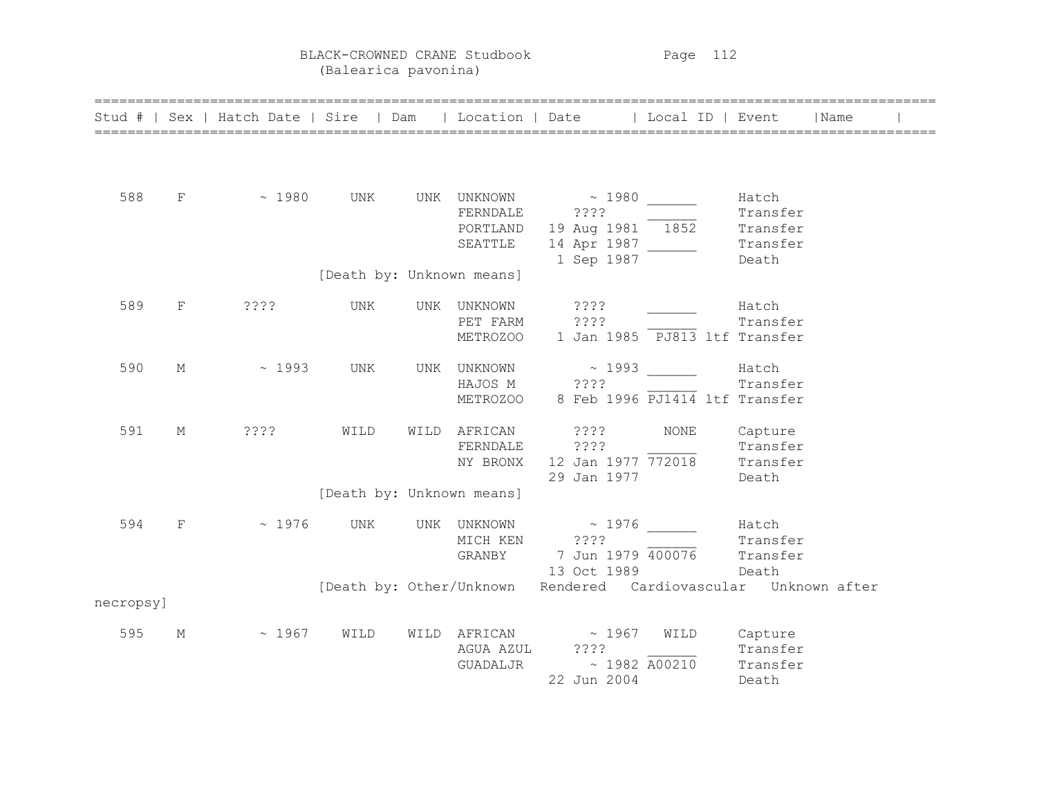BLACK-CROWNED CRANE Studbook Page 112 (Balearica pavonina)

|           |   | Stud #   Sex   Hatch Date   Sire   Dam   Location   Date   Local ID   Event |      |     |                                   |                                                                                                                                                                                                |              |                                                    | Name |
|-----------|---|-----------------------------------------------------------------------------|------|-----|-----------------------------------|------------------------------------------------------------------------------------------------------------------------------------------------------------------------------------------------|--------------|----------------------------------------------------|------|
| 588       | F | $\sim 1980$ UNK                                                             |      |     | FERNDALE<br>PORTLAND<br>SEATTLE   | UNK UNKNOWN ~ 1980 ______<br>????<br>$\frac{19 \text{ Aug } 1981}{}$ 1852<br>1 Sep 1987                                                                                                        |              | Hatch<br>Transfer<br>Transfer<br>Transfer<br>Death |      |
|           |   |                                                                             |      |     | [Death by: Unknown means]         |                                                                                                                                                                                                |              |                                                    |      |
| 589       | F | ????                                                                        | UNK  | UNK | UNKNOWN<br>PET FARM               | ? ? ? ?<br>????<br>METROZOO 1 Jan 1985 PJ813 ltf Transfer                                                                                                                                      |              | Hatch<br>Transfer                                  |      |
| 590       | М | $\sim 1993$                                                                 | UNK  |     | HAJOS M ????                      | UNK UNKNOWN ~ 1993<br>METROZOO 8 Feb 1996 PJ1414 ltf Transfer                                                                                                                                  |              | Hatch<br>Transfer                                  |      |
| 591       | М | ? ? ? ?                                                                     | WILD |     | WILD AFRICAN<br>NY BRONX          | ? ? ? ?<br>FERNDALE ????<br>$\begin{array}{cc} ? ? ? ? & \text{Transfer} \\ 12 \text{ Jan } 1977 \overline{772018} & \text{Transfer} \end{array}$<br>29 Jan 1977                               | NONE         | Capture<br>Death                                   |      |
|           |   |                                                                             |      |     | [Death by: Unknown means]         |                                                                                                                                                                                                |              |                                                    |      |
| 594       | F | ~1976                                                                       | UNK  |     | UNK UNKNOWN<br>MICH KEN<br>GRANBY | $\sim 1976$<br>????<br>7 Jun 1979 400076<br>13 Oct 1989                                                                                                                                        |              | Hatch<br>Transfer<br>Transfer<br>Death             |      |
|           |   |                                                                             |      |     |                                   | [Death by: Other/Unknown Rendered Cardiovascular Unknown after                                                                                                                                 |              |                                                    |      |
| necropsy] |   |                                                                             |      |     |                                   |                                                                                                                                                                                                |              |                                                    |      |
| 595       | М | ~1967                                                                       | WILD |     | GUADALJR                          | WILD AFRICAN $\sim 1967$<br>AGUA AZUL ????<br>$\begin{array}{cccc}\n & & 2222 & & & \text{Transfer} \\  & & \sim & 1982 & \overline{A00210} & & \text{Transfer} \\ \end{array}$<br>22 Jun 2004 | WILD Capture | Death                                              |      |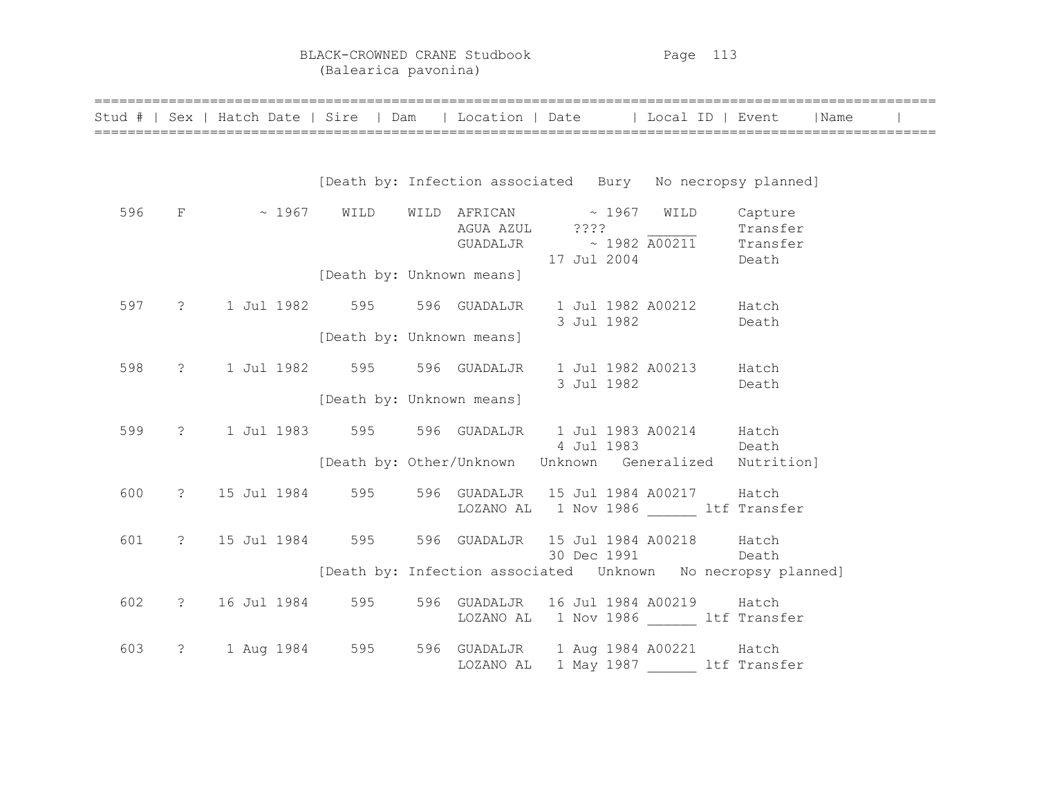BLACK-CROWNED CRANE Studbook Page 113 (Balearica pavonina)

|     | Stud #   Sex   Hatch Date   Sire   Dam   Location   Date   Local ID   Event   Name |                                                           | ======================= |  |             |                                                                       |  |  |
|-----|------------------------------------------------------------------------------------|-----------------------------------------------------------|-------------------------|--|-------------|-----------------------------------------------------------------------|--|--|
|     |                                                                                    | [Death by: Infection associated Bury No necropsy planned] |                         |  |             |                                                                       |  |  |
| 596 | $F$ ~ 1967 WILD WILD AFRICAN ~ 1967 WILD Capture                                   |                                                           |                         |  | 17 Jul 2004 | AGUA AZUL ???? Transfer<br>$GUADALJR$ ~ 1982 A00211 Transfer<br>Death |  |  |
|     |                                                                                    | [Death by: Unknown means]                                 |                         |  |             |                                                                       |  |  |
| 597 | ? 1 Jul 1982 595 596 GUADALJR 1 Jul 1982 A00212 Hatch                              |                                                           |                         |  |             | 3 Jul 1982 Death                                                      |  |  |
|     |                                                                                    | [Death by: Unknown means]                                 |                         |  |             |                                                                       |  |  |
| 598 | ? 1 Jul 1982 595 596 GUADALJR 1 Jul 1982 A00213 Hatch                              |                                                           |                         |  |             | 3 Jul 1982 Death                                                      |  |  |
|     |                                                                                    | [Death by: Unknown means]                                 |                         |  |             |                                                                       |  |  |
| 599 | ? 1 Jul 1983 595 596 GUADALJR 1 Jul 1983 A00214 Hatch                              |                                                           |                         |  | 4 Jul 1983  | <b>Death</b>                                                          |  |  |
|     |                                                                                    |                                                           |                         |  |             | [Death by: Other/Unknown Unknown Generalized Nutrition]               |  |  |
| 600 | ? 15 Jul 1984 595 596 GUADALJR 15 Jul 1984 A00217 Hatch                            |                                                           |                         |  |             | LOZANO AL 1 Nov 1986 1tf Transfer                                     |  |  |
| 601 | ? 15 Jul 1984 595 596 GUADALJR 15 Jul 1984 A00218 Hatch                            |                                                           |                         |  |             | 30 Dec 1991 Death                                                     |  |  |
|     |                                                                                    |                                                           |                         |  |             | [Death by: Infection associated    Unknown    No necropsy planned]    |  |  |
| 602 | ? 16 Jul 1984 595 596 GUADALJR 16 Jul 1984 A00219 Hatch                            |                                                           |                         |  |             | LOZANO AL 1 Nov 1986 ltf Transfer                                     |  |  |
| 603 | ? 1 Aug 1984 595 596 GUADALJR 1 Aug 1984 A00221 Hatch                              |                                                           |                         |  |             | LOZANO AL 1 May 1987 ________ ltf Transfer                            |  |  |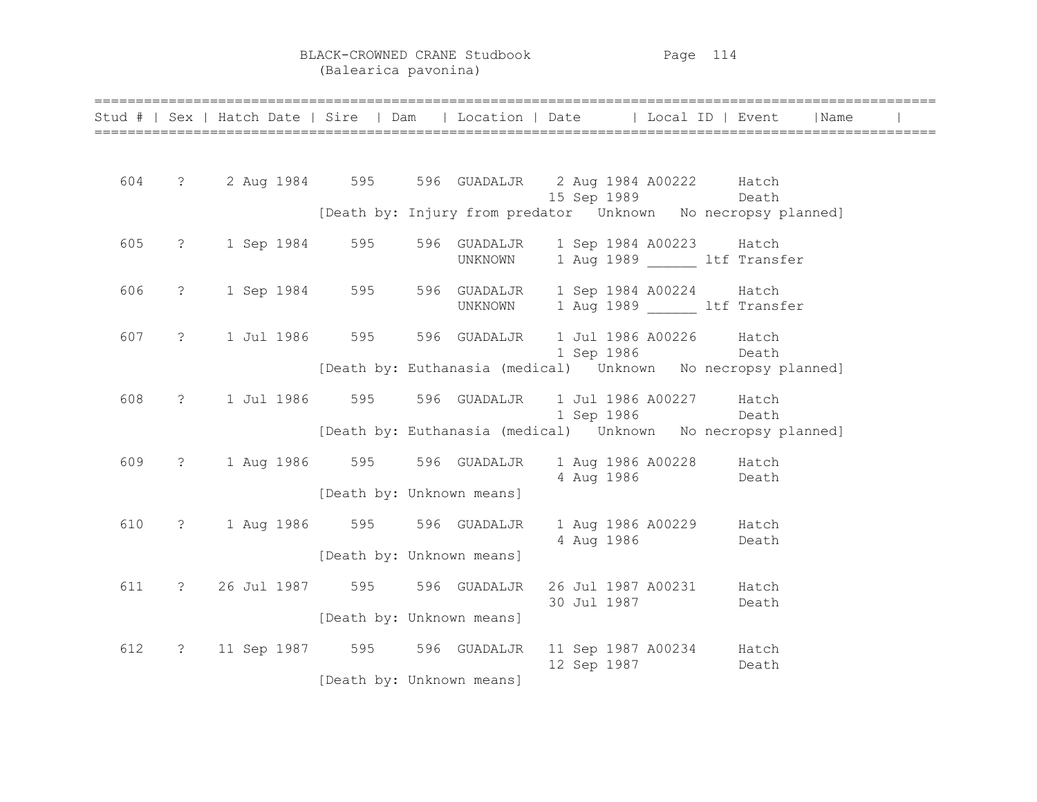BLACK-CROWNED CRANE Studbook Page 114 (Balearica pavonina)

|     |                      |  |                                                             |                                                                                                                                                 | Stud #   Sex   Hatch Date   Sire   Dam   Location   Date   Local ID   Event   Name |  |
|-----|----------------------|--|-------------------------------------------------------------|-------------------------------------------------------------------------------------------------------------------------------------------------|------------------------------------------------------------------------------------|--|
|     |                      |  |                                                             | 604 ? 2 Aug 1984 595 596 GUADALJR 2 Aug 1984 A00222 Hatch<br>15 Sep 1989 Death                                                                  |                                                                                    |  |
|     |                      |  |                                                             | [Death by: Injury from predator  Unknown  No necropsy planned]                                                                                  |                                                                                    |  |
| 605 |                      |  |                                                             | ? 1 Sep 1984 595 596 GUADALJR 1 Sep 1984 A00223 Hatch<br>UNKNOWN 1 Aug 1989 1tf Transfer                                                        |                                                                                    |  |
| 606 | $\ddot{\phantom{0}}$ |  |                                                             | 1 Sep 1984 595 596 GUADALJR 1 Sep 1984 A00224 Hatch<br>UNKNOWN 1 Aug 1989 1tf Transfer                                                          |                                                                                    |  |
| 607 |                      |  |                                                             | ? 1 Jul 1986 595 596 GUADALJR 1 Jul 1986 A00226 Hatch<br>1 Sep 1986 Death<br>[Death by: Euthanasia (medical)    Unknown    No necropsy planned] |                                                                                    |  |
| 608 | $\ddot{\text{?}}$    |  |                                                             | 1 Jul 1986 595 596 GUADALJR 1 Jul 1986 A00227 Hatch<br>1 Sep 1986 Death                                                                         |                                                                                    |  |
| 609 | $\ddot{?}$           |  | 1 Aug 1986 595 596 GUADALJR                                 | [Death by: Euthanasia (medical)    Unknown    No necropsy planned]<br>1 Aug 1986 A00228 Hatch<br>4 Aug 1986 Death                               |                                                                                    |  |
| 610 | $\ddot{\text{?}}$    |  | [Death by: Unknown means]<br>1 Aug 1986 595 596 GUADALJR    | 1 Aug 1986 A00229 Hatch<br>4 Aug 1986 Death                                                                                                     |                                                                                    |  |
| 611 |                      |  | [Death by: Unknown means]<br>? 26 Jul 1987 595 596 GUADALJR | 26 Jul 1987 A00231 Hatch<br>30 Jul 1987                                                                                                         | Death                                                                              |  |
| 612 |                      |  | [Death by: Unknown means]                                   | ? 11 Sep 1987 595 596 GUADALJR 11 Sep 1987 A00234 Hatch<br>12 Sep 1987                                                                          | Death                                                                              |  |
|     |                      |  | [Death by: Unknown means]                                   |                                                                                                                                                 |                                                                                    |  |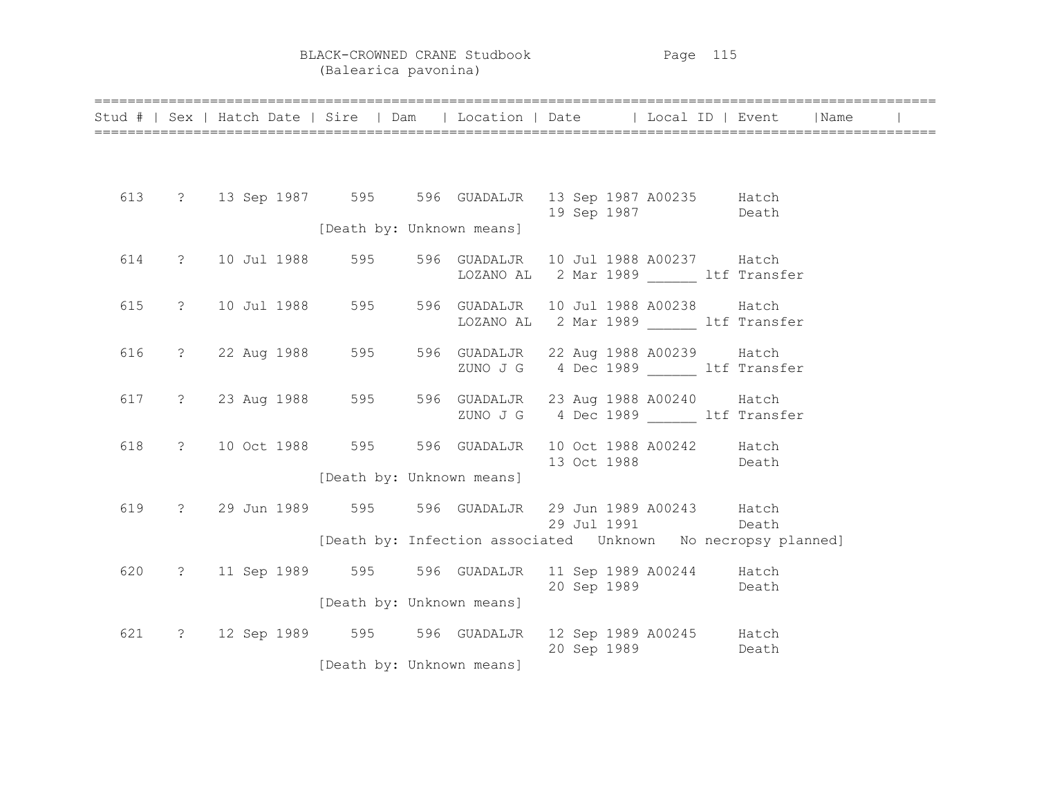BLACK-CROWNED CRANE Studbook Page 115 (Balearica pavonina)

|     |  | Stud #   Sex   Hatch Date   Sire   Dam   Location   Date   Local ID   Event   Name |                                   |       |  |
|-----|--|------------------------------------------------------------------------------------|-----------------------------------|-------|--|
|     |  |                                                                                    |                                   |       |  |
|     |  | 613 ? 13 Sep 1987 595 596 GUADALJR 13 Sep 1987 A00235 Hatch                        | 19 Sep 1987                       | Death |  |
|     |  | [Death by: Unknown means]                                                          |                                   |       |  |
|     |  | 614 ? 10 Jul 1988 595 596 GUADALJR 10 Jul 1988 A00237 Hatch                        | LOZANO AL 2 Mar 1989 ltf Transfer |       |  |
|     |  | 615 ? 10 Jul 1988 595 596 GUADALJR 10 Jul 1988 A00238 Hatch                        | LOZANO AL 2 Mar 1989 ltf Transfer |       |  |
|     |  | 616 ? 22 Aug 1988 595 596 GUADALJR 22 Aug 1988 A00239 Hatch                        | ZUNO J G 4 Dec 1989 ltf Transfer  |       |  |
|     |  | 617 ? 23 Aug 1988 595 596 GUADALJR 23 Aug 1988 A00240 Hatch                        | ZUNO J G 4 Dec 1989 ltf Transfer  |       |  |
|     |  | 618 ? 10 Oct 1988 595 596 GUADALJR 10 Oct 1988 A00242 Hatch                        | 13 Oct 1988                       | Death |  |
|     |  | [Death by: Unknown means]                                                          |                                   |       |  |
| 619 |  | ? 29 Jun 1989 595 596 GUADALJR 29 Jun 1989 A00243 Hatch                            | 29 Jul 1991 Death                 |       |  |
|     |  | [Death by: Infection associated  Unknown  No necropsy planned]                     |                                   |       |  |
|     |  | 620 ? 11 Sep 1989 595 596 GUADALJR 11 Sep 1989 A00244 Hatch                        | 20 Sep 1989 Death                 |       |  |
|     |  | [Death by: Unknown means]                                                          |                                   |       |  |
|     |  | 621 ? 12 Sep 1989 595 596 GUADALJR 12 Sep 1989 A00245 Hatch                        | 20 Sep 1989                       | Death |  |
|     |  | [Death by: Unknown means]                                                          |                                   |       |  |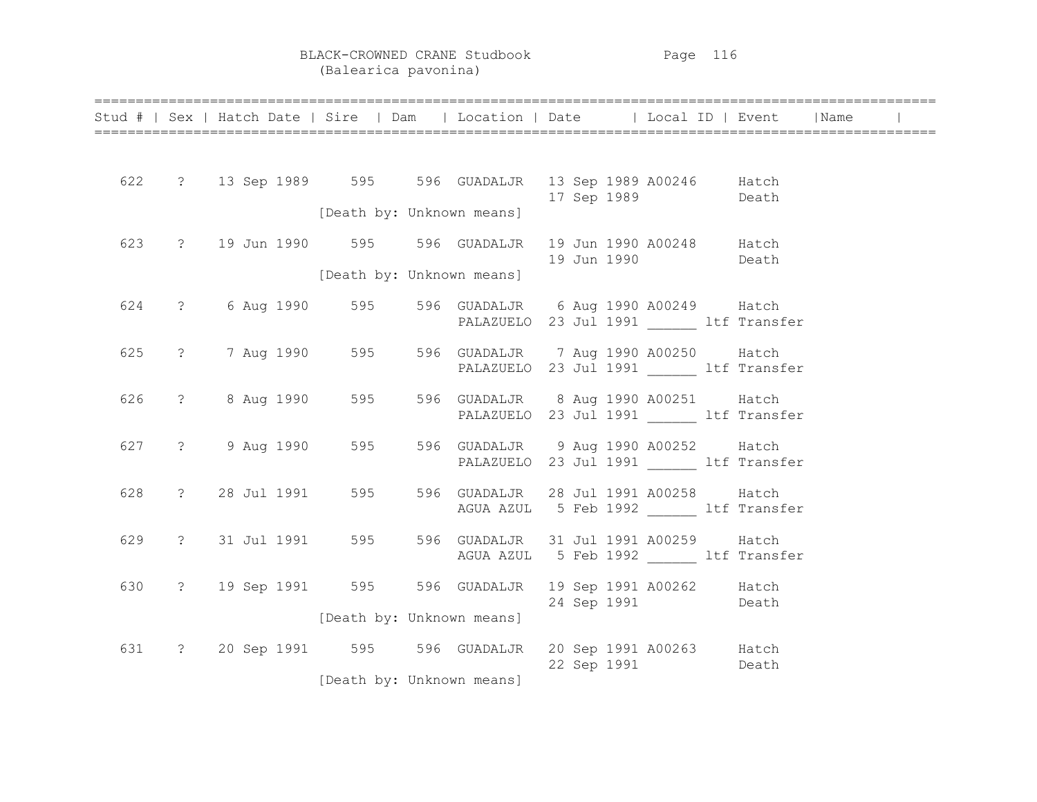|     |  |  |  | Stud #   Sex   Hatch Date   Sire   Dam   Location   Date   Local ID   Event   Name |  |                                           |  |  |
|-----|--|--|--|------------------------------------------------------------------------------------|--|-------------------------------------------|--|--|
|     |  |  |  |                                                                                    |  |                                           |  |  |
|     |  |  |  | 622 ? 13 Sep 1989 595 596 GUADALJR 13 Sep 1989 A00246 Hatch                        |  | 17 Sep 1989 Death                         |  |  |
|     |  |  |  | [Death by: Unknown means]                                                          |  |                                           |  |  |
| 623 |  |  |  | ? 19 Jun 1990 595 596 GUADALJR 19 Jun 1990 A00248 Hatch                            |  | 19 Jun 1990 Death                         |  |  |
|     |  |  |  | [Death by: Unknown means]                                                          |  |                                           |  |  |
| 624 |  |  |  | ? 6 Aug 1990 595 596 GUADALJR 6 Aug 1990 A00249 Hatch                              |  | PALAZUELO 23 Jul 1991 ______ ltf Transfer |  |  |
| 625 |  |  |  | ? 7 Aug 1990 595 596 GUADALJR 7 Aug 1990 A00250 Hatch                              |  |                                           |  |  |
|     |  |  |  |                                                                                    |  | PALAZUELO 23 Jul 1991 ltf Transfer        |  |  |
| 626 |  |  |  | ? 8 Aug 1990 595 596 GUADALJR 8 Aug 1990 A00251 Hatch                              |  | PALAZUELO 23 Jul 1991 ltf Transfer        |  |  |
| 627 |  |  |  | ? 9 Aug 1990 595 596 GUADALJR 9 Aug 1990 A00252 Hatch                              |  |                                           |  |  |
|     |  |  |  |                                                                                    |  | PALAZUELO 23 Jul 1991 ltf Transfer        |  |  |
| 628 |  |  |  | ? 28 Jul 1991 595 596 GUADALJR 28 Jul 1991 A00258 Hatch                            |  | AGUA AZUL 5 Feb 1992 ltf Transfer         |  |  |
| 629 |  |  |  | ? 31 Jul 1991 595 596 GUADALJR 31 Jul 1991 A00259 Hatch                            |  |                                           |  |  |
|     |  |  |  |                                                                                    |  | AGUA AZUL 5 Feb 1992 ltf Transfer         |  |  |
| 630 |  |  |  | ? 19 Sep 1991 595 596 GUADALJR 19 Sep 1991 A00262 Hatch                            |  | 24 Sep 1991 Death                         |  |  |
|     |  |  |  | [Death by: Unknown means]                                                          |  |                                           |  |  |
|     |  |  |  | 631 ? 20 Sep 1991 595 596 GUADALJR 20 Sep 1991 A00263 Hatch                        |  | 22 Sep 1991 Death                         |  |  |
|     |  |  |  | [Death by: Unknown means]                                                          |  |                                           |  |  |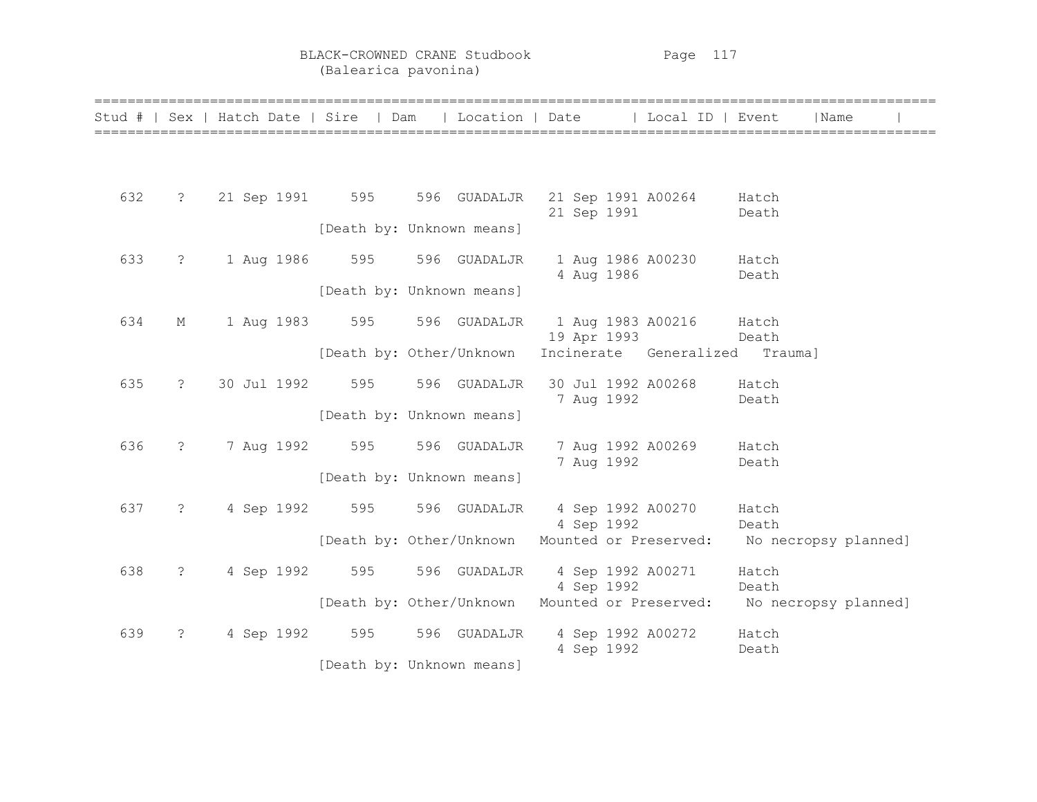BLACK-CROWNED CRANE Studbook Page 117 (Balearica pavonina)

| Stud # |                       |                 | Sex   Hatch Date   Sire   Dam |              | Location   Date | Local ID   Event       | Name                 |
|--------|-----------------------|-----------------|-------------------------------|--------------|-----------------|------------------------|----------------------|
|        |                       |                 |                               |              |                 |                        |                      |
| 632    | $\ddot{\cdot}$        | 21 Sep 1991 595 |                               | 596 GUADALJR | 21 Sep 1991     | 21 Sep 1991 A00264     | Hatch<br>Death       |
|        |                       |                 | [Death by: Unknown means]     |              |                 |                        |                      |
| 633    | $\ddot{\cdot}$        | 1 Aug 1986      | 595                           | 596 GUADALJR | 4 Aug 1986      | 1 Aug 1986 A00230      | Hatch<br>Death       |
|        |                       |                 | [Death by: Unknown means]     |              |                 |                        |                      |
| 634    | М                     | 1 Aug 1983      | 595                           | 596 GUADALJR | 19 Apr 1993     | 1 Aug 1983 A00216      | Hatch<br>Death       |
|        |                       |                 | [Death by: Other/Unknown      |              |                 | Incinerate Generalized | Trauma]              |
| 635    | $\tilde{\mathcal{E}}$ | 30 Jul 1992     | 595                           | 596 GUADALJR | 7 Aug 1992      | 30 Jul 1992 A00268     | Hatch<br>Death       |
|        |                       |                 | [Death by: Unknown means]     |              |                 |                        |                      |
| 636    | $\ddot{\phantom{0}}$  | 7 Aug 1992      | 595                           | 596 GUADALJR | 7 Aug 1992      | 7 Aug 1992 A00269      | Hatch<br>Death       |
|        |                       |                 | [Death by: Unknown means]     |              |                 |                        |                      |
| 637    | $\tilde{S}$           | 4 Sep 1992      | 595                           | 596 GUADALJR | 4 Sep 1992      | 4 Sep 1992 A00270      | Hatch<br>Death       |
|        |                       |                 | [Death by: Other/Unknown      |              |                 | Mounted or Preserved:  | No necropsy planned] |
| 638    | $\ddot{\cdot}$        | 4 Sep 1992      | 595                           | 596 GUADALJR | 4 Sep 1992      | 4 Sep 1992 A00271      | Hatch<br>Death       |
|        |                       |                 | [Death by: Other/Unknown      |              |                 | Mounted or Preserved:  | No necropsy planned] |
| 639    | $\tilde{S}$           | 4 Sep 1992      | 595                           | 596 GUADALJR | 4 Sep 1992      | 4 Sep 1992 A00272      | Hatch<br>Death       |
|        |                       |                 | [Death by: Unknown means]     |              |                 |                        |                      |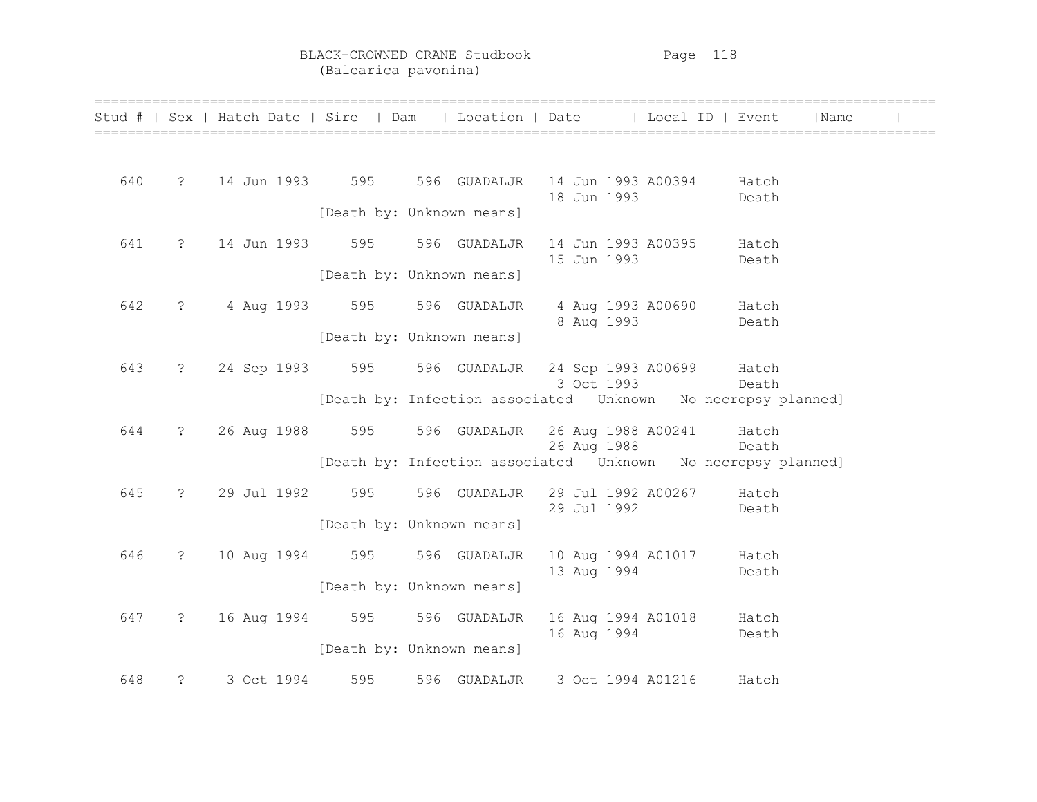|     |                      | Stud #   Sex   Hatch Date   Sire   Dam   Location   Date   Local ID   Event |                             |                                       |             |             |                                                                                        | Name |  |
|-----|----------------------|-----------------------------------------------------------------------------|-----------------------------|---------------------------------------|-------------|-------------|----------------------------------------------------------------------------------------|------|--|
|     |                      |                                                                             |                             |                                       |             |             |                                                                                        |      |  |
| 640 |                      | ? 14 Jun 1993 595 596 GUADALJR 14 Jun 1993 A00394 Hatch                     |                             |                                       |             |             |                                                                                        |      |  |
|     |                      |                                                                             | [Death by: Unknown means]   |                                       | 18 Jun 1993 |             | Death                                                                                  |      |  |
| 641 | $\ddot{\mathcal{E}}$ | 14 Jun 1993 595                                                             |                             | 596 GUADALJR                          |             |             | 14 Jun 1993 A00395 Hatch                                                               |      |  |
|     |                      |                                                                             | [Death by: Unknown means]   |                                       | 15 Jun 1993 |             | Death                                                                                  |      |  |
| 642 | $\ddot{?}$           |                                                                             | 4 Aug 1993 595 596 GUADALJR |                                       |             |             | 4 Aug 1993 A00690 Hatch                                                                |      |  |
|     |                      |                                                                             | [Death by: Unknown means]   |                                       | 8 Aug 1993  |             | <b>Death</b>                                                                           |      |  |
| 643 | $\overline{?}$       | 24 Sep 1993 595 596 GUADALJR 24 Sep 1993 A00699 Hatch                       |                             |                                       | 3 Oct 1993  |             |                                                                                        |      |  |
|     |                      |                                                                             |                             |                                       |             |             | <b>Example Death</b><br>[Death by: Infection associated  Unknown  No necropsy planned] |      |  |
| 644 | $\ddot{\text{?}}$    | 26 Aug 1988 595                                                             |                             | 596 GUADALJR 26 Aug 1988 A00241 Hatch | 26 Aug 1988 |             |                                                                                        |      |  |
|     |                      |                                                                             |                             |                                       |             |             | Death<br>[Death by: Infection associated  Unknown  No necropsy planned]                |      |  |
| 645 |                      | ? 29 Jul 1992 595                                                           |                             | 596 GUADALJR 29 Jul 1992 A00267 Hatch | 29 Jul 1992 |             | Death                                                                                  |      |  |
|     |                      |                                                                             | [Death by: Unknown means]   |                                       |             |             |                                                                                        |      |  |
| 646 | $\ddot{?}$           | 10 Aug 1994 595 596 GUADALJR                                                |                             |                                       |             | 13 Aug 1994 | 10 Aug 1994 A01017 Hatch<br>Death                                                      |      |  |
|     |                      |                                                                             | [Death by: Unknown means]   |                                       |             |             |                                                                                        |      |  |
| 647 | $\ddot{?}$           | 16 Aug 1994 595 596 GUADALJR                                                |                             |                                       |             | 16 Aug 1994 | 16 Aug 1994 A01018 Hatch<br>Death                                                      |      |  |
|     |                      |                                                                             | [Death by: Unknown means]   |                                       |             |             |                                                                                        |      |  |
| 648 | $\ddot{?}$           | 3 Oct 1994                                                                  | 595                         | 596 GUADALJR 3 Oct 1994 A01216        |             |             | Hatch                                                                                  |      |  |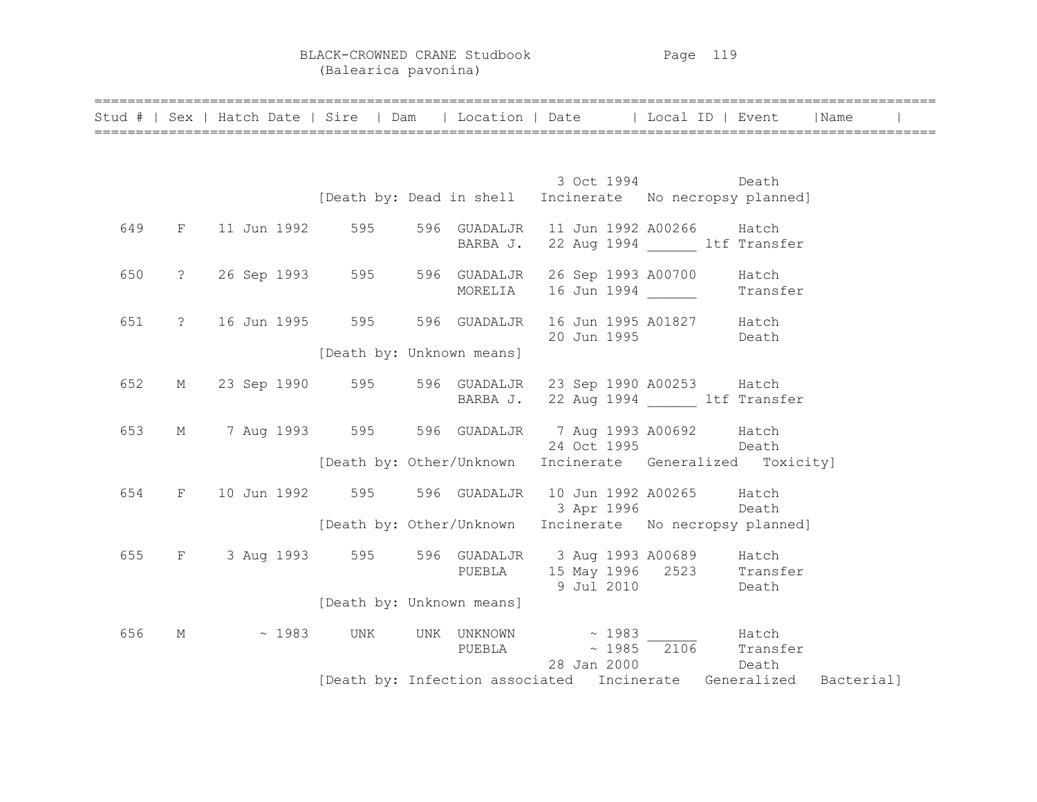BLACK-CROWNED CRANE Studbook Page 119 (Balearica pavonina)

====================================================================================================== 3 Oct 1994 Death [Death by: Dead in shell Incinerate No necropsy planned] 649 F 11 Jun 1992 595 596 GUADALJR 11 Jun 1992 A00266 Hatch BARBA J. 22 Aug 1994 ltf Transfer 650 ? 26 Sep 1993 595 596 GUADALJR 26 Sep 1993 A00700 Hatch MORELIA 16 Jun 1994 Transfer 651 ? 16 Jun 1995 595 596 GUADALJR 16 Jun 1995 A01827 Hatch 20 Jun 1995 Death [Death by: Unknown means] 652 M 23 Sep 1990 595 596 GUADALJR 23 Sep 1990 A00253 Hatch BARBA J. 22 Aug 1994 ltf Transfer 653 M 7 Aug 1993 595 596 GUADALJR 7 Aug 1993 A00692 Hatch 24 Oct 1995 Death [Death by: Other/Unknown Incinerate Generalized Toxicity] 654 F 10 Jun 1992 595 596 GUADALJR 10 Jun 1992 A00265 Hatch 3 Apr 1996 Death [Death by: Other/Unknown Incinerate No necropsy planned] 655 F 3 Aug 1993 595 596 GUADALJR 3 Aug 1993 A00689 Hatch PUEBLA 15 May 1996 2523 Transfer 9 Jul 2010 Death [Death by: Unknown means] 656 M  $\sim$  1983 UNK UNKNOWN  $\sim$  1983 Hatch<br>PUEBLA  $\sim$  1985 2106 Transfer PUEBLA  $\sim 1985$   $\overline{2106}$  28 Jan 2000 Death [Death by: Infection associated Incinerate Generalized Bacterial]

======================================================================================================

Stud # | Sex | Hatch Date | Sire | Dam | Location | Date | | Local ID | Event | Name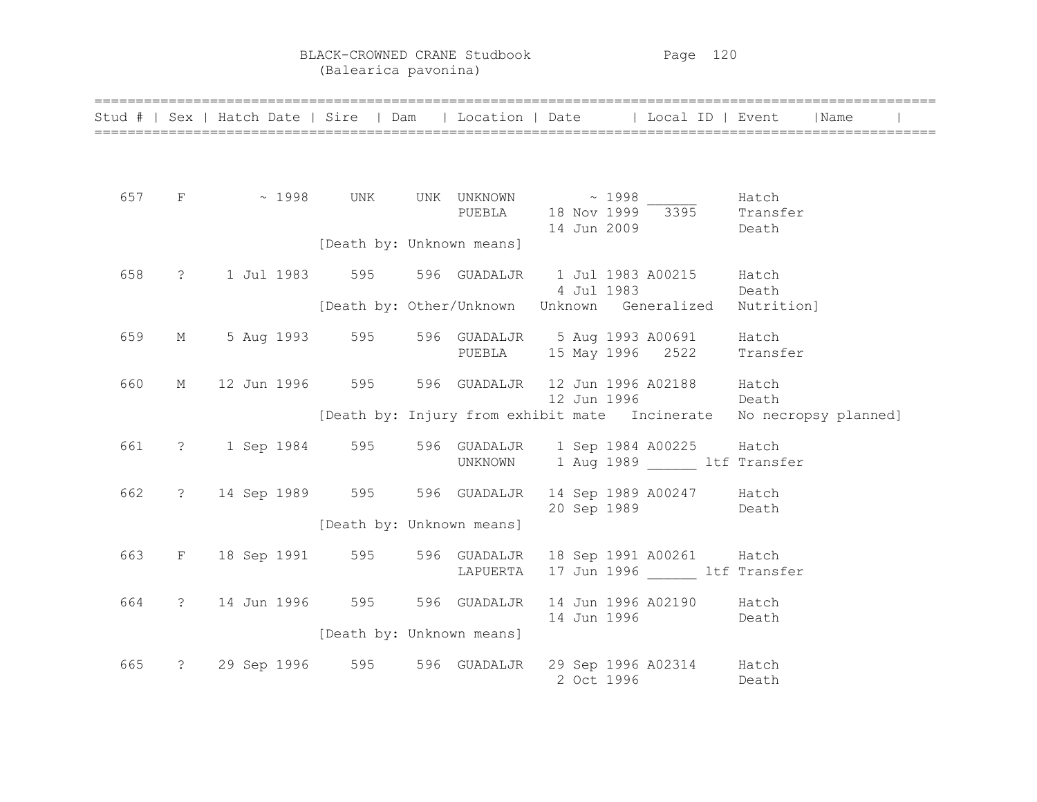BLACK-CROWNED CRANE Studbook Page 120 (Balearica pavonina)

|     |             |                                                    |                           |          |             | Stud #   Sex   Hatch Date   Sire   Dam   Location   Date   Local ID   Event   Name       |                                                                     |
|-----|-------------|----------------------------------------------------|---------------------------|----------|-------------|------------------------------------------------------------------------------------------|---------------------------------------------------------------------|
|     |             |                                                    |                           |          |             |                                                                                          |                                                                     |
| 657 |             | $\text{F}$ $\sim$ 1998 UNK UNK UNKNOWN $\sim$ 1998 |                           |          |             | Hatch<br>PUEBLA 18 Nov 1999 3395 Transfer<br>14 Jun 2009                                 | Death                                                               |
|     |             |                                                    | [Death by: Unknown means] |          |             |                                                                                          |                                                                     |
| 658 | $\ddot{?}$  |                                                    |                           |          |             | 1 Jul 1983 595 596 GUADALJR 1 Jul 1983 A00215 Hatch<br>4 Jul 1983 Death                  |                                                                     |
|     |             |                                                    |                           |          |             | [Death by: Other/Unknown Unknown Generalized Nutrition]                                  |                                                                     |
| 659 | $M_{\odot}$ |                                                    |                           |          |             | 5 Aug 1993 595 596 GUADALJR 5 Aug 1993 A00691 Hatch<br>PUEBLA 15 May 1996 2522 Transfer  |                                                                     |
| 660 | М           |                                                    |                           |          | 12 Jun 1996 | 12 Jun 1996 595 596 GUADALJR 12 Jun 1996 A02188 Hatch<br>Death                           |                                                                     |
|     |             |                                                    |                           |          |             |                                                                                          | [Death by: Injury from exhibit mate Incinerate No necropsy planned] |
| 661 |             |                                                    |                           |          |             | ? 1 Sep 1984 595 596 GUADALJR 1 Sep 1984 A00225 Hatch<br>UNKNOWN 1 Aug 1989 ltf Transfer |                                                                     |
| 662 |             |                                                    |                           |          |             | ? 14 Sep 1989 595 596 GUADALJR 14 Sep 1989 A00247 Hatch<br>20 Sep 1989 Death             |                                                                     |
|     |             |                                                    | [Death by: Unknown means] |          |             |                                                                                          |                                                                     |
| 663 |             |                                                    |                           | LAPUERTA |             | F 18 Sep 1991 595 596 GUADALJR 18 Sep 1991 A00261 Hatch<br>17 Jun 1996 ltf Transfer      |                                                                     |
| 664 |             | ? 14 Jun 1996 595 596 GUADALJR                     |                           |          |             | 14 Jun 1996 A02190 Hatch<br>14 Jun 1996 Death                                            |                                                                     |
|     |             |                                                    | [Death by: Unknown means] |          |             |                                                                                          |                                                                     |
| 665 |             |                                                    |                           |          |             | ? 29 Sep 1996 595 596 GUADALJR 29 Sep 1996 A02314 Hatch<br>2 Oct 1996<br>Death           |                                                                     |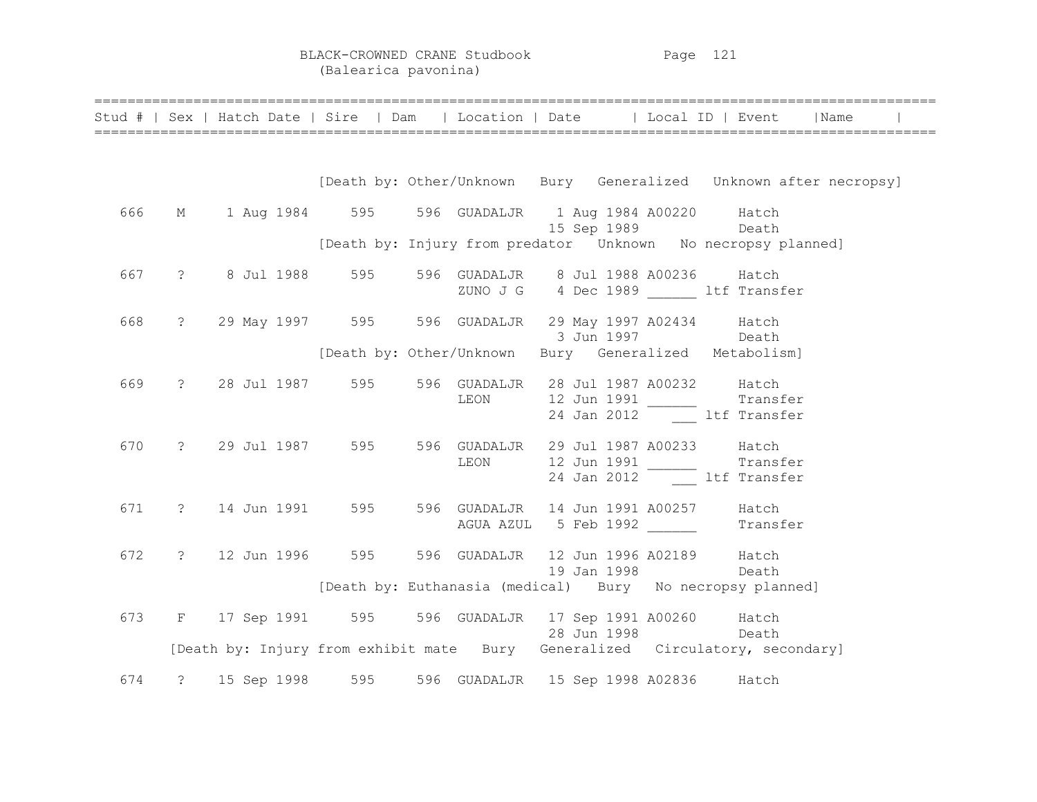BLACK-CROWNED CRANE Studbook Page 121 (Balearica pavonina)

|     | Stud #   Sex   Hatch Date   Sire   Dam   Location   Date   Local ID   Event   Name |                                                                   |                      |  |                   |                                                              |  |
|-----|------------------------------------------------------------------------------------|-------------------------------------------------------------------|----------------------|--|-------------------|--------------------------------------------------------------|--|
|     |                                                                                    | [Death by: Other/Unknown Bury Generalized Unknown after necropsy] |                      |  |                   |                                                              |  |
| 666 | M 1 Aug 1984 595 596 GUADALJR 1 Aug 1984 A00220 Hatch                              |                                                                   |                      |  | 15 Sep 1989 Death |                                                              |  |
|     |                                                                                    | [Death by: Injury from predator Unknown No necropsy planned]      |                      |  |                   |                                                              |  |
| 667 | ? 8 Jul 1988 595 596 GUADALJR 8 Jul 1988 A00236 Hatch                              |                                                                   |                      |  |                   | ZUNO J G 4 Dec 1989 ltf Transfer                             |  |
| 668 | ? 29 May 1997 595 596 GUADALJR 29 May 1997 A02434 Hatch                            |                                                                   |                      |  | 3 Jun 1997 Death  |                                                              |  |
|     |                                                                                    | [Death by: Other/Unknown Bury Generalized Metabolism]             |                      |  |                   |                                                              |  |
| 669 | ? 28 Jul 1987 595 596 GUADALJR 28 Jul 1987 A00232 Hatch                            |                                                                   |                      |  |                   | LEON 12 Jun 1991 11 Transfer<br>24 Jan 2012 11 Left Transfer |  |
| 670 | ? 29 Jul 1987 595 596 GUADALJR 29 Jul 1987 A00233 Hatch                            |                                                                   |                      |  |                   | LEON 12 Jun 1991 11 Transfer<br>24 Jan 2012 1tf Transfer     |  |
| 671 | ? 14 Jun 1991 595 596 GUADALJR 14 Jun 1991 A00257 Hatch                            |                                                                   | AGUA AZUL 5 Feb 1992 |  |                   | Transfer                                                     |  |
| 672 | ? 12 Jun 1996 595 596 GUADALJR 12 Jun 1996 A02189 Hatch                            |                                                                   |                      |  | 19 Jan 1998       | Death                                                        |  |
|     |                                                                                    | [Death by: Euthanasia (medical) Bury No necropsy planned]         |                      |  |                   |                                                              |  |
| 673 | F 17 Sep 1991 595 596 GUADALJR 17 Sep 1991 A00260 Hatch                            |                                                                   |                      |  | 28 Jun 1998 Death |                                                              |  |
|     | [Death by: Injury from exhibit mate Bury Generalized Circulatory, secondary]       |                                                                   |                      |  |                   |                                                              |  |
| 674 | ? 15 Sep 1998 595 596 GUADALJR 15 Sep 1998 A02836 Hatch                            |                                                                   |                      |  |                   |                                                              |  |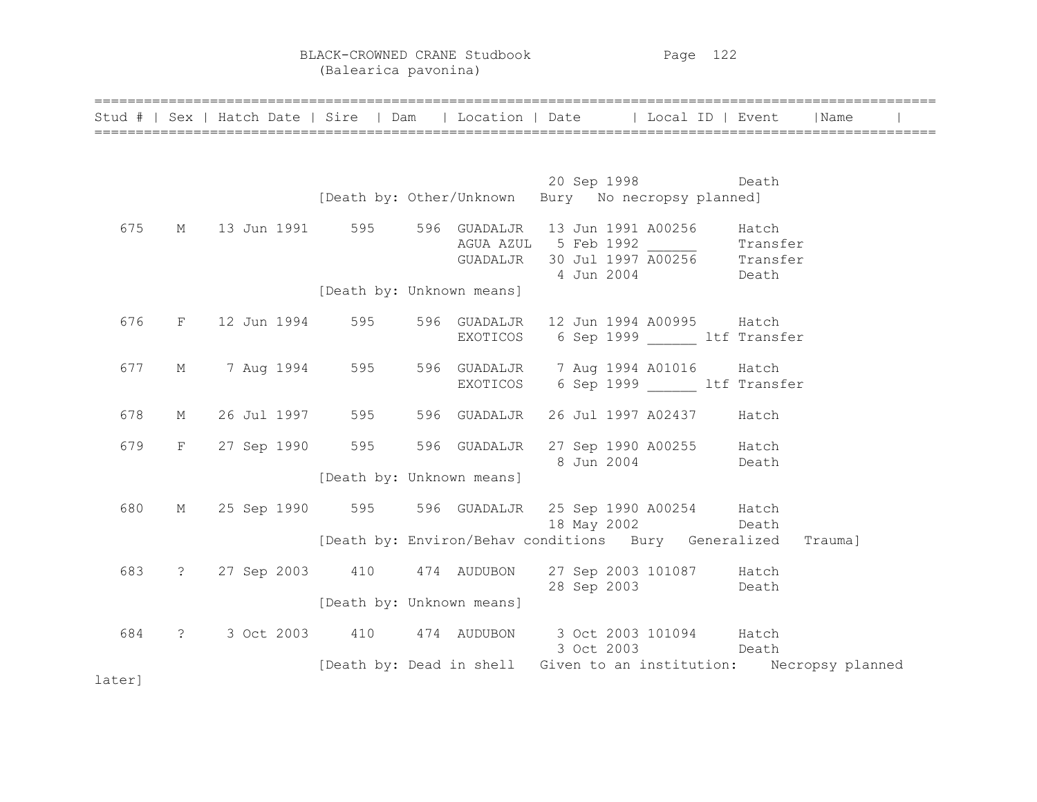BLACK-CROWNED CRANE Studbook Page 122 (Balearica pavonina)

|        |   | Stud #   Sex   Hatch Date   Sire   Dam |          | Location   Date<br>  Local ID   Event                                                                                          | Name    |
|--------|---|----------------------------------------|----------|--------------------------------------------------------------------------------------------------------------------------------|---------|
|        |   |                                        |          |                                                                                                                                |         |
|        |   |                                        |          | 20 Sep 1998 Death<br>[Death by: Other/Unknown Bury No necropsy planned]                                                        |         |
| 675    | M |                                        |          | 13 Jun 1991 595 596 GUADALJR 13 Jun 1991 A00256<br>AGUA AZUL 5 Feb 1992 17 Transfer<br>GUADALJR 30 Jul 1997 A00256 17 Transfer | Hatch   |
|        |   |                                        |          | 4 Jun 2004<br><b>Death</b>                                                                                                     |         |
|        |   | [Death by: Unknown means]              |          |                                                                                                                                |         |
| 676    |   | F 12 Jun 1994 595 596 GUADALJR         |          | 12 Jun 1994 A00995 Hatch                                                                                                       |         |
|        |   |                                        | EXOTICOS | 6 Sep 1999 btf Transfer                                                                                                        |         |
| 677    |   |                                        |          | M 7 Aug 1994 - 595 - 596 GUADALJR - 7 Aug 1994 A01016                                                                          | Hatch   |
|        |   |                                        |          | EXOTICOS 6 Sep 1999 1tf Transfer                                                                                               |         |
| 678    |   |                                        |          | M 26 Jul 1997 595 596 GUADALJR 26 Jul 1997 A02437 Hatch                                                                        |         |
| 679    |   |                                        |          | F 27 Sep 1990 595 596 GUADALJR 27 Sep 1990 A00255 Hatch<br>8 Jun 2004<br><b>Death</b>                                          |         |
|        |   | [Death by: Unknown means]              |          |                                                                                                                                |         |
| 680    |   |                                        |          | M 25 Sep 1990 595 596 GUADALJR 25 Sep 1990 A00254 Hatch                                                                        |         |
|        |   |                                        |          | 18 May 2002 Death<br>[Death by: Environ/Behav conditions Bury Generalized                                                      | Trauma] |
|        |   |                                        |          |                                                                                                                                |         |
| 683    |   | ? 27 Sep 2003 410 474 AUDUBON          |          | 27 Sep 2003 101087 Hatch<br>28 Sep 2003 Death                                                                                  |         |
|        |   | [Death by: Unknown means]              |          |                                                                                                                                |         |
| 684    |   | ? 3 Oct 2003 410 474 AUDUBON           |          | 3 Oct 2003 101094 Hatch<br>3 Oct 2003<br><b>Death</b>                                                                          |         |
|        |   |                                        |          | [Death by: Dead in shell Given to an institution: Necropsy planned                                                             |         |
| later] |   |                                        |          |                                                                                                                                |         |

======================================================================================================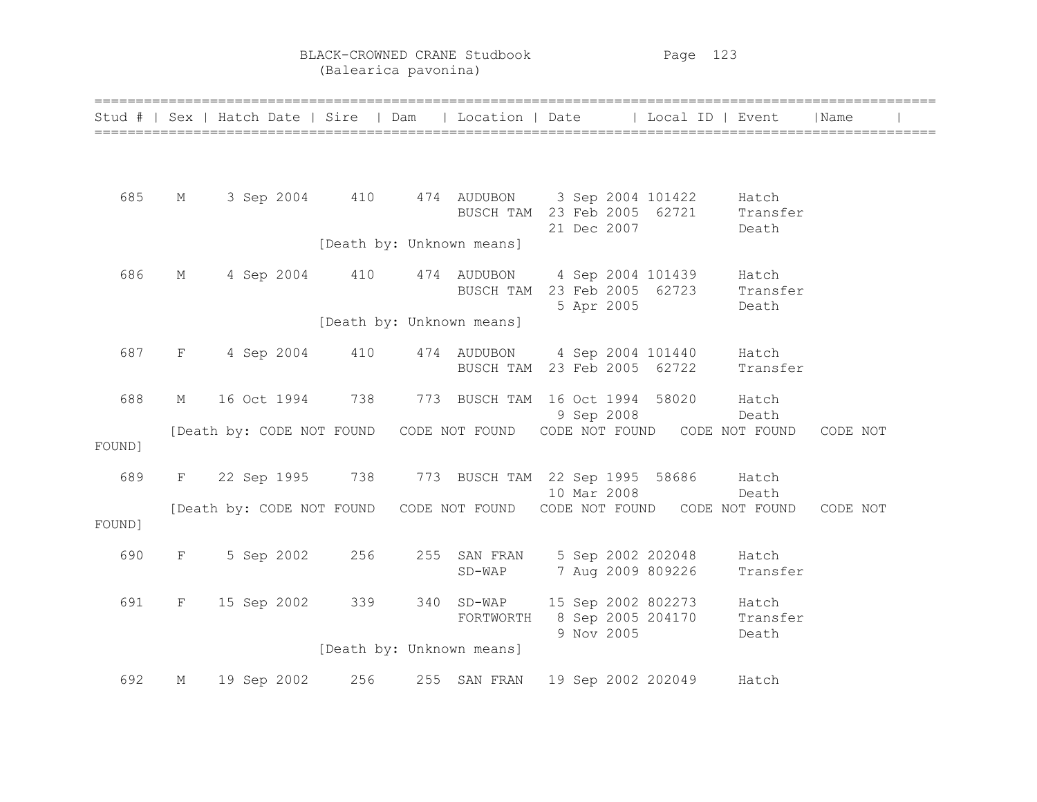BLACK-CROWNED CRANE Studbook Page 123 (Balearica pavonina)

|        |              | Stud #   Sex   Hatch Date   Sire   Dam   Location   Date               |     |                           |                                                                             | Local ID   Event |                            | Name     |  |
|--------|--------------|------------------------------------------------------------------------|-----|---------------------------|-----------------------------------------------------------------------------|------------------|----------------------------|----------|--|
|        |              |                                                                        |     |                           |                                                                             |                  |                            |          |  |
| 685    | М            |                                                                        |     |                           | 3 Sep 2004 410 474 AUDUBON 3 Sep 2004 101422<br>BUSCH TAM 23 Feb 2005 62721 |                  | Hatch<br>Transfer          |          |  |
|        |              |                                                                        |     | [Death by: Unknown means] | 21 Dec 2007                                                                 |                  | Death                      |          |  |
| 686    | М            | 4 Sep 2004 410                                                         |     |                           | 474 AUDUBON 4 Sep 2004 101439<br>BUSCH TAM 23 Feb 2005 62723<br>5 Apr 2005  |                  | Hatch<br>Transfer<br>Death |          |  |
|        |              |                                                                        |     | [Death by: Unknown means] |                                                                             |                  |                            |          |  |
| 687    | $\mathbf{F}$ | 4 Sep 2004                                                             | 410 |                           | 474 AUDUBON 4 Sep 2004 101440 Hatch<br>BUSCH TAM 23 Feb 2005 62722          |                  | Transfer                   |          |  |
| 688    | М            | 16 Oct 1994                                                            | 738 |                           | 773 BUSCH TAM 16 Oct 1994 58020<br>9 Sep 2008                               |                  | Hatch<br>Death             |          |  |
| FOUND] |              | [Death by: CODE NOT FOUND CODE NOT FOUND CODE NOT FOUND CODE NOT FOUND |     |                           |                                                                             |                  |                            | CODE NOT |  |
| 689    | F            | 22 Sep 1995 738                                                        |     |                           | 773 BUSCH TAM 22 Sep 1995 58686 Hatch<br>10 Mar 2008                        |                  | Death                      |          |  |
| FOUND] |              | [Death by: CODE NOT FOUND CODE NOT FOUND CODE NOT FOUND CODE NOT FOUND |     |                           |                                                                             |                  |                            | CODE NOT |  |
| 690    | F            | 5 Sep 2002                                                             | 256 |                           | 255 SAN FRAN 5 Sep 2002 202048 Hatch<br>SD-WAP 7 Aug 2009 809226            |                  | Transfer                   |          |  |
| 691    | F            | 15 Sep 2002                                                            | 339 | 340 SD-WAP<br>FORTWORTH   | 15 Sep 2002 802273<br>8 Sep 2005 204170                                     |                  | Hatch<br>Transfer          |          |  |
|        |              |                                                                        |     | [Death by: Unknown means] | 9 Nov 2005                                                                  |                  | Death                      |          |  |
| 692    | М            | 19 Sep 2002                                                            | 256 | 255 SAN FRAN              | 19 Sep 2002 202049                                                          |                  | Hatch                      |          |  |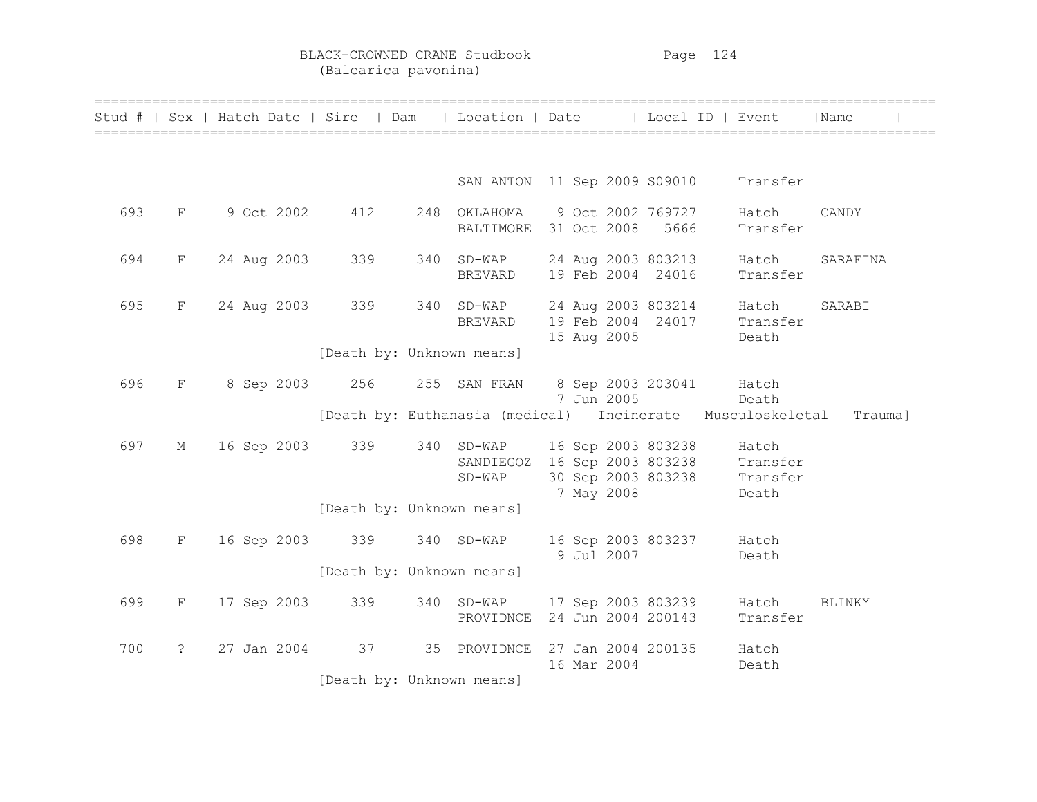BLACK-CROWNED CRANE Studbook Page 124 (Balearica pavonina)

|     |                | Stud #   Sex   Hatch Date   Sire   Dam |                                                            | Location   Date                       |  |             | Local ID   Event                         |                                                           | Name          |  |
|-----|----------------|----------------------------------------|------------------------------------------------------------|---------------------------------------|--|-------------|------------------------------------------|-----------------------------------------------------------|---------------|--|
|     |                |                                        |                                                            |                                       |  |             |                                          |                                                           |               |  |
|     |                |                                        |                                                            | SAN ANTON 11 Sep 2009 S09010 Transfer |  |             |                                          |                                                           |               |  |
| 693 | F              | 9 Oct 2002                             | 412                                                        | 248 OKLAHOMA<br>BALTIMORE             |  | 31 Oct 2008 | 9 Oct 2002 769727<br>5666                | Hatch<br>Transfer                                         | CANDY         |  |
| 694 | $_{\rm F}$     | 24 Aug 2003                            | 339                                                        | 340 SD-WAP<br>BREVARD                 |  |             | 24 Aug 2003 803213<br>19 Feb 2004 24016  | Hatch<br>Transfer                                         | SARAFINA      |  |
| 695 | $_{\rm F}$     | 24 Aug 2003                            | 339                                                        | 340 SD-WAP<br><b>BREVARD</b>          |  | 15 Aug 2005 | 24 Aug 2003 803214<br>19 Feb 2004 24017  | Hatch<br>Transfer<br>Death                                | SARABI        |  |
|     |                |                                        | [Death by: Unknown means]                                  |                                       |  |             |                                          |                                                           |               |  |
| 696 | F              | 8 Sep 2003 256                         |                                                            | 255 SAN FRAN                          |  | 7 Jun 2005  | 8 Sep 2003 203041 Hatch                  | Death                                                     |               |  |
|     |                |                                        | [Death by: Euthanasia (medical) Incinerate Musculoskeletal |                                       |  |             |                                          |                                                           | Trauma]       |  |
| 697 | М              | 16 Sep 2003                            | 339                                                        | 340 SD-WAP<br>SANDIEGOZ<br>$SD-WAP$   |  | 7 May 2008  | 16 Sep 2003 803238<br>30 Sep 2003 803238 | Hatch<br>16 Sep 2003 803238 Transfer<br>Transfer<br>Death |               |  |
|     |                |                                        | [Death by: Unknown means]                                  |                                       |  |             |                                          |                                                           |               |  |
| 698 | $\mathbf{F}$   | 16 Sep 2003                            | 339                                                        | 340 SD-WAP                            |  | 9 Jul 2007  | 16 Sep 2003 803237                       | Hatch<br>Death                                            |               |  |
|     |                |                                        | [Death by: Unknown means]                                  |                                       |  |             |                                          |                                                           |               |  |
| 699 | F              | 17 Sep 2003                            | 339                                                        | 340 SD-WAP<br>PROVIDNCE               |  |             | 17 Sep 2003 803239<br>24 Jun 2004 200143 | Hatch<br>Transfer                                         | <b>BLINKY</b> |  |
| 700 | $\ddot{\cdot}$ | 27 Jan 2004                            | 37                                                         | 35 PROVIDNCE                          |  | 16 Mar 2004 | 27 Jan 2004 200135                       | Hatch<br>Death                                            |               |  |
|     |                |                                        | [Death by: Unknown means]                                  |                                       |  |             |                                          |                                                           |               |  |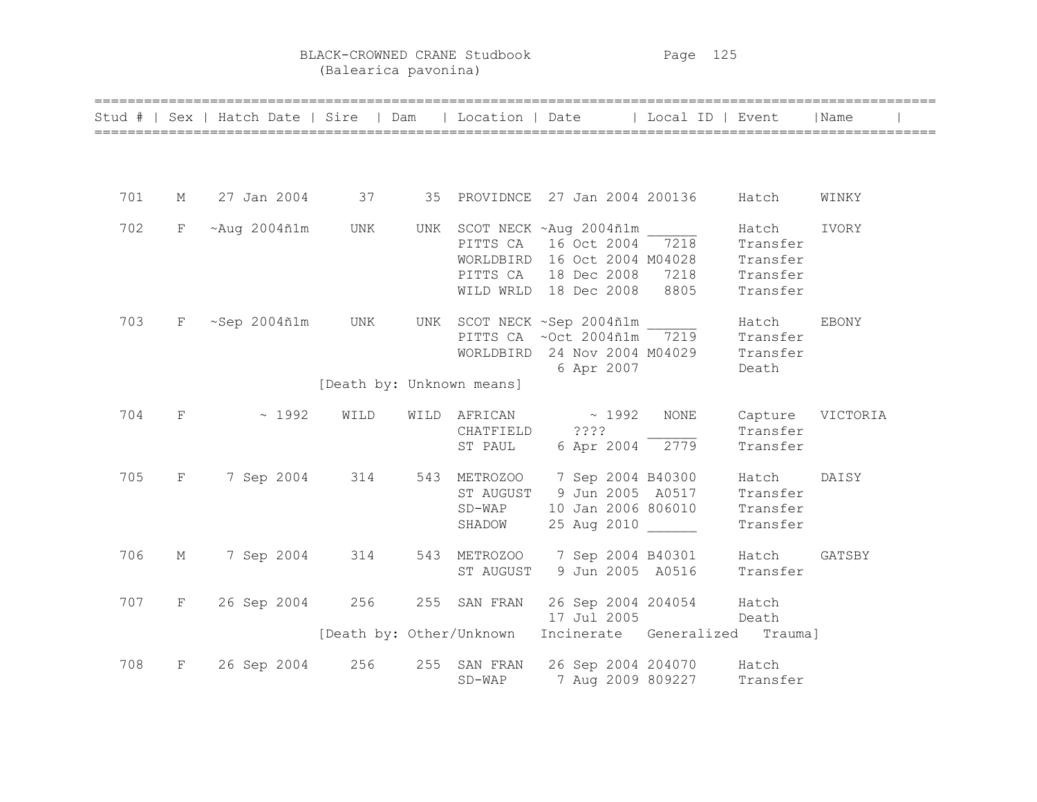BLACK-CROWNED CRANE Studbook Page 125 (Balearica pavonina)

|     |             | Stud #   Sex   Hatch Date   Sire   Dam   Location   Date   Local ID   Event |                           |                |                                                                                                                                                              |             |                                           | Name   |
|-----|-------------|-----------------------------------------------------------------------------|---------------------------|----------------|--------------------------------------------------------------------------------------------------------------------------------------------------------------|-------------|-------------------------------------------|--------|
|     |             |                                                                             |                           |                |                                                                                                                                                              |             |                                           |        |
| 701 |             | M 27 Jan 2004 37 35 PROVIDNCE 27 Jan 2004 200136 Hatch                      |                           |                |                                                                                                                                                              |             |                                           | WINKY  |
| 702 | $F -$       | $~\sim$ Aug 2004ñ1m UNK                                                     |                           |                | UNK SCOT NECK ~ Aug 2004ñ1m<br>PITTS CA 16 Oct 2004 7218<br>WORLDBIRD 16 Oct 2004 M04028<br>PITTS CA 18 Dec 2008 7218 Transfer<br>WILD WRLD 18 Dec 2008 8805 |             | Hatch<br>Transfer<br>Transfer<br>Transfer | IVORY  |
| 703 |             | $F \sim$ Sep 2004 $ñ1m$ UNK                                                 |                           |                | UNK SCOT NECK ~Sep 2004ñ1m Match<br>PITTS CA $\sim$ Oct 2004 $ñ1m$ 7219 Transfer<br>WORLDBIRD 24 Nov 2004 M04029 Transfer<br>6 Apr 2007                      |             | Death                                     | EBONY  |
|     |             |                                                                             | [Death by: Unknown means] |                |                                                                                                                                                              |             |                                           |        |
| 704 | $F = 1$     | $\sim 1992$                                                                 | WILD                      | CHATFIELD ???? | WILD AFRICAN $\sim$ 1992<br>ST PAUL 6 Apr 2004 2779                                                                                                          | <b>NONE</b> | Capture VICTORIA<br>Transfer<br>Transfer  |        |
| 705 | $F$ and $F$ |                                                                             |                           | SHADOW         | 7 Sep 2004 314 543 METROZOO 7 Sep 2004 B40300<br>ST AUGUST 9 Jun 2005 A0517 Transfer<br>SD-WAP 10 Jan 2006 806010 Transfer<br>25 Aug 2010                    |             | Hatch<br>Transfer                         | DAISY  |
| 706 | М           | 7 Sep 2004                                                                  | 314                       |                | 543 METROZOO 7 Sep 2004 B40301 Hatch<br>ST AUGUST 9 Jun 2005 A0516                                                                                           |             | Transfer                                  | GATSBY |
| 707 | $F -$       | 26 Sep 2004 256                                                             |                           |                | 255 SAN FRAN 26 Sep 2004 204054 Hatch<br>17 Jul 2005 Death                                                                                                   |             |                                           |        |
|     |             |                                                                             |                           |                | [Death by: Other/Unknown Incinerate Generalized Trauma]                                                                                                      |             |                                           |        |
| 708 | $F -$       | 26 Sep 2004                                                                 | 256                       | $SD-WAP$       | 255 SAN FRAN 26 Sep 2004 204070 Hatch<br>7 Aug 2009 809227                                                                                                   |             | Transfer                                  |        |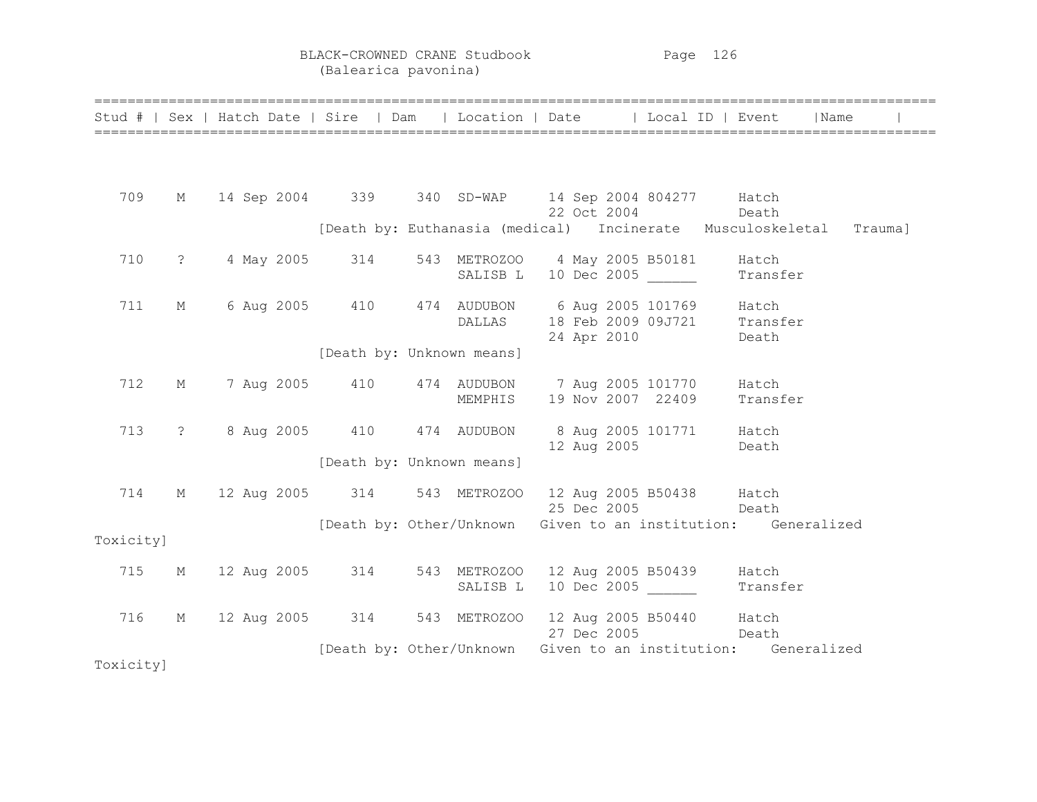BLACK-CROWNED CRANE Studbook Page 126 (Balearica pavonina)

|           |   |  | Stud #   Sex   Hatch Date   Sire   Dam   Location   Date   Local ID   Event   Name |                                                                    |                   |                   |  |  |
|-----------|---|--|------------------------------------------------------------------------------------|--------------------------------------------------------------------|-------------------|-------------------|--|--|
|           |   |  |                                                                                    |                                                                    |                   |                   |  |  |
| 709       |   |  | M 14 Sep 2004 339 340 SD-WAP 14 Sep 2004 804277 Hatch                              |                                                                    |                   |                   |  |  |
|           |   |  |                                                                                    | [Death by: Euthanasia (medical) Incinerate Musculoskeletal Trauma] |                   | 22 Oct 2004 Death |  |  |
| 710       |   |  | ? 4 May 2005 314 543 METROZOO 4 May 2005 B50181 Hatch                              |                                                                    |                   |                   |  |  |
|           |   |  |                                                                                    | SALISB L 10 Dec 2005 Transfer                                      |                   |                   |  |  |
| 711       |   |  | M 6 Aug 2005 410 474 AUDUBON 6 Aug 2005 101769 Hatch                               | DALLAS 18 Feb 2009 09J721 Transfer                                 |                   |                   |  |  |
|           |   |  | [Death by: Unknown means]                                                          |                                                                    |                   | 24 Apr 2010 Death |  |  |
| 712       |   |  | M 7 Aug 2005 410 474 AUDUBON 7 Aug 2005 101770 Hatch                               | MEMPHIS 19 Nov 2007 22409 Transfer                                 |                   |                   |  |  |
| 713       |   |  | ? 8 Aug 2005 410 474 AUDUBON 8 Aug 2005 101771 Hatch                               |                                                                    |                   | 12 Aug 2005 Death |  |  |
|           |   |  | [Death by: Unknown means]                                                          |                                                                    |                   |                   |  |  |
| 714       | M |  | 12 Aug 2005 314 543 METROZOO 12 Aug 2005 B50438 Hatch                              |                                                                    | 25 Dec 2005 Death |                   |  |  |
| Toxicity] |   |  | [Death by: Other/Unknown Given to an institution: Generalized                      |                                                                    |                   |                   |  |  |
| 715       |   |  | M 12 Aug 2005 314 543 METROZOO 12 Aug 2005 B50439 Hatch                            | SALISB L 10 Dec 2005 Transfer                                      |                   |                   |  |  |
| 716       | M |  | 12 Aug 2005 314 543 METROZOO 12 Aug 2005 B50440 Hatch                              |                                                                    |                   | 27 Dec 2005 Death |  |  |
| Toxicity] |   |  |                                                                                    | [Death by: Other/Unknown Given to an institution: Generalized      |                   |                   |  |  |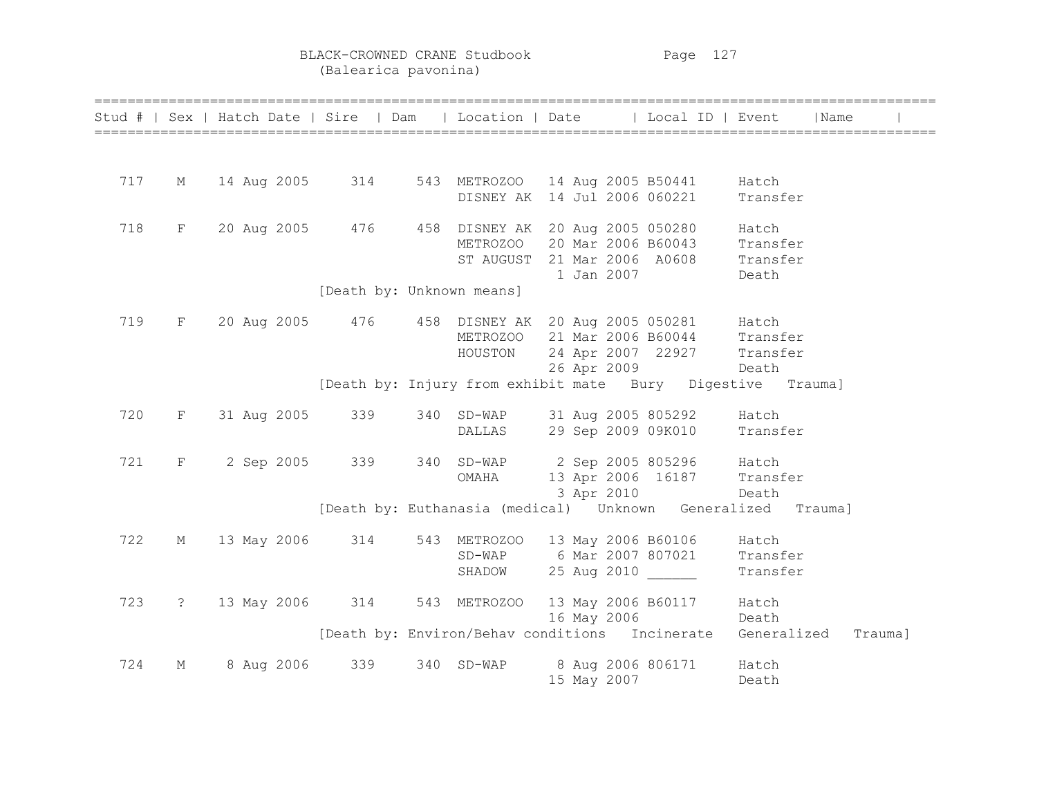BLACK-CROWNED CRANE Studbook Page 127 (Balearica pavonina)

|     |                   |                   |                           |              | Stud #   Sex   Hatch Date   Sire   Dam   Location   Date   Local ID   Event        | ======================================<br>  Name |
|-----|-------------------|-------------------|---------------------------|--------------|------------------------------------------------------------------------------------|--------------------------------------------------|
|     |                   |                   |                           |              |                                                                                    |                                                  |
| 717 | М                 |                   | 14 Aug 2005 314           |              | 543 METROZOO 14 Aug 2005 B50441                                                    | Hatch                                            |
|     |                   |                   |                           |              | DISNEY AK 14 Jul 2006 060221                                                       | Transfer                                         |
| 718 |                   | F 20 Aug 2005 476 |                           |              | 458 DISNEY AK 20 Aug 2005 050280                                                   | Hatch                                            |
|     |                   |                   |                           | METROZOO     | 20 Mar 2006 B60043                                                                 | Transfer                                         |
|     |                   |                   |                           |              | ST AUGUST 21 Mar 2006 A0608                                                        | Transfer                                         |
|     |                   |                   | [Death by: Unknown means] |              | 1 Jan 2007                                                                         | Death                                            |
|     |                   |                   |                           |              |                                                                                    |                                                  |
| 719 |                   | F 20 Aug 2005 476 |                           |              | 458 DISNEY AK 20 Aug 2005 050281 Hatch                                             |                                                  |
|     |                   |                   |                           | METROZOO     | 21 Mar 2006 B60044 Transfer                                                        |                                                  |
|     |                   |                   |                           | HOUSTON      | 24 Apr 2007 22927 Transfer                                                         |                                                  |
|     |                   |                   |                           |              | 26 Apr 2009<br>Death<br>[Death by: Injury from exhibit mate Bury Digestive Trauma] |                                                  |
|     |                   |                   |                           |              |                                                                                    |                                                  |
| 720 | F                 | 31 Aug 2005 339   |                           |              | 340 SD-WAP 31 Aug 2005 805292 Hatch                                                |                                                  |
|     |                   |                   |                           | DALLAS       | 29 Sep 2009 09K010                                                                 | Transfer                                         |
| 721 | $F$ and $F$       |                   | 2 Sep 2005 339            |              | 340 SD-WAP 2 Sep 2005 805296 Hatch                                                 |                                                  |
|     |                   |                   |                           | OMAHA        | 13 Apr 2006 16187 Transfer                                                         |                                                  |
|     |                   |                   |                           |              | 3 Apr 2010                                                                         | Death                                            |
|     |                   |                   |                           |              | [Death by: Euthanasia (medical)    Unknown    Generalized    Trauma]               |                                                  |
| 722 | М                 | 13 May 2006 314   |                           | 543 METROZOO | 13 May 2006 B60106                                                                 | Hatch                                            |
|     |                   |                   |                           | SD-WAP       | 6 Mar 2007 807021                                                                  | Transfer                                         |
|     |                   |                   |                           | SHADOW       | 25 Aug 2010                                                                        | Transfer                                         |
| 723 | $\ddot{\text{?}}$ |                   | 13 May 2006 314           |              | 543 METROZOO 13 May 2006 B60117 Hatch                                              |                                                  |
|     |                   |                   |                           |              | 16 May 2006                                                                        | Death                                            |
|     |                   |                   |                           |              | [Death by: Environ/Behav conditions Incinerate Generalized Trauma]                 |                                                  |
| 724 | М                 | 8 Aug 2006        | 339                       | 340 SD-WAP   | 8 Aug 2006 806171 Hatch                                                            |                                                  |
|     |                   |                   |                           |              | 15 May 2007                                                                        | Death                                            |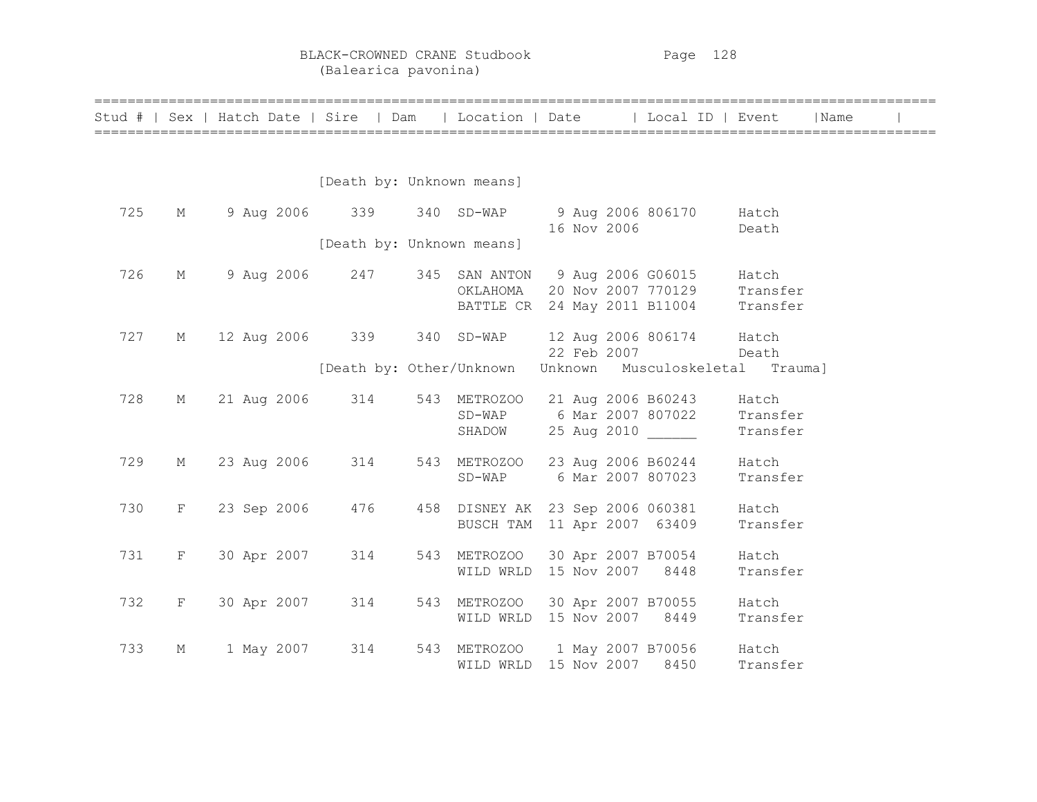BLACK-CROWNED CRANE Studbook Page 128 (Balearica pavonina)

|     |              |             |                           |                                                                 |  |             | Stud #   Sex   Hatch Date   Sire   Dam   Location   Date   Local ID   Event   |                   | Name |  |
|-----|--------------|-------------|---------------------------|-----------------------------------------------------------------|--|-------------|-------------------------------------------------------------------------------|-------------------|------|--|
|     |              |             |                           |                                                                 |  |             |                                                                               |                   |      |  |
|     |              |             | [Death by: Unknown means] |                                                                 |  |             |                                                                               |                   |      |  |
| 725 | М            |             |                           |                                                                 |  |             | 9 Aug 2006 339 340 SD-WAP 9 Aug 2006 806170 Hatch                             |                   |      |  |
|     |              |             | [Death by: Unknown means] |                                                                 |  | 16 Nov 2006 |                                                                               | Death             |      |  |
| 726 | М            |             | 9 Aug 2006 247            |                                                                 |  |             | 345 SAN ANTON 9 Aug 2006 G06015 Hatch                                         |                   |      |  |
|     |              |             |                           |                                                                 |  |             | OKLAHOMA 20 Nov 2007 770129 Transfer<br>BATTLE CR 24 May 2011 B11004 Transfer |                   |      |  |
| 727 | М            |             |                           |                                                                 |  |             | 12 Aug 2006 339 340 SD-WAP 12 Aug 2006 806174 Hatch                           |                   |      |  |
|     |              |             |                           |                                                                 |  | 22 Feb 2007 | Death<br>[Death by: Other/Unknown Unknown Musculoskeletal Trauma]             |                   |      |  |
| 728 | M            |             | 21 Aug 2006 314           | 543 METROZOO 21 Aug 2006 B60243                                 |  |             |                                                                               | Hatch             |      |  |
|     |              |             |                           | SHADOW                                                          |  |             | SD-WAP 6 Mar 2007 807022 Transfer<br>25 Aug 2010                              | Transfer          |      |  |
| 729 | M            | 23 Aug 2006 | 314                       |                                                                 |  |             | 543 METROZOO 23 Aug 2006 B60244                                               | Hatch             |      |  |
|     |              |             |                           | SD-WAP 6 Mar 2007 807023                                        |  |             |                                                                               | Transfer          |      |  |
| 730 | $\mathbf{F}$ | 23 Sep 2006 | 476                       | 458 DISNEY AK 23 Sep 2006 060381<br>BUSCH TAM 11 Apr 2007 63409 |  |             |                                                                               | Hatch<br>Transfer |      |  |
| 731 | F            | 30 Apr 2007 | 314                       | 543 METROZOO 30 Apr 2007 B70054                                 |  |             |                                                                               | Hatch             |      |  |
|     |              |             |                           | WILD WRLD 15 Nov 2007 8448                                      |  |             |                                                                               | Transfer          |      |  |
| 732 | $\mathbf{F}$ | 30 Apr 2007 | 314                       | WILD WRLD 15 Nov 2007 8449                                      |  |             | 543 METROZOO 30 Apr 2007 B70055                                               | Hatch<br>Transfer |      |  |
| 733 | М            | 1 May 2007  | 314                       |                                                                 |  |             | 543 METROZOO 1 May 2007 B70056 Hatch                                          |                   |      |  |
|     |              |             |                           | WILD WRLD 15 Nov 2007 8450                                      |  |             |                                                                               | Transfer          |      |  |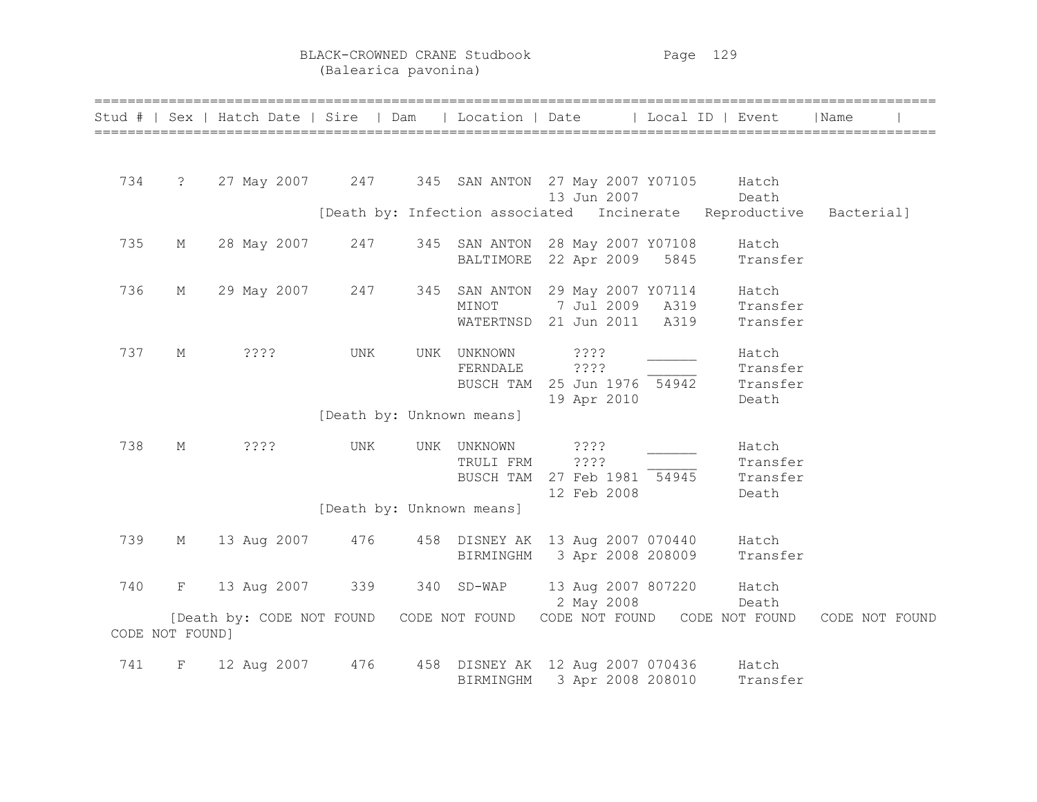BLACK-CROWNED CRANE Studbook Page 129 (Balearica pavonina)

|                 |            | Stud #   Sex   Hatch Date   Sire   Dam |     |     | Location   Date                  | Local ID   Event                                                |                                        | Name           |
|-----------------|------------|----------------------------------------|-----|-----|----------------------------------|-----------------------------------------------------------------|----------------------------------------|----------------|
| 734             | $\ddot{?}$ | 27 May 2007 247                        |     |     |                                  | 345 SAN ANTON 27 May 2007 Y07105<br>13 Jun 2007                 | Hatch<br>Death                         |                |
|                 |            |                                        |     |     |                                  | [Death by: Infection associated Incinerate                      | Reproductive                           | Bacterial]     |
| 735             | М          | 28 May 2007                            | 247 |     | BALTIMORE                        | 345 SAN ANTON 28 May 2007 Y07108<br>22 Apr 2009<br>5845         | Hatch<br>Transfer                      |                |
| 736             | М          | 29 May 2007                            | 247 | 345 | SAN ANTON<br>MINOT<br>WATERTNSD  | 29 May 2007 Y07114<br>7 Jul 2009<br>A319<br>21 Jun 2011<br>A319 | Hatch<br>Transfer<br>Transfer          |                |
| 737             | М          | ????                                   | UNK | UNK | UNKNOWN<br>FERNDALE<br>BUSCH TAM | ? ? ? ?<br>????<br>25 Jun 1976 54942<br>19 Apr 2010             | Hatch<br>Transfer<br>Transfer<br>Death |                |
|                 |            |                                        |     |     | [Death by: Unknown means]        |                                                                 |                                        |                |
| 738             | М          | $??\$                                  | UNK | UNK | UNKNOWN<br>TRULI FRM             | ????<br>? ? ? ?<br>BUSCH TAM 27 Feb 1981 54945<br>12 Feb 2008   | Hatch<br>Transfer<br>Transfer<br>Death |                |
|                 |            |                                        |     |     | [Death by: Unknown means]        |                                                                 |                                        |                |
| 739             | М          | 13 Aug 2007                            | 476 |     | BIRMINGHM                        | 458 DISNEY AK 13 Aug 2007 070440<br>3 Apr 2008 208009           | Hatch<br>Transfer                      |                |
| 740             | F          | 13 Aug 2007                            | 339 |     | 340 SD-WAP                       | 13 Aug 2007 807220<br>2 May 2008                                | Hatch<br>Death                         |                |
| CODE NOT FOUND] |            | [Death by: CODE NOT FOUND              |     |     | CODE NOT FOUND                   | CODE NOT FOUND CODE NOT FOUND                                   |                                        | CODE NOT FOUND |
| 741             | F          | 12 Aug 2007                            | 476 |     | BIRMINGHM                        | 458 DISNEY AK 12 Aug 2007 070436<br>3 Apr 2008 208010           | Hatch<br>Transfer                      |                |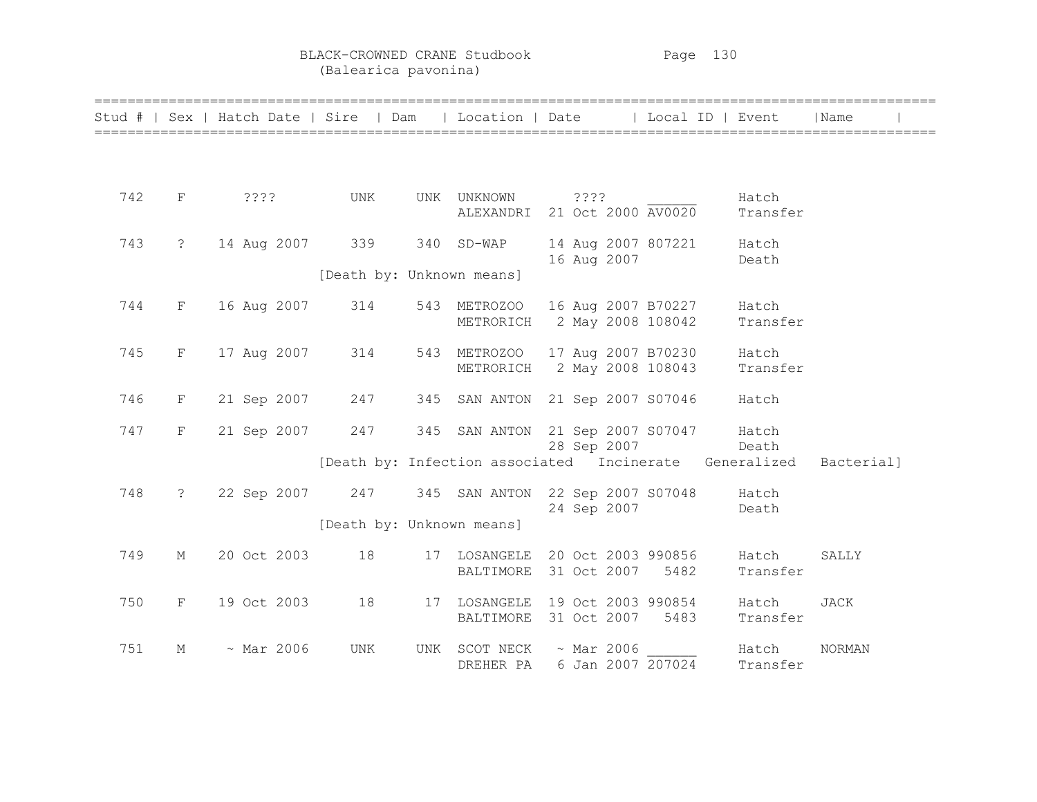BLACK-CROWNED CRANE Studbook Page 130 (Balearica pavonina)

|     |                | Stud #   Sex   Hatch Date   Sire   Dam |                           |     |                              | Location   Date   Local ID   Event                     |                   | Name          |
|-----|----------------|----------------------------------------|---------------------------|-----|------------------------------|--------------------------------------------------------|-------------------|---------------|
|     |                |                                        |                           |     |                              |                                                        |                   |               |
| 742 | F              | ????                                   | UNK                       |     | UNK UNKNOWN<br>ALEXANDRI     | ????<br>21 Oct 2000 AV0020                             | Hatch<br>Transfer |               |
| 743 | $\ddot{\cdot}$ | 14 Aug 2007                            | 339                       |     | 340 SD-WAP                   | 14 Aug 2007 807221<br>16 Aug 2007                      | Hatch<br>Death    |               |
|     |                |                                        | [Death by: Unknown means] |     |                              |                                                        |                   |               |
| 744 | F              | 16 Aug 2007                            | 314                       |     | 543 METROZOO<br>METRORICH    | 16 Aug 2007 B70227<br>2 May 2008 108042                | Hatch<br>Transfer |               |
| 745 | F              | 17 Aug 2007                            | 314                       | 543 | <b>METROZOO</b><br>METRORICH | 17 Aug 2007 B70230<br>2 May 2008 108043                | Hatch<br>Transfer |               |
| 746 | F              | 21 Sep 2007                            | 247                       | 345 |                              | SAN ANTON 21 Sep 2007 S07046                           | Hatch             |               |
| 747 | F              | 21 Sep 2007                            | 247                       | 345 |                              | SAN ANTON 21 Sep 2007 S07047<br>28 Sep 2007            | Hatch<br>Death    |               |
|     |                |                                        |                           |     |                              | [Death by: Infection associated Incinerate Generalized |                   | Bacterial]    |
| 748 | $\ddot{\cdot}$ | 22 Sep 2007                            | 247                       |     |                              | 345 SAN ANTON 22 Sep 2007 S07048<br>24 Sep 2007        | Hatch<br>Death    |               |
|     |                |                                        | [Death by: Unknown means] |     |                              |                                                        |                   |               |
| 749 | $M_{\odot}$    | 20 Oct 2003                            | 18                        |     | 17 LOSANGELE<br>BALTIMORE    | 20 Oct 2003 990856<br>31 Oct 2007<br>5482              | Hatch<br>Transfer | SALLY         |
| 750 | F              | 19 Oct 2003                            | 18                        |     | 17 LOSANGELE<br>BALTIMORE    | 19 Oct 2003 990854<br>31 Oct 2007<br>5483              | Hatch<br>Transfer | <b>JACK</b>   |
| 751 | М              | $~\sim$ Mar 2006                       | <b>UNK</b>                | UNK | SCOT NECK<br>DREHER PA       | $~\sim$ Mar 2006<br>6 Jan 2007 207024                  | Hatch<br>Transfer | <b>NORMAN</b> |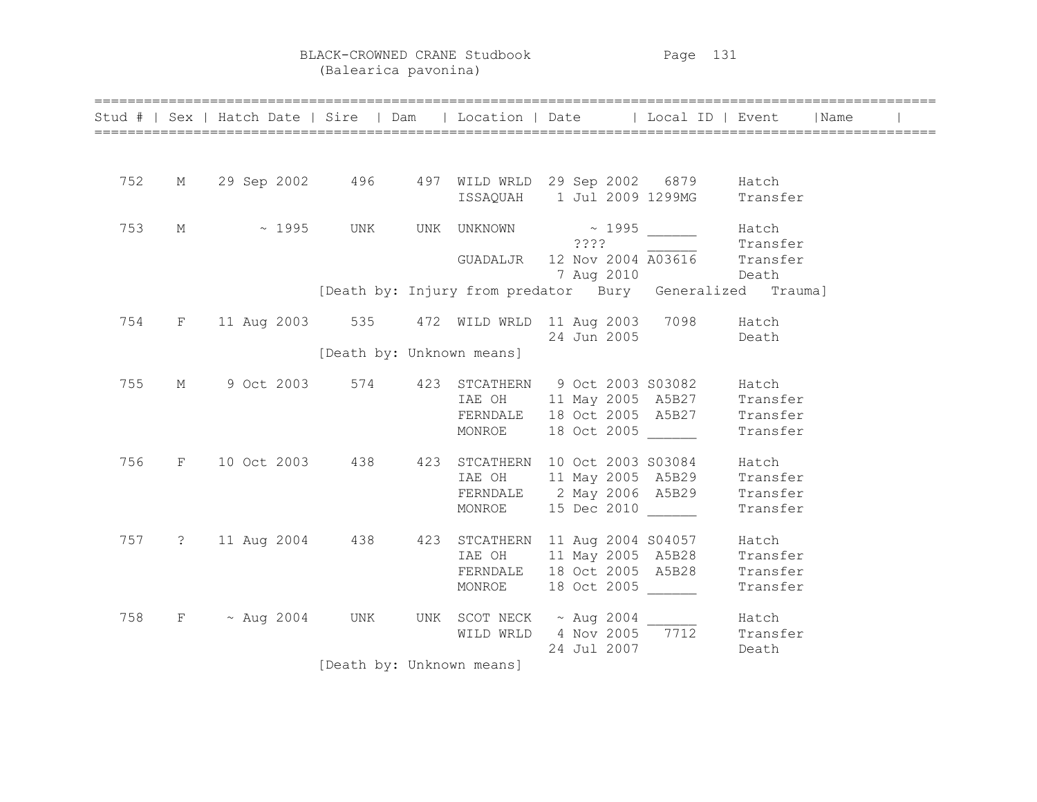BLACK-CROWNED CRANE Studbook Page 131 (Balearica pavonina)

|     |  |  |  |                           | Stud #   Sex   Hatch Date   Sire   Dam   Location   Date   Local ID   Event   Name                                                       |                  |          |  |
|-----|--|--|--|---------------------------|------------------------------------------------------------------------------------------------------------------------------------------|------------------|----------|--|
|     |  |  |  |                           |                                                                                                                                          |                  |          |  |
| 752 |  |  |  |                           | M 29 Sep 2002 496 497 WILD WRLD 29 Sep 2002 6879 Hatch                                                                                   |                  |          |  |
|     |  |  |  |                           | ISSAQUAH 1 Jul 2009 1299MG Transfer                                                                                                      |                  |          |  |
| 753 |  |  |  |                           | M ~ 1995 UNK UNK UNKNOWN ~ 1995 ______ Hatch                                                                                             |                  |          |  |
|     |  |  |  |                           | ????                                                                                                                                     |                  | Transfer |  |
|     |  |  |  |                           | GUADALJR 12 Nov 2004 A03616 Transfer                                                                                                     |                  |          |  |
|     |  |  |  |                           |                                                                                                                                          | 7 Aug 2010 Death |          |  |
|     |  |  |  |                           | [Death by: Injury from predator Bury Generalized Trauma]                                                                                 |                  |          |  |
| 754 |  |  |  |                           | F 11 Aug 2003 535 472 WILD WRLD 11 Aug 2003 7098 Hatch                                                                                   |                  |          |  |
|     |  |  |  |                           | 24 Jun 2005 Death                                                                                                                        |                  |          |  |
|     |  |  |  | [Death by: Unknown means] |                                                                                                                                          |                  |          |  |
| 755 |  |  |  |                           | M 9 Oct 2003 574 423 STCATHERN 9 Oct 2003 S03082 Hatch                                                                                   |                  |          |  |
|     |  |  |  |                           | IAE OH 11 May 2005 A5B27 Transfer                                                                                                        |                  |          |  |
|     |  |  |  |                           | FERNDALE 18 Oct 2005 A5B27 Transfer                                                                                                      |                  |          |  |
|     |  |  |  | MONROE                    | 18 Oct 2005 Transfer                                                                                                                     |                  |          |  |
| 756 |  |  |  |                           | F 10 Oct 2003 438 423 STCATHERN 10 Oct 2003 S03084 Hatch                                                                                 |                  |          |  |
|     |  |  |  |                           | IAE OH 11 May 2005 A5B29 Transfer<br>FERNDALE 2 May 2006 A5B29 Transfer                                                                  |                  |          |  |
|     |  |  |  |                           |                                                                                                                                          |                  |          |  |
|     |  |  |  |                           | MONROE 15 Dec 2010                                                                                                                       |                  | Transfer |  |
|     |  |  |  |                           | 757 ? 11 Aug 2004 438 423 STCATHERN 11 Aug 2004 S04057 Hatch<br>IAE OH 11 May 2005 A5B28 Transfer<br>FERNDALE 18 Oct 2005 A5B28 Transfer |                  |          |  |
|     |  |  |  |                           |                                                                                                                                          |                  |          |  |
|     |  |  |  |                           |                                                                                                                                          |                  |          |  |
|     |  |  |  |                           | MONROE 18 Oct 2005                                                                                                                       |                  | Transfer |  |
| 758 |  |  |  |                           | $F \sim \text{Aug } 2004$ UNK UNK SCOTNECK $\sim$ Aug 2004 Hatch                                                                         |                  |          |  |
|     |  |  |  |                           | WILD WRLD $4$ Nov 2005 $\overline{7712}$                                                                                                 |                  | Transfer |  |
|     |  |  |  |                           | 24 Jul 2007                                                                                                                              |                  | Death    |  |
|     |  |  |  | [Death by: Unknown means] |                                                                                                                                          |                  |          |  |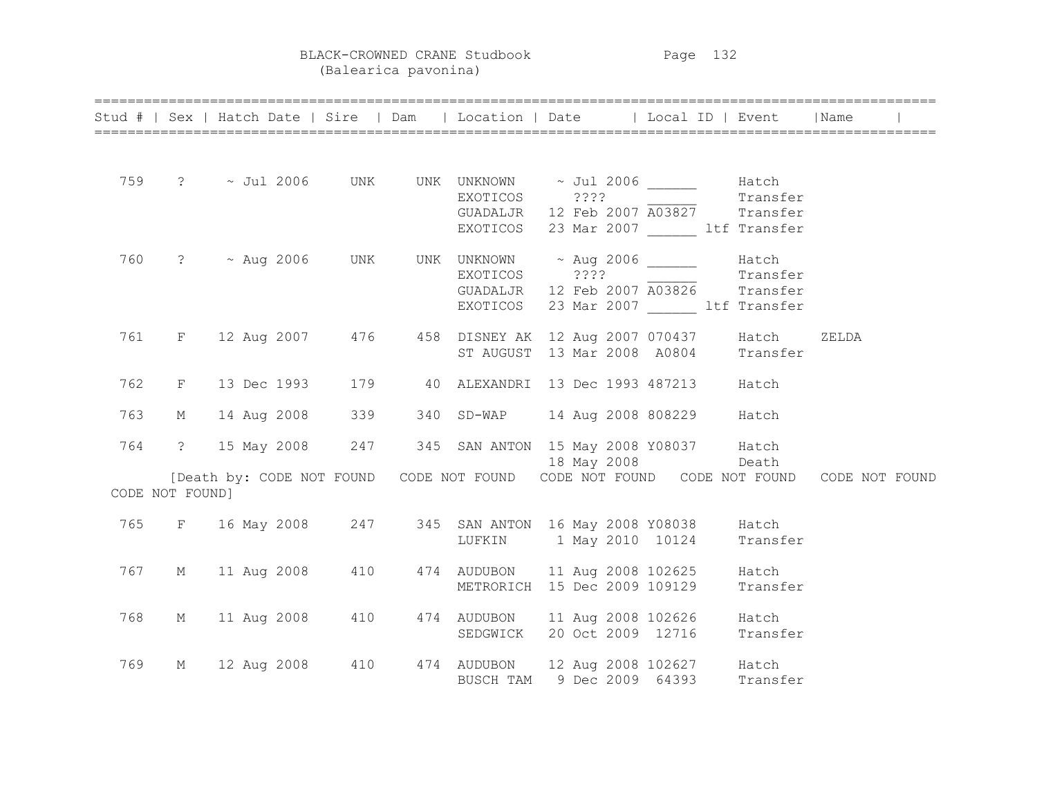BLACK-CROWNED CRANE Studbook Page 132 (Balearica pavonina)

|     |                 | Stud #   Sex   Hatch Date   Sire   Dam   Location   Date   Local ID   Event   Name                                                                   |  |          |                                       |       |  |
|-----|-----------------|------------------------------------------------------------------------------------------------------------------------------------------------------|--|----------|---------------------------------------|-------|--|
|     |                 |                                                                                                                                                      |  |          |                                       |       |  |
|     |                 |                                                                                                                                                      |  |          |                                       |       |  |
|     |                 |                                                                                                                                                      |  |          |                                       |       |  |
|     |                 | 759 ? ~ Jul 2006 UNK UNK UNKNOWN ~ Jul 2006 ______ Hatch<br>EXOTICOS ???? Transfer<br>GUADALJR 12 Feb 2007 A03827 Transfer                           |  |          |                                       |       |  |
|     |                 |                                                                                                                                                      |  |          |                                       |       |  |
|     |                 |                                                                                                                                                      |  |          | EXOTICOS 23 Mar 2007 ltf Transfer     |       |  |
|     |                 |                                                                                                                                                      |  |          |                                       |       |  |
|     |                 |                                                                                                                                                      |  |          |                                       |       |  |
|     |                 | 760 ? $\sim$ Aug 2006 UNK UNK UNKNOWN $\sim$ Aug 2006 $\sim$ Hatch EXOTICOS ???? Transfer Transfer GUADALJR 12 Feb 2007 $\overline{A03826}$ Transfer |  |          |                                       |       |  |
|     |                 |                                                                                                                                                      |  | EXOTICOS | 23 Mar 2007 ltf Transfer              |       |  |
|     |                 |                                                                                                                                                      |  |          |                                       |       |  |
|     |                 | 761 F 12 Aug 2007 476 458 DISNEY AK 12 Aug 2007 070437 Hatch                                                                                         |  |          |                                       | ZELDA |  |
|     |                 |                                                                                                                                                      |  |          | ST AUGUST 13 Mar 2008 A0804 Transfer  |       |  |
|     |                 |                                                                                                                                                      |  |          |                                       |       |  |
| 762 |                 | F 13 Dec 1993 179 40 ALEXANDRI 13 Dec 1993 487213 Hatch                                                                                              |  |          |                                       |       |  |
|     |                 |                                                                                                                                                      |  |          |                                       |       |  |
| 763 | M               | 14 Aug 2008 339                                                                                                                                      |  |          | 340 SD-WAP 14 Aug 2008 808229 Hatch   |       |  |
| 764 |                 | ? 15 May 2008 247 345 SAN ANTON 15 May 2008 Y08037 Hatch                                                                                             |  |          |                                       |       |  |
|     |                 |                                                                                                                                                      |  |          | 18 May 2008 Death                     |       |  |
|     |                 | [Death by: CODE NOT FOUND CODE NOT FOUND CODE NOT FOUND CODE NOT FOUND CODE NOT FOUND                                                                |  |          |                                       |       |  |
|     | CODE NOT FOUND] |                                                                                                                                                      |  |          |                                       |       |  |
|     |                 |                                                                                                                                                      |  |          |                                       |       |  |
|     |                 | 765 F 16 May 2008 247 345 SAN ANTON 16 May 2008 Y08038 Hatch                                                                                         |  |          |                                       |       |  |
|     |                 |                                                                                                                                                      |  |          | LUFKIN 1 May 2010 10124 Transfer      |       |  |
|     |                 |                                                                                                                                                      |  |          |                                       |       |  |
|     |                 | 767 M 11 Aug 2008 410 474 AUDUBON 11 Aug 2008 102625 Hatch                                                                                           |  |          |                                       |       |  |
|     |                 |                                                                                                                                                      |  |          | METRORICH 15 Dec 2009 109129 Transfer |       |  |
| 768 |                 | M 11 Aug 2008 410 474 AUDUBON 11 Aug 2008 102626 Hatch                                                                                               |  |          |                                       |       |  |
|     |                 |                                                                                                                                                      |  |          | SEDGWICK 20 Oct 2009 12716 Transfer   |       |  |
|     |                 |                                                                                                                                                      |  |          |                                       |       |  |
| 769 | M               | 12 Aug 2008   410   474   AUDUBON   12 Aug 2008   102627   Hatch<br>BUSCH TAM   9 Dec 2009   64393   Transfer                                        |  |          |                                       |       |  |
|     |                 |                                                                                                                                                      |  |          |                                       |       |  |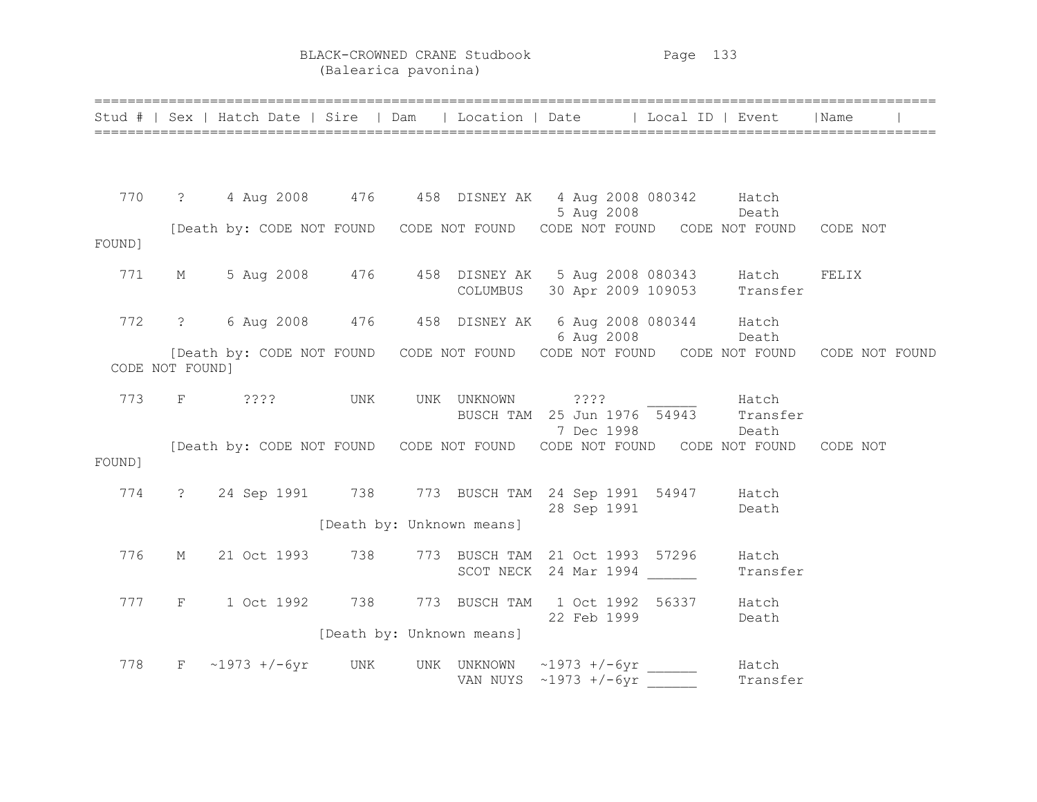BLACK-CROWNED CRANE Studbook Page 133 (Balearica pavonina)

|        |                 | Stud #   Sex   Hatch Date   Sire   Dam   Location   Date   Local ID   Event                   |     |                           |                                                                                    |                   | Name     |  |
|--------|-----------------|-----------------------------------------------------------------------------------------------|-----|---------------------------|------------------------------------------------------------------------------------|-------------------|----------|--|
|        |                 |                                                                                               |     |                           |                                                                                    |                   |          |  |
| 770    |                 | ? 4 Aug 2008 476 458 DISNEY AK 4 Aug 2008 080342 Hatch                                        |     |                           |                                                                                    |                   |          |  |
| FOUND] |                 | Death by: CODE NOT FOUND CODE NOT FOUND CODE NOT FOUND CODE NOT FOUND CODE NOT FOUND CODE NOT |     |                           |                                                                                    |                   |          |  |
| 771    |                 | M 5 Aug 2008 476 458 DISNEY AK 5 Aug 2008 080343 Hatch                                        |     | COLUMBUS                  | 30 Apr 2009 109053 Transfer                                                        |                   | FELIX    |  |
| 772    |                 | ? 6 Aug 2008 476 458 DISNEY AK 6 Aug 2008 080344 Hatch                                        |     |                           | 6 Aug 2008 Death                                                                   |                   |          |  |
|        | CODE NOT FOUND] | [Death by: CODE NOT FOUND CODE NOT FOUND CODE NOT FOUND CODE NOT FOUND CODE NOT FOUND         |     |                           |                                                                                    |                   |          |  |
| 773    |                 | $F$ 2???                                                                                      | UNK |                           | UNK UNKNOWN ???? Hatch<br>BUSCH TAM 25 Jun 1976 54943 Transfer<br>7 Dec 1998 Death |                   |          |  |
| FOUND] |                 | [Death by: CODE NOT FOUND CODE NOT FOUND CODE NOT FOUND CODE NOT FOUND                        |     |                           |                                                                                    |                   | CODE NOT |  |
| 774    |                 | ? 24 Sep 1991 738 773 BUSCH TAM 24 Sep 1991 54947 Hatch                                       |     |                           | 28 Sep 1991 Death                                                                  |                   |          |  |
|        |                 |                                                                                               |     | [Death by: Unknown means] |                                                                                    |                   |          |  |
| 776    | М               | 21 Oct 1993                                                                                   | 738 |                           | 773 BUSCH TAM 21 Oct 1993 57296<br>SCOT NECK 24 Mar 1994                           | Hatch<br>Transfer |          |  |
| 777    | $F \sim$        | 1 Oct 1992 738                                                                                |     |                           | 773 BUSCH TAM 1 Oct 1992 56337 Hatch<br>22 Feb 1999                                | Death             |          |  |
|        |                 |                                                                                               |     | [Death by: Unknown means] |                                                                                    |                   |          |  |
| 778    |                 | $F \sim 1973 + (-6yr$ UNK                                                                     |     |                           | UNK UNKNOWN ~1973 +/-6yr _____<br>VAN NUYS $\sim 1973$ +/-6yr                      | Hatch<br>Transfer |          |  |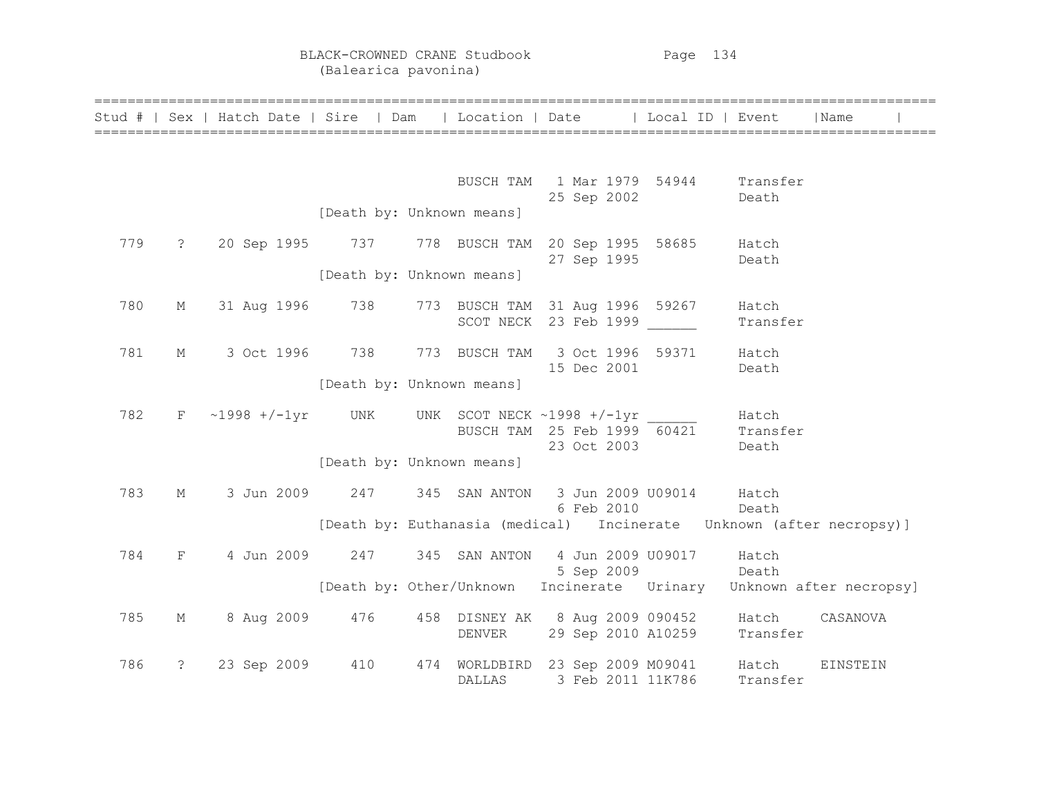|     |                | Stud #   Sex   Hatch Date   Sire   Dam   Location   Date   Local ID   Event |                           |                                                          |                   |                                                                      |                   | l Name                                                               |
|-----|----------------|-----------------------------------------------------------------------------|---------------------------|----------------------------------------------------------|-------------------|----------------------------------------------------------------------|-------------------|----------------------------------------------------------------------|
|     |                |                                                                             |                           |                                                          |                   |                                                                      |                   |                                                                      |
|     |                |                                                                             |                           |                                                          | 25 Sep 2002       | BUSCH TAM 1 Mar 1979 54944 Transfer<br>Death                         |                   |                                                                      |
|     |                |                                                                             | [Death by: Unknown means] |                                                          |                   |                                                                      |                   |                                                                      |
| 779 |                | ? 20 Sep 1995 737 778 BUSCH TAM 20 Sep 1995 58685 Hatch                     |                           |                                                          | 27 Sep 1995       |                                                                      | Death             |                                                                      |
|     |                |                                                                             | [Death by: Unknown means] |                                                          |                   |                                                                      |                   |                                                                      |
| 780 | М              | 31 Aug 1996 738                                                             |                           | 773 BUSCH TAM 31 Aug 1996 59267<br>SCOT NECK 23 Feb 1999 |                   |                                                                      | Hatch<br>Transfer |                                                                      |
| 781 | M              | 3 Oct 1996 738                                                              |                           |                                                          | 15 Dec 2001       | 773 BUSCH TAM 3 Oct 1996 59371 Hatch                                 | Death             |                                                                      |
|     |                |                                                                             | [Death by: Unknown means] |                                                          |                   |                                                                      |                   |                                                                      |
| 782 |                | $F \sim 1998 +/-1yr$ UNK UNK SCOT NECK ~1998 +/-1yr Hatch                   |                           |                                                          | 23 Oct 2003       | BUSCH TAM 25 Feb $1999\overline{60421}$ Transfer                     | Death             |                                                                      |
|     |                |                                                                             | [Death by: Unknown means] |                                                          |                   |                                                                      |                   |                                                                      |
| 783 | М              | 3 Jun 2009 247                                                              |                           |                                                          | 6 Feb 2010        | 345 SAN ANTON 3 Jun 2009 U09014 Hatch<br>Death                       |                   |                                                                      |
|     |                |                                                                             |                           |                                                          |                   |                                                                      |                   | [Death by: Euthanasia (medical) Incinerate Unknown (after necropsy)] |
| 784 | $F =$          | 4 Jun 2009 247                                                              |                           | 345 SAN ANTON                                            | 4 Jun 2009 U09017 | 5 Sep 2009 Death                                                     | Hatch             |                                                                      |
|     |                |                                                                             |                           |                                                          |                   |                                                                      |                   | [Death by: Other/Unknown Incinerate Urinary Unknown after necropsy]  |
| 785 | М              | 8 Aug 2009 476                                                              |                           | DENVER                                                   |                   | 458 DISNEY AK 8 Aug 2009 090452 Hatch<br>29 Sep 2010 A10259 Transfer |                   | CASANOVA                                                             |
| 786 | $\ddot{\cdot}$ | 23 Sep 2009 410                                                             |                           | <b>DALLAS</b>                                            | 3 Feb 2011 11K786 | 474 WORLDBIRD 23 Sep 2009 M09041 Hatch                               | Transfer          | EINSTEIN                                                             |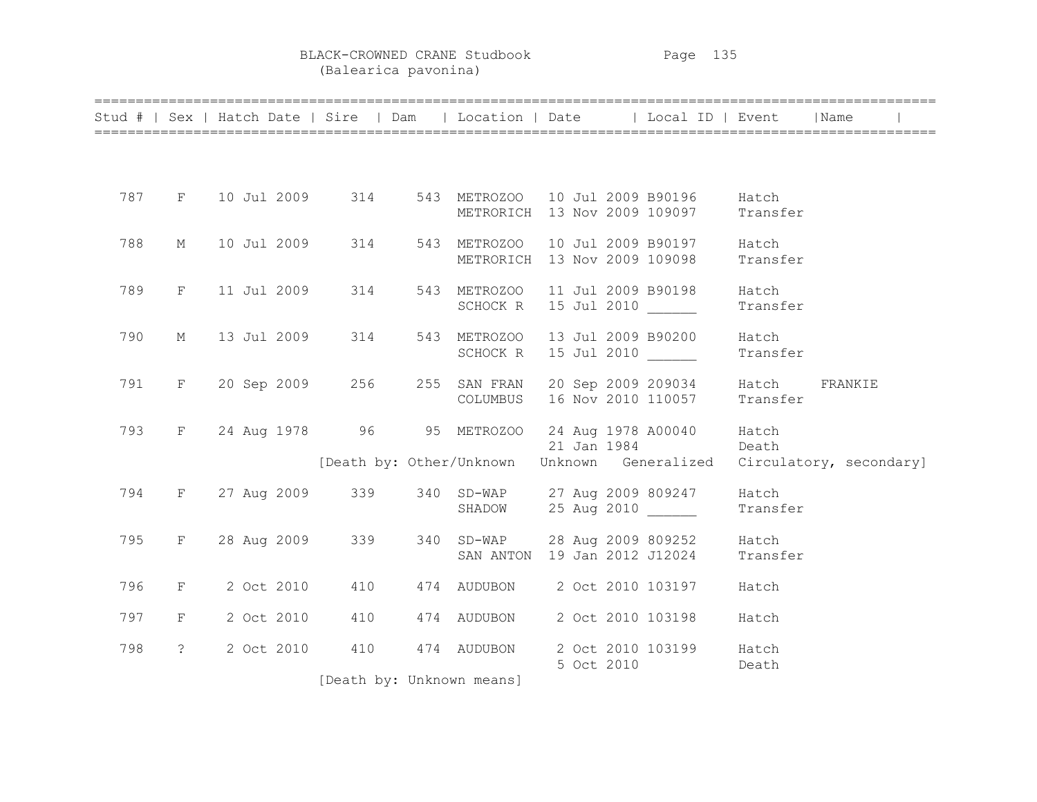BLACK-CROWNED CRANE Studbook Page 135 (Balearica pavonina)

|     |                      |  |             |                   | ===============                                                 |             | Stud #   Sex   Hatch Date   Sire   Dam   Location   Date   Local ID   Event       |                   | Name                    |  |
|-----|----------------------|--|-------------|-------------------|-----------------------------------------------------------------|-------------|-----------------------------------------------------------------------------------|-------------------|-------------------------|--|
|     |                      |  |             |                   |                                                                 |             |                                                                                   |                   |                         |  |
| 787 |                      |  |             | F 10 Jul 2009 314 | 543 METROZOO 10 Jul 2009 B90196<br>METRORICH 13 Nov 2009 109097 |             |                                                                                   | Hatch<br>Transfer |                         |  |
| 788 | М                    |  | 10 Jul 2009 | 314               | 543 METROZOO<br>METRORICH                                       |             | 10 Jul 2009 B90197<br>13 Nov 2009 109098                                          | Hatch<br>Transfer |                         |  |
| 789 | $F -$                |  | 11 Jul 2009 | 314               | 543 METROZOO<br>SCHOCK R                                        |             | 11 Jul 2009 B90198<br>15 Jul 2010                                                 | Hatch<br>Transfer |                         |  |
| 790 | М                    |  | 13 Jul 2009 | 314               | 543 METROZOO<br>SCHOCK R                                        |             | 13 Jul 2009 B90200<br>15 Jul 2010 _____                                           | Hatch<br>Transfer |                         |  |
| 791 | $F -$                |  |             | 20 Sep 2009 256   | 255 SAN FRAN<br>COLUMBUS                                        |             | 20 Sep 2009 209034 Hatch<br>16 Nov 2010 110057                                    | Transfer          | FRANKIE                 |  |
| 793 |                      |  |             |                   | F 24 Aug 1978 96 95 METROZOO                                    | 21 Jan 1984 | 24 Aug 1978 A00040 Hatch<br>Death<br>[Death by: Other/Unknown Unknown Generalized |                   | Circulatory, secondary] |  |
| 794 |                      |  |             | F 27 Aug 2009 339 | 340 SD-WAP 27 Aug 2009 809247                                   |             |                                                                                   | Hatch             |                         |  |
|     |                      |  |             |                   | SHADOW                                                          |             | 25 Aug 2010                                                                       | Transfer          |                         |  |
| 795 | $F^-$                |  | 28 Aug 2009 | 339               | 340 SD-WAP 28 Aug 2009 809252<br>SAN ANTON 19 Jan 2012 J12024   |             |                                                                                   | Hatch<br>Transfer |                         |  |
| 796 | $F$ and $F$          |  | 2 Oct 2010  | 410               | 474 AUDUBON 2 Oct 2010 103197                                   |             |                                                                                   | Hatch             |                         |  |
| 797 | F                    |  | 2 Oct 2010  | 410               | 474 AUDUBON                                                     |             | 2 Oct 2010 103198                                                                 | Hatch             |                         |  |
| 798 | $\ddot{\mathcal{E}}$ |  | 2 Oct 2010  | 410               | 474 AUDUBON                                                     | 5 Oct 2010  | 2 Oct 2010 103199                                                                 | Hatch<br>Death    |                         |  |
|     |                      |  |             |                   | [Death by: Unknown means]                                       |             |                                                                                   |                   |                         |  |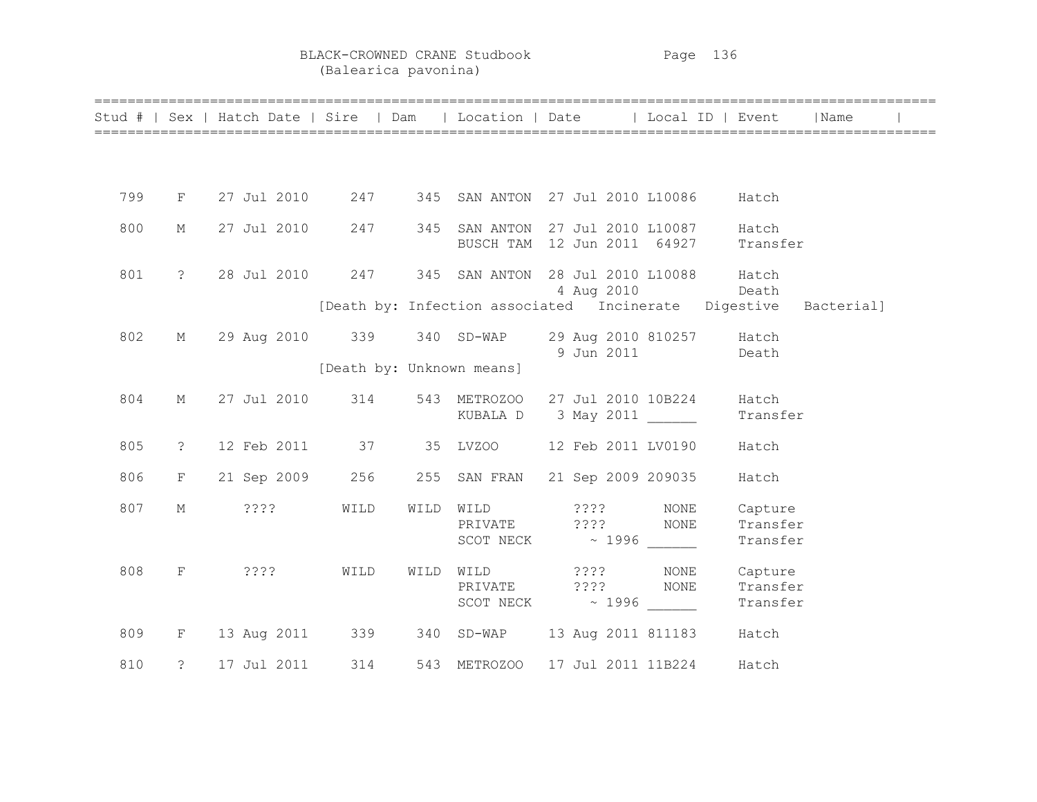## BLACK-CROWNED CRANE Studbook Page 136 (Balearica pavonina)

|     |                |  |             |                 |      | Stud #   Sex   Hatch Date   Sire   Dam   Location   Date   Local ID   Event |  |            |                    |                                 | Name       |  |
|-----|----------------|--|-------------|-----------------|------|-----------------------------------------------------------------------------|--|------------|--------------------|---------------------------------|------------|--|
|     |                |  |             |                 |      |                                                                             |  |            |                    |                                 |            |  |
| 799 | $F -$          |  |             |                 |      |                                                                             |  |            |                    |                                 |            |  |
| 800 | М              |  |             |                 |      | BUSCH TAM 12 Jun 2011 64927 Transfer                                        |  |            |                    | Hatch                           |            |  |
| 801 | $\ddot{?}$     |  |             |                 |      | 28 Jul 2010   247   345   SAN ANTON   28 Jul 2010   L10088   Hatch          |  | 4 Aug 2010 |                    | Death                           |            |  |
|     |                |  |             |                 |      | [Death by: Infection associated Incinerate Digestive                        |  |            |                    |                                 | Bacterial] |  |
| 802 | $M_{\odot}$    |  |             |                 |      | 29 Aug 2010 339 340 SD-WAP 29 Aug 2010 810257 Hatch                         |  |            | 9 Jun 2011 Death   |                                 |            |  |
|     |                |  |             |                 |      | [Death by: Unknown means]                                                   |  |            |                    |                                 |            |  |
| 804 | $M_{\odot}$    |  |             | 27 Jul 2010 314 |      | 543 METROZOO 27 Jul 2010 10B224<br>KUBALA D 3 May 2011                      |  |            |                    | Hatch<br>Transfer               |            |  |
| 805 | $\tilde{z}$    |  |             |                 |      | 12 Feb 2011 37 35 LVZ00                                                     |  |            | 12 Feb 2011 LV0190 | Hatch                           |            |  |
| 806 | F              |  |             |                 |      | 21 Sep 2009 256 255 SAN FRAN                                                |  |            | 21 Sep 2009 209035 | Hatch                           |            |  |
| 807 | М              |  | 2222        | WILD            | WILD | WILD ????<br>PRIVATE ???? NONE<br>SCOT NECK $\sim$ 1996 ______              |  |            | NONE               | Capture<br>Transfer<br>Transfer |            |  |
| 808 | F              |  | 2222        | WILD            | WILD | WILD ????<br>PRIVATE ???? NONE                                              |  |            | NONE               | Capture<br>Transfer<br>Transfer |            |  |
| 809 |                |  |             |                 |      | F 13 Aug 2011 339 340 SD-WAP 13 Aug 2011 811183                             |  |            |                    | Hatch                           |            |  |
| 810 | $\ddot{\cdot}$ |  | 17 Jul 2011 | 314             |      | 543 METROZOO                                                                |  |            | 17 Jul 2011 11B224 | Hatch                           |            |  |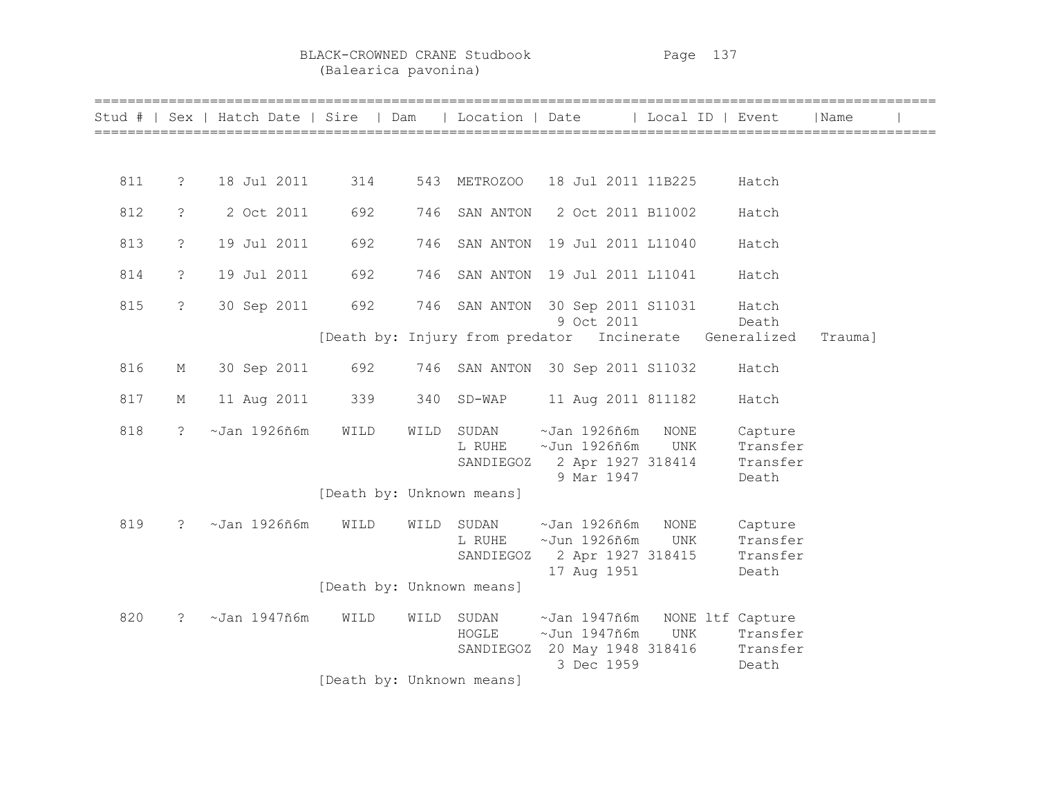BLACK-CROWNED CRANE Studbook Page 137 (Balearica pavonina)

|     |                      | Stud #   Sex   Hatch Date   Sire   Dam   Location   Date |                           |      |                              |                                                                                  | Local ID   Event        |                                          | Name    |  |
|-----|----------------------|----------------------------------------------------------|---------------------------|------|------------------------------|----------------------------------------------------------------------------------|-------------------------|------------------------------------------|---------|--|
|     |                      |                                                          |                           |      |                              |                                                                                  |                         |                                          |         |  |
| 811 | $\ddot{\cdot}$       | 18 Jul 2011                                              | 314                       |      | 543 METROZOO                 | 18 Jul 2011 11B225                                                               |                         | Hatch                                    |         |  |
| 812 | $\tilde{S}$          | 2 Oct 2011                                               | 692                       | 746  | SAN ANTON                    | 2 Oct 2011 B11002                                                                |                         | Hatch                                    |         |  |
| 813 | $\dot{\mathcal{S}}$  | 19 Jul 2011                                              | 692                       | 746  | SAN ANTON                    | 19 Jul 2011 L11040                                                               |                         | Hatch                                    |         |  |
| 814 | $\tilde{S}$          | 19 Jul 2011                                              | 692                       | 746  | SAN ANTON                    | 19 Jul 2011 L11041                                                               |                         | Hatch                                    |         |  |
| 815 | $\ddot{\phantom{0}}$ | 30 Sep 2011                                              | 692                       | 746  |                              | SAN ANTON 30 Sep 2011 S11031<br>9 Oct 2011                                       |                         | Hatch<br>Death                           |         |  |
|     |                      |                                                          |                           |      |                              | [Death by: Injury from predator Incinerate Generalized                           |                         |                                          | Trauma] |  |
| 816 | М                    | 30 Sep 2011                                              | 692                       | 746  |                              | SAN ANTON 30 Sep 2011 S11032                                                     |                         | Hatch                                    |         |  |
| 817 | М                    | 11 Aug 2011                                              | 339                       | 340  | SD-WAP                       | 11 Aug 2011 811182                                                               |                         | Hatch                                    |         |  |
| 818 | $\ddot{\phantom{0}}$ | $~\sim$ Jan 1926ñ6m                                      | WILD                      | WILD | SUDAN<br>L RUHE<br>SANDIEGOZ | ~Jan 1926ñ6m<br>~Jun 1926ñ6m<br>2 Apr 1927 318414<br>9 Mar 1947                  | <b>NONE</b><br>UNK      | Capture<br>Transfer<br>Transfer<br>Death |         |  |
|     |                      |                                                          | [Death by: Unknown means] |      |                              |                                                                                  |                         |                                          |         |  |
| 819 | $\ddot{\mathcal{S}}$ | $~\sim$ Jan 1926ñ6m                                      | WILD                      | WILD | SUDAN<br>L RUHE<br>SANDIEGOZ | $~\sim$ Jan 1926ñ6m<br>$~\sim$ Jun 1926ñ6m<br>2 Apr 1927 318415<br>17 Aug 1951   | <b>NONE</b><br>UNK      | Capture<br>Transfer<br>Transfer<br>Death |         |  |
|     |                      |                                                          | [Death by: Unknown means] |      |                              |                                                                                  |                         |                                          |         |  |
| 820 | $\ddot{\cdot}$       | $~\sim$ Jan 1947ñ6m                                      | WILD                      | WILD | SUDAN<br>HOGLE               | ~Jan 1947ñ6m<br>$\sim$ Jun 1947ñ6m<br>SANDIEGOZ 20 May 1948 318416<br>3 Dec 1959 | NONE ltf Capture<br>UNK | Transfer<br>Transfer<br>Death            |         |  |
|     |                      |                                                          | [Death by: Unknown means] |      |                              |                                                                                  |                         |                                          |         |  |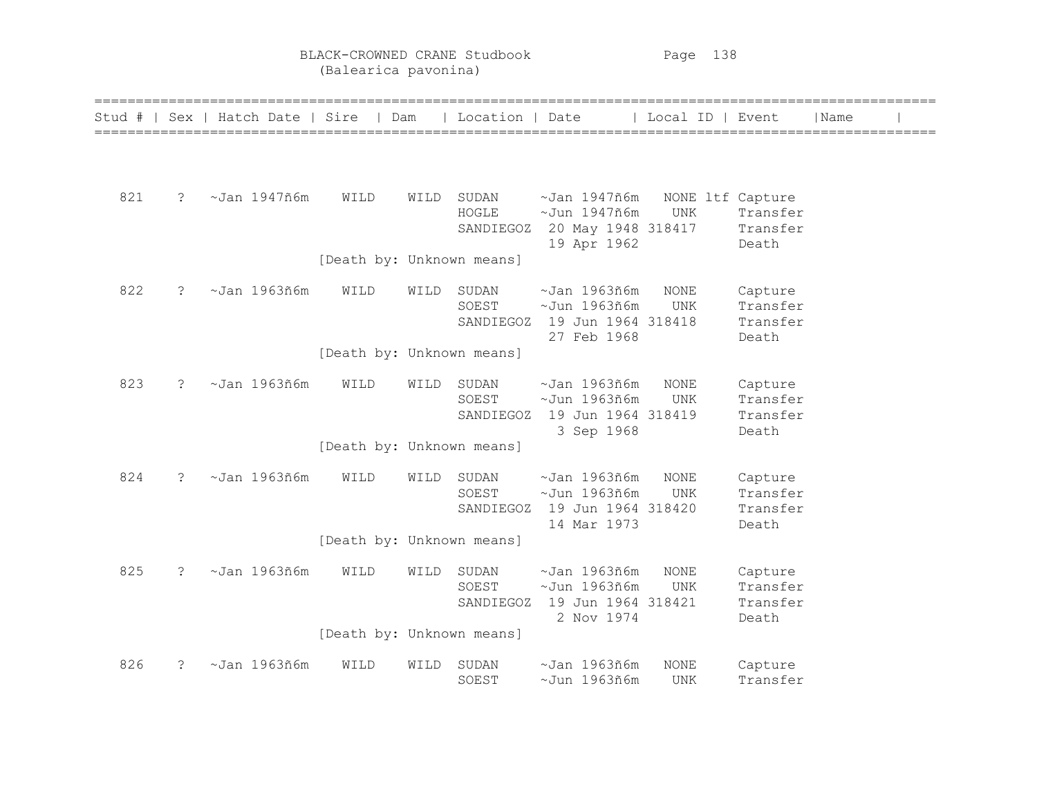BLACK-CROWNED CRANE Studbook Page 138 (Balearica pavonina)

| Stud # |               | Sex   Hatch Date   Sire |                           | Dam  | Location   Date             |                                                                                           | Local ID   Event               |                                          | Name |  |
|--------|---------------|-------------------------|---------------------------|------|-----------------------------|-------------------------------------------------------------------------------------------|--------------------------------|------------------------------------------|------|--|
|        |               |                         |                           |      |                             |                                                                                           |                                |                                          |      |  |
| 821    | $\tilde{S}$   | $~\sim$ Jan 1947ñ6m     | WILD                      | WILD | SUDAN<br>HOGLE              | $~\sim$ Jan 1947ñ6m<br>$~\sim$ Jun 1947ñ6m<br>SANDIEGOZ 20 May 1948 318417<br>19 Apr 1962 | NONE ltf Capture<br><b>UNK</b> | Transfer<br>Transfer<br>Death            |      |  |
|        |               |                         | [Death by: Unknown means] |      |                             |                                                                                           |                                |                                          |      |  |
| 822    | $\mathcal{E}$ | $~\sim$ Jan 1963ñ6m     | WILD                      | WILD | SUDAN<br>SOEST<br>SANDIEGOZ | $~\sim$ Jan 1963ñ6m<br>$~\sim$ Jun 1963ñ6m<br>19 Jun 1964 318418<br>27 Feb 1968           | <b>NONE</b><br><b>UNK</b>      | Capture<br>Transfer<br>Transfer<br>Death |      |  |
|        |               |                         | [Death by: Unknown means] |      |                             |                                                                                           |                                |                                          |      |  |
| 823    | $\tilde{S}$   | $~\sim$ Jan 1963ñ6m     | WILD                      | WILD | SUDAN<br>SOEST<br>SANDIEGOZ | $~\sim$ Jan 1963ñ6m<br>$~\sim$ Jun 1963ñ6m<br>19 Jun 1964 318419<br>3 Sep 1968            | <b>NONE</b><br><b>UNK</b>      | Capture<br>Transfer<br>Transfer<br>Death |      |  |
|        |               |                         | [Death by: Unknown means] |      |                             |                                                                                           |                                |                                          |      |  |
| 824    | $\mathcal{E}$ | $~\sim$ Jan 1963ñ6m     | WILD                      | WILD | SUDAN<br>SOEST              | $~\sim$ Jan 1963ñ6m<br>$~\sim$ Jun 1963ñ6m<br>SANDIEGOZ 19 Jun 1964 318420<br>14 Mar 1973 | <b>NONE</b><br><b>UNK</b>      | Capture<br>Transfer<br>Transfer<br>Death |      |  |
|        |               |                         | [Death by: Unknown means] |      |                             |                                                                                           |                                |                                          |      |  |
| 825    | $\tilde{S}$   | $~\sim$ Jan 1963ñ6m     | WILD                      | WILD | SUDAN<br>SOEST              | $~\sim$ Jan 1963ñ6m<br>$~\sim$ Jun 1963ñ6m<br>SANDIEGOZ 19 Jun 1964 318421<br>2 Nov 1974  | $\rm{NONE}$<br><b>UNK</b>      | Capture<br>Transfer<br>Transfer<br>Death |      |  |
|        |               |                         | [Death by: Unknown means] |      |                             |                                                                                           |                                |                                          |      |  |
| 826    | $\tilde{S}$   | $~\sim$ Jan 1963ñ6m     | WILD                      | WILD | SUDAN<br>SOEST              | $~\sim$ Jan 1963ñ6m<br>$\sim$ Jun 1963ñ6m                                                 | <b>NONE</b><br>UNK             | Capture<br>Transfer                      |      |  |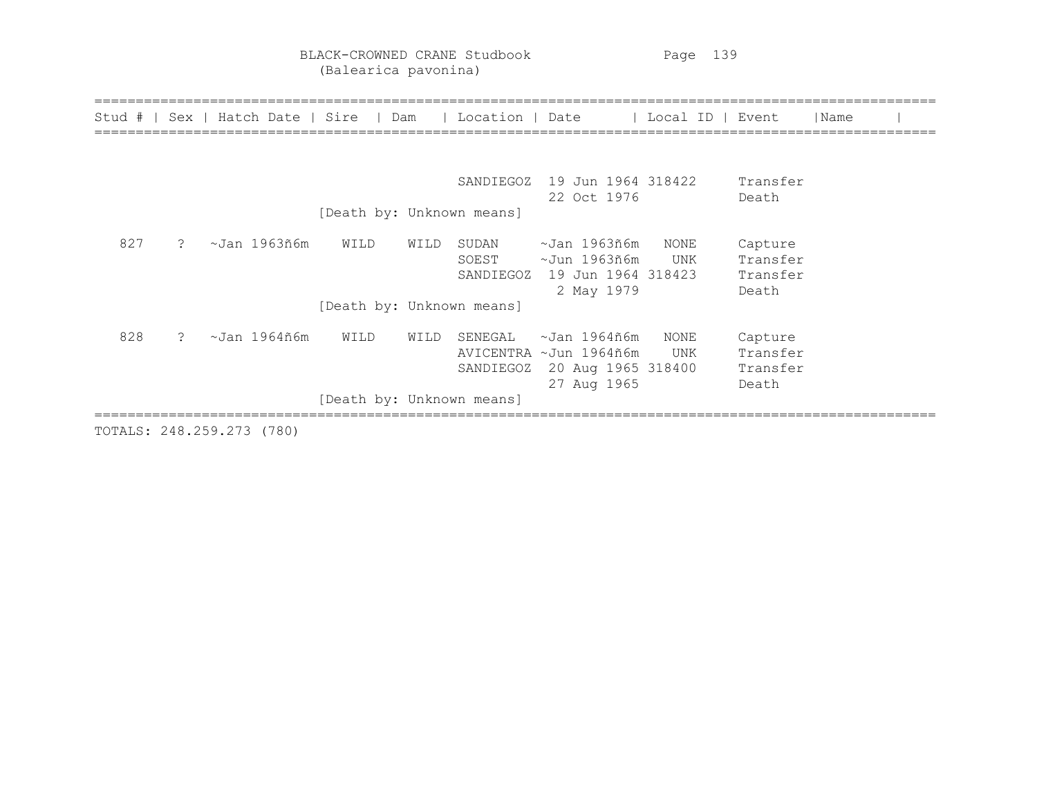BLACK-CROWNED CRANE Studbook Page 139 (Balearica pavonina)

|     |                      |              |      |      |                             | Stud #   Sex   Hatch Date   Sire   Dam   Location   Date   Local ID   Event |             |                                          | Name |  |
|-----|----------------------|--------------|------|------|-----------------------------|-----------------------------------------------------------------------------|-------------|------------------------------------------|------|--|
|     |                      |              |      |      |                             |                                                                             |             |                                          |      |  |
|     |                      |              |      |      | SANDIEGOZ                   | 19 Jun 1964 318422<br>22 Oct 1976                                           |             | Transfer<br>Death                        |      |  |
|     |                      |              |      |      | [Death by: Unknown means]   |                                                                             |             |                                          |      |  |
| 827 | $\ddot{\phantom{0}}$ | ~Jan 1963ñ6m | WILD | WILD | SUDAN<br>SOEST<br>SANDIEGOZ | ~Jan 1963ñ6m<br>~Jun 1963ñ6m<br>19 Jun 1964 318423<br>2 May 1979            | NONE<br>UNK | Capture<br>Transfer<br>Transfer<br>Death |      |  |
|     |                      |              |      |      | [Death by: Unknown means]   |                                                                             |             |                                          |      |  |
| 828 | $\mathcal{P}$        | ~Jan 1964ñ6m | WILD | WILD | SENEGAL<br>SANDIEGOZ        | ~Jan 1964ñ6m<br>AVICENTRA ~Jun 1964ñ6m<br>20 Aug 1965 318400<br>27 Aug 1965 | NONE<br>UNK | Capture<br>Transfer<br>Transfer<br>Death |      |  |
|     |                      |              |      |      | [Death by: Unknown means]   |                                                                             |             |                                          |      |  |

TOTALS: 248.259.273 (780)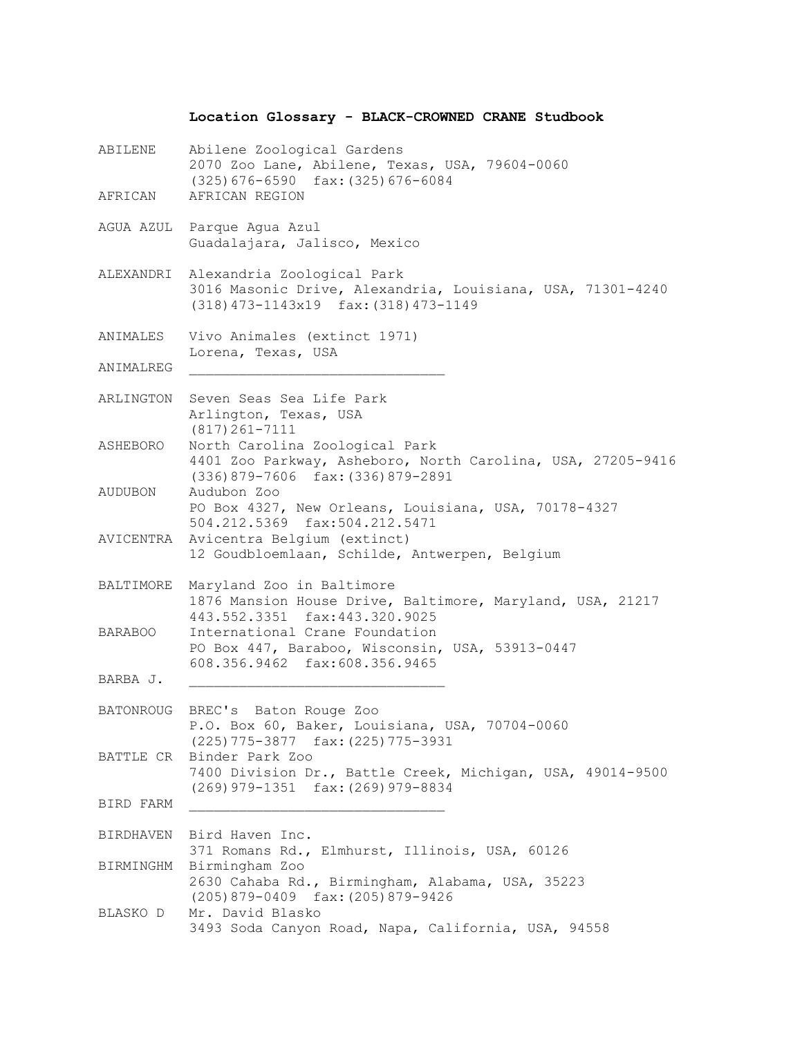## **Location Glossary - BLACK-CROWNED CRANE Studbook**

ABILENE Abilene Zoological Gardens 2070 Zoo Lane, Abilene, Texas, USA, 79604-0060 (325)676-6590 fax:(325)676-6084 AFRICAN AFRICAN REGION AGUA AZUL Parque Agua Azul Guadalajara, Jalisco, Mexico ALEXANDRI Alexandria Zoological Park 3016 Masonic Drive, Alexandria, Louisiana, USA, 71301-4240 (318)473-1143x19 fax:(318)473-1149 ANIMALES Vivo Animales (extinct 1971) Lorena, Texas, USA ANIMALREG \_\_\_\_\_\_\_\_\_\_\_\_\_\_\_\_\_\_\_\_\_\_\_\_\_\_\_\_\_\_\_ ARLINGTON Seven Seas Sea Life Park Arlington, Texas, USA (817)261-7111 ASHEBORO North Carolina Zoological Park 4401 Zoo Parkway, Asheboro, North Carolina, USA, 27205-9416 (336)879-7606 fax:(336)879-2891 AUDUBON Audubon Zoo PO Box 4327, New Orleans, Louisiana, USA, 70178-4327 504.212.5369 fax:504.212.5471 AVICENTRA Avicentra Belgium (extinct) 12 Goudbloemlaan, Schilde, Antwerpen, Belgium BALTIMORE Maryland Zoo in Baltimore 1876 Mansion House Drive, Baltimore, Maryland, USA, 21217 443.552.3351 fax:443.320.9025 BARABOO International Crane Foundation PO Box 447, Baraboo, Wisconsin, USA, 53913-0447 608.356.9462 fax:608.356.9465 BARBA J. BATONROUG BREC's Baton Rouge Zoo P.O. Box 60, Baker, Louisiana, USA, 70704-0060 (225)775-3877 fax:(225)775-3931 BATTLE CR Binder Park Zoo 7400 Division Dr., Battle Creek, Michigan, USA, 49014-9500 (269)979-1351 fax:(269)979-8834 BIRD FARM \_\_\_\_\_\_\_\_\_\_\_\_\_\_\_\_\_\_\_\_\_\_\_\_\_\_\_\_\_\_\_ BIRDHAVEN Bird Haven Inc. 371 Romans Rd., Elmhurst, Illinois, USA, 60126 BIRMINGHM Birmingham Zoo 2630 Cahaba Rd., Birmingham, Alabama, USA, 35223 (205)879-0409 fax:(205)879-9426 BLASKO D Mr. David Blasko 3493 Soda Canyon Road, Napa, California, USA, 94558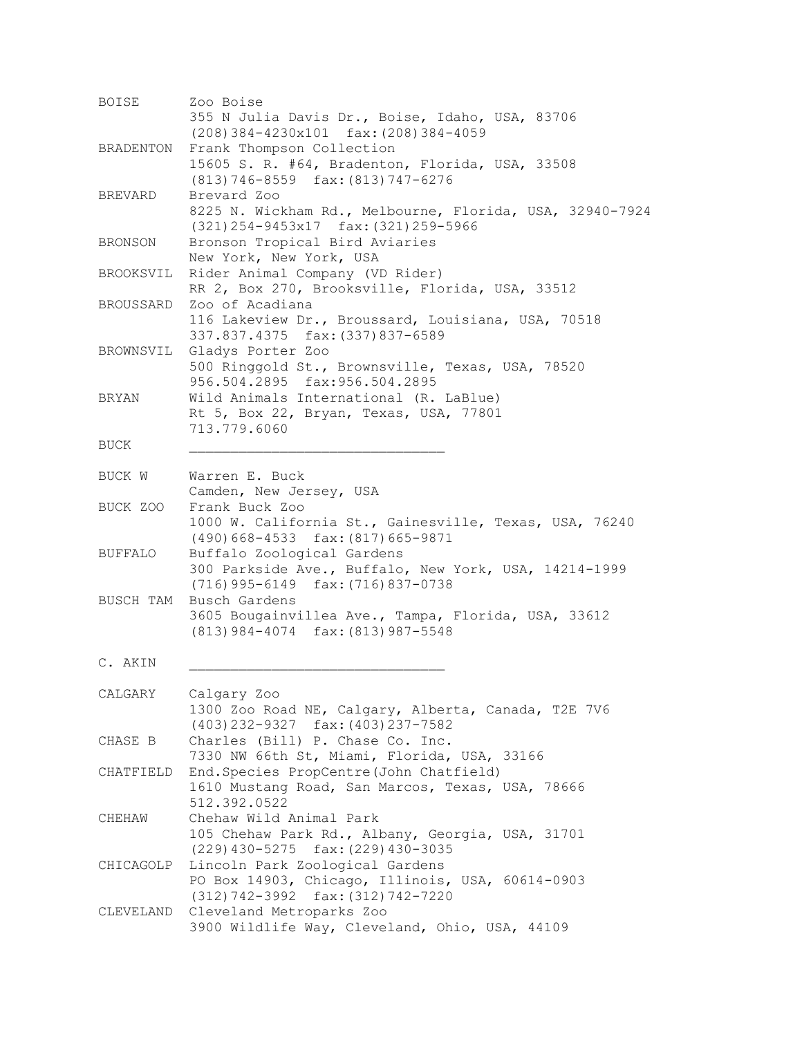| <b>BOISE</b> | Zoo Boise                                                                                                                     |
|--------------|-------------------------------------------------------------------------------------------------------------------------------|
|              | 355 N Julia Davis Dr., Boise, Idaho, USA, 83706<br>$(208)$ 384-4230x101 fax: $(208)$ 384-4059                                 |
| BRADENTON    | Frank Thompson Collection<br>15605 S. R. #64, Bradenton, Florida, USA, 33508<br>$(813) 746 - 8559$ fax: $(813) 747 - 6276$    |
| BREVARD      | Brevard Zoo<br>8225 N. Wickham Rd., Melbourne, Florida, USA, 32940-7924<br>(321) 254-9453x17 fax: (321) 259-5966              |
| BRONSON      | Bronson Tropical Bird Aviaries<br>New York, New York, USA                                                                     |
| BROOKSVIL    | Rider Animal Company (VD Rider)<br>RR 2, Box 270, Brooksville, Florida, USA, 33512                                            |
| BROUSSARD    | Zoo of Acadiana<br>116 Lakeview Dr., Broussard, Louisiana, USA, 70518<br>337.837.4375 fax: (337) 837-6589                     |
| BROWNSVIL    | Gladys Porter Zoo<br>500 Ringgold St., Brownsville, Texas, USA, 78520<br>956.504.2895 fax:956.504.2895                        |
| BRYAN        | Wild Animals International (R. LaBlue)<br>Rt 5, Box 22, Bryan, Texas, USA, 77801<br>713.779.6060                              |
| BUCK         |                                                                                                                               |
| BUCK W       | Warren E. Buck<br>Camden, New Jersey, USA                                                                                     |
| BUCK ZOO     | Frank Buck Zoo<br>1000 W. California St., Gainesville, Texas, USA, 76240<br>(490) 668-4533 fax: (817) 665-9871                |
| BUFFALO      | Buffalo Zoological Gardens<br>300 Parkside Ave., Buffalo, New York, USA, 14214-1999<br>$(716)$ 995-6149 fax: $(716)$ 837-0738 |
| BUSCH TAM    | Busch Gardens<br>3605 Bougainvillea Ave., Tampa, Florida, USA, 33612<br>$(813)$ 984-4074 fax: $(813)$ 987-5548                |
| C. AKIN      |                                                                                                                               |
| CALGARY      | Calgary Zoo<br>1300 Zoo Road NE, Calgary, Alberta, Canada, T2E 7V6<br>$(403)$ 232-9327 fax: $(403)$ 237-7582                  |
| CHASE B      | Charles (Bill) P. Chase Co. Inc.<br>7330 NW 66th St, Miami, Florida, USA, 33166                                               |
| CHATFIELD    | End. Species PropCentre (John Chatfield)<br>1610 Mustang Road, San Marcos, Texas, USA, 78666<br>512.392.0522                  |
| CHEHAW       | Chehaw Wild Animal Park<br>105 Chehaw Park Rd., Albany, Georgia, USA, 31701<br>(229) 430-5275 fax: (229) 430-3035             |
| CHICAGOLP    | Lincoln Park Zoological Gardens<br>PO Box 14903, Chicago, Illinois, USA, 60614-0903<br>(312) 742-3992 fax: (312) 742-7220     |
|              | CLEVELAND Cleveland Metroparks Zoo<br>3900 Wildlife Way, Cleveland, Ohio, USA, 44109                                          |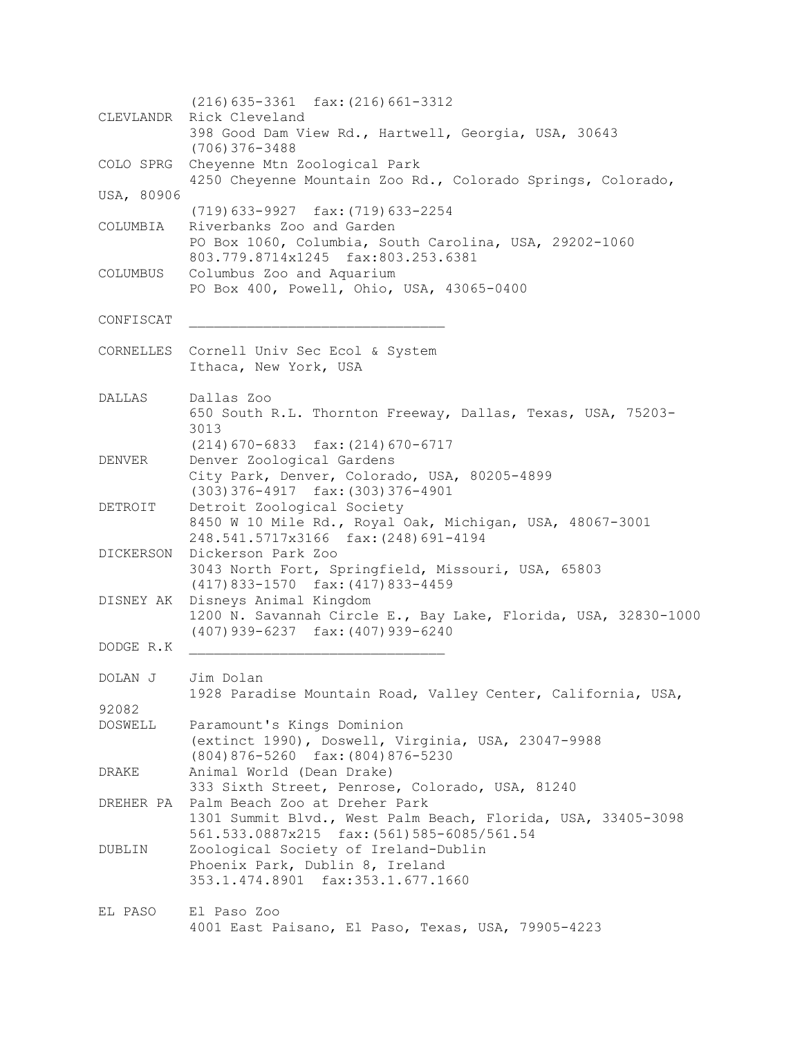(216)635-3361 fax:(216)661-3312 CLEVLANDR Rick Cleveland 398 Good Dam View Rd., Hartwell, Georgia, USA, 30643 (706)376-3488 COLO SPRG Cheyenne Mtn Zoological Park 4250 Cheyenne Mountain Zoo Rd., Colorado Springs, Colorado, USA, 80906 (719)633-9927 fax:(719)633-2254 COLUMBIA Riverbanks Zoo and Garden PO Box 1060, Columbia, South Carolina, USA, 29202-1060 803.779.8714x1245 fax:803.253.6381 COLUMBUS Columbus Zoo and Aquarium PO Box 400, Powell, Ohio, USA, 43065-0400 CONFISCAT \_\_\_\_\_\_\_\_\_\_\_\_\_\_\_\_\_\_\_\_\_\_\_\_\_\_\_\_\_\_\_ CORNELLES Cornell Univ Sec Ecol & System Ithaca, New York, USA DALLAS Dallas Zoo 650 South R.L. Thornton Freeway, Dallas, Texas, USA, 75203- 3013 (214)670-6833 fax:(214)670-6717 DENVER Denver Zoological Gardens City Park, Denver, Colorado, USA, 80205-4899 (303)376-4917 fax:(303)376-4901 DETROIT Detroit Zoological Society 8450 W 10 Mile Rd., Royal Oak, Michigan, USA, 48067-3001 248.541.5717x3166 fax:(248)691-4194 DICKERSON Dickerson Park Zoo 3043 North Fort, Springfield, Missouri, USA, 65803 (417)833-1570 fax:(417)833-4459 DISNEY AK Disneys Animal Kingdom 1200 N. Savannah Circle E., Bay Lake, Florida, USA, 32830-1000 (407)939-6237 fax:(407)939-6240 DODGE R.K \_\_\_\_\_\_\_\_\_\_\_\_\_\_\_\_\_\_\_\_\_\_\_\_\_\_\_\_\_\_\_ DOLAN J Jim Dolan 1928 Paradise Mountain Road, Valley Center, California, USA, 92082 DOSWELL Paramount's Kings Dominion (extinct 1990), Doswell, Virginia, USA, 23047-9988 (804)876-5260 fax:(804)876-5230 DRAKE Animal World (Dean Drake) 333 Sixth Street, Penrose, Colorado, USA, 81240 DREHER PA Palm Beach Zoo at Dreher Park 1301 Summit Blvd., West Palm Beach, Florida, USA, 33405-3098 561.533.0887x215 fax:(561)585-6085/561.54 DUBLIN Zoological Society of Ireland-Dublin Phoenix Park, Dublin 8, Ireland 353.1.474.8901 fax:353.1.677.1660 EL PASO El Paso Zoo 4001 East Paisano, El Paso, Texas, USA, 79905-4223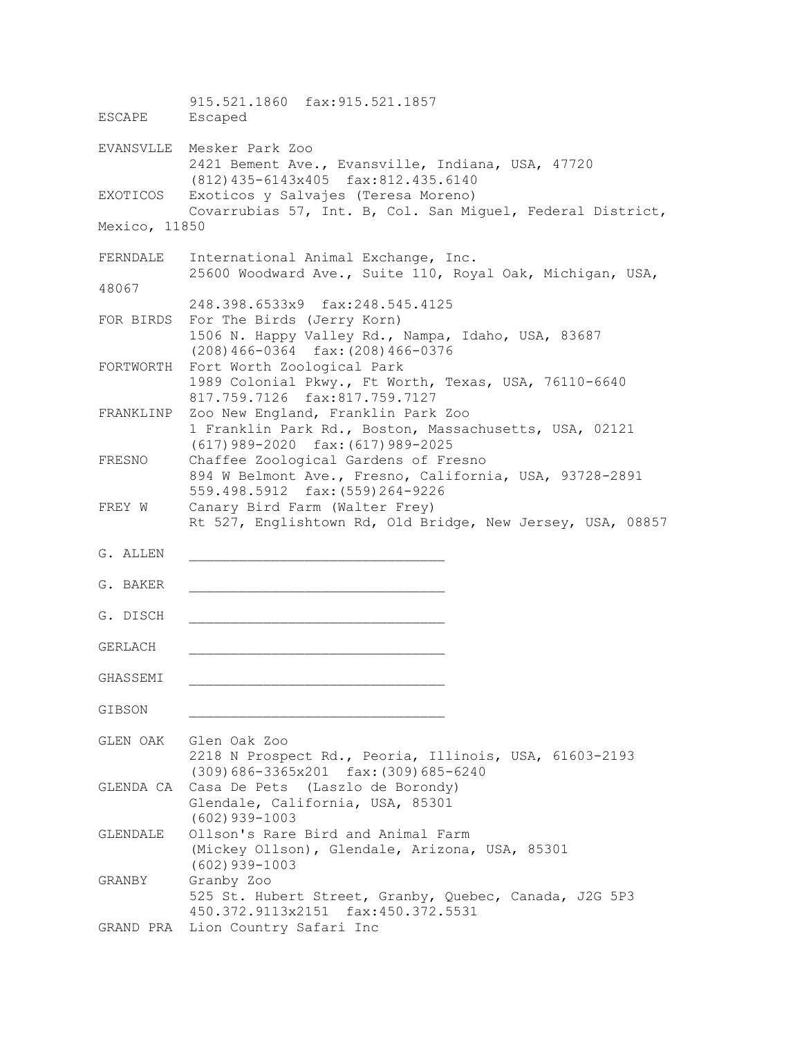915.521.1860 fax:915.521.1857 ESCAPE Escaped EVANSVLLE Mesker Park Zoo 2421 Bement Ave., Evansville, Indiana, USA, 47720 (812)435-6143x405 fax:812.435.6140 EXOTICOS Exoticos y Salvajes (Teresa Moreno) Covarrubias 57, Int. B, Col. San Miguel, Federal District, Mexico, 11850 FERNDALE International Animal Exchange, Inc. 25600 Woodward Ave., Suite 110, Royal Oak, Michigan, USA, 48067 248.398.6533x9 fax:248.545.4125 FOR BIRDS For The Birds (Jerry Korn) 1506 N. Happy Valley Rd., Nampa, Idaho, USA, 83687 (208)466-0364 fax:(208)466-0376 FORTWORTH Fort Worth Zoological Park 1989 Colonial Pkwy., Ft Worth, Texas, USA, 76110-6640 817.759.7126 fax:817.759.7127 FRANKLINP Zoo New England, Franklin Park Zoo 1 Franklin Park Rd., Boston, Massachusetts, USA, 02121 (617)989-2020 fax:(617)989-2025 FRESNO Chaffee Zoological Gardens of Fresno 894 W Belmont Ave., Fresno, California, USA, 93728-2891 559.498.5912 fax:(559)264-9226 FREY W Canary Bird Farm (Walter Frey) Rt 527, Englishtown Rd, Old Bridge, New Jersey, USA, 08857 G. ALLEN G. BAKER G. DISCH GERLACH \_\_\_\_\_\_\_\_\_\_\_\_\_\_\_\_\_\_\_\_\_\_\_\_\_\_\_\_\_\_\_ GHASSEMI \_\_\_\_\_\_\_\_\_\_\_\_\_\_\_\_\_\_\_\_\_\_\_\_\_\_\_\_\_\_\_ GIBSON GLEN OAK Glen Oak Zoo 2218 N Prospect Rd., Peoria, Illinois, USA, 61603-2193 (309)686-3365x201 fax:(309)685-6240 GLENDA CA Casa De Pets (Laszlo de Borondy) Glendale, California, USA, 85301 (602)939-1003 GLENDALE Ollson's Rare Bird and Animal Farm (Mickey Ollson), Glendale, Arizona, USA, 85301 (602)939-1003 GRANBY Granby Zoo 525 St. Hubert Street, Granby, Quebec, Canada, J2G 5P3 450.372.9113x2151 fax:450.372.5531 GRAND PRA Lion Country Safari Inc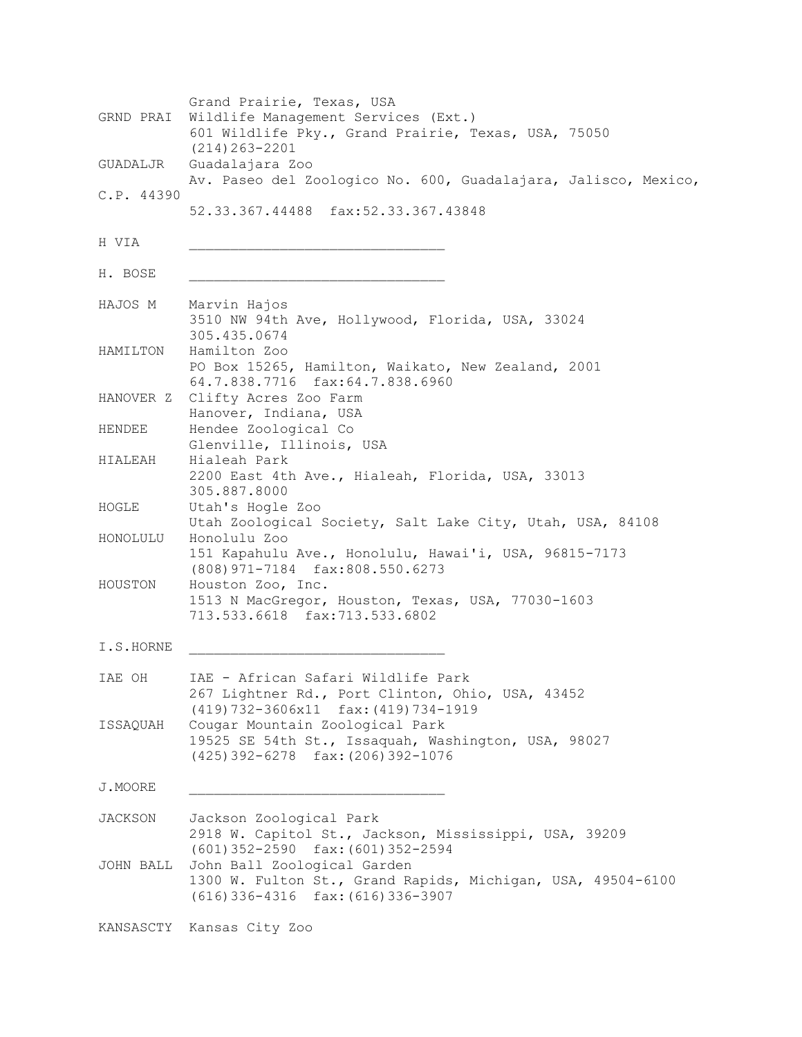| GRND PRAI      | Grand Prairie, Texas, USA<br>Wildlife Management Services (Ext.)<br>601 Wildlife Pky., Grand Prairie, Texas, USA, 75050                                               |
|----------------|-----------------------------------------------------------------------------------------------------------------------------------------------------------------------|
| GUADALJR       | $(214) 263 - 2201$<br>Guadalajara Zoo<br>Av. Paseo del Zoologico No. 600, Guadalajara, Jalisco, Mexico,                                                               |
| C.P. 44390     | 52.33.367.44488 fax:52.33.367.43848                                                                                                                                   |
| H VIA          |                                                                                                                                                                       |
| H. BOSE        |                                                                                                                                                                       |
| HAJOS M        | Marvin Hajos<br>3510 NW 94th Ave, Hollywood, Florida, USA, 33024<br>305.435.0674                                                                                      |
| HAMILTON       | Hamilton Zoo<br>PO Box 15265, Hamilton, Waikato, New Zealand, 2001<br>64.7.838.7716 fax:64.7.838.6960                                                                 |
| HANOVER Z      | Clifty Acres Zoo Farm<br>Hanover, Indiana, USA                                                                                                                        |
| HENDEE         | Hendee Zoological Co<br>Glenville, Illinois, USA                                                                                                                      |
| HIALEAH        | Hialeah Park<br>2200 East 4th Ave., Hialeah, Florida, USA, 33013<br>305.887.8000                                                                                      |
| HOGLE          | Utah's Hogle Zoo<br>Utah Zoological Society, Salt Lake City, Utah, USA, 84108                                                                                         |
| HONOLULU       | Honolulu Zoo<br>151 Kapahulu Ave., Honolulu, Hawai'i, USA, 96815-7173<br>(808) 971-7184 fax:808.550.6273                                                              |
| HOUSTON        | Houston Zoo, Inc.<br>1513 N MacGregor, Houston, Texas, USA, 77030-1603<br>713.533.6618 fax:713.533.6802                                                               |
| I.S.HORNE      |                                                                                                                                                                       |
| IAE OH         | IAE - African Safari Wildlife Park<br>267 Lightner Rd., Port Clinton, Ohio, USA, 43452                                                                                |
| ISSAQUAH       | (419) 732-3606x11 fax: (419) 734-1919<br>Cougar Mountain Zoological Park<br>19525 SE 54th St., Issaquah, Washington, USA, 98027<br>(425) 392-6278 fax: (206) 392-1076 |
| J.MOORE        |                                                                                                                                                                       |
| <b>JACKSON</b> | Jackson Zoological Park<br>2918 W. Capitol St., Jackson, Mississippi, USA, 39209<br>$(601)$ 352-2590 fax: $(601)$ 352-2594                                            |
| JOHN BALL      | John Ball Zoological Garden<br>1300 W. Fulton St., Grand Rapids, Michigan, USA, 49504-6100<br>$(616)$ 336-4316 $fax$ : $(616)$ 336-3907                               |
|                | KANSASCTY Kansas City Zoo                                                                                                                                             |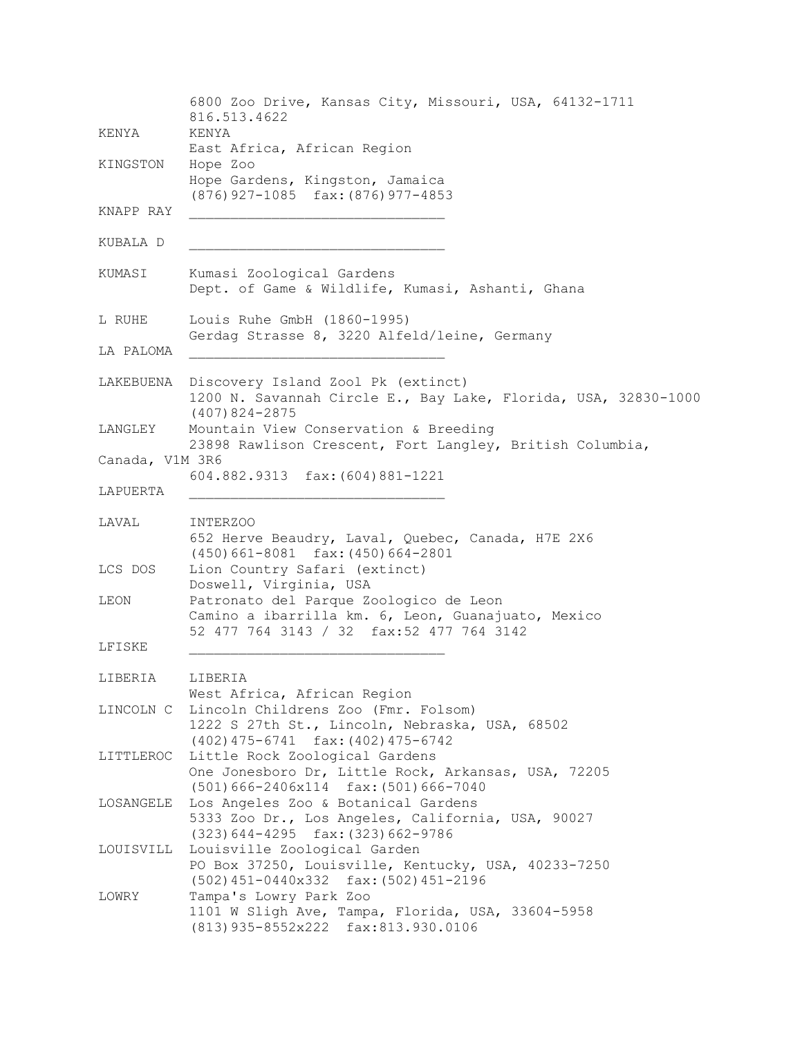6800 Zoo Drive, Kansas City, Missouri, USA, 64132-1711 816.513.4622 KENYA KENYA East Africa, African Region KINGSTON Hope Zoo Hope Gardens, Kingston, Jamaica (876)927-1085 fax:(876)977-4853 KNAPP RAY KUBALA D \_\_\_\_\_\_\_\_\_\_\_\_\_\_\_\_\_\_\_\_\_\_\_\_\_\_\_\_\_\_\_ KUMASI Kumasi Zoological Gardens Dept. of Game & Wildlife, Kumasi, Ashanti, Ghana L RUHE Louis Ruhe GmbH (1860-1995) Gerdag Strasse 8, 3220 Alfeld/leine, Germany LA PALOMA LAKEBUENA Discovery Island Zool Pk (extinct) 1200 N. Savannah Circle E., Bay Lake, Florida, USA, 32830-1000 (407)824-2875 LANGLEY Mountain View Conservation & Breeding 23898 Rawlison Crescent, Fort Langley, British Columbia, Canada, V1M 3R6 604.882.9313 fax:(604)881-1221 LAPUERTA LAVAL INTERZOO 652 Herve Beaudry, Laval, Quebec, Canada, H7E 2X6 (450)661-8081 fax:(450)664-2801 LCS DOS Lion Country Safari (extinct) Doswell, Virginia, USA LEON Patronato del Parque Zoologico de Leon Camino a ibarrilla km. 6, Leon, Guanajuato, Mexico 52 477 764 3143 / 32 fax:52 477 764 3142 LFISKE \_\_\_\_\_\_\_\_\_\_\_\_\_\_\_\_\_\_\_\_\_\_\_\_\_\_\_\_\_\_\_ LIBERIA LIBERIA West Africa, African Region LINCOLN C Lincoln Childrens Zoo (Fmr. Folsom) 1222 S 27th St., Lincoln, Nebraska, USA, 68502 (402)475-6741 fax:(402)475-6742 LITTLEROC Little Rock Zoological Gardens One Jonesboro Dr, Little Rock, Arkansas, USA, 72205 (501)666-2406x114 fax:(501)666-7040 LOSANGELE Los Angeles Zoo & Botanical Gardens 5333 Zoo Dr., Los Angeles, California, USA, 90027 (323)644-4295 fax:(323)662-9786 LOUISVILL Louisville Zoological Garden PO Box 37250, Louisville, Kentucky, USA, 40233-7250 (502)451-0440x332 fax:(502)451-2196 LOWRY Tampa's Lowry Park Zoo 1101 W Sligh Ave, Tampa, Florida, USA, 33604-5958 (813)935-8552x222 fax:813.930.0106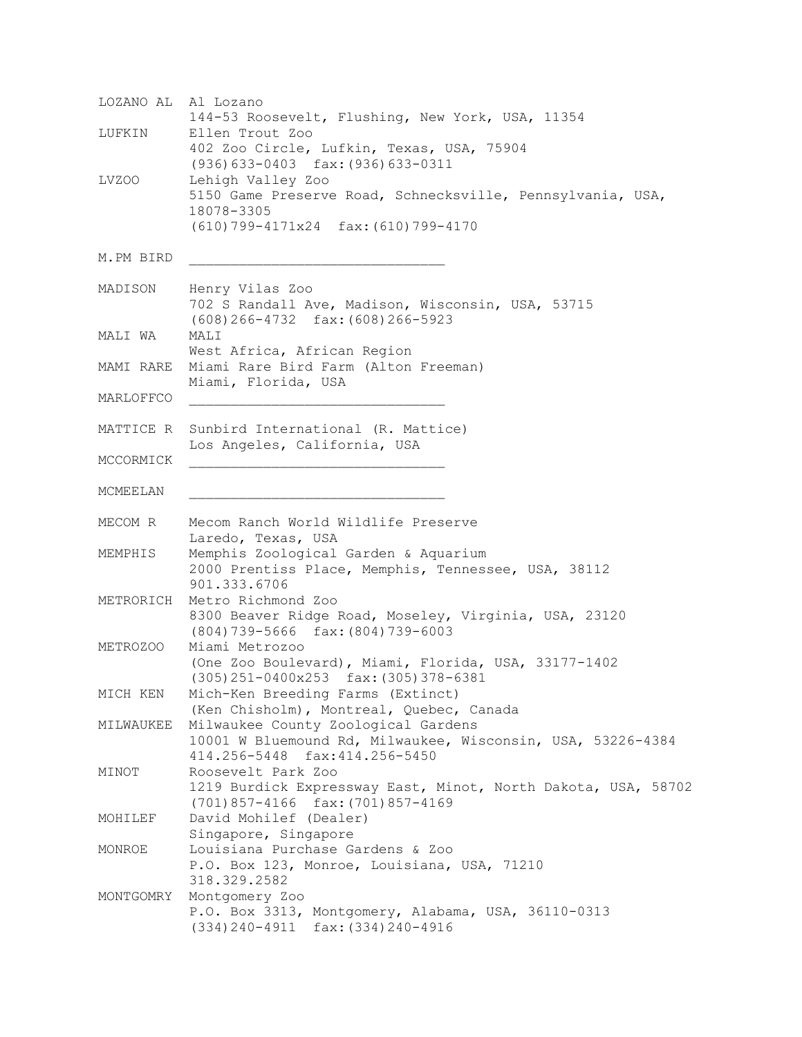LOZANO AL Al Lozano 144-53 Roosevelt, Flushing, New York, USA, 11354 LUFKIN Ellen Trout Zoo 402 Zoo Circle, Lufkin, Texas, USA, 75904 (936)633-0403 fax:(936)633-0311 LVZOO Lehigh Valley Zoo 5150 Game Preserve Road, Schnecksville, Pennsylvania, USA, 18078-3305 (610)799-4171x24 fax:(610)799-4170 M.PM BIRD MADISON Henry Vilas Zoo 702 S Randall Ave, Madison, Wisconsin, USA, 53715 (608)266-4732 fax:(608)266-5923 MALI WA MALI West Africa, African Region MAMI RARE Miami Rare Bird Farm (Alton Freeman) Miami, Florida, USA MARLOFFCO \_\_\_\_\_\_\_\_\_\_\_\_\_\_\_\_\_\_\_\_\_\_\_\_\_\_\_\_\_\_\_ MATTICE R Sunbird International (R. Mattice) Los Angeles, California, USA MCCORMICK MCMEELAN MECOM R Mecom Ranch World Wildlife Preserve Laredo, Texas, USA MEMPHIS Memphis Zoological Garden & Aquarium 2000 Prentiss Place, Memphis, Tennessee, USA, 38112 901.333.6706 METRORICH Metro Richmond Zoo 8300 Beaver Ridge Road, Moseley, Virginia, USA, 23120 (804)739-5666 fax:(804)739-6003 METROZOO Miami Metrozoo (One Zoo Boulevard), Miami, Florida, USA, 33177-1402 (305)251-0400x253 fax:(305)378-6381 MICH KEN Mich-Ken Breeding Farms (Extinct) (Ken Chisholm), Montreal, Quebec, Canada MILWAUKEE Milwaukee County Zoological Gardens 10001 W Bluemound Rd, Milwaukee, Wisconsin, USA, 53226-4384 414.256-5448 fax:414.256-5450 MINOT Roosevelt Park Zoo 1219 Burdick Expressway East, Minot, North Dakota, USA, 58702 (701)857-4166 fax:(701)857-4169 MOHILEF David Mohilef (Dealer) Singapore, Singapore MONROE Louisiana Purchase Gardens & Zoo P.O. Box 123, Monroe, Louisiana, USA, 71210 318.329.2582 MONTGOMRY Montgomery Zoo P.O. Box 3313, Montgomery, Alabama, USA, 36110-0313 (334)240-4911 fax:(334)240-4916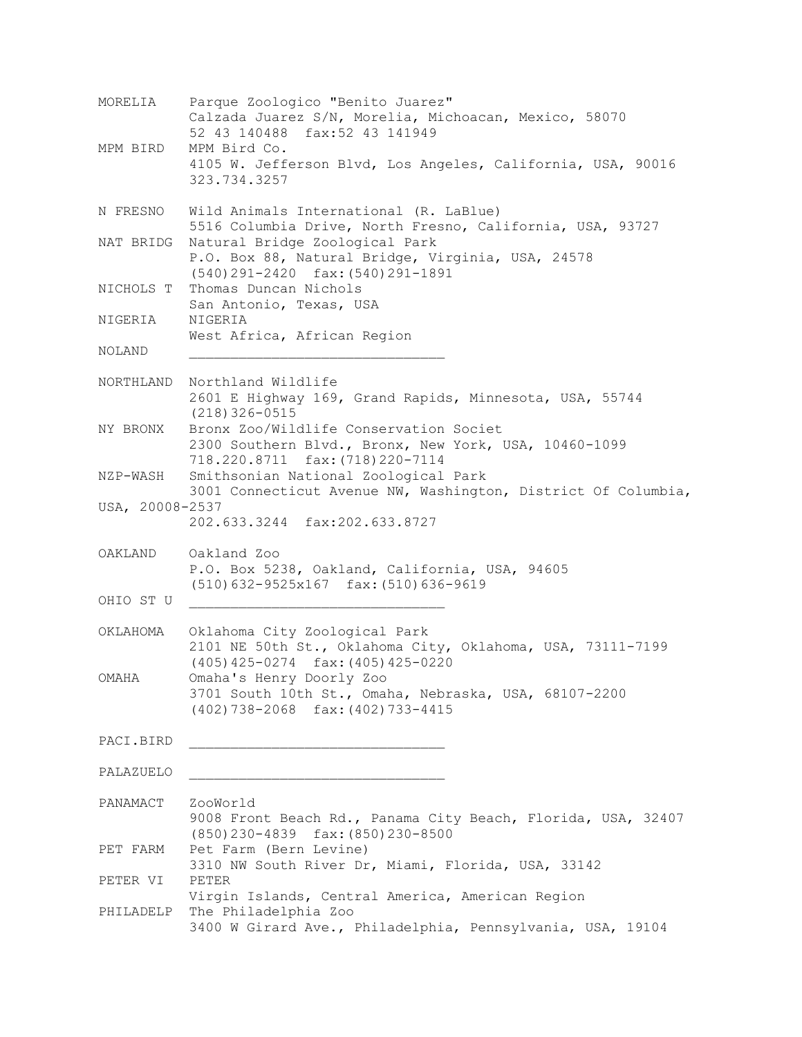| MORELIA         | Parque Zoologico "Benito Juarez"<br>Calzada Juarez S/N, Morelia, Michoacan, Mexico, 58070<br>52 43 140488 fax:52 43 141949              |
|-----------------|-----------------------------------------------------------------------------------------------------------------------------------------|
| MPM BIRD        | MPM Bird Co.<br>4105 W. Jefferson Blvd, Los Angeles, California, USA, 90016<br>323.734.3257                                             |
| N FRESNO        | Wild Animals International (R. LaBlue)<br>5516 Columbia Drive, North Fresno, California, USA, 93727                                     |
|                 | NAT BRIDG Natural Bridge Zoological Park<br>P.O. Box 88, Natural Bridge, Virginia, USA, 24578<br>$(540)$ 291-2420 fax: $(540)$ 291-1891 |
| NICHOLS T       | Thomas Duncan Nichols<br>San Antonio, Texas, USA                                                                                        |
| NIGERIA         | NIGERIA<br>West Africa, African Region                                                                                                  |
| NOLAND          |                                                                                                                                         |
|                 | NORTHLAND Northland Wildlife<br>2601 E Highway 169, Grand Rapids, Minnesota, USA, 55744<br>$(218)$ 326-0515                             |
| NY BRONX        | Bronx Zoo/Wildlife Conservation Societ<br>2300 Southern Blvd., Bronx, New York, USA, 10460-1099<br>718.220.8711 fax: (718) 220-7114     |
|                 | NZP-WASH Smithsonian National Zoological Park<br>3001 Connecticut Avenue NW, Washington, District Of Columbia,                          |
| USA, 20008-2537 | 202.633.3244 fax:202.633.8727                                                                                                           |
|                 | OAKLAND Oakland Zoo<br>P.O. Box 5238, Oakland, California, USA, 94605<br>$(510)$ 632-9525x167 fax: (510) 636-9619                       |
| OHIO ST U       |                                                                                                                                         |
| OKLAHOMA        | Oklahoma City Zoological Park<br>2101 NE 50th St., Oklahoma City, Oklahoma, USA, 73111-7199<br>(405) 425-0274 fax: (405) 425-0220       |
| OMAHA           | Omaha's Henry Doorly Zoo<br>3701 South 10th St., Omaha, Nebraska, USA, 68107-2200<br>(402) 738-2068 fax: (402) 733-4415                 |
| PACI.BIRD       |                                                                                                                                         |
| PALAZUELO       |                                                                                                                                         |
| PANAMACT        | ZooWorld<br>9008 Front Beach Rd., Panama City Beach, Florida, USA, 32407                                                                |
| PET FARM        | $(850)$ 230-4839 fax: $(850)$ 230-8500<br>Pet Farm (Bern Levine)<br>3310 NW South River Dr, Miami, Florida, USA, 33142                  |
| PETER VI        | PETER<br>Virgin Islands, Central America, American Region                                                                               |
| PHILADELP       | The Philadelphia Zoo<br>3400 W Girard Ave., Philadelphia, Pennsylvania, USA, 19104                                                      |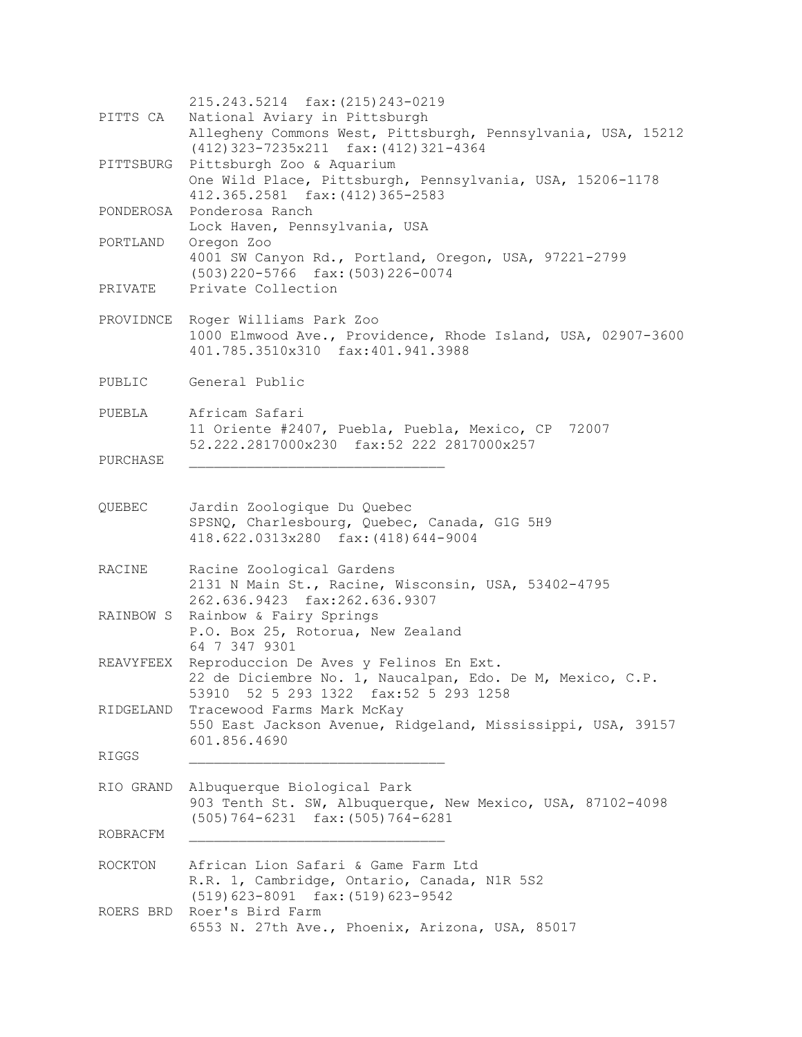215.243.5214 fax:(215)243-0219 PITTS CA National Aviary in Pittsburgh Allegheny Commons West, Pittsburgh, Pennsylvania, USA, 15212 (412)323-7235x211 fax:(412)321-4364 PITTSBURG Pittsburgh Zoo & Aquarium One Wild Place, Pittsburgh, Pennsylvania, USA, 15206-1178 412.365.2581 fax:(412)365-2583 PONDEROSA Ponderosa Ranch Lock Haven, Pennsylvania, USA PORTLAND Oregon Zoo 4001 SW Canyon Rd., Portland, Oregon, USA, 97221-2799 (503)220-5766 fax:(503)226-0074 PRIVATE Private Collection PROVIDNCE Roger Williams Park Zoo 1000 Elmwood Ave., Providence, Rhode Island, USA, 02907-3600 401.785.3510x310 fax:401.941.3988 PUBLIC General Public PUEBLA Africam Safari 11 Oriente #2407, Puebla, Puebla, Mexico, CP 72007 52.222.2817000x230 fax:52 222 2817000x257 PURCHASE \_\_\_\_\_\_\_\_\_\_\_\_\_\_\_\_\_\_\_\_\_\_\_\_\_\_\_\_\_\_\_ QUEBEC Jardin Zoologique Du Quebec SPSNQ, Charlesbourg, Quebec, Canada, G1G 5H9 418.622.0313x280 fax:(418)644-9004 RACINE Racine Zoological Gardens 2131 N Main St., Racine, Wisconsin, USA, 53402-4795 262.636.9423 fax:262.636.9307 RAINBOW S Rainbow & Fairy Springs P.O. Box 25, Rotorua, New Zealand 64 7 347 9301 REAVYFEEX Reproduccion De Aves y Felinos En Ext. 22 de Diciembre No. 1, Naucalpan, Edo. De M, Mexico, C.P. 53910 52 5 293 1322 fax:52 5 293 1258 RIDGELAND Tracewood Farms Mark McKay 550 East Jackson Avenue, Ridgeland, Mississippi, USA, 39157 601.856.4690 RIGGS RIO GRAND Albuquerque Biological Park 903 Tenth St. SW, Albuquerque, New Mexico, USA, 87102-4098 (505)764-6231 fax:(505)764-6281 ROBRACFM \_\_\_\_\_\_\_\_\_\_\_\_\_\_\_\_\_\_\_\_\_\_\_\_\_\_\_\_\_\_\_ ROCKTON African Lion Safari & Game Farm Ltd R.R. 1, Cambridge, Ontario, Canada, N1R 5S2 (519)623-8091 fax:(519)623-9542 ROERS BRD Roer's Bird Farm 6553 N. 27th Ave., Phoenix, Arizona, USA, 85017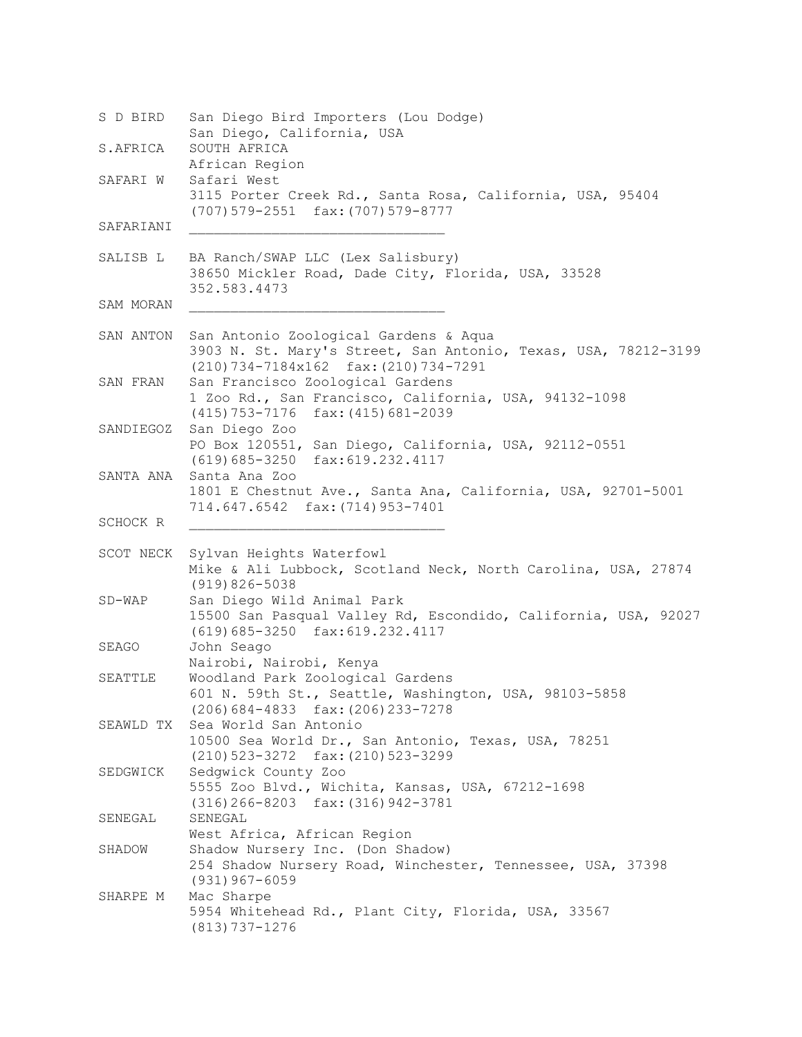S D BIRD San Diego Bird Importers (Lou Dodge) San Diego, California, USA S.AFRICA SOUTH AFRICA African Region SAFARI W Safari West 3115 Porter Creek Rd., Santa Rosa, California, USA, 95404 (707)579-2551 fax:(707)579-8777 SAFARIANI SALISB L BA Ranch/SWAP LLC (Lex Salisbury) 38650 Mickler Road, Dade City, Florida, USA, 33528 352.583.4473 SAM MORAN SAN ANTON San Antonio Zoological Gardens & Aqua 3903 N. St. Mary's Street, San Antonio, Texas, USA, 78212-3199 (210)734-7184x162 fax:(210)734-7291 SAN FRAN San Francisco Zoological Gardens 1 Zoo Rd., San Francisco, California, USA, 94132-1098 (415)753-7176 fax:(415)681-2039 SANDIEGOZ San Diego Zoo PO Box 120551, San Diego, California, USA, 92112-0551 (619)685-3250 fax:619.232.4117 SANTA ANA Santa Ana Zoo 1801 E Chestnut Ave., Santa Ana, California, USA, 92701-5001 714.647.6542 fax:(714)953-7401 SCHOCK R \_\_\_\_\_\_\_\_\_\_\_\_\_\_\_\_\_\_\_\_\_\_\_\_\_\_\_\_\_\_\_ SCOT NECK Sylvan Heights Waterfowl Mike & Ali Lubbock, Scotland Neck, North Carolina, USA, 27874 (919)826-5038 SD-WAP San Diego Wild Animal Park 15500 San Pasqual Valley Rd, Escondido, California, USA, 92027 (619)685-3250 fax:619.232.4117 SEAGO John Seago Nairobi, Nairobi, Kenya SEATTLE Woodland Park Zoological Gardens 601 N. 59th St., Seattle, Washington, USA, 98103-5858 (206)684-4833 fax:(206)233-7278 SEAWLD TX Sea World San Antonio 10500 Sea World Dr., San Antonio, Texas, USA, 78251 (210)523-3272 fax:(210)523-3299 SEDGWICK Sedgwick County Zoo 5555 Zoo Blvd., Wichita, Kansas, USA, 67212-1698 (316)266-8203 fax:(316)942-3781 SENEGAL SENEGAL West Africa, African Region SHADOW Shadow Nursery Inc. (Don Shadow) 254 Shadow Nursery Road, Winchester, Tennessee, USA, 37398 (931)967-6059 SHARPE M Mac Sharpe 5954 Whitehead Rd., Plant City, Florida, USA, 33567 (813)737-1276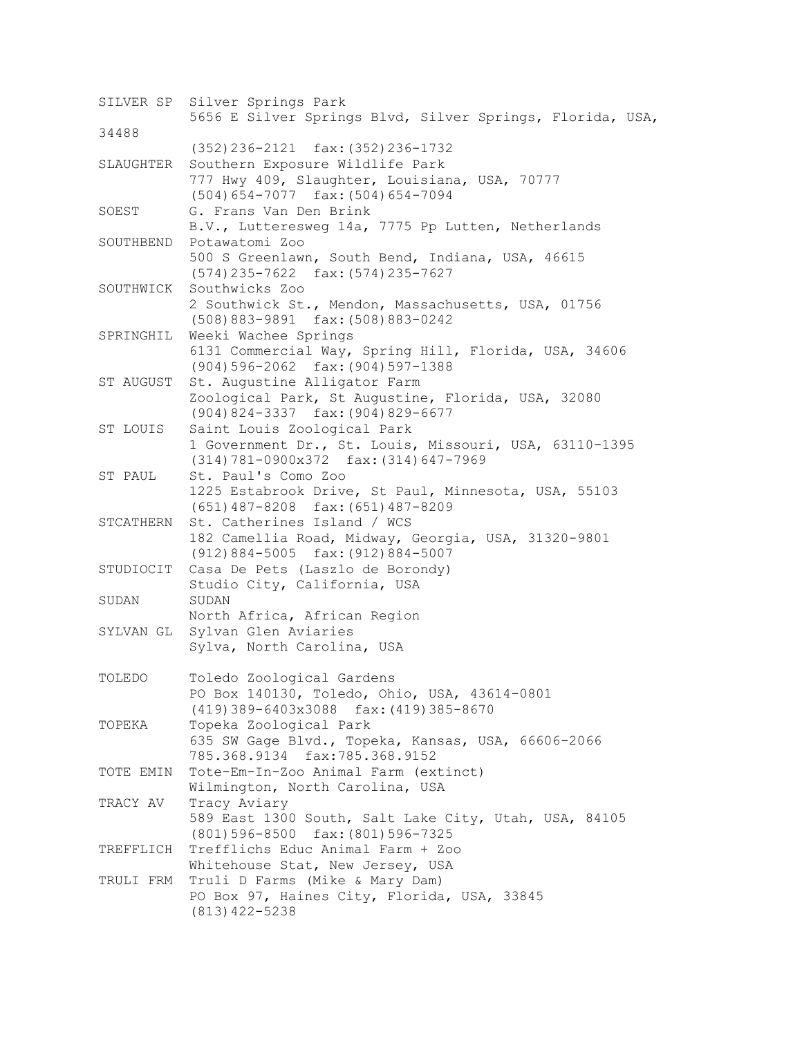SILVER SP Silver Springs Park 5656 E Silver Springs Blvd, Silver Springs, Florida, USA, 34488 (352)236-2121 fax:(352)236-1732 SLAUGHTER Southern Exposure Wildlife Park 777 Hwy 409, Slaughter, Louisiana, USA, 70777 (504)654-7077 fax:(504)654-7094 SOEST G. Frans Van Den Brink B.V., Lutteresweg 14a, 7775 Pp Lutten, Netherlands SOUTHBEND Potawatomi Zoo 500 S Greenlawn, South Bend, Indiana, USA, 46615 (574)235-7622 fax:(574)235-7627 SOUTHWICK Southwicks Zoo 2 Southwick St., Mendon, Massachusetts, USA, 01756 (508)883-9891 fax:(508)883-0242 SPRINGHIL Weeki Wachee Springs 6131 Commercial Way, Spring Hill, Florida, USA, 34606 (904)596-2062 fax:(904)597-1388 ST AUGUST St. Augustine Alligator Farm Zoological Park, St Augustine, Florida, USA, 32080 (904)824-3337 fax:(904)829-6677 ST LOUIS Saint Louis Zoological Park 1 Government Dr., St. Louis, Missouri, USA, 63110-1395 (314)781-0900x372 fax:(314)647-7969 ST PAUL St. Paul's Como Zoo 1225 Estabrook Drive, St Paul, Minnesota, USA, 55103 (651)487-8208 fax:(651)487-8209 STCATHERN St. Catherines Island / WCS 182 Camellia Road, Midway, Georgia, USA, 31320-9801 (912)884-5005 fax:(912)884-5007 STUDIOCIT Casa De Pets (Laszlo de Borondy) Studio City, California, USA SUDAN SUDAN North Africa, African Region SYLVAN GL Sylvan Glen Aviaries Sylva, North Carolina, USA TOLEDO Toledo Zoological Gardens PO Box 140130, Toledo, Ohio, USA, 43614-0801 (419)389-6403x3088 fax:(419)385-8670 TOPEKA Topeka Zoological Park 635 SW Gage Blvd., Topeka, Kansas, USA, 66606-2066 785.368.9134 fax:785.368.9152 TOTE EMIN Tote-Em-In-Zoo Animal Farm (extinct) Wilmington, North Carolina, USA TRACY AV Tracy Aviary 589 East 1300 South, Salt Lake City, Utah, USA, 84105 (801)596-8500 fax:(801)596-7325 TREFFLICH Trefflichs Educ Animal Farm + Zoo Whitehouse Stat, New Jersey, USA TRULI FRM Truli D Farms (Mike & Mary Dam) PO Box 97, Haines City, Florida, USA, 33845 (813)422-5238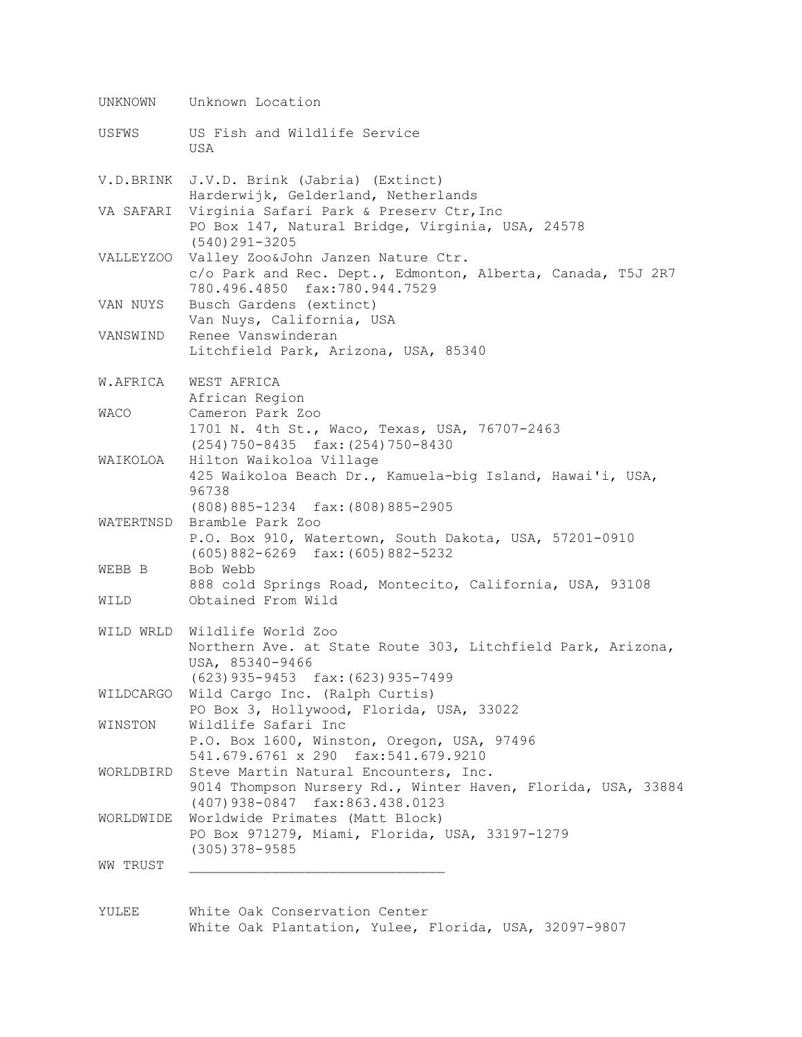UNKNOWN Unknown Location USFWS US Fish and Wildlife Service USA V.D.BRINK J.V.D. Brink (Jabria) (Extinct) Harderwijk, Gelderland, Netherlands VA SAFARI Virginia Safari Park & Preserv Ctr, Inc PO Box 147, Natural Bridge, Virginia, USA, 24578 (540)291-3205 VALLEYZOO Valley Zoo&John Janzen Nature Ctr. c/o Park and Rec. Dept., Edmonton, Alberta, Canada, T5J 2R7 780.496.4850 fax:780.944.7529 VAN NUYS Busch Gardens (extinct) Van Nuys, California, USA VANSWIND Renee Vanswinderan Litchfield Park, Arizona, USA, 85340 W.AFRICA WEST AFRICA African Region WACO Cameron Park Zoo 1701 N. 4th St., Waco, Texas, USA, 76707-2463 (254)750-8435 fax:(254)750-8430 WAIKOLOA Hilton Waikoloa Village 425 Waikoloa Beach Dr., Kamuela-big Island, Hawai'i, USA, 96738 (808)885-1234 fax:(808)885-2905 WATERTNSD Bramble Park Zoo P.O. Box 910, Watertown, South Dakota, USA, 57201-0910 (605)882-6269 fax:(605)882-5232 WEBB B Bob Webb 888 cold Springs Road, Montecito, California, USA, 93108 WILD Obtained From Wild WILD WRLD Wildlife World Zoo Northern Ave. at State Route 303, Litchfield Park, Arizona, USA, 85340-9466 (623)935-9453 fax:(623)935-7499 WILDCARGO Wild Cargo Inc. (Ralph Curtis) PO Box 3, Hollywood, Florida, USA, 33022 WINSTON Wildlife Safari Inc P.O. Box 1600, Winston, Oregon, USA, 97496 541.679.6761 x 290 fax:541.679.9210 WORLDBIRD Steve Martin Natural Encounters, Inc. 9014 Thompson Nursery Rd., Winter Haven, Florida, USA, 33884 (407)938-0847 fax:863.438.0123 WORLDWIDE Worldwide Primates (Matt Block) PO Box 971279, Miami, Florida, USA, 33197-1279 (305)378-9585 WW TRUST

YULEE White Oak Conservation Center White Oak Plantation, Yulee, Florida, USA, 32097-9807